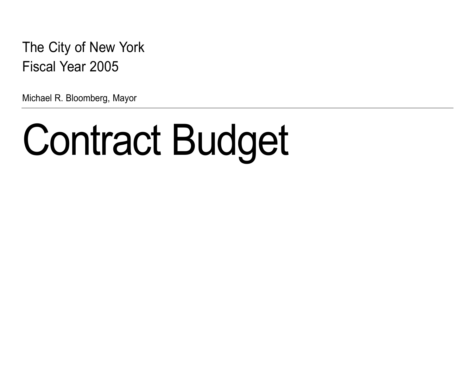The City of New York Fiscal Year 2005

Michael R. Bloomberg, Mayor

# [Contract Budget](#page-1-0)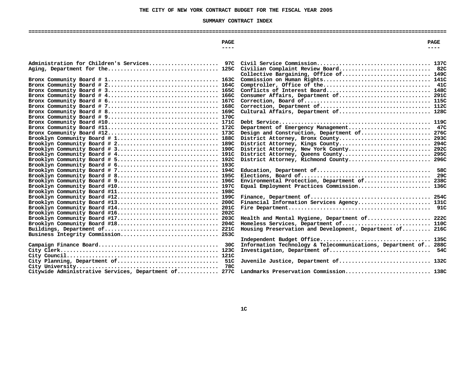# **THE CITY OF NEW YORK CONTRACT BUDGET FOR THE FISCAL YEAR <sup>2005</sup>**

# **SUMMARY**

<span id="page-1-0"></span>

| SUMMARY CONTRACT INDEX |             |
|------------------------|-------------|
|                        |             |
| PAGE                   | <b>PAGE</b> |
| -----                  | ----        |
|                        |             |

| Administration for Children's Services 97C                                                                    |                                                                                        |  |
|---------------------------------------------------------------------------------------------------------------|----------------------------------------------------------------------------------------|--|
|                                                                                                               | Civilian Complaint Review Board 82C<br>Collective Bargaining, Office of 149C           |  |
|                                                                                                               |                                                                                        |  |
|                                                                                                               |                                                                                        |  |
|                                                                                                               | Conflicts of Interest Board 148C                                                       |  |
|                                                                                                               | Consumer Affairs, Department of 291C                                                   |  |
| Bronx Community Board # $6 \ldots \ldots \ldots \ldots \ldots \ldots \ldots \ldots \ldots \ldots \ldots 167C$ |                                                                                        |  |
|                                                                                                               |                                                                                        |  |
| Bronx Community Board # $8 \ldots \ldots \ldots \ldots \ldots \ldots \ldots \ldots \ldots \ldots \ldots 169C$ | Cultural Affairs, Department of 128C                                                   |  |
|                                                                                                               | 119C                                                                                   |  |
|                                                                                                               | Department of Emergency Management 47C                                                 |  |
|                                                                                                               | Design and Construction, Department of 276C                                            |  |
| Brooklyn Community Board # 1 188C                                                                             |                                                                                        |  |
|                                                                                                               | District Attorney, Kings County 294C                                                   |  |
| Brooklyn Community Board # 3 190C                                                                             | District Attorney, New York County 292C                                                |  |
|                                                                                                               | District Attorney, Queens County 295C                                                  |  |
|                                                                                                               | District Attorney, Richmond County 296C                                                |  |
|                                                                                                               |                                                                                        |  |
| Brooklyn Community Board # 7 194C                                                                             | 58C                                                                                    |  |
| Brooklyn Community Board # 8 195C                                                                             | 29C                                                                                    |  |
|                                                                                                               | Environmental Protection, Department of 238C                                           |  |
| Brooklyn Community Board #10 197C                                                                             | Equal Employment Practices Commission 136C                                             |  |
|                                                                                                               |                                                                                        |  |
|                                                                                                               |                                                                                        |  |
| Brooklyn Community Board #13 200C                                                                             | Financial Information Services Agency 131C                                             |  |
|                                                                                                               |                                                                                        |  |
|                                                                                                               |                                                                                        |  |
| Brooklyn Community Board #17 203C<br>Brooklyn Community Board #18 204C                                        | Health and Mental Hygiene, Department of 222C<br>Homeless Services, Department of 110C |  |
|                                                                                                               | Housing Preservation and Development, Department of 216C                               |  |
|                                                                                                               |                                                                                        |  |
|                                                                                                               | Independent Budget Office<br>135C                                                      |  |
|                                                                                                               | Information Technology & Telecommunications, Department of 288C                        |  |
|                                                                                                               | Investigation, Department of 54C                                                       |  |
|                                                                                                               |                                                                                        |  |
| City Planning, Department of 51C                                                                              | Juvenile Justice, Department of 132C                                                   |  |
| 78C                                                                                                           |                                                                                        |  |
| Citywide Administrative Services, Department of 277C                                                          | Landmarks Preservation Commission 138C                                                 |  |
|                                                                                                               |                                                                                        |  |
|                                                                                                               |                                                                                        |  |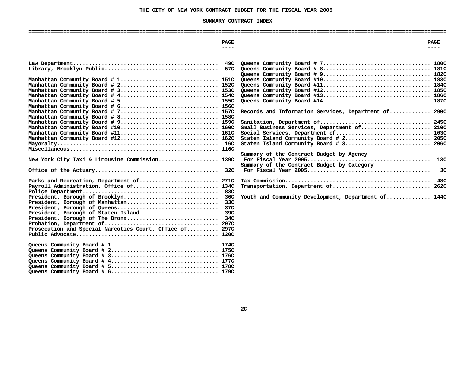# **THE CITY OF NEW YORK CONTRACT BUDGET FOR THE FISCAL YEAR <sup>2005</sup>**

# **SUMMARY**

|                                                                                             | SUMMARY CONTRACT INDEX                                                        |
|---------------------------------------------------------------------------------------------|-------------------------------------------------------------------------------|
|                                                                                             |                                                                               |
| <b>PAGE</b><br>$---$                                                                        | <b>PAGE</b><br>$- - - -$                                                      |
|                                                                                             |                                                                               |
| 49C                                                                                         |                                                                               |
| Manhattan Community Board # 1 151C                                                          |                                                                               |
| Manhattan Community Board # 2 152C<br>Manhattan Community Board # 3 153C                    |                                                                               |
|                                                                                             |                                                                               |
| Manhattan Community Board # 6 156C                                                          |                                                                               |
| Manhattan Community Board # 7 157C<br>Manhattan Community Board # 8 158C                    | Records and Information Services, Department of 290C                          |
| Manhattan Community Board # 9 159C<br>Manhattan Community Board #10 160C                    | Small Business Services, Department of 210C                                   |
| Manhattan Community Board #11 161C<br>Manhattan Community Board #12 162C                    | Social Services, Department of 103C<br>Staten Island Community Board # 2 205C |
|                                                                                             | Staten Island Community Board # 3 206C                                        |
|                                                                                             | Summary of the Contract Budget by Agency<br>13C                               |
| New York City Taxi & Limousine Commission 139C                                              | Summary of the Contract Budget by Category                                    |
|                                                                                             | 3C                                                                            |
| Parks and Recreation, Department of 271C<br>Payroll Administration, Office of 134C<br>83C   | Transportation, Department of 262C                                            |
| President, Borough of Brooklyn<br>36C<br>President, Borough of Manhattan<br>33 <sub>C</sub> | Youth and Community Development, Department of 144C                           |
|                                                                                             |                                                                               |
| Prosecution and Special Narcotics Court, Office of 297C                                     |                                                                               |
|                                                                                             |                                                                               |
|                                                                                             |                                                                               |
|                                                                                             |                                                                               |
|                                                                                             |                                                                               |
|                                                                                             |                                                                               |

**Queens Community Board # 5.................................. 178C Queens Community Board # 6.................................. 179C**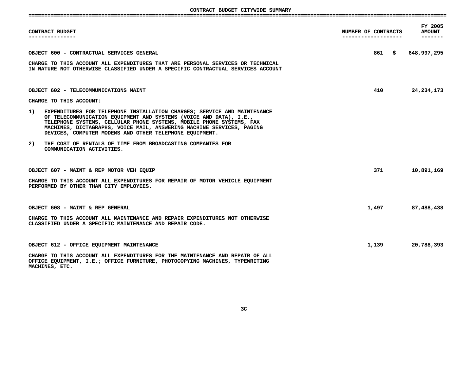**CONTRACT**

|    | CONTRACT BUDGET                                                                                                                                                                                                                                                                                                                                            | NUMBER OF CONTRACTS<br>------------------- |        | FY 2005<br><b>AMOUNT</b><br>------- |
|----|------------------------------------------------------------------------------------------------------------------------------------------------------------------------------------------------------------------------------------------------------------------------------------------------------------------------------------------------------------|--------------------------------------------|--------|-------------------------------------|
|    | OBJECT 600 - CONTRACTUAL SERVICES GENERAL                                                                                                                                                                                                                                                                                                                  |                                            | 861 \$ | 648,997,295                         |
|    | CHARGE TO THIS ACCOUNT ALL EXPENDITURES THAT ARE PERSONAL SERVICES OR TECHNICAL<br>IN NATURE NOT OTHERWISE CLASSIFIED UNDER A SPECIFIC CONTRACTUAL SERVICES ACCOUNT                                                                                                                                                                                        |                                            |        |                                     |
|    | OBJECT 602 - TELECOMMUNICATIONS MAINT                                                                                                                                                                                                                                                                                                                      |                                            | 410    | 24, 234, 173                        |
|    | CHARGE TO THIS ACCOUNT:                                                                                                                                                                                                                                                                                                                                    |                                            |        |                                     |
| 1) | EXPENDITURES FOR TELEPHONE INSTALLATION CHARGES; SERVICE AND MAINTENANCE<br>OF TELECOMMUNICATION EQUIPMENT AND SYSTEMS (VOICE AND DATA), I.E.,<br>TELEPHONE SYSTEMS, CELLULAR PHONE SYSTEMS, MOBILE PHONE SYSTEMS, FAX<br>MACHINES, DICTAGRAPHS, VOICE MAIL, ANSWERING MACHINE SERVICES, PAGING<br>DEVICES, COMPUTER MODEMS AND OTHER TELEPHONE EQUIPMENT. |                                            |        |                                     |
| 2) | THE COST OF RENTALS OF TIME FROM BROADCASTING COMPANIES FOR<br>COMMUNICATION ACTIVITIES.                                                                                                                                                                                                                                                                   |                                            |        |                                     |
|    | OBJECT 607 - MAINT & REP MOTOR VEH EQUIP                                                                                                                                                                                                                                                                                                                   |                                            | 371    | 10,891,169                          |
|    | CHARGE TO THIS ACCOUNT ALL EXPENDITURES FOR REPAIR OF MOTOR VEHICLE EQUIPMENT<br>PERFORMED BY OTHER THAN CITY EMPLOYEES.                                                                                                                                                                                                                                   |                                            |        |                                     |
|    | OBJECT 608 - MAINT & REP GENERAL                                                                                                                                                                                                                                                                                                                           |                                            | 1,497  | 87,488,438                          |
|    | CHARGE TO THIS ACCOUNT ALL MAINTENANCE AND REPAIR EXPENDITURES NOT OTHERWISE<br>CLASSIFIED UNDER A SPECIFIC MAINTENANCE AND REPAIR CODE.                                                                                                                                                                                                                   |                                            |        |                                     |
|    | OBJECT 612 - OFFICE EQUIPMENT MAINTENANCE                                                                                                                                                                                                                                                                                                                  |                                            | 1,139  | 20,788,393                          |
|    | CHARGE TO THIS ACCOUNT ALL EXPENDITURES FOR THE MAINTENANCE AND REPAIR OF ALL<br>OFFICE EQUIPMENT, I.E.; OFFICE FURNITURE, PHOTOCOPYING MACHINES, TYPEWRITING<br>MACHINES, ETC.                                                                                                                                                                            |                                            |        |                                     |

**3C**

**MACHINES, ETC.**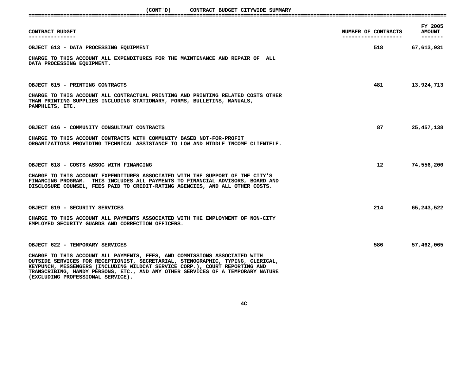(CONT'D) CONTRACT BUDGET CITYWIDE SUMMARY

| CONTRACT BUDGET CITYWIDE SUMMARY<br>(CONT 'D)                                                                                                                                                                                                                                                                                                                        |                                             |                                      |
|----------------------------------------------------------------------------------------------------------------------------------------------------------------------------------------------------------------------------------------------------------------------------------------------------------------------------------------------------------------------|---------------------------------------------|--------------------------------------|
| CONTRACT BUDGET                                                                                                                                                                                                                                                                                                                                                      | NUMBER OF CONTRACTS<br>-------------------- | FY 2005<br><b>AMOUNT</b><br>-------- |
| OBJECT 613 - DATA PROCESSING EQUIPMENT                                                                                                                                                                                                                                                                                                                               | 518 — 1                                     | 67,613,931                           |
| CHARGE TO THIS ACCOUNT ALL EXPENDITURES FOR THE MAINTENANCE AND REPAIR OF ALL<br>DATA PROCESSING EQUIPMENT.                                                                                                                                                                                                                                                          |                                             |                                      |
| OBJECT 615 - PRINTING CONTRACTS                                                                                                                                                                                                                                                                                                                                      | 481                                         | 13,924,713                           |
| CHARGE TO THIS ACCOUNT ALL CONTRACTUAL PRINTING AND PRINTING RELATED COSTS OTHER<br>THAN PRINTING SUPPLIES INCLUDING STATIONARY, FORMS, BULLETINS, MANUALS,<br>PAMPHLETS, ETC.                                                                                                                                                                                       |                                             |                                      |
| OBJECT 616 - COMMUNITY CONSULTANT CONTRACTS                                                                                                                                                                                                                                                                                                                          | 87                                          | 25,457,138                           |
| CHARGE TO THIS ACCOUNT CONTRACTS WITH COMMUNITY BASED NOT-FOR-PROFIT<br>ORGANIZATIONS PROVIDING TECHNICAL ASSISTANCE TO LOW AND MIDDLE INCOME CLIENTELE.                                                                                                                                                                                                             |                                             |                                      |
| OBJECT 618 - COSTS ASSOC WITH FINANCING                                                                                                                                                                                                                                                                                                                              | 12 <sup>12</sup>                            | 74,556,200                           |
| CHARGE TO THIS ACCOUNT EXPENDITURES ASSOCIATED WITH THE SUPPORT OF THE CITY'S<br>FINANCING PROGRAM. THIS INCLUDES ALL PAYMENTS TO FINANCIAL ADVISORS, BOARD AND<br>DISCLOSURE COUNSEL, FEES PAID TO CREDIT-RATING AGENCIES, AND ALL OTHER COSTS.                                                                                                                     |                                             |                                      |
| OBJECT 619 - SECURITY SERVICES                                                                                                                                                                                                                                                                                                                                       | 214                                         | 65,243,522                           |
| CHARGE TO THIS ACCOUNT ALL PAYMENTS ASSOCIATED WITH THE EMPLOYMENT OF NON-CITY<br>EMPLOYED SECURITY GUARDS AND CORRECTION OFFICERS.                                                                                                                                                                                                                                  |                                             |                                      |
| OBJECT 622 - TEMPORARY SERVICES                                                                                                                                                                                                                                                                                                                                      | 586                                         | 57,462,065                           |
| CHARGE TO THIS ACCOUNT ALL PAYMENTS, FEES, AND COMMISSIONS ASSOCIATED WITH<br>OUTSIDE SERVICES FOR RECEPTIONIST, SECRETARIAL, STENOGRAPHIC, TYPING, CLERICAL,<br>KEYPUNCH, MESSENGERS (INCLUDING WILDCAT SERVICE CORP.), COURT REPORTING AND<br>TRANSCRIBING, HANDY PERSONS, ETC., AND ANY OTHER SERVICES OF A TEMPORARY NATURE<br>(EXCLUDING PROFESSIONAL SERVICE). |                                             |                                      |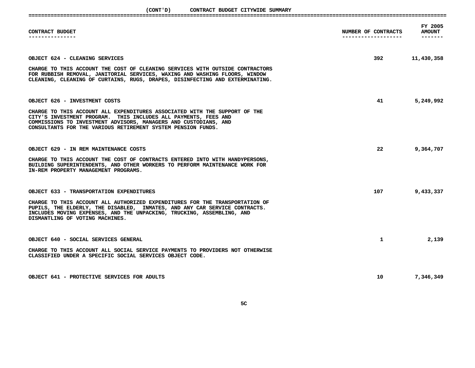(CONT'D) CONTRACT BUDGET CITYWIDE SUMMARY

|           | SUMMARY<br>CITYWIDE | BUDGET | <b>CONTRACT</b> | <b>LUNI</b> |  |
|-----------|---------------------|--------|-----------------|-------------|--|
|           |                     |        |                 |             |  |
| _________ |                     |        |                 |             |  |

| CONTRACT BUDGET                                                                                                                                                                                                                                                                                                     | NUMBER OF CONTRACTS<br>-------------------- | FY 2005<br><b>AMOUNT</b> |
|---------------------------------------------------------------------------------------------------------------------------------------------------------------------------------------------------------------------------------------------------------------------------------------------------------------------|---------------------------------------------|--------------------------|
| OBJECT 624 - CLEANING SERVICES<br>CHARGE TO THIS ACCOUNT THE COST OF CLEANING SERVICES WITH OUTSIDE CONTRACTORS<br>FOR RUBBISH REMOVAL, JANITORIAL SERVICES, WAXING AND WASHING FLOORS, WINDOW<br>CLEANING, CLEANING OF CURTAINS, RUGS, DRAPES, DISINFECTING AND EXTERMINATING.                                     |                                             | 392 11,430,358           |
| OBJECT 626 - INVESTMENT COSTS<br>CHARGE TO THIS ACCOUNT ALL EXPENDITURES ASSOCIATED WITH THE SUPPORT OF THE<br>CITY'S INVESTMENT PROGRAM. THIS INCLUDES ALL PAYMENTS, FEES AND<br>COMMISSIONS TO INVESTMENT ADVISORS, MANAGERS AND CUSTODIANS, AND<br>CONSULTANTS FOR THE VARIOUS RETIREMENT SYSTEM PENSION FUNDS.  | 41 and $\sim$                               | 5,249,992                |
| OBJECT 629 - IN REM MAINTENANCE COSTS<br>CHARGE TO THIS ACCOUNT THE COST OF CONTRACTS ENTERED INTO WITH HANDYPERSONS,<br>BUILDING SUPERINTENDENTS, AND OTHER WORKERS TO PERFORM MAINTENANCE WORK FOR<br>IN-REM PROPERTY MANAGEMENT PROGRAMS.                                                                        | 22 and $\sim$                               | 9,364,707                |
| OBJECT 633 - TRANSPORTATION EXPENDITURES<br>CHARGE TO THIS ACCOUNT ALL AUTHORIZED EXPENDITURES FOR THE TRANSPORTATION OF<br>PUPILS, THE ELDERLY, THE DISABLED, INMATES, AND ANY CAR SERVICE CONTRACTS.<br>INCLUDES MOVING EXPENSES, AND THE UNPACKING, TRUCKING, ASSEMBLING, AND<br>DISMANTLING OF VOTING MACHINES. | 107 - 107                                   | 9,433,337                |
| OBJECT 640 - SOCIAL SERVICES GENERAL<br>CHARGE TO THIS ACCOUNT ALL SOCIAL SERVICE PAYMENTS TO PROVIDERS NOT OTHERWISE<br>CLASSIFIED UNDER A SPECIFIC SOCIAL SERVICES OBJECT CODE.                                                                                                                                   | $\mathbf{1}$                                | 2,139                    |
| OBJECT 641 - PROTECTIVE SERVICES FOR ADULTS                                                                                                                                                                                                                                                                         | 10                                          | 7,346,349                |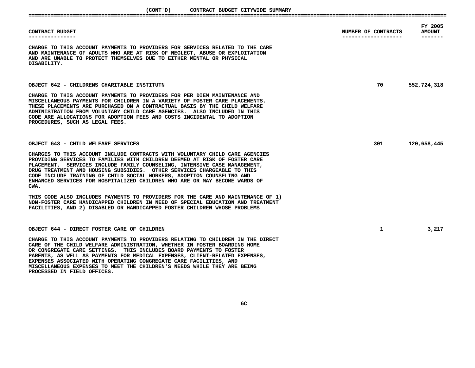| CONTRACT BUDGET                                                                                                                                                                                                                                                                                                                                                                                                                                                                                     | NUMBER OF CONTRACTS | FY 2005<br><b>AMOUNT</b> |
|-----------------------------------------------------------------------------------------------------------------------------------------------------------------------------------------------------------------------------------------------------------------------------------------------------------------------------------------------------------------------------------------------------------------------------------------------------------------------------------------------------|---------------------|--------------------------|
| CHARGE TO THIS ACCOUNT PAYMENTS TO PROVIDERS FOR SERVICES RELATED TO THE CARE<br>AND MAINTENANCE OF ADULTS WHO ARE AT RISK OF NEGLECT, ABUSE OR EXPLOITATION<br>AND ARE UNABLE TO PROTECT THEMSELVES DUE TO EITHER MENTAL OR PHYSICAL<br>DISABILITY.                                                                                                                                                                                                                                                |                     |                          |
| OBJECT 642 - CHILDRENS CHARITABLE INSTITUTN                                                                                                                                                                                                                                                                                                                                                                                                                                                         | 70                  | 552,724,318              |
| CHARGE TO THIS ACCOUNT PAYMENTS TO PROVIDERS FOR PER DIEM MAINTENANCE AND<br>MISCELLANEOUS PAYMENTS FOR CHILDREN IN A VARIETY OF FOSTER CARE PLACEMENTS.<br>THESE PLACEMENTS ARE PURCHASED ON A CONTRACTUAL BASIS BY THE CHILD WELFARE<br>ADMINISTRATION FROM VOLUNTARY CHILD CARE AGENCIES. ALSO INCLUDED IN THIS<br>CODE ARE ALLOCATIONS FOR ADOPTION FEES AND COSTS INCIDENTAL TO ADOPTION<br>PROCEDURES, SUCH AS LEGAL FEES.                                                                    |                     |                          |
| OBJECT 643 - CHILD WELFARE SERVICES                                                                                                                                                                                                                                                                                                                                                                                                                                                                 | 301                 | 120,658,445              |
| CHARGES TO THIS ACCOUNT INCLUDE CONTRACTS WITH VOLUNTARY CHILD CARE AGENCIES<br>PROVIDING SERVICES TO FAMILIES WITH CHILDREN DEEMED AT RISK OF FOSTER CARE<br>PLACEMENT. SERVICES INCLUDE FAMILY COUNSELING, INTENSIVE CASE MANAGEMENT,<br>DRUG TREATMENT AND HOUSING SUBSIDIES. OTHER SERVICES CHARGEABLE TO THIS<br>CODE INCLUDE TRAINING OF CHILD SOCIAL WORKERS, ADOPTION COUNSELING AND<br>ENHANCED SERVICES FOR HOSPITALIZED CHILDREN WHO ARE OR MAY BECOME WARDS OF<br>CWA.                  |                     |                          |
| THIS CODE ALSO INCLUDES PAYMENTS TO PROVIDERS FOR THE CARE AND MAINTENANCE OF 1)<br>NON-FOSTER CARE HANDICAPPED CHILDREN IN NEED OF SPECIAL EDUCATION AND TREATMENT<br>FACILITIES, AND 2) DISABLED OR HANDICAPPED FOSTER CHILDREN WHOSE PROBLEMS                                                                                                                                                                                                                                                    |                     |                          |
| OBJECT 644 - DIRECT FOSTER CARE OF CHILDREN                                                                                                                                                                                                                                                                                                                                                                                                                                                         | $\mathbf{1}$        | 3,217                    |
| CHARGE TO THIS ACCOUNT PAYMENTS TO PROVIDERS RELATING TO CHILDREN IN THE DIRECT<br>CARE OF THE CHILD WELFARE ADMINISTRATION, WHETHER IN FOSTER BOARDING HOME<br>OR CONGREGATE CARE SETTINGS. THIS INCLUDES BOARD PAYMENTS TO FOSTER<br>PARENTS, AS WELL AS PAYMENTS FOR MEDICAL EXPENSES, CLIENT-RELATED EXPENSES,<br>EXPENSES ASSOCIATED WITH OPERATING CONGREGATE CARE FACILITIES, AND<br>MISCELLANEOUS EXPENSES TO MEET THE CHILDREN'S NEEDS WHILE THEY ARE BEING<br>PROCESSED IN FIELD OFFICES. |                     |                          |

**MISCELLANEOUS EXPENSES TO MEET THE CHILDREN'S NEEDS WHILE THEY ARE BEING**

**PROCESSED IN FIELD OFFICES.**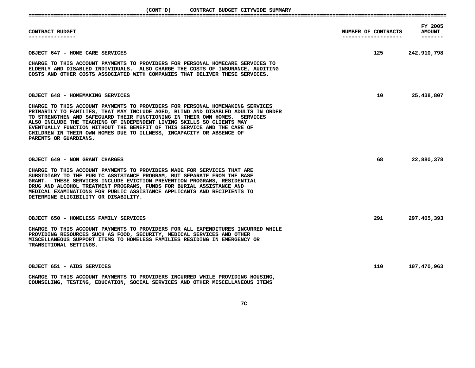| CONTRACT BUDGET                                                                                                                                                                                                                                                                                                                                                                                                                                                                                      | NUMBER OF CONTRACTS<br>------------------- | FY 2005<br><b>AMOUNT</b> |
|------------------------------------------------------------------------------------------------------------------------------------------------------------------------------------------------------------------------------------------------------------------------------------------------------------------------------------------------------------------------------------------------------------------------------------------------------------------------------------------------------|--------------------------------------------|--------------------------|
| OBJECT 647 - HOME CARE SERVICES                                                                                                                                                                                                                                                                                                                                                                                                                                                                      | 125 — 125                                  | 242,910,798              |
| CHARGE TO THIS ACCOUNT PAYMENTS TO PROVIDERS FOR PERSONAL HOMECARE SERVICES TO<br>ELDERLY AND DISABLED INDIVIDUALS. ALSO CHARGE THE COSTS OF INSURANCE, AUDITING<br>COSTS AND OTHER COSTS ASSOCIATED WITH COMPANIES THAT DELIVER THESE SERVICES.                                                                                                                                                                                                                                                     |                                            |                          |
| OBJECT 648 - HOMEMAKING SERVICES                                                                                                                                                                                                                                                                                                                                                                                                                                                                     | 10                                         | 25,438,807               |
| CHARGE TO THIS ACCOUNT PAYMENTS TO PROVIDERS FOR PERSONAL HOMEMAKING SERVICES<br>PRIMARILY TO FAMILIES, THAT MAY INCLUDE AGED, BLIND AND DISABLED ADULTS IN ORDER<br>TO STRENGTHEN AND SAFEGUARD THEIR FUNCTIONING IN THEIR OWN HOMES. SERVICES<br>ALSO INCLUDE THE TEACHING OF INDEPENDENT LIVING SKILLS SO CLIENTS MAY<br>EVENTUALLY FUNCTION WITHOUT THE BENEFIT OF THIS SERVICE AND THE CARE OF<br>CHILDREN IN THEIR OWN HOMES DUE TO ILLNESS, INCAPACITY OR ABSENCE OF<br>PARENTS OR GUARDIANS. |                                            |                          |
| OBJECT 649 - NON GRANT CHARGES                                                                                                                                                                                                                                                                                                                                                                                                                                                                       | 68                                         | 22,880,378               |
| CHARGE TO THIS ACCOUNT PAYMENTS TO PROVIDERS MADE FOR SERVICES THAT ARE<br>SUBSIDIARY TO THE PUBLIC ASSISTANCE PROGRAM, BUT SEPARATE FROM THE BASE<br>GRANT. THESE SERVICES INCLUDE EVICTION PREVENTION PROGRAMS, RESIDENTIAL<br>DRUG AND ALCOHOL TREATMENT PROGRAMS, FUNDS FOR BURIAL ASSISTANCE AND<br>MEDICAL EXAMINATIONS FOR PUBLIC ASSISTANCE APPLICANTS AND RECIPIENTS TO<br>DETERMINE ELIGIBILITY OR DISABILITY.                                                                             |                                            |                          |
| OBJECT 650 - HOMELESS FAMILY SERVICES                                                                                                                                                                                                                                                                                                                                                                                                                                                                | 291                                        | 297,405,393              |
| CHARGE TO THIS ACCOUNT PAYMENTS TO PROVIDERS FOR ALL EXPENDITURES INCURRED WHILE<br>PROVIDING RESOURCES SUCH AS FOOD, SECURITY, MEDICAL SERVICES AND OTHER<br>MISCELLANEOUS SUPPORT ITEMS TO HOMELESS FAMILIES RESIDING IN EMERGENCY OR<br>TRANSITIONAL SETTINGS.                                                                                                                                                                                                                                    |                                            |                          |
| OBJECT 651 - AIDS SERVICES                                                                                                                                                                                                                                                                                                                                                                                                                                                                           | 110                                        | 107,470,963              |
| CHARGE TO THIS ACCOUNT PAYMENTS TO PROVIDERS INCURRED WHILE PROVIDING HOUSING,<br>COUNSELING, TESTING, EDUCATION, SOCIAL SERVICES AND OTHER MISCELLANEOUS ITEMS                                                                                                                                                                                                                                                                                                                                      |                                            |                          |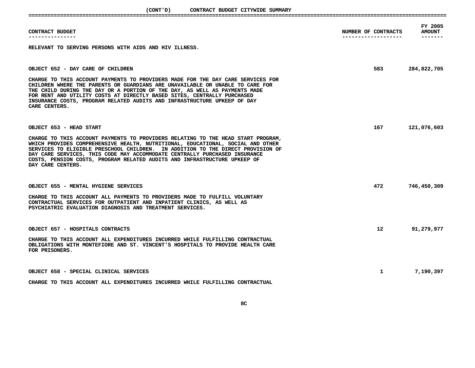**(CONT'D)**

| CONTRACT BUDGET CITYWIDE SUMMARY<br>(CONT 'D)                                                                                                                                                                                                                                                                                                                                                                                          |                     |                          |
|----------------------------------------------------------------------------------------------------------------------------------------------------------------------------------------------------------------------------------------------------------------------------------------------------------------------------------------------------------------------------------------------------------------------------------------|---------------------|--------------------------|
| CONTRACT BUDGET                                                                                                                                                                                                                                                                                                                                                                                                                        | NUMBER OF CONTRACTS | FY 2005<br><b>AMOUNT</b> |
| . <u>.</u> .                                                                                                                                                                                                                                                                                                                                                                                                                           | ------------------- | -------                  |
| RELEVANT TO SERVING PERSONS WITH AIDS AND HIV ILLNESS.                                                                                                                                                                                                                                                                                                                                                                                 |                     |                          |
| OBJECT 652 - DAY CARE OF CHILDREN                                                                                                                                                                                                                                                                                                                                                                                                      | 583                 | 284,822,705              |
| CHARGE TO THIS ACCOUNT PAYMENTS TO PROVIDERS MADE FOR THE DAY CARE SERVICES FOR<br>CHILDREN WHERE THE PARENTS OR GUARDIANS ARE UNAVAILABLE OR UNABLE TO CARE FOR<br>THE CHILD DURING THE DAY OR A PORTION OF THE DAY, AS WELL AS PAYMENTS MADE<br>FOR RENT AND UTILITY COSTS AT DIRECTLY BASED SITES, CENTRALLY PURCHASED<br>INSURANCE COSTS, PROGRAM RELATED AUDITS AND INFRASTRUCTURE UPKEEP OF DAY<br>CARE CENTERS.                 |                     |                          |
| OBJECT 653 - HEAD START                                                                                                                                                                                                                                                                                                                                                                                                                | 167 —               | 121,076,603              |
| CHARGE TO THIS ACCOUNT PAYMENTS TO PROVIDERS RELATING TO THE HEAD START PROGRAM,<br>WHICH PROVIDES COMPREHENSIVE HEALTH, NUTRITIONAL, EDUCATIONAL, SOCIAL AND OTHER<br>SERVICES TO ELIGIBLE PRESCHOOL CHILDREN. IN ADDITION TO THE DIRECT PROVISION OF<br>DAY CARE SERVICES, THIS CODE MAY ACCOMMODATE CENTRALLY PURCHASED INSURANCE<br>COSTS, PENSION COSTS, PROGRAM RELATED AUDITS AND INFRASTRUCTURE UPKEEP OF<br>DAY CARE CENTERS. |                     |                          |
| OBJECT 655 - MENTAL HYGIENE SERVICES                                                                                                                                                                                                                                                                                                                                                                                                   | 472                 | 746,450,309              |
| CHARGE TO THIS ACCOUNT ALL PAYMENTS TO PROVIDERS MADE TO FULFILL VOLUNTARY<br>CONTRACTUAL SERVICES FOR OUTPATIENT AND INPATIENT CLINICS, AS WELL AS<br>PSYCHIATRIC EVALUATION DIAGNOSIS AND TREATMENT SERVICES.                                                                                                                                                                                                                        |                     |                          |
| OBJECT 657 - HOSPITALS CONTRACTS                                                                                                                                                                                                                                                                                                                                                                                                       | 12 <sup>12</sup>    | 91,279,977               |
| CHARGE TO THIS ACCOUNT ALL EXPENDITURES INCURRED WHILE FULFILLING CONTRACTUAL<br>OBLIGATIONS WITH MONTEFIORE AND ST. VINCENT'S HOSPITALS TO PROVIDE HEALTH CARE<br>FOR PRISONERS.                                                                                                                                                                                                                                                      |                     |                          |
| OBJECT 658 - SPECIAL CLINICAL SERVICES                                                                                                                                                                                                                                                                                                                                                                                                 | $\mathbf{1}$        | 7,190,397                |
| CHARGE TO THIS ACCOUNT ALL EXPENDITURES INCURRED WHILE FULFILLING CONTRACTUAL                                                                                                                                                                                                                                                                                                                                                          |                     |                          |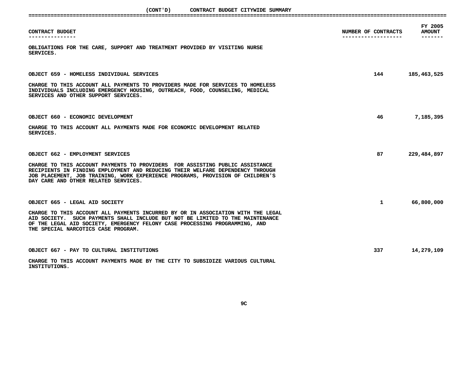(CONT'D) CONTRACT BUDGET CITYWIDE SUMMARY

| (CONT ' D )<br>CONTRACT BUDGET CITYWIDE SUMMARY                                                                                                                                                          |                                            |                          |
|----------------------------------------------------------------------------------------------------------------------------------------------------------------------------------------------------------|--------------------------------------------|--------------------------|
| CONTRACT BUDGET<br>--------------                                                                                                                                                                        | NUMBER OF CONTRACTS<br>------------------- | FY 2005<br><b>AMOUNT</b> |
| OBLIGATIONS FOR THE CARE, SUPPORT AND TREATMENT PROVIDED BY VISITING NURSE<br>SERVICES.                                                                                                                  |                                            |                          |
| OBJECT 659 - HOMELESS INDIVIDUAL SERVICES<br>CHARGE TO THIS ACCOUNT ALL PAYMENTS TO PROVIDERS MADE FOR SERVICES TO HOMELESS                                                                              | 144                                        | 185,463,525              |
| INDIVIDUALS INCLUDING EMERGENCY HOUSING, OUTREACH, FOOD, COUNSELING, MEDICAL<br>SERVICES AND OTHER SUPPORT SERVICES.                                                                                     |                                            |                          |
| OBJECT 660 - ECONOMIC DEVELOPMENT<br>CHARGE TO THIS ACCOUNT ALL PAYMENTS MADE FOR ECONOMIC DEVELOPMENT RELATED<br>SERVICES.                                                                              | 46                                         | 7,185,395                |
| OBJECT 662 - EMPLOYMENT SERVICES<br>CHARGE TO THIS ACCOUNT PAYMENTS TO PROVIDERS FOR ASSISTING PUBLIC ASSISTANCE                                                                                         | 87                                         | 229,484,897              |
| RECIPIENTS IN FINDING EMPLOYMENT AND REDUCING THEIR WELFARE DEPENDENCY THROUGH<br>JOB PLACEMENT, JOB TRAINING, WORK EXPERIENCE PROGRAMS, PROVISION OF CHILDREN'S<br>DAY CARE AND OTHER RELATED SERVICES. |                                            |                          |
| OBJECT 665 - LEGAL AID SOCIETY<br>CHARGE TO THIS ACCOUNT ALL PAYMENTS INCURRED BY OR IN ASSOCIATION WITH THE LEGAL<br>AID SOCIETY. SUCH PAYMENTS SHALL INCLUDE BUT NOT BE LIMITED TO THE MAINTENANCE     | $\mathbf{1}$                               | 66,800,000               |
| OF THE LEGAL AID SOCIETY, EMERGENCY FELONY CASE PROCESSING PROGRAMMING, AND<br>THE SPECIAL NARCOTICS CASE PROGRAM.                                                                                       |                                            |                          |
| OBJECT 667 - PAY TO CULTURAL INSTITUTIONS<br>CHARGE TO THIS ACCOUNT PAYMENTS MADE BY THE CITY TO SUBSIDIZE VARIOUS CULTURAL<br>INSTITUTIONS.                                                             | 337                                        | 14,279,109               |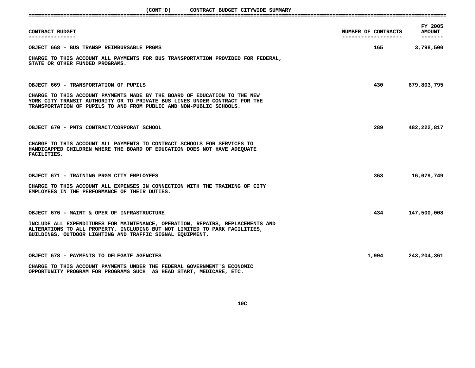| CONTRACT BUDGET                                                                                                                                                                                                                | NUMBER OF CONTRACTS<br>------------------- | FY 2005<br><b>AMOUNT</b><br>------- |
|--------------------------------------------------------------------------------------------------------------------------------------------------------------------------------------------------------------------------------|--------------------------------------------|-------------------------------------|
| OBJECT 668 - BUS TRANSP REIMBURSABLE PRGMS                                                                                                                                                                                     | 165 — 165                                  | 3,798,500                           |
| CHARGE TO THIS ACCOUNT ALL PAYMENTS FOR BUS TRANSPORTATION PROVIDED FOR FEDERAL,<br>STATE OR OTHER FUNDED PROGRAMS.                                                                                                            |                                            |                                     |
| OBJECT 669 - TRANSPORTATION OF PUPILS                                                                                                                                                                                          | 430 — 130                                  | 679,803,795                         |
| CHARGE TO THIS ACCOUNT PAYMENTS MADE BY THE BOARD OF EDUCATION TO THE NEW<br>YORK CITY TRANSIT AUTHORITY OR TO PRIVATE BUS LINES UNDER CONTRACT FOR THE<br>TRANSPORTATION OF PUPILS TO AND FROM PUBLIC AND NON-PUBLIC SCHOOLS. |                                            |                                     |
| OBJECT 670 - PMTS CONTRACT/CORPORAT SCHOOL                                                                                                                                                                                     | 289 — 1                                    | 482,222,817                         |
| CHARGE TO THIS ACCOUNT ALL PAYMENTS TO CONTRACT SCHOOLS FOR SERVICES TO<br>HANDICAPPED CHILDREN WHERE THE BOARD OF EDUCATION DOES NOT HAVE ADEQUATE<br><b>FACILITIES.</b>                                                      |                                            |                                     |
| OBJECT 671 - TRAINING PRGM CITY EMPLOYEES                                                                                                                                                                                      | 363                                        | 16,079,749                          |
| CHARGE TO THIS ACCOUNT ALL EXPENSES IN CONNECTION WITH THE TRAINING OF CITY<br>EMPLOYEES IN THE PERFORMANCE OF THEIR DUTIES.                                                                                                   |                                            |                                     |
| OBJECT 676 - MAINT & OPER OF INFRASTRUCTURE                                                                                                                                                                                    | 434 — 134                                  | 147,500,008                         |
| INCLUDE ALL EXPENDITURES FOR MAINTENANCE, OPERATION, REPAIRS, REPLACEMENTS AND<br>ALTERATIONS TO ALL PROPERTY, INCLUDING BUT NOT LIMITED TO PARK FACILITIES,<br>BUILDINGS, OUTDOOR LIGHTING AND TRAFFIC SIGNAL EQUIPMENT.      |                                            |                                     |
| OBJECT 678 - PAYMENTS TO DELEGATE AGENCIES                                                                                                                                                                                     | 1,994                                      | 243,204,361                         |
| CHARGE TO THIS ACCOUNT PAYMENTS UNDER THE FEDERAL GOVERNMENT'S ECONOMIC<br>OPPORTUNITY PROGRAM FOR PROGRAMS SUCH AS HEAD START, MEDICARE, ETC.                                                                                 |                                            |                                     |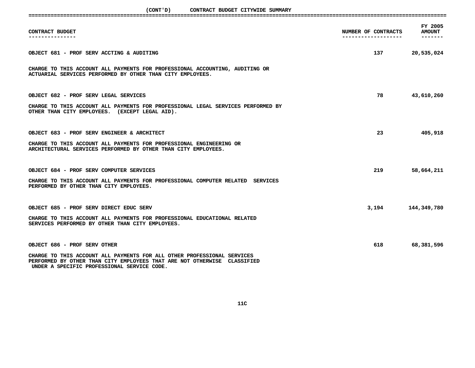| CONTRACT BUDGET                                                                                                                                                                                                                    | NUMBER OF CONTRACTS | FY 2005<br><b>AMOUNT</b> |
|------------------------------------------------------------------------------------------------------------------------------------------------------------------------------------------------------------------------------------|---------------------|--------------------------|
| OBJECT 681 - PROF SERV ACCTING & AUDITING                                                                                                                                                                                          | 137 — 137           | 20,535,024               |
| CHARGE TO THIS ACCOUNT ALL PAYMENTS FOR PROFESSIONAL ACCOUNTING, AUDITING OR<br>ACTUARIAL SERVICES PERFORMED BY OTHER THAN CITY EMPLOYEES.                                                                                         |                     |                          |
| OBJECT 682 - PROF SERV LEGAL SERVICES<br>CHARGE TO THIS ACCOUNT ALL PAYMENTS FOR PROFESSIONAL LEGAL SERVICES PERFORMED BY<br>OTHER THAN CITY EMPLOYEES. (EXCEPT LEGAL AID).                                                        | 78                  | 43,610,260               |
| OBJECT 683 - PROF SERV ENGINEER & ARCHITECT<br>CHARGE TO THIS ACCOUNT ALL PAYMENTS FOR PROFESSIONAL ENGINEERING OR<br>ARCHITECTURAL SERVICES PERFORMED BY OTHER THAN CITY EMPLOYEES.                                               | 23                  | 405,918                  |
| OBJECT 684 - PROF SERV COMPUTER SERVICES<br>CHARGE TO THIS ACCOUNT ALL PAYMENTS FOR PROFESSIONAL COMPUTER RELATED SERVICES<br>PERFORMED BY OTHER THAN CITY EMPLOYEES.                                                              | 219                 | 58,664,211               |
| OBJECT 685 - PROF SERV DIRECT EDUC SERV<br>CHARGE TO THIS ACCOUNT ALL PAYMENTS FOR PROFESSIONAL EDUCATIONAL RELATED<br>SERVICES PERFORMED BY OTHER THAN CITY EMPLOYEES.                                                            | 3,194               | 144,349,780              |
| OBJECT 686 - PROF SERV OTHER<br>CHARGE TO THIS ACCOUNT ALL PAYMENTS FOR ALL OTHER PROFESSIONAL SERVICES<br>PERFORMED BY OTHER THAN CITY EMPLOYEES THAT ARE NOT OTHERWISE CLASSIFIED<br>UNDER A SPECIFIC PROFESSIONAL SERVICE CODE. | 618                 | 68,381,596               |

**11C**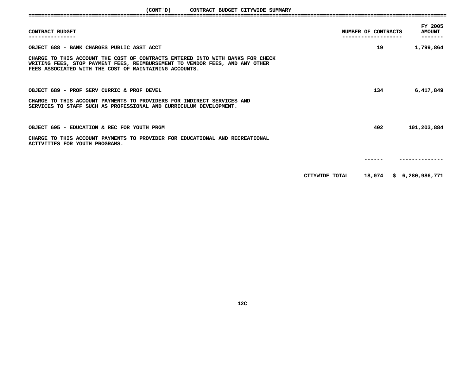| CONTRACT BUDGET                                                                                                                                                                                                          | NUMBER OF CONTRACTS | FY 2005<br><b>AMOUNT</b> |
|--------------------------------------------------------------------------------------------------------------------------------------------------------------------------------------------------------------------------|---------------------|--------------------------|
| OBJECT 688 - BANK CHARGES PUBLIC ASST ACCT                                                                                                                                                                               | 19                  | 1,799,864                |
| CHARGE TO THIS ACCOUNT THE COST OF CONTRACTS ENTERED INTO WITH BANKS FOR CHECK<br>WRITING FEES, STOP PAYMENT FEES, REIMBURSEMENT TO VENDOR FEES, AND ANY OTHER<br>FEES ASSOCIATED WITH THE COST OF MAINTAINING ACCOUNTS. |                     |                          |
| OBJECT 689 - PROF SERV CURRIC & PROF DEVEL                                                                                                                                                                               | 134                 | 6,417,849                |
| CHARGE TO THIS ACCOUNT PAYMENTS TO PROVIDERS FOR INDIRECT SERVICES AND<br>SERVICES TO STAFF SUCH AS PROFESSIONAL AND CURRICULUM DEVELOPMENT.                                                                             |                     |                          |
| OBJECT 695 - EDUCATION & REC FOR YOUTH PRGM                                                                                                                                                                              | 402                 | 101,203,884              |
| CHARGE TO THIS ACCOUNT PAYMENTS TO PROVIDER FOR EDUCATIONAL AND RECREATIONAL<br>ACTIVITIES FOR YOUTH PROGRAMS.                                                                                                           |                     |                          |
|                                                                                                                                                                                                                          |                     |                          |
|                                                                                                                                                                                                                          | CITYWIDE TOTAL      | 18,074 \$ 6,280,986,771  |
|                                                                                                                                                                                                                          |                     |                          |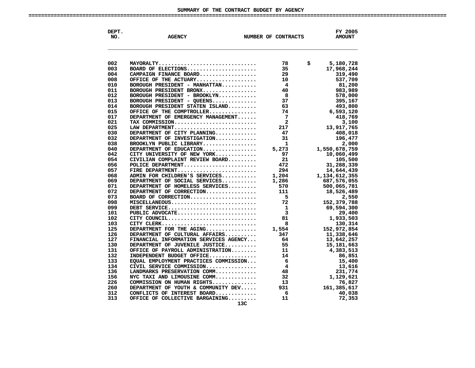# SUMMARY OF THE CONTRACT BUDGET BY AGENCY **OF THE CONTRACT BUDGET BY AGENCY ====================================================================================================================================**

| DEPT.<br>NO. | <b>AGENCY</b>                         | NUMBER OF CONTRACTS | FY 2005<br><b>AMOUNT</b> |
|--------------|---------------------------------------|---------------------|--------------------------|
|              |                                       |                     |                          |
|              |                                       |                     |                          |
| 002          | MAYORALTY                             | 78                  | \$<br>5,180,728          |
| 003          | BOARD OF ELECTIONS                    | 35                  | 17,968,244               |
| 004          | CAMPAIGN FINANCE BOARD                | 29                  | 319,490                  |
| 008          | OFFICE OF THE ACTUARY                 | 10                  | 537,709                  |
| 010          | BOROUGH PRESIDENT - MANHATTAN         | 4                   | 81,200                   |
|              | BOROUGH PRESIDENT BRONX               | 40                  |                          |
| 011<br>012   | BOROUGH PRESIDENT - BROOKLYN          | 8                   | 983,989<br>578,000       |
| 013          |                                       | 37                  |                          |
| 014          | BOROUGH PRESIDENT - QUEENS            | 63                  | 395,167                  |
|              | BOROUGH PRESIDENT STATEN ISLAND       | 74                  | 493,800                  |
| 015          | OFFICE OF THE COMPTROLLER             |                     | 6,593,120                |
| 017          | DEPARTMENT OF EMERGENCY MANAGEMENT    | 7<br>$\mathbf{2}$   | 418,769                  |
| 021          | TAX COMMISSION                        |                     | 3,100                    |
| 025          | LAW DEPARTMENT                        | 217                 | 13,917,765               |
| 030          | DEPARTMENT OF CITY PLANNING           | 47                  | 408,018                  |
| 032          | DEPARTMENT OF INVESTIGATION           | 31                  | 196,477                  |
| 038          | BROOKLYN PUBLIC LIBRARY               | $\mathbf{1}$        | 2,000                    |
| 040          | DEPARTMENT OF EDUCATION               | 5,273               | 1,550,678,759            |
| 042          | CITY UNIVERSITY OF NEW YORK           | 97                  | 10,060,499               |
| 054          | CIVILIAN COMPLAINT REVIEW BOARD       | 21                  | 105,500                  |
| 056          | POLICE DEPARTMENT                     | 472                 | 31,288,339               |
| 057          | FIRE DEPARTMENT                       | 294                 | 14,644,439               |
| 068          | ADMIN FOR CHILDREN'S SERVICES         | 1,204               | 1,134,612,355            |
| 069          | DEPARTMENT OF SOCIAL SERVICES         | 1,286               | 687,576,055              |
| 071          | DEPARTMENT OF HOMELESS SERVICES       | 570                 | 500,065,781              |
| 072          | DEPARTMENT OF CORRECTION              | 111                 | 18,526,489               |
| 073          | BOARD OF CORRECTION                   | 5                   | 2,550                    |
| 098          | MISCELLANEOUS                         | 72                  | 152,379,788              |
| 099          | DEBT SERVICE                          | 1                   | 69,594,300               |
| 101          | PUBLIC ADVOCATE                       | 3                   | 29,400                   |
| 102          | CITY COUNCIL                          | 81                  | 1,933,503                |
| 103          | CITY CLERK                            | 8                   | 130,314                  |
| 125          | DEPARTMENT FOR THE AGING              | 1,554               | 152,972,854              |
| 126          | DEPARTMENT OF CULTURAL AFFAIRS        | 347                 | 11,338,646               |
| 127          | FINANCIAL INFORMATION SERVICES AGENCY | 64                  | 13,642,257               |
| 130          | DEPARTMENT OF JUVENILE JUSTICE        | 55                  | 15,181,663               |
| 131          | OFFICE OF PAYROLL ADMINISTRATION      | 11                  | 4,383,513                |
| 132          | INDEPENDENT BUDGET OFFICE             | 14                  | 86,851                   |
| 133          | EQUAL EMPLOYMENT PRACTICES COMMISSION | 6                   | 15,400                   |
| 134          | CIVIL SERVICE COMMISSION              | 4                   | 13,616                   |
| 136          | LANDMARKS PRESERVATION COMM           | 48                  | 231,774                  |
| 156          | NYC TAXI AND LIMOUSINE COMM           | 32                  | 1,129,621                |
| 226          | COMMISSION ON HUMAN RIGHTS            | 13                  | 76,827                   |
| 260          | DEPARTMENT OF YOUTH & COMMUNITY DEV   | 931                 | 161,385,617              |
| 312          | CONFLICTS OF INTEREST BOARD           | 6                   | 40,038                   |
| 313          | OFFICE OF COLLECTIVE BARGAINING       | 11                  | 72,353                   |
|              | 13C                                   |                     |                          |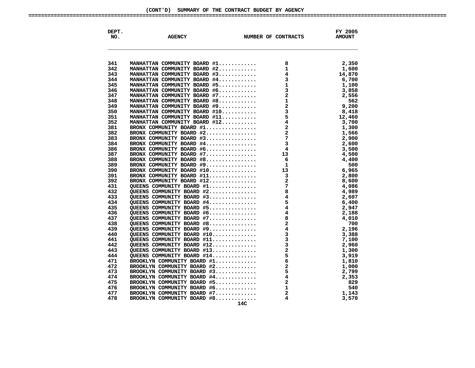| 341<br>342<br>343<br>344<br>345<br>346<br>347<br>348<br>349<br>350 | MANHATTAN COMMUNITY BOARD #1 | 8                                                                                                                                                                                                                                                                                                                                                                                                                                                                          | 2,350<br>1,600<br>14,870<br>6,700<br>1,100<br>3,858 |
|--------------------------------------------------------------------|------------------------------|----------------------------------------------------------------------------------------------------------------------------------------------------------------------------------------------------------------------------------------------------------------------------------------------------------------------------------------------------------------------------------------------------------------------------------------------------------------------------|-----------------------------------------------------|
|                                                                    |                              |                                                                                                                                                                                                                                                                                                                                                                                                                                                                            |                                                     |
|                                                                    |                              |                                                                                                                                                                                                                                                                                                                                                                                                                                                                            |                                                     |
|                                                                    |                              |                                                                                                                                                                                                                                                                                                                                                                                                                                                                            |                                                     |
|                                                                    |                              |                                                                                                                                                                                                                                                                                                                                                                                                                                                                            |                                                     |
|                                                                    |                              |                                                                                                                                                                                                                                                                                                                                                                                                                                                                            |                                                     |
|                                                                    |                              |                                                                                                                                                                                                                                                                                                                                                                                                                                                                            |                                                     |
|                                                                    |                              |                                                                                                                                                                                                                                                                                                                                                                                                                                                                            |                                                     |
|                                                                    |                              |                                                                                                                                                                                                                                                                                                                                                                                                                                                                            | 2,556                                               |
|                                                                    |                              |                                                                                                                                                                                                                                                                                                                                                                                                                                                                            | 562                                                 |
|                                                                    |                              |                                                                                                                                                                                                                                                                                                                                                                                                                                                                            | 9,200                                               |
|                                                                    |                              |                                                                                                                                                                                                                                                                                                                                                                                                                                                                            | 8,418                                               |
| 351                                                                |                              |                                                                                                                                                                                                                                                                                                                                                                                                                                                                            | 12,460                                              |
| 352                                                                |                              |                                                                                                                                                                                                                                                                                                                                                                                                                                                                            | 3,700                                               |
| 381                                                                |                              |                                                                                                                                                                                                                                                                                                                                                                                                                                                                            | 1,300                                               |
| 382                                                                |                              |                                                                                                                                                                                                                                                                                                                                                                                                                                                                            | 1,566                                               |
| 383                                                                |                              |                                                                                                                                                                                                                                                                                                                                                                                                                                                                            | 2,900                                               |
| 384                                                                |                              |                                                                                                                                                                                                                                                                                                                                                                                                                                                                            | 2,600                                               |
| 386                                                                |                              |                                                                                                                                                                                                                                                                                                                                                                                                                                                                            | 3,500                                               |
| 387                                                                |                              |                                                                                                                                                                                                                                                                                                                                                                                                                                                                            | 4,500                                               |
| 388                                                                |                              |                                                                                                                                                                                                                                                                                                                                                                                                                                                                            | 4,400                                               |
| 389                                                                |                              |                                                                                                                                                                                                                                                                                                                                                                                                                                                                            | 500                                                 |
| 390                                                                |                              |                                                                                                                                                                                                                                                                                                                                                                                                                                                                            | 6,965                                               |
| 391                                                                |                              |                                                                                                                                                                                                                                                                                                                                                                                                                                                                            | 2,800                                               |
| 392                                                                |                              |                                                                                                                                                                                                                                                                                                                                                                                                                                                                            | 8,600                                               |
| 431                                                                |                              |                                                                                                                                                                                                                                                                                                                                                                                                                                                                            | 4,086                                               |
| 432                                                                |                              |                                                                                                                                                                                                                                                                                                                                                                                                                                                                            | 4,989                                               |
| 433                                                                |                              |                                                                                                                                                                                                                                                                                                                                                                                                                                                                            | 2,607                                               |
| 434                                                                |                              |                                                                                                                                                                                                                                                                                                                                                                                                                                                                            | 6,400                                               |
| 435                                                                | QUEENS COMMUNITY BOARD #5    |                                                                                                                                                                                                                                                                                                                                                                                                                                                                            | 2,947                                               |
| 436                                                                | QUEENS COMMUNITY BOARD $#6$  |                                                                                                                                                                                                                                                                                                                                                                                                                                                                            | 2,188                                               |
| 437                                                                | QUEENS COMMUNITY BOARD #7    |                                                                                                                                                                                                                                                                                                                                                                                                                                                                            | 4,010                                               |
| 438                                                                | QUEENS COMMUNITY BOARD #8    |                                                                                                                                                                                                                                                                                                                                                                                                                                                                            | 700                                                 |
| 439                                                                | QUEENS COMMUNITY BOARD #9    |                                                                                                                                                                                                                                                                                                                                                                                                                                                                            | 2,196                                               |
| 440                                                                | QUEENS COMMUNITY BOARD #10   |                                                                                                                                                                                                                                                                                                                                                                                                                                                                            | 3,388                                               |
| 441                                                                | QUEENS COMMUNITY BOARD #11   | $\begin{array}{r} 32 \\ 2 \overline{\smash)34} \\ 4 \overline{\smash)4} \\ 4 \overline{\smash)4} \\ 3 \overline{\smash)3} \\ 3 \overline{\smash)3} \\ 2 \overline{\smash)5} \\ 6 \overline{\smash)2} \\ 5 \overline{\smash)4} \\ 2 \overline{\smash)1} \\ 2 \overline{\smash)3} \\ 4 \overline{\smash)2} \\ 5 \overline{\smash)4} \\ 2 \overline{\smash)1} \\ 2 \overline{\smash)3} \\ 4 \overline{\smash)3} \\ 2 \overline{\smash)5} \\ 4 \overline{\smash)2} \\ 2 \over$ | 7,100                                               |
| 442                                                                | QUEENS COMMUNITY BOARD #12   |                                                                                                                                                                                                                                                                                                                                                                                                                                                                            | 2,960                                               |
| 443                                                                | QUEENS COMMUNITY BOARD #13   |                                                                                                                                                                                                                                                                                                                                                                                                                                                                            | 1,300                                               |
| 444                                                                | QUEENS COMMUNITY BOARD #14   |                                                                                                                                                                                                                                                                                                                                                                                                                                                                            | 3,919                                               |
| 471                                                                | BROOKLYN COMMUNITY BOARD #1  |                                                                                                                                                                                                                                                                                                                                                                                                                                                                            | 1,810                                               |
| 472                                                                | BROOKLYN COMMUNITY BOARD #2  |                                                                                                                                                                                                                                                                                                                                                                                                                                                                            | 1,000                                               |
| 473                                                                | BROOKLYN COMMUNITY BOARD #3  |                                                                                                                                                                                                                                                                                                                                                                                                                                                                            | 2,799                                               |
| 474                                                                | BROOKLYN COMMUNITY BOARD #4  |                                                                                                                                                                                                                                                                                                                                                                                                                                                                            | 2,353                                               |
| 475                                                                | BROOKLYN COMMUNITY BOARD #5  |                                                                                                                                                                                                                                                                                                                                                                                                                                                                            | -829                                                |
| 476                                                                | BROOKLYN COMMUNITY BOARD #6  |                                                                                                                                                                                                                                                                                                                                                                                                                                                                            | 540                                                 |
| 477                                                                | BROOKLYN COMMUNITY BOARD #7  |                                                                                                                                                                                                                                                                                                                                                                                                                                                                            | 1,143                                               |
| 478                                                                | BROOKLYN COMMUNITY BOARD #8  | 4                                                                                                                                                                                                                                                                                                                                                                                                                                                                          | 3,570                                               |
|                                                                    | 14C                          |                                                                                                                                                                                                                                                                                                                                                                                                                                                                            |                                                     |

**SUMMARY OF THE CONTRACT BUDGET BY AGENCY ====================================================================================================================================**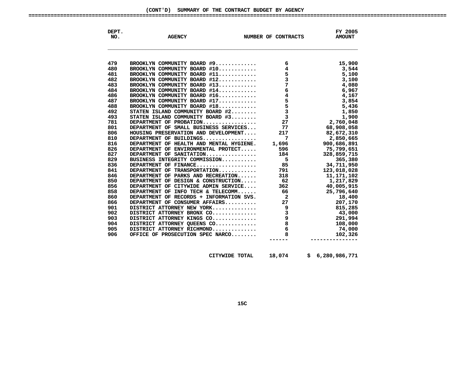| DEPT.<br>NO. | <b>AGENCY</b>                                                                                                                                                                                              | NUMBER OF CONTRACTS | FY 2005<br><b>AMOUNT</b>             |
|--------------|------------------------------------------------------------------------------------------------------------------------------------------------------------------------------------------------------------|---------------------|--------------------------------------|
|              |                                                                                                                                                                                                            |                     |                                      |
| 479          |                                                                                                                                                                                                            |                     |                                      |
| 480          |                                                                                                                                                                                                            |                     |                                      |
| 481          |                                                                                                                                                                                                            |                     |                                      |
| 482          |                                                                                                                                                                                                            |                     |                                      |
| 483          |                                                                                                                                                                                                            |                     |                                      |
| 484          |                                                                                                                                                                                                            |                     |                                      |
| 486          |                                                                                                                                                                                                            |                     |                                      |
| 487          |                                                                                                                                                                                                            |                     |                                      |
| 488          |                                                                                                                                                                                                            |                     |                                      |
| 492          |                                                                                                                                                                                                            |                     |                                      |
| 493          |                                                                                                                                                                                                            |                     |                                      |
| 781          |                                                                                                                                                                                                            |                     |                                      |
| 801          |                                                                                                                                                                                                            |                     | 68,908,058                           |
| 806          | HOUSING PRESERVATION AND DEVELOPMENT 217                                                                                                                                                                   |                     | 82,672,310                           |
| 810          |                                                                                                                                                                                                            |                     |                                      |
| 816          |                                                                                                                                                                                                            |                     | 2,850,665<br>900,686,891             |
| 826          |                                                                                                                                                                                                            |                     | 75,799,651                           |
| 827          |                                                                                                                                                                                                            |                     | 328,859,715                          |
| 829          |                                                                                                                                                                                                            |                     |                                      |
| 836          |                                                                                                                                                                                                            |                     | 365,380<br>34,711,950<br>123,018,028 |
| 841          |                                                                                                                                                                                                            |                     | 123,018,028                          |
| 846          |                                                                                                                                                                                                            |                     | 11,171,102                           |
| 850          |                                                                                                                                                                                                            |                     |                                      |
| 856          |                                                                                                                                                                                                            |                     |                                      |
| 858          |                                                                                                                                                                                                            |                     |                                      |
| 860          |                                                                                                                                                                                                            |                     |                                      |
| 866          |                                                                                                                                                                                                            |                     |                                      |
| 901          |                                                                                                                                                                                                            |                     |                                      |
| 902          |                                                                                                                                                                                                            |                     |                                      |
| 903          |                                                                                                                                                                                                            |                     |                                      |
| 904          |                                                                                                                                                                                                            |                     |                                      |
| 905          |                                                                                                                                                                                                            |                     |                                      |
| 906          | DEPARTMENT OF PARKS AND RECREATION<br>DEPARTMENT OF DESIGN & CONSTRUCTION 62<br>DEPARTMENT OF DESIGN & CONSTRUCTION 66<br>DEPARTMENT OF CITYWIDE ADMIN SERVICE 362<br>DEPARTMENT OF INFO TECH & TELECOMM 6 |                     |                                      |
|              |                                                                                                                                                                                                            |                     |                                      |
|              |                                                                                                                                                                                                            |                     |                                      |
|              |                                                                                                                                                                                                            |                     |                                      |
|              | CITYWIDE TOTAL                                                                                                                                                                                             | 18,074              | \$6,280,986,771                      |

**TOTAL 18,074 \$ 6,280,986,771**

# (CONT'D) SUMMARY OF THE CONTRACT BUDGET BY AGENCY **SUMMARY OF THE CONTRACT BUDGET BY AGENCY ====================================================================================================================================**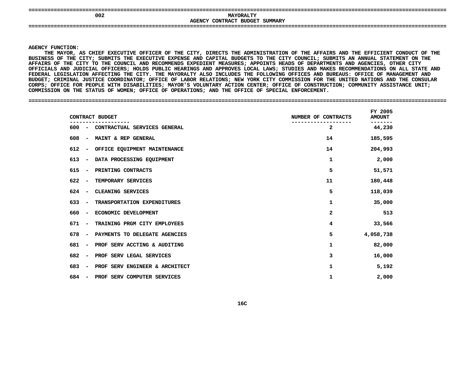| -------------------                                                  | ____<br>____<br>_________________    |
|----------------------------------------------------------------------|--------------------------------------|
| 002                                                                  | <b>MAYORALTY</b>                     |
| <b>AGENCY</b>                                                        | CONTRACT<br><b>BUDGET</b><br>SUMMARY |
| --------------------------------<br>----<br>------------------------ | -------------------------            |
|                                                                      |                                      |

**Y FUNCTION:<br>THE MAYOR,<br>ESS OF THE THE**E MAYOR, AS CHIEF EXECUTIVE OFFICER OF THE CITY, DIRECTS THE ADMINISTRATION OF THE AFFAIRS AND THE EFFICIENT CONDUCT OF THE<br>S OF THE CITY; SUBMITS THE EXECUTIVE EXPENSE AND CAPITAL BUDGETS TO THE CITY COUNCIL; SUBMITS AN A **BUSINESS**S OF THE CITY; SUBMITS THE EXECUTIVE EXPENSE AND CAPITAL BUDGETS TO THE CITY COUNCIL; SUBMITS AN ANNUAL STATEMENT ON THE<br>OF THE CITY TO THE COUNCIL AND RECOMMENDS EXPEDIENT MEASURES; APPOINTS HEADS OF DEPARTMENTS AND AGENC AFFAIRS OF THE CITY TO THE COUNCIL AND RECOMMENDS EXPEDIENT MEASURES; APPOINTS HEADS OF DEPARTMENTS AND AGENCIES, OTHER CITY S OF THE CITY TO THE COUNCIL AND RECOMMENDS EXPEDIENT MEASURES; APPOINTS HEADS OF DEPARTMENTS AND AGENCIES, OTHER CITY<br>ALS AND JUDICIAL OFFICERS; HOLDS PUBLIC HEARINGS AND APPROVES LOCAL LAWS; STUDIES AND MAKES RECOMMENDAT **OFFICIALS**S AND JUDICIAL OFFICERS; HOLDS PUBLIC HEARINGS AND APPROVES LOCAL LAWS; STUDIES AND MAKES RECOMMENDATIONS ON ALL STATE AND<br>LEGISLATION AFFECTING THE CITY. THE MAYORALTY ALSO INCLUDES THE FOLLOWING OFFICES AND BUREAUS: OFFI FEDERAL LEGISLATION AFFECTING THE CITY. THE MAYORALTY ALSO INCLUDES THE FOLLOWING OFFICES AND BUREAUS: OFFICE OF MANAGEMENT AND L LEGISLATION AFFECTING THE CITY. THE MAYORALTY ALSO INCLUDES THE FOLLOWING OFFICES AND BUREAUS: OFFICE OF MANAGEMENT AND<br>; CRIMINAL JUSTICE COORDINATOR; OFFICE OF LABOR RELATIONS; NEW YORK CITY COMMISSION FOR THE UNITED N **BUDGET;**; CRIMINAL JUSTICE COORDINATOR; OFFICE OF LABOR RELATIONS; NEW YORK CITY COMMISSION FOR THE UNITED NATIONS AND THE CONSULAR<br>OFFICE FOR PEOPLE WITH DISABILITIES; MAYOR'S VOLUNTARY ACTION CENTER; OFFICE OF CONSTRUCTION; COMM **CORPS;**; OFFICE FOR PEOPLE WITH DISABILITIES; MAYOR'S VOLUNTARY ACTION CENTER; OFFICE OF CONSTRUCTION; COMMUNITY ASSISTANCE UNIT;<br>SSION ON THE STATUS OF WOMEN; OFFICE OF OPERATIONS; AND THE OFFICE OF SPECIAL ENFORCEMENT.<br>-**COMMISSION ON THE STATUS OF WOMEN; OFFICE OF OPERATIONS; AND THE OFFICE OF SPECIAL ENFORCEMENT. ====================================================================================================================================**

| CONTRACT BUDGET                                       |                                    | NUMBER OF CONTRACTS | FY 2005<br><b>AMOUNT</b> |
|-------------------------------------------------------|------------------------------------|---------------------|--------------------------|
|                                                       | 600 - CONTRACTUAL SERVICES GENERAL | 2                   | 44,230                   |
| 608<br>$\overline{\phantom{a}}$                       | MAINT & REP GENERAL                | 14                  | 185,595                  |
| 612<br>$\overline{\phantom{a}}$                       | OFFICE EQUIPMENT MAINTENANCE       | 14                  | 204,993                  |
| 613<br>$\overline{\phantom{a}}$                       | DATA PROCESSING EQUIPMENT          | 1                   | 2,000                    |
| 615<br>PRINTING CONTRACTS<br>$\overline{\phantom{a}}$ |                                    | 5                   | 51,571                   |
| 622<br>TEMPORARY SERVICES<br>$\overline{\phantom{a}}$ |                                    | 11                  | 180,448                  |
| CLEANING SERVICES<br>624<br>$\sim$                    |                                    | 5                   | 118,039                  |
| 633<br>$\sim$                                         | TRANSPORTATION EXPENDITURES        | 1                   | 35,000                   |
| 660<br>$\overline{\phantom{a}}$                       | ECONOMIC DEVELOPMENT               | $\mathbf{2}$        | 513                      |
| 671<br>$\sim$                                         | TRAINING PRGM CITY EMPLOYEES       | 4                   | 33,566                   |
| 678<br>$\overline{\phantom{0}}$                       | PAYMENTS TO DELEGATE AGENCIES      | 5                   | 4,058,738                |
| 681<br>$\overline{\phantom{0}}$                       | PROF SERV ACCTING & AUDITING       | 1                   | 82,000                   |
| 682<br>$\sim$                                         | PROF SERV LEGAL SERVICES           | 3                   | 16,000                   |
| 683<br>$\overline{\phantom{a}}$                       | PROF SERV ENGINEER & ARCHITECT     | 1                   | 5,192                    |
| 684<br>$\overline{\phantom{a}}$                       | PROF SERV COMPUTER SERVICES        | 1                   | 2,000                    |
|                                                       |                                    |                     |                          |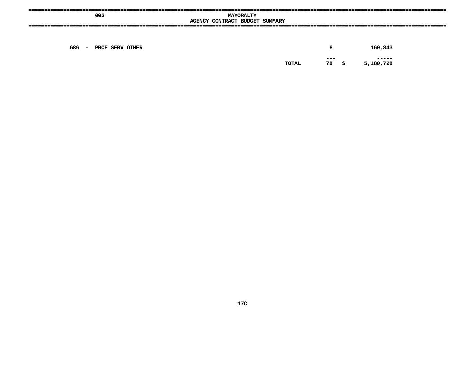| 002                   | <b>MAYORALTY</b><br>AGENCY CONTRACT BUDGET SUMMARY |                                                    |
|-----------------------|----------------------------------------------------|----------------------------------------------------|
|                       |                                                    |                                                    |
| 686 - PROF SERV OTHER | 78<br>TOTAL                                        | 160,843<br>8<br>$- - -$<br>-----<br>5,180,728<br>s |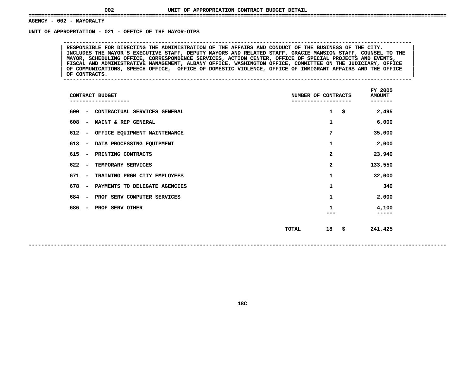# **- <sup>002</sup> - MAYORALTY UNIT**

 **OF APPROPRIATION - <sup>021</sup> - OFFICE OF THE MAYOR-OTPS --------------------------------------------------------------------------------------------------------------**RESPONSIBLE FOR DIRECTING THE ADMINISTRATION OF THE AFFAIRS AND CONDUCT OF THE BUSINESS OF THE CITY.<br>INCLUDES THE MAYOR'S EXECUTIVE STAFF, DEPUTY MAYORS AND RELATED STAFF, GRACIE MANSION STAFF, COUNSEL TO THE<br>MAYOR, SCHEDU INCLUDES THE MAYOR'S EXECUTIVE STAFF, DEPUTY MAYORS AND RELATED STAFF, GRACIE MANSION STAFF, COUNSEL TO THE<br>MAYOR, SCHEDULING OFFICE, CORRESPONDENCE SERVICES, ACTION CENTER, OFFICE OF SPECIAL PROJECTS AND EVENTS,<br>FISCAL AN **MAYOR, SCHEDULING OFFICE, CORRESPONDENCE SERVICES, ACTION CENTER, OFFICE OF SPECIAL PROJECTS AND EVENTS, <sup>|</sup> <sup>|</sup> FISCAL AND ADMINISTRATIVE MANAGEMENT, ALBANY OFFICE, WASHINGTON OFFICE, COMMITTEE ON THE JUDICIARY, OFFICE <sup>|</sup> <sup>|</sup> OF COMMUNICATIONS, SPEECH OFFICE, OFFICE OF DOMESTIC VIOLENCE, OFFICE OF IMMIGRANT AFFAIRS AND THE OFFICE <sup>|</sup> <sup>|</sup>OF CONTRACTS. <sup>|</sup> --------------------------------------------------------------------------------------------------------------**

| CONTRACT BUDGET                 |                               | NUMBER OF CONTRACTS |              |      | FY 2005<br><b>AMOUNT</b><br>------- |
|---------------------------------|-------------------------------|---------------------|--------------|------|-------------------------------------|
| 600<br>$\overline{\phantom{a}}$ | CONTRACTUAL SERVICES GENERAL  |                     | $\mathbf{1}$ | \$   | 2,495                               |
| 608<br>$\overline{\phantom{a}}$ | MAINT & REP GENERAL           |                     | 1            |      | 6,000                               |
| 612<br>$\overline{\phantom{a}}$ | OFFICE EQUIPMENT MAINTENANCE  |                     | 7            |      | 35,000                              |
| 613<br>$\overline{\phantom{a}}$ | DATA PROCESSING EQUIPMENT     |                     | 1            |      | 2,000                               |
| 615<br>$\overline{\phantom{a}}$ | PRINTING CONTRACTS            |                     | 2            |      | 23,940                              |
| 622<br>$\overline{\phantom{a}}$ | TEMPORARY SERVICES            |                     | 2            |      | 133,550                             |
| 671<br>$\overline{\phantom{a}}$ | TRAINING PRGM CITY EMPLOYEES  |                     | 1            |      | 32,000                              |
| 678<br>$\overline{\phantom{a}}$ | PAYMENTS TO DELEGATE AGENCIES |                     | 1            |      | 340                                 |
| 684<br>$\overline{\phantom{a}}$ | PROF SERV COMPUTER SERVICES   |                     | 1            |      | 2,000                               |
| 686<br>$\blacksquare$           | <b>PROF SERV OTHER</b>        |                     | 1            |      | 4,100                               |
|                                 |                               |                     |              |      |                                     |
|                                 |                               | TOTAL               | 18           | - \$ | 241,425                             |
|                                 |                               |                     |              |      |                                     |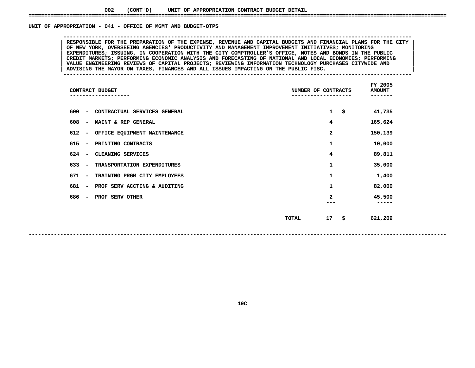# UNIT OF APPROPRIATION - 041 - OFFICE OF MGMT AND BUDGET-OTPS

 **OF APPROPRIATION - <sup>041</sup> - OFFICE OF MGMT AND BUDGET-OTPS --------------------------------------------------------------------------------------------------------------**RESPONSIBLE FOR THE PREPARATION OF THE EXPENSE, REVENUE AND CAPITAL BUDGETS AND FINANCIAL PLANS FOR THE CITY<br>OF NEW YORK, OVERSEEING AGENCIES' PRODUCTIVITY AND MANAGEMENT IMPROVEMENT INITIATIVES; MONITORING RESPONSIBLE FOR THE PREPARATION OF THE EXPENSE, REVENUE AND CAPITAL BUDGETS AND FINANCIAL PLANS FOR THE CITY OF NEW YORK, OVERSEEING AGENCIES' PRODUCTIVITY AND MANAGEMENT IMPROVEMENT INITIATIVES; MONITORING<br>EXPENDITURES; I **OF NEW YORK, OVERSEEING AGENCIES' PRODUCTIVITY AND MANAGEMENT IMPROVEMENT INITIATIVES; MONITORING <sup>|</sup> <sup>|</sup>**EXPENDITURES; ISSUING, IN COOPERATION WITH THE CITY COMPTROLLER'S OFFICE, NOTES AND BONDS IN THE PUBLIC<br>CREDIT MARKETS; PERFORMING ECONOMIC ANALYSIS AND FORECASTING OF NATIONAL AND LOCAL ECONOMIES; PERFORMING<br>VALUE ENGINEE **CREDIT MARKETS; PERFORMING ECONOMIC ANALYSIS AND FORECASTING OF NATIONAL AND LOCAL ECONOMIES; PERFORMING <sup>|</sup> <sup>|</sup> VALUE ENGINEERING REVIEWS OF CAPITAL PROJECTS; REVIEWING INFORMATION TECHNOLOGY PURCHASES CITYWIDE AND <sup>|</sup> <sup>|</sup>**ADVISING THE MAYOR ON TAXES, FINANCES AND ALL ISSUES IMPACTING ON THE PUBLIC FISC.

| CONTRACT BUDGET              |       |              | FY 2005<br><b>AMOUNT</b><br>----- |
|------------------------------|-------|--------------|-----------------------------------|
| CONTRACTUAL SERVICES GENERAL |       | $\mathbf{1}$ | \$<br>41,735                      |
| MAINT & REP GENERAL          |       | 4            | 165,624                           |
| OFFICE EQUIPMENT MAINTENANCE |       | 2            | 150,139                           |
| PRINTING CONTRACTS           |       | 1            | 10,000                            |
| CLEANING SERVICES            |       | 4            | 89,811                            |
| TRANSPORTATION EXPENDITURES  |       | 1            | 35,000                            |
| TRAINING PRGM CITY EMPLOYEES |       | 1            | 1,400                             |
| PROF SERV ACCTING & AUDITING |       | 1            | 82,000                            |
| PROF SERV OTHER              |       | 2            | 45,500<br>-----                   |
|                              | TOTAL | 17           | \$<br>621,209                     |
|                              |       |              | NUMBER OF CONTRACTS               |

**19C**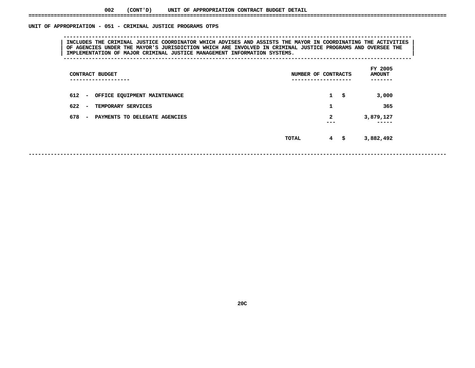# UNIT OF APPROPRIATION - 051 - CRIMINAL JUSTICE PROGRAMS OTPS

 **OF APPROPRIATION - <sup>051</sup> - CRIMINAL JUSTICE PROGRAMS OTPS --------------------------------------------------------------------------------------------------------------**| INCLUDES THE CRIMINAL JUSTICE COORDINATOR WHICH ADVISES AND ASSISTS THE MAYOR IN COORDINATING THE ACTIVITIES<br>| OF AGENCIES UNDER THE MAYOR'S JURISDICTION WHICH ARE INVOLVED IN CRIMINAL JUSTICE PROGRAMS AND OVERSEE THE<br>| OF AGENCIES UNDER THE MAYOR'S JURISDICTION WHICH ARE INVOLVED IN CRIMINAL JUSTICE PROGRAMS AND OVERSEE THE<br>IMPLEMENTATION OF MAJOR CRIMINAL JUSTICE MANAGEMENT INFORMATION SYSTEMS. **IMPLEMENTATION OF MAJOR CRIMINAL JUSTICE MANAGEMENT INFORMATION SYSTEMS. <sup>|</sup> --------------------------------------------------------------------------------------------------------------**

| CONTRACT BUDGET<br>----------------                              | NUMBER OF CONTRACTS<br>------------------- | FY 2005<br><b>AMOUNT</b><br>----- |
|------------------------------------------------------------------|--------------------------------------------|-----------------------------------|
| $612 -$<br>OFFICE EQUIPMENT MAINTENANCE                          | $\mathbf{1}$<br>-\$                        | 3,000                             |
| $622 -$<br>TEMPORARY SERVICES                                    | 1                                          | 365                               |
| 678<br>PAYMENTS TO DELEGATE AGENCIES<br>$\overline{\phantom{0}}$ | 2<br>---                                   | 3,879,127<br>-----                |
|                                                                  | $4^{\circ}$<br>\$<br>TOTAL                 | 3,882,492                         |

**------------------------------------------------------------------------------------------------------------------------------------**

**20C**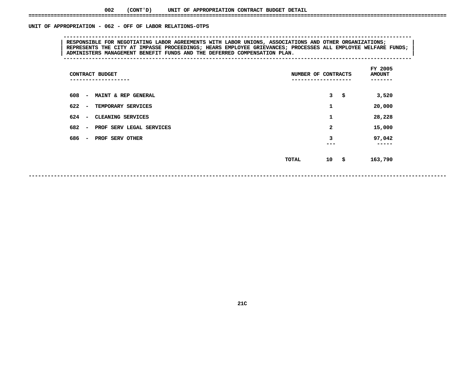# UNIT OF APPROPRIATION - 062 - OFF OF LABOR RELATIONS-OTPS

# **OF APPROPRIATION - <sup>062</sup> - OFF OF LABOR RELATIONS-OTPS -------------------------------------------------------------------------------------------------------------- <sup>|</sup> RESPONSIBLE FOR NEGOTIATING LABOR AGREEMENTS WITH LABOR UNIONS, ASSOCIATIONS AND OTHER ORGANIZATIONS; <sup>|</sup> <sup>|</sup> REPRESENTS THE CITY AT IMPASSE PROCEEDINGS; HEARS EMPLOYEE GRIEVANCES; PROCESSES ALL EMPLOYEE WELFARE FUNDS; <sup>|</sup> <sup>|</sup>ADMINISTERS MANAGEMENT BENEFIT FUNDS AND THE DEFERRED COMPENSATION PLAN. <sup>|</sup> --------------------------------------------------------------------------------------------------------------**

| CONTRACT BUDGET<br>-----------                              |              | NUMBER OF CONTRACTS | FY 2005<br><b>AMOUNT</b><br>----- |
|-------------------------------------------------------------|--------------|---------------------|-----------------------------------|
| 608<br><b>MAINT &amp; REP GENERAL</b><br>$\sim$             |              | 3<br>\$             | 3,520                             |
| 622<br>TEMPORARY SERVICES<br>$\overline{\phantom{a}}$       |              | 1                   | 20,000                            |
| 624<br><b>CLEANING SERVICES</b><br>$\sim$                   |              | 1                   | 28,228                            |
| 682<br>PROF SERV LEGAL SERVICES<br>$\overline{\phantom{a}}$ |              | $\mathbf{2}$        | 15,000                            |
| 686<br>PROF SERV OTHER<br>$\overline{\phantom{a}}$          |              | 3<br>---            | 97,042<br>-----                   |
|                                                             | <b>TOTAL</b> | 10<br>- \$          | 163,790                           |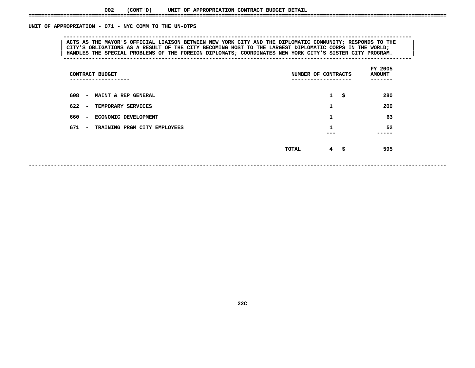# UNIT OF APPROPRIATION - 071 - NYC COMM TO THE UN-OTPS

# **OF APPROPRIATION - <sup>071</sup> - NYC COMM TO THE UN-OTPS --------------------------------------------------------------------------------------------------------------**ACTS AS THE MAYOR'S OFFICIAL LIAISON BETWEEN NEW YORK CITY AND THE DIPLOMATIC COMMUNITY; RESPONDS TO THE<br>CITY'S OBLIGATIONS AS A RESULT OF THE CITY BECOMING HOST TO THE LARGEST DIPLOMATIC CORPS IN THE WORLD; ACTS AS THE MAYOR'S OFFICIAL LIAISON BETWEEN NEW YORK CITY AND THE DIPLOMATIC COMMUNITY; RESPONDS TO THE |<br>| CITY'S OBLIGATIONS AS A RESULT OF THE CITY BECOMING HOST TO THE LARGEST DIPLOMATIC CORPS IN THE WORLD;<br>| HANDLES CITY'S OBLIGATIONS AS A RESULT OF THE CITY BECOMING HOST TO THE LARGEST DIPLOMATIC CORPS IN THE WORLD;<br>| HANDLES THE SPECIAL PROBLEMS OF THE FOREIGN DIPLOMATS; COORDINATES NEW YORK CITY'S SISTER CITY PROGRAM.<br>|------------**HANDLES THE SPECIAL PROBLEMS OF THE FOREIGN DIPLOMATS; COORDINATES NEW YORK CITY'S SISTER CITY PROGRAM. <sup>|</sup> --------------------------------------------------------------------------------------------------------------**

| CONTRACT BUDGET<br>------------                                   | NUMBER OF CONTRACTS<br>------------ | FY 2005<br><b>AMOUNT</b><br>----- |      |            |  |
|-------------------------------------------------------------------|-------------------------------------|-----------------------------------|------|------------|--|
| 608<br><b>MAINT &amp; REP GENERAL</b><br>$\overline{\phantom{a}}$ |                                     | $\mathbf{1}$                      | - \$ | 280        |  |
| 622<br>TEMPORARY SERVICES<br>$\overline{\phantom{a}}$             |                                     | 1                                 |      | 200        |  |
| 660<br><b>ECONOMIC DEVELOPMENT</b><br>$\overline{\phantom{a}}$    |                                     | 1                                 |      | 63         |  |
| 671<br>TRAINING PRGM CITY EMPLOYEES<br>$\sim$                     |                                     | 1                                 |      | 52<br>---- |  |
|                                                                   | TOTAL                               | $4 \quad$ \$                      |      | 595        |  |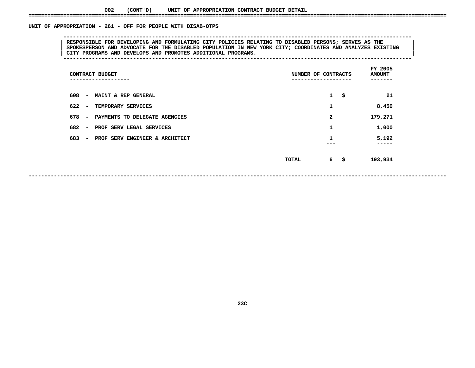# UNIT OF APPROPRIATION - 261 - OFF FOR PEOPLE WITH DISAB-OTPS

# **OF APPROPRIATION - <sup>261</sup> - OFF FOR PEOPLE WITH DISAB-OTPS --------------------------------------------------------------------------------------------------------------**RESPONSIBLE FOR DEVELOPING AND FORMULATING CITY POLICIES RELATING TO DISABLED PERSONS; SERVES AS THE SPOKESPERSON AND ADVOCATE FOR THE DISABLED POPULATION IN NEW YORK CITY; COORDINATES AND ANALYZES EXISTING<br>| CITY PROGRAMS **SPOKESPERSON AND ADVOCATE FOR THE DISABLED POPULATION IN NEW YORK CITY; COORDINATES AND ANALYZES EXISTING <sup>|</sup> <sup>|</sup>CITY PROGRAMS AND DEVELOPS AND PROMOTES ADDITIONAL PROGRAMS. <sup>|</sup> --------------------------------------------------------------------------------------------------------------**

| CONTRACT BUDGET<br>-----------                                    | NUMBER OF CONTRACTS<br>-------------- | FY 2005<br><b>AMOUNT</b><br>----- |      |                |  |
|-------------------------------------------------------------------|---------------------------------------|-----------------------------------|------|----------------|--|
| 608<br>MAINT & REP GENERAL<br>$\sim$                              |                                       | 1                                 | -\$  | 21             |  |
| 622<br>TEMPORARY SERVICES<br>$\overline{\phantom{0}}$             |                                       | 1                                 |      | 8,450          |  |
| 678<br>PAYMENTS TO DELEGATE AGENCIES<br>$\sim$                    |                                       | 2                                 |      | 179,271        |  |
| 682<br>PROF SERV LEGAL SERVICES<br>$\overline{\phantom{a}}$       |                                       | 1                                 |      | 1,000          |  |
| 683<br>PROF SERV ENGINEER & ARCHITECT<br>$\overline{\phantom{a}}$ |                                       | 1                                 |      | 5,192<br>----- |  |
|                                                                   | TOTAL                                 |                                   | 6 \$ | 193,934        |  |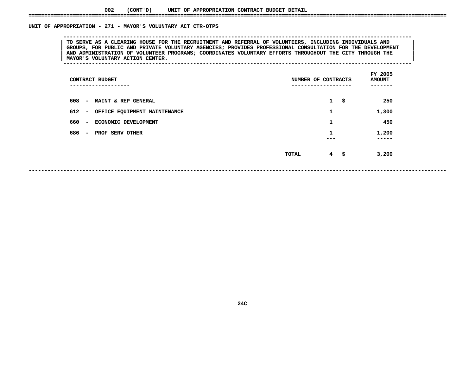# UNIT OF APPROPRIATION - 271 - MAYOR'S VOLUNTARY ACT CTR-OTPS

TO SERVE AS A CLEARING HOUSE FOR THE RECRUITMENT AND REFERRAL OF VOLUNTEERS, INCLUDING INDIVIDUALS AND<br>GROUPS, FOR PUBLIC AND PRIVATE VOLUNTARY AGENCIES; PROVIDES PROFESSIONAL CONSULTATION FOR THE DEVELOPMENT TO SERVE AS A CLEARING HOUSE FOR THE RECRUITMENT AND REFERRAL OF VOLUNTEERS, INCLUDING INDIVIDUALS AND<br>GROUPS, FOR PUBLIC AND PRIVATE VOLUNTARY AGENCIES; PROVIDES PROFESSIONAL CONSULTATION FOR THE DEVELOPMENT<br>AND ADMINISTR **GROUPS, FOR PUBLIC AND PRIVATE VOLUNTARY AGENCIES; PROVIDES PROFESSIONAL CONSULTATION FOR THE DEVELOPMENT <sup>|</sup> <sup>|</sup> AND ADMINISTRATION OF VOLUNTEER PROGRAMS; COORDINATES VOLUNTARY EFFORTS THROUGHOUT THE CITY THROUGH THE <sup>|</sup> <sup>|</sup>MAYOR'S VOLUNTARY ACTION CENTER. <sup>|</sup> --------------------------------------------------------------------------------------------------------------**

**OF APPROPRIATION - <sup>271</sup> - MAYOR'S VOLUNTARY ACT CTR-OTPS --------------------------------------------------------------------------------------------------------------**

| CONTRACT BUDGET<br>----------------                     | NUMBER OF CONTRACTS<br>-------------- | FY 2005<br><b>AMOUNT</b><br>------ |
|---------------------------------------------------------|---------------------------------------|------------------------------------|
| 608<br><b>MAINT &amp; REP GENERAL</b><br>$\sim$         | $1 \quad$<br>\$                       | 250                                |
| 612<br>OFFICE EQUIPMENT MAINTENANCE<br>$\sim$           | 1                                     | 1,300                              |
| 660<br>ECONOMIC DEVELOPMENT<br>$\overline{\phantom{0}}$ | 1                                     | 450                                |
| 686<br>PROF SERV OTHER<br>$\overline{\phantom{0}}$      | 1                                     | 1,200<br>-----                     |
|                                                         | $4 \quad$ \$<br>TOTAL                 | 3,200                              |
|                                                         |                                       |                                    |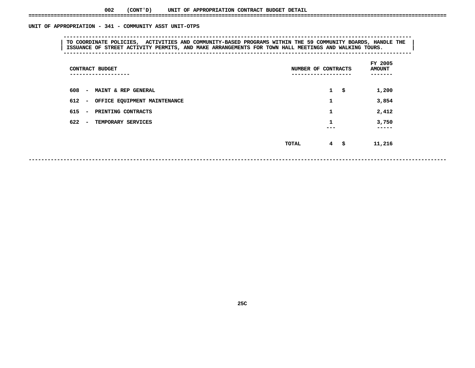# UNIT OF APPROPRIATION - 341 - COMMUNITY ASST UNIT-OTPS

# **OF APPROPRIATION - <sup>341</sup> - COMMUNITY ASST UNIT-OTPS --------------------------------------------------------------------------------------------------------------**TO COORDINATE POLICIES, ACTIVITIES AND COMMUNITY-BASED PROGRAMS WITHIN THE 59 COMMUNITY BOARDS, HANDLE THE |<br>| ISSUANCE OF STREET ACTIVITY PERMITS, AND MAKE ARRANGEMENTS FOR TOWN HALL MEETINGS AND WALKING TOURS.<br>|---------**ISSUANCE OF STREET ACTIVITY PERMITS, AND MAKE ARRANGEMENTS FOR TOWN HALL MEETINGS AND WALKING TOURS. <sup>|</sup> --------------------------------------------------------------------------------------------------------------**

| CONTRACT BUDGET<br>.                                  | NUMBER OF CONTRACTS<br>---------------- | FY 2005<br><b>AMOUNT</b><br>----- |
|-------------------------------------------------------|-----------------------------------------|-----------------------------------|
| 608<br>MAINT & REP GENERAL<br>$\sim$                  | $\mathbf{1}$<br>\$                      | 1,200                             |
| 612<br>OFFICE EQUIPMENT MAINTENANCE<br>$\sim$         | 1                                       | 3,854                             |
| 615<br>PRINTING CONTRACTS<br>$\overline{\phantom{a}}$ | 1                                       | 2,412                             |
| 622<br>TEMPORARY SERVICES<br>$\sim$                   | 1<br>---                                | 3,750<br>-----                    |
|                                                       | $4 \quad$ \$<br>TOTAL                   | 11,216                            |

**------------------------------------------------------------------------------------------------------------------------------------**

**25C**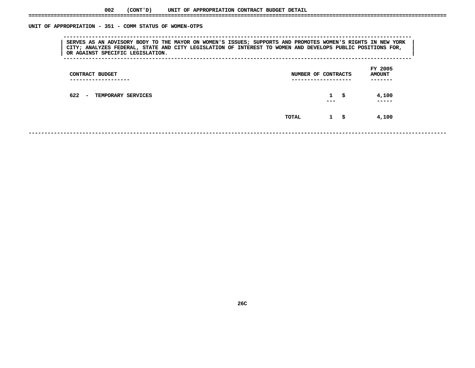# UNIT OF APPROPRIATION - 351 - COMM STATUS OF WOMEN-OTPS

 **OF APPROPRIATION - <sup>351</sup> - COMM STATUS OF WOMEN-OTPS --------------------------------------------------------------------------------------------------------------**SERVES AS AN ADVISORY BODY TO THE MAYOR ON WOMEN'S ISSUES; SUPPORTS AND PROMOTES WOMEN'S RIGHTS IN NEW YORK<br>| CITY; ANALYZES FEDERAL, STATE AND CITY LEGISLATION OF INTEREST TO WOMEN AND DEVELOPS PUBLIC POSITIONS FOR,<br>| OR **CITY; ANALYZES FEDERAL, STATE AND CITY LEGISLATION OF INTEREST TO WOMEN AND DEVELOPS PUBLIC POSITIONS FOR, <sup>|</sup> <sup>|</sup>OR AGAINST SPECIFIC LEGISLATION. <sup>|</sup> --------------------------------------------------------------------------------------------------------------**

| CONTRACT BUDGET<br>----------------        | NUMBER OF CONTRACTS |                     |      |                |  |  |
|--------------------------------------------|---------------------|---------------------|------|----------------|--|--|
| 622<br><b>TEMPORARY SERVICES</b><br>$\sim$ |                     | $\mathbf{1}$<br>--- | - \$ | 4,100<br>----- |  |  |
|                                            | TOTAL               | $\mathbf{1}$        | -\$  | 4,100          |  |  |
|                                            |                     |                     |      |                |  |  |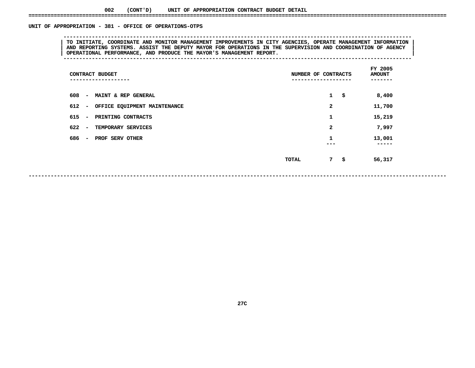#### **002(CONT'D) UNIT OF APPROPRIATION CONTRACT BUDGET DETAIL ====================================================================================================================================**

# UNIT OF APPROPRIATION - 381 - OFFICE OF OPERATIONS-OTPS

 **OF APPROPRIATION - <sup>381</sup> - OFFICE OF OPERATIONS-OTPS --------------------------------------------------------------------------------------------------------------**TO INITIATE, COORDINATE AND MONITOR MANAGEMENT IMPROVEMENTS IN CITY AGENCIES, OPERATE MANAGEMENT INFORMATION<br>| AND REPORTING SYSTEMS. ASSIST THE DEPUTY MAYOR FOR OPERATIONS IN THE SUPERVISION AND COORDINATION OF AGENCY<br>| O **AND REPORTING SYSTEMS. ASSIST THE DEPUTY MAYOR FOR OPERATIONS IN THE SUPERVISION AND COORDINATION OF AGENCY <sup>|</sup> <sup>|</sup>OPERATIONAL PERFORMANCE, AND PRODUCE THE MAYOR'S MANAGEMENT REPORT. <sup>|</sup> --------------------------------------------------------------------------------------------------------------**

| CONTRACT BUDGET<br>--------                    | NUMBER OF CONTRACTS | FY 2005<br><b>AMOUNT</b><br>----- |
|------------------------------------------------|---------------------|-----------------------------------|
| - MAINT & REP GENERAL<br>608                   | $1 \quad$           | 8,400                             |
| 612 - OFFICE EQUIPMENT MAINTENANCE             | 2                   | 11,700                            |
| 615 -<br>PRINTING CONTRACTS                    | 1                   | 15,219                            |
| 622 –<br>TEMPORARY SERVICES                    | $\mathbf{2}$        | 7,997                             |
| 686<br>PROF SERV OTHER<br>$\sim 100$ m $^{-1}$ | 1<br>---            | 13,001<br>-----                   |
|                                                | 7\$<br>TOTAL        | 56,317                            |

**27C**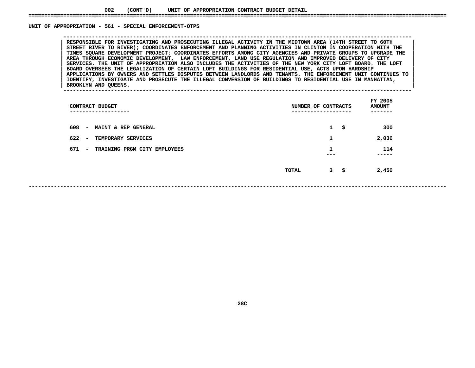#### UNIT OF APPROPRIATION - 561 - SPECIAL ENFORCEMENT-OTPS

 **OF APPROPRIATION - <sup>561</sup> - SPECIAL ENFORCEMENT-OTPS --------------------------------------------------------------------------------------------------------------**STREET RIVER TO RIVER); COORDINATES ENFORCEMENT AND PLANNING ACTIVITIES IN CLINTON IN COOPERATION WITH THE TIMES SQUARE DEVELOPMENT PROJECT; COORDINATES EFFORTS AMONG CITY AGENCIES AND PRIVATE GROUPS TO UPGRADE THE STREET RIVER TO RIVER); COORDINATES ENFORCEMENT AND PLANNING ACTIVITIES IN CLINTON IN COOPERATION WITH THE<br>TIMES SQUARE DEVELOPMENT PROJECT; COORDINATES EFFORTS AMONG CITY AGENCIES AND PRIVATE GROUPS TO UPGRADE THE<br>AREA TH TIMES SQUARE DEVELOPMENT PROJECT; COORDINATES EFFORTS AMONG CITY AGENCIES AND PRIVATE GROUPS TO UPGRADE THE AREA THROUGH ECONOMIC DEVELOPMENT, LAW ENFORCEMENT, LAND USE REGULATION AND IMPROVED DELIVERY OF CITY<br>SERVICES. TH **AREA THROUGH ECONOMIC DEVELOPMENT, LAW ENFORCEMENT, LAND USE REGULATION AND IMPROVED DELIVERY OF CITY <sup>|</sup> <sup>|</sup>**SERVICES. THE UNIT OF APPROPRIATION ALSO INCLUDES THE ACTIVITIES OF THE NEW YORK CITY LOFT BOARD. THE LOFT<br>BOARD OVERSEES THE LEGALIZATION OF CERTAIN LOFT BUILDINGS FOR RESIDENTIAL USE, ACTS UPON HARDSHIP<br>APPLICATIONS BY O **BOARD OVERSEES THE LEGALIZATION OF CERTAIN LOFT BUILDINGS FOR RESIDENTIAL USE, ACTS UPON HARDSHIP <sup>|</sup> <sup>|</sup>**APPLICATIONS BY OWNERS AND SETTLES DISPUTES BETWEEN LANDLORDS AND TENANTS. THE ENFORCEMENT UNIT CONTINUES TO |<br>| IDENTIFY, INVESTIGATE AND PROSECUTE THE ILLEGAL CONVERSION OF BUILDINGS TO RESIDENTIAL USE IN MANHATTAN,<br>| BR **IDENTIFY, INVESTIGATE AND PROSECUTE THE ILLEGAL CONVERSION OF BUILDINGS TO RESIDENTIAL USE IN MANHATTAN, <sup>|</sup> <sup>|</sup>**

**BROOKLYN AND QUEENS. <sup>|</sup> --------------------------------------------------------------------------------------------------------------**

 **FY**AMOUNT<br>-------**CONTRACT BUDGET NUMBER OF CONTRACTS AMOUNT ------------------- ------------------- ------- <sup>608</sup> - MAINT & REP GENERAL <sup>1</sup> \$ <sup>300</sup> 622 - TEMPORARY SERVICES <sup>1</sup> 2,036** 671 - TRAINING PRGM CITY EMPLOYEES **- TRAINING PRGM CITY EMPLOYEES <sup>1</sup> <sup>114</sup> --- ----- TOTAL<sup>3</sup> \$ 2,450**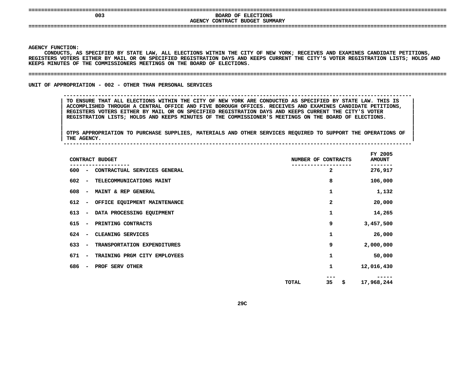# **DOARD OF ELECTIONS**<br> **DOARD OF ELECTIONS**<br> **AGENCY CONTRACT BUDGET SUMMARY BOARD OF ELECTIONS**

**CONTRACT BUDGET SUMMARY ====================================================================================================================================**

**AGENCY**

Y FUNCTION:<br>CONDUCTS, *P*<br>TERS VOTERS **CONDUCTS,**, AS SPECIFIED BY STATE LAW, ALL ELECTIONS WITHIN THE CITY OF NEW YORK; RECEIVES AND EXAMINES CANDIDATE PETITIONS,<br>ERS EITHER BY MAIL OR ON SPECIFIED REGISTRATION DAYS AND KEEPS CURRENT THE CITY'S VOTER REGISTRATION LISTS; REGISTERS VOTERS EITHER BY MAIL OR ON SPECIFIED REGISTRATION DAYS AND KEEPS CURRENT THE CITY'S VOTER REGISTRATION LISTS; HOLDS AND<br>KEEPS MINUTES OF THE COMMISSIONERS MEETINGS ON THE BOARD OF ELECTIONS. KEEPS MINUTES OF THE COMMISSIONERS MEETINGS ON THE BOARD OF ELECTIONS.

**MINUTES OF THE COMMISSIONERS MEETINGS ON THE BOARD OF ELECTIONS. ====================================================================================================================================**

**UNIT OF APPROPRIATION - 002 - OTHER THAN PERSONAL SERVICES** 

**OF APPROPRIATION - <sup>002</sup> - OTHER THAN PERSONAL SERVICES --------------------------------------------------------------------------------------------------------------**

TO ENSURE THAT ALL ELECTIONS WITHIN THE CITY OF NEW YORK ARE CONDUCTED AS SPECIFIED BY STATE LAW. THIS IS<br>ACCOMPLISHED THROUGH A CENTRAL OFFICE AND FIVE BOROUGH OFFICES. RECEIVES AND EXAMINES CANDIDATE PETITIONS,<br>REGISTERS **ACCOMPLISHED THROUGH CENTRAL OFFICE AND FIVE BOROUGH OFFICES. RECEIVES AND EXAMINES CANDIDATE PETITIONS, <sup>|</sup>** ACCOMPLISHED THROUGH A CENTRAL OFFICE AND FIVE BOROUGH OFFICES. RECEIVES AND EXAMINES CANDIDATE PETITIONS, **REGISTERS VOTERS EITHER BY MAIL OR ON SPECIFIED REGISTRATION DAYS AND KEEPS CURRENT THE CITY'S VOTER <sup>|</sup> REGISTRATION LISTS; HOLDS AND KEEPS MINUTES OF THE COMMISSIONER'S MEETINGS ON THE BOARD OF ELECTIONS. <sup>|</sup>**

|<br>| OTPS\_APPROPRIATION TO PURCHASE SUPPLIES, MATERIALS AND OTHER SERVICES REQUIRED TO SUPPORT THE OPERATIONS OF OTPS APPROPRIATION TO PURCHASE SUPPLIES, MATERIALS AND OTHER SERVICES REQUIRED TO SUPPORT THE OPERATIONS OF THE OPERATIONS OF **OTPS APPROPRIATION TO PURCHASE SUPPLIES, MATERIALS AND OTHER SERVICES REQUIRED TO SUPPORT THE OPERATIONS OF <sup>|</sup> THE AGENCY. <sup>|</sup> --------------------------------------------------------------------------------------------------------------**

|     |                          | CONTRACT BUDGET              | NUMBER OF CONTRACTS | FY 2005<br><b>AMOUNT</b> |    |            |
|-----|--------------------------|------------------------------|---------------------|--------------------------|----|------------|
| 600 | $\overline{\phantom{m}}$ | CONTRACTUAL SERVICES GENERAL |                     | $\overline{a}$           |    | 276,917    |
| 602 | $\overline{\phantom{a}}$ | TELECOMMUNICATIONS MAINT     |                     | 8                        |    | 106,000    |
| 608 | $\overline{\phantom{m}}$ | MAINT & REP GENERAL          |                     | 1                        |    | 1,132      |
| 612 | $\overline{\phantom{m}}$ | OFFICE EQUIPMENT MAINTENANCE |                     | 2                        |    | 20,000     |
| 613 | $\overline{\phantom{a}}$ | DATA PROCESSING EQUIPMENT    |                     | 1                        |    | 14,265     |
| 615 | $\qquad \qquad$          | PRINTING CONTRACTS           |                     | 9                        |    | 3,457,500  |
| 624 | $\overline{\phantom{a}}$ | CLEANING SERVICES            |                     | 1                        |    | 26,000     |
| 633 | $\overline{\phantom{a}}$ | TRANSPORTATION EXPENDITURES  |                     | 9                        |    | 2,000,000  |
| 671 | $\overline{\phantom{a}}$ | TRAINING PRGM CITY EMPLOYEES |                     | 1                        |    | 50,000     |
| 686 | $\overline{\phantom{a}}$ | PROF SERV OTHER              |                     | 1                        |    | 12,016,430 |
|     |                          |                              | <b>TOTAL</b>        | 35                       | \$ | 17,968,244 |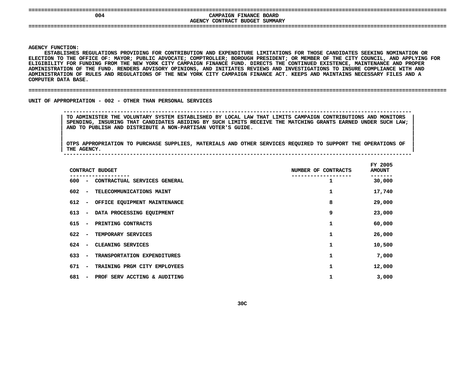| 004 | CAMPAIGN FINANCE BOARD<br>AGENCY CONTRACT BUDGET SUMMARY |  |
|-----|----------------------------------------------------------|--|
|     |                                                          |  |

**Y FUNCTION:<br>ESTABLISHES<br>ION TO THE** ESTABLISHES REGULATIONS PROVIDING FOR CONTRIBUTION AND EXPENDITURE LIMITATIONS FOR THOSE CANDIDATES SEEKING NOMINATION OR **REGULATIONS PROVIDING FOR CONTRIBUTION AND EXPENDITURE LIMITATIONS FOR THOSE CANDIDATES SEEKING NOMINATION OR ELECTION**N TO THE OFFICE OF: MAYOR; PUBLIC ADVOCATE; COMPTROLLER; BOROUGH PRESIDENT; OR MEMBER OF THE CITY COUNCIL, AND APPLYING FOR<br>LITY FOR FUNDING FROM THE NEW YORK CITY CAMPAIGN FINANCE FUND. DIRECTS THE CONTINUED EXISTENCE, MA ELIGIBILITY FOR FUNDING FROM THE NEW YORK CITY CAMPAIGN FINANCE FUND. DIRECTS THE CONTINUED EXISTENCE, MAINTENANCE AND PROPER Y FOR FUNDING FROM THE NEW YORK CITY CAMPAIGN FINANCE FUND. DIRECTS THE CONTINUED EXISTENCE, MAINTENANCE AND PROPER<br>TION OF THE FUND. RENDERS ADVISORY OPINIONS, AND INITIATES REVIEWS AND INVESTIGATIONS TO INSURE COMPLIANCE **ADMINISTRATION OF THE FUND. RENDERS ADVISORY OPINIONS, AND INITIATES REVIEWS AND INVESTIGATIONS TO INSURE COMPLIANCE WITH AND ADMINISTRATION OF RULES AND REGULATIONS OF THE NEW YORK CITY CAMPAIGN FINANCE ACT. KEEPS AND MAINTAINS NECESSARY FILES AND A DATA BASE. ====================================================================================================================================COMPUTER**

UNIT OF APPROPRIATION - 002 - OTHER THAN PERSONAL SERVICES

 **OF APPROPRIATION - <sup>002</sup> - OTHER THAN PERSONAL SERVICES -------------------------------------------------------------------------------------------------------------- TO ADMINISTER THE VOLUNTARY SYSTEM ESTABLISHED BY LOCAL LAW THAT LIMITS CAMPAIGN CONTRIBUTIONS AND MONITORS <sup>|</sup>** SPENDING, INSURING THAT CANDIDATES ABIDING BY SUCH LIMITS RECEIVE THE MATCHING GRANTS EARNED UNDER SUCH LAW;<br>AND TO PUBLISH AND DISTRIBUTE A NON-PARTISAN VOTER'S GUIDE.<br>| **AND TO** PUBLISH AND DISTRIBUTE A **NON-PARTISAN VOTER'S GUIDE. <sup>|</sup>**

|<br>| OTPS\_APPROPRIATION TO PURCHASE SUPPLIES, MATERIALS AND OTHER SERVICES REQUIRED TO SUPPORT THE OPERATIONS OF OTPS APPROPRIATION TO PURCHASE SUPPLIES, MATERIALS AND OTHER SERVICES REQUIRED TO SUPPORT THE OPERATIONS OF THE AGENCY. **OTPS APPROPRIATION TO PURCHASE SUPPLIES, MATERIALS AND OTHER SERVICES REQUIRED TO SUPPORT THE OPERATIONS OF <sup>|</sup> THE AGENCY. <sup>|</sup> --------------------------------------------------------------------------------------------------------------**

| CONTRACT BUDGET                                                 | NUMBER OF CONTRACTS | FY 2005<br><b>AMOUNT</b> |
|-----------------------------------------------------------------|---------------------|--------------------------|
| 600<br>CONTRACTUAL SERVICES GENERAL<br>$\overline{\phantom{a}}$ |                     | 30,000                   |
| 602<br>TELECOMMUNICATIONS MAINT<br>$\overline{\phantom{a}}$     | 1                   | 17,740                   |
| 612<br>OFFICE EQUIPMENT MAINTENANCE<br>$\overline{\phantom{a}}$ | 8                   | 29,000                   |
| 613<br>DATA PROCESSING EQUIPMENT<br>$\overline{\phantom{a}}$    | 9                   | 23,000                   |
| 615<br>PRINTING CONTRACTS<br>$\overline{\phantom{a}}$           | 1                   | 60,000                   |
| 622<br>TEMPORARY SERVICES<br>$\overline{\phantom{a}}$           | 1                   | 26,000                   |
| 624<br>CLEANING SERVICES<br>$\overline{\phantom{a}}$            | 1                   | 10,500                   |
| 633<br>TRANSPORTATION EXPENDITURES<br>$\overline{\phantom{a}}$  | 1                   | 7,000                    |
| 671<br>TRAINING PRGM CITY EMPLOYEES<br>$\overline{\phantom{a}}$ | 1                   | 12,000                   |
| 681<br>PROF SERV ACCTING & AUDITING<br>$\overline{\phantom{m}}$ | 1                   | 3,000                    |
|                                                                 |                     |                          |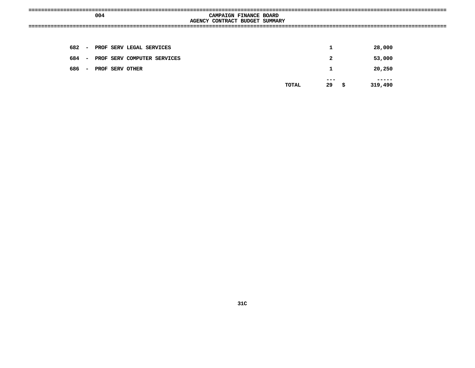|  | 004 |                                   | CAMPAIGN FINANCE BOARD<br>AGENCY CONTRACT BUDGET SUMMARY |  |              |              |                  |  |
|--|-----|-----------------------------------|----------------------------------------------------------|--|--------------|--------------|------------------|--|
|  |     |                                   |                                                          |  |              |              |                  |  |
|  |     | 682 - PROF SERV LEGAL SERVICES    |                                                          |  |              | $\mathbf 1$  | 28,000           |  |
|  |     | 684 - PROF SERV COMPUTER SERVICES |                                                          |  |              | $\mathbf{2}$ | 53,000           |  |
|  |     | 686 - PROF SERV OTHER             |                                                          |  |              | 1            | 20,250           |  |
|  |     |                                   |                                                          |  | <b>TOTAL</b> | ---<br>29 \$ | -----<br>319,490 |  |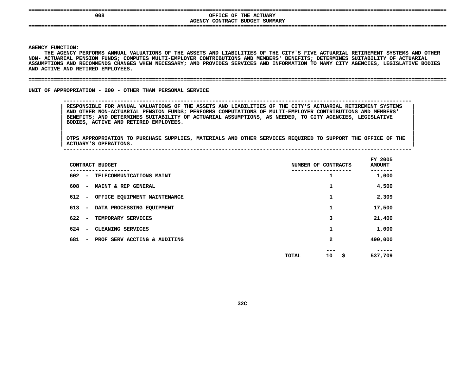|                         | 008                               |                                                                                                                                                                                                                                                                                                                                                                                                                                                                                            | AGENCY CONTRACT BUDGET SUMMARY | OFFICE OF THE ACTUARY |                     |                 |                          |  |
|-------------------------|-----------------------------------|--------------------------------------------------------------------------------------------------------------------------------------------------------------------------------------------------------------------------------------------------------------------------------------------------------------------------------------------------------------------------------------------------------------------------------------------------------------------------------------------|--------------------------------|-----------------------|---------------------|-----------------|--------------------------|--|
|                         |                                   |                                                                                                                                                                                                                                                                                                                                                                                                                                                                                            |                                |                       |                     |                 |                          |  |
|                         |                                   |                                                                                                                                                                                                                                                                                                                                                                                                                                                                                            |                                |                       |                     |                 |                          |  |
| <b>AGENCY FUNCTION:</b> | AND ACTIVE AND RETIRED EMPLOYEES. | THE AGENCY PERFORMS ANNUAL VALUATIONS OF THE ASSETS AND LIABILITIES OF THE CITY'S FIVE ACTUARIAL RETIREMENT SYSTEMS AND OTHER<br>NON- ACTUARIAL PENSION FUNDS; COMPUTES MULTI-EMPLOYER CONTRIBUTIONS AND MEMBERS' BENEFITS; DETERMINES SUITABILITY OF ACTUARIAL<br>ASSUMPTIONS AND RECOMMENDS CHANGES WHEN NECESSARY; AND PROVIDES SERVICES AND INFORMATION TO MANY CITY AGENCIES, LEGISLATIVE BODIES                                                                                      |                                |                       |                     |                 |                          |  |
|                         |                                   |                                                                                                                                                                                                                                                                                                                                                                                                                                                                                            |                                |                       |                     |                 |                          |  |
|                         |                                   | UNIT OF APPROPRIATION - 200 - OTHER THAN PERSONAL SERVICE                                                                                                                                                                                                                                                                                                                                                                                                                                  |                                |                       |                     |                 |                          |  |
|                         | ACTUARY'S OPERATIONS.             | RESPONSIBLE FOR ANNUAL VALUATIONS OF THE ASSETS AND LIABILITIES OF THE CITY'S ACTUARIAL RETIREMENT SYSTEMS<br>AND OTHER NON-ACTUARIAL PENSION FUNDS: PERFORMS COMPUTATIONS OF MULTI-EMPLOYER CONTRIBUTIONS AND MEMBERS'<br>BENEFITS; AND DETERMINES SUITABILITY OF ACTUARIAL ASSUMPTIONS, AS NEEDED, TO CITY AGENCIES, LEGISLATIVE<br>BODIES, ACTIVE AND RETIRED EMPLOYEES.<br>OTPS APPROPRIATION TO PURCHASE SUPPLIES, MATERIALS AND OTHER SERVICES REQUIRED TO SUPPORT THE OFFICE OF THE |                                |                       |                     |                 |                          |  |
|                         | CONTRACT BUDGET                   |                                                                                                                                                                                                                                                                                                                                                                                                                                                                                            |                                |                       | NUMBER OF CONTRACTS |                 | FY 2005<br><b>AMOUNT</b> |  |
|                         |                                   | 602 - TELECOMMUNICATIONS MAINT                                                                                                                                                                                                                                                                                                                                                                                                                                                             |                                |                       |                     | $\mathbf{1}$    | -------<br>1,000         |  |
|                         |                                   | 608 - MAINT & REP GENERAL                                                                                                                                                                                                                                                                                                                                                                                                                                                                  |                                |                       |                     | $\mathbf{1}$    | 4,500                    |  |
|                         |                                   | 612 - OFFICE EQUIPMENT MAINTENANCE                                                                                                                                                                                                                                                                                                                                                                                                                                                         |                                |                       |                     | $\mathbf{1}$    | 2,309                    |  |
|                         |                                   | 613 - DATA PROCESSING EQUIPMENT                                                                                                                                                                                                                                                                                                                                                                                                                                                            |                                |                       |                     | $\mathbf{1}$    | 17,500                   |  |
|                         |                                   | 622 - TEMPORARY SERVICES                                                                                                                                                                                                                                                                                                                                                                                                                                                                   |                                |                       |                     | 3               | 21,400                   |  |
|                         |                                   | 624 - CLEANING SERVICES                                                                                                                                                                                                                                                                                                                                                                                                                                                                    |                                |                       |                     | $\mathbf{1}$    | 1,000                    |  |
|                         |                                   | 681 - PROF SERV ACCTING & AUDITING                                                                                                                                                                                                                                                                                                                                                                                                                                                         |                                |                       |                     | $\mathbf{2}$    | 490,000                  |  |
|                         |                                   |                                                                                                                                                                                                                                                                                                                                                                                                                                                                                            |                                |                       | <b>TOTAL</b>        | 10 <sub>5</sub> | 537,709                  |  |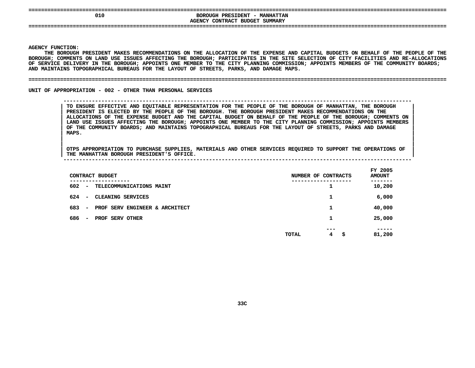| ---<br>010                  | BOROUGH PRESIDENT -<br><b>MANHATTAN</b><br><b>AGENCY CONTRACT</b><br>SUMMARY<br><b>BUDGET</b> |
|-----------------------------|-----------------------------------------------------------------------------------------------|
| _========================== |                                                                                               |

Y FUNCTION:<br>THE BOROUGE<br>GH<mark>;</mark> COMMENT **THE**E BOROUGH PRESIDENT MAKES RECOMMENDATIONS ON THE ALLOCATION OF THE EXPENSE AND CAPITAL BUDGETS ON BEHALF OF THE PEOPLE OF THE<br>; COMMENTS ON LAND USE ISSUES AFFECTING THE BOROUGH; PARTICIPATES IN THE SITE SELECTION OF CITY **BOROUGH;**; COMMENTS ON LAND USE ISSUES AFFECTING THE BOROUGH; PARTICIPATES IN THE SITE SELECTION OF CITY FACILITIES AND RE-ALLOCATIONS<br>ICE DELIVERY IN THE BOROUGH; APPOINTS ONE MEMBER TO THE CITY PLANNING COMMISSION; APPOINTS MEMBE OF SERVICE DELIVERY IN THE BOROUGH; APPOINTS ONE MEMBER TO THE CITY PLANNING COMMISSION; APPOINTS MEMBERS OF THE COMMUNITY BOARDS;<br>AND MAINTAINS TOPOGRAPHICAL BUREAUS FOR THE LAYOUT OF STREETS, PARKS, AND DAMAGE MAPS.<br>———— AND MAINTAINS TOPOGRAPHICAL BUREAUS FOR THE LAYOUT OF STREETS, PARKS, AND DAMAGE MAPS.

**MAINTAINS TOPOGRAPHICAL BUREAUS FOR THE LAYOUT OF STREETS, PARKS, AND DAMAGE MAPS. ====================================================================================================================================**

UNIT OF APPROPRIATION - 002 - OTHER THAN PERSONAL SERVICES

**OF APPROPRIATION - <sup>002</sup> - OTHER THAN PERSONAL SERVICES --------------------------------------------------------------------------------------------------------------**

TO ENSURE EFFECTIVE AND EQUITABLE REPRESENTATION FOR THE PEOPLE OF THE BOROUGH OF MANHATTAN, THE BOROUGH<br>PRESIDENT IS ELECTED BY THE PEOPLE OF THE BOROUGH. THE BOROUGH PRESIDENT MAKES RECOMMENDATIONS ON THE<br>ALLOCATIONS OF **PRESIDENT IS ELECTED BY THE PEOPLE OF THE BOROUGH. THE BOROUGH PRESIDENT MAKES RECOMMENDATIONS ON THE <sup>|</sup>** ALLOCATIONS OF THE EXPENSE BUDGET AND THE CAPITAL BUDGET ON BEHALF OF THE PEOPLE OF THE BOROUGH; COMMENTS ON LAND USE ISSUES AFFECTING THE BOROUGH; APPOINTS MEMBERS<br>OF THE COMMUNITY BOARDS; AND MAINTAINS TOPOGRAPHICAL BURE LAND USE ISSUES AFFECTING THE BOROUGH; APPOINTS ONE MEMBER TO THE CITY PLANNING COMMISSION; APPOINTS MEMBERS<br>OF THE COMMUNITY BOARDS; AND MAINTAINS TOPOGRAPHICAL BUREAUS FOR THE LAYOUT OF STREETS, PARKS AND DAMAGE<br>MAPS. OF THE COMMUNITY BOARDS; AND MAINTAINS TOPOGRAPHICAL BUREAUS FOR THE LAYOUT OF STREETS, PARKS AND DAMAGE<br>MAPS. **MAPS. <sup>|</sup>**

|<br>| OTPS APPROPRIATION TO PURCHASE SUPPLIES, MATERIALS AND OTHER SERVICES REQUIRED TO SUPPORT THE OPERATIONS OF |<br>| OTPS APPROPRIATION TO PURCHASE SUPPLIES, MATERIALS AND OTHER SERVICES REQUIRED TO SUPPORT THE OPERATIONS OF<br>| THE MANHATTAN BOROUGH PRESIDENT'S OFFICE. **OTPS APPROPRIATION TO PURCHASE SUPPLIES, MATERIALS AND OTHER SERVICES REQUIRED TO SUPPORT THE OPERATIONS OF <sup>|</sup>**

| <b>MANHATTAN</b><br>THE | <b>BOROUGH</b> | <b>PRESIDENT'S</b> | OFFICE |  |  |  |
|-------------------------|----------------|--------------------|--------|--|--|--|
|                         |                |                    |        |  |  |  |
|                         |                |                    |        |  |  |  |

|     |                          | CONTRACT BUDGET<br>--------    | NUMBER OF CONTRACTS<br>----- |          |     | FY 2005<br><b>AMOUNT</b><br>------ |
|-----|--------------------------|--------------------------------|------------------------------|----------|-----|------------------------------------|
| 602 | $\overline{\phantom{a}}$ | TELECOMMUNICATIONS MAINT       |                              | ∸        |     | 10,200                             |
| 624 | $\overline{\phantom{a}}$ | CLEANING SERVICES              |                              | ┻        |     | 6,000                              |
| 683 | $\overline{\phantom{m}}$ | PROF SERV ENGINEER & ARCHITECT |                              |          |     | 40,000                             |
| 686 | $\overline{\phantom{a}}$ | PROF SERV OTHER                |                              | ┻        |     | 25,000                             |
|     |                          |                                | <b>TOTAL</b>                 | ---<br>4 | \$. | -----<br>81,200                    |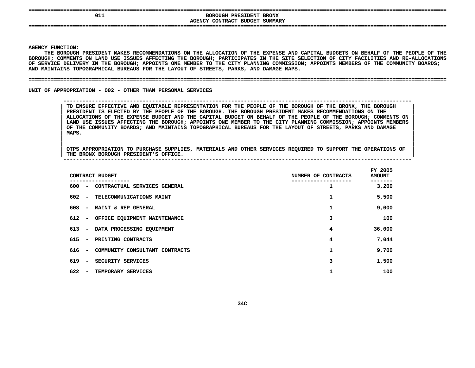| 011 | BOROUGH<br><b>BRONX</b><br><b>PRESIDENT</b> |
|-----|---------------------------------------------|
|     | AGENCY CONTRACT BUDGET SUMMARY              |
| --- |                                             |
|     |                                             |
|     |                                             |

Y FUNCTION:<br>THE BOROUGE<br>GH<mark>;</mark> COMMENT **THE**E BOROUGH PRESIDENT MAKES RECOMMENDATIONS ON THE ALLOCATION OF THE EXPENSE AND CAPITAL BUDGETS ON BEHALF OF THE PEOPLE OF THE<br>; COMMENTS ON LAND USE ISSUES AFFECTING THE BOROUGH; PARTICIPATES IN THE SITE SELECTION OF CITY **BOROUGH;**; COMMENTS ON LAND USE ISSUES AFFECTING THE BOROUGH; PARTICIPATES IN THE SITE SELECTION OF CITY FACILITIES AND RE-ALLOCATIONS<br>ICE DELIVERY IN THE BOROUGH; APPOINTS ONE MEMBER TO THE CITY PLANNING COMMISSION; APPOINTS MEMBE OF SERVICE DELIVERY IN THE BOROUGH; APPOINTS ONE MEMBER TO THE CITY PLANNING COMMISSION; APPOINTS MEMBERS OF THE COMMUNITY BOARDS;<br>AND MAINTAINS TOPOGRAPHICAL BUREAUS FOR THE LAYOUT OF STREETS, PARKS, AND DAMAGE MAPS.<br>———— AND MAINTAINS TOPOGRAPHICAL BUREAUS FOR THE LAYOUT OF STREETS, PARKS, AND DAMAGE MAPS.

#### **MAINTAINS TOPOGRAPHICAL BUREAUS FOR THE LAYOUT OF STREETS, PARKS, AND DAMAGE MAPS. ====================================================================================================================================**

UNIT OF APPROPRIATION - 002 - OTHER THAN PERSONAL SERVICES

**OF APPROPRIATION - <sup>002</sup> - OTHER THAN PERSONAL SERVICES --------------------------------------------------------------------------------------------------------------**

TO ENSURE EFFECTIVE AND EQUITABLE REPRESENTATION FOR THE PEOPLE OF THE BOROUGH OF THE BRONX, THE BOROUGH<br>PRESIDENT IS ELECTED BY THE PEOPLE OF THE BOROUGH. THE BOROUGH PRESIDENT MAKES RECOMMENDATIONS ON THE<br>ALLOCATIONS OF **PRESIDENT IS ELECTED BY THE PEOPLE OF THE BOROUGH. THE BOROUGH PRESIDENT MAKES RECOMMENDATIONS ON THE <sup>|</sup>** ALLOCATIONS OF THE EXPENSE BUDGET AND THE CAPITAL BUDGET ON BEHALF OF THE PEOPLE OF THE BOROUGH; COMMENTS ON LAND USE ISSUES AFFECTING THE BOROUGH; APPOINTS MEMBERS<br>OF THE COMMUNITY BOARDS; AND MAINTAINS TOPOGRAPHICAL BURE LAND USE ISSUES AFFECTING THE BOROUGH; APPOINTS ONE MEMBER TO THE CITY PLANNING COMMISSION; APPOINTS MEMBERS<br>OF THE COMMUNITY BOARDS; AND MAINTAINS TOPOGRAPHICAL BUREAUS FOR THE LAYOUT OF STREETS, PARKS AND DAMAGE<br>MAPS. OF THE COMMUNITY BOARDS; AND MAINTAINS TOPOGRAPHICAL BUREAUS FOR THE LAYOUT OF STREETS, PARKS AND DAMAGE<br>MAPS. **MAPS. <sup>|</sup>**

|<br>| OTPS\_APPROPRIATION\_TO\_PURCHASE\_SUPPLIES, MATERIALS\_AND\_OTHER\_SERVICES\_REQUIRED\_TO\_SUPPORT\_THE\_OPERATIONS\_OF\_\_<br>| |<br>| OTPS APPROPRIATION TO PURCHASE SUPPLIES, MATERIALS AND OTHER SERVICES REQUIRED TO SUPPORT THE OPERATIONS OF<br>| THE BRONX BOROUGH PRESIDENT'S OFFICE. **OTPS APPROPRIATION TO PURCHASE SUPPLIES, MATERIALS AND OTHER SERVICES REQUIRED TO SUPPORT THE OPERATIONS OF <sup>|</sup> THE BRONX BOROUGH PRESIDENT'S OFFICE. <sup>|</sup> --------------------------------------------------------------------------------------------------------------**

|     |                          | CONTRACT BUDGET                | NUMBER OF CONTRACTS | FY 2005<br><b>AMOUNT</b> |
|-----|--------------------------|--------------------------------|---------------------|--------------------------|
| 600 | $\overline{\phantom{a}}$ | CONTRACTUAL SERVICES GENERAL   |                     | 3,200                    |
| 602 | $\overline{\phantom{0}}$ | TELECOMMUNICATIONS MAINT       | 1                   | 5,500                    |
| 608 | $\overline{\phantom{a}}$ | MAINT & REP GENERAL            |                     | 9,000                    |
| 612 |                          | - OFFICE EQUIPMENT MAINTENANCE | 3                   | 100                      |
| 613 | $\blacksquare$           | DATA PROCESSING EQUIPMENT      | 4                   | 36,000                   |
| 615 | $\overline{\phantom{a}}$ | PRINTING CONTRACTS             | 4                   | 7,044                    |
| 616 | $\overline{\phantom{a}}$ | COMMUNITY CONSULTANT CONTRACTS | 1                   | 9,700                    |
| 619 | $\overline{\phantom{a}}$ | SECURITY SERVICES              | 3                   | 1,500                    |
| 622 | $\overline{\phantom{a}}$ | TEMPORARY SERVICES             | 1                   | 100                      |
|     |                          |                                |                     |                          |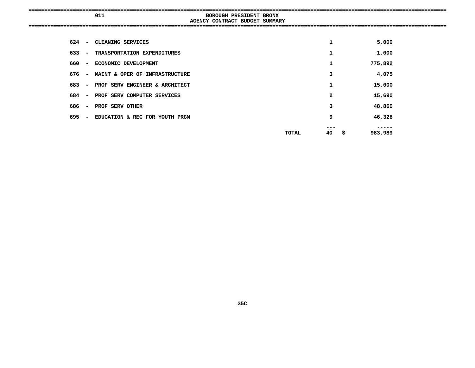| -------------------------------- | _____________________<br>----------------------------- |  |
|----------------------------------|--------------------------------------------------------|--|
| 011                              | <b>BRONX</b><br>BOROUGH<br><b>PRESIDENT</b>            |  |
|                                  | CONTRACT C<br>BUDGET<br>SUMMARY<br><b>AGENCY</b>       |  |
|                                  |                                                        |  |
|                                  |                                                        |  |
|                                  |                                                        |  |

| 624<br>$\overline{\phantom{a}}$ | CLEANING SERVICES              |       | 1        | 5,000   |
|---------------------------------|--------------------------------|-------|----------|---------|
| 633 –                           | TRANSPORTATION EXPENDITURES    |       | 1        | 1,000   |
| 660 –                           | ECONOMIC DEVELOPMENT           |       | 1        | 775,892 |
| 676 –                           | MAINT & OPER OF INFRASTRUCTURE |       | 3        | 4,075   |
| 683 –                           | PROF SERV ENGINEER & ARCHITECT |       | 1        | 15,000  |
| 684 –                           | PROF SERV COMPUTER SERVICES    |       | 2        | 15,690  |
| 686<br>$\overline{\phantom{a}}$ | PROF SERV OTHER                |       | 3        | 48,860  |
| 695 –                           | EDUCATION & REC FOR YOUTH PRGM |       | 9        | 46,328  |
|                                 |                                |       |          |         |
|                                 |                                | TOTAL | 40<br>\$ | 983,989 |
|                                 |                                |       |          |         |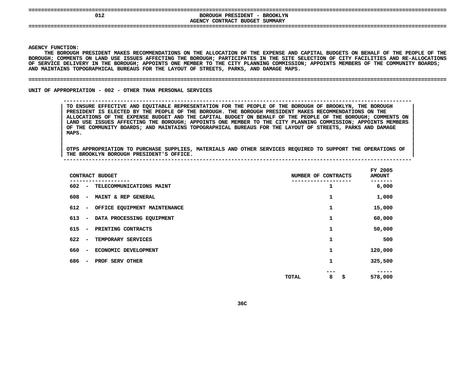| 012 | BOROUGH PRESIDENT - BROOKLYN<br>AGENCY CONTRACT BUDGET SUMMARY |  |
|-----|----------------------------------------------------------------|--|
|     |                                                                |  |

Y FUNCTION:<br>THE BOROUGE<br>GH<mark>;</mark> COMMENT **THE**E BOROUGH PRESIDENT MAKES RECOMMENDATIONS ON THE ALLOCATION OF THE EXPENSE AND CAPITAL BUDGETS ON BEHALF OF THE PEOPLE OF THE<br>; COMMENTS ON LAND USE ISSUES AFFECTING THE BOROUGH; PARTICIPATES IN THE SITE SELECTION OF CITY **BOROUGH;**; COMMENTS ON LAND USE ISSUES AFFECTING THE BOROUGH; PARTICIPATES IN THE SITE SELECTION OF CITY FACILITIES AND RE-ALLOCATIONS<br>ICE DELIVERY IN THE BOROUGH; APPOINTS ONE MEMBER TO THE CITY PLANNING COMMISSION; APPOINTS MEMBE OF SERVICE DELIVERY IN THE BOROUGH; APPOINTS ONE MEMBER TO THE CITY PLANNING COMMISSION; APPOINTS MEMBERS OF THE COMMUNITY BOARDS;<br>AND MAINTAINS TOPOGRAPHICAL BUREAUS FOR THE LAYOUT OF STREETS, PARKS, AND DAMAGE MAPS.<br>———— AND MAINTAINS TOPOGRAPHICAL BUREAUS FOR THE LAYOUT OF STREETS, PARKS, AND DAMAGE MAPS.

### **MAINTAINS TOPOGRAPHICAL BUREAUS FOR THE LAYOUT OF STREETS, PARKS, AND DAMAGE MAPS. ====================================================================================================================================**

UNIT OF APPROPRIATION - 002 - OTHER THAN PERSONAL SERVICES

**OF APPROPRIATION - <sup>002</sup> - OTHER THAN PERSONAL SERVICES --------------------------------------------------------------------------------------------------------------**

 **TO ENSURE EFFECTIVE AND EQUITABLE REPRESENTATION FOR THE PEOPLE OF THE BOROUGH OF BROOKLYN, THE BOROUGH <sup>|</sup> PRESIDENT IS ELECTED BY THE PEOPLE OF THE BOROUGH. THE BOROUGH PRESIDENT MAKES RECOMMENDATIONS ON THE <sup>|</sup>** ALLOCATIONS OF THE EXPENSE BUDGET AND THE CAPITAL BUDGET ON BEHALF OF THE PEOPLE OF THE BOROUGH; COMMENTS ON LAND USE ISSUES AFFECTING THE BOROUGH; APPOINTS MEMBERS<br>OF THE COMMUNITY BOARDS; AND MAINTAINS TOPOGRAPHICAL BURE LAND USE ISSUES AFFECTING THE BOROUGH; APPOINTS ONE MEMBER TO THE CITY PLANNING COMMISSION; APPOINTS MEMBERS<br>OF THE COMMUNITY BOARDS; AND MAINTAINS TOPOGRAPHICAL BUREAUS FOR THE LAYOUT OF STREETS, PARKS AND DAMAGE<br>MAPS. OF THE COMMUNITY BOARDS; AND MAINTAINS TOPOGRAPHICAL BUREAUS FOR THE LAYOUT OF STREETS, PARKS AND DAMAGE<br>MAPS. **MAPS. <sup>|</sup>**

|<br>| OTPS\_APPROPRIATION\_TO\_PURCHASE\_SUPPLIES, MATERIALS\_AND\_OTHER\_SERVICES\_REQUIRED\_TO\_SUPPORT\_THE\_OPERATIONS\_OF\_\_<br>| |<br>| OTPS APPROPRIATION TO PURCHASE SUPPLIES, MATERIALS AND OTHER SERVICES REQUIRED TO SUPPORT THE OPERATIONS OF<br>| THE BROOKLYN BOROUGH PRESIDENT'S OFFICE. **OTPS APPROPRIATION TO PURCHASE SUPPLIES, MATERIALS AND OTHER SERVICES REQUIRED TO SUPPORT THE OPERATIONS OF <sup>|</sup> THE BROOKLYN BOROUGH PRESIDENT'S OFFICE. <sup>|</sup> --------------------------------------------------------------------------------------------------------------**

|                                     | CONTRACT BUDGET              | NUMBER OF CONTRACTS |                | FY 2005<br><b>AMOUNT</b> |
|-------------------------------------|------------------------------|---------------------|----------------|--------------------------|
| 602<br>$\overline{\phantom{a}}$     | TELECOMMUNICATIONS MAINT     |                     | 1              | 6,000                    |
| 608<br>$\overline{\phantom{a}}$     | MAINT & REP GENERAL          |                     | 1              | 1,000                    |
| 612<br>$\qquad \qquad \blacksquare$ | OFFICE EQUIPMENT MAINTENANCE |                     | 1              | 15,000                   |
| 613<br>$\overline{\phantom{a}}$     | DATA PROCESSING EQUIPMENT    |                     | 1              | 60,000                   |
| 615<br>$\overline{\phantom{a}}$     | PRINTING CONTRACTS           |                     | 1              | 50,000                   |
| 622<br>$\overline{\phantom{a}}$     | TEMPORARY SERVICES           |                     | 1              | 500                      |
| 660<br>$\overline{\phantom{a}}$     | ECONOMIC DEVELOPMENT         |                     | 1              | 120,000                  |
| 686<br>$\overline{\phantom{a}}$     | PROF SERV OTHER              |                     | 1              | 325,500                  |
|                                     |                              | TOTAL               | ---<br>\$<br>8 | 578,000                  |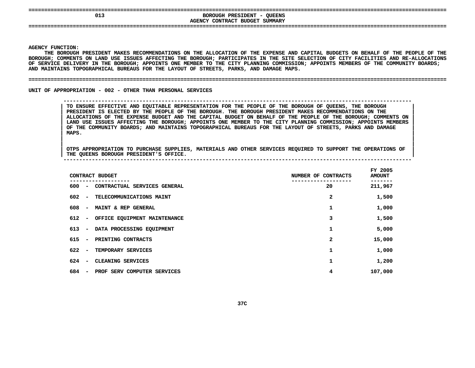| 013 | <b>OUEENS</b><br>BOROUGH<br>PRESIDENT<br>- |
|-----|--------------------------------------------|
|     | AGENCY CONTRACT BUDGET SUMMARY             |
| --- |                                            |
|     |                                            |

Y FUNCTION:<br>THE BOROUGE<br>GH<mark>;</mark> COMMENT **THE**E BOROUGH PRESIDENT MAKES RECOMMENDATIONS ON THE ALLOCATION OF THE EXPENSE AND CAPITAL BUDGETS ON BEHALF OF THE PEOPLE OF THE<br>; COMMENTS ON LAND USE ISSUES AFFECTING THE BOROUGH; PARTICIPATES IN THE SITE SELECTION OF CITY **BOROUGH;**; COMMENTS ON LAND USE ISSUES AFFECTING THE BOROUGH; PARTICIPATES IN THE SITE SELECTION OF CITY FACILITIES AND RE-ALLOCATIONS<br>ICE DELIVERY IN THE BOROUGH; APPOINTS ONE MEMBER TO THE CITY PLANNING COMMISSION; APPOINTS MEMBE OF SERVICE DELIVERY IN THE BOROUGH; APPOINTS ONE MEMBER TO THE CITY PLANNING COMMISSION; APPOINTS MEMBERS OF THE COMMUNITY BOARDS;<br>AND MAINTAINS TOPOGRAPHICAL BUREAUS FOR THE LAYOUT OF STREETS, PARKS, AND DAMAGE MAPS.<br>———— AND MAINTAINS TOPOGRAPHICAL BUREAUS FOR THE LAYOUT OF STREETS, PARKS, AND DAMAGE MAPS.

### **MAINTAINS TOPOGRAPHICAL BUREAUS FOR THE LAYOUT OF STREETS, PARKS, AND DAMAGE MAPS. ====================================================================================================================================**

UNIT OF APPROPRIATION - 002 - OTHER THAN PERSONAL SERVICES

**OF APPROPRIATION - <sup>002</sup> - OTHER THAN PERSONAL SERVICES --------------------------------------------------------------------------------------------------------------**

 **TO ENSURE EFFECTIVE AND EQUITABLE REPRESENTATION FOR THE PEOPLE OF THE BOROUGH OF QUEENS, THE BOROUGH <sup>|</sup> PRESIDENT IS ELECTED BY THE PEOPLE OF THE BOROUGH. THE BOROUGH PRESIDENT MAKES RECOMMENDATIONS ON THE <sup>|</sup>** ALLOCATIONS OF THE EXPENSE BUDGET AND THE CAPITAL BUDGET ON BEHALF OF THE PEOPLE OF THE BOROUGH; COMMENTS ON LAND USE ISSUES AFFECTING THE BOROUGH; APPOINTS MEMBERS<br>OF THE COMMUNITY BOARDS; AND MAINTAINS TOPOGRAPHICAL BURE LAND USE ISSUES AFFECTING THE BOROUGH; APPOINTS ONE MEMBER TO THE CITY PLANNING COMMISSION; APPOINTS MEMBERS<br>OF THE COMMUNITY BOARDS; AND MAINTAINS TOPOGRAPHICAL BUREAUS FOR THE LAYOUT OF STREETS, PARKS AND DAMAGE<br>MAPS. OF THE COMMUNITY BOARDS; AND MAINTAINS TOPOGRAPHICAL BUREAUS FOR THE LAYOUT OF STREETS, PARKS AND DAMAGE<br>MAPS. **MAPS. <sup>|</sup>**

|<br>| OTPS APPROPRIATION TO PURCHASE SUPPLIES, MATERIALS AND OTHER SERVICES REQUIRED TO SUPPORT THE OPERATIONS OF |<br>| OTPS APPROPRIATION TO PURCHASE SUPPLIES, MATERIALS AND OTHER SERVICES REQUIRED TO SUPPORT THE OPERATIONS OF<br>| THE QUEENS BOROUGH PRESIDENT'S OFFICE. **OTPS APPROPRIATION TO PURCHASE SUPPLIES, MATERIALS AND OTHER SERVICES REQUIRED TO SUPPORT THE OPERATIONS OF <sup>|</sup> THE QUEENS BOROUGH PRESIDENT'S OFFICE. <sup>|</sup> --------------------------------------------------------------------------------------------------------------**

|     |                          | CONTRACT BUDGET              | NUMBER OF CONTRACTS | FY 2005<br><b>AMOUNT</b> |
|-----|--------------------------|------------------------------|---------------------|--------------------------|
| 600 | $\overline{\phantom{a}}$ | CONTRACTUAL SERVICES GENERAL | 20                  | 211,967                  |
| 602 | $\overline{\phantom{a}}$ | TELECOMMUNICATIONS MAINT     | 2                   | 1,500                    |
| 608 | $\overline{\phantom{a}}$ | MAINT & REP GENERAL          | 1                   | 1,000                    |
| 612 | $\blacksquare$           | OFFICE EQUIPMENT MAINTENANCE | 3                   | 1,500                    |
| 613 | $\overline{\phantom{m}}$ | DATA PROCESSING EQUIPMENT    | 1                   | 5,000                    |
| 615 | $\overline{\phantom{a}}$ | PRINTING CONTRACTS           | 2                   | 15,000                   |
| 622 | $\overline{\phantom{a}}$ | TEMPORARY SERVICES           | 1                   | 1,000                    |
| 624 | $\overline{\phantom{a}}$ | CLEANING SERVICES            | 1                   | 1,200                    |
| 684 | $\overline{\phantom{a}}$ | PROF SERV COMPUTER SERVICES  | 4                   | 107,000                  |
|     |                          |                              |                     |                          |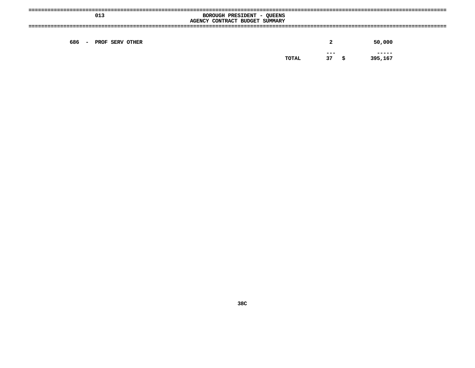| 013                              | BOROUGH PRESIDENT - QUEENS<br>AGENCY CONTRACT BUDGET SUMMARY |               |   |                   |
|----------------------------------|--------------------------------------------------------------|---------------|---|-------------------|
| 686<br>PROF SERV OTHER<br>$\sim$ |                                                              | 2             |   | 50,000            |
|                                  | TOTAL                                                        | $- - -$<br>37 | s | ------<br>395,167 |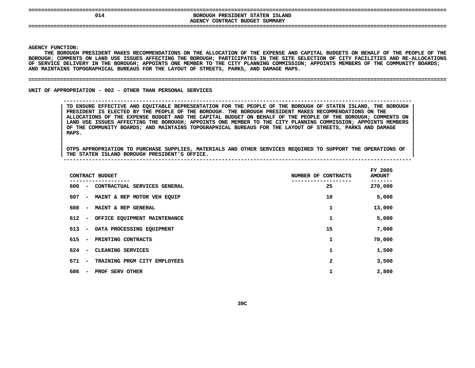| 014 | --------------------------------------<br>PRESIDENT STATEN ISLAND<br>BOROUGH<br>SUMMARY<br>' BUDGET<br>CONTRACT C<br><b>AGENCY</b> |
|-----|------------------------------------------------------------------------------------------------------------------------------------|
| === |                                                                                                                                    |

Y FUNCTION:<br>THE BOROUGE<br>GH<mark>;</mark> COMMENT **THE**E BOROUGH PRESIDENT MAKES RECOMMENDATIONS ON THE ALLOCATION OF THE EXPENSE AND CAPITAL BUDGETS ON BEHALF OF THE PEOPLE OF THE<br>; COMMENTS ON LAND USE ISSUES AFFECTING THE BOROUGH; PARTICIPATES IN THE SITE SELECTION OF CITY **BOROUGH;**; COMMENTS ON LAND USE ISSUES AFFECTING THE BOROUGH; PARTICIPATES IN THE SITE SELECTION OF CITY FACILITIES AND RE-ALLOCATIONS<br>ICE DELIVERY IN THE BOROUGH; APPOINTS ONE MEMBER TO THE CITY PLANNING COMMISSION; APPOINTS MEMBE OF SERVICE DELIVERY IN THE BOROUGH; APPOINTS ONE MEMBER TO THE CITY PLANNING COMMISSION; APPOINTS MEMBERS OF THE COMMUNITY BOARDS;<br>AND MAINTAINS TOPOGRAPHICAL BUREAUS FOR THE LAYOUT OF STREETS, PARKS, AND DAMAGE MAPS.<br>———— AND MAINTAINS TOPOGRAPHICAL BUREAUS FOR THE LAYOUT OF STREETS, PARKS, AND DAMAGE MAPS.

### **MAINTAINS TOPOGRAPHICAL BUREAUS FOR THE LAYOUT OF STREETS, PARKS, AND DAMAGE MAPS. ====================================================================================================================================**

UNIT OF APPROPRIATION - 002 - OTHER THAN PERSONAL SERVICES

**OF APPROPRIATION - <sup>002</sup> - OTHER THAN PERSONAL SERVICES --------------------------------------------------------------------------------------------------------------**

TO ENSURE EFFECTIVE AND EQUITABLE REPRESENTATION FOR THE PEOPLE OF THE BOROUGH OF STATEN ISLAND, THE BOROUGH<br>PRESIDENT IS ELECTED BY THE PEOPLE OF THE BOROUGH. THE BOROUGH PRESIDENT MAKES RECOMMENDATIONS ON THE<br>ALLOCATIONS **PRESIDENT IS ELECTED BY THE PEOPLE OF THE BOROUGH. THE BOROUGH PRESIDENT MAKES RECOMMENDATIONS ON THE <sup>|</sup>** ALLOCATIONS OF THE EXPENSE BUDGET AND THE CAPITAL BUDGET ON BEHALF OF THE PEOPLE OF THE BOROUGH; COMMENTS ON LAND USE ISSUES AFFECTING THE BOROUGH; APPOINTS MEMBERS<br>OF THE COMMUNITY BOARDS; AND MAINTAINS TOPOGRAPHICAL BURE LAND USE ISSUES AFFECTING THE BOROUGH; APPOINTS ONE MEMBER TO THE CITY PLANNING COMMISSION; APPOINTS MEMBERS<br>OF THE COMMUNITY BOARDS; AND MAINTAINS TOPOGRAPHICAL BUREAUS FOR THE LAYOUT OF STREETS, PARKS AND DAMAGE<br>MAPS. OF THE COMMUNITY BOARDS; AND MAINTAINS TOPOGRAPHICAL BUREAUS FOR THE LAYOUT OF STREETS, PARKS AND DAMAGE<br>MAPS. **MAPS. <sup>|</sup>**

|<br>| OTPS APPROPRIATION TO PURCHASE SUPPLIES, MATERIALS AND OTHER SERVICES REQUIRED TO SUPPORT THE OPERATIONS OF |<br>| OTPS APPROPRIATION TO PURCHASE SUPPLIES, MATERIALS AND OTHER SERVICES REQUIRED TO SUPPORT THE OPERATIONS OF<br>| THE STATEN ISLAND BOROUGH PRESIDENT'S OFFICE. **OTPS APPROPRIATION TO PURCHASE SUPPLIES, MATERIALS AND OTHER SERVICES REQUIRED TO SUPPORT THE OPERATIONS OF <sup>|</sup> THE STATEN ISLAND BOROUGH PRESIDENT'S OFFICE. <sup>|</sup> --------------------------------------------------------------------------------------------------------------**

|     | CONTRACT BUDGET                                          | NUMBER OF CONTRACTS | FY 2005<br><b>AMOUNT</b> |
|-----|----------------------------------------------------------|---------------------|--------------------------|
| 600 | CONTRACTUAL SERVICES GENERAL<br>$\overline{\phantom{a}}$ | 25                  | 270,000                  |
| 607 | MAINT & REP MOTOR VEH EQUIP<br>$\overline{\phantom{a}}$  | 10                  | 5,000                    |
| 608 | MAINT & REP GENERAL<br>$\overline{\phantom{a}}$          | 1                   | 13,000                   |
| 612 | - OFFICE EQUIPMENT MAINTENANCE                           | 1                   | 5,000                    |
| 613 | DATA PROCESSING EQUIPMENT<br>$\blacksquare$              | 15                  | 7,000                    |
| 615 | PRINTING CONTRACTS<br>$\overline{\phantom{a}}$           | 1                   | 70,000                   |
| 624 | CLEANING SERVICES<br>$\overline{\phantom{a}}$            | 1                   | 1,500                    |
| 671 | TRAINING PRGM CITY EMPLOYEES<br>$\overline{\phantom{a}}$ | 2                   | 3,500                    |
| 686 | PROF SERV OTHER<br>$\overline{\phantom{a}}$              | 1                   | 2,800                    |
|     |                                                          |                     |                          |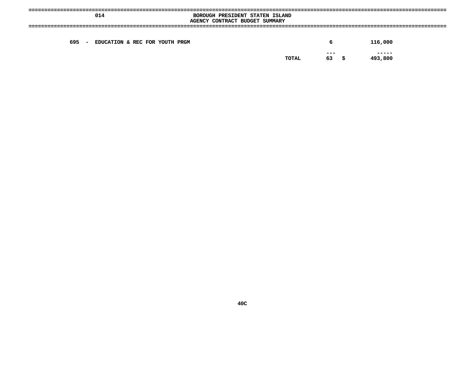|       | 014                            | BOROUGH PRESIDENT STATEN ISLAND<br>AGENCY CONTRACT BUDGET SUMMARY |                        |                  |
|-------|--------------------------------|-------------------------------------------------------------------|------------------------|------------------|
| 695 – | EDUCATION & REC FOR YOUTH PRGM |                                                                   | 6                      | 116,000          |
|       |                                |                                                                   | $- - -$<br>63<br>TOTAL | -----<br>493,800 |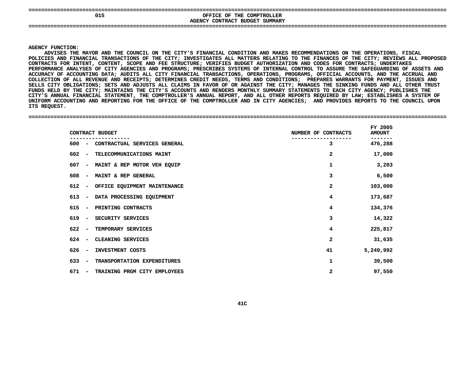| 015 | OFFICE OF<br>THE COMPTROLLER                                        |  |
|-----|---------------------------------------------------------------------|--|
|     | <b>CONTRACT</b><br><b>SUMMARY</b><br><b>BUDGET</b><br><b>AGENCY</b> |  |
|     |                                                                     |  |

**CONTRACT BUDGET SUMMARY ====================================================================================================================================**

### **AGENCY**

**Y FUNCTION:<br>ADVISES THE<br>IES AND FIN<br>IES AND FIN** ADVISES THE MAYOR AND THE COUNCIL ON THE CITY'S FINANCIAL CONDITION AND MAKES RECOMMENDATIONS ON THE OPERATIONS, FISCAL S THE MAYOR AND THE COUNCIL ON THE CITY'S FINANCIAL CONDITION AND MAKES RECOMMENDATIONS ON THE OPERATIONS, FISCAL<br>D FINANCIAL TRANSACTIONS OF THE CITY; INVESTIGATES ALL MATTERS RELATING TO THE FINANCES OF THE CITY; REVIEWS **POLICIES**S AND FINANCIAL TRANSACTIONS OF THE CITY; INVESTIGATES ALL MATTERS RELATING TO THE FINANCES OF THE CITY; REVIEWS ALL PROPOSED<br>TS FOR INTENT, CONTENT, SCOPE AND FEE STRUCTURE; VERIFIES BUDGET AUTHORIZATION AND CODES FOR CON CONTRACTS FOR INTENT, CONTENT, SCOPE AND FEE STRUCTURE: VERIFIES BUDGET AUTHORIZATION AND CODES FOR CONTRACTS: UNDERTAKES **FOR INTENT, CONTENT, SCOPE AND FEE STRUCTURE; VERIFIES BUDGET AUTHORIZATION AND CODES FOR CONTRACTS; UNDERTAKES PERFORMANCE**E ANALYSES OF CITY AGENCIES AND PROGRAMS; PRESCRIBES SYSTEMS OF INTERNAL CONTROL TO ASSURE THE SAFEGUARDING OF ASSETS AND<br>F ACCOUNTING DATA; AUDITS ALL CITY FINANCIAL TRANSACTIONS, OPERATIONS, PROGRAMS, OFFICIAL ACCOUNTS, **ACCURACY**Y OF ACCOUNTING DATA; AUDITS ALL CITY FINANCIAL TRANSACTIONS, OPERATIONS, PROGRAMS, OFFICIAL ACCOUNTS, AND THE ACCRUAL AND<br>ION OF ALL REVENUE AND RECEIPTS; DETERMINES CREDIT NEEDS, TERMS AND CONDITIONS; PREPARES WARRANTS F COLLECTION OF ALL REVENUE AND RECEIPTS: DETERMINES CREDIT NEEDS. TERMS AND CONDITIONS: PREPARES WARRANTS FOR PAYMENT. ISSUES AND N OF ALL REVENUE AND RECEIPTS; DETERMINES CREDIT NEEDS, TERMS AND CONDITIONS; PREPARES WARRANTS FOR PAYMENT, ISSUES AND<br>Y OBLIGATIONS; SETS AND ADJUSTS ALL CLAIMS IN FAVOR OF OR AGAINST THE CITY; MANAGES THE SINKING FUNDS **SELLS**S CITY OBLIGATIONS; SETS AND ADJUSTS ALL CLAIMS IN FAVOR OF OR AGAINST THE CITY; MANAGES THE SINKING FUNDS AND ALL OTHER TRUST<br>S HELD BY THE CITY; MAINTAINS THE CITY'S ACCOUNTS AND RENDERS MONTHLY SUMMARY STATEMENTS TO EAC **FUNDS**S HELD BY THE CITY; MAINTAINS THE CITY'S ACCOUNTS AND RENDERS MONTHLY SUMMARY STATEMENTS TO EACH CITY AGENCY; PUBLISHES THE<br>'S ANNUAL FINANCIAL STATEMENT, THE COMPTROLLER'S ANNUAL REPORT, AND ALL OTHER REPORTS REQUIRED BY CITY'S ANNUAL FINANCIAL STATEMENT, THE COMPTROLLER'S ANNUAL REPORT, AND ALL OTHER REPORTS REOUIRED BY LAW: ESTABLISHES A S ANNUAL FINANCIAL STATEMENT, THE COMPTROLLER'S ANNUAL REPORT, AND ALL OTHER REPORTS REQUIRED BY LAW; ESTABLISHES A SYSTEM OF<br>RM ACCOUNTING AND REPORTING FOR THE OFFICE OF THE COMPTROLLER AND IN CITY AGENCIES; AND PROVIDES **UNIFORM ACCOUNTING AND REPORTING FOR THE OFFICE OF THE COMPTROLLER AND IN CITY AGENCIES; AND PROVIDES REPORTS TO THE COUNCIL UPON** ITS REQUEST.

#### **REQUEST. ====================================================================================================================================**

| CONTRACT BUDGET                                                 | NUMBER OF CONTRACTS | FY 2005<br><b>AMOUNT</b> |
|-----------------------------------------------------------------|---------------------|--------------------------|
| CONTRACTUAL SERVICES GENERAL<br>$600 -$                         | 3                   | 476,288                  |
| 602<br>TELECOMMUNICATIONS MAINT<br>$\sim$                       | $\mathbf{2}$        | 17,000                   |
| 607<br>MAINT & REP MOTOR VEH EQUIP<br>$\blacksquare$            | 1                   | 3,203                    |
| 608<br>MAINT & REP GENERAL<br>$\overline{\phantom{a}}$          | 3                   | 6,500                    |
| 612<br>OFFICE EQUIPMENT MAINTENANCE<br>$\overline{\phantom{a}}$ | $\mathbf{2}$        | 103,000                  |
| 613<br>DATA PROCESSING EQUIPMENT<br>$\overline{\phantom{a}}$    | 4                   | 173,687                  |
| 615<br>PRINTING CONTRACTS<br>$\overline{\phantom{a}}$           | 4                   | 134,376                  |
| 619<br>SECURITY SERVICES<br>$\sim$                              | 3                   | 14,322                   |
| 622<br>TEMPORARY SERVICES<br>$\sim$                             | 4                   | 225,817                  |
| CLEANING SERVICES<br>$624 -$                                    | 2                   | 31,635                   |
| 626<br>INVESTMENT COSTS<br>$\overline{\phantom{a}}$             | 41                  | 5,249,992                |
| 633<br>TRANSPORTATION EXPENDITURES<br>$\sim$                    | 1                   | 39,500                   |
| 671<br>TRAINING PRGM CITY EMPLOYEES<br>$\overline{\phantom{a}}$ | 2                   | 97,550                   |
|                                                                 |                     |                          |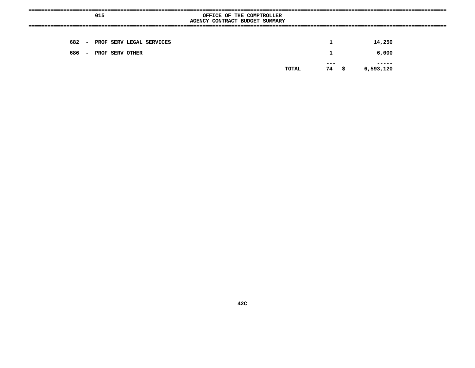|                                               | 015                            | OFFICE OF THE COMPTROLLER<br>AGENCY CONTRACT BUDGET SUMMARY |              |        |  |
|-----------------------------------------------|--------------------------------|-------------------------------------------------------------|--------------|--------|--|
|                                               | 682 - PROF SERV LEGAL SERVICES |                                                             | $\mathbf{1}$ | 14,250 |  |
| $\mathbf 1$<br>6,000<br>686 - PROF SERV OTHER |                                |                                                             |              |        |  |
| ---<br>6,593,120<br>74 \$<br>TOTAL            |                                |                                                             |              |        |  |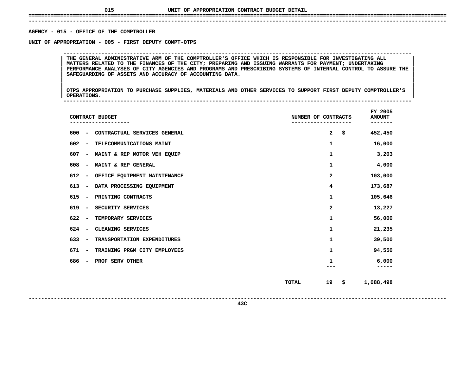## **UNIT OF APPROPRIATION CONTRACT BUDGET DETAIL ====================================================================================================================================**

### **------------------------------------------------------------------------------------------------------------------------------------**AGENCY - 015 - OFFICE OF THE COMPTROLLER

**- <sup>015</sup> - OFFICE OF THE COMPTROLLER UNIT**

THE GENERAL ADMINISTRATIVE ARM OF THE COMPTROLLER'S OFFICE WHICH IS RESPONSIBLE FOR INVESTIGATING ALL<br>MATTERS RELATED TO THE FINANCES OF THE CITY; PREPARING AND ISSUING WARRANTS FOR PAYMENT; UNDERTAKING **THE GENERAL ADMINISTRATIVE ARM OF THE COMPTROLLER'S OFFICE WHICH IS RESPONSIBLE FOR INVESTIGATING ALL <sup>|</sup> <sup>|</sup> MATTERS RELATED TO THE FINANCES OF THE CITY; PREPARING AND ISSUING WARRANTS FOR PAYMENT; UNDERTAKING <sup>|</sup> <sup>|</sup>**PERFORMANCE ANALYSES OF CITY AGENCIES AND PROGRAMS AND PRESCRIBING SYSTEMS OF INTERNAL CONTROL TO ASSURE THE SAFEGUARDING OF ASSETS AND ACCURACY OF ACCOUNTING DATA.<br>SAFEGUARDING OF ASSETS AND ACCURACY OF ACCOUNTING DATA. **SAFEGUARDING OF ASSETS AND ACCURACY OF ACCOUNTING DATA. <sup>|</sup> <sup>|</sup>**

**OF APPROPRIATION - <sup>005</sup> - FIRST DEPUTY COMPT-OTPS --------------------------------------------------------------------------------------------------------------**

|<br>| OTPS\_APPROPRIATION TO PURCHASE SUPPLIES, MATERIALS AND OTHER SERVICES TO SUPPORT FIRST DEPUTY COMPTROLLER'S |<br>| OTPS APPROPRIATION TO PURCHASE SUPPLIES, MATERIALS AND OTHER SERVICES TO SUPPORT FIRST DEPUTY COMPTROLLER'S<br>| OPERATIONS. **OTPS APPROPRIATION TO PURCHASE SUPPLIES, MATERIALS AND OTHER SERVICES TO SUPPORT FIRST DEPUTY COMPTROLLER'S <sup>|</sup> <sup>|</sup>OPERATIONS. <sup>|</sup> --------------------------------------------------------------------------------------------------------------**

|                                 | CONTRACT BUDGET              | NUMBER OF CONTRACTS |              |      | FY 2005<br><b>AMOUNT</b><br>------ |
|---------------------------------|------------------------------|---------------------|--------------|------|------------------------------------|
| 600<br>$\overline{\phantom{m}}$ | CONTRACTUAL SERVICES GENERAL |                     | $\mathbf{2}$ | \$   | 452,450                            |
| 602<br>$\overline{\phantom{a}}$ | TELECOMMUNICATIONS MAINT     |                     | $\mathbf 1$  |      | 16,000                             |
| 607<br>$\overline{\phantom{a}}$ | MAINT & REP MOTOR VEH EQUIP  |                     | 1            |      | 3,203                              |
| 608<br>$\overline{\phantom{m}}$ | MAINT & REP GENERAL          |                     | 1            |      | 4,000                              |
| 612<br>$\overline{\phantom{a}}$ | OFFICE EQUIPMENT MAINTENANCE |                     | 2            |      | 103,000                            |
| 613<br>$\overline{\phantom{a}}$ | DATA PROCESSING EQUIPMENT    |                     | 4            |      | 173,687                            |
| 615<br>$\overline{\phantom{a}}$ | PRINTING CONTRACTS           |                     | 1            |      | 105,646                            |
| 619<br>$\overline{\phantom{a}}$ | SECURITY SERVICES            |                     | $\mathbf{2}$ |      | 13,227                             |
| 622<br>$\overline{\phantom{a}}$ | TEMPORARY SERVICES           |                     | 1            |      | 56,000                             |
| 624<br>$\overline{\phantom{a}}$ | CLEANING SERVICES            |                     | $\mathbf 1$  |      | 21,235                             |
| 633<br>$\overline{\phantom{a}}$ | TRANSPORTATION EXPENDITURES  |                     | 1            |      | 39,500                             |
| 671<br>$\overline{\phantom{m}}$ | TRAINING PRGM CITY EMPLOYEES |                     | 1            |      | 94,550                             |
| 686<br>$\overline{\phantom{a}}$ | PROF SERV OTHER              |                     | 1            |      | 6,000                              |
|                                 |                              | <b>TOTAL</b>        | 19           | - \$ | 1,088,498                          |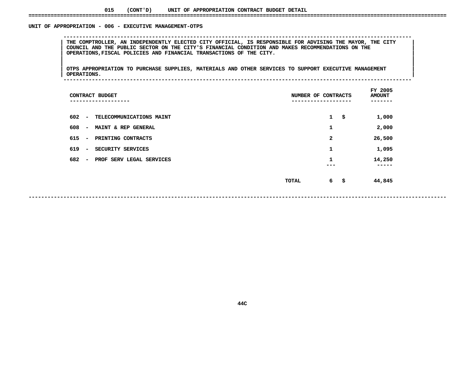### UNIT OF APPROPRIATION - 006 - EXECUTIVE MANAGEMENT-OTPS

 **OF APPROPRIATION - <sup>006</sup> - EXECUTIVE MANAGEMENT-OTPS --------------------------------------------------------------------------------------------------------------**THE COMPTROLLER, AN INDEPENDENTLY ELECTED CITY OFFICIAL, IS RESPONSIBLE FOR ADVISING THE MAYOR, THE CITY<br>COUNCIL AND THE PUBLIC SECTOR ON THE CITY'S FINANCIAL CONDITION AND MAKES RECOMMENDATIONS ON THE<br>OPERATIONS,FISCAL PO **COUNCIL AND THE PUBLIC SECTOR ON THE CITY'S FINANCIAL CONDITION AND MAKES RECOMMENDATIONS ON THE <sup>|</sup> <sup>|</sup>OPERATIONS,FISCAL POLICIES AND FINANCIAL TRANSACTIONS OF THE CITY. <sup>|</sup> <sup>|</sup>**

|<br>| OTPS\_APPROPRIATION TO PURCHASE SUPPLIES, MATERIALS AND OTHER SERVICES TO SUPPORT EXECUTIVE MANAGEMENT |<br>| OTPS APPROPRIATION TO PURCHASE SUPPLIES, MATERIALS AND OTHER SERVICES TO SUPPORT EXECUTIVE MANAGEMENT<br>| OPERATIONS. **OTPS APPROPRIATION TO PURCHASE SUPPLIES, MATERIALS AND OTHER SERVICES TO SUPPORT EXECUTIVE MANAGEMENT <sup>|</sup> <sup>|</sup>OPERATIONS. <sup>|</sup> --------------------------------------------------------------------------------------------------------------**

| ---------                |                 |              | FY 2005<br><b>AMOUNT</b><br>---- |
|--------------------------|-----------------|--------------|----------------------------------|
| TELECOMMUNICATIONS MAINT |                 | $\mathbf{1}$ | \$<br>1,000                      |
| MAINT & REP GENERAL      |                 | 1            | 2,000                            |
| PRINTING CONTRACTS       |                 | 2            | 26,500                           |
| SECURITY SERVICES        |                 | 1            | 1,095                            |
| PROF SERV LEGAL SERVICES |                 | 1            | 14,250<br>----                   |
|                          | TOTAL           | 6            | \$<br>44,845                     |
|                          | CONTRACT BUDGET |              | NUMBER OF CONTRACTS              |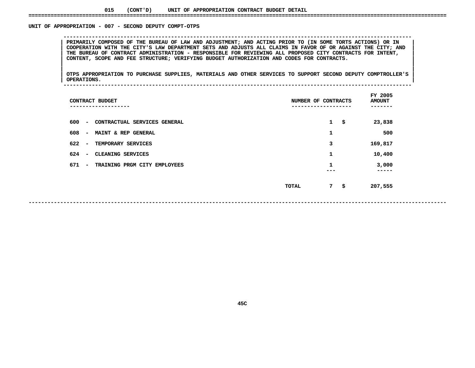### **015(CONT'D) UNIT OF APPROPRIATION CONTRACT BUDGET DETAIL ====================================================================================================================================**

### UNIT OF APPROPRIATION - 007 - SECOND DEPUTY COMPT-OTPS

PRIMARILY COMPOSED OF THE BUREAU OF LAW AND ADJUSTMENT; AND ACTING PRIOR TO (IN SOME TORTS ACTIONS) OR IN<br>COOPERATION WITH THE CITY'S LAW DEPARTMENT SETS AND ADJUSTS ALL CLAIMS IN FAVOR OF OR AGAINST THE CITY; AND PRIMARILY COMPOSED OF THE BUREAU OF LAW AND ADJUSTMENT; AND ACTING PRIOR TO (IN SOME TORTS ACTIONS) OR IN COOPERATION WITH THE CITY'S LAW DEPARTMENT SETS AND ADJUSTS ALL CLAIMS IN FAVOR OF OR AGAINST THE CITY; AND THE BURE COOPERATION WITH THE CITY'S LAW DEPARTMENT SETS AND ADJUSTS ALL CLAIMS IN FAVOR OF OR AGAINST THE CITY; AND<br>THE BUREAU OF CONTRACT ADMINISTRATION - RESPONSIBLE FOR REVIEWING ALL PROPOSED CITY CONTRACTS FOR INTENT,<br>CONTENT, THE BUREAU OF CONTRACT ADMINISTRATION - RESPONSIBLE FOR REVIEWING ALL PROPOSED CITY CONTRACTS FOR INTENT,<br>CONTENT, SCOPE AND FEE STRUCTURE; VERIFYING BUDGET AUTHORIZATION AND CODES FOR CONTRACTS.<br>| **CONTENT, SCOPE AND FEE STRUCTURE; VERIFYING BUDGET AUTHORIZATION AND CODES FOR CONTRACTS. <sup>|</sup> <sup>|</sup>**

**OF APPROPRIATION - <sup>007</sup> - SECOND DEPUTY COMPT-OTPS --------------------------------------------------------------------------------------------------------------**

|<br>| OTPS\_APPROPRIATION TO PURCHASE SUPPLIES, MATERIALS AND OTHER SERVICES TO SUPPORT SECOND DEPUTY COMPTROLLER'S |<br>| OTPS APPROPRIATION TO PURCHASE SUPPLIES, MATERIALS AND OTHER SERVICES TO SUPPORT SECOND DEPUTY COMPTROLLER'S<br>| OPERATIONS. **OTPS APPROPRIATION TO PURCHASE SUPPLIES, MATERIALS AND OTHER SERVICES TO SUPPORT SECOND DEPUTY COMPTROLLER'S <sup>|</sup> <sup>|</sup>OPERATIONS. <sup>|</sup> --------------------------------------------------------------------------------------------------------------**

| CONTRACT BUDGET<br>-----------                                  | NUMBER OF CONTRACTS |              |    |                |  |
|-----------------------------------------------------------------|---------------------|--------------|----|----------------|--|
| 600<br>CONTRACTUAL SERVICES GENERAL<br>$\overline{\phantom{a}}$ |                     | $\mathbf{1}$ | \$ | 23,838         |  |
| 608<br>MAINT & REP GENERAL<br>$\overline{\phantom{a}}$          |                     | 1            |    | 500            |  |
| 622<br>TEMPORARY SERVICES<br>$\overline{\phantom{a}}$           |                     | 3            |    | 169,817        |  |
| 624<br>CLEANING SERVICES<br>$\overline{\phantom{0}}$            |                     | 1            |    | 10,400         |  |
| 671<br>TRAINING PRGM CITY EMPLOYEES<br>$\overline{\phantom{a}}$ |                     | 1            |    | 3,000<br>----- |  |
|                                                                 | TOTAL               | $7 -$        | \$ | 207,555        |  |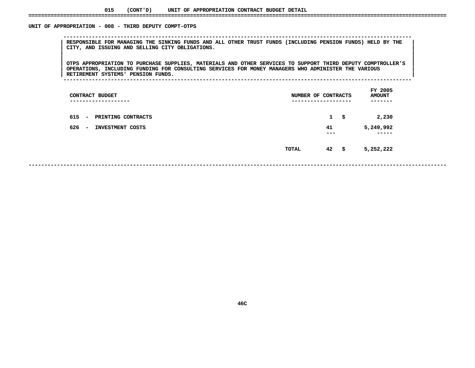UNIT OF APPROPRIATION - 008 - THIRD DEPUTY COMPT-OTPS

 **OF APPROPRIATION - <sup>008</sup> - THIRD DEPUTY COMPT-OTPS --------------------------------------------------------------------------------------------------------------**RESPONSIBLE FOR MANAGING THE SINKING FUNDS AND ALL OTHER TRUST FUNDS (INCLUDING PENSION FUNDS) HELD BY THE FUNDS<br>| CITY, AND ISSUING AND SELLING CITY OBLIGATIONS.<br>| **CITY, AND ISSUING AND SELLING CITY OBLIGATIONS. <sup>|</sup> <sup>|</sup>**

OTPS APPROPRIATION TO PURCHASE SUPPLIES, MATERIALS AND OTHER SERVICES TO SUPPORT THIRD DEPUTY COMPTROLLER'S |<br>| OTPS APPROPRIATION TO PURCHASE SUPPLIES, MATERIALS AND OTHER SERVICES TO SUPPORT THIRD DEPUTY COMPTROLLER'S<br>| OPERATIONS, INCLUDING FUNDING FOR CONSULTING SERVICES FOR MONEY MANAGERS WHO ADMINISTER THE VARIOUS **OTPS APPROPRIATION TO PURCHASE SUPPLIES, MATERIALS AND OTHER SERVICES TO SUPPORT THIRD DEPUTY COMPTROLLER'S <sup>|</sup> <sup>|</sup> OPERATIONS, INCLUDING FUNDING FOR CONSULTING SERVICES FOR MONEY MANAGERS WHO ADMINISTER THE VARIOUS <sup>|</sup> <sup>|</sup>RETIREMENT SYSTEMS' PENSION FUNDS. <sup>|</sup> --------------------------------------------------------------------------------------------------------------**

| CONTRACT BUDGET<br>-------------                                                                             | NUMBER OF CONTRACTS<br>------------ |                           |          | FY 2005<br><b>AMOUNT</b><br>---- |
|--------------------------------------------------------------------------------------------------------------|-------------------------------------|---------------------------|----------|----------------------------------|
| 615<br>PRINTING CONTRACTS<br>$\overline{\phantom{a}}$<br>626<br>INVESTMENT COSTS<br>$\overline{\phantom{a}}$ |                                     | $\mathbf{1}$<br>41<br>--- | \$       | 2,230<br>5,249,992<br>-----      |
|                                                                                                              | TOTAL                               | 42                        | <b>字</b> | 5,252,222                        |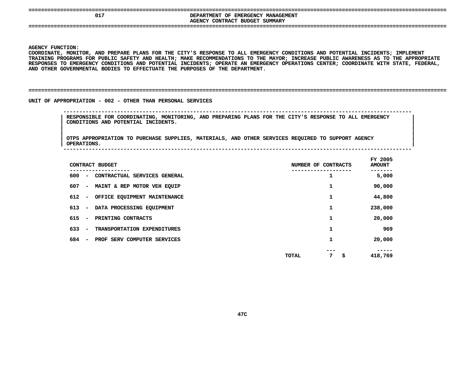| 01' | DEPARTMENT OF EMERGENCY MANAGEMENT<br>AGENCY CONTRACT BUDGET SUMMARY |
|-----|----------------------------------------------------------------------|
|     |                                                                      |

 **FUNCTION: COORDINATE,**, MONITOR, AND PREPARE PLANS FOR THE CITY'S RESPONSE TO ALL EMERGENCY CONDITIONS AND POTENTIAL INCIDENTS; IMPLEMENT<br>ROGRAMS FOR PUBLIC SAFETY AND HEALTH; MAKE RECOMMENDATIONS TO THE MAYOR; INCREASE PUBLIC AWARENESS AS TO T **TRAINING**G PROGRAMS FOR PUBLIC SAFETY AND HEALTH; MAKE RECOMMENDATIONS TO THE MAYOR; INCREASE PUBLIC AWARENESS AS TO THE APPROPRIATE<br>ES TO EMERGENCY CONDITIONS AND POTENTIAL INCIDENTS; OPERATE AN EMERGENCY OPERATIONS CENTER; COORDI RESPONSES TO EMERGENCY CONDITIONS AND POTENTIAL INCIDENTS; OPERATE AN EMERGENCY OPERATIONS CENTER; COORDINATE WITH STATE, FEDERAL,<br>AND OTHER GOVERNMENTAL BODIES TO EFFECTUATE THE PURPOSES OF THE DEPARTMENT.<br>-**AND OTHER GOVERNMENTAL BODIES TO EFFECTUATE THE PURPOSES OF THE DEPARTMENT.**

**====================================================================================================================================**

UNIT OF APPROPRIATION - 002 - OTHER THAN PERSONAL SERVICES

 **OF APPROPRIATION - <sup>002</sup> - OTHER THAN PERSONAL SERVICES -------------------------------------------------------------------------------------------------------------- RESPONSIBLE FOR COORDINATING, MONITORING, AND PREPARING PLANS FOR THE CITY'S RESPONSE TO ALL EMERGENCY <sup>|</sup> CONDITIONS AND POTENTIAL INCIDENTS. <sup>|</sup>**

|<br>| OTPS\_APPROPRIATION TO PURCHASE SUPPLIES, MATERIALS, AND OTHER SERVICES REQUIRED TO SUPPORT AGENCY |<br>| OTPS APPROPRIATION TO PURCHASE SUPPLIES, MATERIALS, AND OTHER SERVICES REQUIRED TO SUPPORT AGENCY<br>| OPERATIONS. **OTPS APPROPRIATION TO PURCHASE SUPPLIES, MATERIALS, AND OTHER SERVICES REQUIRED TO SUPPORT AGENCY <sup>|</sup> OPERATIONS. <sup>|</sup> --------------------------------------------------------------------------------------------------------------**

| CONTRACT BUDGET                                                 | NUMBER OF CONTRACTS | FY 2005<br><b>AMOUNT</b> |
|-----------------------------------------------------------------|---------------------|--------------------------|
| 600<br>CONTRACTUAL SERVICES GENERAL<br>$\overline{\phantom{a}}$ | 1                   | 5,000                    |
| 607<br>MAINT & REP MOTOR VEH EQUIP<br>$\overline{\phantom{m}}$  | 1                   | 90,000                   |
| 612<br>OFFICE EQUIPMENT MAINTENANCE<br>$\overline{\phantom{a}}$ | 1                   | 44,800                   |
| 613<br>DATA PROCESSING EQUIPMENT<br>$\overline{\phantom{m}}$    | 1                   | 238,000                  |
| 615<br>PRINTING CONTRACTS<br>$\overline{\phantom{m}}$           | 1                   | 20,000                   |
| 633<br>TRANSPORTATION EXPENDITURES<br>$\overline{\phantom{m}}$  | 1                   | 969                      |
| 684<br>PROF SERV COMPUTER SERVICES<br>$\overline{\phantom{a}}$  | 1                   | 20,000                   |
|                                                                 | 7<br>\$<br>TOTAL    | 418,769                  |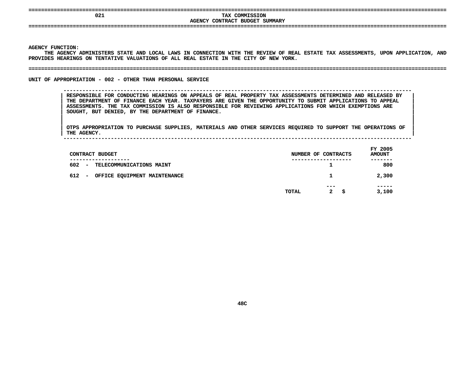|  | ------------- |  |  |  |  |  |
|--|---------------|--|--|--|--|--|
|  | ------------- |  |  |  |  |  |
|  |               |  |  |  |  |  |
|  |               |  |  |  |  |  |
|  |               |  |  |  |  |  |

**====================================================================================================================================**

## TAX COMMISSION<br>AGENCY CONTRACT BUDGET SUMMARY

 **TAX COMMISSION CONTRACT BUDGET SUMMARY ====================================================================================================================================**

**AGENCY**

Y FUNCTION:<br>THE AGENCY<br>DES HEARING THE AGENCY ADMINISTERS STATE AND LOCAL LAWS IN CONNECTION WITH THE REVIEW OF REAL ESTATE TAX ASSESSMENTS, UPON APPLICATION, AND<br>DES HEARINGS ON TENTATIVE VALUATIONS OF ALL REAL ESTATE IN THE CITY OF NEW YORK.<br>-PROVIDES HEARINGS ON TENTATIVE VALUATIONS OF ALL REAL ESTATE IN THE CITY OF NEW YORK.

#### **HEARINGS ON TENTATIVE VALUATIONS OF ALL REAL ESTATE IN THE CITY OF NEW YORK. ====================================================================================================================================**

UNIT OF APPROPRIATION - 002 - OTHER THAN PERSONAL SERVICE

**OF APPROPRIATION - <sup>002</sup> - OTHER THAN PERSONAL SERVICE --------------------------------------------------------------------------------------------------------------**

 **RESPONSIBLE FOR CONDUCTING HEARINGS ON APPEALS OF REAL PROPERTY TAX ASSESSMENTS DETERMINED AND RELEASED BY <sup>|</sup>** THE DEPARTMENT OF FINANCE EACH YEAR. TAXPAYERS ARE GIVEN THE OPPORTUNITY TO SUBMIT APPLICATIONS TO APPEAL<br>ASSESSMENTS. THE TAX COMMISSION IS ALSO RESPONSIBLE FOR REVIEWING APPLICATIONS FOR WHICH EXEMPTIONS ARE<br>SOUGHT, BUT **ASSESSMENTS. THE TAX COMMISSION IS ALSO RESPONSIBLE FOR REVIEWING APPLICATIONS FOR WHICH EXEMPTIONS ARE <sup>|</sup> SOUGHT, BUT DENIED, BY THE DEPARTMENT OF FINANCE. <sup>|</sup>**

|<br>| OTPS\_APPROPRIATION TO PURCHASE SUPPLIES, MATERIALS AND OTHER SERVICES REQUIRED TO SUPPORT THE OPERATIONS OF OTPS APPROPRIATION TO PURCHASE SUPPLIES, MATERIALS AND OTHER SERVICES REQUIRED TO SUPPORT THE OPERATIONS OF THE OPERATIONS OF **OTPS APPROPRIATION TO PURCHASE SUPPLIES, MATERIALS AND OTHER SERVICES REQUIRED TO SUPPORT THE OPERATIONS OF <sup>|</sup> THE AGENCY. <sup>|</sup> --------------------------------------------------------------------------------------------------------------**

| CONTRACT BUDGET                                                             |       | NUMBER OF CONTRACTS        | FY 2005<br><b>AMOUNT</b> |
|-----------------------------------------------------------------------------|-------|----------------------------|--------------------------|
| ------------<br>602<br>TELECOMMUNICATIONS MAINT<br>$\overline{\phantom{a}}$ |       | -----------------          | -------<br>800           |
| 612<br>OFFICE EQUIPMENT MAINTENANCE<br>$\overline{\phantom{a}}$             |       | 1                          | 2,300                    |
|                                                                             | TOTAL | ---<br>$\mathbf{2}$<br>\$. | -----<br>3,100           |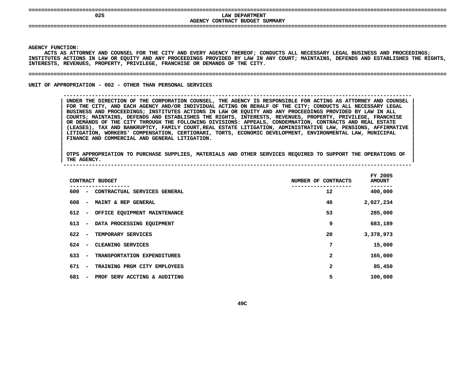## **LAW DEPARTMENT<br>AGENCY CONTRACT BUDGET SUMMARY LAW DEPARTMENT**

**CONTRACT BUDGET SUMMARY ====================================================================================================================================**

### **AGENCY**

Y FUNCTION:<br>ACTS AS AT<mark>I</mark><br>TUTES ACTIC **ACTS**S AS ATTORNEY AND COUNSEL FOR THE CITY AND EVERY AGENCY THEREOF; CONDUCTS ALL NECESSARY LEGAL BUSINESS AND PROCEEDINGS;<br>ES ACTIONS IN LAW OR EQUITY AND ANY PROCEEDINGS PROVIDED BY LAW IN ANY COURT; MAINTAINS, DEFENDS AND E INSTITUTES ACTIONS IN LAW OR EQUITY AND ANY PROCEEDINGS PROVIDED BY LAW IN ANY COURT; MAINTAINS, DEFENDS AND ESTABLISHES THE RIGHTS,<br>INTERESTS, REVENUES, PROPERTY, PRIVILEGE, FRANCHISE OR DEMANDS OF THE CITY.<br>-------------**INTERESTS, REVENUES, PROPERTY, PRIVILEGE, FRANCHISE OR DEMANDS OF THE CITY.** 

**REVENUES, PROPERTY, PRIVILEGE, FRANCHISE OR DEMANDS OF THE CITY. ====================================================================================================================================**

**UNIT OF APPROPRIATION - 002 - OTHER THAN PERSONAL SERVICES** 

#### **OF APPROPRIATION - <sup>002</sup> - OTHER THAN PERSONAL SERVICES --------------------------------------------------------------------------------------------------------------**

UNDER THE DIRECTION OF THE CORPORATION COUNSEL, THE AGENCY IS RESPONSIBLE FOR ACTING AS ATTORNEY AND COUNSEL<br>FOR THE CITY, AND EACH AGENCY AND/OR INDIVIDUAL ACTING ON BEHALF OF THE CITY; CONDUCTS ALL NECESSARY LEGAL<br>BUSINE FOR THE CITY, AND EACH AGENCY AND/OR INDIVIDUAL ACTING ON BEHALF OF THE CITY; CONDUCTS ALL NECESSARY LEGAL<br>BUSINESS AND PROCEEDINGS; INSTITUTES ACTIONS IN LAW OR EQUITY AND ANY PROCEEDINGS PROVIDED BY LAW IN ALL<br>COURTS; MA BUSINESS AND PROCEEDINGS; INSTITUTES ACTIONS IN LAW OR EQUITY AND ANY PROCEEDINGS PROVIDED BY LAW IN ALL<br>COURTS; MAINTAINS, DEFENDS AND ESTABLISHES THE RIGHTS, INTERESTS, REVENUES, PROPERTY, PRIVILEGE, FRANCHISE<br>OR DEMANDS **COURTS; MAINTAINS, DEFENDS AND ESTABLISHES THE RIGHTS, INTERESTS, REVENUES, PROPERTY, PRIVILEGE, FRANCHISE <sup>|</sup> OR DEMANDS OF THE CITY THROUGH THE FOLLOWING DIVISIONS: APPEALS, CONDEMNATION, CONTRACTS AND REAL ESTATE <sup>|</sup> (LEASES), TAX AND BANKRUPTCY, FAMILY COURT,REAL ESTATE LITIGATION, ADMINISTRATIVE LAW, PENSIONS, AFFIRMATIVE <sup>|</sup> LITIGATION, WORKERS' COMPENSATION, CERTIORARI, TORTS, ECONOMIC DEVELOPMENT, ENVIRONMENTAL LAW, MUNICIPAL <sup>|</sup> FINANCE AND COMMERCIAL AND GENERAL LITIGATION. <sup>|</sup>**

|<br>| OTPS\_APPROPRIATION TO PURCHASE SUPPLIES, MATERIALS AND OTHER SERVICES REQUIRED TO SUPPORT THE OPERATIONS OF OTPS APPROPRIATION TO PURCHASE SUPPLIES, MATERIALS AND OTHER SERVICES REQUIRED TO SUPPORT THE OPERATIONS OF THE AGENCY. **OTPS APPROPRIATION TO PURCHASE SUPPLIES, MATERIALS AND OTHER SERVICES REQUIRED TO SUPPORT THE OPERATIONS OF <sup>|</sup> THE AGENCY. <sup>|</sup> --------------------------------------------------------------------------------------------------------------**

| CONTRACT BUDGET                                                 | NUMBER OF CONTRACTS | FY 2005<br><b>AMOUNT</b> |
|-----------------------------------------------------------------|---------------------|--------------------------|
| 600<br>CONTRACTUAL SERVICES GENERAL<br>-                        | 12                  | 400,000                  |
| 608<br>MAINT & REP GENERAL<br>$\overline{\phantom{a}}$          | 40                  | 2,027,234                |
| 612<br>OFFICE EQUIPMENT MAINTENANCE<br>$\overline{\phantom{a}}$ | 53                  | 285,000                  |
| 613<br>DATA PROCESSING EQUIPMENT<br>$\overline{\phantom{a}}$    | 9                   | 683,189                  |
| 622<br>TEMPORARY SERVICES<br>$\overline{\phantom{a}}$           | 20                  | 3,378,973                |
| 624<br>CLEANING SERVICES<br>$\overline{\phantom{a}}$            | 7                   | 15,000                   |
| 633<br>TRANSPORTATION EXPENDITURES<br>$\overline{\phantom{a}}$  | 2                   | 165,000                  |
| 671<br>TRAINING PRGM CITY EMPLOYEES<br>$\overline{\phantom{a}}$ | 2                   | 85,450                   |
| 681<br>PROF SERV ACCTING & AUDITING<br>$\overline{\phantom{a}}$ | 5                   | 100,000                  |
|                                                                 |                     |                          |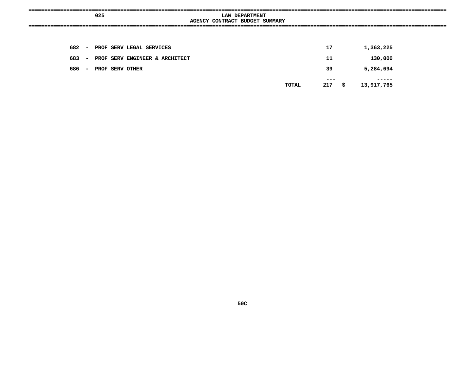|     |        | 025 |                                | LAW DEPARTMENT<br>AGENCY CONTRACT BUDGET SUMMARY |            |      |            |  |
|-----|--------|-----|--------------------------------|--------------------------------------------------|------------|------|------------|--|
|     |        |     |                                |                                                  |            |      |            |  |
| 682 |        |     | - PROF SERV LEGAL SERVICES     |                                                  | 17         |      | 1,363,225  |  |
| 683 | $\sim$ |     | PROF SERV ENGINEER & ARCHITECT |                                                  | 11         |      | 130,000    |  |
| 686 | $\sim$ |     | PROF SERV OTHER                |                                                  | 39         |      | 5,284,694  |  |
|     |        |     |                                | TOTAL                                            | ---<br>217 | - \$ | 13,917,765 |  |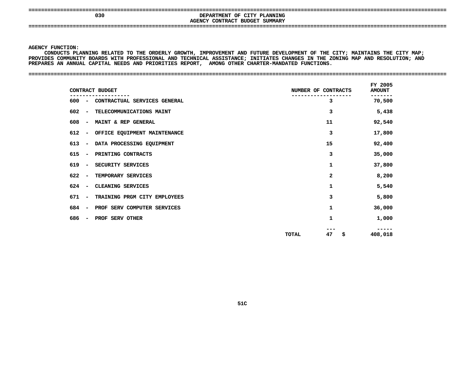### **==================================================================================================================================== <sup>030</sup> DEPARTMENT OF CITY PLANNING AGENCYCONTRACT BUDGET SUMMARY ====================================================================================================================================**

**AN ANNUAL CAPITAL NEEDS AND PRIORITIES REPORT, AMONG OTHER CHARTER-MANDATED FUNCTIONS. ====================================================================================================================================**

**AGENCY**

Y FUNCTION:<br>CONDUCTS PI<br>DES COMMUNI<br>-**CONDUCTS**S PLANNING RELATED TO THE ORDERLY GROWTH, IMPROVEMENT AND FUTURE DEVELOPMENT OF THE CITY; MAINTAINS THE CITY MAP;<br>MUNITY BOARDS WITH PROFESSIONAL AND TECHNICAL ASSISTANCE; INITIATES CHANGES IN THE ZONING MAP AND RESOLUTION **PROVIDES**S COMMUNITY BOARDS WITH PROFESSIONAL AND TECHNICAL ASSISTANCE; INITIATES CHANGES IN THE ZONING MAP AND RESOLUTION; AND<br>S AN ANNUAL CAPITAL NEEDS AND PRIORITIES REPORT, AMONG OTHER CHARTER-MANDATED FUNCTIONS.<br>-**PREPARES**

| CONTRACT BUDGET                         |                              | NUMBER OF CONTRACTS |          | <b>AMOUNT</b> |  |
|-----------------------------------------|------------------------------|---------------------|----------|---------------|--|
| 600 - CONTRACTUAL SERVICES GENERAL      |                              |                     | 3        | 70,500        |  |
| $602 -$                                 | TELECOMMUNICATIONS MAINT     |                     | 3        | 5,438         |  |
| 608 –<br><b>MAINT &amp; REP GENERAL</b> |                              |                     | 11       | 92,540        |  |
| 612 - OFFICE EQUIPMENT MAINTENANCE      |                              |                     | 3        | 17,800        |  |
| $613 -$                                 | DATA PROCESSING EQUIPMENT    |                     | 15       | 92,400        |  |
| 615 - PRINTING CONTRACTS                |                              |                     | 3        | 35,000        |  |
| 619 -<br>SECURITY SERVICES              |                              |                     | 1        | 37,800        |  |
| $622 -$<br>TEMPORARY SERVICES           |                              |                     | 2        | 8,200         |  |
| CLEANING SERVICES<br>$624 -$            |                              |                     | 1        | 5,540         |  |
| 671 -                                   | TRAINING PRGM CITY EMPLOYEES |                     | 3        | 5,800         |  |
| 684 -                                   | PROF SERV COMPUTER SERVICES  |                     | 1        | 36,000        |  |
| PROF SERV OTHER<br>686 –                |                              |                     | 1        | 1,000         |  |
|                                         |                              | <b>TOTAL</b>        | 47<br>\$ | 408,018       |  |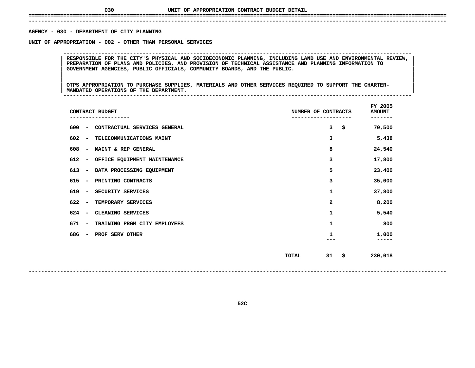## **UNIT OF APPROPRIATION CONTRACT BUDGET DETAIL ====================================================================================================================================**

### **------------------------------------------------------------------------------------------------------------------------------------**AGENCY - 030 - DEPARTMENT OF CITY PLANNING

**- <sup>030</sup> - DEPARTMENT OF CITY PLANNING UNIT**

 **OF APPROPRIATION - <sup>002</sup> - OTHER THAN PERSONAL SERVICES --------------------------------------------------------------------------------------------------------------**RESPONSIBLE FOR THE CITY'S PHYSICAL AND SOCIOECONOMIC PLANNING, INCLUDING LAND USE AND ENVIRONMENTAL REVIEW,<br>PREPARATION OF PLANS AND POLICIES, AND PROVISION OF TECHNICAL ASSISTANCE AND PLANNING INFORMATION TO<br>GOVERNMENT A **PREPARATION OF PLANS AND POLICIES, AND PROVISION OF TECHNICAL ASSISTANCE AND PLANNING INFORMATION TO <sup>|</sup> <sup>|</sup>GOVERNMENT AGENCIES, PUBLIC OFFICIALS, COMMUNITY BOARDS, AND THE PUBLIC. <sup>|</sup> <sup>|</sup>**

|<br>| OTPS\_APPROPRIATION\_TO\_PURCHASE\_SUPPLIES, MATERIALS\_AND\_OTHER\_SERVICES\_REQUIRED\_TO\_SUPPORT\_THE\_CHARTER-<br>| |<br>| OTPS APPROPRIATION TO PURCHASE SUPPLIES, MATERIALS AND OTHER SERVICES REQUIRED TO SUPPORT THE CHARTER-<br>| MANDATED OPERATIONS OF THE DEPARTMENT. **OTPS APPROPRIATION TO PURCHASE SUPPLIES, MATERIALS AND OTHER SERVICES REQUIRED TO SUPPORT THE CHARTER- <sup>|</sup> <sup>|</sup>MANDATED OPERATIONS OF THE DEPARTMENT. <sup>|</sup> --------------------------------------------------------------------------------------------------------------**

| CONTRACT BUDGET                                                 | NUMBER OF CONTRACTS | FY 2005<br><b>AMOUNT</b><br>. |
|-----------------------------------------------------------------|---------------------|-------------------------------|
| 600<br>CONTRACTUAL SERVICES GENERAL<br>$\overline{\phantom{a}}$ | \$<br>3             | 70,500                        |
| 602<br>TELECOMMUNICATIONS MAINT<br>$\overline{\phantom{a}}$     | з                   | 5,438                         |
| 608<br>MAINT & REP GENERAL<br>$\overline{\phantom{a}}$          | 8                   | 24,540                        |
| 612<br>OFFICE EQUIPMENT MAINTENANCE<br>$\overline{\phantom{a}}$ | 3                   | 17,800                        |
| 613<br>DATA PROCESSING EQUIPMENT<br>$\overline{\phantom{a}}$    | 5                   | 23,400                        |
| 615<br>PRINTING CONTRACTS<br>$\overline{\phantom{a}}$           | з                   | 35,000                        |
| 619<br>SECURITY SERVICES<br>$\overline{\phantom{a}}$            | 1                   |                               |
| 622<br>TEMPORARY SERVICES<br>$\overline{\phantom{a}}$           | 2                   | 8,200                         |
| 624<br>CLEANING SERVICES<br>$\overline{\phantom{a}}$            | 1                   | 5,540                         |
| 671<br>TRAINING PRGM CITY EMPLOYEES<br>$\overline{\phantom{m}}$ | 1                   | 800                           |
| 686<br>PROF SERV OTHER<br>$\qquad \qquad$                       | 1                   | 1,000<br>.                    |
|                                                                 | 31<br>\$<br>TOTAL   | 230,018                       |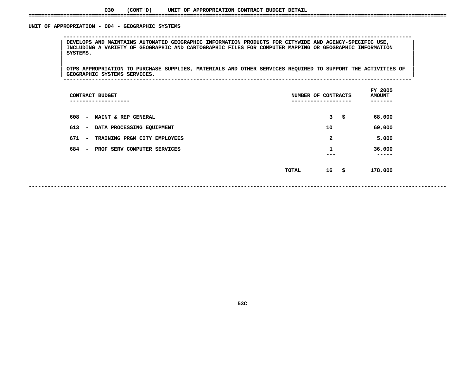### **030(CONT'D) UNIT OF APPROPRIATION CONTRACT BUDGET DETAIL ====================================================================================================================================**

### UNIT OF APPROPRIATION - 004 - GEOGRAPHIC SYSTEMS

 **OF APPROPRIATION - <sup>004</sup> - GEOGRAPHIC SYSTEMS -------------------------------------------------------------------------------------------------------------- <sup>|</sup> DEVELOPS AND MAINTAINS AUTOMATED GEOGRAPHIC INFORMATION PRODUCTS FOR CITYWIDE AND AGENCY-SPECIFIC USE, <sup>|</sup> <sup>|</sup> INCLUDING <sup>A</sup> VARIETY OF GEOGRAPHIC AND CARTOGRAPHIC FILES FOR COMPUTER MAPPING OR GEOGRAPHIC INFORMATION <sup>|</sup> <sup>|</sup>SYSTEMS. <sup>|</sup> <sup>|</sup>**

|<br>| OTPS\_APPROPRIATION\_TO\_PURCHASE\_SUPPLIES,\_MATERIALS\_AND\_OTHER\_SERVICES\_REQUIRED\_TO\_SUPPORT\_THE\_ACTIVITIES\_OF\_\_ |<br>| OTPS APPROPRIATION TO PURCHASE SUPPLIES, MATERIALS AND OTHER SERVICES REQUIRED TO SUPPORT THE ACTIVITIES OF<br>| GEOGRAPHIC SYSTEMS SERVICES. **OTPS APPROPRIATION TO PURCHASE SUPPLIES, MATERIALS AND OTHER SERVICES REQUIRED TO SUPPORT THE ACTIVITIES OF <sup>|</sup> <sup>|</sup>GEOGRAPHIC SYSTEMS SERVICES. <sup>|</sup> --------------------------------------------------------------------------------------------------------------**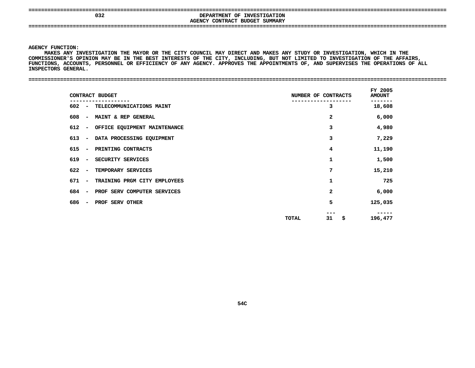**====================================================================================================================================**

### **<sup>032</sup> DEPARTMENT OF INVESTIGATION AGENCYCONTRACT BUDGET SUMMARY ====================================================================================================================================**

**AGENCY**

**Y FUNCTION:<br>MAKES ANY I<br>SSIONER'S C MAKES**S ANY INVESTIGATION THE MAYOR OR THE CITY COUNCIL MAY DIRECT AND MAKES ANY STUDY OR INVESTIGATION, WHICH IN THE<br>NER'S OPINION MAY BE IN THE BEST INTERESTS OF THE CITY, INCLUDING, BUT NOT LIMITED TO INVESTIGATION OF THE AFF **COMMISSIONER'S**S OPINION MAY BE IN THE BEST INTERESTS OF THE CITY, INCLUDING, BUT NOT LIMITED TO INVESTIGATION OF THE AFFAIRS,<br>COUNTS, PERSONNEL OR EFFICIENCY OF ANY AGENCY. APPROVES THE APPOINTMENTS OF, AND SUPERVISES THE OPERATIONS OF **FUNCTIONS, ACCOUNTS, PERSONNEL OR EFFICIENCY OF ANY AGENCY. APPROVES THE APPOINTMENTS OF, AND SUPERVISES THE OPERATIONS OF ALL INSPECTORS**

| <b>GENERAL</b><br><b>INSPECTORS</b> |  |
|-------------------------------------|--|
|                                     |  |
|                                     |  |

| CONTRACT BUDGET                                                   | NUMBER OF CONTRACTS | FY 2005<br><b>AMOUNT</b> |
|-------------------------------------------------------------------|---------------------|--------------------------|
| 602 - TELECOMMUNICATIONS MAINT                                    | 3                   | 18,608                   |
| <b>MAINT &amp; REP GENERAL</b><br>608<br>$\overline{\phantom{a}}$ | $\mathbf{2}$        | 6,000                    |
| 612<br>OFFICE EQUIPMENT MAINTENANCE<br>$\overline{\phantom{a}}$   | 3                   | 4,980                    |
| 613 –<br>DATA PROCESSING EQUIPMENT                                | 3                   | 7,229                    |
| PRINTING CONTRACTS<br>615<br>$\overline{\phantom{a}}$             | 4                   | 11,190                   |
| 619<br>SECURITY SERVICES<br>$\overline{\phantom{a}}$              | 1                   | 1,500                    |
| TEMPORARY SERVICES<br>$622 -$                                     | 7                   | 15,210                   |
| TRAINING PRGM CITY EMPLOYEES<br>671 -                             | 1                   | 725                      |
| PROF SERV COMPUTER SERVICES<br>684<br>$\overline{\phantom{a}}$    | $\mathbf{2}$        | 6,000                    |
| 686<br>PROF SERV OTHER<br>$\overline{\phantom{a}}$                | 5                   | 125,035                  |
|                                                                   | 31<br>\$<br>TOTAL   | -----<br>196,477         |
|                                                                   |                     |                          |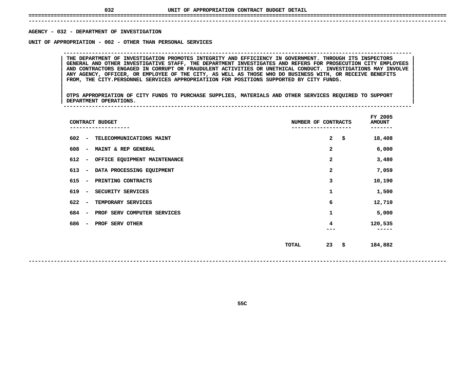## **UNIT OF APPROPRIATION CONTRACT BUDGET DETAIL ====================================================================================================================================**

 **------------------------------------------------------------------------------------------------------------------------------------**AGENCY - 032 - DEPARTMENT OF INVESTIGATION

**- <sup>032</sup> - DEPARTMENT OF INVESTIGATION UNIT**

 **OF APPROPRIATION - <sup>002</sup> - OTHER THAN PERSONAL SERVICES --------------------------------------------------------------------------------------------------------------**GENERAL AND OTHER INVESTIGATIVE STAFF, THE DEPARTMENT INVESTIGATES AND REFERS FOR PROSECUTION CITY EMPLOYEES **THE DEPARTMENT OF INVESTIGATION PROMOTES INTEGRITY AND EFFICIENCY IN GOVERNMENT. THROUGH ITS INSPECTORS <sup>|</sup> <sup>|</sup> GENERAL AND OTHER INVESTIGATIVE STAFF, THE DEPARTMENT INVESTIGATES AND REFERS FOR PROSECUTION CITY EMPLOYEES <sup>|</sup> <sup>|</sup> AND CONTRACTORS ENGAGED IN CORRUPT OR FRAUDULENT ACTIVITIES OR UNETHICAL CONDUCT. INVESTIGATIONS MAY INVOLVE <sup>|</sup> <sup>|</sup>**ANY AGENCY, OFFICER, OR EMPLOYEE OF THE CITY, AS WELL AS THOSE WHO DO BUSINESS WITH, OR RECEIVE BENEFITS **FROM, THE CITY.PERSONNEL SERVICES APPROPRIATIION FOR POSITIONS SUPPORTED BY CITY FUNDS. <sup>|</sup> <sup>|</sup>**

|<br>| OTPS\_APPROPRIATION OF CITY FUNDS TO PURCHASE SUPPLIES, MATERIALS AND OTHER SERVICES REQUIRED TO SUPPORT |<br>| OTPS APPROPRIATION OF CITY FUNDS TO PURCHASE SUPPLIES, MATERIALS AND OTHER SERVICES REQUIRED TO SUPPORT<br>| DEPARTMENT OPERATIONS. **OTPS APPROPRIATION OF CITY FUNDS TO PURCHASE SUPPLIES, MATERIALS AND OTHER SERVICES REQUIRED TO SUPPORT <sup>|</sup> <sup>|</sup>DEPARTMENT OPERATIONS. <sup>|</sup> --------------------------------------------------------------------------------------------------------------**

|                                 | CONTRACT BUDGET              | NUMBER OF CONTRACTS |              | FY 2005<br><b>AMOUNT</b> |
|---------------------------------|------------------------------|---------------------|--------------|--------------------------|
| 602<br>$\overline{\phantom{a}}$ | TELECOMMUNICATIONS MAINT     |                     | $\mathbf{2}$ | \$<br>18,408             |
| 608<br>-                        | MAINT & REP GENERAL          |                     | 2            | 6,000                    |
| 612<br>$\overline{\phantom{a}}$ | OFFICE EQUIPMENT MAINTENANCE |                     | 2            | 3,480                    |
| 613<br>$\overline{\phantom{a}}$ | DATA PROCESSING EQUIPMENT    |                     | 2            | 7,059                    |
| 615<br>$\overline{\phantom{a}}$ | PRINTING CONTRACTS           |                     | 3            | 10,190                   |
| 619<br>$\overline{\phantom{a}}$ | SECURITY SERVICES            |                     | 1            | 1,500                    |
| 622<br>$\overline{\phantom{a}}$ | TEMPORARY SERVICES           |                     | 6            | 12,710                   |
| 684<br>$\overline{\phantom{a}}$ | PROF SERV COMPUTER SERVICES  |                     | 1            | 5,000                    |
| 686<br>$\overline{\phantom{m}}$ | PROF SERV OTHER              |                     | 4            | 120,535                  |
|                                 |                              | TOTAL               | 23           | \$<br>184,882            |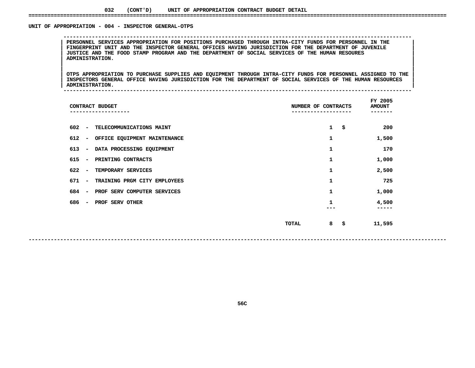### **032(CONT'D) UNIT OF APPROPRIATION CONTRACT BUDGET DETAIL ====================================================================================================================================**

### UNIT OF APPROPRIATION - 004 - INSPECTOR GENERAL-OTPS

 **<sup>|</sup> PERSONNEL SERVICES APPROPRIATION FOR POSITIONS PURCHASED THROUGH INTRA-CITY FUNDS FOR PERSONNEL IN THE <sup>|</sup> <sup>|</sup> FINGERPRINT UNIT AND THE INSPECTOR GENERAL OFFICES HAVING JURISDICTION FOR THE DEPARTMENT OF JUVENILE <sup>|</sup> <sup>|</sup> JUSTICE AND THE FOOD STAMP PROGRAM AND THE DEPARTMENT OF SOCIAL SERVICES OF THE HUMAN RESOURES <sup>|</sup> <sup>|</sup>ADMINISTRATION. <sup>|</sup> <sup>|</sup>**

|<br>| OTPS APPROPRIATION TO PURCHASE SUPPLIES AND EQUIPMENT THROUGH INTRA-CITY FUNDS FOR PERSONNEL ASSIGNED TO THE |<br>| OTPS APPROPRIATION TO PURCHASE SUPPLIES AND EQUIPMENT THROUGH INTRA-CITY FUNDS FOR PERSONNEL ASSIGNED TO THE<br>| INSPECTORS GENERAL OFFICE HAVING JURISDICTION FOR THE DEPARTMENT OF SOCIAL SERVICES OF THE HUMAN RESOURCES OTPS APPROPRIATION TO PURCHASE SUPPLIES AND EQUIPMENT THROUGH INTRA-CITY FUNDS FOR PERSONNEL ASSIGNED TO THE I<br>INSPECTORS GENERAL OFFICE HAVING JURISDICTION FOR THE DEPARTMENT OF SOCIAL SERVICES OF THE HUMAN RESOURCES INSPECTORS GENERAL OFFICE HAVING JURISDICTION FOR THE DEPARTMENT OF SOCIAL SERVICES OF THE HUMAN RESOURCES<br>ADMINISTRATION.

**OF APPROPRIATION - <sup>004</sup> - INSPECTOR GENERAL-OTPS --------------------------------------------------------------------------------------------------------------**

**ADMINISTRATION. <sup>|</sup> --------------------------------------------------------------------------------------------------------------**

| CONTRACT BUDGET<br>---------------                              | NUMBER OF CONTRACTS<br>----------- | FY 2005<br><b>AMOUNT</b> |
|-----------------------------------------------------------------|------------------------------------|--------------------------|
| 602<br>TELECOMMUNICATIONS MAINT<br>$\overline{\phantom{a}}$     | $\mathbf{1}$<br>\$                 | 200                      |
| 612<br>OFFICE EQUIPMENT MAINTENANCE<br>$\overline{\phantom{a}}$ | 1                                  | 1,500                    |
| 613<br>DATA PROCESSING EQUIPMENT<br>$\overline{\phantom{a}}$    | 1                                  | 170                      |
| 615<br>PRINTING CONTRACTS<br>$\overline{\phantom{a}}$           | 1                                  | 1,000                    |
| 622<br>TEMPORARY SERVICES<br>$\overline{\phantom{a}}$           | 1                                  | 2,500                    |
| 671<br>TRAINING PRGM CITY EMPLOYEES<br>$\overline{\phantom{a}}$ | 1                                  | 725                      |
| 684<br>PROF SERV COMPUTER SERVICES<br>$\overline{\phantom{a}}$  | 1                                  | 1,000                    |
| 686<br>PROF SERV OTHER<br>$\overline{\phantom{a}}$              |                                    | 4,500<br>.               |
|                                                                 | 8<br>TOTAL<br>-\$                  | 11,595                   |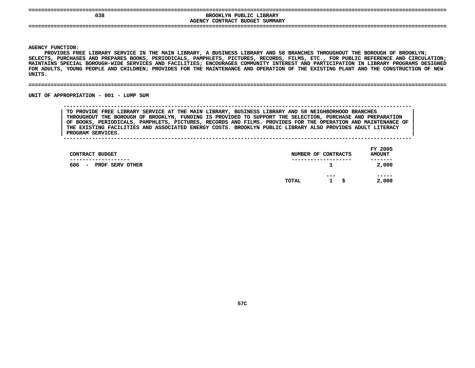| 038 | BROOKLYN PUBLIC LIBRARY                  |  |
|-----|------------------------------------------|--|
|     | <b>AGENCY CONTRACT BUDGET</b><br>SUMMARY |  |
|     |                                          |  |
|     |                                          |  |
|     |                                          |  |

**|**

**Y FUNCTION:<br>PROVIDES FF<br>TS, PURCHAS** PROVIDES FREE LIBRARY SERVICE IN THE MAIN LIBRARY, A S FREE LIBRARY SERVICE IN THE MAIN LIBRARY, A BUSINESS LIBRARY AND 58 BRANCHES THROUGHOUT THE BOROUGH OF BROOKLYN;<br>CHASES AND PREPARES BOOKS, PERIODICALS, PAMPHLETS, PICTURES, RECORDS, FILMS, ETC., FOR PUBLIC REFERENCE AND **SELECTS,**, PURCHASES AND PREPARES BOOKS, PERIODICALS, PAMPHLETS, PICTURES, RECORDS, FILMS, ETC., FOR PUBLIC REFERENCE AND CIRCULATION;<br>NS SPECIAL BOROUGH-WIDE SERVICES AND FACILITIES; ENCOURAGES COMMUNITY INTEREST AND PARTICIPATION MAINTAINS SPECIAL BOROUGH-WIDE SERVICES AND FACILITIES: ENCOURAGES COMMUNITY INTEREST AND PARTICIPATION IN LIBRARY PROGRAMS DESIGNED **SPECIAL BOROUGH-WIDE SERVICES AND FACILITIES; ENCOURAGES COMMUNITY INTEREST AND PARTICIPATION IN LIBRARY PROGRAMS DESIGNED** FOR ADULTS, YOUNG PEOPLE AND CHILDREN; PROVIDES FOR THE MAINTENANCE AND OPERATION OF THE EXISTING PLANT AND THE CONSTRUCTION OF NEW<br>UNITS.<br>-**UNITS.**

#### **====================================================================================================================================**

### UNIT OF APPROPRIATION - 001 - LUMP SUM

 **OF APPROPRIATION - <sup>001</sup> - LUMP SUM -------------------------------------------------------------------------------------------------------------- TO PROVIDE FREE LIBRARY SERVICE AT THE MAIN LIBRARY, BUSINESS LIBRARY AND <sup>58</sup> NEIGHBORHOOD BRANCHES <sup>|</sup> THROUGHOUT THE BOROUGH OF BROOKLYN, FUNDING IS PROVIDED TO SUPPORT THE SELECTION, PURCHASE AND PREPARATION <sup>|</sup> OF BOOKS, PERIODICALS, PAMPHLETS, PICTURES, RECORDS AND FILMS. PROVIDES FOR THE OPERATION AND MAINTENANCE OF <sup>|</sup> THE EXISTING FACILITIES AND ASSOCIATED ENERGY COSTS. BROOKLYN PUBLIC LIBRARY ALSO PROVIDES ADULT LITERACY <sup>|</sup>**

**PROGRAM SERVICES. <sup>|</sup> --------------------------------------------------------------------------------------------------------------**

|       |                     |     | FY 2005<br><b>AMOUNT</b>                |
|-------|---------------------|-----|-----------------------------------------|
|       | $\mathbf{1}$        |     | -------<br>2,000                        |
| TOTAL | ---<br>$\mathbf{1}$ | - S | -----<br>2,000                          |
|       |                     |     | NUMBER OF CONTRACTS<br>---------------- |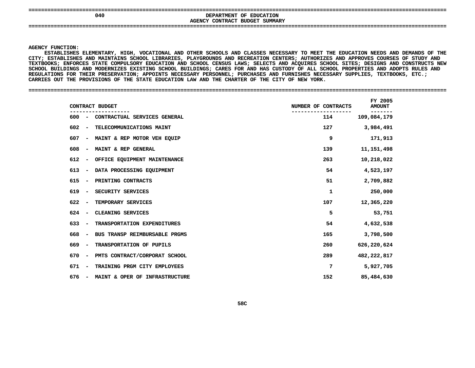| ----------------------------- |                                                |
|-------------------------------|------------------------------------------------|
| 040                           | <b>EDUCATION</b><br><b>DEPARTMENT</b><br>OF    |
|                               | SUMMARY<br>CONTRACT<br><b>AGENCY</b><br>BUDGET |
|                               |                                                |
|                               |                                                |
|                               |                                                |

Y FUNCTION:<br>ESTABLISHES<br>ESTABLISHE<br>PREMELISHE **ESTABLISHES**S ELEMENTARY, HIGH, VOCATIONAL AND OTHER SCHOOLS AND CLASSES NECESSARY TO MEET THE EDUCATION NEEDS AND DEMANDS OF THE<br>ES AND MAINTAINS SCHOOL LIBRARIES, PLAYGROUNDS AND RECREATION CENTERS; AUTHORIZES AND APPROVES COURSES O **CITY;**; ESTABLISHES AND MAINTAINS SCHOOL LIBRARIES, PLAYGROUNDS AND RECREATION CENTERS; AUTHORIZES AND APPROVES COURSES OF STUDY AND<br>BOOKS; ENFORCES STATE COMPULSORY EDUCATION AND SCHOOL CENSUS LAWS; SELECTS AND ACQUIRES SCHOOL **TEXTBOOKS;**; ENFORCES STATE COMPULSORY EDUCATION AND SCHOOL CENSUS LAWS; SELECTS AND ACQUIRES SCHOOL SITES; DESIGNS AND CONSTRUCTS NEW<br>ILDINGS AND MODERNIZES EXISTING SCHOOL BUILDINGS; CARES FOR AND HAS CUSTODY OF ALL SCHOOL PROPERTI **SCHOOL**L BUILDINGS AND MODERNIZES EXISTING SCHOOL BUILDINGS; CARES FOR AND HAS CUSTODY OF ALL SCHOOL PROPERTIES AND ADOPTS RULES AND<br>ATIONS FOR THEIR PRESERVATION; APPOINTS NECESSARY PERSONNEL; PURCHASES AND FURNISHES NECESSARY S **REGULATIONS FOR THEIR PRESERVATION; APPOINTS NECESSARY PERSONNEL; PURCHASES AND FURNISHES NECESSARY SUPPLIES, TEXTBOOKS, ETC.; CARRIES OUT THE PROVISIONS OF THE STATE EDUCATION LAW AND THE CHARTER OF THE CITY OF NEW YORK. ====================================================================================================================================**

| CONTRACT BUDGET                                                     | NUMBER OF CONTRACTS | FY 2005<br><b>AMOUNT</b> |
|---------------------------------------------------------------------|---------------------|--------------------------|
| 600<br>CONTRACTUAL SERVICES GENERAL<br>$\overline{\phantom{a}}$     | 114                 | 109,084,179              |
| 602<br>TELECOMMUNICATIONS MAINT<br>$\overline{\phantom{0}}$         | 127                 | 3,984,491                |
| 607<br>MAINT & REP MOTOR VEH EQUIP<br>$\overline{\phantom{a}}$      | 9                   | 171,913                  |
| 608<br>MAINT & REP GENERAL<br>$\overline{\phantom{a}}$              | 139                 | 11,151,498               |
| 612<br>OFFICE EQUIPMENT MAINTENANCE<br>$\qquad \qquad \blacksquare$ | 263                 | 10,218,022               |
| 613<br>DATA PROCESSING EQUIPMENT<br>$\overline{\phantom{a}}$        | 54                  | 4,523,197                |
| 615<br>PRINTING CONTRACTS<br>$\qquad \qquad$                        | 51                  | 2,709,882                |
| 619<br>SECURITY SERVICES<br>$\overline{\phantom{a}}$                | 1                   | 250,000                  |
| 622<br>TEMPORARY SERVICES                                           | 107                 | 12,365,220               |
| 624<br>CLEANING SERVICES                                            | 5                   | 53,751                   |
| 633<br>TRANSPORTATION EXPENDITURES<br>$\overline{\phantom{a}}$      | 54                  | 4,632,538                |
| BUS TRANSP REIMBURSABLE PRGMS<br>668<br>$\overline{\phantom{a}}$    | 165                 | 3,798,500                |
| 669<br>TRANSPORTATION OF PUPILS<br>$\overline{\phantom{a}}$         | 260                 | 626,220,624              |
| 670<br>PMTS CONTRACT/CORPORAT SCHOOL<br>$\overline{\phantom{a}}$    | 289                 | 482, 222, 817            |
| 671<br>TRAINING PRGM CITY EMPLOYEES<br>$\overline{\phantom{a}}$     | 7                   | 5,927,705                |
| 676<br>MAINT & OPER OF INFRASTRUCTURE                               | 152                 | 85,484,630               |
|                                                                     |                     |                          |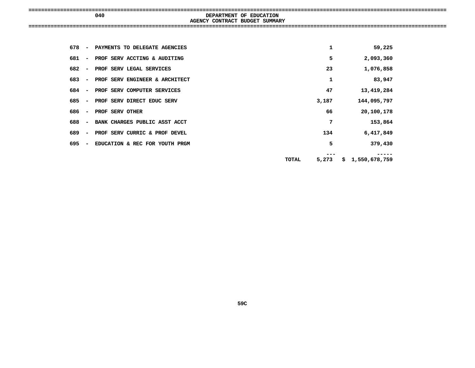| 040 | DEPARTMENT OF EDUCATION        |  |
|-----|--------------------------------|--|
|     | AGENCY CONTRACT BUDGET SUMMARY |  |
|     |                                |  |
|     |                                |  |

| 678 | $\overline{\phantom{a}}$ | PAYMENTS TO DELEGATE AGENCIES  |       | 1     |     | 59,225        |
|-----|--------------------------|--------------------------------|-------|-------|-----|---------------|
| 681 | $\overline{\phantom{a}}$ | PROF SERV ACCTING & AUDITING   |       | 5     |     | 2,093,360     |
| 682 | $\overline{\phantom{a}}$ | PROF SERV LEGAL SERVICES       |       | 23    |     | 1,076,858     |
| 683 | $\overline{\phantom{a}}$ | PROF SERV ENGINEER & ARCHITECT |       | 1     |     | 83,947        |
| 684 | $\overline{\phantom{a}}$ | PROF SERV COMPUTER SERVICES    |       | 47    |     | 13,419,284    |
| 685 | $\overline{\phantom{a}}$ | PROF SERV DIRECT EDUC SERV     |       | 3,187 |     | 144,095,797   |
| 686 | $\overline{\phantom{a}}$ | PROF SERV OTHER                |       | 66    |     | 20,100,178    |
| 688 | $\overline{\phantom{a}}$ | BANK CHARGES PUBLIC ASST ACCT  |       | 7     |     | 153,864       |
| 689 | $\overline{\phantom{0}}$ | PROF SERV CURRIC & PROF DEVEL  |       | 134   |     | 6,417,849     |
| 695 | $\overline{\phantom{a}}$ | EDUCATION & REC FOR YOUTH PRGM |       | 5     |     | 379,430       |
|     |                          |                                | TOTAL | 5,273 | \$. | 1,550,678,759 |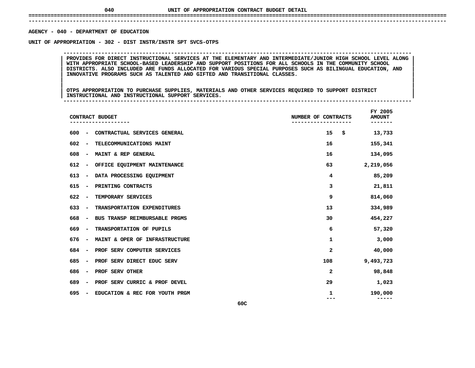## **UNIT OF APPROPRIATION CONTRACT BUDGET DETAIL ====================================================================================================================================**

### **------------------------------------------------------------------------------------------------------------------------------------**AGENCY - 040 - DEPARTMENT OF EDUCATION

# **- <sup>040</sup> - DEPARTMENT OF EDUCATION UNIT**

PROVIDES FOR DIRECT INSTRUCTIONAL SERVICES AT THE ELEMENTARY AND INTERMEDIATE/JUNIOR HIGH SCHOOL LEVEL ALONG<br>WITH APPROPRIATE SCHOOL-BASED LEADERSHIP AND SUPPORT POSITIONS FOR ALL SCHOOLS IN THE COMMUNITY SCHOOL **PROVIDES FOR DIRECT INSTRUCTIONAL SERVICES AT THE ELEMENTARY AND INTERMEDIATE/JUNIOR HIGH SCHOOL LEVEL ALONG <sup>|</sup> <sup>|</sup> WITH APPROPRIATE SCHOOL-BASED LEADERSHIP AND SUPPORT POSITIONS FOR ALL SCHOOLS IN THE COMMUNITY SCHOOL <sup>|</sup> <sup>|</sup>**DISTRICTS. ALSO INCLUDED ARE FUNDS ALLOCATED FOR VARIOUS SPECIAL PURPOSES SUCH AS BILINGUAL EDUCATION, AND<br>INNOVATIVE PROGRAMS SUCH AS TALENTED AND GIFTED AND TRANSITIONAL CLASSES.<br>| **INNOVATIVE PROGRAMS SUCH AS TALENTED AND GIFTED AND TRANSITIONAL CLASSES. <sup>|</sup> <sup>|</sup>**

**OF APPROPRIATION - <sup>302</sup> - DIST INSTR/INSTR SPT SVCS-OTPS --------------------------------------------------------------------------------------------------------------**

|<br>| OTPS APPROPRIATION TO PURCHASE SUPPLIES, MATERIALS AND OTHER SERVICES REQUIRED TO SUPPORT DISTRICT |<br>| OTPS APPROPRIATION TO PURCHASE SUPPLIES, MATERIALS AND OTHER SERVICES REQUIRED TO SUPPORT DISTRICT<br>| INSTRUCTIONAL AND INSTRUCTIONAL SUPPORT SERVICES. **OTPS APPROPRIATION TO PURCHASE SUPPLIES, MATERIALS AND OTHER SERVICES REQUIRED TO SUPPORT DISTRICT <sup>|</sup> <sup>|</sup>INSTRUCTIONAL AND INSTRUCTIONAL SUPPORT SERVICES. <sup>|</sup> --------------------------------------------------------------------------------------------------------------**

 **FY**AMOUNT<br>-------**CONTRACT BUDGET NUMBER OF CONTRACTS AMOUNT ------------------- ------------------- ------- <sup>600</sup> - CONTRACTUAL SERVICES GENERAL <sup>15</sup> \$ 13,733** 602 - TELECOMMUNICATIONS MAINT **- TELECOMMUNICATIONS MAINT <sup>16</sup> 155,341 608 - MAINT & REP GENERAL <sup>16</sup> 134,095 612 - OFFICE EQUIPMENT MAINTENANCE <sup>63</sup> 2,219,056** 613 - DATA PROCESSING EQUIPMENT **- DATA PROCESSING EQUIPMENT <sup>4</sup> 85,209 615 - PRINTING CONTRACTS <sup>3</sup> 21,811 622 - TEMPORARY SERVICES <sup>9</sup> 814,060 633 - TRANSPORTATION EXPENDITURES <sup>13</sup> 334,989** 668 - BUS TRANSP REIMBURSABLE PRGMS **- BUS TRANSP REIMBURSABLE PRGMS <sup>30</sup> 454,227 669 - TRANSPORTATION OF PUPILS <sup>6</sup> 57,320** 676 - MAINT & OPER OF INFRASTRUCTURE **- MAINT & OPER OF INFRASTRUCTURE <sup>1</sup> 3,000** 684 - PROF SERV COMPUTER SERVICES **- PROF SERV COMPUTER SERVICES <sup>2</sup> 40,000** 685 - PROF SERV DIRECT EDUC SERV **- PROF SERV DIRECT EDUC SERV <sup>108</sup> 9,493,723 686 - PROF SERV OTHER <sup>2</sup> 98,848** 689 - PROF SERV CURRIC & PROF DEVEL **- PROF SERV CURRIC & PROF DEVEL <sup>29</sup> 1,023** 695 - EDUCATION & REC FOR YOUTH PRGM **- EDUCATION & REC FOR YOUTH PRGM <sup>1</sup> 190,000 -------- 60C**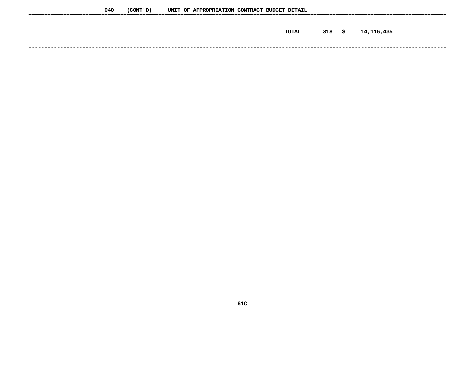| 040 | (CONT ' D ) |  | UNIT OF APPROPRIATION CONTRACT BUDGET DETAIL |  |       |          |            |
|-----|-------------|--|----------------------------------------------|--|-------|----------|------------|
|     |             |  |                                              |  |       |          |            |
|     |             |  |                                              |  | TOTAL | $318$ \$ | 14,116,435 |
|     |             |  |                                              |  |       |          |            |
|     |             |  |                                              |  |       |          |            |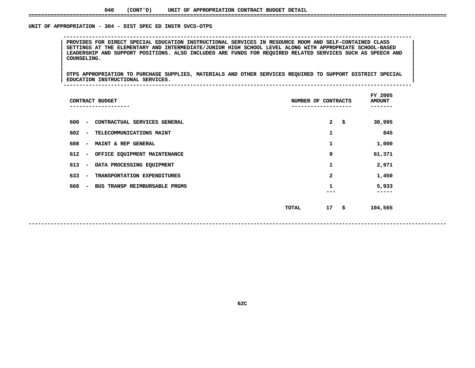### **040(CONT'D) UNIT OF APPROPRIATION CONTRACT BUDGET DETAIL ====================================================================================================================================**

### UNIT OF APPROPRIATION - 304 - DIST SPEC ED INSTR SVCS-OTPS

 **OF APPROPRIATION - <sup>304</sup> - DIST SPEC ED INSTR SVCS-OTPS --------------------------------------------------------------------------------------------------------------**PROVIDES FOR DIRECT SPECIAL EDUCATION INSTRUCTIONAL SERVICES IN RESOURCE ROOM AND SELF-CONTAINED CLASS<br>SETTINGS AT THE ELEMENTARY AND INTERMEDIATE/JUNIOR HIGH SCHOOL LEVEL ALONG WITH APPROPRIATE SCHOOL-BASED **PROVIDES FOR DIRECT SPECIAL EDUCATION INSTRUCTIONAL SERVICES IN RESOURCE ROOM AND SELF-CONTAINED CLASS <sup>|</sup> <sup>|</sup> SETTINGS AT THE ELEMENTARY AND INTERMEDIATE/JUNIOR HIGH SCHOOL LEVEL ALONG WITH APPROPRIATE SCHOOL-BASED <sup>|</sup> <sup>|</sup>**LEADERSHIP AND SUPPORT POSITIONS. ALSO INCLUDED ARE FUNDS FOR REQUIRED RELATED SERVICES SUCH AS SPEECH AND<br>| COUNSELING.<br>| **COUNSELING. <sup>|</sup> <sup>|</sup>**

|<br>| OTPS\_APPROPRIATION\_TO\_PURCHASE\_SUPPLIES,\_MATERIALS\_AND\_OTHER\_SERVICES\_REQUIRED\_TO\_SUPPORT\_DISTRICT\_SPECIAL\_\_\_ |<br>| OTPS APPROPRIATION TO PURCHASE SUPPLIES, MATERIALS AND OTHER SERVICES REQUIRED TO SUPPORT DISTRICT SPECIAL<br>| EDUCATION INSTRUCTIONAL SERVICES. **OTPS APPROPRIATION TO PURCHASE SUPPLIES, MATERIALS AND OTHER SERVICES REQUIRED TO SUPPORT DISTRICT SPECIAL <sup>|</sup> <sup>|</sup>EDUCATION INSTRUCTIONAL SERVICES. <sup>|</sup> --------------------------------------------------------------------------------------------------------------**

| CONTRACT BUDGET                                                  | NUMBER OF CONTRACTS    | FY 2005<br><b>AMOUNT</b><br>----- |
|------------------------------------------------------------------|------------------------|-----------------------------------|
| 600<br>CONTRACTUAL SERVICES GENERAL<br>$\overline{\phantom{a}}$  | $\overline{a}$<br>- \$ | 30,995                            |
| 602<br>TELECOMMUNICATIONS MAINT<br>$\overline{\phantom{a}}$      | 1                      | 845                               |
| 608<br>MAINT & REP GENERAL<br>$\overline{\phantom{a}}$           | 1                      | 1,000                             |
| 612<br>OFFICE EQUIPMENT MAINTENANCE<br>$\overline{\phantom{a}}$  | 9                      | 61,371                            |
| 613<br>DATA PROCESSING EQUIPMENT<br>$\overline{\phantom{a}}$     | 1                      | 2,971                             |
| 633<br>TRANSPORTATION EXPENDITURES<br>$\overline{\phantom{a}}$   | $\mathbf{2}$           | 1,450                             |
| 668<br>BUS TRANSP REIMBURSABLE PRGMS<br>$\overline{\phantom{a}}$ | 1                      | 5,933<br>----                     |
|                                                                  |                        |                                   |
|                                                                  | - \$<br>17<br>TOTAL    | 104,565                           |
|                                                                  |                        |                                   |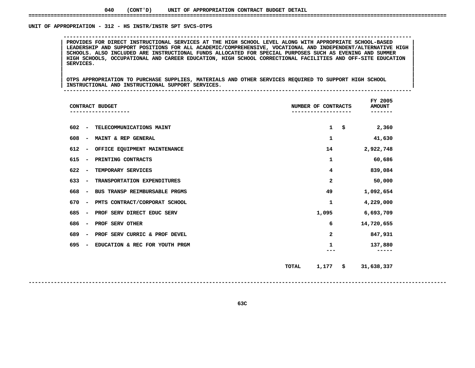### UNIT OF APPROPRIATION - 312 - HS INSTR/INSTR SPT SVCS-OTPS

 **OF APPROPRIATION - <sup>312</sup> - HS INSTR/INSTR SPT SVCS-OTPS --------------------------------------------------------------------------------------------------------------**PROVIDES FOR DIRECT INSTRUCTIONAL SERVICES AT THE HIGH SCHOOL LEVEL ALONG WITH APPROPRIATE SCHOOL-BASED<br>LEADERSHIP AND SUPPORT POSITIONS FOR ALL ACADEMIC/COMPREHENSIVE, VOCATIONAL AND INDEPENDENT/ALTERNATIVE HIGH **PROVIDES FOR DIRECT INSTRUCTIONAL SERVICES AT THE HIGH SCHOOL LEVEL ALONG WITH APPROPRIATE SCHOOL-BASED <sup>|</sup> <sup>|</sup> LEADERSHIP AND SUPPORT POSITIONS FOR ALL ACADEMIC/COMPREHENSIVE, VOCATIONAL AND INDEPENDENT/ALTERNATIVE HIGH <sup>|</sup> <sup>|</sup>**SCHOOLS. ALSO INCLUDED ARE INSTRUCTIONAL FUNDS ALLOCATED FOR SPECIAL PURPOSES SUCH AS EVENING AND SUMMER<br>HIGH SCHOOLS, OCCUPATIONAL AND CAREER EDUCATION, HIGH SCHOOL CORRECTIONAL FACILITIES AND OFF-SITE EDUCATION<br>SERVICES. **HIGH SCHOOLS, OCCUPATIONAL AND CAREER EDUCATION, HIGH SCHOOL CORRECTIONAL FACILITIES AND OFF-SITE EDUCATION <sup>|</sup> <sup>|</sup>SERVICES. <sup>|</sup> <sup>|</sup>**

|<br>| OTPS APPROPRIATION TO PURCHASE SUPPLIES, MATERIALS AND OTHER SERVICES REQUIRED TO SUPPORT HIGH SCHOOL |<br>| OTPS APPROPRIATION TO PURCHASE SUPPLIES, MATERIALS AND OTHER SERVICES REQUIRED TO SUPPORT HIGH SCHOOL<br>| INSTRUCTIONAL AND INSTRUCTIONAL SUPPORT SERVICES. **OTPS APPROPRIATION TO PURCHASE SUPPLIES, MATERIALS AND OTHER SERVICES REQUIRED TO SUPPORT HIGH SCHOOL <sup>|</sup> <sup>|</sup>INSTRUCTIONAL AND INSTRUCTIONAL SUPPORT SERVICES. <sup>|</sup> --------------------------------------------------------------------------------------------------------------**

| CONTRACT BUDGET                                                   | NUMBER OF CONTRACTS          | FY 2005<br><b>AMOUNT</b> |
|-------------------------------------------------------------------|------------------------------|--------------------------|
| 602<br>TELECOMMUNICATIONS MAINT<br>$\overline{\phantom{a}}$       | $\mathbf{1}$<br>\$           | 2,360                    |
| 608<br>MAINT & REP GENERAL<br>$\overline{\phantom{m}}$            | 1                            | 41,630                   |
| 612<br>OFFICE EQUIPMENT MAINTENANCE<br>$\overline{\phantom{a}}$   | 14                           | 2,922,748                |
| 615<br>PRINTING CONTRACTS<br>$\overline{\phantom{a}}$             | 1                            | 60,686                   |
| 622<br>TEMPORARY SERVICES<br>$\overline{\phantom{a}}$             | 4                            | 839,084                  |
| 633<br>TRANSPORTATION EXPENDITURES<br>$\overline{\phantom{a}}$    | 2                            | 50,000                   |
| 668<br>BUS TRANSP REIMBURSABLE PRGMS<br>$\overline{\phantom{m}}$  | 49                           | 1,092,654                |
| 670<br>PMTS CONTRACT/CORPORAT SCHOOL<br>$\overline{\phantom{a}}$  | 1                            | 4,229,000                |
| 685<br>PROF SERV DIRECT EDUC SERV<br>$\overline{\phantom{a}}$     | 1,095                        | 6,693,709                |
| 686<br>PROF SERV OTHER<br>$\overline{\phantom{a}}$                | 6                            | 14,720,655               |
| 689<br>PROF SERV CURRIC & PROF DEVEL<br>$\overline{\phantom{m}}$  | 2                            | 847,931                  |
| 695<br>EDUCATION & REC FOR YOUTH PRGM<br>$\overline{\phantom{a}}$ | 1                            | 137,880                  |
|                                                                   |                              |                          |
|                                                                   | 1,177<br><b>TOTAL</b><br>-\$ | 31,638,337               |
|                                                                   |                              |                          |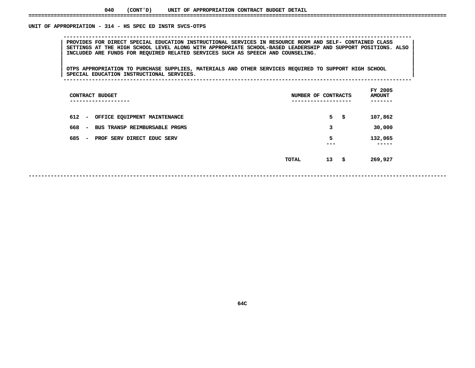### UNIT OF APPROPRIATION - 314 - HS SPEC ED INSTR SVCS-OTPS

 **OF APPROPRIATION - <sup>314</sup> - HS SPEC ED INSTR SVCS-OTPS --------------------------------------------------------------------------------------------------------------**PROVIDES FOR DIRECT SPECIAL EDUCATION INSTRUCTIONAL SERVICES IN RESOURCE ROOM AND SELF- CONTAINED CLASS<br>SETTINGS AT THE HIGH SCHOOL LEVEL ALONG WITH APPROPRIATE SCHOOL-BASED LEADERSHIP AND SUPPORT POSITIONS. ALSO<br>INCLUDED SETTINGS AT THE HIGH SCHOOL LEVEL ALONG WITH APPROPRIATE SCHOOL-BASED LEADERSHIP AND SUPPORT POSITIONS. ALSO **INCLUDED ARE FUNDS FOR REQUIRED RELATED SERVICES SUCH AS SPEECH AND COUNSELING. <sup>|</sup> <sup>|</sup>**

|<br>| OTPS APPROPRIATION TO PURCHASE SUPPLIES, MATERIALS AND OTHER SERVICES REQUIRED TO SUPPORT HIGH SCHOOL |<br>| OTPS APPROPRIATION TO PURCHASE SUPPLIES, MATERIALS AND OTHER SERVICES REQUIRED TO SUPPORT HIGH SCHOOL<br>| SPECIAL EDUCATION INSTRUCTIONAL SERVICES. **OTPS APPROPRIATION TO PURCHASE SUPPLIES, MATERIALS AND OTHER SERVICES REQUIRED TO SUPPORT HIGH SCHOOL <sup>|</sup> <sup>|</sup>SPECIAL EDUCATION INSTRUCTIONAL SERVICES. <sup>|</sup> --------------------------------------------------------------------------------------------------------------**

| CONTRACT BUDGET<br>------------                               | NUMBER OF CONTRACTS | FY 2005<br><b>AMOUNT</b><br>----- |
|---------------------------------------------------------------|---------------------|-----------------------------------|
| 612<br>OFFICE EQUIPMENT MAINTENANCE<br>$\sim$                 | $5 -$<br>-\$        | 107,862                           |
| 668<br>BUS TRANSP REIMBURSABLE PRGMS<br>$\sim$                | 3                   | 30,000                            |
| 685<br>PROF SERV DIRECT EDUC SERV<br>$\overline{\phantom{a}}$ | 5<br>---            | 132,065<br>-----                  |
|                                                               | 13<br>- \$<br>TOTAL | 269,927                           |
|                                                               |                     |                                   |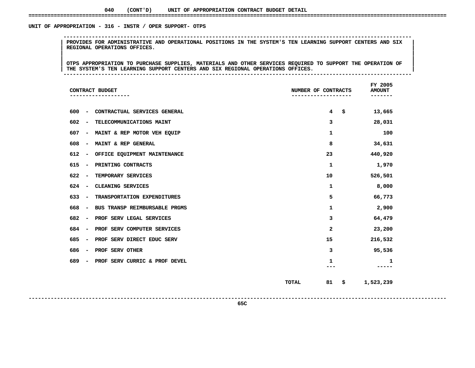### UNIT OF APPROPRIATION - 316 - INSTR / OPER SUPPORT- OTPS

 **OF APPROPRIATION - <sup>316</sup> - INSTR / OPER SUPPORT- OTPS --------------------------------------------------------------------------------------------------------------**| PROVIDES FOR ADMINISTRATIVE AND OPERATIONAL POSITIONS IN THE SYSTEM'S TEN LEARNING SUPPORT CENTERS AND SIX<br>| REGIONAL OPERATIONS OFFICES.<br>| **REGIONAL OPERATIONS OFFICES. <sup>|</sup> <sup>|</sup>**

|<br>| OTPS APPROPRIATION TO PURCHASE SUPPLIES, MATERIALS AND OTHER SERVICES REQUIRED TO SUPPORT THE OPERATION OF |<br>| OTPS APPROPRIATION TO PURCHASE SUPPLIES, MATERIALS AND OTHER SERVICES REQUIRED TO SUPPORT THE OPERATION OF<br>| THE SYSTEM'S TEN LEARNING SUPPORT CENTERS AND SIX REGIONAL OPERATIONS OFFICES. OTPS APPROPRIATION TO PURCHASE SUPPLIES, MATERIALS AND OTHER SERVICES REQUIRED TO SUPPORT THE OPERATION OF THE<br>THE SYSTEM'S TEN LEARNING SUPPORT CENTERS AND SIX REGIONAL OPERATIONS OFFICES.<br>--------------------------------**THE SYSTEM'S TEN LEARNING SUPPORT CENTERS AND SIX REGIONAL OPERATIONS OFFICES. <sup>|</sup> --------------------------------------------------------------------------------------------------------------**

| CONTRACT BUDGET                                                      | NUMBER OF CONTRACTS         | FY 2005<br><b>AMOUNT</b><br>------ |
|----------------------------------------------------------------------|-----------------------------|------------------------------------|
| 600<br>CONTRACTUAL SERVICES GENERAL<br>$\overline{\phantom{a}}$      | $4^{\circ}$<br>\$           | 13,665                             |
| 602<br>TELECOMMUNICATIONS MAINT<br>$\overline{\phantom{a}}$          | 3                           | 28,031                             |
| 607<br>MAINT & REP MOTOR VEH EQUIP<br>$\overline{a}$                 | 1                           | 100                                |
| 608<br>MAINT & REP GENERAL<br>$\overline{a}$                         | 8                           | 34,631                             |
| 612<br>OFFICE EQUIPMENT MAINTENANCE<br>$\overline{a}$                | 23                          | 440,920                            |
| 615<br>PRINTING CONTRACTS<br>$\qquad \qquad \blacksquare$            | 1                           | 1,970                              |
| 622<br>TEMPORARY SERVICES<br>$\overline{\phantom{a}}$                | 10                          | 526,501                            |
| 624<br>CLEANING SERVICES<br>$\overline{\phantom{0}}$                 | 1                           | 8,000                              |
| 633<br>TRANSPORTATION EXPENDITURES<br>$\overline{\phantom{a}}$       | 5                           | 66,773                             |
| 668<br>BUS TRANSP REIMBURSABLE PRGMS<br>$\qquad \qquad \blacksquare$ | 1                           | 2,900                              |
| 682<br>PROF SERV LEGAL SERVICES                                      | 3                           | 64,479                             |
| 684<br>PROF SERV COMPUTER SERVICES<br>$\overline{\phantom{0}}$       | 2                           | 23,200                             |
| 685<br>PROF SERV DIRECT EDUC SERV<br>$\overline{a}$                  | 15                          | 216,532                            |
| 686<br>PROF SERV OTHER<br>$\overline{a}$                             | 3                           | 95,536                             |
| 689<br>PROF SERV CURRIC & PROF DEVEL<br>۰                            | 1                           | 1                                  |
|                                                                      | <b>TOTAL</b><br>81<br>- \$- | 1,523,239                          |

**<sup>81</sup> \$ 1,523,239**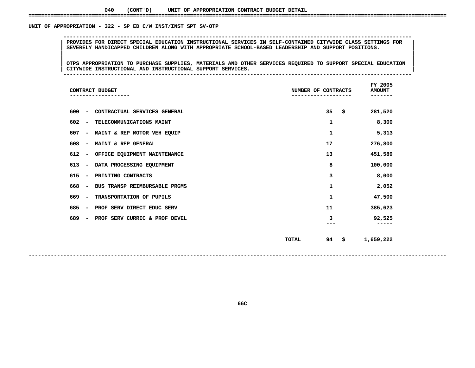### UNIT OF APPROPRIATION - 322 - SP ED C/W INST/INST SPT SV-OTP

 **OF APPROPRIATION - <sup>322</sup> - SP ED C/W INST/INST SPT SV-OTP -------------------------------------------------------------------------------------------------------------- <sup>|</sup> PROVIDES FOR DIRECT SPECIAL EDUCATION INSTRUCTIONAL SERVICES IN SELF-CONTAINED CITYWIDE CLASS SETTINGS FOR <sup>|</sup> <sup>|</sup>SEVERELY HANDICAPPED CHILDREN ALONG WITH APPROPRIATE SCHOOL-BASED LEADERSHIP AND SUPPORT POSITIONS. <sup>|</sup> <sup>|</sup>**

|<br>| OTPS APPROPRIATION TO PURCHASE SUPPLIES, MATERIALS AND OTHER SERVICES REQUIRED TO SUPPORT SPECIAL EDUCATION |<br>| OTPS APPROPRIATION TO PURCHASE SUPPLIES, MATERIALS AND OTHER SERVICES REQUIRED TO SUPPORT SPECIAL EDUCATION<br>| CITYWIDE INSTRUCTIONAL AND INSTRUCTIONAL SUPPORT SERVICES. **OTPS APPROPRIATION TO PURCHASE SUPPLIES, MATERIALS AND OTHER SERVICES REQUIRED TO SUPPORT SPECIAL EDUCATION <sup>|</sup> <sup>|</sup>CITYWIDE INSTRUCTIONAL AND INSTRUCTIONAL SUPPORT SERVICES. <sup>|</sup> --------------------------------------------------------------------------------------------------------------**

| CONTRACT BUDGET                                                  | NUMBER OF CONTRACTS      | FY 2005<br><b>AMOUNT</b> |
|------------------------------------------------------------------|--------------------------|--------------------------|
| 600<br>CONTRACTUAL SERVICES GENERAL<br>$\overline{\phantom{a}}$  | 35<br>\$                 | 281,520                  |
| 602<br>TELECOMMUNICATIONS MAINT<br>$\overline{\phantom{a}}$      | 1                        | 8,300                    |
| 607<br>MAINT & REP MOTOR VEH EQUIP<br>$\overline{\phantom{a}}$   | 1                        | 5,313                    |
| 608<br>MAINT & REP GENERAL<br>$\overline{\phantom{a}}$           | 17                       | 276,800                  |
| 612<br>OFFICE EQUIPMENT MAINTENANCE<br>$\overline{\phantom{a}}$  | 13                       | 451,589                  |
| 613<br>DATA PROCESSING EQUIPMENT<br>$\overline{\phantom{a}}$     | 8                        | 100,000                  |
| 615<br>PRINTING CONTRACTS<br>$\overline{\phantom{a}}$            | 3                        | 8,000                    |
| 668<br>BUS TRANSP REIMBURSABLE PRGMS<br>$\overline{\phantom{a}}$ | 1                        | 2,052                    |
| 669<br>TRANSPORTATION OF PUPILS<br>$\overline{\phantom{a}}$      | 1                        | 47,500                   |
| 685<br>PROF SERV DIRECT EDUC SERV<br>$\overline{\phantom{a}}$    | 11                       | 385,623                  |
| 689<br>PROF SERV CURRIC & PROF DEVEL<br>۰                        | з                        | 92,525<br>-----          |
|                                                                  | 94<br><b>TOTAL</b><br>\$ | 1,659,222                |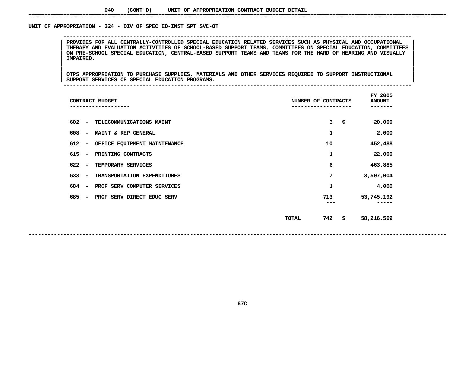### **040(CONT'D) UNIT OF APPROPRIATION CONTRACT BUDGET DETAIL ====================================================================================================================================**

### UNIT OF APPROPRIATION - 324 - DIV OF SPEC ED-INST SPT SVC-OT

 **OF APPROPRIATION - <sup>324</sup> - DIV OF SPEC ED-INST SPT SVC-OT --------------------------------------------------------------------------------------------------------------**PROVIDES FOR ALL CENTRALLY-CONTROLLED SPECIAL EDUCATION RELATED SERVICES SUCH AS PHYSICAL AND OCCUPATIONAL<br>THERAPY AND EVALUATION ACTIVITIES OF SCHOOL-BASED SUPPORT TEAMS, COMMITTEES ON SPECIAL EDUCATION, COMMITTEES **PROVIDES FOR ALL CENTRALLY-CONTROLLED SPECIAL EDUCATION RELATED SERVICES SUCH AS PHYSICAL AND OCCUPATIONAL <sup>|</sup> <sup>|</sup> THERAPY AND EVALUATION ACTIVITIES OF SCHOOL-BASED SUPPORT TEAMS, COMMITTEES ON SPECIAL EDUCATION, COMMITTEES <sup>|</sup> <sup>|</sup>**ON PRE-SCHOOL SPECIAL EDUCATION, CENTRAL-BASED SUPPORT TEAMS AND TEAMS FOR THE HARD OF HEARING AND VISUALLY<br>| IMPAIRED.<br>| **IMPAIRED. <sup>|</sup> <sup>|</sup>**

|<br>| OTPS\_APPROPRIATION\_TO\_PURCHASE\_SUPPLIES,\_MATERIALS\_AND\_OTHER\_SERVICES\_REQUIRED\_TO\_SUPPORT\_INSTRUCTIONAL |<br>| OTPS APPROPRIATION TO PURCHASE SUPPLIES, MATERIALS AND OTHER SERVICES REQUIRED TO SUPPORT INSTRUCTIONAL<br>| SUPPORT SERVICES OF SPECIAL EDUCATION PROGRAMS. **OTPS APPROPRIATION TO PURCHASE SUPPLIES, MATERIALS AND OTHER SERVICES REQUIRED TO SUPPORT INSTRUCTIONAL <sup>|</sup> <sup>|</sup>SUPPORT SERVICES OF SPECIAL EDUCATION PROGRAMS. <sup>|</sup> --------------------------------------------------------------------------------------------------------------**

|                                 | CONTRACT BUDGET              | NUMBER OF CONTRACTS |     | FY 2005<br><b>AMOUNT</b> |
|---------------------------------|------------------------------|---------------------|-----|--------------------------|
| 602<br>$\overline{\phantom{a}}$ | TELECOMMUNICATIONS MAINT     |                     | 3   | \$<br>20,000             |
| 608<br>$\overline{\phantom{a}}$ | MAINT & REP GENERAL          |                     | 1   | 2,000                    |
| 612<br>$\overline{\phantom{a}}$ | OFFICE EQUIPMENT MAINTENANCE |                     | 10  | 452,488                  |
| 615<br>$\overline{\phantom{a}}$ | PRINTING CONTRACTS           |                     | 1   | 22,000                   |
| 622<br>$\overline{\phantom{a}}$ | TEMPORARY SERVICES           |                     | 6   | 463,885                  |
| 633<br>$\overline{\phantom{a}}$ | TRANSPORTATION EXPENDITURES  |                     | 7   | 3,507,004                |
| 684<br>$\overline{\phantom{a}}$ | PROF SERV COMPUTER SERVICES  |                     | 1   | 4,000                    |
| 685<br>$\overline{\phantom{a}}$ | PROF SERV DIRECT EDUC SERV   |                     | 713 | 53,745,192               |
|                                 |                              | <b>TOTAL</b>        | 742 | \$<br>58,216,569         |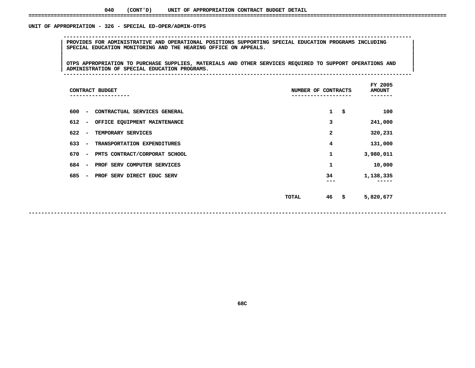### UNIT OF APPROPRIATION - 326 - SPECIAL ED-OPER/ADMIN-OTPS

 **<sup>|</sup> PROVIDES FOR ADMINISTRATIVE AND OPERATIONAL POSITIONS SUPPORTING SPECIAL EDUCATION PROGRAMS INCLUDING <sup>|</sup> <sup>|</sup>SPECIAL EDUCATION MONITORING AND THE HEARING OFFICE ON APPEALS. <sup>|</sup> <sup>|</sup>**

**OF APPROPRIATION - <sup>326</sup> - SPECIAL ED-OPER/ADMIN-OTPS --------------------------------------------------------------------------------------------------------------**

|<br>| OTPS APPROPRIATION TO PURCHASE SUPPLIES, MATERIALS AND OTHER SERVICES REQUIRED TO SUPPORT OPERATIONS AND |<br>| OTPS APPROPRIATION TO PURCHASE SUPPLIES, MATERIALS AND OTHER SERVICES REQUIRED TO SUPPORT OPERATIONS AND<br>| ADMINISTRATION OF SPECIAL EDUCATION PROGRAMS. **OTPS APPROPRIATION TO PURCHASE SUPPLIES, MATERIALS AND OTHER SERVICES REQUIRED TO SUPPORT OPERATIONS AND <sup>|</sup> <sup>|</sup>ADMINISTRATION OF SPECIAL EDUCATION PROGRAMS. <sup>|</sup> --------------------------------------------------------------------------------------------------------------**

| CONTRACT BUDGET                                                  | NUMBER OF CONTRACTS | FY 2005<br><b>AMOUNT</b><br>----- |
|------------------------------------------------------------------|---------------------|-----------------------------------|
| 600<br>CONTRACTUAL SERVICES GENERAL<br>$\overline{\phantom{0}}$  | $\mathbf{1}$        | \$<br>100                         |
| 612<br>OFFICE EQUIPMENT MAINTENANCE<br>$\overline{\phantom{a}}$  | 3                   | 241,000                           |
| 622<br>TEMPORARY SERVICES<br>$\overline{\phantom{a}}$            | 2                   | 320,231                           |
| 633<br>TRANSPORTATION EXPENDITURES<br>$\overline{\phantom{a}}$   | 4                   | 131,000                           |
| 670<br>PMTS CONTRACT/CORPORAT SCHOOL<br>$\overline{\phantom{a}}$ | 1                   | 3,980,011                         |
| PROF SERV COMPUTER SERVICES<br>684<br>$\overline{\phantom{a}}$   | 1                   | 10,000                            |
| 685<br>PROF SERV DIRECT EDUC SERV<br>$\overline{\phantom{a}}$    | 34                  | 1,138,335                         |
|                                                                  | 46<br>TOTAL         | \$<br>5,820,677                   |

**------------------------------------------------------------------------------------------------------------------------------------**

**68C**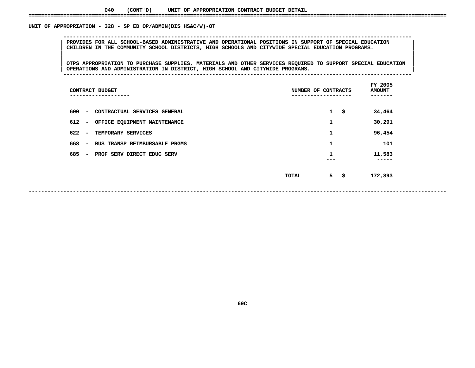### UNIT OF APPROPRIATION - 328 - SP ED OP/ADMIN(DIS HS&C/W)-OT

 **<sup>|</sup> PROVIDES FOR ALL SCHOOL-BASED ADMINISTRATIVE AND OPERATIONAL POSITIONS IN SUPPORT OF SPECIAL EDUCATION <sup>|</sup> <sup>|</sup>CHILDREN IN THE COMMUNITY SCHOOL DISTRICTS, HIGH SCHOOLS AND CITYWIDE SPECIAL EDUCATION PROGRAMS. <sup>|</sup> <sup>|</sup>**

 **<sup>|</sup> <sup>|</sup>**|<br>| OTPS APPROPRIATION TO PURCHASE SUPPLIES, MATERIALS AND OTHER SERVICES REQUIRED TO SUPPORT SPECIAL EDUCATION<br>| OPERATIONS AND ADMINISTRATION IN DISTRICT, HIGH SCHOOL AND CITYWIDE PROGRAMS. **OTPS APPROPRIATION TO PURCHASE SUPPLIES, MATERIALS AND OTHER SERVICES REQUIRED TO SUPPORT SPECIAL EDUCATION <sup>|</sup> <sup>|</sup>OPERATIONS AND ADMINISTRATION IN DISTRICT, HIGH SCHOOL AND CITYWIDE PROGRAMS. <sup>|</sup> --------------------------------------------------------------------------------------------------------------**

**OF APPROPRIATION - <sup>328</sup> - SP ED OP/ADMIN(DIS HS&C/W)-OT --------------------------------------------------------------------------------------------------------------**

|                                 | CONTRACT BUDGET               |       | NUMBER OF CONTRACTS |     | FY 2005<br><b>AMOUNT</b><br>---- |
|---------------------------------|-------------------------------|-------|---------------------|-----|----------------------------------|
| 600<br>$\overline{\phantom{a}}$ | CONTRACTUAL SERVICES GENERAL  |       | $\mathbf{1}$        | \$  | 34,464                           |
| 612<br>$\overline{\phantom{a}}$ | OFFICE EQUIPMENT MAINTENANCE  |       | 1                   |     | 30,291                           |
| 622<br>$\overline{\phantom{a}}$ | TEMPORARY SERVICES            |       | 1                   |     | 96,454                           |
| 668<br>$\overline{\phantom{a}}$ | BUS TRANSP REIMBURSABLE PRGMS |       | 1                   |     | 101                              |
| 685<br>$\overline{\phantom{m}}$ | PROF SERV DIRECT EDUC SERV    |       | 1                   |     | 11,583<br>-----                  |
|                                 |                               | TOTAL | 5                   | -\$ | 172,893                          |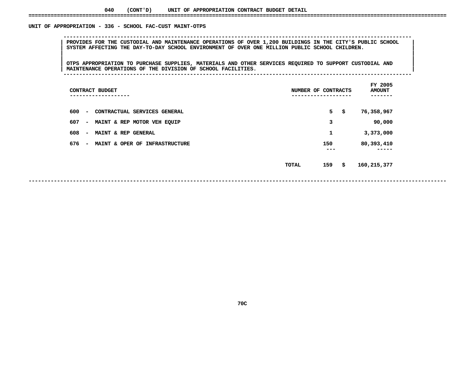### UNIT OF APPROPRIATION - 336 - SCHOOL FAC-CUST MAINT-OTPS

 **OF APPROPRIATION - <sup>336</sup> - SCHOOL FAC-CUST MAINT-OTPS --------------------------------------------------------------------------------------------------------------**PROVIDES FOR THE CUSTODIAL AND MAINTENANCE OPERATIONS OF OVER 1,200 BUILDINGS IN THE CITY'S PUBLIC SCHOOL ||<br>| SYSTEM AFFECTING THE DAY-TO-DAY SCHOOL ENVIRONMENT OF OVER ONE MILLION PUBLIC SCHOOL CHILDREN.<br>| **SYSTEM AFFECTING THE DAY-TO-DAY SCHOOL ENVIRONMENT OF OVER ONE MILLION PUBLIC SCHOOL CHILDREN. <sup>|</sup> <sup>|</sup>**

|<br>| OTPS APPROPRIATION TO PURCHASE SUPPLIES, MATERIALS AND OTHER SERVICES REQUIRED TO SUPPORT CUSTODIAL AND |<br>| OTPS APPROPRIATION TO PURCHASE SUPPLIES, MATERIALS AND OTHER SERVICES REQUIRED TO SUPPORT CUSTODIAL AND<br>| MAINTENANCE OPERATIONS OF THE DIVISION OF SCHOOL FACILITIES. **OTPS APPROPRIATION TO PURCHASE SUPPLIES, MATERIALS AND OTHER SERVICES REQUIRED TO SUPPORT CUSTODIAL AND <sup>|</sup> <sup>|</sup>MAINTENANCE OPERATIONS OF THE DIVISION OF SCHOOL FACILITIES. <sup>|</sup> --------------------------------------------------------------------------------------------------------------**

| CONTRACT BUDGET<br>-------                                        | NUMBER OF | CONTRACTS  | FY 2005<br><b>AMOUNT</b> |
|-------------------------------------------------------------------|-----------|------------|--------------------------|
| 600<br>CONTRACTUAL SERVICES GENERAL<br>$\overline{\phantom{0}}$   |           | 5          | \$<br>76,358,967         |
| 607<br>MAINT & REP MOTOR VEH EQUIP<br>$\overline{\phantom{0}}$    |           | 3          | 90,000                   |
| 608<br>MAINT & REP GENERAL<br>$\overline{\phantom{0}}$            |           | 1          | 3,373,000                |
| 676<br>MAINT & OPER OF INFRASTRUCTURE<br>$\overline{\phantom{0}}$ |           | 150<br>--- | 80,393,410               |
|                                                                   | TOTAL     | 159        | \$<br>160,215,377        |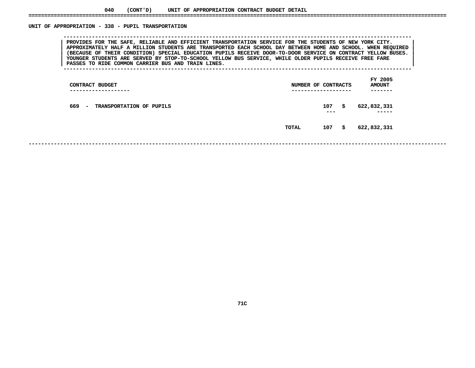### UNIT OF APPROPRIATION - 338 - PUPIL TRANSPORTATION

 **OF APPROPRIATION - <sup>338</sup> - PUPIL TRANSPORTATION --------------------------------------------------------------------------------------------------------------**PROVIDES FOR THE SAFE, RELIABLE AND EFFICIENT TRANSPORTATION SERVICE FOR THE STUDENTS OF NEW YORK CITY.<br>APPROXIMATELY HALF A MILLION STUDENTS ARE TRANSPORTED EACH SCHOOL DAY BETWEEN HOME AND SCHOOL. WHEN REQUIRED PROVIDES FOR THE SAFE, RELIABLE AND EFFICIENT TRANSPORTATION SERVICE FOR THE STUDENTS OF NEW YORK CITY.<br>APPROXIMATELY HALF A MILLION STUDENTS ARE TRANSPORTED EACH SCHOOL DAY BETWEEN HOME AND SCHOOL. WHEN REQUIRED<br>(BECAUSE APPROXIMATELY HALF A MILLION STUDENTS ARE TRANSPORTED EACH SCHOOL DAY BETWEEN HOME AND SCHOOL. WHEN REQUIRED<br>(BECAUSE OF THEIR CONDITION) SPECIAL EDUCATION PUPILS RECEIVE DOOR-TO-DOOR SERVICE ON CONTRACT YELLOW BUSES.<br>YOUN **(BECAUSE OF THEIR CONDITION) SPECIAL EDUCATION PUPILS RECEIVE DOOR-TO-DOOR SERVICE ON CONTRACT YELLOW BUSES. <sup>|</sup> <sup>|</sup>**YOUNGER STUDENTS ARE SERVED BY STOP-TO-SCHOOL YELLOW BUS SERVICE, WHILE OLDER PUPILS RECEIVE FREE FARE<br>PASSES TO RIDE COMMON CARRIER BUS AND TRAIN LINES.

**PASSES TO RIDE COMMON CARRIER BUS AND TRAIN LINES. <sup>|</sup> --------------------------------------------------------------------------------------------------------------**

|       |            | FY 2005<br><b>AMOUNT</b><br>-----                  |  |
|-------|------------|----------------------------------------------------|--|
|       | 107<br>--- | \$<br>622,832,331<br>-----                         |  |
| TOTAL | 107        | 622,832,331                                        |  |
|       |            | NUMBER OF CONTRACTS<br>-------------------<br>- \$ |  |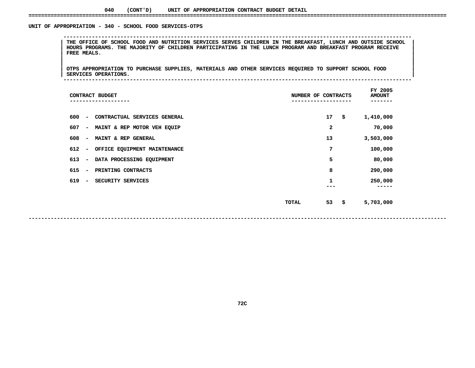#### **040(CONT'D) UNIT OF APPROPRIATION CONTRACT BUDGET DETAIL ====================================================================================================================================**

#### UNIT OF APPROPRIATION - 340 - SCHOOL FOOD SERVICES-OTPS

 **OF APPROPRIATION - <sup>340</sup> - SCHOOL FOOD SERVICES-OTPS --------------------------------------------------------------------------------------------------------------**THE OFFICE OF SCHOOL FOOD AND NUTRITION SERVICES SERVES CHILDREN IN THE BREAKFAST, LUNCH AND OUTSIDE SCHOOL |<br>| HOURS PROGRAMS. THE MAJORITY OF CHILDREN PARTICIPATING IN THE LUNCH PROGRAM AND BREAKFAST PROGRAM RECEIVE<br>| FR HOURS PROGRAMS. THE MAJORITY OF CHILDREN PARTICIPATING IN THE LUNCH PROGRAM AND BREAKFAST PROGRAM RECEIVE<br>|-<br>| **FREE MEALS. <sup>|</sup> <sup>|</sup>**

|<br>| OTPS APPROPRIATION TO PURCHASE SUPPLIES, MATERIALS AND OTHER SERVICES REQUIRED TO SUPPORT SCHOOL FOOD |<br>| OTPS APPROPRIATION TO PURCHASE SUPPLIES, MATERIALS AND OTHER SERVICES REQUIRED TO SUPPORT SCHOOL FOOD<br>| SERVICES OPERATIONS. **OTPS APPROPRIATION TO PURCHASE SUPPLIES, MATERIALS AND OTHER SERVICES REQUIRED TO SUPPORT SCHOOL FOOD <sup>|</sup> <sup>|</sup>SERVICES OPERATIONS. <sup>|</sup> --------------------------------------------------------------------------------------------------------------**

| CONTRACT BUDGET                                                 | NUMBER OF CONTRACTS | FY 2005<br><b>AMOUNT</b> |
|-----------------------------------------------------------------|---------------------|--------------------------|
| 600<br>CONTRACTUAL SERVICES GENERAL<br>$\overline{\phantom{a}}$ | 17<br>\$            | 1,410,000                |
| 607<br>MAINT & REP MOTOR VEH EQUIP<br>$\overline{\phantom{a}}$  | 2                   | 70,000                   |
| 608<br>MAINT & REP GENERAL<br>$\overline{\phantom{a}}$          | 13                  | 3,503,000                |
| 612<br>OFFICE EQUIPMENT MAINTENANCE<br>$\overline{\phantom{a}}$ | 7                   | 100,000                  |
| 613<br>DATA PROCESSING EQUIPMENT<br>$\overline{\phantom{a}}$    | 5                   | 80,000                   |
| 615<br>PRINTING CONTRACTS<br>$\overline{\phantom{a}}$           | 8                   | 290,000                  |
| 619<br>SECURITY SERVICES                                        | 1                   | 250,000                  |
|                                                                 | 53<br>\$<br>TOTAL   | 5,703,000                |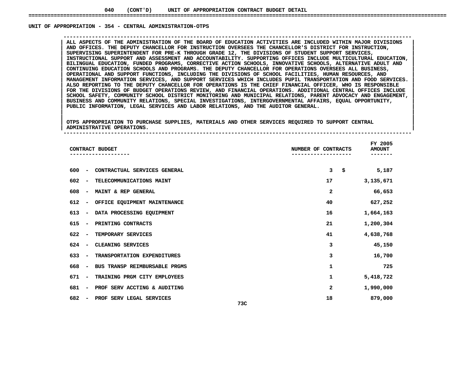#### UNIT OF APPROPRIATION - 354 - CENTRAL ADMINISTRATION-OTPS

 **OF APPROPRIATION - <sup>354</sup> - CENTRAL ADMINISTRATION-OTPS --------------------------------------------------------------------------------------------------------------**ALL ASPECTS OF THE ADMINISTRATION OF THE BOARD OF EDUCATION ACTIVITIES ARE INCLUDED WITHIN MAJOR DIVISIONS<br>AND OFFICES. THE DEPUTY CHANCELLOR FOR INSTRUCTION OVERSEES THE CHANCELLOR'S DISTRICT FOR INSTRUCTION,<br>SUPERVISING **AND OFFICES. THE DEPUTY CHANCELLOR FOR INSTRUCTION OVERSEES THE CHANCELLOR'S DISTRICT FOR INSTRUCTION, <sup>|</sup> <sup>|</sup> SUPERVISING SUPERINTENDENT FOR PRE-K THROUGH GRADE 12, THE DIVISIONS OF STUDENT SUPPORT SERVICES, <sup>|</sup> <sup>|</sup> INSTRUCTIONAL SUPPORT AND ASSESSMENT AND ACCOUNTABILITY. SUPPORTING OFFICES INCLUDE MULTICULTURAL EDUCATION, <sup>|</sup> <sup>|</sup> BILINGUAL EDUCATION, FUNDED PROGRAMS, CORRECTIVE ACTION SCHOOLS, INNOVATIVE SCHOOLS, ALTERNATIVE ADULT AND <sup>|</sup> <sup>|</sup> CONTINUING EDUCATION SCHOOLS AND PROGRAMS. THE DEPUTY CHANCELLOR FOR OPERATIONS OVERSEES ALL BUSINESS, <sup>|</sup> <sup>|</sup> OPERATIONAL AND SUPPORT FUNCTIONS, INCLUDING THE DIVISIONS OF SCHOOL FACILITIES, HUMAN RESOURCES, AND <sup>|</sup> <sup>|</sup> MANAGEMENT INFORMATION SERVICES, AND SUPPORT SERVICES WHICH INCLUDES PUPIL TRANSPORTATION AND FOOD SERVICES. <sup>|</sup> <sup>|</sup>**ALSO REPORTING TO THE DEPUTY CHANCELLOR FOR OPERATIONS IS THE CHIEF FINANCIAL OFFICER, WHO IS RESPONSIBLE FOR THE DIVISIONS OF BUDGET OPERATIONS REVIEW, AND FINANCIAL OPERATIONS. ADDITIONAL CENTRAL OFFICES INCLUDE<br>SCHOOL S **FOR THE DIVISIONS OF BUDGET OPERATIONS REVIEW, AND FINANCIAL OPERATIONS. ADDITIONAL CENTRAL OFFICES INCLUDE <sup>|</sup> <sup>|</sup> SCHOOL SAFETY, COMMUNITY SCHOOL DISTRICT MONITORING AND MUNICIPAL RELATIONS, PARENT ADVOCACY AND ENGAGEMENT, <sup>|</sup> <sup>|</sup> BUSINESS AND COMMUNITY RELATIONS, SPECIAL INVESTIGATIONS, INTERGOVERNMENTAL AFFAIRS, EQUAL OPPORTUNITY, <sup>|</sup> <sup>|</sup>PUBLIC INFORMATION, LEGAL SERVICES AND LABOR RELATIONS, AND THE AUDITOR GENERAL. <sup>|</sup> <sup>|</sup>**

|<br>| OTPS APPROPRIATION TO PURCHASE SUPPLIES, MATERIALS AND OTHER SERVICES REQUIRED TO SUPPORT CENTRAL |<br>| OTPS APPROPRIATION TO PURCHASE SUPPLIES, MATERIALS AND OTHER SERVICES REQUIRED TO SUPPORT CENTRAL<br>| ADMINISTRATIVE OPERATIONS. **OTPS APPROPRIATION TO PURCHASE SUPPLIES, MATERIALS AND OTHER SERVICES REQUIRED TO SUPPORT CENTRAL <sup>|</sup> <sup>|</sup>ADMINISTRATIVE OPERATIONS. <sup>|</sup> --------------------------------------------------------------------------------------------------------------**

| CONTRACT BUDGET                                                  | NUMBER OF CONTRACTS | FY 2005<br><b>AMOUNT</b> |
|------------------------------------------------------------------|---------------------|--------------------------|
| 600<br>CONTRACTUAL SERVICES GENERAL<br>$\overline{\phantom{a}}$  | \$<br>3             | 5,187                    |
| 602<br>TELECOMMUNICATIONS MAINT<br>$\overline{\phantom{a}}$      | 17                  | 3,135,671                |
| 608<br>MAINT & REP GENERAL<br>$\overline{\phantom{a}}$           | 2                   | 66,653                   |
| 612<br>OFFICE EQUIPMENT MAINTENANCE<br>$\overline{\phantom{a}}$  | 40                  | 627,252                  |
| 613<br>DATA PROCESSING EQUIPMENT<br>$\overline{\phantom{m}}$     | 16                  | 1,664,163                |
| 615<br>PRINTING CONTRACTS<br>$\overline{\phantom{a}}$            | 21                  | 1,200,304                |
| 622<br>TEMPORARY SERVICES<br>$\overline{\phantom{a}}$            | 41                  | 4,638,768                |
| 624<br>CLEANING SERVICES<br>$\overline{\phantom{a}}$             | 3                   | 45,150                   |
| 633<br>TRANSPORTATION EXPENDITURES<br>$\overline{\phantom{a}}$   | 3                   | 16,700                   |
| 668<br>BUS TRANSP REIMBURSABLE PRGMS<br>$\overline{\phantom{a}}$ | 1                   | 725                      |
| 671<br>TRAINING PRGM CITY EMPLOYEES<br>$\overline{\phantom{a}}$  | 1                   | 5,418,722                |
| 681<br>PROF SERV ACCTING & AUDITING<br>$\overline{\phantom{m}}$  | 2                   | 1,990,000                |
| 682<br>PROF SERV LEGAL SERVICES<br>73C                           | 18                  | 879,000                  |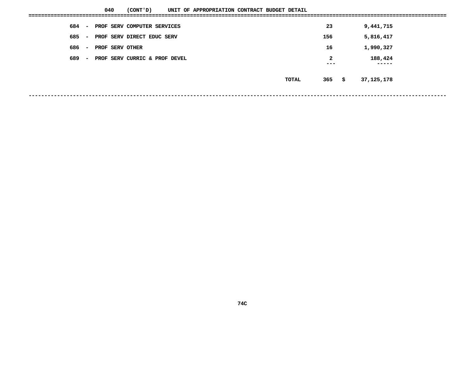|     |                          | 040             | (CONT 'D)                     | UNIT OF APPROPRIATION CONTRACT BUDGET DETAIL |  |  |  |       |              |    |            |  |
|-----|--------------------------|-----------------|-------------------------------|----------------------------------------------|--|--|--|-------|--------------|----|------------|--|
| 684 | $\sim$                   |                 | PROF SERV COMPUTER SERVICES   |                                              |  |  |  |       | 23           |    | 9,441,715  |  |
| 685 | $\overline{\phantom{a}}$ |                 | PROF SERV DIRECT EDUC SERV    |                                              |  |  |  |       | 156          |    | 5,816,417  |  |
| 686 | $\overline{\phantom{a}}$ | PROF SERV OTHER |                               |                                              |  |  |  |       | 16           |    | 1,990,327  |  |
| 689 | $\overline{\phantom{0}}$ |                 | PROF SERV CURRIC & PROF DEVEL |                                              |  |  |  |       | $\mathbf{2}$ |    | 188,424    |  |
|     |                          |                 |                               |                                              |  |  |  |       | ---          |    | -----      |  |
|     |                          |                 |                               |                                              |  |  |  | TOTAL | 365          | \$ | 37,125,178 |  |
|     |                          |                 |                               |                                              |  |  |  |       |              |    |            |  |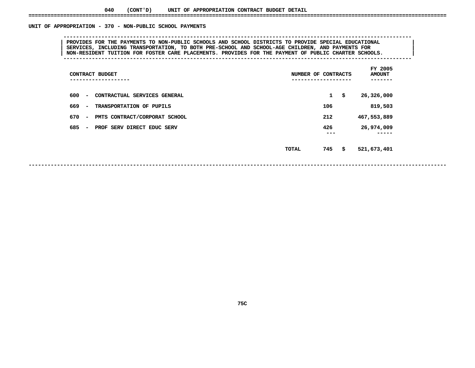#### UNIT OF APPROPRIATION - 370 - NON-PUBLIC SCHOOL PAYMENTS

### **OF APPROPRIATION - <sup>370</sup> - NON-PUBLIC SCHOOL PAYMENTS --------------------------------------------------------------------------------------------------------------**PROVIDES FOR THE PAYMENTS TO NON-PUBLIC SCHOOLS AND SCHOOL DISTRICTS TO PROVIDE SPECIAL EDUCATIONAL<br>SERVICES, INCLUDING TRANSPORTATION, TO BOTH PRE-SCHOOL AND SCHOOL-AGE CHILDREN, AND PAYMENTS FOR **PROVIDES FOR THE PAYMENTS TO NON-PUBLIC SCHOOLS AND SCHOOL DISTRICTS TO PROVIDE SPECIAL EDUCATIONAL <sup>|</sup> <sup>|</sup> SERVICES, INCLUDING TRANSPORTATION, TO BOTH PRE-SCHOOL AND SCHOOL-AGE CHILDREN, AND PAYMENTS FOR <sup>|</sup> <sup>|</sup>NON-RESIDENT TUITION FOR FOSTER CARE PLACEMENTS. PROVIDES FOR THE PAYMENT OF PUBLIC CHARTER SCHOOLS. <sup>|</sup> --------------------------------------------------------------------------------------------------------------**

| CONTRACT BUDGET<br>---------------                               | NUMBER OF CONTRACTS<br>-------------------- |              | FY 2005<br><b>AMOUNT</b><br>----- |
|------------------------------------------------------------------|---------------------------------------------|--------------|-----------------------------------|
| 600<br>CONTRACTUAL SERVICES GENERAL<br>$\overline{\phantom{0}}$  |                                             | $\mathbf{1}$ | \$<br>26,326,000                  |
| 669<br>TRANSPORTATION OF PUPILS<br>$\overline{\phantom{0}}$      |                                             | 106          | 819,503                           |
| 670<br>PMTS CONTRACT/CORPORAT SCHOOL<br>$\overline{\phantom{0}}$ |                                             | 212          | 467,553,889                       |
| 685<br>PROF SERV DIRECT EDUC SERV<br>-                           |                                             | 426<br>---   | 26,974,009                        |
|                                                                  | TOTAL                                       | 745          | \$<br>521,673,401                 |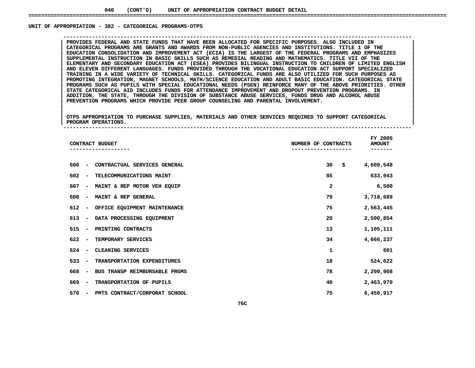#### UNIT OF APPROPRIATION - 382 - CATEGORICAL PROGRAMS-OTPS

 **OF APPROPRIATION - <sup>382</sup> - CATEGORICAL PROGRAMS-OTPS --------------------------------------------------------------------------------------------------------------**CATEGORICAL PROGRAMS ARE GRANTS AND AWARDS FROM NON-PUBLIC AGENCIES AND INSTITUTIONS. TITLE 1 OF THE **PROVIDES FEDERAL AND STATE FUNDS THAT HAVE BEEN ALLOCATED FOR SPECIFIC PURPOSES. ALSO INCLUDED IN <sup>|</sup> <sup>|</sup> CATEGORICAL PROGRAMS ARE GRANTS AND AWARDS FROM NON-PUBLIC AGENCIES AND INSTITUTIONS. TITLE <sup>1</sup> OF THE <sup>|</sup> <sup>|</sup>**EDUCATION CONSOLIDATION AND IMPROVEMENT ACT (ECIA) IS THE LARGEST OF THE FEDERAL PROGRAMS AND EMPHASIZES<br>SUPPLEMENTAL INSTRUCTION IN BASIC SKILLS SUCH AS REMEDIAL READING AND MATHEMATICS. TITLE VII OF THE<br>ELEMENTARY AND SE **SUPPLEMENTAL INSTRUCTION IN BASIC SKILLS SUCH AS REMEDIAL READING AND MATHEMATICS. TITLE VII OF THE <sup>|</sup> <sup>|</sup> ELEMENTARY AND SECONDARY EDUCATION ACT (ESEA) PROVIDES BILINGUAL INSTRUCTION TO CHILDREN OF LIMITED ENGLISH <sup>|</sup> <sup>|</sup> AND ELEVEN DIFFERENT LANGUAGES. FUNDS PROVIDED THROUGH THE VOCATIONAL EDUCATION ACT SUPPORT SPECIALIZED <sup>|</sup> <sup>|</sup>**TRAINING IN A WIDE VARIETY OF TECHNICAL SKILLS. CATEGORICAL FUNDS ARE ALSO UTILIZED FOR SUCH PURPOSES AS<br>PROMOTING INTEGRATION, MAGNET SCHOOLS, MATH/SCIENCE EDUCATION AND ADULT BASIC EDUCATION. CATEGORICAL STATE<br>PROGRAMS S **PROMOTING INTEGRATION, MAGNET SCHOOLS, MATH/SCIENCE EDUCATION AND ADULT BASIC EDUCATION. CATEGORICAL STATE <sup>|</sup> <sup>|</sup>**PROGRAMS SUCH AS PUPILS WITH SPECIAL EDUCATIONAL NEEDS (PSEN) REINFORCE MANY OF THE ABOVE PRIORITIES. OTHER<br>STATE CATEGORICAL AID INCLUDES FUNDS FOR ATTENDANCE IMPROVEMENT AND DROPOUT PREVENTION PROGRAMS. IN<br>ADDITION, THE **STATE CATEGORICAL AID INCLUDES FUNDS FOR ATTENDANCE IMPROVEMENT AND DROPOUT PREVENTION PROGRAMS. IN <sup>|</sup> <sup>|</sup> ADDITION, THE STATE, THROUGH THE DIVISION OF SUBSTANCE ABUSE SERVICES, FUNDS DRUG AND ALCOHOL ABUSE <sup>|</sup> <sup>|</sup>PREVENTION PROGRAMS WHICH PROVIDE PEER GROUP COUNSELING AND PARENTAL INVOLVEMENT. <sup>|</sup> <sup>|</sup>**

|<br>| OTPS\_APPROPRIATION\_TO\_PURCHASE\_SUPPLIES,\_MATERIALS\_AND\_OTHER\_SERVICES\_REQUIRED\_TO\_SUPPORT\_CATEGORICAL |<br>| OTPS APPROPRIATION TO PURCHASE SUPPLIES, MATERIALS AND OTHER SERVICES REQUIRED TO SUPPORT CATEGORICAL<br>| PROGRAM OPERATIONS. **OTPS APPROPRIATION TO PURCHASE SUPPLIES, MATERIALS AND OTHER SERVICES REQUIRED TO SUPPORT CATEGORICAL <sup>|</sup> <sup>|</sup>PROGRAM OPERATIONS. <sup>|</sup> --------------------------------------------------------------------------------------------------------------**

|                                     | CONTRACT BUDGET               | NUMBER OF CONTRACTS | FY 2005<br><b>AMOUNT</b> |
|-------------------------------------|-------------------------------|---------------------|--------------------------|
| 600<br>$\overline{\phantom{a}}$     | CONTRACTUAL SERVICES GENERAL  | 30                  | \$<br>4,609,548          |
| 602<br>$\overline{\phantom{a}}$     | TELECOMMUNICATIONS MAINT      | 85                  | 633,943                  |
| 607<br>$\overline{\phantom{a}}$     | MAINT & REP MOTOR VEH EQUIP   | 2                   | 6,500                    |
| 608<br>$\overline{\phantom{a}}$     | MAINT & REP GENERAL           | 79                  | 3,718,689                |
| 612<br>$\qquad \qquad \blacksquare$ | OFFICE EQUIPMENT MAINTENANCE  | 75                  | 2,563,445                |
| 613<br>$\overline{\phantom{a}}$     | DATA PROCESSING EQUIPMENT     | 20                  | 2,590,854                |
| 615<br>$\overline{\phantom{a}}$     | PRINTING CONTRACTS            | 13                  | 1,105,111                |
| 622<br>$\overline{\phantom{a}}$     | TEMPORARY SERVICES            | 34                  | 4,666,237                |
| 624<br>$\overline{\phantom{a}}$     | CLEANING SERVICES             | 1                   | 601                      |
| 633<br>$\overline{\phantom{a}}$     | TRANSPORTATION EXPENDITURES   | 18                  | 524,622                  |
| 668<br>$\overline{\phantom{a}}$     | BUS TRANSP REIMBURSABLE PRGMS | 78                  | 2,209,908                |
| 669<br>$\overline{\phantom{a}}$     | TRANSPORTATION OF PUPILS      | 40                  | 2,463,970                |
| 670<br>-                            | PMTS CONTRACT/CORPORAT SCHOOL | 75                  | 6,459,917                |
|                                     | 76C                           |                     |                          |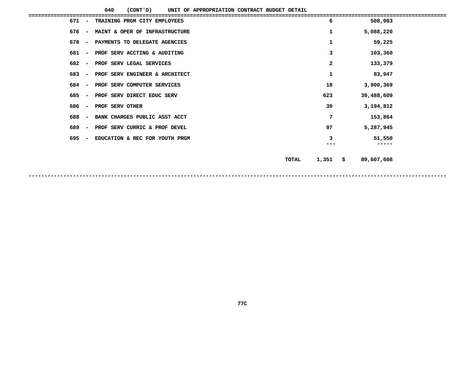**040**

|                                 | 040<br>(CONT 'D)<br>UNIT OF APPROPRIATION CONTRACT BUDGET DETAIL |                       |                  |  |
|---------------------------------|------------------------------------------------------------------|-----------------------|------------------|--|
| 671                             | TRAINING PRGM CITY EMPLOYEES                                     | 6                     | 508,983          |  |
| 676<br>$\overline{\phantom{a}}$ | MAINT & OPER OF INFRASTRUCTURE                                   | 1                     | 5,088,220        |  |
| 678<br>$\overline{\phantom{a}}$ | PAYMENTS TO DELEGATE AGENCIES                                    | 1                     | 59,225           |  |
| 681<br>$\overline{\phantom{a}}$ | PROF SERV ACCTING & AUDITING                                     | 3                     | 103,360          |  |
| 682<br>$\overline{\phantom{a}}$ | PROF SERV LEGAL SERVICES                                         | $\overline{a}$        | 133,379          |  |
| 683<br>$\overline{\phantom{a}}$ | PROF SERV ENGINEER & ARCHITECT                                   | 1                     | 83,947           |  |
| 684<br>$\overline{\phantom{a}}$ | PROF SERV COMPUTER SERVICES                                      | 18                    | 3,900,369        |  |
| 685<br>$\overline{\phantom{a}}$ | PROF SERV DIRECT EDUC SERV                                       | 623                   | 39,488,609       |  |
| 686<br>$\overline{\phantom{a}}$ | PROF SERV OTHER                                                  | 39                    | 3,194,812        |  |
| 688<br>$\overline{\phantom{a}}$ | BANK CHARGES PUBLIC ASST ACCT                                    | 7                     | 153,864          |  |
| 689<br>$\overline{\phantom{a}}$ | PROF SERV CURRIC & PROF DEVEL                                    | 97                    | 5,287,945        |  |
| 695                             | EDUCATION & REC FOR YOUTH PRGM                                   | 3                     | 51,550           |  |
|                                 |                                                                  | ---                   |                  |  |
|                                 |                                                                  | 1,351<br><b>TOTAL</b> | \$<br>89,607,608 |  |
|                                 |                                                                  |                       |                  |  |
|                                 |                                                                  |                       |                  |  |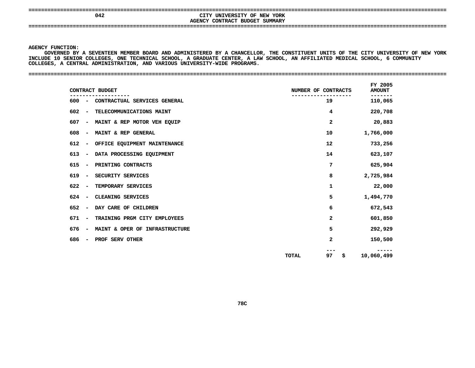**====================================================================================================================================**

### **<sup>042</sup> CITY UNIVERSITY OF NEW YORK AGENCYCONTRACT BUDGET SUMMARY ====================================================================================================================================**

**AGENCY**

Y FUNCTION:<br>GOVERNED BY<br>DE 10 SENIC<br>PE 10 SENIC GOVERNED BY A SEVENTEEN MEMBER BOARD AND ADMINISTERED BY A D BY A SEVENTEEN MEMBER BOARD AND ADMINISTERED BY A CHANCELLOR, THE CONSTITUENT UNITS OF THE CITY UNIVERSITY OF NEW YORK<br>ENIOR COLLEGES, ONE TECHNICAL SCHOOL, A GRADUATE CENTER, A LAW SCHOOL, AN AFFILIATED MEDICAL SCHOOL, **INCLUDEAA LAW SCHOOL, AN AFFILIATED MEDICAL SCHOOL, <sup>6</sup> COMMUNITY <sup>10</sup> SENIOR COLLEGES, ONE TECHNICAL SCHOOL, GRADUATE CENTER, COLLEGES,A**

| CONTRACT BUDGET                                                   | NUMBER OF CONTRACTS      | FY 2005<br><b>AMOUNT</b> |
|-------------------------------------------------------------------|--------------------------|--------------------------|
| 600<br>CONTRACTUAL SERVICES GENERAL<br>$\overline{\phantom{a}}$   | 19                       | .<br>110,065             |
| 602<br>TELECOMMUNICATIONS MAINT<br>$\overline{\phantom{a}}$       | 4                        | 220,708                  |
| 607<br>MAINT & REP MOTOR VEH EQUIP<br>$\overline{\phantom{a}}$    | $\overline{a}$           | 20,883                   |
| 608<br>MAINT & REP GENERAL<br>$\overline{\phantom{a}}$            | 10                       | 1,766,000                |
| 612<br>OFFICE EQUIPMENT MAINTENANCE                               | $12 \overline{ }$        | 733,256                  |
| DATA PROCESSING EQUIPMENT<br>613<br>$\overline{\phantom{a}}$      | 14                       | 623,107                  |
| 615<br>PRINTING CONTRACTS<br>$\overline{\phantom{a}}$             | 7                        | 625,904                  |
| 619<br>SECURITY SERVICES                                          | 8                        | 2,725,984                |
| 622<br>TEMPORARY SERVICES                                         | 1                        | 22,000                   |
| 624<br>CLEANING SERVICES                                          | 5                        | 1,494,770                |
| 652<br>DAY CARE OF CHILDREN                                       | 6                        | 672,543                  |
| 671<br>TRAINING PRGM CITY EMPLOYEES                               | $\mathbf{2}$             | 601,850                  |
| 676<br>MAINT & OPER OF INFRASTRUCTURE<br>$\overline{\phantom{a}}$ | 5                        | 292,929                  |
| 686<br>PROF SERV OTHER                                            | $\mathbf{2}$             | 150,500                  |
|                                                                   | 97<br><b>TOTAL</b><br>\$ | 10,060,499               |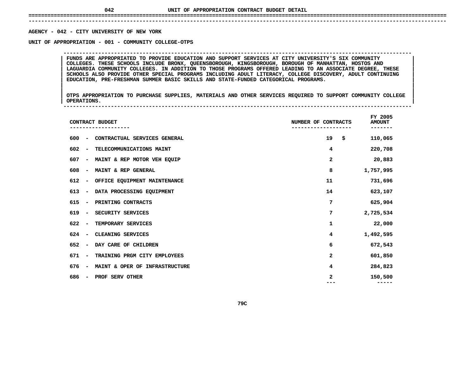## **UNIT OF APPROPRIATION CONTRACT BUDGET DETAIL ====================================================================================================================================**

 **------------------------------------------------------------------------------------------------------------------------------------**AGENCY - 042 - CITY UNIVERSITY OF NEW YORK

**- <sup>042</sup> - CITY UNIVERSITY OF NEW YORK UNIT**

 **OF APPROPRIATION - <sup>001</sup> - COMMUNITY COLLEGE-OTPS --------------------------------------------------------------------------------------------------------------**COLLEGES. THESE SCHOOLS INCLUDE BRONX, QUEENSBOROUGH, KINGSBOROUGH, BOROUGH OF MANHATTAN, HOSTOS AND **FUNDS ARE APPROPRIATED TO PROVIDE EDUCATION AND SUPPORT SERVICES AT CITY UNIVERSITY'S SIX COMMUNITY <sup>|</sup> <sup>|</sup> COLLEGES. THESE SCHOOLS INCLUDE BRONX, QUEENSBOROUGH, KINGSBOROUGH, BOROUGH OF MANHATTAN, HOSTOS AND <sup>|</sup> <sup>|</sup>**LAGUARDIA COMMUNITY COLLEGES. IN ADDITION TO THOSE PROGRAMS OFFERED LEADING TO AN ASSOCIATE DEGREE, THESE<br>SCHOOLS ALSO PROVIDE OTHER SPECIAL PROGRAMS INCLUDING ADULT LITERACY, COLLEGE DISCOVERY, ADULT CONTINUING<br>EDUCATION, **SCHOOLS ALSO PROVIDE OTHER SPECIAL PROGRAMS INCLUDING ADULT LITERACY, COLLEGE DISCOVERY, ADULT CONTINUING <sup>|</sup> <sup>|</sup>EDUCATION, PRE-FRESHMAN SUMMER BASIC SKILLS AND STATE-FUNDED CATEGORICAL PROGRAMS. <sup>|</sup> <sup>|</sup>**

|<br>| OTPS\_APPROPRIATION TO PURCHASE SUPPLIES, MATERIALS AND OTHER SERVICES REQUIRED TO SUPPORT COMMUNITY COLLEGE |<br>| OTPS APPROPRIATION TO PURCHASE SUPPLIES, MATERIALS AND OTHER SERVICES REQUIRED TO SUPPORT COMMUNITY COLLEGE<br>| OPERATIONS. **OTPS APPROPRIATION TO PURCHASE SUPPLIES, MATERIALS AND OTHER SERVICES REQUIRED TO SUPPORT COMMUNITY COLLEGE <sup>|</sup> <sup>|</sup>OPERATIONS. <sup>|</sup> --------------------------------------------------------------------------------------------------------------**

|     |                              | CONTRACT BUDGET                | NUMBER OF CONTRACTS | FY 2005<br><b>AMOUNT</b> |
|-----|------------------------------|--------------------------------|---------------------|--------------------------|
| 600 | $\qquad \qquad \blacksquare$ | CONTRACTUAL SERVICES GENERAL   | 19<br>\$            | 110,065                  |
| 602 | $\overline{\phantom{a}}$     | TELECOMMUNICATIONS MAINT       | 4                   | 220,708                  |
| 607 | $\qquad \qquad \blacksquare$ | MAINT & REP MOTOR VEH EQUIP    | 2                   | 20,883                   |
| 608 | $\qquad \qquad$              | MAINT & REP GENERAL            | 8                   | 1,757,995                |
| 612 | $\qquad \qquad$              | OFFICE EQUIPMENT MAINTENANCE   | 11                  | 731,696                  |
| 613 | $\qquad \qquad$              | DATA PROCESSING EQUIPMENT      | 14                  | 623,107                  |
| 615 | $\qquad \qquad \blacksquare$ | PRINTING CONTRACTS             | 7                   | 625,904                  |
| 619 | $\qquad \qquad \blacksquare$ | SECURITY SERVICES              | 7                   | 2,725,534                |
| 622 | $\qquad \qquad$              | TEMPORARY SERVICES             | 1                   | 22,000                   |
| 624 | $\overline{\phantom{a}}$     | CLEANING SERVICES              | 4                   | 1,492,595                |
| 652 | $\overline{\phantom{a}}$     | DAY CARE OF CHILDREN           | 6                   | 672,543                  |
| 671 | $\overline{\phantom{a}}$     | TRAINING PRGM CITY EMPLOYEES   | $\mathbf{z}$        | 601,850                  |
| 676 | $\overline{\phantom{a}}$     | MAINT & OPER OF INFRASTRUCTURE | 4                   | 284,823                  |
| 686 | $\overline{\phantom{a}}$     | PROF SERV OTHER                | 2                   | 150,500<br>-----         |
|     |                              |                                |                     |                          |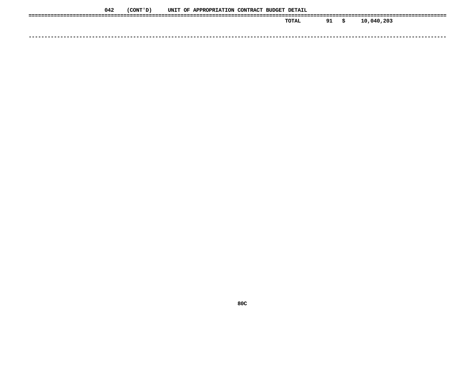| 042 | (CONT 'D) |  | UNIT OF APPROPRIATION CONTRACT BUDGET DETAIL |  |       |    |      |            |
|-----|-----------|--|----------------------------------------------|--|-------|----|------|------------|
|     |           |  |                                              |  | TOTAL | 91 | - \$ | 10,040,203 |
|     |           |  |                                              |  |       |    |      |            |
|     |           |  |                                              |  |       |    |      |            |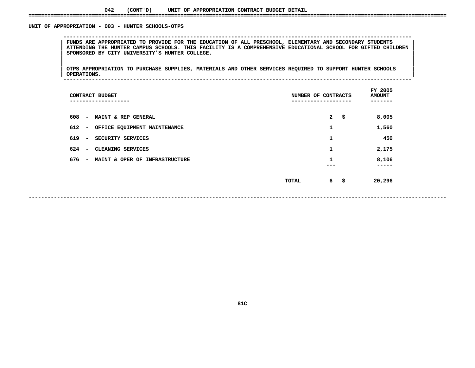#### UNIT OF APPROPRIATION - 003 - HUNTER SCHOOLS-OTPS

 **OF APPROPRIATION - <sup>003</sup> - HUNTER SCHOOLS-OTPS --------------------------------------------------------------------------------------------------------------**FUNDS ARE APPROPRIATED TO PROVIDE FOR THE EDUCATION OF ALL PRESCHOOL, ELEMENTARY AND SECONDARY STUDENTS<br>| ATTENDING THE HUNTER CAMPUS SCHOOLS. THIS FACILITY IS A COMPREHENSIVE EDUCATIONAL SCHOOL FOR GIFTED CHILDREN<br>| SPONS ATTENDING THE HUNTER CAMPUS SCHOOLS. THIS FACILITY IS A COMPREHENSIVE EDUCATIONAL SCHOOL FOR GIFTED CHILDREN<br>| SPONSORED BY CITY UNIVERSITY'S HUNTER COLLEGE.<br>| **SPONSORED BY CITY UNIVERSITY'S HUNTER COLLEGE. <sup>|</sup> <sup>|</sup>**

|<br>| OTPS\_APPROPRIATION TO PURCHASE SUPPLIES, MATERIALS AND OTHER SERVICES REQUIRED TO SUPPORT HUNTER SCHOOLS |<br>| OTPS APPROPRIATION TO PURCHASE SUPPLIES, MATERIALS AND OTHER SERVICES REQUIRED TO SUPPORT HUNTER SCHOOLS<br>| OPERATIONS. **OTPS APPROPRIATION TO PURCHASE SUPPLIES, MATERIALS AND OTHER SERVICES REQUIRED TO SUPPORT HUNTER SCHOOLS <sup>|</sup> <sup>|</sup>OPERATIONS. <sup>|</sup> --------------------------------------------------------------------------------------------------------------**

| CONTRACT BUDGET<br>-------------                                  | NUMBER OF CONTRACTS         | FY 2005<br><b>AMOUNT</b> |
|-------------------------------------------------------------------|-----------------------------|--------------------------|
| 608<br>MAINT & REP GENERAL<br>$\overline{\phantom{a}}$            | $\mathbf{2}$<br>-\$         | 8,005                    |
| 612<br>OFFICE EQUIPMENT MAINTENANCE<br>$\overline{\phantom{a}}$   | 1                           | 1,560                    |
| 619<br>SECURITY SERVICES<br>$\overline{\phantom{a}}$              | 1                           | 450                      |
| 624<br>CLEANING SERVICES<br>$\overline{\phantom{a}}$              | 1                           | 2,175                    |
| 676<br>MAINT & OPER OF INFRASTRUCTURE<br>$\overline{\phantom{a}}$ | 1                           | 8,106<br>-----           |
|                                                                   | $6^{\circ}$<br>TOTAL<br>-\$ | 20,296                   |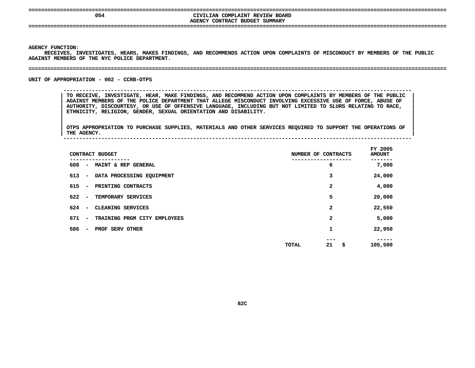## **OS4**<br> **AGENCY CONTRACT BUDGET SUMMARY**<br> **AGENCY CONTRACT BUDGET SUMMARY CIVILIAN COMPLAINT REVIEW BOARD**

**CONTRACT BUDGET SUMMARY ====================================================================================================================================**

**AGENCY**

Y FUNCTION:<br>RECEIVES, 1<br>ST MEMBERS RECEIVES, INVESTIGATES, HEARS, MAKES FINDINGS, AND RECOMMENDS ACTION UPON COMPLAINTS OF MISCONDUCT BY MEMBERS OF THE PUBLIC<br>ST MEMBERS OF THE NYC POLICE DEPARTMENT.<br>. AGAINST MEMBERS OF THE NYC POLICE DEPARTMENT.

UNIT OF APPROPRIATION - 002 - CCRB-OTPS

**OF APPROPRIATION - <sup>002</sup> - CCRB-OTPS --------------------------------------------------------------------------------------------------------------**

**MEMBERS OF THE NYC POLICE DEPARTMENT. ====================================================================================================================================**

TO RECEIVE, INVESTIGATE, HEAR, MAKE FINDINGS, AND RECOMMEND ACTION UPON COMPLAINTS BY MEMBERS OF THE PUBLIC<br>AGAINST MEMBERS OF THE POLICE DEPARTMENT THAT ALLEGE MISCONDUCT INVOLVING EXCESSIVE USE OF FORCE, ABUSE OF<br>AUTHORI AGAINST MEMBERS OF THE POLICE DEPARTMENT THAT ALLEGE MISCONDUCT INVOLVING EXCESSIVE USE OF FORCE, ABUSE OF SACE<br>AUTHORITY, DISCOURTESY, OR USE OF OFFENSIVE LANGUAGE, INCLUDING BUT NOT LIMITED TO SLURS RELATING TO RACE,<br>ETH AUTHORITY, DISCOURTESY, OR USE OF OFFENSIVE LANGUAGE, INCLUDING BUT NOT LIMITED TO SLURS RELATING TO RACE, **ETHNICITY, RELIGION, GENDER, SEXUAL ORIENTATION AND DISABILITY. <sup>|</sup>**

|<br>| OTPS\_APPROPRIATION TO PURCHASE SUPPLIES, MATERIALS AND OTHER SERVICES REQUIRED TO SUPPORT THE OPERATIONS OF OTPS APPROPRIATION TO PURCHASE SUPPLIES, MATERIALS AND OTHER SERVICES REQUIRED TO SUPPORT THE OPERATIONS OF THE OPERATIONS OF **OTPS APPROPRIATION TO PURCHASE SUPPLIES, MATERIALS AND OTHER SERVICES REQUIRED TO SUPPORT THE OPERATIONS OF <sup>|</sup> THE AGENCY. <sup>|</sup> --------------------------------------------------------------------------------------------------------------**

| CONTRACT BUDGET                                                 | NUMBER OF CONTRACTS             | FY 2005<br><b>AMOUNT</b> |
|-----------------------------------------------------------------|---------------------------------|--------------------------|
| 608<br>MAINT & REP GENERAL<br>$\overline{\phantom{a}}$          | 6                               | 7,000                    |
| 613<br>DATA PROCESSING EQUIPMENT<br>$\overline{\phantom{a}}$    | 3                               | 24,000                   |
| 615<br>PRINTING CONTRACTS<br>$\overline{\phantom{a}}$           | $\mathbf{2}$                    | 4,000                    |
| 622<br>TEMPORARY SERVICES<br>$\overline{\phantom{a}}$           | 5                               | 20,000                   |
| 624<br>CLEANING SERVICES<br>$\overline{\phantom{a}}$            | 2                               | 22,550                   |
| 671<br>TRAINING PRGM CITY EMPLOYEES<br>$\overline{\phantom{a}}$ | 2                               | 5,000                    |
| 686<br>PROF SERV OTHER<br>$\overline{\phantom{a}}$              | 1                               | 22,950                   |
|                                                                 | ---<br>21<br>\$<br><b>TOTAL</b> | 105,500                  |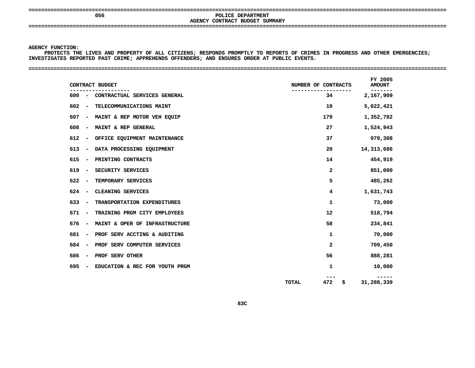**====================================================================================================================================**

## **AGENCY**

 **<sup>056</sup> POLICE DEPARTMENT CONTRACT BUDGET SUMMARY ====================================================================================================================================**

### **AGENCY**

Y FUNCTION:<br>PROTECTS T<del>H</del><br>TIGATES RE<mark>F</mark> PROTECTS THE LIVES AND PROPERTY OF ALL CITIZENS; RESPONDS PROMPTLY TO REPORTS OF CRIMES IN PROGRESS AND OTHER EMERGENCIES;<br>TIGATES REPORTED PAST CRIME; APPREHENDS OFFENDERS; AND ENSURES ORDER AT PUBLIC EVENTS.<br>-**INVESTIGATES REPORTED PAST CRIME; APPREHENDS OFFENDERS; AND ENSURES ORDER AT PUBLIC EVENTS. ====================================================================================================================================**

| 34<br>19<br>179<br>27<br>37<br>20<br>14<br>$\mathbf{2}$<br>5<br>4 | 2,167,909<br>5,022,421<br>1,352,782<br>1,524,943<br>979,308<br>14,313,686<br>454,919<br>851,000<br>485,262 |
|-------------------------------------------------------------------|------------------------------------------------------------------------------------------------------------|
|                                                                   |                                                                                                            |
|                                                                   |                                                                                                            |
|                                                                   |                                                                                                            |
|                                                                   |                                                                                                            |
|                                                                   |                                                                                                            |
|                                                                   |                                                                                                            |
|                                                                   |                                                                                                            |
|                                                                   |                                                                                                            |
|                                                                   |                                                                                                            |
|                                                                   | 1,631,743                                                                                                  |
| 1                                                                 | 73,000                                                                                                     |
| 12                                                                | 518,794                                                                                                    |
| 58                                                                | 234,841                                                                                                    |
| 1                                                                 | 70,000                                                                                                     |
| $\mathbf{2}$                                                      | 709,450                                                                                                    |
| 56                                                                | 888,281                                                                                                    |
| 1                                                                 | 10,000                                                                                                     |
|                                                                   | -----<br>31,288,339                                                                                        |
|                                                                   | <b>TOTAL</b><br>472<br>\$                                                                                  |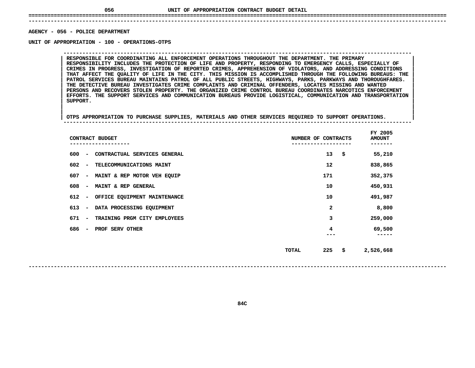## **UNIT OF APPROPRIATION CONTRACT BUDGET DETAIL ====================================================================================================================================**

### **------------------------------------------------------------------------------------------------------------------------------------AGENCY**

**- <sup>056</sup> - POLICE DEPARTMENT UNIT**

 **OF APPROPRIATION - <sup>100</sup> - OPERATIONS-OTPS --------------------------------------------------------------------------------------------------------------**RESPONSIBILITY INCLUDES THE PROTECTION OF LIFE AND PROPERTY, RESPONDING TO EMERGENCY CALLS, ESPECIALLY OF **RESPONSIBLE FOR COORDINATING ALL ENFORCEMENT OPERATIONS THROUGHOUT THE DEPARTMENT. THE PRIMARY <sup>|</sup> <sup>|</sup> RESPONSIBILITY INCLUDES THE PROTECTION OF LIFE AND PROPERTY, RESPONDING TO EMERGENCY CALLS, ESPECIALLY OF <sup>|</sup> <sup>|</sup> CRIMES IN PROGRESS, INVESTIGATION OF REPORTED CRIMES, APPREHENSION OF VIOLATORS, AND ADDRESSING CONDITIONS <sup>|</sup> <sup>|</sup>**THAT AFFECT THE QUALITY OF LIFE IN THE CITY. THIS MISSION IS ACCOMPLISHED THROUGH THE FOLLOWING BUREAUS: THE<br>PATROL SERVICES BUREAU MAINTAINS PATROL OF ALL PUBLIC STREETS, HIGHWAYS, PARKS, PARKWAYS AND THOROUGHFARES.<br>THE D **PATROL SERVICES BUREAU MAINTAINS PATROL OF ALL PUBLIC STREETS, HIGHWAYS, PARKS, PARKWAYS AND THOROUGHFARES. <sup>|</sup> <sup>|</sup> THE DETECTIVE BUREAU INVESTIGATES CRIME COMPLAINTS AND CRIMINAL OFFENDERS, LOCATES MISSING AND WANTED <sup>|</sup> <sup>|</sup> PERSONS AND RECOVERS STOLEN PROPERTY. THE ORGANIZED CRIME CONTROL BUREAU COORDINATES NARCOTICS ENFORCEMENT <sup>|</sup> <sup>|</sup> EFFORTS. THE SUPPORT SERVICES AND COMMUNICATION BUREAUS PROVIDE LOGISTICAL, COMMUNICATION AND TRANSPORTATION <sup>|</sup> <sup>|</sup>SUPPORT. <sup>|</sup> <sup>|</sup>**

|<br>| OTPS APPROPRIATION TO PURCHASE SUPPLIES, MATERIALS AND OTHER SERVICES REQUIRED TO SUPPORT OPERATIONS. **<sup>|</sup> <sup>|</sup>OTPS APPROPRIATION TO PURCHASE SUPPLIES, MATERIALS AND OTHER SERVICES REQUIRED TO SUPPORT OPERATIONS. <sup>|</sup> --------------------------------------------------------------------------------------------------------------**

| CONTRACT BUDGET                                                 | NUMBER OF CONTRACTS | FY 2005<br><b>AMOUNT</b> |
|-----------------------------------------------------------------|---------------------|--------------------------|
| 600<br>CONTRACTUAL SERVICES GENERAL<br>$\overline{\phantom{0}}$ | 13<br>\$            | 55,210                   |
| 602<br>TELECOMMUNICATIONS MAINT<br>$\overline{\phantom{a}}$     | 12                  | 838,865                  |
| 607<br>MAINT & REP MOTOR VEH EQUIP<br>$\overline{\phantom{a}}$  | 171                 | 352,375                  |
| 608<br>MAINT & REP GENERAL<br>$\overline{\phantom{0}}$          | 10                  | 450,931                  |
| 612<br>OFFICE EQUIPMENT MAINTENANCE<br>$\overline{\phantom{a}}$ | 10                  | 491,987                  |
| 613<br>DATA PROCESSING EQUIPMENT<br>$\overline{\phantom{a}}$    | 2                   | 8,800                    |
| 671<br>TRAINING PRGM CITY EMPLOYEES<br>$\overline{\phantom{0}}$ | 3                   | 259,000                  |
| 686<br>PROF SERV OTHER<br>$\overline{\phantom{a}}$              | 4                   | 69,500                   |
|                                                                 | \$<br>225<br>TOTAL  | 2,526,668                |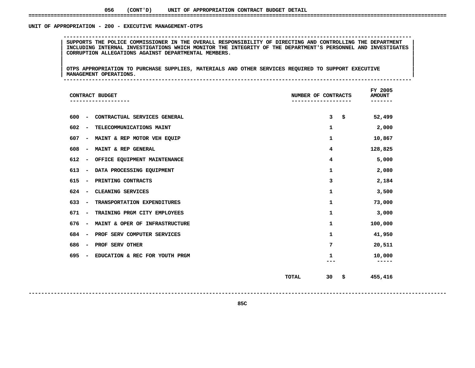#### UNIT OF APPROPRIATION - 200 - EXECUTIVE MANAGEMENT-OTPS

 **OF APPROPRIATION - <sup>200</sup> - EXECUTIVE MANAGEMENT-OTPS --------------------------------------------------------------------------------------------------------------**SUPPORTS THE POLICE COMMISSIONER IN THE OVERALL RESPONSIBILITY OF DIRECTING AND CONTROLLING THE DEPARTMENT |<br>| INCLUDING INTERNAL INVESTIGATIONS WHICH MONITOR THE INTEGRITY OF THE DEPARTMENT'S PERSONNEL AND INVESTIGATES<br>| **INCLUDING INTERNAL INVESTIGATIONS WHICH MONITOR THE INTEGRITY OF THE DEPARTMENT'S PERSONNEL AND INVESTIGATES <sup>|</sup> <sup>|</sup>CORRUPTION ALLEGATIONS AGAINST DEPARTMENTAL MEMBERS. <sup>|</sup> <sup>|</sup>**

|<br>| OTPS\_APPROPRIATION\_TO\_PURCHASE\_SUPPLIES,\_MATERIALS\_AND\_OTHER\_SERVICES\_REQUIRED\_TO\_SUPPORT\_EXECUTIVE\_\_\_\_\_\_\_\_\_\_\_ |<br>| OTPS APPROPRIATION TO PURCHASE SUPPLIES, MATERIALS AND OTHER SERVICES REQUIRED TO SUPPORT EXECUTIVE<br>| MANAGEMENT OPERATIONS. **OTPS APPROPRIATION TO PURCHASE SUPPLIES, MATERIALS AND OTHER SERVICES REQUIRED TO SUPPORT EXECUTIVE <sup>|</sup> <sup>|</sup>MANAGEMENT OPERATIONS. <sup>|</sup> --------------------------------------------------------------------------------------------------------------**

| CONTRACT BUDGET                                                   | NUMBER OF CONTRACTS      | FY 2005<br><b>AMOUNT</b> |
|-------------------------------------------------------------------|--------------------------|--------------------------|
| CONTRACTUAL SERVICES GENERAL<br>600<br>$\overline{\phantom{a}}$   | \$<br>3                  | 52,499                   |
| 602<br>TELECOMMUNICATIONS MAINT<br>$\overline{\phantom{a}}$       | 1                        | 2,000                    |
| 607<br>MAINT & REP MOTOR VEH EQUIP<br>$\overline{\phantom{a}}$    | 1                        | 10,867                   |
| MAINT & REP GENERAL<br>608<br>$\overline{\phantom{a}}$            | 4                        | 128,825                  |
| 612<br>OFFICE EQUIPMENT MAINTENANCE<br>$\overline{\phantom{a}}$   | 4                        | 5,000                    |
| 613<br>DATA PROCESSING EQUIPMENT<br>$\overline{\phantom{a}}$      | $\mathbf{1}$             | 2,080                    |
| 615<br>PRINTING CONTRACTS<br>$\overline{\phantom{a}}$             | з                        | 2,184                    |
| 624<br>CLEANING SERVICES<br>$\overline{\phantom{a}}$              | $\mathbf{1}$             | 3,500                    |
| 633<br>TRANSPORTATION EXPENDITURES<br>$\overline{\phantom{a}}$    | $\mathbf{1}$             | 73,000                   |
| 671<br>TRAINING PRGM CITY EMPLOYEES<br>$\blacksquare$             | $\mathbf{1}$             | 3,000                    |
| MAINT & OPER OF INFRASTRUCTURE<br>676<br>$\overline{\phantom{a}}$ | 1                        | 100,000                  |
| PROF SERV COMPUTER SERVICES<br>684<br>$\overline{\phantom{a}}$    | 1                        | 41,950                   |
| 686<br><b>PROF SERV OTHER</b><br>$\overline{\phantom{a}}$         | 7                        | 20,511                   |
| 695<br>EDUCATION & REC FOR YOUTH PRGM<br>$\overline{\phantom{a}}$ | 1<br>---                 | 10,000<br>$- - - - -$    |
|                                                                   | <b>TOTAL</b><br>30<br>\$ | 455,416                  |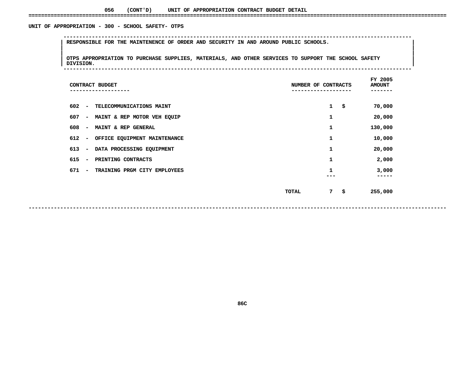#### UNIT OF APPROPRIATION - 300 - SCHOOL SAFETY- OTPS

**<sup>|</sup> RESPONSIBLE FOR THE MAINTENENCE OF ORDER AND SECURITY IN AND AROUND PUBLIC SCHOOLS. <sup>|</sup> <sup>|</sup>**

|<br>| OTPS\_APPROPRIATION TO PURCHASE SUPPLIES, MATERIALS, AND OTHER SERVICES TO SUPPORT THE SCHOOL SAFETY OTPS APPROPRIATION TO PURCHASE SUPPLIES, MATERIALS, AND OTHER SERVICES TO SUPPORT THE SCHOOL SAFETY **||**<br>| DIVISION. **OTPS APPROPRIATION TO PURCHASE SUPPLIES, MATERIALS, AND OTHER SERVICES TO SUPPORT THE SCHOOL SAFETY <sup>|</sup> <sup>|</sup>DIVISION. <sup>|</sup> --------------------------------------------------------------------------------------------------------------**

**OF APPROPRIATION - <sup>300</sup> - SCHOOL SAFETY- OTPS --------------------------------------------------------------------------------------------------------------**

| CONTRACT BUDGET                                                 | NUMBER OF CONTRACTS                   | FY 2005<br><b>AMOUNT</b><br>---- |
|-----------------------------------------------------------------|---------------------------------------|----------------------------------|
| 602<br>TELECOMMUNICATIONS MAINT<br>$\sim$                       | $\mathbf{1}$<br>\$                    | 70,000                           |
| 607<br>MAINT & REP MOTOR VEH EQUIP                              | 1                                     | 20,000                           |
| 608<br>MAINT & REP GENERAL<br>$\overline{\phantom{a}}$          | 1                                     | 130,000                          |
| OFFICE EQUIPMENT MAINTENANCE<br>612<br>$\overline{\phantom{a}}$ | 1                                     | 10,000                           |
| DATA PROCESSING EQUIPMENT<br>613<br>$\overline{\phantom{a}}$    | 1                                     | 20,000                           |
| 615<br>PRINTING CONTRACTS                                       | 1                                     | 2,000                            |
| 671<br>TRAINING PRGM CITY EMPLOYEES                             | 1<br>---                              | 3,000<br>-----                   |
|                                                                 | 7 <sup>7</sup><br>-\$<br><b>TOTAL</b> | 255,000                          |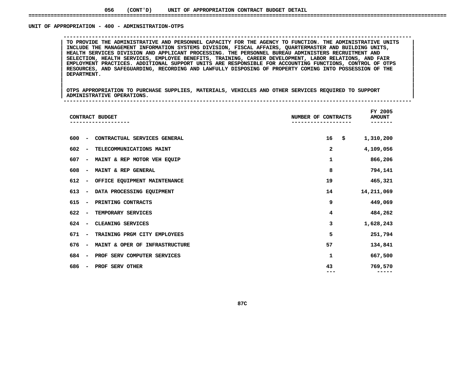#### UNIT OF APPROPRIATION - 400 - ADMINSITRATION-OTPS

TO PROVIDE THE ADMINISTRATIVE AND PERSONNEL CAPACITY FOR THE AGENCY TO FUNCTION. THE ADMINISTRATIVE UNITS<br>INCLUDE THE MANAGEMENT INFORMATION SYSTEMS DIVISION, FISCAL AFFAIRS, QUARTERMASTER AND BUILDING UNITS,<br>HEALTH SERVIC **INCLUDE THE MANAGEMENT INFORMATION SYSTEMS DIVISION, FISCAL AFFAIRS, QUARTERMASTER AND BUILDING UNITS, <sup>|</sup> <sup>|</sup> HEALTH SERVICES DIVISION AND APPLICANT PROCESSING. THE PERSONNEL BUREAU ADMINISTERS RECRUITMENT AND <sup>|</sup> <sup>|</sup> SELECTION, HEALTH SERVICES, EMPLOYEE BENEFITS, TRAINING, CAREER DEVELOPMENT, LABOR RELATIONS, AND FAIR <sup>|</sup> <sup>|</sup> EMPLOYMENT PRACTICES. ADDITIONAL SUPPORT UNITS ARE RESPONSIBLE FOR ACCOUNTING FUNCTIONS, CONTROL OF OTPS <sup>|</sup> <sup>|</sup> RESOURCES, AND SAFEGUARDING, RECORDING AND LAWFULLY DISPOSING OF PROPERTY COMING INTO POSSESSION OF THE <sup>|</sup> <sup>|</sup>DEPARTMENT. <sup>|</sup> <sup>|</sup>**

**OF APPROPRIATION - <sup>400</sup> - ADMINSITRATION-OTPS --------------------------------------------------------------------------------------------------------------**

|<br>| OTPS APPROPRIATION TO PURCHASE SUPPLIES, MATERIALS, VEHICLES AND OTHER SERVICES REQUIRED TO SUPPORT |<br>| OTPS APPROPRIATION TO PURCHASE SUPPLIES, MATERIALS, VEHICLES AND OTHER SERVICES REQUIRED TO SUPPORT<br>| ADMINISTRATIVE OPERATIONS. **OTPS APPROPRIATION TO PURCHASE SUPPLIES, MATERIALS, VEHICLES AND OTHER SERVICES REQUIRED TO SUPPORT <sup>|</sup> <sup>|</sup>ADMINISTRATIVE OPERATIONS. <sup>|</sup> --------------------------------------------------------------------------------------------------------------**

|                                     | CONTRACT BUDGET                | NUMBER OF CONTRACTS<br>. - - - - - - - - - - | FY 2005<br><b>AMOUNT</b><br>----- |
|-------------------------------------|--------------------------------|----------------------------------------------|-----------------------------------|
| 600<br>$\overline{\phantom{a}}$     | CONTRACTUAL SERVICES GENERAL   | 16                                           | \$<br>1,310,200                   |
| 602<br>$\overline{\phantom{a}}$     | TELECOMMUNICATIONS MAINT       | 2                                            | 4,109,056                         |
| 607<br>$\blacksquare$               | MAINT & REP MOTOR VEH EQUIP    | $\mathbf{1}$                                 | 866,206                           |
| 608<br>$\overline{\phantom{a}}$     | MAINT & REP GENERAL            | 8                                            | 794,141                           |
| 612<br>$\qquad \qquad \blacksquare$ | OFFICE EQUIPMENT MAINTENANCE   | 19                                           | 465,321                           |
| 613<br>$\overline{\phantom{a}}$     | DATA PROCESSING EQUIPMENT      | 14                                           | 14,211,069                        |
| 615<br>$\overline{\phantom{a}}$     | PRINTING CONTRACTS             | 9                                            | 449,069                           |
| 622<br>$\overline{\phantom{a}}$     | TEMPORARY SERVICES             | 4                                            | 484,262                           |
| 624<br>$\overline{\phantom{a}}$     | CLEANING SERVICES              | 3                                            | 1,628,243                         |
| 671<br>$\overline{\phantom{a}}$     | TRAINING PRGM CITY EMPLOYEES   | 5                                            | 251,794                           |
| 676<br>$\overline{\phantom{a}}$     | MAINT & OPER OF INFRASTRUCTURE | 57                                           | 134,841                           |
| 684<br>$\overline{\phantom{a}}$     | PROF SERV COMPUTER SERVICES    | 1                                            | 667,500                           |
| 686<br>$\overline{\phantom{a}}$     | PROF SERV OTHER                | 43                                           | 769,570                           |
|                                     |                                |                                              |                                   |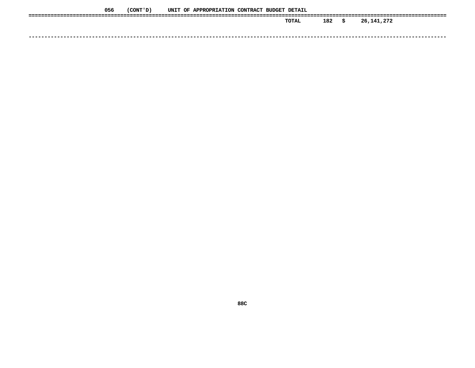| 056 | (CONT ' D ) |  | UNIT OF APPROPRIATION CONTRACT BUDGET DETAIL |  |       |     |      |            |
|-----|-------------|--|----------------------------------------------|--|-------|-----|------|------------|
|     |             |  |                                              |  | TOTAL | 182 | - \$ | 26,141,272 |
|     |             |  |                                              |  |       |     |      |            |
|     |             |  |                                              |  |       |     |      |            |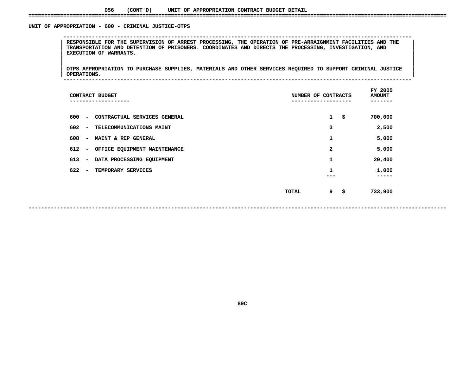#### **056(CONT'D) UNIT OF APPROPRIATION CONTRACT BUDGET DETAIL ====================================================================================================================================**

#### UNIT OF APPROPRIATION - 600 - CRIMINAL JUSTICE-OTPS

 **OF APPROPRIATION - <sup>600</sup> - CRIMINAL JUSTICE-OTPS --------------------------------------------------------------------------------------------------------------**RESPONSIBLE FOR THE SUPERVISION OF ARREST PROCESSING, THE OPERATION OF PRE-ARRAIGNMENT FACILITIES AND THE TRANSPORTATION AND DETENTION OF PRISONERS. COORDINATES AND DIRECTS THE PROCESSING, INVESTIGATION, AND<br>EXECUTION OF W **TRANSPORTATION AND DETENTION OF PRISONERS. COORDINATES AND DIRECTS THE PROCESSING, INVESTIGATION, AND <sup>|</sup> <sup>|</sup>EXECUTION OF WARRANTS. <sup>|</sup> <sup>|</sup>**

|<br>| OTPS\_APPROPRIATION TO PURCHASE SUPPLIES, MATERIALS AND OTHER SERVICES REQUIRED TO SUPPORT CRIMINAL JUSTICE |<br>| OTPS APPROPRIATION TO PURCHASE SUPPLIES, MATERIALS AND OTHER SERVICES REQUIRED TO SUPPORT CRIMINAL JUSTICE<br>| OPERATIONS. **OTPS APPROPRIATION TO PURCHASE SUPPLIES, MATERIALS AND OTHER SERVICES REQUIRED TO SUPPORT CRIMINAL JUSTICE <sup>|</sup> <sup>|</sup>OPERATIONS. <sup>|</sup> --------------------------------------------------------------------------------------------------------------**

| CONTRACT BUDGET<br>------------                                 | NUMBER OF CONTRACTS | FY 2005<br><b>AMOUNT</b><br>------ |
|-----------------------------------------------------------------|---------------------|------------------------------------|
| 600<br>CONTRACTUAL SERVICES GENERAL<br>$\overline{\phantom{a}}$ | $\mathbf{1}$        | \$<br>700,000                      |
| 602<br>TELECOMMUNICATIONS MAINT<br>$\overline{\phantom{a}}$     | 3                   | 2,500                              |
| 608<br>MAINT & REP GENERAL<br>$\overline{\phantom{a}}$          | 1                   | 5,000                              |
| 612<br>OFFICE EQUIPMENT MAINTENANCE<br>$\overline{\phantom{a}}$ | 2                   | 5,000                              |
| 613<br>DATA PROCESSING EQUIPMENT<br>$\overline{\phantom{m}}$    | 1                   | 20,400                             |
| 622<br>TEMPORARY SERVICES<br>$\overline{\phantom{a}}$           | 1                   | 1,000<br>-----                     |
|                                                                 | 9<br>TOTAL          | \$<br>733,900                      |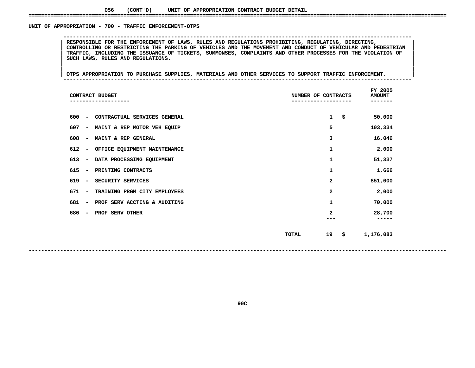#### **056(CONT'D) UNIT OF APPROPRIATION CONTRACT BUDGET DETAIL ====================================================================================================================================**

#### UNIT OF APPROPRIATION - 700 - TRAFFIC ENFORCEMENT-OTPS

 **OF APPROPRIATION - <sup>700</sup> - TRAFFIC ENFORCEMENT-OTPS --------------------------------------------------------------------------------------------------------------**CONTROLLING OR RESTRICTING THE PARKING OF VEHICLES AND THE MOVEMENT AND CONDUCT OF VEHICULAR AND PEDESTRIAN **RESPONSIBLE FOR THE ENFORCEMENT OF LAWS, RULES AND REGULATIONS PROHIBITING, REGULATING, DIRECTING, <sup>|</sup> <sup>|</sup>**CONTROLLING OR RESTRICTING THE PARKING OF VEHICLES AND THE MOVEMENT AND CONDUCT OF VEHICULAR AND PEDESTRIAN<br>TRAFFIC, INCLUDING THE ISSUANCE OF TICKETS, SUMMONSES, COMPLAINTS AND OTHER PROCESSES FOR THE VIOLATION OF<br>SUCH LA TRAFFIC, INCLUDING THE ISSUANCE OF TICKETS, SUMMONSES, COMPLAINTS AND OTHER PROCESSES FOR THE VIOLATION OF<br>SUCH LAWS, RULES AND REGULATIONS.<br>| **SUCH LAWS, RULES AND REGULATIONS. <sup>|</sup> <sup>|</sup>**

|<br>| OTPS APPROPRIATION TO PURCHASE SUPPLIES, MATERIALS AND OTHER SERVICES TO SUPPORT TRAFFIC ENFORCEMENT. **<sup>|</sup> <sup>|</sup>OTPS APPROPRIATION TO PURCHASE SUPPLIES, MATERIALS AND OTHER SERVICES TO SUPPORT TRAFFIC ENFORCEMENT. <sup>|</sup> --------------------------------------------------------------------------------------------------------------**

| CONTRACT BUDGET                                                 | NUMBER OF CONTRACTS<br>--------- | FY 2005<br><b>AMOUNT</b><br>------ |
|-----------------------------------------------------------------|----------------------------------|------------------------------------|
| 600<br>CONTRACTUAL SERVICES GENERAL<br>$\overline{\phantom{a}}$ | $\mathbf{1}$                     | \$<br>50,000                       |
| 607<br>MAINT & REP MOTOR VEH EQUIP<br>$\overline{\phantom{a}}$  | 5                                | 103,334                            |
| 608<br>MAINT & REP GENERAL<br>$\overline{\phantom{a}}$          | 3                                | 16,046                             |
| 612<br>OFFICE EQUIPMENT MAINTENANCE<br>$\overline{\phantom{a}}$ | 1                                | 2,000                              |
| 613<br>DATA PROCESSING EQUIPMENT<br>$\overline{\phantom{a}}$    | 1                                | 51,337                             |
| 615<br>PRINTING CONTRACTS<br>$\overline{\phantom{a}}$           | 1                                | 1,666                              |
| 619<br>SECURITY SERVICES<br>$\overline{\phantom{a}}$            | 2                                | 851,000                            |
| 671<br>TRAINING PRGM CITY EMPLOYEES<br>$\overline{\phantom{m}}$ | $\mathbf{2}$                     | 2,000                              |
| 681<br>PROF SERV ACCTING & AUDITING<br>$\overline{\phantom{a}}$ | 1                                | 70,000                             |
| 686<br>PROF SERV OTHER<br>$\overline{\phantom{a}}$              | 2                                | 28,700                             |
|                                                                 | 19<br><b>TOTAL</b>               | \$<br>1,176,083                    |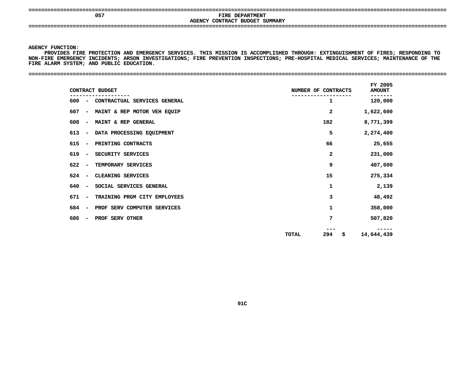**====================================================================================================================================**

### **<sup>057</sup> FIRE DEPARTMENT AGENCYCONTRACT BUDGET SUMMARY ====================================================================================================================================**

**AGENCY**

Y FUNCTION:<br>PROVIDES FI<br>IRE EMERGEN<br>IRE EMERGEN PROVIDES FIRE PROTECTION AND EMERGENCY SERVICES. THIS MISSION IS ACCOMPLISHED THROUGH: EXTINGUISHMENT OF FIRES: RESPONDING TO **FIRE PROTECTION AND EMERGENCY SERVICES. THIS MISSION IS ACCOMPLISHED THROUGH: EXTINGUISHMENT OF FIRES; RESPONDING TO NON-FIRE EMERGENCY INCIDENTS; ARSON INVESTIGATIONS; FIRE PREVENTION INSPECTIONS; PRE-HOSPITAL MEDICAL SERVICES; MAINTENANCE OF THE** FIRE ALARM SYSTEM; AND PUBLIC EDUCATION.

**ALARM SYSTEM; AND PUBLIC EDUCATION. ====================================================================================================================================**

| $600 -$                         | CONTRACTUAL SERVICES GENERAL | 1                  | 120,000    |
|---------------------------------|------------------------------|--------------------|------------|
|                                 |                              |                    |            |
| 607<br>$\overline{\phantom{0}}$ | MAINT & REP MOTOR VEH EQUIP  | $\mathbf{2}$       | 1,622,600  |
| 608<br>$\overline{\phantom{a}}$ | MAINT & REP GENERAL          | 182                | 8,771,399  |
| 613<br>$\overline{\phantom{a}}$ | DATA PROCESSING EQUIPMENT    | 5                  | 2,274,400  |
| 615<br>$\overline{\phantom{a}}$ | PRINTING CONTRACTS           | 66                 | 25,655     |
| 619<br>$\overline{\phantom{a}}$ | SECURITY SERVICES            | $\mathbf{2}$       | 231,000    |
| 622<br>$\overline{\phantom{a}}$ | TEMPORARY SERVICES           | 9                  | 407,600    |
| 624<br>$\overline{\phantom{a}}$ | CLEANING SERVICES            | 15                 | 275,334    |
| 640<br>$\overline{\phantom{a}}$ | SOCIAL SERVICES GENERAL      | 1                  | 2,139      |
| 671<br>$\overline{\phantom{a}}$ | TRAINING PRGM CITY EMPLOYEES | 3                  | 48,492     |
| 684<br>$\overline{\phantom{a}}$ | PROF SERV COMPUTER SERVICES  | 1                  | 358,000    |
| 686<br>$\overline{\phantom{a}}$ | PROF SERV OTHER              | 7                  | 507,820    |
|                                 |                              | 294<br>\$<br>TOTAL | 14,644,439 |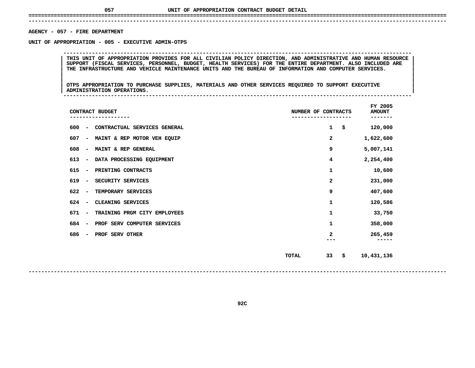## **UNIT OF APPROPRIATION CONTRACT BUDGET DETAIL ====================================================================================================================================**

### **------------------------------------------------------------------------------------------------------------------------------------AGENCY**

**- <sup>057</sup> - FIRE DEPARTMENT UNIT**

 **OF APPROPRIATION - <sup>005</sup> - EXECUTIVE ADMIN-OTPS --------------------------------------------------------------------------------------------------------------**THIS UNIT OF APPROPRIATION PROVIDES FOR ALL CIVILIAN POLICY DIRECTION, AND ADMINISTRATIVE AND HUMAN RESOURCE<br>SUPPORT (FISCAL SERVICES, PERSONNEL, BUDGET, HEALTH SERVICES) FOR THE ENTIRE DEPARTMENT. ALSO INCLUDED ARE THIS UNIT OF APPROPRIATION PROVIDES FOR ALL CIVILIAN POLICY DIRECTION, AND ADMINISTRATIVE AND HUMAN RESOURCE<br>SUPPORT (FISCAL SERVICES, PERSONNEL, BUDGET, HEALTH SERVICES) FOR THE ENTIRE DEPARTMENT. ALSO INCLUDED ARE<br>THE IN **SUPPORT (FISCAL SERVICES, PERSONNEL, BUDGET, HEALTH SERVICES) FOR THE ENTIRE DEPARTMENT. ALSO INCLUDED ARE <sup>|</sup> <sup>|</sup>THE INFRASTRUCTURE AND VEHICLE MAINTENANCE UNITS AND THE BUREAU OF INFORMATION AND COMPUTER SERVICES. <sup>|</sup> <sup>|</sup>**

|<br>| OTPS APPROPRIATION TO PURCHASE SUPPLIES, MATERIALS AND OTHER SERVICES REQUIRED TO SUPPORT EXECUTIVE |<br>| OTPS APPROPRIATION TO PURCHASE SUPPLIES, MATERIALS AND OTHER SERVICES REQUIRED TO SUPPORT EXECUTIVE<br>| ADMINISTRATION OPERATIONS. **OTPS APPROPRIATION TO PURCHASE SUPPLIES, MATERIALS AND OTHER SERVICES REQUIRED TO SUPPORT EXECUTIVE <sup>|</sup> <sup>|</sup>ADMINISTRATION OPERATIONS. <sup>|</sup> --------------------------------------------------------------------------------------------------------------**

| CONTRACT BUDGET                                                  | NUMBER OF CONTRACTS | FY 2005<br><b>AMOUNT</b><br>---- |
|------------------------------------------------------------------|---------------------|----------------------------------|
| 600<br>CONTRACTUAL SERVICES GENERAL<br>$\overline{\phantom{a}}$  | \$<br>1             | 120,000                          |
| 607<br>MAINT & REP MOTOR VEH EQUIP<br>$\qquad \qquad$            | 2                   | 1,622,600                        |
| 608<br>MAINT & REP GENERAL<br>$\qquad \qquad \blacksquare$       | 9                   | 5,007,141                        |
| 613<br>DATA PROCESSING EQUIPMENT<br>$\qquad \qquad \blacksquare$ | 4                   | 2,254,400                        |
| 615<br>PRINTING CONTRACTS<br>$\qquad \qquad \blacksquare$        | 1                   | 10,600                           |
| 619<br>SECURITY SERVICES<br>$\qquad \qquad \blacksquare$         | 2                   | 231,000                          |
| 622<br>TEMPORARY SERVICES<br>$\overline{\phantom{a}}$            | 9                   | 407,600                          |
| 624<br>CLEANING SERVICES<br>$\overline{\phantom{a}}$             | 1                   | 120,586                          |
| 671<br>TRAINING PRGM CITY EMPLOYEES<br>$\qquad \qquad$           | 1                   | 33,750                           |
| 684<br>PROF SERV COMPUTER SERVICES<br>$\overline{\phantom{a}}$   | 1                   | 358,000                          |
| 686<br>PROF SERV OTHER<br>$\qquad \qquad$                        | 2                   | 265,459                          |
|                                                                  | 33<br>\$<br>TOTAL   | 10,431,136                       |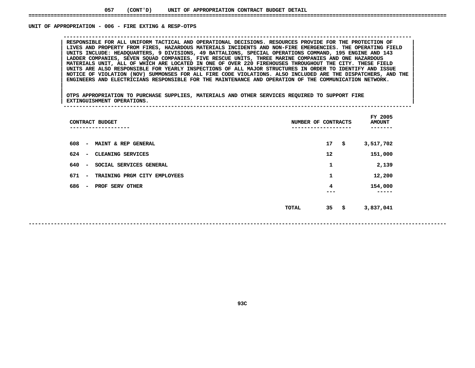#### UNIT OF APPROPRIATION - 006 - FIRE EXTING & RESP-OTPS

RESPONSIBLE FOR ALL UNIFORM TACTICAL AND OPERATIONAL DECISIONS. RESOURCES PROVIDE FOR THE PROTECTION OF<br>LIVES AND PROPERTY FROM FIRES, HAZARDOUS MATERIALS INCIDENTS AND NON-FIRE EMERGENCIES. THE OPERATING FIELD **RESPONSIBLE FOR ALL UNIFORM TACTICAL AND OPERATIONAL DECISIONS. RESOURCES PROVIDE FOR THE PROTECTION OF <sup>|</sup> <sup>|</sup> LIVES AND PROPERTY FROM FIRES, HAZARDOUS MATERIALS INCIDENTS AND NON-FIRE EMERGENCIES. THE OPERATING FIELD <sup>|</sup> <sup>|</sup> UNITS INCLUDE: HEADQUARTERS, <sup>9</sup> DIVISIONS, <sup>49</sup> BATTALIONS, SPECIAL OPERATIONS COMMAND, <sup>195</sup> ENGINE AND <sup>143</sup> <sup>|</sup> <sup>|</sup> LADDER COMPANIES, SEVEN SQUAD COMPANIES, FIVE RESCUE UNITS, THREE MARINE COMPANIES AND ONE HAZARDOUS <sup>|</sup> <sup>|</sup>**MATERIALS UNIT, ALL OF WHICH ARE LOCATED IN ONE OF OVER 220 FIREHOUSES THROUGHOUT THE CITY. THESE FIELD UNITS ARE ALSO RESPONSIBLE FOR YEARLY INSPECTIONS OF ALL MAJOR STRUCTURES IN ORDER TO IDENTIFY AND ISSUE NOTICE OF VIO UNITS ARE ALSO RESPONSIBLE FOR YEARLY INSPECTIONS OF ALL MAJOR STRUCTURES IN ORDER TO IDENTIFY AND ISSUE<br>NOTICE OF VIOLATION (NOV) SUMMONSES FOR ALL FIRE CODE VIOLATIONS. ALSO INCLUDED ARE THE DISPATCHERS, AND THE<br>ENGINEER NOTICE OF VIOLATION (NOV) SUMMONSES FOR ALL FIRE CODE VIOLATIONS. ALSO INCLUDED ARE THE DISPATCHERS, AND THE ENGINEERS AND THE ENGINEERS AND THE ENGINEERS AND THE ENGINEERS AND THE ENGINEERS AND THE ENGINEERS AND THE SEPON **ENGINEERS AND ELECTRICIANS RESPONSIBLE FOR THE MAINTENANCE AND OPERATION OF THE COMMUNICATION NETWORK. <sup>|</sup> <sup>|</sup>**

**OF APPROPRIATION - <sup>006</sup> - FIRE EXTING & RESP-OTPS --------------------------------------------------------------------------------------------------------------**

|<br>| OTPS APPROPRIATION TO PURCHASE SUPPLIES, MATERIALS AND OTHER SERVICES REQUIRED TO SUPPORT FIRE |<br>| OTPS APPROPRIATION TO PURCHASE SUPPLIES, MATERIALS AND OTHER SERVICES REQUIRED TO SUPPORT FIRE<br>| EXTINGUISHMENT OPERATIONS. **OTPS APPROPRIATION TO PURCHASE SUPPLIES, MATERIALS AND OTHER SERVICES REQUIRED TO SUPPORT FIRE <sup>|</sup> <sup>|</sup>EXTINGUISHMENT OPERATIONS. <sup>|</sup> --------------------------------------------------------------------------------------------------------------**

| CONTRACT BUDGET                                                           | NUMBER OF CONTRACTS      | FY 2005<br><b>AMOUNT</b> |
|---------------------------------------------------------------------------|--------------------------|--------------------------|
| 608<br>MAINT & REP GENERAL<br>$\overline{\phantom{a}}$                    | 17<br>\$                 | 3,517,702                |
| 624<br>CLEANING SERVICES<br>$\overline{\phantom{a}}$                      | 12                       | 151,000                  |
| 640<br>SOCIAL SERVICES GENERAL<br>$\overline{\phantom{a}}$                | 1                        | 2,139                    |
| 671<br>TRAINING PRGM CITY<br><b>EMPLOYEES</b><br>$\overline{\phantom{m}}$ | 1                        | 12,200                   |
| 686<br>PROF SERV OTHER<br>$\overline{\phantom{a}}$                        | 4<br>---                 | 154,000<br>-----         |
|                                                                           | 35<br>\$<br><b>TOTAL</b> | 3,837,041                |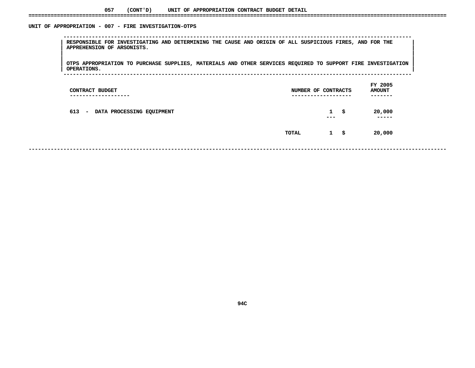#### UNIT OF APPROPRIATION - 007 - FIRE INVESTIGATION-OTPS

 **OF APPROPRIATION - <sup>007</sup> - FIRE INVESTIGATION-OTPS --------------------------------------------------------------------------------------------------------------**RESPONSIBLE FOR INVESTIGATING AND DETERMINING THE CAUSE AND ORIGIN OF ALL SUSPICIOUS FIRES, AND FOR THE NAPPREHENSION OF ARSONISTS.<br>|-<br>| **APPREHENSION OF ARSONISTS. <sup>|</sup> <sup>|</sup>**

|<br>| OTPS\_APPROPRIATION TO PURCHASE SUPPLIES, MATERIALS AND OTHER SERVICES REQUIRED TO SUPPORT FIRE INVESTIGATION |<br>| OTPS APPROPRIATION TO PURCHASE SUPPLIES, MATERIALS AND OTHER SERVICES REQUIRED TO SUPPORT FIRE INVESTIGATION<br>| OPERATIONS. **OTPS APPROPRIATION TO PURCHASE SUPPLIES, MATERIALS AND OTHER SERVICES REQUIRED TO SUPPORT FIRE INVESTIGATION <sup>|</sup> <sup>|</sup>OPERATIONS. <sup>|</sup> --------------------------------------------------------------------------------------------------------------**

| CONTRACT BUDGET<br>---------------- | NUMBER OF CONTRACTS<br>-------------------- |                         |    | FY 2005<br><b>AMOUNT</b><br>------- |  |
|-------------------------------------|---------------------------------------------|-------------------------|----|-------------------------------------|--|
| 613 - DATA PROCESSING EQUIPMENT     |                                             | $\mathbf{1}$<br>$- - -$ | -S | 20,000<br>-----                     |  |
|                                     | TOTAL                                       | $1 \quad$ \$            |    | 20,000                              |  |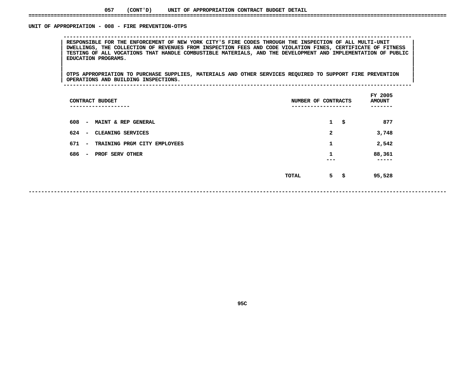#### **057(CONT'D) UNIT OF APPROPRIATION CONTRACT BUDGET DETAIL ====================================================================================================================================**

#### UNIT OF APPROPRIATION - 008 - FIRE PREVENTION-OTPS

 **OF APPROPRIATION - <sup>008</sup> - FIRE PREVENTION-OTPS --------------------------------------------------------------------------------------------------------------**RESPONSIBLE FOR THE ENFORCEMENT OF NEW YORK CITY'S FIRE CODES THROUGH THE INSPECTION OF ALL MULTI-UNIT<br>DWELLINGS, THE COLLECTION OF REVENUES FROM INSPECTION FEES AND CODE VIOLATION FINES, CERTIFICATE OF FITNESS RESPONSIBLE FOR THE ENFORCEMENT OF NEW YORK CITY'S FIRE CODES THROUGH THE INSPECTION OF ALL MULTI-UNIT<br>DWELLINGS, THE COLLECTION OF REVENUES FROM INSPECTION FEES AND CODE VIOLATION FINES, CERTIFICATE OF FITNESS<br>TESTING OF DWELLINGS, THE COLLECTION OF REVENUES FROM INSPECTION FEES AND CODE VIOLATION FINES, CERTIFICATE OF FITNESS<br>TESTING OF ALL VOCATIONS THAT HANDLE COMBUSTIBLE MATERIALS, AND THE DEVELOPMENT AND IMPLEMENTATION OF PUBLIC<br>EDUCA TESTING OF ALL VOCATIONS THAT HANDLE COMBUSTIBLE MATERIALS, AND THE DEVELOPMENT AND IMPLEMENTATION OF PUBLIC<br>| EDUCATION PROGRAMS.<br>| **EDUCATION PROGRAMS. <sup>|</sup> <sup>|</sup>**

 **<sup>|</sup> <sup>|</sup>**|<br>| OTPS APPROPRIATION TO PURCHASE SUPPLIES, MATERIALS AND OTHER SERVICES REQUIRED TO SUPPORT FIRE PREVENTION<br>| OPERATIONS AND BUILDING INSPECTIONS. **OTPS APPROPRIATION TO PURCHASE SUPPLIES, MATERIALS AND OTHER SERVICES REQUIRED TO SUPPORT FIRE PREVENTION <sup>|</sup> <sup>|</sup>OPERATIONS AND BUILDING INSPECTIONS. <sup>|</sup> --------------------------------------------------------------------------------------------------------------**

| CONTRACT BUDGET<br>--------                                     | NUMBER OF CONTRACTS | FY 2005<br><b>AMOUNT</b><br>---- |
|-----------------------------------------------------------------|---------------------|----------------------------------|
| 608<br>MAINT & REP GENERAL<br>$\overline{\phantom{a}}$          | $\mathbf{1}$        | \$<br>877                        |
| 624<br>CLEANING SERVICES<br>$\overline{\phantom{m}}$            | 2                   | 3,748                            |
| 671<br>TRAINING PRGM CITY EMPLOYEES<br>$\overline{\phantom{m}}$ | 1                   | 2,542                            |
| 686<br>PROF SERV OTHER<br>$\overline{\phantom{m}}$              | 1<br>---            | 88,361<br>.                      |
|                                                                 | 5 \$<br>TOTAL       | 95,528                           |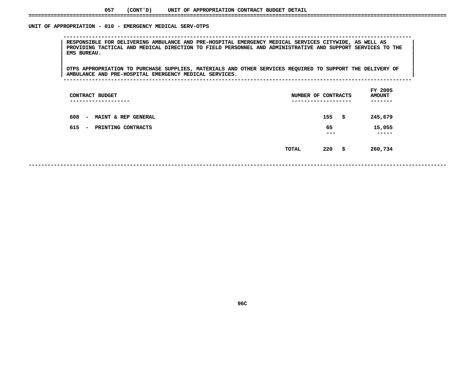#### UNIT OF APPROPRIATION - 010 - EMERGENCY MEDICAL SERV-OTPS

 **OF APPROPRIATION - <sup>010</sup> - EMERGENCY MEDICAL SERV-OTPS -------------------------------------------------------------------------------------------------------------- <sup>|</sup> RESPONSIBLE FOR DELIVERING AMBULANCE AND PRE-HOSPITAL EMERGENCY MEDICAL SERVICES CITYWIDE, AS WELL AS <sup>|</sup> <sup>|</sup>**PROVIDING TACTICAL AND MEDICAL DIRECTION TO FIELD PERSONNEL AND ADMINISTRATIVE AND SUPPORT SERVICES TO THE<br>| EMS BUREAU.<br>| **EMS BUREAU. <sup>|</sup> <sup>|</sup>**

 $\begin{tabular}{|l|l|} \hline \hline \texttt{OTPS} APPROPRIATION TO PURCHASE SUPPLIES, MATERIALS AND OTHER SERVICES REQUIRED TO SUPPORT THE DELIVERY OF \end{tabular}$ |<br>| OTPS APPROPRIATION TO PURCHASE SUPPLIES, MATERIALS AND OTHER SERVICES REQUIRED TO SUPPORT THE DELIVERY OF<br>| AMBULANCE AND PRE-HOSPITAL EMERGENCY MEDICAL SERVICES. **OTPS APPROPRIATION TO PURCHASE SUPPLIES, MATERIALS AND OTHER SERVICES REQUIRED TO SUPPORT THE DELIVERY OF <sup>|</sup> <sup>|</sup>AMBULANCE AND PRE-HOSPITAL EMERGENCY MEDICAL SERVICES. <sup>|</sup> --------------------------------------------------------------------------------------------------------------**

| CONTRACT BUDGET<br>---------------                     | NUMBER OF CONTRACTS | --------------- |      | FY 2005<br><b>AMOUNT</b><br>------ |
|--------------------------------------------------------|---------------------|-----------------|------|------------------------------------|
| 608<br>MAINT & REP GENERAL<br>$\overline{\phantom{a}}$ |                     | 155             | - \$ | 245,679                            |
| 615<br>PRINTING CONTRACTS<br>$\overline{\phantom{a}}$  |                     | 65<br>---       |      | 15,055<br>-----                    |
|                                                        | TOTAL               | 220             | - \$ | 260,734                            |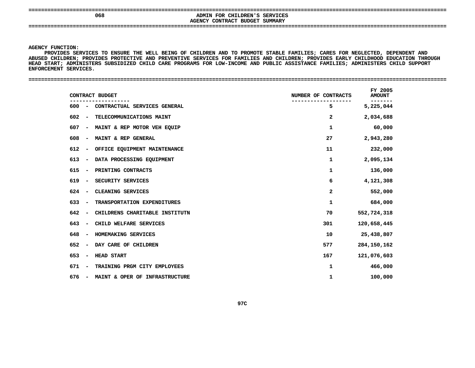**====================================================================================================================================**

## **<sup>068</sup> ADMIN FOR CHILDREN'S SERVICES AGENCYCONTRACT BUDGET SUMMARY ====================================================================================================================================**

**AGENCY**

Y FUNCTION:<br>PROVIDES SE<br>D CHILDR<mark>EN;</mark><br>D PROVIDES SERVICES TO ENSURE THE WELL BEING OF CHILDREN AND TO PROMOTE STABLE FAMILIES; CARES FOR NEGLECTED, DEPENDENT AND S SERVICES TO ENSURE THE WELL BEING OF CHILDREN AND TO PROMOTE STABLE FAMILIES; CARES FOR NEGLECTED, DEPENDENT AND<br>REN; PROVIDES PROTECTIVE AND PREVENTIVE SERVICES FOR FAMILIES AND CHILDREN; PROVIDES EARLY CHILDHOOD EDUCAT **ABUSED**D CHILDREN; PROVIDES PROTECTIVE AND PREVENTIVE SERVICES FOR FAMILIES AND CHILDREN; PROVIDES EARLY CHILDHOOD EDUCATION THROUGH<br>START; ADMINISTERS SUBSIDIZED CHILD CARE PROGRAMS FOR LOW-INCOME AND PUBLIC ASSISTANCE FAMILIES; **HEAD START; ADMINISTERS SUBSIDIZED CHILD CARE PROGRAMS FOR LOW-INCOME AND PUBLIC ASSISTANCE FAMILIES; ADMINISTERS CHILD SUPPORT ENFORCEMENT**

| <b>SERVICES</b><br>ENFORCEMENT |  |  |
|--------------------------------|--|--|
|                                |  |  |
|                                |  |  |

| CONTRACT BUDGET                                                     | NUMBER OF CONTRACTS | FY 2005<br><b>AMOUNT</b> |
|---------------------------------------------------------------------|---------------------|--------------------------|
| $600 -$<br>CONTRACTUAL SERVICES GENERAL                             | 5                   | 5,225,044                |
| 602<br>TELECOMMUNICATIONS MAINT<br>$\overline{\phantom{a}}$         | 2                   | 2,034,688                |
| 607<br>MAINT & REP MOTOR VEH EQUIP<br>$\overline{\phantom{a}}$      | 1                   | 60,000                   |
| 608<br>MAINT & REP GENERAL<br>$\qquad \qquad \blacksquare$          | 27                  | 2,943,280                |
| 612<br>OFFICE EQUIPMENT MAINTENANCE<br>$\qquad \qquad \blacksquare$ | 11                  | 232,000                  |
| 613<br>DATA PROCESSING EQUIPMENT<br>$\qquad \qquad \blacksquare$    | 1                   | 2,095,134                |
| 615<br>PRINTING CONTRACTS<br>$\overline{\phantom{a}}$               | $\mathbf{1}$        | 136,000                  |
| 619<br>SECURITY SERVICES<br>$\overline{\phantom{a}}$                | 6                   | 4,121,308                |
| 624<br>CLEANING SERVICES<br>$\overline{\phantom{a}}$                | 2                   | 552,000                  |
| 633<br>TRANSPORTATION EXPENDITURES<br>$\overline{\phantom{a}}$      | 1                   | 684,000                  |
| 642<br>CHILDRENS CHARITABLE INSTITUTN<br>$\overline{\phantom{a}}$   | 70                  | 552,724,318              |
| 643<br>CHILD WELFARE SERVICES<br>$\overline{\phantom{a}}$           | 301                 | 120,658,445              |
| 648<br>HOMEMAKING SERVICES<br>$\overline{\phantom{a}}$              | 10                  | 25,438,807               |
| 652<br>DAY CARE OF CHILDREN<br>$\overline{\phantom{a}}$             | 577                 | 284, 150, 284            |
| 653<br><b>HEAD START</b><br>$\overline{\phantom{a}}$                | 167                 | 121,076,603              |
| TRAINING PRGM CITY EMPLOYEES<br>671<br>$\overline{\phantom{a}}$     | 1                   | 466,000                  |
| MAINT & OPER OF INFRASTRUCTURE<br>676<br>$\overline{\phantom{a}}$   | 1                   | 100,000                  |
|                                                                     |                     |                          |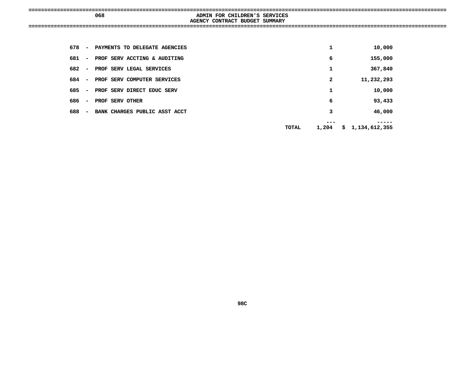|     | ------                                     |
|-----|--------------------------------------------|
| 068 | FOR CHILDREN'S<br>SERVICES<br><b>ADMIN</b> |
|     | AGENCY CONTRACT BUDGET SUMMARY             |
|     |                                            |
|     |                                            |

| 678 | $\overline{\phantom{a}}$ | PAYMENTS TO DELEGATE AGENCIES | 1     | 10,000          |
|-----|--------------------------|-------------------------------|-------|-----------------|
| 681 | $\overline{\phantom{a}}$ | PROF SERV ACCTING & AUDITING  | 6     | 155,000         |
| 682 | $\overline{\phantom{a}}$ | PROF SERV LEGAL SERVICES      | 1     | 367,840         |
| 684 | $\overline{\phantom{a}}$ | PROF SERV COMPUTER SERVICES   | 2     | 11,232,293      |
| 685 | $\overline{\phantom{a}}$ | PROF SERV DIRECT EDUC SERV    | 1     | 10,000          |
| 686 | $\overline{\phantom{a}}$ | PROF SERV OTHER               | 6     | 93,433          |
| 688 | $\overline{\phantom{a}}$ | BANK CHARGES PUBLIC ASST ACCT | 3     | 46,000          |
|     |                          | TOTAL                         | 1,204 | \$1,134,612,355 |
|     |                          |                               |       |                 |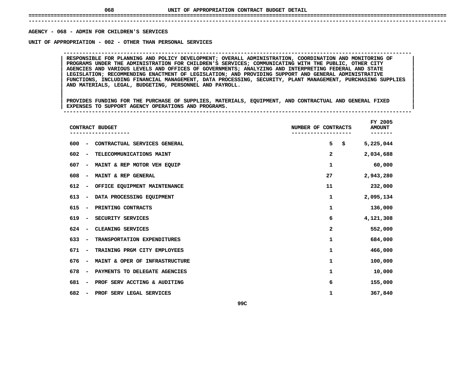## **UNIT OF APPROPRIATION CONTRACT BUDGET DETAIL ====================================================================================================================================**

### **------------------------------------------------------------------------------------------------------------------------------------**AGENCY - 068 - ADMIN FOR CHILDREN'S SERVICES

**- <sup>068</sup> - ADMIN FOR CHILDREN'S SERVICES UNIT**

RESPONSIBLE FOR PLANNING AND POLICY DEVELOPMENT; OVERALL ADMINISTRATION, COORDINATION AND MONITORING OF PROGRAMS UNDER THE ADMINISTRATION FOR CHILDREN'S SERVICES; COMMUNICATING WITH THE PUBLIC, OTHER CITY **RESPONSIBLE FOR PLANNING AND POLICY DEVELOPMENT; OVERALL ADMINISTRATION, COORDINATION AND MONITORING OF <sup>|</sup> <sup>|</sup> PROGRAMS UNDER THE ADMINISTRATION FOR CHILDREN'S SERVICES; COMMUNICATING WITH THE PUBLIC, OTHER CITY <sup>|</sup> <sup>|</sup> AGENCIES AND VARIOUS LEVELS AND OFFICES OF GOVERNMENTS; ANALYZING AND INTERPRETING FEDERAL AND STATE <sup>|</sup> <sup>|</sup> LEGISLATION; RECOMMENDING ENACTMENT OF LEGISLATION; AND PROVIDING SUPPORT AND GENERAL ADMINISTRATIVE <sup>|</sup> <sup>|</sup> FUNCTIONS, INCLUDING FINANCIAL MANAGEMENT, DATA PROCESSING, SECURITY, PLANT MANAGEMENT, PURCHASING SUPPLIES <sup>|</sup> <sup>|</sup>AND MATERIALS, LEGAL, BUDGETING, PERSONNEL AND PAYROLL. <sup>|</sup> <sup>|</sup>**

**OF APPROPRIATION - <sup>002</sup> - OTHER THAN PERSONAL SERVICES --------------------------------------------------------------------------------------------------------------**

|<br>| PROVIDES FUNDING FOR THE PURCHASE OF SUPPLIES, MATERIALS, EQUIPMENT, AND CONTRACTUAL AND GENERAL FIXED |<br>| PROVIDES FUNDING FOR THE PURCHASE OF SUPPLIES, MATERIALS, EQUIPMENT, AND CONTRACTUAL AND GENERAL FIXED<br>| EXPENSES TO SUPPORT AGENCY OPERATIONS AND PROGRAMS. **PROVIDES FUNDING FOR THE PURCHASE OF SUPPLIES, MATERIALS, EQUIPMENT, AND CONTRACTUAL AND GENERAL FIXED <sup>|</sup> <sup>|</sup>EXPENSES TO SUPPORT AGENCY OPERATIONS AND PROGRAMS. <sup>|</sup> --------------------------------------------------------------------------------------------------------------**

|     |                          | CONTRACT BUDGET                |              | NUMBER OF CONTRACTS |           |  |  |  |
|-----|--------------------------|--------------------------------|--------------|---------------------|-----------|--|--|--|
| 600 | $\overline{\phantom{a}}$ | CONTRACTUAL SERVICES GENERAL   | 5            | \$                  | 5,225,044 |  |  |  |
| 602 | $\overline{\phantom{a}}$ | TELECOMMUNICATIONS MAINT       | 2            |                     | 2,034,688 |  |  |  |
| 607 | $\overline{\phantom{a}}$ | MAINT & REP MOTOR VEH EQUIP    | 1            |                     | 60,000    |  |  |  |
| 608 | $\overline{\phantom{a}}$ | MAINT & REP GENERAL            | 27           |                     | 2,943,280 |  |  |  |
| 612 | -                        | OFFICE EQUIPMENT MAINTENANCE   | 11           |                     | 232,000   |  |  |  |
| 613 | $\overline{\phantom{a}}$ | DATA PROCESSING EQUIPMENT      | $\mathbf{1}$ |                     | 2,095,134 |  |  |  |
| 615 | $\overline{\phantom{a}}$ | PRINTING CONTRACTS             | 1            |                     | 136,000   |  |  |  |
| 619 | $\overline{a}$           | SECURITY SERVICES              | 6            |                     | 4,121,308 |  |  |  |
| 624 | $\overline{\phantom{a}}$ | CLEANING SERVICES              | 2            |                     | 552,000   |  |  |  |
| 633 | $\overline{\phantom{a}}$ | TRANSPORTATION EXPENDITURES    | 1            |                     | 684,000   |  |  |  |
| 671 | $\overline{\phantom{a}}$ | TRAINING PRGM CITY EMPLOYEES   | 1            |                     | 466,000   |  |  |  |
| 676 | $\overline{\phantom{a}}$ | MAINT & OPER OF INFRASTRUCTURE | 1            |                     | 100,000   |  |  |  |
| 678 | $\overline{a}$           | PAYMENTS TO DELEGATE AGENCIES  | 1            |                     | 10,000    |  |  |  |
| 681 | $\overline{\phantom{a}}$ | PROF SERV ACCTING & AUDITING   | 6            |                     | 155,000   |  |  |  |
| 682 |                          | PROF SERV LEGAL SERVICES       | 1            |                     | 367,840   |  |  |  |
|     |                          |                                | 99C          |                     |           |  |  |  |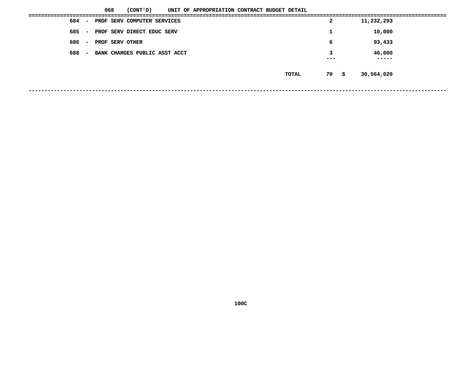|       |               | 068                           | (CONT'D) |  | UNIT OF APPROPRIATION CONTRACT BUDGET DETAIL |  |       |              |                 |  |
|-------|---------------|-------------------------------|----------|--|----------------------------------------------|--|-------|--------------|-----------------|--|
| 684 – |               | PROF SERV COMPUTER SERVICES   |          |  |                                              |  |       | $\mathbf{2}$ | 11,232,293      |  |
| 685   | $\sim$ $\sim$ | PROF SERV DIRECT EDUC SERV    |          |  |                                              |  |       | ᅩ            | 10,000          |  |
| 686   | $\sim$        | PROF SERV OTHER               |          |  |                                              |  |       | 6            | 93,433          |  |
| 688   | $\sim$        | BANK CHARGES PUBLIC ASST ACCT |          |  |                                              |  |       | 3<br>---     | 46,000<br>----- |  |
|       |               |                               |          |  |                                              |  |       |              |                 |  |
|       |               |                               |          |  |                                              |  | TOTAL | 79 \$        | 30,564,020      |  |
|       |               |                               |          |  |                                              |  |       |              |                 |  |
|       |               |                               |          |  |                                              |  |       |              |                 |  |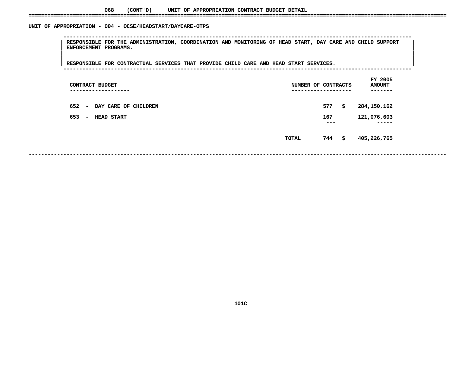#### UNIT OF APPROPRIATION - 004 - OCSE/HEADSTART/DAYCARE-OTPS

 **OF APPROPRIATION - <sup>004</sup> - OCSE/HEADSTART/DAYCARE-OTPS --------------------------------------------------------------------------------------------------------------**RESPONSIBLE FOR THE ADMINISTRATION, COORDINATION AND MONITORING OF HEAD START, DAY CARE AND CHILD SUPPORT<br>| ENFORCEMENT PROGRAMS.<br>| **ENFORCEMENT PROGRAMS. <sup>|</sup> <sup>|</sup>**

|<br>| RESPONSIBLE FOR CONTRACTUAL SERVICES THAT PROVIDE CHILD CARE AND HEAD START SERVICES. **<sup>|</sup> <sup>|</sup>RESPONSIBLE FOR CONTRACTUAL SERVICES THAT PROVIDE CHILD CARE AND HEAD START SERVICES. <sup>|</sup> --------------------------------------------------------------------------------------------------------------**

| CONTRACT BUDGET<br>--------------                       | NUMBER OF CONTRACTS | -------------  | --  | FY 2005<br><b>AMOUNT</b> |
|---------------------------------------------------------|---------------------|----------------|-----|--------------------------|
| 652<br>DAY CARE OF CHILDREN<br>$\overline{\phantom{a}}$ |                     | 577            | \$. | 284,150,162              |
| 653<br><b>HEAD START</b><br>$\overline{\phantom{a}}$    |                     | 167<br>$- - -$ |     | 121,076,603<br>-----     |
|                                                         | TOTAL               | 744            | \$  | 405,226,765              |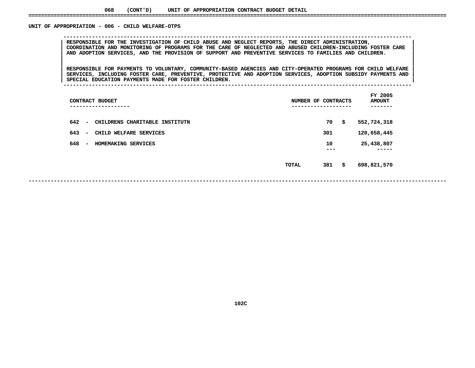#### UNIT OF APPROPRIATION - 006 - CHILD WELFARE-OTPS

 **OF APPROPRIATION - <sup>006</sup> - CHILD WELFARE-OTPS --------------------------------------------------------------------------------------------------------------**COORDINATION AND MONITORING OF PROGRAMS FOR THE CARE OF NEGLECTED AND ABUSED CHILDREN-INCLUDING FOSTER CARE **RESPONSIBLE FOR THE INVESTIGATION OF CHILD ABUSE AND NEGLECT REPORTS, THE DIRECT ADMINISTRATION, <sup>|</sup> <sup>|</sup>**COORDINATION AND MONITORING OF PROGRAMS FOR THE CARE OF NEGLECTED AND ABUSED CHILDREN-INCLUDING FOSTER CARE<br>AND ADOPTION SERVICES, AND THE PROVISION OF SUPPORT AND PREVENTIVE SERVICES TO FAMILIES AND CHILDREN.<br>| **AND ADOPTION SERVICES, AND THE PROVISION OF SUPPORT AND PREVENTIVE SERVICES TO FAMILIES AND CHILDREN. <sup>|</sup> <sup>|</sup>**

|<br>| RESPONSIBLE FOR PAYMENTS TO VOLUNTARY, COMMUNITY-BASED AGENCIES AND CITY-OPERATED PROGRAMS FOR CHILD WELFARE |<br>| RESPONSIBLE FOR PAYMENTS TO VOLUNTARY, COMMUNITY-BASED AGENCIES AND CITY-OPERATED PROGRAMS FOR CHILD WELFARE<br>| SERVICES, INCLUDING FOSTER CARE, PREVENTIVE, PROTECTIVE AND ADOPTION SERVICES, ADOPTION SUBSIDY PAYMENTS AN **RESPONSIBLE FOR PAYMENTS TO VOLUNTARY, COMMUNITY-BASED AGENCIES AND CITY-OPERATED PROGRAMS FOR CHILD WELFARE <sup>|</sup> <sup>|</sup>SERVICES, INCLUDING FOSTER CARE, PREVENTIVE, PROTECTIVE AND ADOPTION SERVICES, ADOPTION SUBSIDY PAYMENTS AND <sup>|</sup> <sup>|</sup>**

**SPECIAL EDUCATION PAYMENTS MADE FOR FOSTER CHILDREN. <sup>|</sup> --------------------------------------------------------------------------------------------------------------**

|     | CONTRACT BUDGET<br>------------                            | NUMBER OF CONTRACTS | ------------ | FY 2005<br><b>AMOUNT</b> |
|-----|------------------------------------------------------------|---------------------|--------------|--------------------------|
| 642 | CHILDRENS CHARITABLE INSTITUTN<br>$\overline{\phantom{a}}$ |                     | 70           | \$<br>552,724,318        |
| 643 | CHILD WELFARE SERVICES<br>$\overline{\phantom{a}}$         |                     | 301          | 120,658,445              |
| 648 | HOMEMAKING SERVICES<br>$\overline{\phantom{a}}$            |                     | 10<br>---    | 25,438,807<br>-----      |
|     |                                                            | <b>TOTAL</b>        | 381          | \$<br>698,821,570        |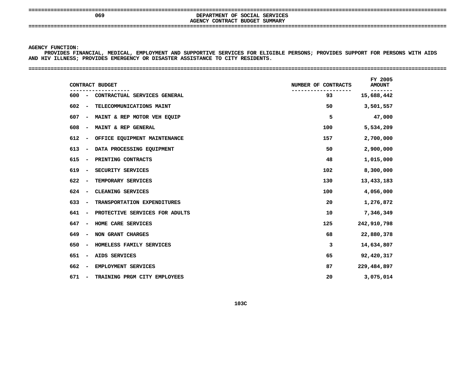**====================================================================================================================================**

# **AGENCY**

 **<sup>069</sup> DEPARTMENT OF SOCIAL SERVICES CONTRACT BUDGET SUMMARY ====================================================================================================================================**

### **AGENCY**

Y FUNCTION:<br>PROVIDES FI<br>IV ILL<mark>NESS;</mark> PROVIDES FINANCIAL, MEDICAL, EMPLOYMENT AND SUPPORTIVE SERVICES FOR ELIGIBLE PERSONS; PROVIDES SUPPORT FOR PERSONS WITH AIDS<br>IV ILLNESS; PROVIDES EMERGENCY OR DISASTER ASSISTANCE TO CITY RESIDENTS.<br>-**AND HIV ILLNESS; PROVIDES EMERGENCY OR DISASTER ASSISTANCE TO CITY RESIDENTS. ====================================================================================================================================**

| CONTRACT BUDGET                                                   | NUMBER OF CONTRACTS | FY 2005<br><b>AMOUNT</b> |
|-------------------------------------------------------------------|---------------------|--------------------------|
| 600<br>CONTRACTUAL SERVICES GENERAL<br>$\overline{\phantom{a}}$   | 93                  | -------<br>15,688,442    |
| 602<br>TELECOMMUNICATIONS MAINT<br>$\overline{\phantom{a}}$       | 50                  | 3,501,557                |
| 607<br>MAINT & REP MOTOR VEH EQUIP<br>$\overline{\phantom{a}}$    | 5                   | 47,000                   |
| 608<br>MAINT & REP GENERAL<br>$\qquad \qquad \blacksquare$        | 100                 | 5,534,209                |
| 612<br>OFFICE EQUIPMENT MAINTENANCE<br>-                          | 157                 | 2,700,000                |
| 613<br>DATA PROCESSING EQUIPMENT<br>-                             | 50                  | 2,900,000                |
| 615<br>PRINTING CONTRACTS<br>-                                    | 48                  | 1,015,000                |
| 619<br>SECURITY SERVICES<br>$\qquad \qquad$                       | 102                 | 8,300,000                |
| 622<br>TEMPORARY SERVICES                                         | 130                 | 13,433,183               |
| 624<br>CLEANING SERVICES<br>$\overline{\phantom{a}}$              | 100                 | 4,056,000                |
| 633<br>TRANSPORTATION EXPENDITURES<br>$\overline{\phantom{a}}$    | 20                  | 1,276,872                |
| 641<br>PROTECTIVE SERVICES FOR ADULTS<br>$\overline{\phantom{a}}$ | 10                  | 7,346,349                |
| 647<br>HOME CARE SERVICES<br>$\overline{\phantom{a}}$             | 125                 | 242,910,798              |
| 649<br>NON GRANT CHARGES<br>-                                     | 68                  | 22,880,378               |
| 650<br>HOMELESS FAMILY SERVICES<br>$\overline{\phantom{a}}$       | 3                   | 14,634,807               |
| 651<br>AIDS SERVICES<br>$\overline{\phantom{a}}$                  | 65                  | 92,420,317               |
| 662<br>EMPLOYMENT SERVICES<br>-                                   | 87                  | 229,484,897              |
| 671<br>TRAINING PRGM CITY EMPLOYEES                               | 20                  | 3,075,014                |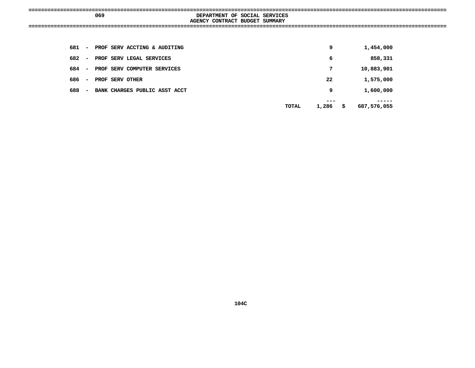|                       | 069                                | DEPARTMENT OF SOCIAL SERVICES  |    |            |  |
|-----------------------|------------------------------------|--------------------------------|----|------------|--|
|                       |                                    | AGENCY CONTRACT BUDGET SUMMARY |    |            |  |
|                       |                                    |                                |    |            |  |
|                       | 681 - PROF SERV ACCTING & AUDITING |                                | 9  | 1,454,000  |  |
| 682<br>$\sim$         | PROF SERV LEGAL SERVICES           |                                | 6  | 858,331    |  |
| 684<br>$\sim$ $ \sim$ | PROF SERV COMPUTER SERVICES        |                                | 7  | 10,883,901 |  |
| 686<br>$\sim$         | PROF SERV OTHER                    |                                | 22 | 1,575,000  |  |
| 688                   | - BANK CHARGES PUBLIC ASST ACCT    |                                | 9  | 1,600,000  |  |
|                       |                                    |                                |    | --- --- -- |  |

**----- TOTAL 1,286 \$ 687,576,055**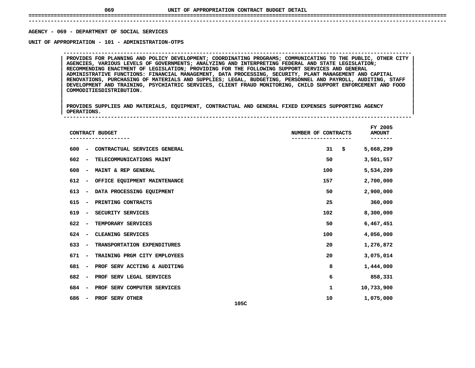## **UNIT OF APPROPRIATION CONTRACT BUDGET DETAIL ====================================================================================================================================**

 **------------------------------------------------------------------------------------------------------------------------------------**AGENCY - 069 - DEPARTMENT OF SOCIAL SERVICES

**- <sup>069</sup> - DEPARTMENT OF SOCIAL SERVICES UNIT**

 **OF APPROPRIATION - <sup>101</sup> - ADMINISTRATION-OTPS --------------------------------------------------------------------------------------------------------------**PROVIDES FOR PLANNING AND POLICY DEVELOPMENT; COORDINATING PROGRAMS; COMMUNICATING TO THE PUBLIC, OTHER CITY<br>AGENCIES, VARIOUS LEVELS OF GOVERNMENTS; ANALYZING AND INTERPRETING FEDERAL AND STATE LEGISLATION;<br>RECOMMENDING E **AGENCIES, VARIOUS LEVELS OF GOVERNMENTS; ANALYZING AND INTERPRETING FEDERAL AND STATE LEGISLATION; <sup>|</sup> <sup>|</sup> RECOMMENDING ENACTMENT OF LEGISLATION; PROVIDING FOR THE FOLLOWING SUPPORT SERVICES AND GENERAL <sup>|</sup> <sup>|</sup> ADMINISTRATIVE FUNCTIONS: FINANCIAL MANAGEMENT, DATA PROCESSING, SECURITY, PLANT MANAGEMENT AND CAPITAL <sup>|</sup> <sup>|</sup> RENOVATIONS, PURCHASING OF MATERIALS AND SUPPLIES; LEGAL, BUDGETING, PERSONNEL AND PAYROLL, AUDITING, STAFF <sup>|</sup> <sup>|</sup> DEVELOPMENT AND TRAINING, PSYCHIATRIC SERVICES, CLIENT FRAUD MONITORING, CHILD SUPPORT ENFORCEMENT AND FOOD <sup>|</sup> <sup>|</sup>COMMODITIESDISTRIBUTION. <sup>|</sup> <sup>|</sup>**

|<br>| PROVIDES SUPPLIES AND MATERIALS, EQUIPMENT, CONTRACTUAL AND GENERAL FIXED EXPENSES SUPPORTING AGENCY |<br>| PROVIDES SUPPLIES AND MATERIALS, EQUIPMENT, CONTRACTUAL AND GENERAL FIXED EXPENSES SUPPORTING AGENCY<br>| OPERATIONS. **PROVIDES SUPPLIES AND MATERIALS, EQUIPMENT, CONTRACTUAL AND GENERAL FIXED EXPENSES SUPPORTING AGENCY <sup>|</sup> <sup>|</sup>**

**OPERATIONS. <sup>|</sup> --------------------------------------------------------------------------------------------------------------**

|                                 | CONTRACT BUDGET              | NUMBER OF CONTRACTS | FY 2005<br><b>AMOUNT</b> |
|---------------------------------|------------------------------|---------------------|--------------------------|
| 600<br>$\overline{a}$           | CONTRACTUAL SERVICES GENERAL | 31<br>\$            | 5,668,299                |
| 602<br>$\overline{\phantom{a}}$ | TELECOMMUNICATIONS MAINT     | 50                  | 3,501,557                |
| 608<br>$\overline{\phantom{a}}$ | MAINT & REP GENERAL          | 100                 | 5,534,209                |
| 612<br>$\overline{\phantom{a}}$ | OFFICE EQUIPMENT MAINTENANCE | 157                 | 2,700,000                |
| 613<br>$\overline{\phantom{a}}$ | DATA PROCESSING EQUIPMENT    | 50                  | 2,900,000                |
| 615<br>$\overline{\phantom{0}}$ | PRINTING CONTRACTS           | 25                  | 360,000                  |
| 619<br>$\overline{\phantom{0}}$ | SECURITY SERVICES            | 102                 | 8,300,000                |
| 622<br>$\overline{\phantom{a}}$ | TEMPORARY SERVICES           | 50                  | 6,467,451                |
| 624<br>$\overline{\phantom{a}}$ | CLEANING SERVICES            | 100                 | 4,056,000                |
| 633<br>$\overline{\phantom{a}}$ | TRANSPORTATION EXPENDITURES  | 20                  | 1,276,872                |
| 671<br>$\overline{\phantom{a}}$ | TRAINING PRGM CITY EMPLOYEES | 20                  | 3,075,014                |
| 681<br>$\overline{\phantom{a}}$ | PROF SERV ACCTING & AUDITING | 8                   | 1,444,000                |
| 682<br>$\overline{\phantom{a}}$ | PROF SERV LEGAL SERVICES     | 6                   | 858,331                  |
| 684<br>$\overline{\phantom{0}}$ | PROF SERV COMPUTER SERVICES  | 1                   | 10,733,900               |
| 686                             | PROF SERV OTHER<br>105C      | 10                  | 1,075,000                |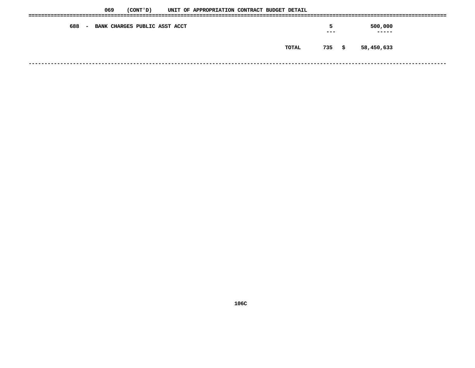| 069           | (CONT ' D)                           | UNIT OF APPROPRIATION CONTRACT BUDGET DETAIL |  |       |          |                  |  |
|---------------|--------------------------------------|----------------------------------------------|--|-------|----------|------------------|--|
| 688<br>$\sim$ | <b>BANK CHARGES PUBLIC ASST ACCT</b> |                                              |  |       | 5<br>--- | 500,000<br>----- |  |
|               |                                      |                                              |  | TOTAL | 735\$    | 58,450,633       |  |
|               |                                      |                                              |  |       |          |                  |  |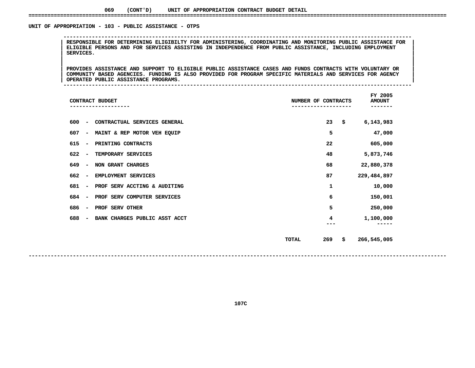#### UNIT OF APPROPRIATION - 103 - PUBLIC ASSISTANCE - OTPS

 **OF APPROPRIATION - <sup>103</sup> - PUBLIC ASSISTANCE - OTPS -------------------------------------------------------------------------------------------------------------- <sup>|</sup> RESPONSIBLE FOR DETERMINING ELIGIBILTY FOR ADMINISTERING, COORDINATING AND MONITORING PUBLIC ASSISTANCE FOR <sup>|</sup> <sup>|</sup> ELIGIBLE PERSONS AND FOR SERVICES ASSISTING IN INDEPENDENCE FROM PUBLIC ASSISTANCE, INCLUDING EMPLOYMENT <sup>|</sup> <sup>|</sup>SERVICES. <sup>|</sup> <sup>|</sup>**

|<br>| PROVIDES ASSISTANCE AND SUPPORT TO ELIGIBLE PUBLIC ASSISTANCE CASES AND FUNDS CONTRACTS WITH VOLUNTARY OR |<br>| PROVIDES ASSISTANCE AND SUPPORT TO ELIGIBLE PUBLIC ASSISTANCE CASES AND FUNDS CONTRACTS WITH VOLUNTARY OR<br>| COMMUNITY BASED AGENCIES. FUNDING IS ALSO PROVIDED FOR PROGRAM SPECIFIC MATERIALS AND SERVICES FOR AGENCY PROVIDES ASSISTANCE AND SUPPORT TO ELIGIBLE PUBLIC ASSISTANCE CASES AND FUNDS CONTRACTS WITH VOLUNTARY OR<br>| COMMUNITY BASED AGENCIES. FUNDING IS ALSO PROVIDED FOR PROGRAM SPECIFIC MATERIALS AND SERVICES FOR AGENCY<br>| OPERAT COMMUNITY BASED AGENCIES. FUNDING IS ALSO PROVIDED FOR PROGRAM SPECIFIC MATERIALS AND SERVICES FOR AGENCY<br>OPERATED PUBLIC ASSISTANCE PROGRAMS.

**OPERATED PUBLIC ASSISTANCE PROGRAMS. <sup>|</sup> --------------------------------------------------------------------------------------------------------------**

| CONTRACT BUDGET                                                  | NUMBER OF CONTRACTS |     | FY 2005<br><b>AMOUNT</b><br>------ |
|------------------------------------------------------------------|---------------------|-----|------------------------------------|
| 600<br>CONTRACTUAL SERVICES GENERAL<br>$\overline{\phantom{a}}$  |                     | 23  | \$<br>6,143,983                    |
| 607<br>MAINT & REP MOTOR VEH EQUIP<br>$\overline{\phantom{a}}$   |                     | 5   | 47,000                             |
| 615<br>PRINTING CONTRACTS<br>$\overline{\phantom{a}}$            |                     | 22  | 605,000                            |
| 622<br>TEMPORARY SERVICES<br>$\overline{\phantom{a}}$            |                     | 48  | 5,873,746                          |
| 649<br>NON GRANT CHARGES<br>$\overline{\phantom{a}}$             |                     | 68  | 22,880,378                         |
| 662<br>EMPLOYMENT SERVICES<br>$\overline{\phantom{a}}$           |                     | 87  | 229,484,897                        |
| PROF SERV ACCTING & AUDITING<br>681<br>$\overline{\phantom{a}}$  |                     | 1   | 10,000                             |
| PROF SERV COMPUTER SERVICES<br>684<br>$\overline{\phantom{a}}$   |                     | 6   | 150,001                            |
| 686<br>PROF SERV OTHER<br>$\overline{\phantom{a}}$               |                     | 5   | 250,000                            |
| 688<br>BANK CHARGES PUBLIC ASST ACCT<br>$\overline{\phantom{m}}$ |                     | 4   | 1,100,000                          |
|                                                                  | TOTAL               | 269 | \$<br>266,545,005                  |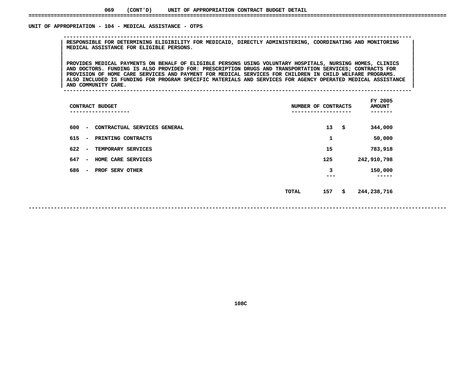### UNIT OF APPROPRIATION - 104 - MEDICAL ASSISTANCE - OTPS

 **OF APPROPRIATION - <sup>104</sup> - MEDICAL ASSISTANCE - OTPS -------------------------------------------------------------------------------------------------------------- <sup>|</sup> RESPONSIBLE FOR DETERMINING ELIGIBILITY FOR MEDICAID, DIRECTLY ADMINISTERING, COORDINATING AND MONITORING <sup>|</sup> <sup>|</sup>MEDICAL ASSISTANCE FOR ELIGIBLE PERSONS. <sup>|</sup> <sup>|</sup>**

|<br>| PROVIDES MEDICAL PAYMENTS ON BEHALF OF ELIGIBLE PERSONS USING VOLUNTARY HOSPITALS, NURSING HOMES, CLINICS PROVIDES MEDICAL PAYMENTS ON BEHALF OF ELIGIBLE PERSONS USING VOLUNTARY HOSPITALS, NURSING HOMES, CLINICS<br>| AND DOCTORS. FUNDING IS ALSO PROVIDED FOR: PRESCRIPTION DRUGS AND TRANSPORTATION SERVICES; CONTRACTS FOR **PROVIDES MEDICAL PAYMENTS ON BEHALF OF ELIGIBLE PERSONS USING VOLUNTARY HOSPITALS, NURSING HOMES, CLINICS <sup>|</sup> <sup>|</sup> AND DOCTORS. FUNDING IS ALSO PROVIDED FOR: PRESCRIPTION DRUGS AND TRANSPORTATION SERVICES; CONTRACTS FOR <sup>|</sup> <sup>|</sup>**PROVISION OF HOME CARE SERVICES AND PAYMENT FOR MEDICAL SERVICES FOR CHILDREN IN CHILD WELFARE PROGRAMS.<br>ALSO INCLUDED IS FUNDING FOR PROGRAM SPECIFIC MATERIALS AND SERVICES FOR AGENCY OPERATED MEDICAL ASSISTANCE<br>AND COMMU ALSO INCLUDED IS FUNDING FOR PROGRAM SPECIFIC MATERIALS AND SERVICES FOR AGENCY OPERATED MEDICAL ASSISTANCE<br>AND COMMUNITY CARE.

**AND COMMUNITY CARE. <sup>|</sup> --------------------------------------------------------------------------------------------------------------**

| CONTRACT BUDGET                                                 | NUMBER OF CONTRACTS | FY 2005<br><b>AMOUNT</b> |
|-----------------------------------------------------------------|---------------------|--------------------------|
| 600<br>CONTRACTUAL SERVICES GENERAL<br>$\overline{\phantom{a}}$ | 13<br>- \$          | 344,000                  |
| 615<br>PRINTING CONTRACTS<br>$\overline{\phantom{a}}$           | 1                   | 50,000                   |
| 622<br>TEMPORARY SERVICES<br>$\overline{\phantom{a}}$           | 15                  | 783,918                  |
| 647<br>HOME CARE SERVICES<br>$\overline{\phantom{a}}$           | 125                 | 242,910,798              |
| 686<br>PROF SERV OTHER<br>$\overline{\phantom{0}}$              | 3<br>---            | 150,000                  |
|                                                                 | 157<br>TOTAL        | \$<br>244,238,716        |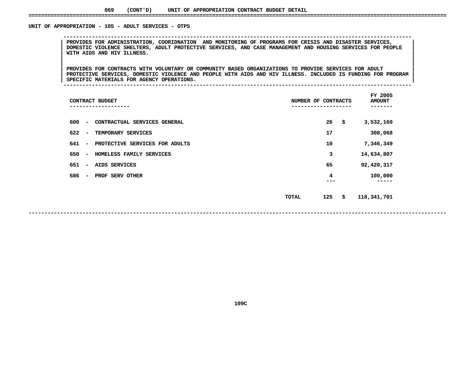### UNIT OF APPROPRIATION - 105 - ADULT SERVICES - OTPS

 **OF APPROPRIATION - <sup>105</sup> - ADULT SERVICES - OTPS -------------------------------------------------------------------------------------------------------------- <sup>|</sup> PROVIDES FOR ADMINISTRATION, COORIDNATION AND MONITORING OF PROGRAMS FOR CRISIS AND DISASTER SERVICES, <sup>|</sup> <sup>|</sup> DOMESTIC VIOLENCE SHELTERS, ADULT PROTECTIVE SERVICES, AND CASE MANAGEMENT AND HOUSING SERVICES FOR PEOPLE <sup>|</sup> <sup>|</sup>WITH AIDS AND HIV ILLNESS. <sup>|</sup> <sup>|</sup>**

|<br>| PROVIDES FOR CONTRACTS WITH VOLUNTARY OR COMMUNITY BASED ORGANIZATIONS TO PROVIDE SERVICES FOR ADULT |<br>| PROVIDES FOR CONTRACTS WITH VOLUNTARY OR COMMUNITY BASED ORGANIZATIONS TO PROVIDE SERVICES FOR ADULT<br>| PROTECTIVE SERVICES, DOMESTIC VIOLENCE AND PEOPLE WITH AIDS AND HIV ILLNESS. INCLUDED IS FUNDING FOR PROGRAM **PROVIDES FOR CONTRACTS WITH VOLUNTARY OR COMMUNITY BASED ORGANIZATIONS TO PROVIDE SERVICES FOR ADULT <sup>|</sup> <sup>|</sup> PROTECTIVE SERVICES, DOMESTIC VIOLENCE AND PEOPLE WITH AIDS AND HIV ILLNESS. INCLUDED IS FUNDING FOR PROGRAM <sup>|</sup> <sup>|</sup>SPECIFIC MATERIALS FOR AGENCY OPERATIONS. <sup>|</sup> --------------------------------------------------------------------------------------------------------------**

| CONTRACT BUDGET<br>---------                                      | NUMBER OF CONTRACTS | FY 2005<br><b>AMOUNT</b><br>----- |
|-------------------------------------------------------------------|---------------------|-----------------------------------|
| 600<br>CONTRACTUAL SERVICES GENERAL<br>$\overline{\phantom{a}}$   | 26                  | \$<br>3,532,160                   |
| 622<br>TEMPORARY SERVICES<br>$\overline{\phantom{a}}$             | 17                  | 308,068                           |
| 641<br>PROTECTIVE SERVICES FOR ADULTS<br>$\overline{\phantom{a}}$ | 10                  | 7,346,349                         |
| 650<br>HOMELESS FAMILY SERVICES<br>$\overline{\phantom{a}}$       | 3                   | 14,634,807                        |
| 651<br>AIDS SERVICES<br>$\overline{\phantom{a}}$                  | 65                  | 92,420,317                        |
| 686<br>PROF SERV OTHER<br>$\overline{\phantom{a}}$                | 4                   | 100,000                           |
|                                                                   | 125<br><b>TOTAL</b> | \$<br>118,341,701                 |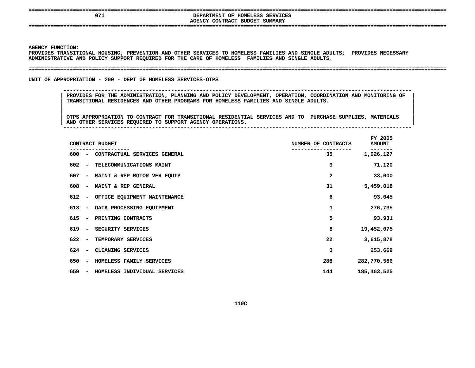| ___________ |  |  | . . |
|-------------|--|--|-----|
|             |  |  |     |
|             |  |  |     |

### **====================================================================================================================================AGENCY**

 **<sup>071</sup> DEPARTMENT OF HOMELESS SERVICES CONTRACT BUDGET SUMMARY ====================================================================================================================================**

**AGENCY**

Y FUNCTION:<br>DES TRANSIT<br>ISTRATIVE <mark>2</mark> **PROVIDES TRANSITIONAL HOUSING; PREVENTION AND OTHER SERVICES TO HOMELESS FAMILIES AND SINGLE ADULTS; PROVIDES NECESSARY ADMINISTRATIVE**

#### **AND POLICY SUPPORT REQUIRED FOR THE CARE OF HOMELESS FAMILIES AND SINGLE ADULTS. ====================================================================================================================================**

UNIT OF APPROPRIATION - 200 - DEPT OF HOMELESS SERVICES-OTPS

**OF APPROPRIATION - <sup>200</sup> - DEPT OF HOMELESS SERVICES-OTPS --------------------------------------------------------------------------------------------------------------**

 **PROVIDES FOR THE ADMINISTRATION, PLANNING AND POLICY DEVELOPMENT, OPERATION, COORDINATION AND MONITORING OF <sup>|</sup> TRANSITIONAL RESIDENCES AND OTHER PROGRAMS FOR HOMELESS FAMILIES AND SINGLE ADULTS. <sup>|</sup>**

|<br>| OTPS\_APPROPRIATION\_TO\_CONTRACT\_FOR\_TRANSITIONAL\_RESIDENTIAL\_SERVICES\_AND\_TO\_\_PURCHASE\_SUPPLIES,\_MATERIALS\_\_\_\_ |<br>| OTPS APPROPRIATION TO CONTRACT FOR TRANSITIONAL RESIDENTIAL SERVICES AND TO PURCHASE SUPPLIES, MATERIALS<br>| AND OTHER SERVICES REQUIRED TO SUPPORT AGENCY OPERATIONS. **OTPS APPROPRIATION TO CONTRACT FOR TRANSITIONAL RESIDENTIAL SERVICES AND TO PURCHASE SUPPLIES, MATERIALS <sup>|</sup> AND OTHER SERVICES REQUIRED TO SUPPORT AGENCY OPERATIONS. <sup>|</sup> --------------------------------------------------------------------------------------------------------------**

| CONTRACT BUDGET                                                 | NUMBER OF CONTRACTS | FY 2005<br><b>AMOUNT</b> |
|-----------------------------------------------------------------|---------------------|--------------------------|
| 600<br>CONTRACTUAL SERVICES GENERAL<br>$\overline{\phantom{a}}$ | 35                  | 1,026,127                |
| 602<br>TELECOMMUNICATIONS MAINT<br>$\overline{\phantom{a}}$     | 9                   | 71,120                   |
| 607<br>MAINT & REP MOTOR VEH EQUIP<br>$\overline{\phantom{a}}$  | 2                   | 33,000                   |
| 608<br>MAINT & REP GENERAL<br>$\overline{\phantom{0}}$          | 31                  | 5,459,018                |
| 612<br>OFFICE EQUIPMENT MAINTENANCE<br>$\overline{\phantom{a}}$ | 6                   | 93,045                   |
| 613<br>DATA PROCESSING EQUIPMENT<br>$\overline{\phantom{a}}$    | 1                   | 276,735                  |
| 615<br>PRINTING CONTRACTS<br>$\overline{\phantom{a}}$           | 5                   | 93,931                   |
| 619<br>SECURITY SERVICES<br>$\overline{\phantom{a}}$            | 8                   | 19,452,075               |
| 622<br>TEMPORARY SERVICES<br>$\overline{\phantom{a}}$           | 22                  | 3,615,878                |
| 624<br>CLEANING SERVICES                                        | 3                   | 253,669                  |
| 650<br>HOMELESS FAMILY SERVICES<br>$\overline{\phantom{a}}$     | 288                 | 282,770,586              |
| 659<br>HOMELESS INDIVIDUAL SERVICES<br>$\overline{\phantom{a}}$ | 144                 | 185,463,525              |
|                                                                 |                     |                          |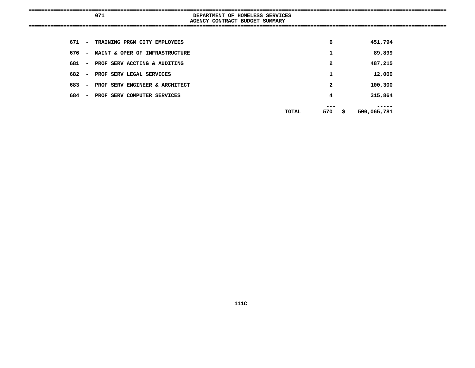|       |        | 071                                  | DEPARTMENT OF HOMELESS SERVICES |       |                |             |  |
|-------|--------|--------------------------------------|---------------------------------|-------|----------------|-------------|--|
|       |        |                                      | AGENCY CONTRACT BUDGET SUMMARY  |       |                |             |  |
|       |        |                                      |                                 |       |                |             |  |
|       |        | 671 - TRAINING PRGM CITY EMPLOYEES   |                                 |       | 6              | 451,794     |  |
|       |        | 676 - MAINT & OPER OF INFRASTRUCTURE |                                 |       | 1              | 89,899      |  |
|       |        | 681 - PROF SERV ACCTING & AUDITING   |                                 |       | $\overline{2}$ | 487,215     |  |
| 682 – |        | PROF SERV LEGAL SERVICES             |                                 |       | 1              | 12,000      |  |
| 683   | $\sim$ | PROF SERV ENGINEER & ARCHITECT       |                                 |       | $\mathbf{2}$   | 100,300     |  |
|       |        | 684 - PROF SERV COMPUTER SERVICES    |                                 |       | 4              | 315,864     |  |
|       |        |                                      |                                 | TOTAL | 570 \$         | 500,065,781 |  |
|       |        |                                      |                                 |       |                |             |  |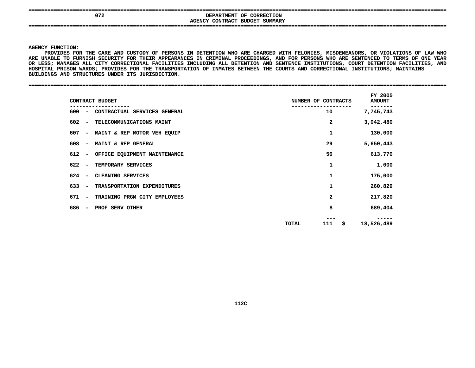| 072 |                                | DEPARTMENT OF CORRECTION |
|-----|--------------------------------|--------------------------|
|     | AGENCY CONTRACT BUDGET SUMMARY |                          |
|     |                                |                          |
|     |                                |                          |

Y FUNCTION:<br>PROVIDES FC<br>NABLE TO FU<br>WABL<mark>E TO</mark> FU **PROVIDES**S FOR THE CARE AND CUSTODY OF PERSONS IN DETENTION WHO ARE CHARGED WITH FELONIES, MISDEMEANORS, OR VIOLATIONS OF LAW WHO<br>O FURNISH SECURITY FOR THEIR APPEARANCES IN CRIMINAL PROCEEDINGS, AND FOR PERSONS WHO ARE SENTENCED T **ARE**E UNABLE TO FURNISH SECURITY FOR THEIR APPEARANCES IN CRIMINAL PROCEEDINGS, AND FOR PERSONS WHO ARE SENTENCED TO TERMS OF ONE YEAR<br>LESS; MANAGES ALL CITY CORRECTIONAL FACILITIES INCLUDING ALL DETENTION AND SENTENCE INSTITU **OR**R LESS; MANAGES ALL CITY CORRECTIONAL FACILITIES INCLUDING ALL DETENTION AND SENTENCE INSTITUTIONS, COURT DETENTION FACILITIES, AND<br>OSPITAL PRISON WARDS; PROVIDES FOR THE TRANSPORTATION OF INMATES BETWEEN THE COURTS AND CO **HOSPITAL PRISON WARDS; PROVIDES FOR THE TRANSPORTATION OF INMATES BETWEEN THE COURTS AND CORRECTIONAL INSTITUTIONS; MAINTAINS** BUILDINGS AND STRUCTURES UNDER ITS JURISDICTION. **AND STRUCTURES UNDER ITS JURISDICTION. ====================================================================================================================================**

|                                 | CONTRACT BUDGET              | NUMBER OF CONTRACTS |                         | FY 2005<br><b>AMOUNT</b> |
|---------------------------------|------------------------------|---------------------|-------------------------|--------------------------|
| 600 –                           | CONTRACTUAL SERVICES GENERAL |                     | 10                      | 7,745,743                |
| 602<br>$\sim$ $ \sim$           | TELECOMMUNICATIONS MAINT     |                     | 2                       | 3,042,480                |
| 607<br>$\sim$                   | MAINT & REP MOTOR VEH EQUIP  |                     | 1                       | 130,000                  |
| 608<br>$\overline{\phantom{a}}$ | MAINT & REP GENERAL          |                     | 29                      | 5,650,443                |
| 612<br>$\overline{\phantom{a}}$ | OFFICE EQUIPMENT MAINTENANCE |                     | 56                      | 613,770                  |
| 622 –                           | TEMPORARY SERVICES           |                     | 1                       | 1,000                    |
| 624<br>$\sim$                   | CLEANING SERVICES            |                     | 1                       | 175,000                  |
| $633 -$                         | TRANSPORTATION EXPENDITURES  |                     | 1                       | 260,829                  |
| 671<br>$\overline{\phantom{a}}$ | TRAINING PRGM CITY EMPLOYEES |                     | $\overline{\mathbf{2}}$ | 217,820                  |
| 686<br>$\overline{\phantom{a}}$ | PROF SERV OTHER              |                     | 8                       | 689,404                  |
|                                 |                              | TOTAL               | 111<br>S.               | 18,526,489               |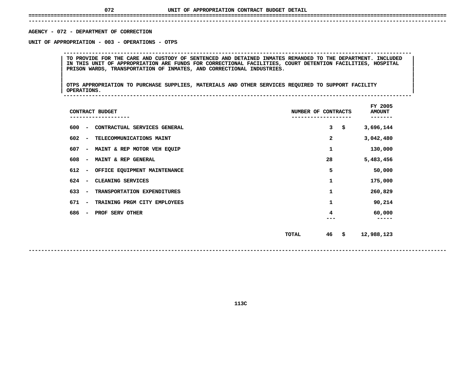# **UNIT OF APPROPRIATION CONTRACT BUDGET DETAIL ====================================================================================================================================**

 **------------------------------------------------------------------------------------------------------------------------------------AGENCY - 072 - DEPARTMENT OF CORRECTION** 

**- <sup>072</sup> - DEPARTMENT OF CORRECTION UNIT**

 **OF APPROPRIATION - <sup>003</sup> - OPERATIONS - OTPS --------------------------------------------------------------------------------------------------------------**TO PROVIDE FOR THE CARE AND CUSTODY OF SENTENCED AND DETAINED INMATES REMANDED TO THE DEPARTMENT. INCLUDED<br>IN THIS UNIT OF APPROPRIATION ARE FUNDS FOR CORRECTIONAL FACILITIES, COURT DETENTION FACILITIES, HOSPITAL<br>PRISON WA **IN THIS UNIT OF APPROPRIATION ARE FUNDS FOR CORRECTIONAL FACILITIES, COURT DETENTION FACILITIES, HOSPITAL <sup>|</sup> <sup>|</sup>PRISON WARDS, TRANSPORTATION OF INMATES, AND CORRECTIONAL INDUSTRIES. <sup>|</sup> <sup>|</sup>**

|<br>| OTPS\_APPROPRIATION TO PURCHASE SUPPLIES, MATERIALS AND OTHER SERVICES REQUIRED TO SUPPORT FACILITY |<br>| OTPS APPROPRIATION TO PURCHASE SUPPLIES, MATERIALS AND OTHER SERVICES REQUIRED TO SUPPORT FACILITY<br>| OPERATIONS. **OTPS APPROPRIATION TO PURCHASE SUPPLIES, MATERIALS AND OTHER SERVICES REQUIRED TO SUPPORT FACILITY <sup>|</sup> <sup>|</sup>OPERATIONS. <sup>|</sup> --------------------------------------------------------------------------------------------------------------**

| CONTRACT BUDGET                                                 | NUMBER OF CONTRACTS | FY 2005<br><b>AMOUNT</b> |
|-----------------------------------------------------------------|---------------------|--------------------------|
| 600<br>CONTRACTUAL SERVICES GENERAL<br>$\overline{\phantom{a}}$ | 3<br>\$             | 3,696,144                |
| 602<br>TELECOMMUNICATIONS MAINT<br>$\qquad \qquad$              | 2                   | 3,042,480                |
| 607<br>MAINT & REP MOTOR VEH EQUIP<br>$\overline{\phantom{a}}$  | 1                   | 130,000                  |
| 608<br>MAINT & REP GENERAL<br>$\qquad \qquad$                   | 28                  | 5,483,456                |
| 612<br>OFFICE EQUIPMENT MAINTENANCE<br>$\overline{\phantom{m}}$ | 5                   | 50,000                   |
| 624<br>CLEANING SERVICES<br>$\overline{\phantom{a}}$            | 1                   | 175,000                  |
| 633<br>TRANSPORTATION EXPENDITURES<br>$\overline{\phantom{a}}$  | 1                   | 260,829                  |
| 671<br>TRAINING PRGM CITY EMPLOYEES<br>$\overline{\phantom{a}}$ | 1                   | 90,214                   |
| 686<br>PROF SERV OTHER<br>$\overline{\phantom{a}}$              | 4                   | 60,000                   |
|                                                                 |                     |                          |
|                                                                 | 46<br>\$<br>TOTAL   | 12,988,123               |
|                                                                 |                     |                          |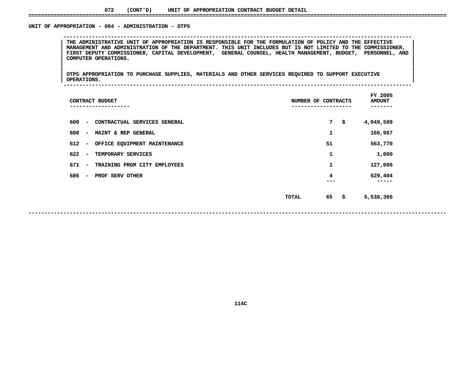### **072(CONT'D) UNIT OF APPROPRIATION CONTRACT BUDGET DETAIL ====================================================================================================================================**

### UNIT OF APPROPRIATION - 004 - ADMINISTRATION - OTPS

 **OF APPROPRIATION - <sup>004</sup> - ADMINISTRATION - OTPS --------------------------------------------------------------------------------------------------------------**THE ADMINISTRATIVE UNIT OF APPROPRIATION IS RESPONSIBLE FOR THE FORMULATION OF POLICY AND THE EFFECTIVE<br>MANAGEMENT AND ADMINISTRATION OF THE DEPARTMENT. THIS UNIT INCLUDES BUT IS NOT LIMITED TO THE COMMISSIONER, THE ADMINISTRATIVE UNIT OF APPROPRIATION IS RESPONSIBLE FOR THE FORMULATION OF POLICY AND THE EFFECTIVE |<br>| MANAGEMENT AND ADMINISTRATION OF THE DEPARTMENT. THIS UNIT INCLUDES BUT IS NOT LIMITED TO THE COMMISSIONER,<br>| FIRS MANAGEMENT AND ADMINISTRATION OF THE DEPARTMENT. THIS UNIT INCLUDES BUT IS NOT LIMITED TO THE COMMISSIONER,<br>FIRST DEPUTY COMMISSIONER, CAPITAL DEVELOPMENT, GENERAL COUNSEL, HEALTH MANAGEMENT, BUDGET, PERSONNEL, AND<br>COMPUTE **FIRST DEPUTY COMMISSIONER, CAPITAL DEVELOPMENT, GENERAL COUNSEL, HEALTH MANAGEMENT, BUDGET, PERSONNEL, AND <sup>|</sup> <sup>|</sup>COMPUTER OPERATIONS. <sup>|</sup> <sup>|</sup>**

|<br>| OTPS\_APPROPRIATION TO PURCHASE SUPPLIES, MATERIALS AND OTHER SERVICES REQUIRED TO SUPPORT EXECUTIVE |<br>| OTPS APPROPRIATION TO PURCHASE SUPPLIES, MATERIALS AND OTHER SERVICES REQUIRED TO SUPPORT EXECUTIVE<br>| OPERATIONS. **OTPS APPROPRIATION TO PURCHASE SUPPLIES, MATERIALS AND OTHER SERVICES REQUIRED TO SUPPORT EXECUTIVE <sup>|</sup> <sup>|</sup>OPERATIONS. <sup>|</sup> --------------------------------------------------------------------------------------------------------------**

| CONTRACT BUDGET<br>---------                                    | NUMBER OF CONTRACTS | FY 2005<br><b>AMOUNT</b><br>---- |
|-----------------------------------------------------------------|---------------------|----------------------------------|
| 600<br>CONTRACTUAL SERVICES GENERAL<br>$\overline{\phantom{a}}$ | 7                   | \$<br>4,049,599                  |
| 608<br>MAINT & REP GENERAL<br>$\overline{\phantom{a}}$          | 1                   | 166,987                          |
| 612<br>OFFICE EQUIPMENT MAINTENANCE<br>$\overline{\phantom{a}}$ | 51                  | 563,770                          |
| 622<br>TEMPORARY SERVICES                                       | 1                   | 1,000                            |
| 671<br>TRAINING PRGM CITY EMPLOYEES<br>$\overline{\phantom{a}}$ | 1                   | 127,606                          |
| 686<br>PROF SERV OTHER<br>$\overline{\phantom{0}}$              | 4                   | 629,404                          |
|                                                                 | 65<br>TOTAL         | \$<br>5,538,366                  |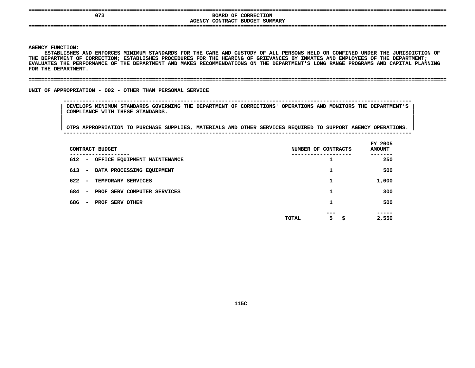| ----<br>----  | ----<br>----               |
|---------------|----------------------------|
| 073           | BOARD OF CORRECTION        |
| <b>AGENCY</b> | CONTRACT BUDGET<br>SUMMARY |
| ----          | _____________<br>----      |
|               |                            |

**Y FUNCTION:<br>ESTABLISHES<br>EPARTMENT C** ESTABLISHES AND ENFORCES MINIMUM STANDARDS FOR THE CARE AND CUSTODY OF ALL PERSONS HELD OR CONFINED UNDER THE JURISDICTION OF S AND ENFORCES MINIMUM STANDARDS FOR THE CARE AND CUSTODY OF ALL PERSONS HELD OR CONFINED UNDER THE JURISDICTION OF<br>OF CORRECTION; ESTABLISHES PROCEDURES FOR THE HEARING OF GRIEVANCES BY INMATES AND EMPLOYEES OF THE DEPART **THE**E DEPARTMENT OF CORRECTION; ESTABLISHES PROCEDURES FOR THE HEARING OF GRIEVANCES BY INMATES AND EMPLOYEES OF THE DEPARTMENT;<br>ALUATES THE PERFORMANCE OF THE DEPARTMENT AND MAKES RECOMMENDATIONS ON THE DEPARTMENT'S LONG RANG **EVALUATES THE PERFORMANCE OF THE DEPARTMENT AND MAKES RECOMMENDATIONS ON THE DEPARTMENT'S LONG RANGE PROGRAMS AND CAPITAL PLANNING** FOR THE DEPARTMENT.

### **THE DEPARTMENT. ====================================================================================================================================**

UNIT OF APPROPRIATION - 002 - OTHER THAN PERSONAL SERVICE

 **OF APPROPRIATION - <sup>002</sup> - OTHER THAN PERSONAL SERVICE -------------------------------------------------------------------------------------------------------------- DEVELOPS MINIMUM STANDARDS GOVERNING THE DEPARTMENT OF CORRECTIONS' OPERATIONS AND MONITORS THE DEPARTMENT'S <sup>|</sup> COMPLIANCE WITH THESE STANDARDS. <sup>|</sup>**

| CONTRACT BUDGET                                                | NUMBER OF CONTRACTS             | FY 2005<br><b>AMOUNT</b> |
|----------------------------------------------------------------|---------------------------------|--------------------------|
| 612<br>OFFICE EQUIPMENT MAINTENANCE<br>$\sim$ $-$              |                                 | 250                      |
| 613<br>DATA PROCESSING EQUIPMENT<br>$\overline{\phantom{a}}$   |                                 | 500                      |
| 622<br>TEMPORARY SERVICES<br>$\overline{\phantom{a}}$          | 1                               | 1,000                    |
| 684<br>PROF SERV COMPUTER SERVICES<br>$\overline{\phantom{a}}$ |                                 | 300                      |
| 686<br>PROF SERV OTHER<br>$\overline{\phantom{a}}$             | 1                               | 500                      |
|                                                                | ---<br>5<br>\$.<br><b>TOTAL</b> | -----<br>2,550           |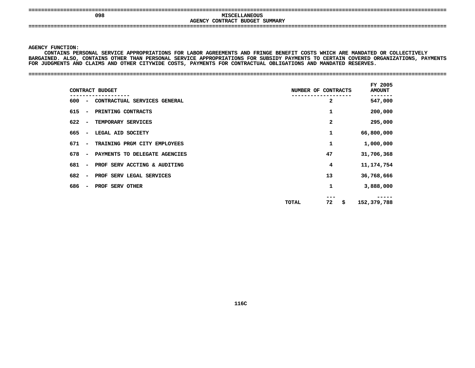### **MISCELLANEOUS**<br> **DENCY CONTRACT BUDGET SUMMARY MISCELLANEOUS CONTRACT BUDGET SUMMARY ====================================================================================================================================**

**AGENCY**

**Y FUNCTION:<br>CONTAINS PE<br>INED. ALSO,** CONTAINS PERSONAL SERVICE APPROPRIATIONS FOR LABOR AGREEMENTS AND FRINGE BENEFIT COSTS WHICH ARE MANDATED OR COLLECTIVELY **PERSONAL SERVICE APPROPRIATIONS FOR LABOR AGREEMENTS AND FRINGE BENEFIT COSTS WHICH ARE MANDATED OR COLLECTIVELY BARGAINED.**. ALSO, CONTAINS OTHER THAN PERSONAL SERVICE APPROPRIATIONS FOR SUBSIDY PAYMENTS TO CERTAIN COVERED ORGANIZATIONS, PAYMENTS<br>ENTS AND CLAIMS AND OTHER CITYWIDE COSTS, PAYMENTS FOR CONTRACTUAL OBLIGATIONS AND MANDATED RESERV **FOR**

**JUDGMENTS AND CLAIMS AND OTHER CITYWIDE COSTS, PAYMENTS FOR CONTRACTUAL OBLIGATIONS AND MANDATED RESERVES. ====================================================================================================================================**

 **FY2000NT<br>--------**<br>547,000 **CONTRACT BUDGET NUMBER OF CONTRACTS AMOUNT ------------------- ------------------- ------- <sup>600</sup> - CONTRACTUAL SERVICES GENERAL <sup>2</sup> 547,000 615 - PRINTING CONTRACTS <sup>1</sup> 200,000 622 - TEMPORARY SERVICES <sup>2</sup> 295,000 665 - LEGAL AID SOCIETY <sup>1</sup> 66,800,000** 671 - TRAINING PRGM CITY EMPLOYEES **- TRAINING PRGM CITY EMPLOYEES <sup>1</sup> 1,000,000** 678 - PAYMENTS TO DELEGATE AGENCIES **- PAYMENTS TO DELEGATE AGENCIES <sup>47</sup> 31,706,368 681& - PROF SERV ACCTING 682a** AUDITING **11,174,754**<br>RVICES 13 36,768,666 **- PROF SERV LEGAL SERVICES <sup>13</sup> 36,768,666** 686 - PROF SERV OTHER **- PROF SERV OTHER <sup>1</sup> 3,888,000 -------- TOTAL <sup>72</sup> \$ 152,379,788**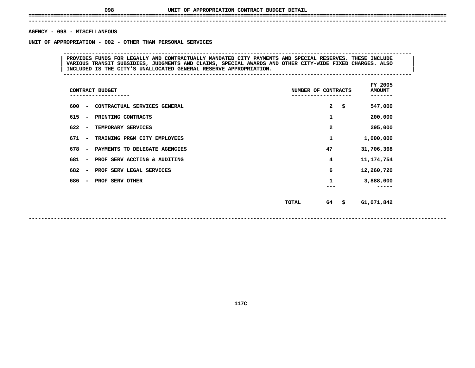# **UNIT OF APPROPRIATION CONTRACT BUDGET DETAIL ====================================================================================================================================**

### **------------------------------------------------------------------------------------------------------------------------------------AGENCY**

**- <sup>098</sup> - MISCELLANEOUS UNIT**

 **OF APPROPRIATION - <sup>002</sup> - OTHER THAN PERSONAL SERVICES --------------------------------------------------------------------------------------------------------------**PROVIDES FUNDS FOR LEGALLY AND CONTRACTUALLY MANDATED CITY PAYMENTS AND SPECIAL RESERVES. THESE INCLUDE<br>VARIOUS TRANSIT SUBSIDIES, JUDGMENTS AND CLAIMS, SPECIAL AWARDS AND OTHER CITY-WIDE FIXED CHARGES. ALSO<br>INCLUDED IS TH **VARIOUS TRANSIT SUBSIDIES, JUDGMENTS AND CLAIMS, SPECIAL AWARDS AND OTHER CITY-WIDE FIXED CHARGES. ALSO <sup>|</sup> <sup>|</sup>INCLUDED IS THE CITY'S UNALLOCATED GENERAL RESERVE APPROPRIATION. <sup>|</sup> --------------------------------------------------------------------------------------------------------------**

| CONTRACT BUDGET<br>------------                                  | NUMBER OF CONTRACTS |    | FY 2005<br><b>AMOUNT</b> |
|------------------------------------------------------------------|---------------------|----|--------------------------|
| 600<br>CONTRACTUAL SERVICES GENERAL<br>-                         |                     | 2  | \$<br>547,000            |
| 615<br>PRINTING CONTRACTS<br>$\overline{\phantom{a}}$            |                     | 1  | 200,000                  |
| 622<br>TEMPORARY SERVICES<br>-                                   |                     | 2  | 295,000                  |
| 671<br>TRAINING PRGM CITY EMPLOYEES<br>-                         |                     | 1  | 1,000,000                |
| 678<br>PAYMENTS TO DELEGATE AGENCIES<br>$\overline{\phantom{a}}$ |                     | 47 | 31,706,368               |
| 681<br>PROF SERV ACCTING & AUDITING<br>-                         |                     | 4  | 11, 174, 754             |
| 682<br>PROF SERV LEGAL SERVICES<br>-                             |                     | 6  | 12,260,720               |
| 686<br>PROF SERV OTHER<br>-                                      |                     | 1  | 3,888,000<br>----        |
|                                                                  | <b>TOTAL</b>        | 64 | \$<br>61,071,842         |

**117C**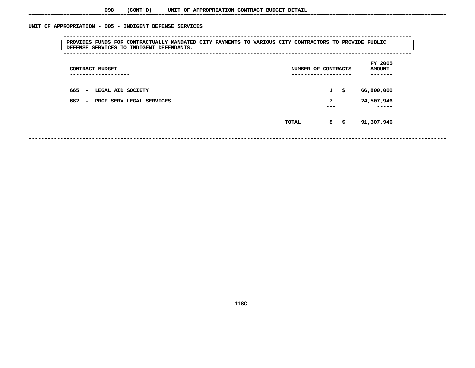### UNIT OF APPROPRIATION - 005 - INDIGENT DEFENSE SERVICES

 **OF APPROPRIATION - <sup>005</sup> - INDIGENT DEFENSE SERVICES -------------------------------------------------------------------------------------------------------------- <sup>|</sup> PROVIDES FUNDS FOR CONTRACTUALLY MANDATED CITY PAYMENTS TO VARIOUS CITY CONTRACTORS TO PROVIDE PUBLIC <sup>|</sup> <sup>|</sup>DEFENSE SERVICES TO INDIGENT DEFENDANTS. <sup>|</sup> --------------------------------------------------------------------------------------------------------------**

| CONTRACT BUDGET<br>----------------                         | NUMBER OF CONTRACTS<br>------------------- |                     |  |  |
|-------------------------------------------------------------|--------------------------------------------|---------------------|--|--|
| 665<br>LEGAL AID SOCIETY<br>$\overline{\phantom{a}}$        | $\mathbf{1}$<br>\$                         | 66,800,000          |  |  |
| 682<br>PROF SERV LEGAL SERVICES<br>$\overline{\phantom{m}}$ | 7<br>---                                   | 24,507,946<br>----- |  |  |
|                                                             | 8<br>-\$<br><b>TOTAL</b>                   | 91,307,946          |  |  |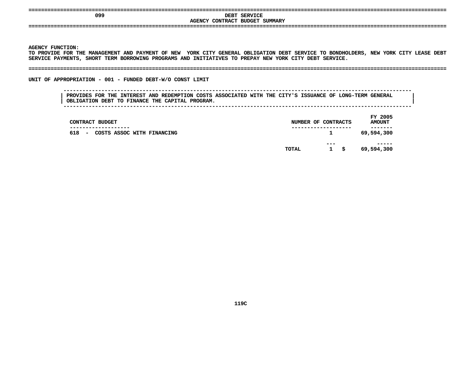| ----<br>---                                                                               | _________________                                                                |
|-------------------------------------------------------------------------------------------|----------------------------------------------------------------------------------|
| 099                                                                                       | <b>SERVICE</b><br>DEBT                                                           |
|                                                                                           | CONTRACT<br><b>BUDGET</b><br><b>SUMMARY</b><br><b>AGENCY</b>                     |
| -----------------------------------<br>-----<br>---------------------------------<br>---- | ----------------------------------<br>-----<br>----------------<br>-----<br>____ |
|                                                                                           |                                                                                  |

Y FUNCTION:<br>OVIDE FOR T<br>CE PAYM<mark>EN</mark>TS TO PROVIDE FOR THE MANAGEMENT AND PAYMENT OF NEW YORK CITY GENERAL OBLIGATION DEBT SERVICE TO BONDHOLDERS, NEW YORK CITY LEASE DEBT O PROVIDE FOR THE MANAGEMENT AND PAYMENT OF NEW YORK CITY GENERAL OBLIGATION DEBT SERVICE TO BONDHOLDERS, NEW YORK CITY LEASE DEBT<br>ERVICE PAYMENTS, SHORT TERM BORROWING PROGRAMS AND INITIATIVES TO PREPAY NEW YORK CITY DEBT **SERVICE**

**PAYMENTS, SHORT TERM BORROWING PROGRAMS AND INITIATIVES TO PREPAY NEW YORK CITY DEBT SERVICE. ====================================================================================================================================**

UNIT OF APPROPRIATION - 001 - FUNDED DEBT-W/O CONST LIMIT

 **OF APPROPRIATION - <sup>001</sup> - FUNDED DEBT-W/O CONST LIMIT -------------------------------------------------------------------------------------------------------------- PROVIDES FOR THE INTEREST AND REDEMPTION COSTS ASSOCIATED WITH THE CITY'S ISSUANCE OF LONG-TERM GENERAL <sup>|</sup> OBLIGATION DEBT TO FINANCE THE CAPITAL PROGRAM.** 

| CONTRACT BUDGET                                             | NUMBER OF CONTRACTS |                         |    | FY 2005<br><b>AMOUNT</b> |
|-------------------------------------------------------------|---------------------|-------------------------|----|--------------------------|
| ------------<br>618<br>COSTS ASSOC WITH FINANCING<br>$\sim$ |                     | $\mathbf{1}$            |    | -----<br>69,594,300      |
|                                                             | TOTAL               | $- - -$<br>$\mathbf{1}$ | -S | -----<br>69,594,300      |
|                                                             |                     |                         |    |                          |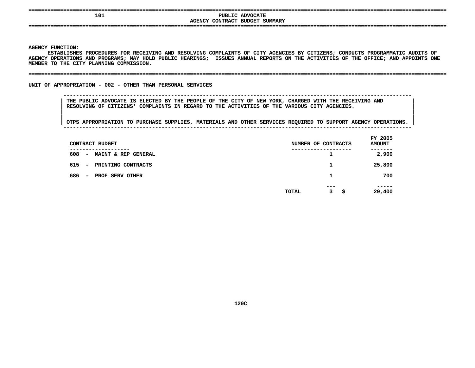| ------------------ |                                                          |  |
|--------------------|----------------------------------------------------------|--|
| 101                | <b>PUBLIC ADVOCATE</b><br>AGENCY CONTRACT BUDGET SUMMARY |  |
|                    |                                                          |  |
|                    |                                                          |  |

 **FUNCTION:** ESTABLISHES PROCEDURES FOR RECEIVING AND RESOLVING COMPLAINTS OF CITY AGENCIES BY CITIZENS; CONDUCTS PROGRAMMATIC AUDITS OF **PROCEDURES FOR RECEIVING AND RESOLVING COMPLAINTS OF CITY AGENCIES BY CITIZENS; CONDUCTS PROGRAMMATIC AUDITS OF** AGENCY OPERATIONS AND PROGRAMS; MAY HOLD PUBLIC HEARINGS; ISSUES ANNUAL REPORTS ON THE ACTIVITIES OF THE OFFICE; AND APPOINTS ONE<br>MEMBER TO THE CITY PLANNING COMMISSION.<br>-MEMBER TO THE CITY PLANNING COMMISSION.

### **TO THE CITY PLANNING COMMISSION. ====================================================================================================================================**

UNIT OF APPROPRIATION - 002 - OTHER THAN PERSONAL SERVICES

### **OF APPROPRIATION - <sup>002</sup> - OTHER THAN PERSONAL SERVICES --------------------------------------------------------------------------------------------------------------**THE PUBLIC ADVOCATE IS ELECTED BY THE PEOPLE OF THE CITY OF NEW YORK, CHARGED WITH THE RECEIVING AND **RESOLVING OF CITIZENS' COMPLAINTS IN REGARD TO THE ACTIVITIES OF THE VARIOUS CITY AGENCIES. <sup>|</sup>**

| CONTRACT BUDGET                                                       |       | NUMBER OF CONTRACTS              | FY 2005<br><b>AMOUNT</b> |
|-----------------------------------------------------------------------|-------|----------------------------------|--------------------------|
| -----------<br>608<br>MAINT & REP GENERAL<br>$\overline{\phantom{a}}$ |       | ------------<br>ᆠ                | -----<br>2,900           |
| 615<br>PRINTING CONTRACTS<br>$\overline{\phantom{a}}$                 |       | 1                                | 25,800                   |
| 686<br>PROF SERV OTHER<br>$\overline{\phantom{a}}$                    |       | 1                                | 700                      |
|                                                                       | TOTAL | $- - -$<br>3 <sup>1</sup><br>-\$ | -----<br>29,400          |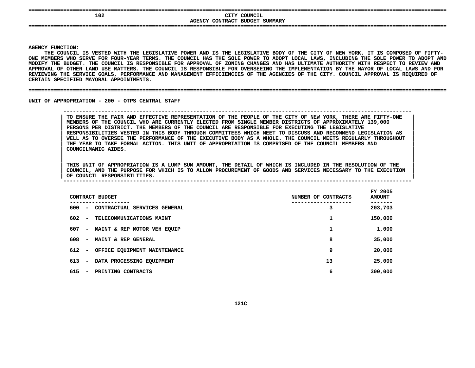| 102 | CITY COUNCIL                   |  |
|-----|--------------------------------|--|
|     | AGENCY CONTRACT BUDGET SUMMARY |  |
|     |                                |  |
|     |                                |  |

Y FUNCTION:<br>THE COUNCII<br>EMBERS WHO<br>--**THE**E COUNCIL IS VESTED WITH THE LEGISLATIVE POWER AND IS THE LEGISLATIVE BODY OF THE CITY OF NEW YORK. IT IS COMPOSED OF FIFTY-<br>BERS WHO SERVE FOR FOUR-YEAR TERMS. THE COUNCIL HAS THE SOLE POWER TO ADOPT LOCAL LAWS, INCLUDING **ONE**E MEMBERS WHO SERVE FOR FOUR-YEAR TERMS. THE COUNCIL HAS THE SOLE POWER TO ADOPT LOCAL LAWS, INCLUDING THE SOLE POWER TO ADOPT AND<br>DIFY THE BUDGET. THE COUNCIL IS RESPONSIBLE FOR APPROVAL OF ZONING CHANGES AND HAS ULTIMATE MODIFY THE BUDGET. THE COUNCIL IS RESPONSIBLE FOR APPROVAL OF ZONING CHANGES AND HAS ULTIMATE AUTHORITY WITH RESPECT TO REVIEW AND Y THE BUDGET. THE COUNCIL IS RESPONSIBLE FOR APPROVAL OF ZONING CHANGES AND HAS ULTIMATE AUTHORITY WITH RESPECT TO REVIEW AND<br>VAL OF OTHER LAND USE MATTERS. THE COUNCIL IS RESPONSIBLE FOR OVERSEEING THE IMPLEMENTATION BY T **APPROVAL**L OF OTHER LAND USE MATTERS. THE COUNCIL IS RESPONSIBLE FOR OVERSEEING THE IMPLEMENTATION BY THE MAYOR OF LOCAL LAWS AND FOR<br>NG THE SERVICE GOALS, PERFORMANCE AND MANAGEMENT EFFICIENCIES OF THE AGENCIES OF THE CITY. COUNCI **REVIEWING THE SERVICE GOALS, PERFORMANCE AND MANAGEMENT EFFICIENCIES OF THE AGENCIES OF THE CITY. COUNCIL APPROVAL IS REQUIRED OF** CERTAIN SPECIFIED MAYORAL APPOINTMENTS.

**SPECIFIED MAYORAL APPOINTMENTS. ====================================================================================================================================**

UNIT OF APPROPRIATION - 200 - OTPS CENTRAL STAFF

 **OF APPROPRIATION - <sup>200</sup> - OTPS CENTRAL STAFF --------------------------------------------------------------------------------------------------------------**TO ENSURE THE FAIR AND EFFECTIVE REPRESENTATION OF THE PEOPLE OF THE CITY OF NEW YORK, THERE ARE FIFTY-ONE MEMBERS OF THE COUNCIL WHO ARE CURRENTLY ELECTED FROM SINGLE MEMBER DISTRICTS OF APPROXIMATELY 139,000 PERSONS PER **MEMBERS OF THE COUNCIL WHO ARE CURRENTLY ELECTED FROM SINGLE MEMBER DISTRICTS OF APPROXIMATELY 139,000 <sup>|</sup>** PERSONS PER DISTRICT. THE MEMBERS OF THE COUNCIL ARE RESPONSIBLE FOR EXECUTING THE LEGISLATIVE<br>RESPONSIBILITIES VESTED IN THIS BODY THROUGH COMMITTEES WHICH MEET TO DISCUSS AND RECOMMEND LEGISLATION AS<br>WELL AS TO OVERSEE T **RESPONSIBILITIES VESTED IN THIS BODY THROUGH COMMITTEES WHICH MEET TO DISCUSS AND RECOMMEND LEGISLATION AS <sup>|</sup>** WELL AS TO OVERSEE THE PERFORMANCE OF THE EXECUTIVE BODY AS A WHOLE. THE COUNCIL MEETS REGULARLY THROUGHOUT<br>THE YEAR TO TAKE FORMAL ACTION. THIS UNIT OF APPROPRIATION IS COMPRISED OF THE COUNCIL MEMBERS AND<br>COUNCILMANIC AI

 **COUNCILMANIC AIDES. <sup>|</sup>** THIS UNIT OF APPROPRIATION IS A LUMP SUM AMOUNT, THE DETAIL OF WHICH IS INCLUDED IN THE RESOLUTION OF THE THIS UNIT OF APPROPRIATION IS A LUMP SUM AMOUNT, THE DETAIL OF WHICH IS INCLUDED IN THE RESOLUTION OF THE COUNCIL, AND THE PURPOSE FOR WHICH IS TO ALLOW PROCUREMENT OF GOODS AND SERVICES NECESSARY TO THE EXECUTION **OF COUNCIL RESPONSIBILITIES. A LUMP SUM AMOUNT, THE DETAIL OF WHICH IS INCLUDED IN THE RESOLUTION OF THE <sup>|</sup>** COUNCIL, AND THE PURPOSE FOR WHICH IS TO ALLOW PROCUREMENT OF GOODS AND SERVICES NECESSARY TO THE EXECUTION **OF COUNCIL RESPONSIBILITIES. <sup>|</sup> --------------------------------------------------------------------------------------------------------------**

|                                 | CONTRACT BUDGET                            | NUMBER OF CONTRACTS |   | FY 2005<br><b>AMOUNT</b> |
|---------------------------------|--------------------------------------------|---------------------|---|--------------------------|
| 600<br>$\overline{\phantom{a}}$ | ----------<br>CONTRACTUAL SERVICES GENERAL |                     | 3 | 203,703                  |
| 602<br>$\overline{\phantom{a}}$ | TELECOMMUNICATIONS MAINT                   |                     | 1 | 150,000                  |
| 607<br>$\overline{\phantom{a}}$ | MAINT & REP MOTOR VEH EQUIP                |                     | 1 | 1,000                    |
| 608<br>$\overline{\phantom{a}}$ | MAINT & REP GENERAL                        |                     | 8 | 35,000                   |
| 612<br>$\overline{\phantom{a}}$ | OFFICE EQUIPMENT MAINTENANCE               |                     | 9 | 20,000                   |
| 613<br>$\overline{\phantom{a}}$ | DATA PROCESSING EQUIPMENT                  | 13                  |   | 25,000                   |
| 615<br>$\overline{\phantom{a}}$ | PRINTING CONTRACTS                         |                     | 6 | 300,000                  |
|                                 |                                            |                     |   |                          |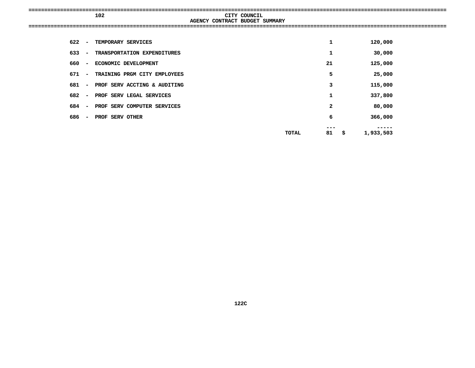|     |                          | 102                            |                                | CITY COUNCIL |       |              |      |           |  |
|-----|--------------------------|--------------------------------|--------------------------------|--------------|-------|--------------|------|-----------|--|
|     |                          |                                | AGENCY CONTRACT BUDGET SUMMARY |              |       |              |      |           |  |
|     |                          |                                |                                |              |       |              |      |           |  |
| 622 | $\sim$                   | TEMPORARY SERVICES             |                                |              |       | $\mathbf 1$  |      | 120,000   |  |
| 633 | $\overline{\phantom{a}}$ | TRANSPORTATION EXPENDITURES    |                                |              |       | $\mathbf 1$  |      | 30,000    |  |
| 660 |                          | - ECONOMIC DEVELOPMENT         |                                |              |       | 21           |      | 125,000   |  |
| 671 | $\sim$                   | TRAINING PRGM CITY EMPLOYEES   |                                |              |       | 5            |      | 25,000    |  |
| 681 |                          | - PROF SERV ACCTING & AUDITING |                                |              |       | 3            |      | 115,000   |  |
| 682 |                          | - PROF SERV LEGAL SERVICES     |                                |              |       | $\mathbf{1}$ |      | 337,800   |  |
| 684 | $\sim$                   | PROF SERV COMPUTER SERVICES    |                                |              |       | $\mathbf{2}$ |      | 80,000    |  |
| 686 |                          | - PROF SERV OTHER              |                                |              |       | 6            |      | 366,000   |  |
|     |                          |                                |                                |              |       | ---          |      | -----     |  |
|     |                          |                                |                                |              | TOTAL | 81           | - \$ | 1,933,503 |  |
|     |                          |                                |                                |              |       |              |      |           |  |
|     |                          |                                |                                |              |       |              |      |           |  |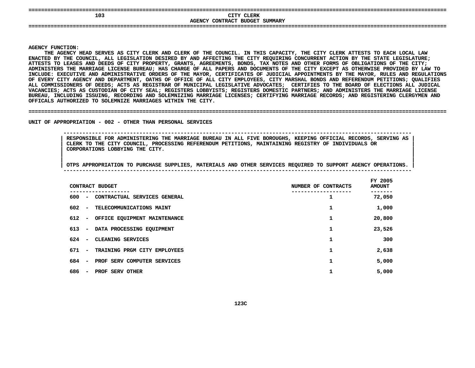| -------                                                            | ----<br>----<br>---------------------------------     |
|--------------------------------------------------------------------|-------------------------------------------------------|
| 103                                                                | CITY CLERK                                            |
|                                                                    | CONTRACT<br>SUMMARY<br><b>BUDGET</b><br><b>AGENCY</b> |
| ---------------------------<br>----<br>--------------------------- | --------------------------------                      |
|                                                                    |                                                       |
|                                                                    |                                                       |

**Y FUNCTION:<br>THE AGENCY<br>ED BY THE C THE**E AGENCY HEAD SERVES AS CITY CLERK AND CLERK OF THE COUNCIL. IN THIS CAPACITY, THE CITY CLERK ATTESTS TO EACH LOCAL LAW<br>BY THE COUNCIL, ALL LEGISLATION DESIRED BY AND AFFECTING THE CITY REQUIRING CONCURRENT ACTION BY THE S ENACTED BY THE COUNCIL, ALL LEGISLATION DESIRED BY AND AFFECTING THE CITY REOUIRING CONCURRENT ACTION BY THE STATE LEGISLATURE: D BY THE COUNCIL, ALL LEGISLATION DESIRED BY AND AFFECTING THE CITY REQUIRING CONCURRENT ACTION BY THE STATE LEGISLATURE;<br>S TO LEASES AND DEEDS OF CITY PROPERTY, GRANTS, AGREEMENTS, BONDS, TAX NOTES AND OTHER FORMS OF OBLI **ATTESTS**S TO LEASES AND DEEDS OF CITY PROPERTY, GRANTS, AGREEMENTS, BONDS, TAX NOTES AND OTHER FORMS OF OBLIGATIONS OF THE CITY;<br>STERS THE MARRIAGE LICENSE BUREAU; HAS CHARGE OF ALL PAPERS AND DOCUMENTS OF THE CITY EXCEPT AS OTHER ADMINISTERS THE MARRIAGE LICENSE BUREAU: HAS CHARGE OF ALL PAPERS AND DOCUMENTS OF THE CITY EXCEPT AS OTHERWISE PROVIDED BY LAW TO S THE MARRIAGE LICENSE BUREAU; HAS CHARGE OF ALL PAPERS AND DOCUMENTS OF THE CITY EXCEPT AS OTHERWISE PROVIDED BY LAW TO<br>XECUTIVE AND ADMINISTRATIVE ORDERS OF THE MAYOR, CERTIFICATES OF JUDICIAL APPOINTMENTS BY THE MAYOR, **INCLUDE:**INCLUDE: EXECUTIVE AND ADMINISTRATIVE ORDERS OF THE MAYOR, CERTIFICATES OF JUDICIAL APPOINTMENTS BY THE MAYOR, RULES AND REGULATIONS<br>OF EVERY CITY AGENCY AND DEPARTMENT, OATHS OF OFFICE OF ALL CITY EMPLOYEES, CITY MARSHAL OF EVERY CITY AGENCY AND DEPARTMENT, OATHS OF OFFICE OF ALL CITY EMPLOYEES, CITY MARSHAL BONDS AND REFERENDUM PETITIONS: OUALIFIES F EVERY CITY AGENCY AND DEPARTMENT, OATHS OF OFFICE OF ALL CITY EMPLOYEES, CITY MARSHAL BONDS AND REFERENDUM PETITIONS; QUALIFIES<br>LL COMMISSIONERS OF DEEDS; ACTS AS REGISTRAR OF MUNICIPAL LEGISLATIVE ADVOCATES; CERTIFIES T L COMMISSIONERS OF DEEDS; ACTS AS REGISTRAR OF MUNICIPAL LEGISLATIVE ADVOCATES; CERTIFIES TO THE BOARD OF ELECTIONS ALL JUDICAL<br>CANCIES; ACTS AS CUSTODIAN OF CITY SEAL; REGISTERS LOBBYISTS; REGISTERS DOMESTIC PARTNERS; AND **VACANCIES;**; ACTS AS CUSTODIAN OF CITY SEAL; REGISTERS LOBBYISTS; REGISTERS DOMESTIC PARTNERS; AND ADMINISTERS THE MARRIAGE LICENSE<br>NCLUDING ISSUING, RECORDING AND SOLEMNIZING MARRIAGE LICENSES; CERTIFYING MARRIAGE RECORDS; AND REGIS BUREAU, INCLUDING ISSUING, RECORDING AND SOLEMNIZING MARRIAGE LICENSES; CERTIFYING MARRIAGE RECORDS; AND REGISTERING CLERGYMEN AND<br>OFFICALS AUTHORIZED TO SOLEMNIZE MARRIAGES WITHIN THE CITY.<br>. OFFICALS AUTHORIZED TO SOLEMNIZE MARRIAGES WITHIN THE CITY.

### UNIT OF APPROPRIATION - 002 - OTHER THAN PERSONAL SERVICES

 **OF APPROPRIATION - <sup>002</sup> - OTHER THAN PERSONAL SERVICES -------------------------------------------------------------------------------------------------------------- RESPONSIBLE FOR ADMINISTERING THE MARRIAGE BUREAU IN ALL FIVE BOROUGHS, KEEPING OFFICIAL RECORDS, SERVING AS <sup>|</sup> CLERK TO THE CITY COUNCIL, PROCESSING REFERENDUM PETITIONS, MAINTAINING REGISTRY OF INDIVIDUALS OR <sup>|</sup> CORPORATIONS LOBBYING THE CITY. <sup>|</sup>**

**AUTHORIZED TO SOLEMNIZE MARRIAGES WITHIN THE CITY. ====================================================================================================================================**

|     |                          | CONTRACT BUDGET              | NUMBER OF CONTRACTS | FY 2005<br><b>AMOUNT</b> |
|-----|--------------------------|------------------------------|---------------------|--------------------------|
| 600 | $\overline{\phantom{a}}$ | CONTRACTUAL SERVICES GENERAL |                     | 72,050                   |
| 602 | $\overline{\phantom{a}}$ | TELECOMMUNICATIONS MAINT     | 1                   | 1,000                    |
| 612 | $\sim$                   | OFFICE EQUIPMENT MAINTENANCE | 1                   | 20,800                   |
| 613 | $\overline{\phantom{m}}$ | DATA PROCESSING EQUIPMENT    | 1                   | 23,526                   |
| 624 | $\overline{\phantom{a}}$ | CLEANING SERVICES            | 1                   | 300                      |
| 671 | $\overline{\phantom{a}}$ | TRAINING PRGM CITY EMPLOYEES | 1                   | 2,638                    |
| 684 | $\overline{\phantom{a}}$ | PROF SERV COMPUTER SERVICES  | 1                   | 5,000                    |
| 686 | $\overline{\phantom{a}}$ | PROF SERV OTHER              |                     | 5,000                    |
|     |                          |                              |                     |                          |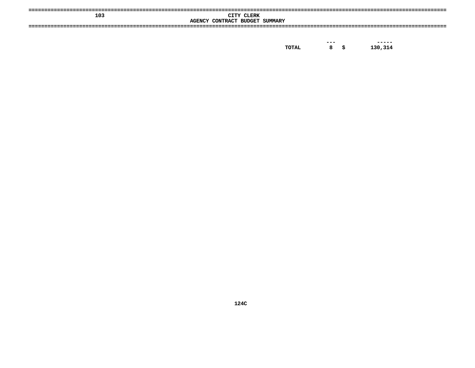| 103 | CITY CLERK<br>AGENCY CONTRACT BUDGET SUMMARY |  |
|-----|----------------------------------------------|--|
|     |                                              |  |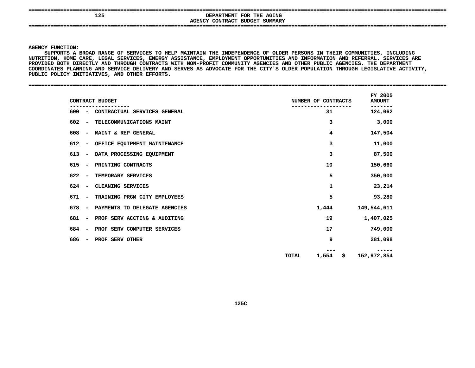## **<sup>125</sup> DEPARTMENT FOR THE AGING AGENCYCONTRACT BUDGET SUMMARY ====================================================================================================================================**

**AGENCY**

 **FUNCTION: SUPPORTSA HOME CARE, LEGAL SERVICES, ENERGY ASSISTANCE, EMPLOYMENT OPPORTUNITIES AND INFORMATION AND REFERRAL. SERVICES ARE BROAD RANGE OF SERVICES TO HELP MAINTAIN THE INDEPENDENCE OF OLDER PERSONS IN THEIR COMMUNITIES, INCLUDING NUTRITION,**PROVIDED BOTH DIRECTLY AND THROUGH CONTRACTS WITH NON-PROFIT COMMUNITY AGENCIES AND OTHER PUBLIC AGENCIES. THE DEPARTMENT **BOTH DIRECTLY AND THROUGH CONTRACTS WITH NON-PROFIT COMMUNITY AGENCIES AND OTHER PUBLIC AGENCIES. THE DEPARTMENT** COORDINATES PLANNING AND SERVICE DELIVERY AND SERVES AS ADVOCATE FOR THE CITY'S OLDER POPULATION THROUGH LEGISLATIVE ACTIVITY,<br>PUBLIC POLICY INITIATIVES, AND OTHER EFFORTS.<br>-PUBLIC POLICY INITIATIVES, AND OTHER EFFORTS.

**POLICY INITIATIVES, AND OTHER EFFORTS. ====================================================================================================================================**

| CONTRACT BUDGET                                                  | NUMBER OF CONTRACTS   |                   | FY 2005<br><b>AMOUNT</b> |
|------------------------------------------------------------------|-----------------------|-------------------|--------------------------|
| 600 - CONTRACTUAL SERVICES GENERAL                               | 31                    |                   | 124,062                  |
| TELECOMMUNICATIONS MAINT<br>602<br>$\overline{\phantom{0}}$      | 3                     |                   | 3,000                    |
| 608<br>MAINT & REP GENERAL<br>$\sim$                             | 4                     |                   | 147,504                  |
| 612<br>OFFICE EQUIPMENT MAINTENANCE<br>$\overline{\phantom{a}}$  | 3                     |                   | 11,000                   |
| DATA PROCESSING EQUIPMENT<br>613<br>$\sim$                       | 3                     |                   | 87,500                   |
| 615<br>PRINTING CONTRACTS<br>$\overline{a}$                      | 10                    |                   | 150,660                  |
| 622<br>TEMPORARY SERVICES<br>$\sim$                              | 5                     |                   | 350,900                  |
| 624<br>CLEANING SERVICES<br>$\overline{\phantom{a}}$             | 1                     |                   | 23,214                   |
| TRAINING PRGM CITY EMPLOYEES<br>671<br>$\sim$                    | 5                     |                   | 93,280                   |
| 678<br>PAYMENTS TO DELEGATE AGENCIES<br>$\overline{\phantom{a}}$ | 1,444                 | 149,544,611       |                          |
| PROF SERV ACCTING & AUDITING<br>681<br>$\sim$                    | 19                    | 1,407,025         |                          |
| 684<br>PROF SERV COMPUTER SERVICES<br>$\sim$                     | 17                    |                   | 749,000                  |
| 686<br>PROF SERV OTHER<br>$\overline{\phantom{a}}$               | 9                     |                   | 281,098                  |
|                                                                  | 1,554<br><b>TOTAL</b> | 152,972,854<br>\$ |                          |
|                                                                  |                       |                   |                          |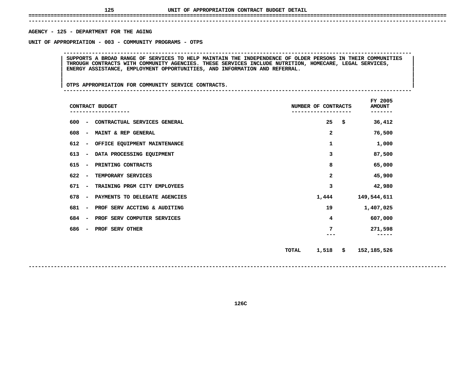# **UNIT OF APPROPRIATION CONTRACT BUDGET DETAIL ====================================================================================================================================**

### **------------------------------------------------------------------------------------------------------------------------------------**AGENCY - 125 - DEPARTMENT FOR THE AGING

**- <sup>125</sup> - DEPARTMENT FOR THE AGING UNIT**

 **OF APPROPRIATION - <sup>003</sup> - COMMUNITY PROGRAMS - OTPS --------------------------------------------------------------------------------------------------------------**SUPPORTS A BROAD RANGE OF SERVICES TO HELP MAINTAIN THE INDEPENDENCE OF OLDER PERSONS IN THEIR COMMUNITIES<br>THROUGH CONTRACTS WITH COMMUNITY AGENCIES. THESE SERVICES INCLUDE NUTRITION, HOMECARE, LEGAL SERVICES,<br>ENERGY ASSIS **THROUGH CONTRACTS WITH COMMUNITY AGENCIES. THESE SERVICES INCLUDE NUTRITION, HOMECARE, LEGAL SERVICES, <sup>|</sup> <sup>|</sup>ENERGY ASSISTANCE, EMPLOYMENT OPPORTUNITIES, AND INFORMATION AND REFERRAL. <sup>|</sup> <sup>|</sup>**

OTPS APPROPRIATION FOR COMMUNITY SERVICE CONTRACTS. **<sup>|</sup> <sup>|</sup>OTPS APPROPRIATION FOR COMMUNITY SERVICE CONTRACTS. <sup>|</sup> --------------------------------------------------------------------------------------------------------------**

|                                 | CONTRACT BUDGET               |       | NUMBER OF CONTRACTS | FY 2005<br><b>AMOUNT</b><br>----- |
|---------------------------------|-------------------------------|-------|---------------------|-----------------------------------|
| 600<br>$\overline{\phantom{a}}$ | CONTRACTUAL SERVICES GENERAL  |       | 25                  | \$<br>36,412                      |
| 608<br>$\overline{\phantom{a}}$ | MAINT & REP GENERAL           |       | 2                   | 76,500                            |
| 612<br>$\overline{\phantom{a}}$ | OFFICE EQUIPMENT MAINTENANCE  |       | 1                   | 1,000                             |
| 613<br>$\overline{\phantom{a}}$ | DATA PROCESSING EQUIPMENT     |       | 3                   | 87,500                            |
| 615<br>$\overline{\phantom{m}}$ | PRINTING CONTRACTS            |       | 8                   | 65,000                            |
| 622<br>$\overline{\phantom{a}}$ | TEMPORARY SERVICES            |       | $\mathbf{z}$        | 45,900                            |
| 671<br>$\overline{\phantom{m}}$ | TRAINING PRGM CITY EMPLOYEES  |       | 3                   | 42,980                            |
| 678<br>$\overline{\phantom{m}}$ | PAYMENTS TO DELEGATE AGENCIES |       | 1,444               | 149,544,611                       |
| 681<br>$\overline{\phantom{a}}$ | PROF SERV ACCTING & AUDITING  |       | 19                  | 1,407,025                         |
| 684<br>$\overline{\phantom{a}}$ | PROF SERV COMPUTER SERVICES   |       | 4                   | 607,000                           |
| 686<br>$\overline{\phantom{a}}$ | PROF SERV OTHER               |       | 7                   | 271,598                           |
|                                 |                               | TOTAL | 1,518               | \$<br>152, 185, 526               |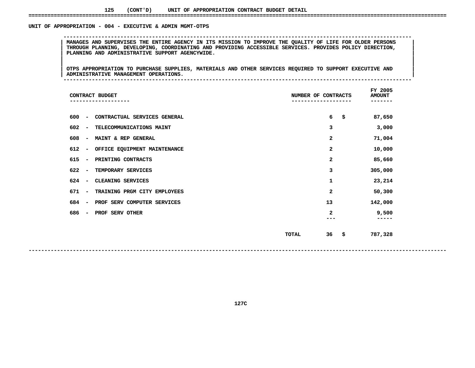### UNIT OF APPROPRIATION - 004 - EXECUTIVE & ADMIN MGMT-OTPS

 **OF APPROPRIATION - <sup>004</sup> - EXECUTIVE & ADMIN MGMT-OTPS --------------------------------------------------------------------------------------------------------------**MANAGES AND SUPERVISES THE ENTIRE AGENCY IN ITS MISSION TO IMPROVE THE QUALITY OF LIFE FOR OLDER PERSONS<br>THROUGH PLANNING, DEVELOPING, COORDINATING AND PROVIDING ACCESSIBLE SERVICES. PROVIDES POLICY DIRECTION,<br>PLANNING AND **THROUGH PLANNING, DEVELOPING, COORDINATING AND PROVIDING ACCESSIBLE SERVICES. PROVIDES POLICY DIRECTION, <sup>|</sup> <sup>|</sup>PLANNING AND ADMINISTRATIVE SUPPORT AGENCYWIDE. <sup>|</sup> <sup>|</sup>**

|<br>| OTPS APPROPRIATION TO PURCHASE SUPPLIES, MATERIALS AND OTHER SERVICES REQUIRED TO SUPPORT EXECUTIVE AND |<br>| OTPS APPROPRIATION TO PURCHASE SUPPLIES, MATERIALS AND OTHER SERVICES REQUIRED TO SUPPORT EXECUTIVE AND<br>| ADMINISTRATIVE MANAGEMENT OPERATIONS. **OTPS APPROPRIATION TO PURCHASE SUPPLIES, MATERIALS AND OTHER SERVICES REQUIRED TO SUPPORT EXECUTIVE AND <sup>|</sup> <sup>|</sup>ADMINISTRATIVE MANAGEMENT OPERATIONS. <sup>|</sup> --------------------------------------------------------------------------------------------------------------**

|     |                          | CONTRACT BUDGET              | NUMBER OF CONTRACTS |    | FY 2005<br><b>AMOUNT</b><br>----- |  |
|-----|--------------------------|------------------------------|---------------------|----|-----------------------------------|--|
| 600 | $\overline{\phantom{a}}$ | CONTRACTUAL SERVICES GENERAL |                     | 6  | \$<br>87,650                      |  |
| 602 | $\overline{\phantom{a}}$ | TELECOMMUNICATIONS MAINT     |                     | 3  | 3,000                             |  |
| 608 | $\overline{\phantom{a}}$ | MAINT & REP GENERAL          |                     | 2  | 71,004                            |  |
| 612 | -                        | OFFICE EQUIPMENT MAINTENANCE |                     | 2  | 10,000                            |  |
| 615 | $\overline{\phantom{a}}$ | PRINTING CONTRACTS           |                     | 2  | 85,660                            |  |
| 622 | $\overline{\phantom{a}}$ | TEMPORARY SERVICES           |                     | 3  | 305,000                           |  |
| 624 | $\overline{\phantom{a}}$ | CLEANING SERVICES            |                     | 1  | 23,214                            |  |
| 671 | $\overline{\phantom{a}}$ | TRAINING PRGM CITY EMPLOYEES |                     | 2  | 50,300                            |  |
| 684 | $\qquad \qquad$          | PROF SERV COMPUTER SERVICES  |                     | 13 | 142,000                           |  |
| 686 | $\overline{\phantom{a}}$ | PROF SERV OTHER              |                     | 2  | 9,500                             |  |
|     |                          |                              | <b>TOTAL</b>        | 36 | \$<br>787,328                     |  |

**127C**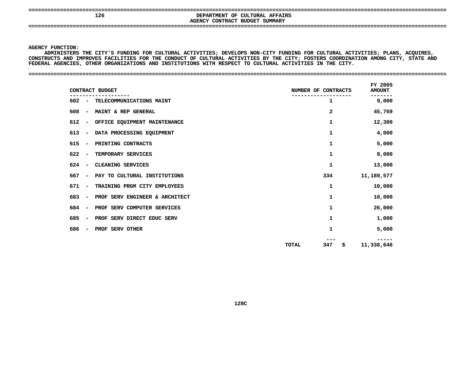## **<sup>126</sup> DEPARTMENT OF CULTURAL AFFAIRS AGENCYCONTRACT BUDGET SUMMARY ====================================================================================================================================**

**AGENCY**

Y FUNCTION:<br>ADMINISTERS<br>RUCTS AND <mark>1</mark> **ADMINISTERS THE CITY'S FUNDING FOR CULTURAL ACTIVITIES; DEVELOPS NON-CITY FUNDING FOR CULTURAL ACTIVITIES; PLANS, ACQUIRES, CONSTRUCTS**S AND IMPROVES FACILITIES FOR THE CONDUCT OF CULTURAL ACTIVITIES BY THE CITY; FOSTERS COORDINATION AMONG CITY, STATE AND<br>GENCIES, OTHER ORGANIZATIONS AND INSTITUTIONS WITH RESPECT TO CULTURAL ACTIVITIES IN THE CITY.<br>—————— **FEDERAL**

|                                 | CONTRACT BUDGET                | NUMBER OF CONTRACTS |              |    | FY 2005<br><b>AMOUNT</b> |  |
|---------------------------------|--------------------------------|---------------------|--------------|----|--------------------------|--|
|                                 | 602 - TELECOMMUNICATIONS MAINT |                     | ı            |    | -----<br>9,000           |  |
| 608<br>$\sim$                   | MAINT & REP GENERAL            |                     | $\mathbf{2}$ |    | 45,769                   |  |
| 612<br>$\overline{\phantom{a}}$ | OFFICE EQUIPMENT MAINTENANCE   |                     | 1            |    | 12,300                   |  |
| 613<br>$\overline{\phantom{a}}$ | DATA PROCESSING EQUIPMENT      |                     | 1            |    | 4,000                    |  |
| 615<br>$\overline{\phantom{a}}$ | PRINTING CONTRACTS             |                     | 1            |    | 5,000                    |  |
| 622<br>$\overline{\phantom{a}}$ | TEMPORARY SERVICES             |                     | 1            |    | 8,000                    |  |
| 624<br>$\overline{\phantom{a}}$ | CLEANING SERVICES              |                     | 1            |    | 13,000                   |  |
| 667<br>$\overline{\phantom{a}}$ | PAY TO CULTURAL INSTITUTIONS   |                     | 334          |    | 11,189,577               |  |
| 671<br>$\overline{\phantom{a}}$ | TRAINING PRGM CITY EMPLOYEES   |                     | 1            |    | 10,000                   |  |
| 683<br>$\overline{\phantom{a}}$ | PROF SERV ENGINEER & ARCHITECT |                     | $\mathbf 1$  |    | 10,000                   |  |
| 684<br>$\overline{\phantom{a}}$ | PROF SERV COMPUTER SERVICES    |                     | 1            |    | 26,000                   |  |
| 685<br>$\sim$                   | PROF SERV DIRECT EDUC SERV     |                     | 1            |    | 1,000                    |  |
| 686<br>$\overline{\phantom{a}}$ | PROF SERV OTHER                |                     | 1            |    | 5,000                    |  |
|                                 |                                | TOTAL               | 347          | S. | 11,338,646               |  |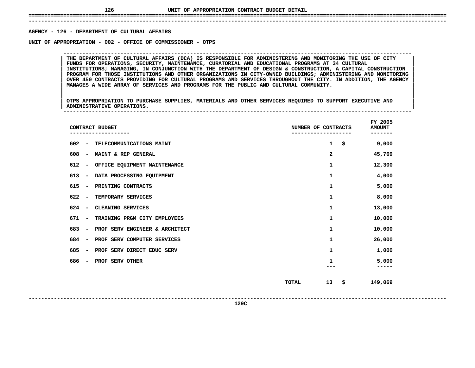## **UNIT OF APPROPRIATION CONTRACT BUDGET DETAIL ====================================================================================================================================**

 **------------------------------------------------------------------------------------------------------------------------------------AGENCY**

**- <sup>126</sup> - DEPARTMENT OF CULTURAL AFFAIRS UNIT**

THE DEPARTMENT OF CULTURAL AFFAIRS (DCA) IS RESPONSIBLE FOR ADMINISTERING AND MONITORING THE USE OF CITY<br>FUNDS FOR OPERATIONS, SECURITY, MAINTENANCE, CURATORIAL AND EDUCATIONAL PROGRAMS AT 34 CULTURAL THE DEPARTMENT OF CULTURAL AFFAIRS (DCA) IS RESPONSIBLE FOR ADMINISTERING AND MONITORING THE USE OF CITY<br>FUNDS FOR OPERATIONS, SECURITY, MAINTENANCE, CURATORIAL AND EDUCATIONAL PROGRAMS AT 34 CULTURAL<br>INSTITUTIONS; MANAGIN **FUNDS FOR OPERATIONS, SECURITY, MAINTENANCE, CURATORIAL AND EDUCATIONAL PROGRAMS AT <sup>34</sup> CULTURAL <sup>|</sup> <sup>|</sup> INSTITUTIONS; MANAGING, IN CONJUNCTION WITH THE DEPARTMENT OF DESIGN & CONSTRUCTION, <sup>A</sup> CAPITAL CONSTRUCTION <sup>|</sup> <sup>|</sup> PROGRAM FOR THOSE INSTITUTIONS AND OTHER ORGANIZATIONS IN CITY-OWNED BUILDINGS; ADMINISTERING AND MONITORING <sup>|</sup> <sup>|</sup>**OVER 450 CONTRACTS PROVIDING FOR CULTURAL PROGRAMS AND SERVICES THROUGHOUT THE CITY. IN ADDITION, THE AGENCY **MANAGES <sup>A</sup> WIDE ARRAY OF SERVICES AND PROGRAMS FOR THE PUBLIC AND CULTURAL COMMUNITY. <sup>|</sup> <sup>|</sup>**

**OF APPROPRIATION - <sup>002</sup> - OFFICE OF COMMISSIONER - OTPS --------------------------------------------------------------------------------------------------------------**

|<br>| OTPS APPROPRIATION TO PURCHASE SUPPLIES, MATERIALS AND OTHER SERVICES REQUIRED TO SUPPORT EXECUTIVE AND |<br>| OTPS APPROPRIATION TO PURCHASE SUPPLIES, MATERIALS AND OTHER SERVICES REQUIRED TO SUPPORT EXECUTIVE AND<br>| ADMINISTRATIVE OPERATIONS. **OTPS APPROPRIATION TO PURCHASE SUPPLIES, MATERIALS AND OTHER SERVICES REQUIRED TO SUPPORT EXECUTIVE AND <sup>|</sup> <sup>|</sup>ADMINISTRATIVE OPERATIONS. <sup>|</sup> --------------------------------------------------------------------------------------------------------------**

|     |                          | CONTRACT BUDGET                | NUMBER OF CONTRACTS |              | FY 2005<br><b>AMOUNT</b> |
|-----|--------------------------|--------------------------------|---------------------|--------------|--------------------------|
| 602 | $\overline{\phantom{a}}$ | TELECOMMUNICATIONS MAINT       |                     | $\mathbf{1}$ | \$<br>9,000              |
| 608 | $\qquad \qquad$          | MAINT & REP GENERAL            |                     | 2            | 45,769                   |
| 612 | -                        | OFFICE EQUIPMENT MAINTENANCE   |                     | 1            | 12,300                   |
| 613 | $\overline{\phantom{a}}$ | DATA PROCESSING EQUIPMENT      |                     | 1            | 4,000                    |
| 615 | $\overline{\phantom{a}}$ | PRINTING CONTRACTS             |                     | 1            | 5,000                    |
| 622 | $\overline{a}$           | TEMPORARY SERVICES             |                     | 1            | 8,000                    |
| 624 | $\overline{\phantom{a}}$ | CLEANING SERVICES              |                     | 1            | 13,000                   |
| 671 | $\qquad \qquad$          | TRAINING PRGM CITY EMPLOYEES   |                     | 1            | 10,000                   |
| 683 | $\qquad \qquad$          | PROF SERV ENGINEER & ARCHITECT |                     | 1            | 10,000                   |
| 684 | $\overline{\phantom{a}}$ | PROF SERV COMPUTER SERVICES    |                     | 1            | 26,000                   |
| 685 | $\qquad \qquad$          | PROF SERV DIRECT EDUC SERV     |                     | 1            | 1,000                    |
| 686 | $\qquad \qquad$          | PROF SERV OTHER                |                     | 1            | 5,000                    |
|     |                          |                                | <b>TOTAL</b>        | 13           | \$<br>149,069            |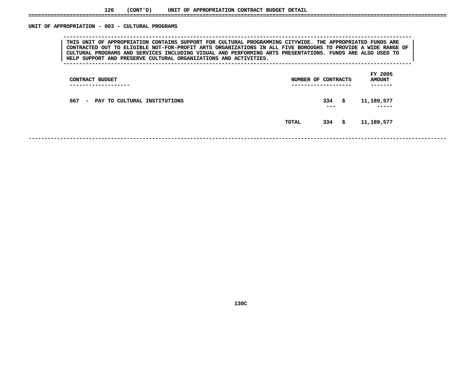### UNIT OF APPROPRIATION - 003 - CULTURAL PROGRAMS

 **OF APPROPRIATION - <sup>003</sup> - CULTURAL PROGRAMS --------------------------------------------------------------------------------------------------------------**THIS UNIT OF APPROPRIATION CONTAINS SUPPORT FOR CULTURAL PROGRAMMING CITYWIDE. THE APPROPRIATED FUNDS ARE<br>CONTRACTED OUT TO ELIGIBLE NOT-FOR-PROFIT ARTS ORGANIZATIONS IN ALL FIVE BOROUGHS TO PROVIDE A WIDE RANGE OF **THIS UNIT OF APPROPRIATION CONTAINS SUPPORT FOR CULTURAL PROGRAMMING CITYWIDE. THE APPROPRIATED FUNDS ARE <sup>|</sup> <sup>|</sup>**CONTRACTED OUT TO ELIGIBLE NOT-FOR-PROFIT ARTS ORGANIZATIONS IN ALL FIVE BOROUGHS TO PROVIDE A WIDE RANGE OF CULTURAL PROGRAMS AND SERVICES INCLUDING VISUAL AND PERFORMING ARTS PRESENTATIONS. FUNDS ARE ALSO USED TO **CULTURAL PROGRAMS AND SERVICES INCLUDING VISUAL AND PERFORMING ARTS PRESENTATIONS. FUNDS ARE ALSO USED TO <sup>|</sup> <sup>|</sup>HELP SUPPORT AND PRESERVE CULTURAL ORGANIZATIONS AND ACTIVITIES. <sup>|</sup> --------------------------------------------------------------------------------------------------------------**

 **FY**AMOUNT<br>-------**CONTRACT BUDGET NUMBER OF CONTRACTS AMOUNT ------------------- ------------------- ------- <sup>667</sup> - PAY TO CULTURAL INSTITUTIONS <sup>334</sup> \$ 11,189,577 --- ----- TOTAL<sup>334</sup> \$ 11,189,577**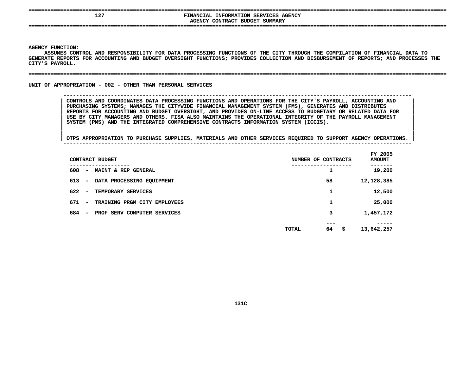| ---<br>___                                     |                                                                                                                                              |
|------------------------------------------------|----------------------------------------------------------------------------------------------------------------------------------------------|
| 127                                            | <b>INFORMATION SERVICES AGENCY</b><br><b>FINANCIAL</b><br><b>AGENCY CONTRACT</b><br>SUMMARY<br>BUDGET<br>----------------------------------- |
| -------------------------------<br>----<br>--- |                                                                                                                                              |

Y FUNCTION:<br>ASSUMES CON<br>ATE REPORTS ASSUMES CONTROL AND RESPONSIBILITY FOR DATA PROCESSING FUNCTIONS OF THE CITY THROUGH THE COMPILATION OF FINANCIAL DATA TO S CONTROL AND RESPONSIBILITY FOR DATA PROCESSING FUNCTIONS OF THE CITY THROUGH THE COMPILATION OF FINANCIAL DATA TO<br>PORTS FOR ACCOUNTING AND BUDGET OVERSIGHT FUNCTIONS; PROVIDES COLLECTION AND DISBURSEMENT OF REPORTS; AND **GENERATE REPORTS FOR ACCOUNTING AND BUDGET OVERSIGHT FUNCTIONS; PROVIDES COLLECTION AND DISBURSEMENT OF REPORTS; AND PROCESSES THE CITY'S**

### **PAYROLL. ====================================================================================================================================**

UNIT OF APPROPRIATION - 002 - OTHER THAN PERSONAL SERVICES

 **OF APPROPRIATION - <sup>002</sup> - OTHER THAN PERSONAL SERVICES -------------------------------------------------------------------------------------------------------------- CONTROLS AND COORDINATES DATA PROCESSING FUNCTIONS AND OPERATIONS FOR THE CITY'S PAYROLL, ACCOUNTING AND <sup>|</sup> PURCHASING SYSTEMS; MANAGES THE CITYWIDE FINANCIAL MANAGEMENT SYSTEM (FMS), GENERATES AND DISTRIBUTES <sup>|</sup>** REPORTS FOR ACCOUNTING AND BUDGET OVERSIGHT, AND PROVIDES ON-LINE ACCESS TO BUDGETARY OR RELATED DATA FOR<br>USE BY CITY MANAGERS AND OTHERS. FISA ALSO MAINTAINS THE OPERATIONAL INTEGRITY OF THE PAYROLL MANAGEMENT<br>SYSTEM (PMS USE BY CITY MANAGERS AND OTHERS. FISA ALSO MAINTAINS THE OPERATIONAL INTEGRITY OF THE PAYROLL MANAGEMENT<br>SYSTEM (PMS) AND THE INTEGRATED COMPREHENSIVE CONTRACTS INFORMATION SYSTEM (ICCIS).<br>| **SYSTEM (PMS) AND THE INTEGRATED COMPREHENSIVE CONTRACTS INFORMATION SYSTEM (ICCIS). <sup>|</sup>**

|                                 | CONTRACT BUDGET              | NUMBER OF | CONTRACTS | FY 2005<br><b>AMOUNT</b> |
|---------------------------------|------------------------------|-----------|-----------|--------------------------|
| 608<br>$\sim$                   | MAINT & REP GENERAL          |           | 1         | 19,200                   |
| 613<br>$\sim$                   | DATA PROCESSING EQUIPMENT    |           | 58        | 12,128,385               |
| 622<br>$\overline{\phantom{a}}$ | TEMPORARY SERVICES           |           | 1         | 12,500                   |
| 671<br>$\sim$                   | TRAINING PRGM CITY EMPLOYEES |           | 1         | 25,000                   |
| 684<br>$\overline{\phantom{a}}$ | PROF SERV COMPUTER SERVICES  |           | 3         | 1,457,172                |
|                                 |                              | TOTAL     | ---<br>64 | \$<br>13,642,257         |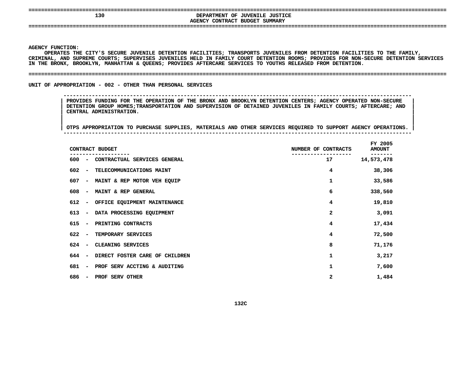| --- | ---                                                |
|-----|----------------------------------------------------|
| 130 | : JUSTICE<br>OF<br>' JUVENILE<br><b>DEPARTMENT</b> |
|     | AGENCY CONTRACT BUDGET<br>SUMMARY                  |
|     |                                                    |
|     |                                                    |

Y FUNCTION:<br>OPERATES T<del>H</del><br>NAL, AND SU **OPERATES THE CITY'S SECURE JUVENILE DETENTION FACILITIES; TRANSPORTS JUVENILES FROM DETENTION FACILITIES TO THE FAMILY, CRIMINAL,**, AND SUPREME COURTS; SUPERVISES JUVENILES HELD IN FAMILY COURT DETENTION ROOMS; PROVIDES FOR NON-SECURE DETENTION SERVICES<br>RONX, BROOKLYN, MANHATTAN & QUEENS; PROVIDES AFTERCARE SERVICES TO YOUTHS RELEASED FROM DETENTION. **IN&THE BRONX, BROOKLYN, MANHATTAN QUEENS; PROVIDES AFTERCARE SERVICES TO YOUTHS RELEASED FROM DETENTION. ====================================================================================================================================**

UNIT OF APPROPRIATION - 002 - OTHER THAN PERSONAL SERVICES

 **OF APPROPRIATION - <sup>002</sup> - OTHER THAN PERSONAL SERVICES -------------------------------------------------------------------------------------------------------------- PROVIDES FUNDING FOR THE OPERATION OF THE BRONX AND BROOKLYN DETENTION CENTERS; AGENCY OPERATED NON-SECURE <sup>|</sup> DETENTION GROUP HOMES;TRANSPORTATION AND SUPERVISION OF DETAINED JUVENILES IN FAMILY COURTS; AFTERCARE; AND <sup>|</sup> CENTRAL ADMINISTRATION. <sup>|</sup>**

|                                 | CONTRACT BUDGET                | NUMBER OF CONTRACTS | FY 2005<br><b>AMOUNT</b> |
|---------------------------------|--------------------------------|---------------------|--------------------------|
| 600<br>$\overline{\phantom{a}}$ | CONTRACTUAL SERVICES GENERAL   | 17                  | 14,573,478               |
| 602<br>$\overline{\phantom{a}}$ | TELECOMMUNICATIONS MAINT       | 4                   | 38,306                   |
| 607<br>$\overline{\phantom{a}}$ | MAINT & REP MOTOR VEH EQUIP    | 1                   | 33,586                   |
| 608<br>$\overline{\phantom{0}}$ | MAINT & REP GENERAL            | 6                   | 338,560                  |
| 612<br>$\overline{\phantom{m}}$ | OFFICE EQUIPMENT MAINTENANCE   | 4                   | 19,810                   |
| 613<br>$\overline{\phantom{a}}$ | DATA PROCESSING EQUIPMENT      | 2                   | 3,091                    |
| 615<br>$\overline{\phantom{0}}$ | PRINTING CONTRACTS             | 4                   | 17,434                   |
| 622<br>$\overline{\phantom{a}}$ | TEMPORARY SERVICES             | 4                   | 72,500                   |
| 624<br>$\overline{\phantom{a}}$ | CLEANING SERVICES              | 8                   | 71,176                   |
| 644<br>$\overline{\phantom{a}}$ | DIRECT FOSTER CARE OF CHILDREN | 1                   | 3,217                    |
| 681<br>$\overline{\phantom{a}}$ | PROF SERV ACCTING & AUDITING   | 1                   | 7,600                    |
| 686<br>$\overline{\phantom{a}}$ | PROF SERV OTHER                | 2                   | 1,484                    |
|                                 |                                |                     |                          |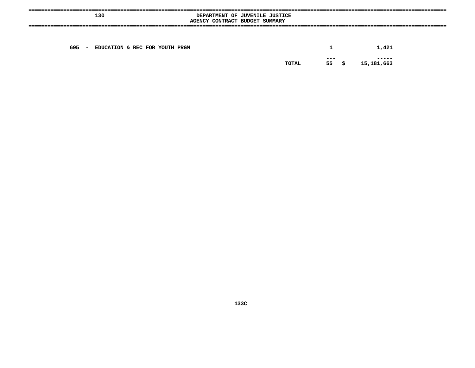| 130                                             | DEPARTMENT OF JUVENILE JUSTICE<br>AGENCY CONTRACT BUDGET SUMMARY |               |                     |
|-------------------------------------------------|------------------------------------------------------------------|---------------|---------------------|
| 695<br>EDUCATION & REC FOR YOUTH PRGM<br>$\sim$ |                                                                  |               | 1,421               |
|                                                 | TOTAL                                                            | $- - -$<br>55 | -----<br>15,181,663 |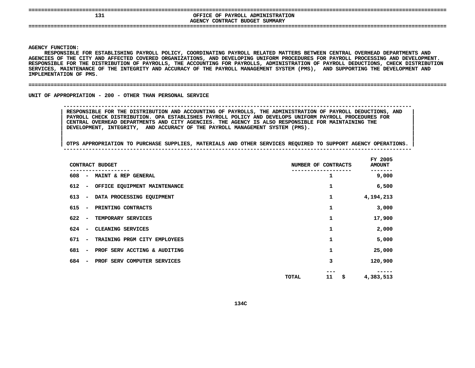| --- |  |  |
|-----|--|--|

## **131**<br>AGENCY CONTRACT BUDGET SUMMARY **OFFICE OF PAYROLL ADMINISTRATION CONTRACT BUDGET SUMMARY ====================================================================================================================================**

**AGENCY**

**|**

 **FUNCTION: RESPONSIBLE FOR ESTABLISHING PAYROLL POLICY, COORDINATING PAYROLL RELATED MATTERS BETWEEN CENTRAL OVERHEAD DEPARTMENTS AND AGENCIES**S OF THE CITY AND AFFECTED COVERED ORGANIZATIONS, AND DEVELOPING UNIFORM PROCEDURES FOR PAYROLL PROCESSING AND DEVELOPMENT.<br>IBLE FOR THE DISTRIBUTION OF PAYROLLS, THE ACCOUNTING FOR PAYROLLS, ADMINISTRATION OF PAYROLL DEDU **RESPONSIBLE FOR THE DISTRIBUTION OF PAYROLLS, THE ACCOUNTING FOR PAYROLLS, ADMINISTRATION OF PAYROLL DEDUCTIONS, CHECK DISTRIBUTION SERVICES, MAINTENANCE OF THE INTEGRITY AND ACCURACY OF THE PAYROLL MANAGEMENT SYSTEM (PMS), AND SUPPORTING THE DEVELOPMENT AND IMPLEMENTATION**

#### **OF PMS. ====================================================================================================================================**

UNIT OF APPROPRIATION - 200 - OTHER THAN PERSONAL SERVICE

 **OF APPROPRIATION - <sup>200</sup> - OTHER THAN PERSONAL SERVICE -------------------------------------------------------------------------------------------------------------- RESPONSIBLE FOR THE DISTRIBUTION AND ACCOUNTING OF PAYROLLS, THE ADMINISTRATION OF PAYROLL DEDUCTIONS, AND <sup>|</sup> PAYROLL CHECK DISTRIBUTION. OPA ESTABLISHES PAYROLL POLICY AND DEVELOPS UNIFORM PAYROLL PROCEDURES FOR <sup>|</sup> CENTRAL OVERHEAD DEPARTMENTS AND CITY AGENCIES. THE AGENCY IS ALSO RESPONSIBLE FOR MAINTAINING THE <sup>|</sup> DEVELOPMENT, INTEGRITY, AND ACCURACY OF THE PAYROLL MANAGEMENT SYSTEM (PMS). <sup>|</sup>**

|     |                              | CONTRACT BUDGET              | NUMBER OF CONTRACTS |    | FY 2005<br><b>AMOUNT</b> |
|-----|------------------------------|------------------------------|---------------------|----|--------------------------|
| 608 | $\sim$                       | MAINT & REP GENERAL          |                     | 1  | 9,000                    |
| 612 | $\overline{\phantom{a}}$     | OFFICE EQUIPMENT MAINTENANCE |                     | 1  | 6,500                    |
| 613 | $\overline{\phantom{a}}$     | DATA PROCESSING EQUIPMENT    |                     | 1  | 4,194,213                |
| 615 | $\overline{\phantom{a}}$     | PRINTING CONTRACTS           |                     | 1  | 3,000                    |
| 622 | $\overline{\phantom{a}}$     | TEMPORARY SERVICES           |                     | 1  | 17,900                   |
| 624 | $\overline{\phantom{a}}$     | CLEANING SERVICES            |                     | 1  | 2,000                    |
| 671 | $\overline{\phantom{a}}$     | TRAINING PRGM CITY EMPLOYEES |                     | 1  | 5,000                    |
| 681 | $\overline{\phantom{0}}$     | PROF SERV ACCTING & AUDITING |                     | 1  | 25,000                   |
| 684 | $\qquad \qquad \blacksquare$ | PROF SERV COMPUTER SERVICES  |                     | 3  | 120,900                  |
|     |                              |                              | TOTAL               | 11 | \$<br>4,383,513          |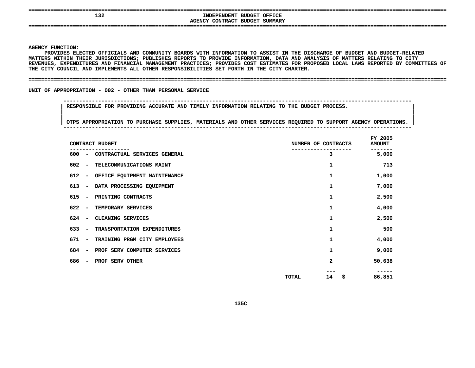| ----<br>---- | ---------------------------<br>___        |
|--------------|-------------------------------------------|
| 132          | INDEPENDENT BUDGET OFFICE                 |
|              | SUMMARY<br>CONTRACT<br>AGENCY<br>. BUDGET |
|              |                                           |
|              |                                           |

 **FUNCTION: MATTERS**PROVIDES ELECTED OFFICIALS AND COMMUNITY BOARDS WITH INFORMATION TO ASSIST IN THE DISCHARGE OF BUDGET AND BUDGET-RELATED **ELECTED OFFICIALS AND COMMUNITY BOARDS WITH INFORMATION TO ASSIST IN THE DISCHARGE OF BUDGET AND BUDGET-RELATED** S WITHIN THEIR JURISDICTIONS; PUBLISHES REPORTS TO PROVIDE INFORMATION, DATA AND ANALYSIS OF MATTERS RELATING TO CITY<br>ES, EXPENDITURES AND FINANCIAL MANAGEMENT PRACTICES; PROVIDES COST ESTIMATES FOR PROPOSED LOCAL LAWS REP REVENUES, EXPENDITURES AND FINANCIAL MANAGEMENT PRACTICES; PROVIDES COST ESTIMATES FOR PROPOSED LOCAL LAWS REPORTED BY COMMITTEES OF<br>THE CITY COUNCIL AND IMPLEMENTS ALL OTHER RESPONSIBILITIES SET FORTH IN THE CITY CHARTER. THE CITY COUNCIL AND IMPLEMENTS ALL OTHER RESPONSIBILITIES SET FORTH IN THE CITY CHARTER.

**CITY COUNCIL AND IMPLEMENTS ALL OTHER RESPONSIBILITIES SET FORTH IN THE CITY CHARTER. ====================================================================================================================================**

UNIT OF APPROPRIATION - 002 - OTHER THAN PERSONAL SERVICE

 **OF APPROPRIATION - <sup>002</sup> - OTHER THAN PERSONAL SERVICE --------------------------------------------------------------------------------------------------------------RESPONSIBLE FOR PROVIDING ACCURATE AND TIMELY INFORMATION RELATING TO THE BUDGET PROCESS. <sup>|</sup>**

| CONTRACT BUDGET                 |                              | NUMBER OF CONTRACTS |          | FY 2005<br><b>AMOUNT</b> |
|---------------------------------|------------------------------|---------------------|----------|--------------------------|
| 600<br>$\overline{\phantom{a}}$ | CONTRACTUAL SERVICES GENERAL |                     | 3        | 5,000                    |
| 602<br>$\overline{\phantom{a}}$ | TELECOMMUNICATIONS MAINT     |                     | 1        | 713                      |
| 612<br>$\qquad \qquad$          | OFFICE EQUIPMENT MAINTENANCE |                     | 1        | 1,000                    |
| 613<br>$\overline{\phantom{a}}$ | DATA PROCESSING EQUIPMENT    |                     | 1        | 7,000                    |
| 615<br>$\overline{\phantom{a}}$ | PRINTING CONTRACTS           |                     | 1        | 2,500                    |
| 622<br>$\overline{\phantom{a}}$ | TEMPORARY SERVICES           |                     | 1        | 4,000                    |
| 624<br>$\overline{\phantom{a}}$ | CLEANING SERVICES            |                     | 1        | 2,500                    |
| 633<br>$\overline{\phantom{a}}$ | TRANSPORTATION EXPENDITURES  |                     | 1        | 500                      |
| 671<br>$\overline{\phantom{a}}$ | TRAINING PRGM CITY EMPLOYEES |                     | 1        | 4,000                    |
| 684<br>$\overline{\phantom{a}}$ | PROF SERV COMPUTER SERVICES  |                     | 1        | 9,000                    |
| 686<br>$\overline{\phantom{a}}$ | PROF SERV OTHER              |                     | 2        | 50,638                   |
|                                 |                              | <b>TOTAL</b>        | 14<br>\$ | 86,851                   |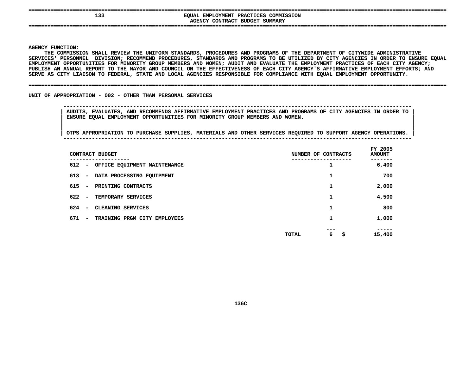| 13.7 | EMPLOYMENT PRACTICES COMMISSION<br><b>EOUAL</b><br>AGENCY CONTRACT BUDGET SUMMARY |
|------|-----------------------------------------------------------------------------------|
| --   |                                                                                   |

**|**

 **FUNCTION: THE COMMISSION SHALL REVIEW THE UNIFORM STANDARDS, PROCEDURES AND PROGRAMS OF THE DEPARTMENT OF CITYWIDE ADMINISTRATIVE SERVICES'**' PERSONNEL DIVISION; RECOMMEND PROCEDURES, STANDARDS AND PROGRAMS TO BE UTILIZED BY CITY AGENCIES IN ORDER TO ENSURE EQUAL<br>NT OPPORTUNITIES FOR MINORITY GROUP MEMBERS AND WOMEN; AUDIT AND EVALUATE THE EMPLOYMENT PRACTICES EMPLOYMENT OPPORTUNITIES FOR MINORITY GROUP MEMBERS AND WOMEN; AUDIT AND EVALUATE THE EMPLOYMENT PRACTICES OF EACH CITY AGENCY; T OPPORTUNITIES FOR MINORITY GROUP MEMBERS AND WOMEN; AUDIT AND EVALUATE THE EMPLOYMENT PRACTICES OF EACH CITY AGENCY;<br>N ANNUAL REPORT TO THE MAYOR AND COUNCIL ON THE EFFECTIVENESS OF EACH CITY AGENCY'S AFFIRMATIVE EMPLOYM **PUBLISH**H AN ANNUAL REPORT TO THE MAYOR AND COUNCIL ON THE EFFECTIVENESS OF EACH CITY AGENCY'S AFFIRMATIVE EMPLOYMENT EFFORTS; AND<br>AS CITY LIAISON TO FEDERAL, STATE AND LOCAL AGENCIES RESPONSIBLE FOR COMPLIANCE WITH EQUAL EMPLOYME **SERVE**

#### **AS CITY LIAISON TO FEDERAL, STATE AND LOCAL AGENCIES RESPONSIBLE FOR COMPLIANCE WITH EQUAL EMPLOYMENT OPPORTUNITY. ====================================================================================================================================**

UNIT OF APPROPRIATION - 002 - OTHER THAN PERSONAL SERVICES

 **AUDITS, EVALUATES, AND RECOMMENDS AFFIRMATIVE EMPLOYMENT PRACTICES AND PROGRAMS OF CITY AGENCIES IN ORDER TO <sup>|</sup> ENSURE EQUAL EMPLOYMENT OPPORTUNITIES FOR MINORITY GROUP MEMBERS AND WOMEN. <sup>|</sup>**

**OF APPROPRIATION - <sup>002</sup> - OTHER THAN PERSONAL SERVICES --------------------------------------------------------------------------------------------------------------**

|                                 | CONTRACT BUDGET                        | NUMBER OF CONTRACTS | FY 2005<br><b>AMOUNT</b> |
|---------------------------------|----------------------------------------|---------------------|--------------------------|
| 612                             | - OFFICE EQUIPMENT MAINTENANCE         | 1                   | 6,400                    |
| 613                             | - DATA PROCESSING EQUIPMENT            | 1                   | 700                      |
| 615<br>$\sim$                   | PRINTING CONTRACTS                     | 1                   | 2,000                    |
| 622<br>$\overline{\phantom{0}}$ | TEMPORARY SERVICES                     | 1                   | 4,500                    |
| 624<br>$\overline{\phantom{0}}$ | CLEANING SERVICES                      |                     | 800                      |
| 671                             | TRAINING PRGM CITY EMPLOYEES<br>$\sim$ | 1                   | 1,000                    |
|                                 |                                        | ---<br>6<br>TOTAL   | \$<br>15,400             |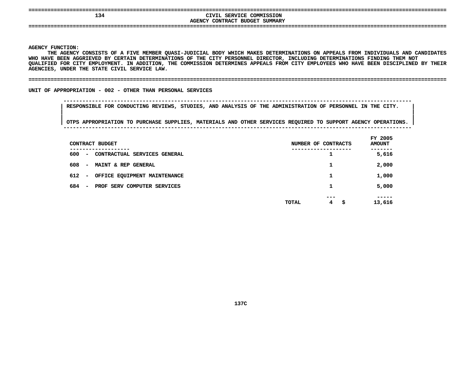| ----                                    |                                                                    |
|-----------------------------------------|--------------------------------------------------------------------|
| 134                                     | CIVIL SERVICE COMMISSION<br>CONTRACT<br>' BUDGET SUMMARY<br>AGENCY |
| ----------<br>-----------------<br>---- | -----------------------------------<br>-----------------           |

 **FUNCTION: THEA AGENCY CONSISTS OF FIVE MEMBER QUASI-JUDICIAL BODY WHICH MAKES DETERMINATIONS ON APPEALS FROM INDIVIDUALS AND CANDIDATES WHO**O HAVE BEEN AGGRIEVED BY CERTAIN DETERMINATIONS OF THE CITY PERSONNEL DIRECTOR, INCLUDING DETERMINATIONS FINDING THEM NOT<br>ALIFIED FOR CITY EMPLOYMENT. IN ADDITION, THE COMMISSION DETERMINES APPEALS FROM CITY EMPLOYEES WHO **QUALIFIED FOR CITY EMPLOYMENT. IN ADDITION, THE COMMISSION DETERMINES APPEALS FROM CITY EMPLOYEES WHO HAVE BEEN DISCIPLINED BY THEIR AGENCIES,**

**UNDER THE STATE CIVIL SERVICE LAW. ====================================================================================================================================**

UNIT OF APPROPRIATION - 002 - OTHER THAN PERSONAL SERVICES

 **OF APPROPRIATION - <sup>002</sup> - OTHER THAN PERSONAL SERVICES --------------------------------------------------------------------------------------------------------------RESPONSIBLE FOR CONDUCTING REVIEWS, STUDIES, AND ANALYSIS OF THE ADMINISTRATION OF PERSONNEL IN THE CITY. <sup>|</sup>**

| CONTRACT BUDGET                                                             | NUMBER OF CONTRACTS      | FY 2005<br><b>AMOUNT</b> |
|-----------------------------------------------------------------------------|--------------------------|--------------------------|
| --------<br>600<br>CONTRACTUAL SERVICES GENERAL<br>$\overline{\phantom{m}}$ | ∸                        | -----<br>5,616           |
| 608<br>MAINT & REP GENERAL<br>$\overline{\phantom{m}}$                      | ┻                        | 2,000                    |
| 612<br>OFFICE EQUIPMENT MAINTENANCE<br>$\overline{\phantom{a}}$             |                          | 1,000                    |
| 684<br>PROF SERV COMPUTER SERVICES<br>$\overline{\phantom{a}}$              | ┻                        | 5,000                    |
|                                                                             | ---<br><b>TOTAL</b><br>4 | -----<br>13,616<br>\$.   |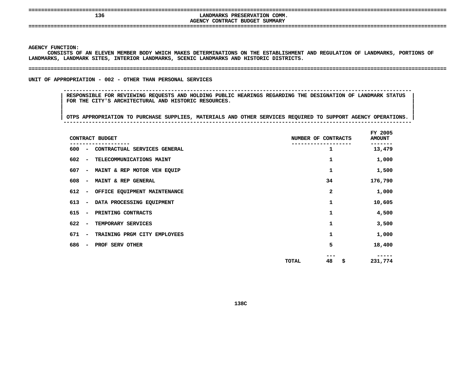## **136**<br>AGENCY CONTRACT BUDGET SUMMARY **LANDMARKS PRESERVATION COMM.**

**CONTRACT BUDGET SUMMARY ====================================================================================================================================**

**AGENCY**

 **FUNCTION: LANDMARKS,**CONSISTS OF AN ELEVEN MEMBER BODY WHICH MAKES DETERMINATIONS ON THE ESTABLISHMENT AND REGULATION OF LANDMARKS, PORTIONS OF<br>RKS, LANDMARK SITES, INTERIOR LANDMARKS, SCENIC LANDMARKS AND HISTORIC DISTRICTS.<br>-

```
 LANDMARK SITES, INTERIOR LANDMARKS, SCENIC LANDMARKS AND HISTORIC DISTRICTS. ====================================================================================================================================
```
UNIT OF APPROPRIATION - 002 - OTHER THAN PERSONAL SERVICES

**OF APPROPRIATION - <sup>002</sup> - OTHER THAN PERSONAL SERVICES --------------------------------------------------------------------------------------------------------------**

 **RESPONSIBLE FOR REVIEWING REQUESTS AND HOLDING PUBLIC HEARINGS REGARDING THE DESIGNATION OF LANDMARK STATUS <sup>|</sup> FOR THE CITY'S ARCHITECTURAL AND HISTORIC RESOURCES. <sup>|</sup>**

|                                 | CONTRACT BUDGET               | NUMBER OF CONTRACTS |           | FY 2005<br><b>AMOUNT</b> |
|---------------------------------|-------------------------------|---------------------|-----------|--------------------------|
| 600<br>$\overline{\phantom{a}}$ | CONTRACTUAL SERVICES GENERAL  |                     | 1         | 13,479                   |
| 602<br>$\overline{\phantom{a}}$ | TELECOMMUNICATIONS MAINT      |                     | 1         | 1,000                    |
| 607                             | - MAINT & REP MOTOR VEH EQUIP |                     | 1         | 1,500                    |
| 608<br>$\overline{\phantom{a}}$ | MAINT & REP GENERAL           |                     | 34        | 176,790                  |
| 612<br>$\overline{\phantom{a}}$ | OFFICE EQUIPMENT MAINTENANCE  |                     | 2         | 1,000                    |
| 613<br>$\overline{\phantom{a}}$ | DATA PROCESSING EQUIPMENT     |                     | 1         | 10,605                   |
| 615<br>$\overline{\phantom{a}}$ | PRINTING CONTRACTS            |                     | 1         | 4,500                    |
| 622<br>$\overline{\phantom{a}}$ | TEMPORARY SERVICES            |                     | 1         | 3,500                    |
| 671<br>$\overline{\phantom{a}}$ | TRAINING PRGM CITY EMPLOYEES  |                     | 1         | 1,000                    |
| 686<br>$\overline{\phantom{a}}$ | PROF SERV OTHER               |                     | 5         | 18,400                   |
|                                 |                               | TOTAL               | ---<br>48 | \$<br>231,774            |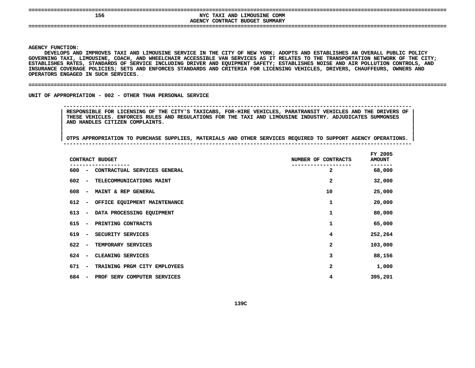## **156**<br>AGENCY CONTRACT BUDGET SUMMARY **NYC TAXI AND LIMOUSINE COMM CONTRACT BUDGET SUMMARY ====================================================================================================================================**

**AGENCY**

**|**

Y FUNCTION:<br>DEVELOPS AN<br>NING TAXI<mark>,</mark> DEVELOPS AND IMPROVES TAXI AND LIMOUSINE SERVICE IN THE CITY OF NEW YORK: ADOPTS AND ESTABLISHES AN OVERALL PUBLIC POLICY S AND IMPROVES TAXI AND LIMOUSINE SERVICE IN THE CITY OF NEW YORK; ADOPTS AND ESTABLISHES AN OVERALL PUBLIC POLICY<br>XI, LIMOUSINE, COACH, AND WHEELCHAIR ACCESSIBLE VAN SERVICES AS IT RELATES TO THE TRANSPORTATION NETWORK OF **GOVERNING**G TAXI, LIMOUSINE, COACH, AND WHEELCHAIR ACCESSIBLE VAN SERVICES AS IT RELATES TO THE TRANSPORTATION NETWORK OF THE CITY;<br>HES RATES, STANDARDS OF SERVICE INCLUDING DRIVER AND EQUIPMENT SAFETY; ESTABLISHES NOISE AND AIR POL ESTABLISHES RATES, STANDARDS OF SERVICE INCLUDING DRIVER AND EOUIPMENT SAFETY: ESTABLISHES NOISE AND AIR POLLUTION CONTROLS, AND S RATES, STANDARDS OF SERVICE INCLUDING DRIVER AND EQUIPMENT SAFETY; ESTABLISHES NOISE AND AIR POLLUTION CONTROLS, AND<br>COVERAGE POLICIES; SETS AND ENFORCES STANDARDS AND CRITERIA FOR LICENSING VEHICLES, DRIVERS, CHAUFFEURS **INSURANCE COVERAGE POLICIES; SETS AND ENFORCES STANDARDS AND CRITERIA FOR LICENSING VEHICLES, DRIVERS, CHAUFFEURS, OWNERS AND** OPERATORS ENGAGED IN SUCH SERVICES.

#### **ENGAGED IN SUCH SERVICES. ====================================================================================================================================**

UNIT OF APPROPRIATION - 002 - OTHER THAN PERSONAL SERVICE

 **OF APPROPRIATION - <sup>002</sup> - OTHER THAN PERSONAL SERVICE -------------------------------------------------------------------------------------------------------------- RESPONSIBLE FOR LICENSING OF THE CITY'S TAXICABS, FOR-HIRE VEHICLES, PARATRANSIT VEHICLES AND THE DRIVERS OF <sup>|</sup> THESE VEHICLES. ENFORCES RULES AND REGULATIONS FOR THE TAXI AND LIMOUSINE INDUSTRY. ADJUDICATES SUMMONSES <sup>|</sup> AND HANDLES CITIZEN COMPLAINTS. <sup>|</sup>**

|     |                          | CONTRACT BUDGET              | NUMBER OF CONTRACTS | FY 2005<br><b>AMOUNT</b> |
|-----|--------------------------|------------------------------|---------------------|--------------------------|
| 600 | $\overline{\phantom{a}}$ | CONTRACTUAL SERVICES GENERAL | 2                   | 68,000                   |
| 602 | $\overline{\phantom{a}}$ | TELECOMMUNICATIONS MAINT     | 2                   | 32,000                   |
| 608 | $\overline{\phantom{a}}$ | MAINT & REP GENERAL          | 10                  | 25,000                   |
| 612 | $\overline{\phantom{a}}$ | OFFICE EQUIPMENT MAINTENANCE | 1                   | 20,000                   |
| 613 | $\overline{\phantom{m}}$ | DATA PROCESSING EQUIPMENT    | 1                   | 80,000                   |
| 615 | $\overline{\phantom{a}}$ | PRINTING CONTRACTS           | 1                   | 65,000                   |
| 619 | $\overline{\phantom{a}}$ | SECURITY SERVICES            | 4                   | 252,264                  |
| 622 | $\overline{\phantom{a}}$ | TEMPORARY SERVICES           | 2                   | 103,000                  |
| 624 | $\overline{\phantom{a}}$ | CLEANING SERVICES            | 3                   | 88,156                   |
| 671 | $\overline{\phantom{a}}$ | TRAINING PRGM CITY EMPLOYEES | 2                   | 1,000                    |
| 684 | $\overline{\phantom{a}}$ | PROF SERV COMPUTER SERVICES  | 4                   | 395,201                  |
|     |                          |                              |                     |                          |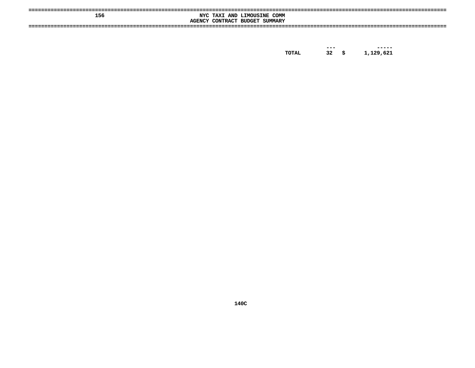| 156 | COMM<br>NYC TAXI AND LIMOUSINE<br>SUMMARY<br>CONTRACT BUDGET<br><b>AGENCY</b> |  |
|-----|-------------------------------------------------------------------------------|--|
|     |                                                                               |  |

------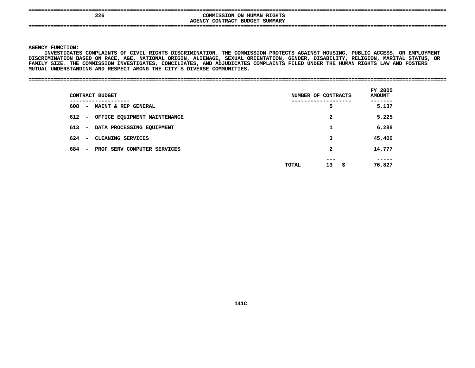| ----<br>---- | -------------------------------------    | ___ |
|--------------|------------------------------------------|-----|
| 226          | <b>COMMISSION ON HUMAN RIGHTS</b>        |     |
|              | <b>SUMMARY</b><br>AGENCY CONTRACT BUDGET |     |
| ----         |                                          |     |
|              |                                          |     |

 **FUNCTION: INVESTIGATES COMPLAINTS OF CIVIL RIGHTS DISCRIMINATION. THE COMMISSION PROTECTS AGAINST HOUSING, PUBLIC ACCESS, OR EMPLOYMENT** DISCRIMINATION BASED ON RACE, AGE, NATIONAL ORIGIN, ALIENAGE, SEXUAL ORIENTATION, GENDER, DISABILITY, RELIGION, MARITAL STATUS, OR **BASED ON RACE, AGE, NATIONAL ORIGIN, ALIENAGE, SEXUAL ORIENTATION, GENDER, DISABILITY, RELIGION, MARITAL STATUS, OR** FAMILY SIZE. THE COMMISSION INVESTIGATES, CONCILIATES, AND ADJUDICATES COMPLAINTS FILED UNDER THE HUMAN RIGHTS LAW AND FOSTERS<br>MUTUAL UNDERSTANDING AND RESPECT AMONG THE CITY'S DIVERSE COMMUNITIES.<br>------------------------MUTUAL UNDERSTANDING AND RESPECT AMONG THE CITY'S DIVERSE COMMUNITIES.

### **UNDERSTANDING AND RESPECT AMONG THE CITY'S DIVERSE COMMUNITIES. ====================================================================================================================================**

| ------------<br>608<br>- MAINT & REP GENERAL                   | -----------------          | ------          |
|----------------------------------------------------------------|----------------------------|-----------------|
|                                                                | 5                          | 5,137           |
| 612 -<br>OFFICE EQUIPMENT MAINTENANCE                          | 2                          | 5,225           |
| 613<br>DATA PROCESSING EQUIPMENT<br>$\sim$ $-$                 | 1                          | 6,288           |
| 624<br>CLEANING SERVICES<br>$\overline{\phantom{a}}$           | 3                          | 45,400          |
| 684<br>PROF SERV COMPUTER SERVICES<br>$\overline{\phantom{a}}$ | $\mathbf{2}$               | 14,777          |
|                                                                | ---<br>13<br>- \$<br>TOTAL | -----<br>76,827 |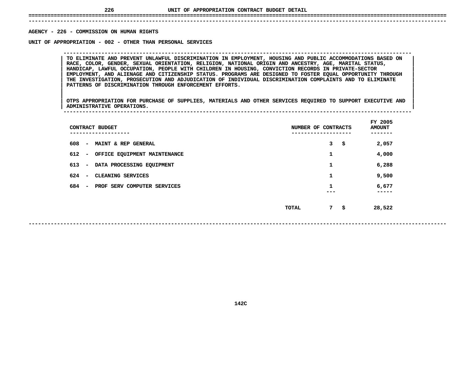## **UNIT OF APPROPRIATION CONTRACT BUDGET DETAIL ====================================================================================================================================**

 **------------------------------------------------------------------------------------------------------------------------------------**AGENCY - 226 - COMMISSION ON HUMAN RIGHTS

**- <sup>226</sup> - COMMISSION ON HUMAN RIGHTS UNIT**

TO ELIMINATE AND PREVENT UNLAWFUL DISCRIMINATION IN EMPLOYMENT, HOUSING AND PUBLIC ACCOMMODATIONS BASED ON<br>RACE, COLOR, GENDER, SEXUAL ORIENTATION, RELIGION, NATIONAL ORIGIN AND ANCESTRY, AGE, MARITAL STATUS, **TO ELIMINATE AND PREVENT UNLAWFUL DISCRIMINATION IN EMPLOYMENT, HOUSING AND PUBLIC ACCOMMODATIONS BASED ON <sup>|</sup> <sup>|</sup> RACE, COLOR, GENDER, SEXUAL ORIENTATION, RELIGION, NATIONAL ORIGIN AND ANCESTRY, AGE, MARITAL STATUS, <sup>|</sup> <sup>|</sup> HANDICAP, LAWFUL OCCUPATION, PEOPLE WITH CHILDREN IN HOUSING, CONVICTION RECORDS IN PRIVATE-SECTOR <sup>|</sup> <sup>|</sup> EMPLOYMENT, AND ALIENAGE AND CITIZENSHIP STATUS. PROGRAMS ARE DESIGNED TO FOSTER EQUAL OPPORTUNITY THROUGH <sup>|</sup> <sup>|</sup> THE INVESTIGATION, PROSECUTION AND ADJUDICATION OF INDIVIDUAL DISCRIMINATION COMPLAINTS AND TO ELIMINATE <sup>|</sup> <sup>|</sup>PATTERNS OF DISCRIMINATION THROUGH ENFORCEMENT EFFORTS. <sup>|</sup> <sup>|</sup>**

**OF APPROPRIATION - <sup>002</sup> - OTHER THAN PERSONAL SERVICES --------------------------------------------------------------------------------------------------------------**

|<br>| OTPS APPROPRIATION FOR PURCHASE OF SUPPLIES, MATERIALS AND OTHER SERVICES REQUIRED TO SUPPORT EXECUTIVE AND |<br>| OTPS APPROPRIATION FOR PURCHASE OF SUPPLIES, MATERIALS AND OTHER SERVICES REQUIRED TO SUPPORT EXECUTIVE AND<br>| ADMINISTRATIVE OPERATIONS. **OTPS APPROPRIATION FOR PURCHASE OF SUPPLIES, MATERIALS AND OTHER SERVICES REQUIRED TO SUPPORT EXECUTIVE AND <sup>|</sup> <sup>|</sup>ADMINISTRATIVE OPERATIONS. <sup>|</sup> --------------------------------------------------------------------------------------------------------------**

| CONTRACT BUDGET                                                | NUMBER OF CONTRACTS | FY 2005<br><b>AMOUNT</b> |
|----------------------------------------------------------------|---------------------|--------------------------|
| 608<br>MAINT & REP GENERAL<br>$\sim$                           | 3<br>\$             | 2,057                    |
| 612 -<br>OFFICE EQUIPMENT MAINTENANCE                          | 1                   | 4,000                    |
| $613 -$<br>DATA PROCESSING EQUIPMENT                           | 1                   | 6,288                    |
| 624<br>CLEANING SERVICES<br>$\overline{\phantom{0}}$           | 1                   | 9,500                    |
| 684<br>PROF SERV COMPUTER SERVICES<br>$\overline{\phantom{0}}$ |                     | 6,677<br>-----           |
|                                                                | 7<br>\$<br>TOTAL    | 28,522                   |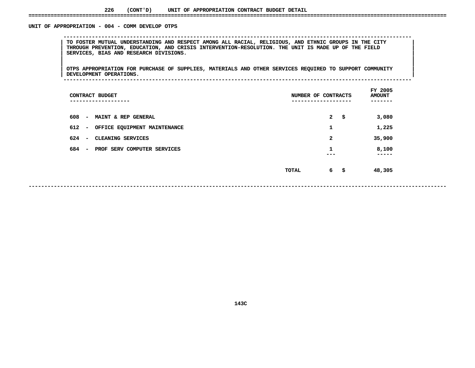### **226(CONT'D) UNIT OF APPROPRIATION CONTRACT BUDGET DETAIL ====================================================================================================================================**

### UNIT OF APPROPRIATION - 004 - COMM DEVELOP OTPS

 **OF APPROPRIATION - <sup>004</sup> - COMM DEVELOP OTPS --------------------------------------------------------------------------------------------------------------**| TO FOSTER MUTUAL UNDERSTANDING AND RESPECT AMONG ALL RACIAL, RELIGIOUS, AND ETHNIC GROUPS IN THE CITY<br>| THROUGH PREVENTION, EDUCATION, AND CRISIS INTERVENTION-RESOLUTION. THE UNIT IS MADE UP OF THE FIELD<br>| SERVICES, BIAS **THROUGH PREVENTION, EDUCATION, AND CRISIS INTERVENTION-RESOLUTION. THE UNIT IS MADE UP OF THE FIELD <sup>|</sup> <sup>|</sup>SERVICES, BIAS AND RESEARCH DIVISIONS. <sup>|</sup> <sup>|</sup>**

|<br>| OTPS\_APPROPRIATION\_FOR\_PURCHASE\_OF\_SUPPLIES, MATERIALS\_AND\_OTHER\_SERVICES\_REQUIRED\_TO\_SUPPORT\_COMMUNITY\_\_\_\_\_\_\_ |<br>| OTPS APPROPRIATION FOR PURCHASE OF SUPPLIES, MATERIALS AND OTHER SERVICES REQUIRED TO SUPPORT COMMUNITY<br>| DEVELOPMENT OPERATIONS. **OTPS APPROPRIATION FOR PURCHASE OF SUPPLIES, MATERIALS AND OTHER SERVICES REQUIRED TO SUPPORT COMMUNITY <sup>|</sup> <sup>|</sup>DEVELOPMENT OPERATIONS. <sup>|</sup> --------------------------------------------------------------------------------------------------------------**

| CONTRACT BUDGET<br>------------                                 | NUMBER OF CONTRACTS<br>---------- |                    | FY 2005<br><b>AMOUNT</b><br>----- |
|-----------------------------------------------------------------|-----------------------------------|--------------------|-----------------------------------|
| 608<br>MAINT & REP GENERAL<br>$\overline{\phantom{a}}$          |                                   | $\mathbf{2}$<br>\$ | 3,080                             |
| 612<br>OFFICE EQUIPMENT MAINTENANCE<br>$\overline{\phantom{a}}$ |                                   | 1                  | 1,225                             |
| 624<br>CLEANING SERVICES<br>$\overline{\phantom{a}}$            |                                   | $\mathbf{2}$       | 35,900                            |
| 684<br>PROF SERV COMPUTER SERVICES<br>$\overline{\phantom{a}}$  |                                   | 1                  | 8,100<br>-----                    |
|                                                                 | TOTAL                             | 6 \$               | 48,305                            |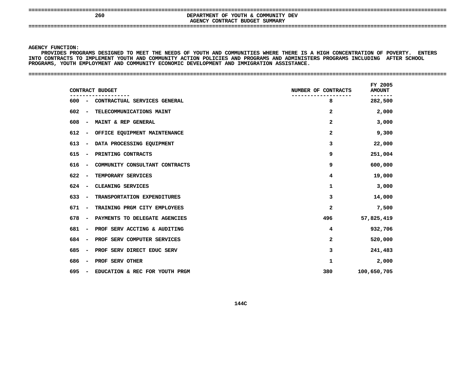### **==================================================================================================================================== <sup>260</sup> DEPARTMENT OF YOUTH & COMMUNITY DEV AGENCYCONTRACT BUDGET SUMMARY ====================================================================================================================================**

**AGENCY**

Y FUNCTION:<br>ROVIDES PRO<br>CONTRACTS I<br>-PROVIDES PRO<del>GRAMS DESIGNED TO MEET THE NEEDS OF YOUTH AND COMMUNITIES WHERE THERE IS A</del> S PROGRAMS DESIGNED TO MEET THE NEEDS OF YOUTH AND COMMUNITIES WHERE THERE IS A HIGH CONCENTRATION OF POVERTY. ENTERS<br>CTS TO IMPLEMENT YOUTH AND COMMUNITY ACTION POLICIES AND PROGRAMS AND ADMINISTERS PROGRAMS INCLUDING AFT INTO CONTRACTS TO IMPLEMENT YOUTH AND COMMUNITY ACTION POLICIES AND PROGRAMS AND ADMINISTERS PROGRAMS INCLUDING AFTER SCHOOL<br>PROGRAMS, YOUTH EMPLOYMENT AND COMMUNITY ECONOMIC DEVELOPMENT AND IMMIGRATION ASSISTANCE.<br>-PROGRAMS, YOUTH EMPLOYMENT AND COMMUNITY ECONOMIC DEVELOPMENT AND IMMIGRATION ASSISTANCE.

**YOUTH EMPLOYMENT AND COMMUNITY ECONOMIC DEVELOPMENT AND IMMIGRATION ASSISTANCE. ====================================================================================================================================**

| CONTRACT BUDGET                                                   | NUMBER OF CONTRACTS | FY 2005<br><b>AMOUNT</b> |
|-------------------------------------------------------------------|---------------------|--------------------------|
| 600<br>- CONTRACTUAL SERVICES GENERAL                             | 8                   | ------<br>282,500        |
| 602<br>TELECOMMUNICATIONS MAINT<br>$\overline{\phantom{a}}$       | $\mathbf{2}$        | 2,000                    |
| 608<br><b>MAINT &amp; REP GENERAL</b><br>$\overline{\phantom{a}}$ | $\mathbf{2}$        | 3,000                    |
| 612<br>OFFICE EQUIPMENT MAINTENANCE<br>$\overline{\phantom{a}}$   | 2                   | 9,300                    |
| 613<br>DATA PROCESSING EQUIPMENT<br>$\sim$                        | 3                   | 22,000                   |
| 615<br>PRINTING CONTRACTS<br>$\overline{\phantom{a}}$             | 9                   | 251,004                  |
| 616<br>COMMUNITY CONSULTANT CONTRACTS<br>$\overline{\phantom{a}}$ | 9                   | 600,000                  |
| 622<br>TEMPORARY SERVICES<br>$\overline{\phantom{a}}$             | 4                   | 19,000                   |
| 624<br>CLEANING SERVICES<br>$\overline{\phantom{a}}$              | 1                   | 3,000                    |
| 633<br>TRANSPORTATION EXPENDITURES<br>$\overline{\phantom{a}}$    | 3                   | 14,000                   |
| 671<br>TRAINING PRGM CITY EMPLOYEES<br>$\overline{\phantom{a}}$   | $\mathbf{2}$        | 7,500                    |
| 678<br>PAYMENTS TO DELEGATE AGENCIES<br>$\overline{\phantom{a}}$  | 496                 | 57,825,419               |
| 681<br>PROF SERV ACCTING & AUDITING<br>$\overline{\phantom{m}}$   | 4                   | 932,706                  |
| 684<br>PROF SERV COMPUTER SERVICES<br>$\overline{\phantom{m}}$    | $\mathbf{2}$        | 520,000                  |
| 685<br>PROF SERV DIRECT EDUC SERV<br>$\overline{\phantom{m}}$     | 3                   | 241,483                  |
| 686<br>PROF SERV OTHER<br>$\overline{\phantom{m}}$                | 1                   | 2,000                    |
| 695<br>EDUCATION & REC FOR YOUTH PRGM<br>$\overline{\phantom{a}}$ | 380                 | 100,650,705              |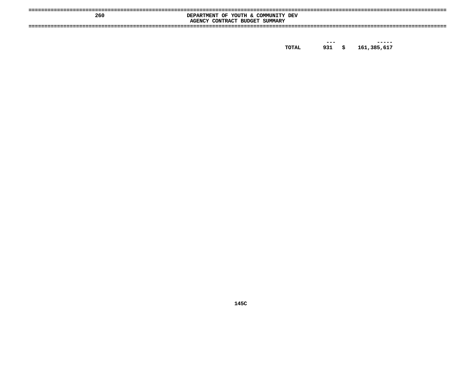|     | ----                                                            |
|-----|-----------------------------------------------------------------|
| 260 | . & COMMUNITY<br>YOUTH<br>OF<br><b>DEV</b><br><b>DEPARTMENT</b> |
|     | SUMMARY<br><b>BUDGET</b><br>AGENCY<br>CONTRACT                  |
|     |                                                                 |
|     |                                                                 |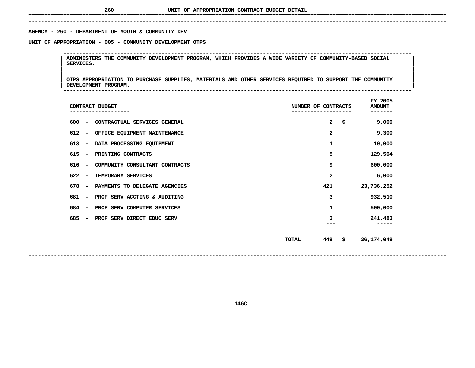## **UNIT OF APPROPRIATION CONTRACT BUDGET DETAIL ====================================================================================================================================**

### **------------------------------------------------------------------------------------------------------------------------------------**AGENCY - 260 - DEPARTMENT OF YOUTH & COMMUNITY DEV

# **- <sup>260</sup> - DEPARTMENT OF YOUTH & COMMUNITY DEV UNIT**

 **OF APPROPRIATION - <sup>005</sup> - COMMUNITY DEVELOPMENT OTPS -------------------------------------------------------------------------------------------------------------- <sup>|</sup> ADMINISTERS THE COMMUNITY DEVELOPMENT PROGRAM, WHICH PROVIDES <sup>A</sup> WIDE VARIETY OF COMMUNITY-BASED SOCIAL <sup>|</sup> <sup>|</sup>SERVICES. <sup>|</sup> <sup>|</sup>**

 **<sup>|</sup> <sup>|</sup>**|<br>| OTPS APPROPRIATION TO PURCHASE SUPPLIES, MATERIALS AND OTHER SERVICES REQUIRED TO SUPPORT THE COMMUNITY<br>| DEVELOPMENT PROGRAM. **OTPS APPROPRIATION TO PURCHASE SUPPLIES, MATERIALS AND OTHER SERVICES REQUIRED TO SUPPORT THE COMMUNITY <sup>|</sup> <sup>|</sup>DEVELOPMENT PROGRAM. <sup>|</sup> --------------------------------------------------------------------------------------------------------------**

| CONTRACT BUDGET                                                   | NUMBER OF CONTRACTS       | FY 2005<br><b>AMOUNT</b><br>------- |
|-------------------------------------------------------------------|---------------------------|-------------------------------------|
| 600<br>CONTRACTUAL SERVICES GENERAL<br>$\overline{\phantom{a}}$   | $\mathbf{2}$<br>\$        | 9,000                               |
| 612<br>OFFICE EQUIPMENT MAINTENANCE<br>$\overline{\phantom{m}}$   | $\mathbf{2}$              | 9,300                               |
| 613<br>DATA PROCESSING EQUIPMENT<br>$\overline{\phantom{a}}$      | 1                         | 10,000                              |
| 615<br>PRINTING CONTRACTS<br>$\overline{\phantom{m}}$             | 5                         | 129,504                             |
| 616<br>COMMUNITY CONSULTANT CONTRACTS<br>$\overline{\phantom{m}}$ | 9                         | 600,000                             |
| 622<br>TEMPORARY SERVICES<br>$\overline{\phantom{a}}$             | $\mathbf{2}$              | 6,000                               |
| 678<br>PAYMENTS TO DELEGATE AGENCIES<br>$\overline{\phantom{a}}$  | 421                       | 23,736,252                          |
| 681<br>PROF SERV ACCTING & AUDITING<br>$\overline{\phantom{a}}$   | 3                         | 932,510                             |
| 684<br>PROF SERV COMPUTER SERVICES<br>$\overline{\phantom{a}}$    | 1                         | 500,000                             |
| 685<br>PROF SERV DIRECT EDUC SERV<br>$\overline{\phantom{a}}$     | 3                         | 241,483                             |
|                                                                   |                           |                                     |
|                                                                   | 449<br>\$<br><b>TOTAL</b> | 26,174,049                          |
|                                                                   |                           |                                     |

**------------------------------------------------------------------------------------------------------------------------------------**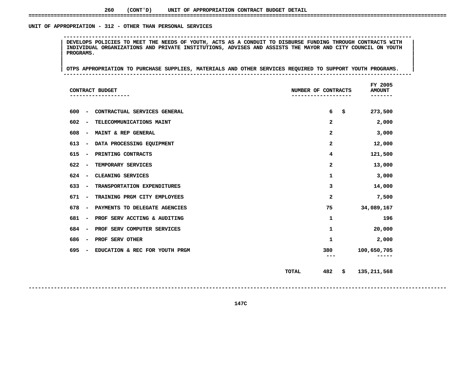### UNIT OF APPROPRIATION - 312 - OTHER THAN PERSONAL SERVICES

 **OF APPROPRIATION - <sup>312</sup> - OTHER THAN PERSONAL SERVICES --------------------------------------------------------------------------------------------------------------**DEVELOPS POLICIES TO MEET THE NEEDS OF YOUTH, ACTS AS A CONDUIT TO DISBURSE FUNDING THROUGH CONTRACTS WITH INDIVIDUAL ORGANIZATIONS AND PRIVATE INSTITUTIONS, ADVISES AND ASSISTS THE MAYOR AND CITY COUNCIL ON YOUTH PROGRAMS INDIVIDUAL ORGANIZATIONS AND PRIVATE INSTITUTIONS, ADVISES AND ASSISTS THE MAYOR AND CITY COUNCIL ON YOUTH<br>|-<br>| **PROGRAMS. <sup>|</sup> <sup>|</sup>**

|<br>| OTPS APPROPRIATION TO PURCHASE SUPPLIES, MATERIALS AND OTHER SERVICES REQUIRED TO SUPPORT YOUTH PROGRAMS. **<sup>|</sup> <sup>|</sup>OTPS APPROPRIATION TO PURCHASE SUPPLIES, MATERIALS AND OTHER SERVICES REQUIRED TO SUPPORT YOUTH PROGRAMS. <sup>|</sup> --------------------------------------------------------------------------------------------------------------**

| CONTRACT BUDGET                                                     | NUMBER OF CONTRACTS     | FY 2005<br><b>AMOUNT</b> |
|---------------------------------------------------------------------|-------------------------|--------------------------|
| 600<br>CONTRACTUAL SERVICES GENERAL<br>$\overline{\phantom{0}}$     | 6                       | \$<br>273,500            |
| 602<br>TELECOMMUNICATIONS MAINT<br>$\qquad \qquad$                  | 2                       | 2,000                    |
| 608<br>MAINT & REP GENERAL<br>$\qquad \qquad$                       | $\overline{\mathbf{2}}$ | 3,000                    |
| 613<br>DATA PROCESSING EQUIPMENT<br>$\overline{\phantom{0}}$        | 2                       | 12,000                   |
| 615<br>PRINTING CONTRACTS<br>$\overline{\phantom{0}}$               | 4                       | 121,500                  |
| 622<br>TEMPORARY SERVICES<br>$\overline{\phantom{0}}$               | 2                       | 13,000                   |
| 624<br>CLEANING SERVICES<br>$\overline{\phantom{0}}$                | 1                       | 3,000                    |
| 633<br>TRANSPORTATION EXPENDITURES<br>٠                             | 3                       | 14,000                   |
| 671<br>TRAINING PRGM CITY EMPLOYEES<br>$\qquad \qquad \blacksquare$ | 2                       | 7,500                    |
| 678<br>PAYMENTS TO DELEGATE AGENCIES<br>$\overline{\phantom{a}}$    | 75                      | 34,089,167               |
| 681<br>PROF SERV ACCTING & AUDITING<br>$\overline{\phantom{a}}$     | 1                       | 196                      |
| 684<br>PROF SERV COMPUTER SERVICES<br>$\overline{\phantom{a}}$      | 1                       | 20,000                   |
| 686<br>PROF SERV OTHER<br>$\qquad \qquad$                           | 1                       | 2,000                    |
| 695<br>EDUCATION & REC FOR YOUTH PRGM                               | 380<br>$---$            | 100,650,705<br>-----     |
|                                                                     | 482<br><b>TOTAL</b>     | \$<br>135,211,568        |

**------------------------------------------------------------------------------------------------------------------------------------**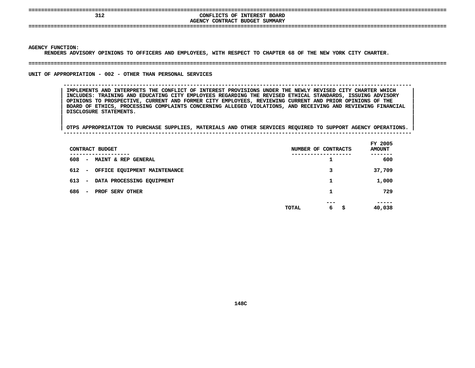| 312 | CONFLICTS OF INTEREST BOARD<br>AGENCY CONTRACT BUDGET SUMMARY |  |
|-----|---------------------------------------------------------------|--|
|     |                                                               |  |

 **FUNCTION: RENDERS**

**ADVISORY OPINIONS TO OFFICERS AND EMPLOYEES, WITH RESPECT TO CHAPTER <sup>68</sup> OF THE NEW YORK CITY CHARTER. ====================================================================================================================================**

### UNIT OF APPROPRIATION - 002 - OTHER THAN PERSONAL SERVICES

 **OF APPROPRIATION - <sup>002</sup> - OTHER THAN PERSONAL SERVICES -------------------------------------------------------------------------------------------------------------- IMPLEMENTS AND INTERPRETS THE CONFLICT OF INTEREST PROVISIONS UNDER THE NEWLY REVISED CITY CHARTER WHICH <sup>|</sup> INCLUDES: TRAINING AND EDUCATING CITY EMPLOYEES REGARDING THE REVISED ETHICAL STANDARDS, ISSUING ADVISORY <sup>|</sup> OPINIONS TO PROSPECTIVE, CURRENT AND FORMER CITY EMPLOYEES, REVIEWING CURRENT AND PRIOR OPINIONS OF THE <sup>|</sup> BOARD OF ETHICS, PROCESSING COMPLAINTS CONCERNING ALLEGED VIOLATIONS, AND RECEIVING AND REVIEWING FINANCIAL <sup>|</sup> DISCLOSURE STATEMENTS. <sup>|</sup>**

|<br>|<br>| OTPS APPROPRIATION TO PURCHASE SUPPLIES, MATERIALS AND OTHER SERVICES REQUIRED TO SUPPORT AGENCY OPERATIONS. | **<sup>|</sup> OTPS APPROPRIATION TO PURCHASE SUPPLIES, MATERIALS AND OTHER SERVICES REQUIRED TO SUPPORT AGENCY OPERATIONS. <sup>|</sup> --------------------------------------------------------------------------------------------------------------**

|     |             | CONTRACT BUDGET                |       | NUMBER OF CONTRACTS | FY 2005<br><b>AMOUNT</b> |
|-----|-------------|--------------------------------|-------|---------------------|--------------------------|
| 608 |             | - MAINT & REP GENERAL          | ----- | ┻                   | -----<br>600             |
| 612 |             | - OFFICE EQUIPMENT MAINTENANCE |       | 3                   | 37,709                   |
| 613 | $\sim 1000$ | DATA PROCESSING EQUIPMENT      |       | 1                   | 1,000                    |
| 686 | $\sim$      | PROF SERV OTHER                |       | 1                   | 729                      |
|     |             |                                | TOTAL | ---<br>6<br>-\$     | -----<br>40,038          |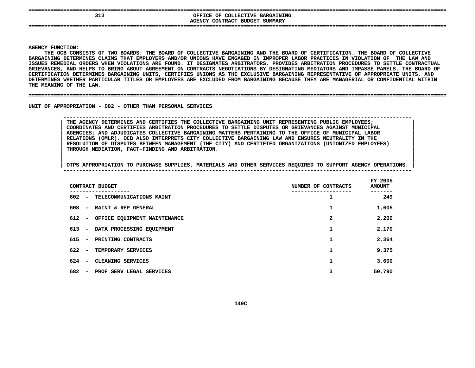## **====================================================================================================================================SEXUAL SERVICE OF COLLECTIVE BARGAINING<br>AGENCY CONTRACT BUDGET SUMMARY OFFICE OF COLLECTIVE BARGAINING CONTRACT BUDGET SUMMARY ====================================================================================================================================**

### **AGENCY**

Y FUNCTION:<br>THE OCB CON<br>INING DETE<mark>R</mark> **THE**E OCB CONSISTS OF TWO BOARDS: THE BOARD OF COLLECTIVE BARGAINING AND THE BOARD OF CERTIFICATION. THE BOARD OF COLLECTIVE<br>ING DETERMINES CLAIMS THAT EMPLOYERS AND/OR UNIONS HAVE ENGAGED IN IMPROPER LABOR PRACTICES IN VIOLAT **BARGAINING**G DETERMINES CLAIMS THAT EMPLOYERS AND/OR UNIONS HAVE ENGAGED IN IMPROPER LABOR PRACTICES IN VIOLATION OF THE LAW AND<br>MEDIAL ORDERS WHEN VIOLATIONS ARE FOUND. IT DESIGNATES ARBITRATORS, PROVIDES ARBITRATION PROCEDURES TO S ISSUES REMEDIAL ORDERS WHEN VIOLATIONS ARE FOUND. IT DESIGNATES ARBITRATORS, PROVIDES ARBITRATION PROCEDURES TO SETTLE CONTRACTUAL S REMEDIAL ORDERS WHEN VIOLATIONS ARE FOUND. IT DESIGNATES ARBITRATORS, PROVIDES ARBITRATION PROCEDURES TO SETTLE CONTRACTUAL<br>ANCES, AND HELPS TO BRING ABOUT AGREEMENT ON CONTRACTS NEGOTIATIONS BY DESIGNATING MEDIATORS AND **GRIEVANCES,**, AND HELPS TO BRING ABOUT AGREEMENT ON CONTRACTS NEGOTIATIONS BY DESIGNATING MEDIATORS AND IMPASSE PANELS. THE BOARD OF<br>ION DETERMINES BARGAINING UNITS, CERTIFIES UNIONS AS THE EXCLUSIVE BARGAINING REPRESENTATIVE OF APPRO **CERTIFICATION DETERMINES BARGAINING UNITS, CERTIFIES UNIONS AS THE EXCLUSIVE BARGAINING REPRESENTATIVE OF APPROPRIATE UNITS, AND DETERMINES WHETHER PARTICULAR TITLES OR EMPLOYEES ARE EXCLUDED FROM BARGAINING BECAUSE THEY ARE MANAGERIAL OR CONFIDENTIAL WITHIN** THE MEANING OF THE LAW.

**MEANING OF THE LAW. ====================================================================================================================================**

UNIT OF APPROPRIATION - 002 - OTHER THAN PERSONAL SERVICES

 **OF APPROPRIATION - <sup>002</sup> - OTHER THAN PERSONAL SERVICES -------------------------------------------------------------------------------------------------------------- THE AGENCY DETERMINES AND CERTIFIES THE COLLECTIVE BARGAINING UNIT REPRESENTING PUBLIC EMPLOYEES; <sup>|</sup> COORDINATES AND CERTIFIES ARBITRATION PROCEDURES TO SETTLE DISPUTES OR GRIEVANCES AGAINST MUNICIPAL <sup>|</sup> AGENCIES; AND ADJUDICATES COLLECTIVE BARGAINING MATTERS PERTAINING TO THE OFFICE OF MUNICIPAL LABOR <sup>|</sup> RELATIONS (OMLR). OCB ALSO INTERPRETS CITY COLLECTIVE BARGAINING LAW AND ENSURES NEUTRALITY IN THE <sup>|</sup> RESOLUTION OF DISPUTES BETWEEN MANAGEMENT (THE CITY) AND CERTIFIED ORGANIZATIONS (UNIONIZED EMPLOYEES) <sup>|</sup> THROUGH MEDIATION, FACT-FINDING AND ARBITRATION. <sup>|</sup>**

|<br>| OTPS APPROPRIATION TO PURCHASE SUPPLIES, MATERIALS AND OTHER SERVICES REQUIRED TO SUPPORT AGENCY OPERATIONS. | **<sup>|</sup> OTPS APPROPRIATION TO PURCHASE SUPPLIES, MATERIALS AND OTHER SERVICES REQUIRED TO SUPPORT AGENCY OPERATIONS. <sup>|</sup> --------------------------------------------------------------------------------------------------------------**

|                                 | CONTRACT BUDGET                    | NUMBER OF CONTRACTS | FY 2005<br><b>AMOUNT</b> |
|---------------------------------|------------------------------------|---------------------|--------------------------|
| 602                             | - TELECOMMUNICATIONS MAINT         | 1                   | 249                      |
| 608                             | - MAINT & REP GENERAL              | 1                   | 1,605                    |
|                                 | 612 - OFFICE EQUIPMENT MAINTENANCE | 2                   | 2,200                    |
| 613                             | - DATA PROCESSING EQUIPMENT        | 1                   | 2,170                    |
| $615 -$                         | PRINTING CONTRACTS                 | 1                   | 2,364                    |
|                                 | 622 - TEMPORARY SERVICES           | 1                   | 9,375                    |
| 624<br>$\overline{\phantom{a}}$ | CLEANING SERVICES                  | 1                   | 3,600                    |
| 682<br>$\overline{\phantom{0}}$ | PROF SERV LEGAL SERVICES           | 3                   | 50,790                   |
|                                 |                                    |                     |                          |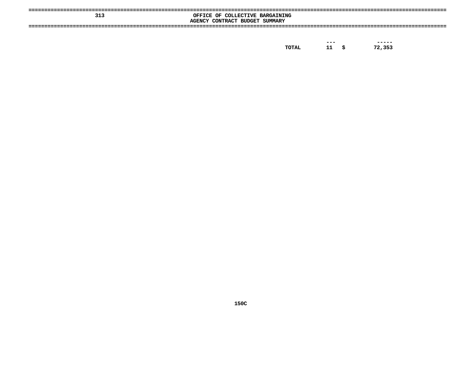| 313 | OFFICE OF COLLECTIVE BARGAINING<br>AGENCY CONTRACT BUDGET SUMMARY |
|-----|-------------------------------------------------------------------|
|     |                                                                   |

| TOTAL |  | 72,353 |
|-------|--|--------|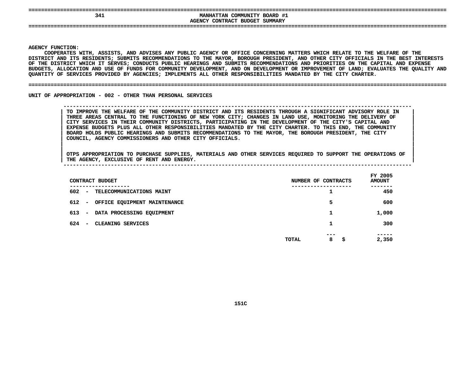| 341 | MANHATTAN COMMUNITY BOARD #1   |
|-----|--------------------------------|
|     | AGENCY CONTRACT BUDGET SUMMARY |
| --- |                                |
|     |                                |
|     |                                |

**|**

Y FUNCTION:<br>COOPERATES<br>ICT AND ITS<br>ICT AND ITS **COOPERATES**S WITH, ASSISTS, AND ADVISES ANY PUBLIC AGENCY OR OFFICE CONCERNING MATTERS WHICH RELATE TO THE WELFARE OF THE<br>TS RESIDENTS; SUBMITS RECOMMENDATIONS TO THE MAYOR, BOROUGH PRESIDENT, AND OTHER CITY OFFICIALS IN THE BEST IN<br> **DISTRICT**T AND ITS RESIDENTS; SUBMITS RECOMMENDATIONS TO THE MAYOR, BOROUGH PRESIDENT, AND OTHER CITY OFFICIALS IN THE BEST INTERESTS<br>DISTRICT WHICH IT SERVES; CONDUCTS PUBLIC HEARINGS AND SUBMITS RECOMMENDATIONS AND PRIORITIES ON OF THE DISTRICT WHICH IT SERVES: CONDUCTS PUBLIC HEARINGS AND SUBMITS RECOMMENDATIONS AND PRIORITIES ON THE CAPITAL AND EXPENSE F THE DISTRICT WHICH IT SERVES; CONDUCTS PUBLIC HEARINGS AND SUBMITS RECOMMENDATIONS AND PRIORITIES ON THE CAPITAL AND EXPENSE<br>UDGETS, ALLOCATION AND USE OF FUNDS FOR COMMUNITY DEVELOPMENT, AND ON DEVELOPMENT OR IMPROVEMEN **BUDGETS,**, ALLOCATION AND USE OF FUNDS FOR COMMUNITY DEVELOPMENT, AND ON DEVELOPMENT OR IMPROVEMENT OF LAND; EVALUATES THE QUALITY AND<br>Y OF SERVICES PROVIDED BY AGENCIES; IMPLEMENTS ALL OTHER RESPONSIBILITIES MANDATED BY THE CITY C **QUANTITY**

### **OF SERVICES PROVIDED BY AGENCIES; IMPLEMENTS ALL OTHER RESPONSIBILITIES MANDATED BY THE CITY CHARTER. ====================================================================================================================================**

UNIT OF APPROPRIATION - 002 - OTHER THAN PERSONAL SERVICES

 **OF APPROPRIATION - <sup>002</sup> - OTHER THAN PERSONAL SERVICES --------------------------------------------------------------------------------------------------------------**TO IMPROVE THE WELFARE OF THE COMMUNITY DISTRICT AND ITS RESIDENTS THROUGH A SIGNIFICANT ADVISORY ROLE IN THREE AREAS CENTRAL TO THE FUNCTIONING OF NEW YORK CITY; CHANGES IN LAND USE, MONITORING THE DELIVERY OF CITY SERVIC TO IMPROVE THE WELFARE OF THE COMMUNITY DISTRICT AND ITS RESIDENTS THROUGH A SIGNIFICANT ADVISORY ROLE IN THREE AREAS CENTRAL TO THE FUNCTIONING OF NEW YORK CITY; CHANGES IN LAND USE, MONITORING THE DELIVERY OF<br>CITY SERVICES IN THEIR COMMUNITY DISTRICTS, PARTICIPATING IN THE DEVELOPMENT OF THE CITY'S CAPITAL AND<br>EXPENSE BUDGET **CITY SERVICES IN THEIR COMMUNITY DISTRICTS, PARTICIPATING IN THE DEVELOPMENT OF THE CITY'S CAPITAL AND <sup>|</sup>** EXPENSE BUDGETS PLUS ALL OTHER RESPONSIBILITIES MANDATED BY THE CITY CHARTER. TO THIS END, THE COMMUNITY<br>BOARD HOLDS PUBLIC HEARINGS AND SUBMITS RECOMMENDATIONS TO THE MAYOR, THE BOROUGH PRESIDENT, THE CITY<br>COUNCIL, AGENCY **BOARD HOLDS PUBLIC HEARINGS AND SUBMITS RECOMMENDATIONS TO THE MAYOR, THE BOROUGH PRESIDENT, THE CITY <sup>|</sup> COUNCIL, AGENCY COMMISSIONERS AND OTHER CITY OFFICIALS. <sup>|</sup>**

| CONTRACT BUDGET                                             | NUMBER OF CONTRACTS           | FY 2005<br><b>AMOUNT</b> |
|-------------------------------------------------------------|-------------------------------|--------------------------|
| ----------<br>602<br>- TELECOMMUNICATIONS MAINT             | -------------                 | 450                      |
| 612<br>OFFICE EQUIPMENT MAINTENANCE<br>$\sim$               | 5                             | 600                      |
| 613<br>DATA PROCESSING EQUIPMENT<br>$\sim$                  | 1                             | 1,000                    |
| 624<br><b>CLEANING SERVICES</b><br>$\overline{\phantom{0}}$ |                               | 300                      |
|                                                             | ---<br>8<br><b>TOTAL</b><br>s | -----<br>2,350           |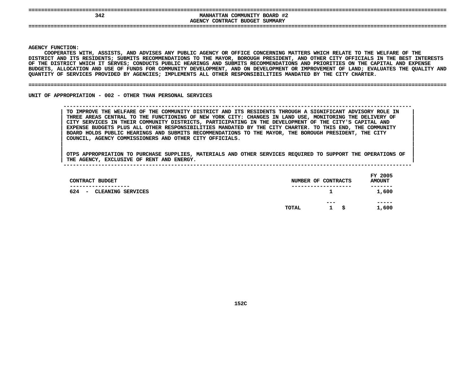| --- |                                                                                             |
|-----|---------------------------------------------------------------------------------------------|
| 342 | #2<br>BOARD<br>COMMUNITY<br><b>MANHATTAN</b><br>SUMMARY<br>CONTRACT BUDGET<br><b>AGENCY</b> |
| --- |                                                                                             |

**|**

Y FUNCTION:<br>COOPERATES<br>ICT AND ITS<br>ICT AND ITS **COOPERATES**S WITH, ASSISTS, AND ADVISES ANY PUBLIC AGENCY OR OFFICE CONCERNING MATTERS WHICH RELATE TO THE WELFARE OF THE<br>TS RESIDENTS; SUBMITS RECOMMENDATIONS TO THE MAYOR, BOROUGH PRESIDENT, AND OTHER CITY OFFICIALS IN THE BEST IN<br> **DISTRICT**T AND ITS RESIDENTS; SUBMITS RECOMMENDATIONS TO THE MAYOR, BOROUGH PRESIDENT, AND OTHER CITY OFFICIALS IN THE BEST INTERESTS<br>DISTRICT WHICH IT SERVES; CONDUCTS PUBLIC HEARINGS AND SUBMITS RECOMMENDATIONS AND PRIORITIES ON OF THE DISTRICT WHICH IT SERVES: CONDUCTS PUBLIC HEARINGS AND SUBMITS RECOMMENDATIONS AND PRIORITIES ON THE CAPITAL AND EXPENSE F THE DISTRICT WHICH IT SERVES; CONDUCTS PUBLIC HEARINGS AND SUBMITS RECOMMENDATIONS AND PRIORITIES ON THE CAPITAL AND EXPENSE<br>UDGETS, ALLOCATION AND USE OF FUNDS FOR COMMUNITY DEVELOPMENT, AND ON DEVELOPMENT OR IMPROVEMEN **BUDGETS,**, ALLOCATION AND USE OF FUNDS FOR COMMUNITY DEVELOPMENT, AND ON DEVELOPMENT OR IMPROVEMENT OF LAND; EVALUATES THE QUALITY AND<br>Y OF SERVICES PROVIDED BY AGENCIES; IMPLEMENTS ALL OTHER RESPONSIBILITIES MANDATED BY THE CITY C **QUANTITY**

#### **OF SERVICES PROVIDED BY AGENCIES; IMPLEMENTS ALL OTHER RESPONSIBILITIES MANDATED BY THE CITY CHARTER. ====================================================================================================================================**

UNIT OF APPROPRIATION - 002 - OTHER THAN PERSONAL SERVICES

 **OF APPROPRIATION - <sup>002</sup> - OTHER THAN PERSONAL SERVICES --------------------------------------------------------------------------------------------------------------**TO IMPROVE THE WELFARE OF THE COMMUNITY DISTRICT AND ITS RESIDENTS THROUGH A SIGNIFICANT ADVISORY ROLE IN THREE AREAS CENTRAL TO THE FUNCTIONING OF NEW YORK CITY: CHANGES IN LAND USE, MONITORING THE DELIVERY OF CITY SERVIC TO IMPROVE THE WELFARE OF THE COMMUNITY DISTRICT AND ITS RESIDENTS THROUGH A SIGNIFICANT ADVISORY ROLE IN THREE AREAS CENTRAL TO THE FUNCTIONING OF NEW YORK CITY: CHANGES IN LAND USE, MONITORING THE DELIVERY OF<br>CITY SERVICES IN THEIR COMMUNITY DISTRICTS, PARTICIPATING IN THE DEVELOPMENT OF THE CITY'S CAPITAL AND<br>EXPENSE BUDGET **CITY SERVICES IN THEIR COMMUNITY DISTRICTS, PARTICIPATING IN THE DEVELOPMENT OF THE CITY'S CAPITAL AND <sup>|</sup>** EXPENSE BUDGETS PLUS ALL OTHER RESPONSIBILITIES MANDATED BY THE CITY CHARTER. TO THIS END, THE COMMUNITY<br>BOARD HOLDS PUBLIC HEARINGS AND SUBMITS RECOMMENDATIONS TO THE MAYOR, THE BOROUGH PRESIDENT, THE CITY<br>COUNCIL, AGENCY **BOARD HOLDS PUBLIC HEARINGS AND SUBMITS RECOMMENDATIONS TO THE MAYOR, THE BOROUGH PRESIDENT, THE CITY <sup>|</sup> COUNCIL, AGENCY COMMISSIONERS AND OTHER CITY OFFICIALS. <sup>|</sup>**

| CONTRACT BUDGET                                                       |       | NUMBER OF CONTRACTS       | FY 2005<br><b>AMOUNT</b> |
|-----------------------------------------------------------------------|-------|---------------------------|--------------------------|
| -------------<br>624<br>CLEANING SERVICES<br>$\overline{\phantom{a}}$ |       | ----------------<br>1     | -------<br>1,600         |
|                                                                       | TOTAL | ---<br>$\mathbf{1}$<br>-S | -----<br>1,600           |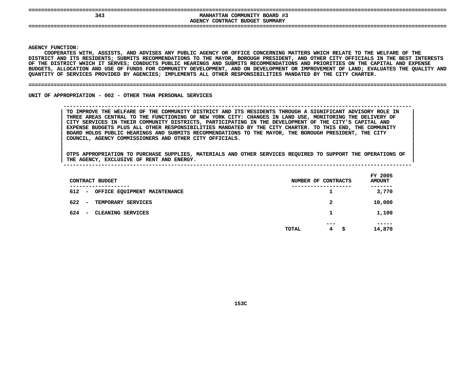| 343 | COMMUNITY BOARD #3<br><b>MANHATTAN</b> |
|-----|----------------------------------------|
|     | AGENCY CONTRACT BUDGET SUMMARY         |
|     |                                        |
|     |                                        |
|     |                                        |

**|**

Y FUNCTION:<br>COOPERATES<br>ICT AND ITS<br>ICT AND ITS **COOPERATES**S WITH, ASSISTS, AND ADVISES ANY PUBLIC AGENCY OR OFFICE CONCERNING MATTERS WHICH RELATE TO THE WELFARE OF THE<br>TS RESIDENTS; SUBMITS RECOMMENDATIONS TO THE MAYOR, BOROUGH PRESIDENT, AND OTHER CITY OFFICIALS IN THE BEST IN<br> **DISTRICT**T AND ITS RESIDENTS; SUBMITS RECOMMENDATIONS TO THE MAYOR, BOROUGH PRESIDENT, AND OTHER CITY OFFICIALS IN THE BEST INTERESTS<br>DISTRICT WHICH IT SERVES; CONDUCTS PUBLIC HEARINGS AND SUBMITS RECOMMENDATIONS AND PRIORITIES ON OF THE DISTRICT WHICH IT SERVES: CONDUCTS PUBLIC HEARINGS AND SUBMITS RECOMMENDATIONS AND PRIORITIES ON THE CAPITAL AND EXPENSE F THE DISTRICT WHICH IT SERVES; CONDUCTS PUBLIC HEARINGS AND SUBMITS RECOMMENDATIONS AND PRIORITIES ON THE CAPITAL AND EXPENSE<br>UDGETS, ALLOCATION AND USE OF FUNDS FOR COMMUNITY DEVELOPMENT, AND ON DEVELOPMENT OR IMPROVEMEN **BUDGETS,**, ALLOCATION AND USE OF FUNDS FOR COMMUNITY DEVELOPMENT, AND ON DEVELOPMENT OR IMPROVEMENT OF LAND; EVALUATES THE QUALITY AND<br>Y OF SERVICES PROVIDED BY AGENCIES; IMPLEMENTS ALL OTHER RESPONSIBILITIES MANDATED BY THE CITY C **QUANTITY**

#### **OF SERVICES PROVIDED BY AGENCIES; IMPLEMENTS ALL OTHER RESPONSIBILITIES MANDATED BY THE CITY CHARTER. ====================================================================================================================================**

UNIT OF APPROPRIATION - 002 - OTHER THAN PERSONAL SERVICES

 **OF APPROPRIATION - <sup>002</sup> - OTHER THAN PERSONAL SERVICES --------------------------------------------------------------------------------------------------------------**TO IMPROVE THE WELFARE OF THE COMMUNITY DISTRICT AND ITS RESIDENTS THROUGH A SIGNIFICANT ADVISORY ROLE IN THREE AREAS CENTRAL TO THE FUNCTIONING OF NEW YORK CITY: CHANGES IN LAND USE, MONITORING THE DELIVERY OF CITY SERVIC TO IMPROVE THE WELFARE OF THE COMMUNITY DISTRICT AND ITS RESIDENTS THROUGH A SIGNIFICANT ADVISORY ROLE IN THREE AREAS CENTRAL TO THE FUNCTIONING OF NEW YORK CITY: CHANGES IN LAND USE, MONITORING THE DELIVERY OF<br>CITY SERVICES IN THEIR COMMUNITY DISTRICTS, PARTICIPATING IN THE DEVELOPMENT OF THE CITY'S CAPITAL AND<br>EXPENSE BUDGET **CITY SERVICES IN THEIR COMMUNITY DISTRICTS, PARTICIPATING IN THE DEVELOPMENT OF THE CITY'S CAPITAL AND <sup>|</sup>** EXPENSE BUDGETS PLUS ALL OTHER RESPONSIBILITIES MANDATED BY THE CITY CHARTER. TO THIS END, THE COMMUNITY<br>BOARD HOLDS PUBLIC HEARINGS AND SUBMITS RECOMMENDATIONS TO THE MAYOR, THE BOROUGH PRESIDENT, THE CITY<br>COUNCIL, AGENCY **BOARD HOLDS PUBLIC HEARINGS AND SUBMITS RECOMMENDATIONS TO THE MAYOR, THE BOROUGH PRESIDENT, THE CITY <sup>|</sup> COUNCIL, AGENCY COMMISSIONERS AND OTHER CITY OFFICIALS. <sup>|</sup>**

| CONTRACT BUDGET                                                                  | NUMBER OF CONTRACTS     | FY 2005<br><b>AMOUNT</b> |
|----------------------------------------------------------------------------------|-------------------------|--------------------------|
| -------------<br>612<br>OFFICE EQUIPMENT MAINTENANCE<br>$\overline{\phantom{0}}$ | -------------<br>ᅩ      | -----<br>3,770           |
| 622<br>TEMPORARY SERVICES<br>$\overline{\phantom{0}}$                            | 2                       | 10,000                   |
| 624<br>CLEANING SERVICES<br>$\overline{\phantom{0}}$                             | 1                       | 1,100                    |
|                                                                                  | ---<br>4<br>TOTAL<br>-Ş | -----<br>14,870          |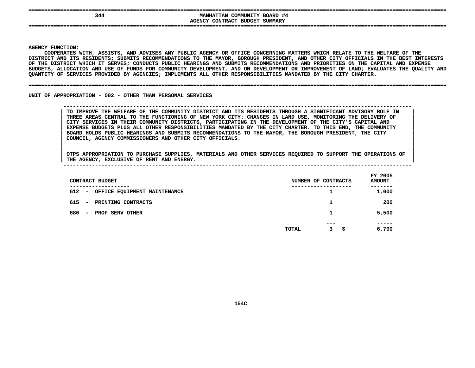| 344 | MANHATTAN COMMUNITY BOARD #4   |
|-----|--------------------------------|
|     | AGENCY CONTRACT BUDGET SUMMARY |
|     |                                |
|     |                                |

**|**

Y FUNCTION:<br>COOPERATES<br>ICT AND ITS<br>ICT AND ITS **COOPERATES**S WITH, ASSISTS, AND ADVISES ANY PUBLIC AGENCY OR OFFICE CONCERNING MATTERS WHICH RELATE TO THE WELFARE OF THE<br>TS RESIDENTS; SUBMITS RECOMMENDATIONS TO THE MAYOR, BOROUGH PRESIDENT, AND OTHER CITY OFFICIALS IN THE BEST IN<br> **DISTRICT**T AND ITS RESIDENTS; SUBMITS RECOMMENDATIONS TO THE MAYOR, BOROUGH PRESIDENT, AND OTHER CITY OFFICIALS IN THE BEST INTERESTS<br>DISTRICT WHICH IT SERVES; CONDUCTS PUBLIC HEARINGS AND SUBMITS RECOMMENDATIONS AND PRIORITIES ON OF THE DISTRICT WHICH IT SERVES: CONDUCTS PUBLIC HEARINGS AND SUBMITS RECOMMENDATIONS AND PRIORITIES ON THE CAPITAL AND EXPENSE F THE DISTRICT WHICH IT SERVES; CONDUCTS PUBLIC HEARINGS AND SUBMITS RECOMMENDATIONS AND PRIORITIES ON THE CAPITAL AND EXPENSE<br>UDGETS, ALLOCATION AND USE OF FUNDS FOR COMMUNITY DEVELOPMENT, AND ON DEVELOPMENT OR IMPROVEMEN **BUDGETS,**, ALLOCATION AND USE OF FUNDS FOR COMMUNITY DEVELOPMENT, AND ON DEVELOPMENT OR IMPROVEMENT OF LAND; EVALUATES THE QUALITY AND<br>Y OF SERVICES PROVIDED BY AGENCIES; IMPLEMENTS ALL OTHER RESPONSIBILITIES MANDATED BY THE CITY C **QUANTITY**

### **OF SERVICES PROVIDED BY AGENCIES; IMPLEMENTS ALL OTHER RESPONSIBILITIES MANDATED BY THE CITY CHARTER. ====================================================================================================================================**

UNIT OF APPROPRIATION - 002 - OTHER THAN PERSONAL SERVICES

 **OF APPROPRIATION - <sup>002</sup> - OTHER THAN PERSONAL SERVICES --------------------------------------------------------------------------------------------------------------**TO IMPROVE THE WELFARE OF THE COMMUNITY DISTRICT AND ITS RESIDENTS THROUGH A SIGNIFICANT ADVISORY ROLE IN THREE AREAS CENTRAL TO THE FUNCTIONING OF NEW YORK CITY: CHANGES IN LAND USE, MONITORING THE DELIVERY OF CITY SERVIC TO IMPROVE THE WELFARE OF THE COMMUNITY DISTRICT AND ITS RESIDENTS THROUGH A SIGNIFICANT ADVISORY ROLE IN THREE AREAS CENTRAL TO THE FUNCTIONING OF NEW YORK CITY: CHANGES IN LAND USE, MONITORING THE DELIVERY OF<br>CITY SERVICES IN THEIR COMMUNITY DISTRICTS, PARTICIPATING IN THE DEVELOPMENT OF THE CITY'S CAPITAL AND<br>EXPENSE BUDGET **CITY SERVICES IN THEIR COMMUNITY DISTRICTS, PARTICIPATING IN THE DEVELOPMENT OF THE CITY'S CAPITAL AND <sup>|</sup>** EXPENSE BUDGETS PLUS ALL OTHER RESPONSIBILITIES MANDATED BY THE CITY CHARTER. TO THIS END, THE COMMUNITY<br>BOARD HOLDS PUBLIC HEARINGS AND SUBMITS RECOMMENDATIONS TO THE MAYOR, THE BOROUGH PRESIDENT, THE CITY<br>COUNCIL, AGENCY **BOARD HOLDS PUBLIC HEARINGS AND SUBMITS RECOMMENDATIONS TO THE MAYOR, THE BOROUGH PRESIDENT, THE CITY <sup>|</sup> COUNCIL, AGENCY COMMISSIONERS AND OTHER CITY OFFICIALS. <sup>|</sup>**

| CONTRACT BUDGET                                         |       | NUMBER OF CONTRACTS   | FY 2005<br><b>AMOUNT</b> |
|---------------------------------------------------------|-------|-----------------------|--------------------------|
| --------------<br>612 -<br>OFFICE EQUIPMENT MAINTENANCE |       | ----------------<br>1 | ------<br>1,000          |
| 615<br>PRINTING CONTRACTS<br>$\overline{\phantom{0}}$   |       | 1                     | 200                      |
| 686<br>PROF SERV OTHER<br>$\overline{\phantom{0}}$      |       | 1                     | 5,500                    |
|                                                         | TOTAL | $- - -$<br>3<br>\$.   | -----<br>6,700           |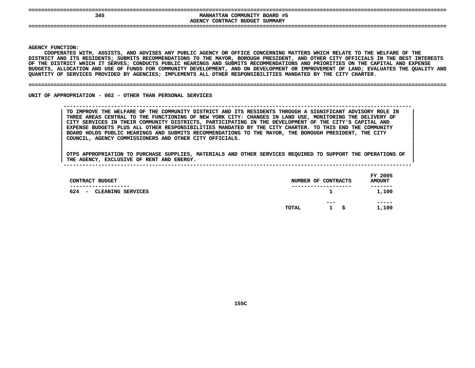| --- |                                        |
|-----|----------------------------------------|
| 345 | COMMUNITY BOARD #5<br><b>MANHATTAN</b> |
|     | AGENCY CONTRACT BUDGET SUMMARY         |
| --- |                                        |
|     |                                        |
|     |                                        |

**|**

Y FUNCTION:<br>COOPERATES<br>ICT AND ITS<br>ICT AND ITS **COOPERATES**S WITH, ASSISTS, AND ADVISES ANY PUBLIC AGENCY OR OFFICE CONCERNING MATTERS WHICH RELATE TO THE WELFARE OF THE<br>TS RESIDENTS; SUBMITS RECOMMENDATIONS TO THE MAYOR, BOROUGH PRESIDENT, AND OTHER CITY OFFICIALS IN THE BEST IN<br> **DISTRICT**T AND ITS RESIDENTS; SUBMITS RECOMMENDATIONS TO THE MAYOR, BOROUGH PRESIDENT, AND OTHER CITY OFFICIALS IN THE BEST INTERESTS<br>DISTRICT WHICH IT SERVES; CONDUCTS PUBLIC HEARINGS AND SUBMITS RECOMMENDATIONS AND PRIORITIES ON OF THE DISTRICT WHICH IT SERVES: CONDUCTS PUBLIC HEARINGS AND SUBMITS RECOMMENDATIONS AND PRIORITIES ON THE CAPITAL AND EXPENSE F THE DISTRICT WHICH IT SERVES; CONDUCTS PUBLIC HEARINGS AND SUBMITS RECOMMENDATIONS AND PRIORITIES ON THE CAPITAL AND EXPENSE<br>UDGETS, ALLOCATION AND USE OF FUNDS FOR COMMUNITY DEVELOPMENT, AND ON DEVELOPMENT OR IMPROVEMEN **BUDGETS,**, ALLOCATION AND USE OF FUNDS FOR COMMUNITY DEVELOPMENT, AND ON DEVELOPMENT OR IMPROVEMENT OF LAND; EVALUATES THE QUALITY AND<br>Y OF SERVICES PROVIDED BY AGENCIES; IMPLEMENTS ALL OTHER RESPONSIBILITIES MANDATED BY THE CITY C **QUANTITY**

#### **OF SERVICES PROVIDED BY AGENCIES; IMPLEMENTS ALL OTHER RESPONSIBILITIES MANDATED BY THE CITY CHARTER. ====================================================================================================================================**

UNIT OF APPROPRIATION - 002 - OTHER THAN PERSONAL SERVICES

 **OF APPROPRIATION - <sup>002</sup> - OTHER THAN PERSONAL SERVICES --------------------------------------------------------------------------------------------------------------**TO IMPROVE THE WELFARE OF THE COMMUNITY DISTRICT AND ITS RESIDENTS THROUGH A SIGNIFICANT ADVISORY ROLE IN THREE AREAS CENTRAL TO THE FUNCTIONING OF NEW YORK CITY: CHANGES IN LAND USE, MONITORING THE DELIVERY OF CITY SERVIC TO IMPROVE THE WELFARE OF THE COMMUNITY DISTRICT AND ITS RESIDENTS THROUGH A SIGNIFICANT ADVISORY ROLE IN THREE AREAS CENTRAL TO THE FUNCTIONING OF NEW YORK CITY: CHANGES IN LAND USE, MONITORING THE DELIVERY OF CITY SERVICES IN THEIR COMMUNITY DISTRICTS, PARTICIPATING IN THE DEVELOPMENT OF THE CITY'S CAPITAL AND<br>EXPENSE BUDGET **CITY SERVICES IN THEIR COMMUNITY DISTRICTS, PARTICIPATING IN THE DEVELOPMENT OF THE CITY'S CAPITAL AND <sup>|</sup> EXPENSE BUDGETS PLUS ALL OTHER RESPONSIBILITIES MANDATED BY THE CITY CHARTER. TO THIS END THE COMMUNITY <sup>|</sup> BOARD HOLDS PUBLIC HEARINGS AND SUBMITS RECOMMENDATIONS TO THE MAYOR, THE BOROUGH PRESIDENT, THE CITY <sup>|</sup> COUNCIL, AGENCY COMMISSIONERS AND OTHER CITY OFFICIALS. <sup>|</sup>**

| CONTRACT BUDGET                                                        | NUMBER OF CONTRACTS |                     |     | FY 2005<br><b>AMOUNT</b> |
|------------------------------------------------------------------------|---------------------|---------------------|-----|--------------------------|
| --------------<br>624<br>CLEANING SERVICES<br>$\overline{\phantom{a}}$ |                     | ----------------    |     | -------<br>1,100         |
|                                                                        | TOTAL               | ---<br>$\mathbf{1}$ | \$. | -----<br>1,100           |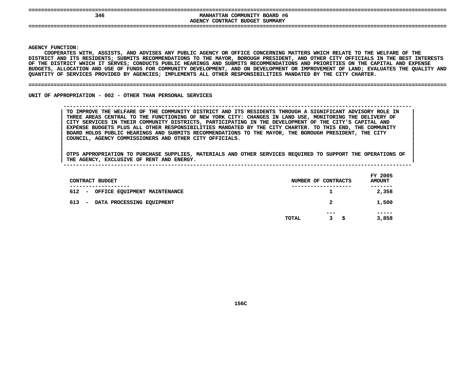| 346 | MANHATTAN COMMUNITY BOARD #6   |
|-----|--------------------------------|
|     | AGENCY CONTRACT BUDGET SUMMARY |
|     |                                |
|     |                                |
|     |                                |

**|**

Y FUNCTION:<br>COOPERATES<br>ICT AND ITS<br>ICT AND ITS **COOPERATES**S WITH, ASSISTS, AND ADVISES ANY PUBLIC AGENCY OR OFFICE CONCERNING MATTERS WHICH RELATE TO THE WELFARE OF THE<br>TS RESIDENTS; SUBMITS RECOMMENDATIONS TO THE MAYOR, BOROUGH PRESIDENT, AND OTHER CITY OFFICIALS IN THE BEST IN<br> **DISTRICT**T AND ITS RESIDENTS; SUBMITS RECOMMENDATIONS TO THE MAYOR, BOROUGH PRESIDENT, AND OTHER CITY OFFICIALS IN THE BEST INTERESTS<br>DISTRICT WHICH IT SERVES; CONDUCTS PUBLIC HEARINGS AND SUBMITS RECOMMENDATIONS AND PRIORITIES ON OF THE DISTRICT WHICH IT SERVES: CONDUCTS PUBLIC HEARINGS AND SUBMITS RECOMMENDATIONS AND PRIORITIES ON THE CAPITAL AND EXPENSE F THE DISTRICT WHICH IT SERVES; CONDUCTS PUBLIC HEARINGS AND SUBMITS RECOMMENDATIONS AND PRIORITIES ON THE CAPITAL AND EXPENSE<br>UDGETS, ALLOCATION AND USE OF FUNDS FOR COMMUNITY DEVELOPMENT, AND ON DEVELOPMENT OR IMPROVEMEN **BUDGETS,**, ALLOCATION AND USE OF FUNDS FOR COMMUNITY DEVELOPMENT, AND ON DEVELOPMENT OR IMPROVEMENT OF LAND; EVALUATES THE QUALITY AND<br>Y OF SERVICES PROVIDED BY AGENCIES; IMPLEMENTS ALL OTHER RESPONSIBILITIES MANDATED BY THE CITY C **QUANTITY**

### **OF SERVICES PROVIDED BY AGENCIES; IMPLEMENTS ALL OTHER RESPONSIBILITIES MANDATED BY THE CITY CHARTER. ====================================================================================================================================**

UNIT OF APPROPRIATION - 002 - OTHER THAN PERSONAL SERVICES

 **OF APPROPRIATION - <sup>002</sup> - OTHER THAN PERSONAL SERVICES --------------------------------------------------------------------------------------------------------------**TO IMPROVE THE WELFARE OF THE COMMUNITY DISTRICT AND ITS RESIDENTS THROUGH A SIGNIFICANT ADVISORY ROLE IN THREE AREAS CENTRAL TO THE FUNCTIONING OF NEW YORK CITY: CHANGES IN LAND USE, MONITORING THE DELIVERY OF CITY SERVIC TO IMPROVE THE WELFARE OF THE COMMUNITY DISTRICT AND ITS RESIDENTS THROUGH A SIGNIFICANT ADVISORY ROLE IN THREE AREAS CENTRAL TO THE FUNCTIONING OF NEW YORK CITY: CHANGES IN LAND USE, MONITORING THE DELIVERY OF<br>CITY SERVICES IN THEIR COMMUNITY DISTRICTS, PARTICIPATING IN THE DEVELOPMENT OF THE CITY'S CAPITAL AND<br>EXPENSE BUDGET **CITY SERVICES IN THEIR COMMUNITY DISTRICTS, PARTICIPATING IN THE DEVELOPMENT OF THE CITY'S CAPITAL AND <sup>|</sup>** EXPENSE BUDGETS PLUS ALL OTHER RESPONSIBILITIES MANDATED BY THE CITY CHARTER. TO THIS END, THE COMMUNITY<br>BOARD HOLDS PUBLIC HEARINGS AND SUBMITS RECOMMENDATIONS TO THE MAYOR, THE BOROUGH PRESIDENT, THE CITY<br>COUNCIL, AGENCY **BOARD HOLDS PUBLIC HEARINGS AND SUBMITS RECOMMENDATIONS TO THE MAYOR, THE BOROUGH PRESIDENT, THE CITY <sup>|</sup> COUNCIL, AGENCY COMMISSIONERS AND OTHER CITY OFFICIALS. <sup>|</sup>**

| THE | <b>AGENCY</b>                                                                                                                                                                                                                   | <b>EXCLUSIVE OF</b> | RENT | ANL | ENERGY. | ----        |
|-----|---------------------------------------------------------------------------------------------------------------------------------------------------------------------------------------------------------------------------------|---------------------|------|-----|---------|-------------|
|     |                                                                                                                                                                                                                                 |                     |      |     |         |             |
|     | $\sim$ . The contract of the contract of the contract of the contract of the contract of the contract of the contract of the contract of the contract of the contract of the contract of the contract of the contract of the co |                     |      |     |         | 2005<br>FY. |

| CONTRACT BUDGET                                                                  |       | NUMBER OF CONTRACTS   | FY 2005<br><b>AMOUNT</b> |
|----------------------------------------------------------------------------------|-------|-----------------------|--------------------------|
| -------------<br>612<br>OFFICE EQUIPMENT MAINTENANCE<br>$\overline{\phantom{a}}$ |       | ----------------<br>1 | 2,358                    |
| 613<br>DATA PROCESSING EQUIPMENT<br>$\overline{\phantom{a}}$                     |       | 2                     | 1,500                    |
|                                                                                  | TOTAL | ---<br>s<br>3         | -----<br>3,858           |
|                                                                                  |       |                       |                          |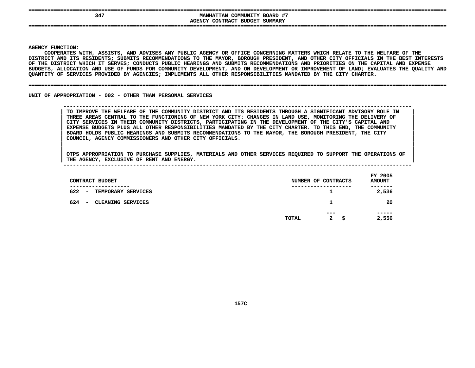| ---                                                  |                                                                                                 |
|------------------------------------------------------|-------------------------------------------------------------------------------------------------|
| 34 <sup>7</sup>                                      | COMMUNITY BOARD #7<br><b>MANHATTAN</b><br><b>SUMMARY</b><br>CONTRACT<br><b>BUDGET</b><br>\GENCY |
| ---------------------<br>_________<br>-------<br>--- | -----------------------------------<br>----                                                     |

**|**

Y FUNCTION:<br>COOPERATES<br>ICT AND ITS<br>ICT AND ITS **COOPERATES**S WITH, ASSISTS, AND ADVISES ANY PUBLIC AGENCY OR OFFICE CONCERNING MATTERS WHICH RELATE TO THE WELFARE OF THE<br>TS RESIDENTS; SUBMITS RECOMMENDATIONS TO THE MAYOR, BOROUGH PRESIDENT, AND OTHER CITY OFFICIALS IN THE BEST IN<br> **DISTRICT**T AND ITS RESIDENTS; SUBMITS RECOMMENDATIONS TO THE MAYOR, BOROUGH PRESIDENT, AND OTHER CITY OFFICIALS IN THE BEST INTERESTS<br>DISTRICT WHICH IT SERVES; CONDUCTS PUBLIC HEARINGS AND SUBMITS RECOMMENDATIONS AND PRIORITIES ON OF THE DISTRICT WHICH IT SERVES: CONDUCTS PUBLIC HEARINGS AND SUBMITS RECOMMENDATIONS AND PRIORITIES ON THE CAPITAL AND EXPENSE F THE DISTRICT WHICH IT SERVES; CONDUCTS PUBLIC HEARINGS AND SUBMITS RECOMMENDATIONS AND PRIORITIES ON THE CAPITAL AND EXPENSE<br>UDGETS, ALLOCATION AND USE OF FUNDS FOR COMMUNITY DEVELOPMENT, AND ON DEVELOPMENT OR IMPROVEMEN **BUDGETS,**, ALLOCATION AND USE OF FUNDS FOR COMMUNITY DEVELOPMENT, AND ON DEVELOPMENT OR IMPROVEMENT OF LAND; EVALUATES THE QUALITY AND<br>Y OF SERVICES PROVIDED BY AGENCIES; IMPLEMENTS ALL OTHER RESPONSIBILITIES MANDATED BY THE CITY C **QUANTITY**

### **OF SERVICES PROVIDED BY AGENCIES; IMPLEMENTS ALL OTHER RESPONSIBILITIES MANDATED BY THE CITY CHARTER. ====================================================================================================================================**

UNIT OF APPROPRIATION - 002 - OTHER THAN PERSONAL SERVICES

 **OF APPROPRIATION - <sup>002</sup> - OTHER THAN PERSONAL SERVICES --------------------------------------------------------------------------------------------------------------**TO IMPROVE THE WELFARE OF THE COMMUNITY DISTRICT AND ITS RESIDENTS THROUGH A SIGNIFICANT ADVISORY ROLE IN THREE AREAS CENTRAL TO THE FUNCTIONING OF NEW YORK CITY: CHANGES IN LAND USE, MONITORING THE DELIVERY OF CITY SERVIC TO IMPROVE THE WELFARE OF THE COMMUNITY DISTRICT AND ITS RESIDENTS THROUGH A SIGNIFICANT ADVISORY ROLE IN THREE AREAS CENTRAL TO THE FUNCTIONING OF NEW YORK CITY: CHANGES IN LAND USE, MONITORING THE DELIVERY OF<br>CITY SERVICES IN THEIR COMMUNITY DISTRICTS, PARTICIPATING IN THE DEVELOPMENT OF THE CITY'S CAPITAL AND<br>EXPENSE BUDGET **CITY SERVICES IN THEIR COMMUNITY DISTRICTS, PARTICIPATING IN THE DEVELOPMENT OF THE CITY'S CAPITAL AND <sup>|</sup>** EXPENSE BUDGETS PLUS ALL OTHER RESPONSIBILITIES MANDATED BY THE CITY CHARTER. TO THIS END, THE COMMUNITY<br>BOARD HOLDS PUBLIC HEARINGS AND SUBMITS RECOMMENDATIONS TO THE MAYOR, THE BOROUGH PRESIDENT, THE CITY<br>COUNCIL, AGENCY **BOARD HOLDS PUBLIC HEARINGS AND SUBMITS RECOMMENDATIONS TO THE MAYOR, THE BOROUGH PRESIDENT, THE CITY <sup>|</sup> COUNCIL, AGENCY COMMISSIONERS AND OTHER CITY OFFICIALS. <sup>|</sup>**

| CONTRACT BUDGET                                     |       | NUMBER OF CONTRACTS                    | FY 2005<br><b>AMOUNT</b> |
|-----------------------------------------------------|-------|----------------------------------------|--------------------------|
| ------------<br>622<br>TEMPORARY SERVICES<br>$\sim$ |       | . - - - - - - - - - - - - - - - -<br>1 | -------<br>2,536         |
| 624<br>CLEANING SERVICES<br>$\blacksquare$          |       |                                        | 20                       |
|                                                     | TOTAL | $- - -$<br>$\mathbf{2}$<br>-S          | -----<br>2,556           |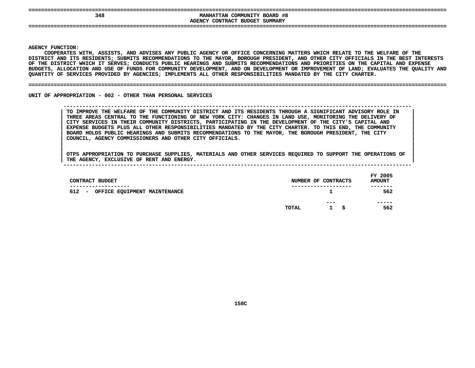| 348   | COMMUNITY BOARD #8<br><b>MANHATTAN</b> |
|-------|----------------------------------------|
|       | AGENCY CONTRACT BUDGET SUMMARY         |
| $- -$ |                                        |
|       |                                        |
|       |                                        |

**|**

Y FUNCTION:<br>COOPERATES<br>ICT AND ITS<br>ICT AND ITS **COOPERATES**S WITH, ASSISTS, AND ADVISES ANY PUBLIC AGENCY OR OFFICE CONCERNING MATTERS WHICH RELATE TO THE WELFARE OF THE<br>TS RESIDENTS; SUBMITS RECOMMENDATIONS TO THE MAYOR, BOROUGH PRESIDENT, AND OTHER CITY OFFICIALS IN THE BEST IN<br> **DISTRICT**T AND ITS RESIDENTS; SUBMITS RECOMMENDATIONS TO THE MAYOR, BOROUGH PRESIDENT, AND OTHER CITY OFFICIALS IN THE BEST INTERESTS<br>DISTRICT WHICH IT SERVES; CONDUCTS PUBLIC HEARINGS AND SUBMITS RECOMMENDATIONS AND PRIORITIES ON OF THE DISTRICT WHICH IT SERVES: CONDUCTS PUBLIC HEARINGS AND SUBMITS RECOMMENDATIONS AND PRIORITIES ON THE CAPITAL AND EXPENSE F THE DISTRICT WHICH IT SERVES; CONDUCTS PUBLIC HEARINGS AND SUBMITS RECOMMENDATIONS AND PRIORITIES ON THE CAPITAL AND EXPENSE<br>UDGETS, ALLOCATION AND USE OF FUNDS FOR COMMUNITY DEVELOPMENT, AND ON DEVELOPMENT OR IMPROVEMEN **BUDGETS,**, ALLOCATION AND USE OF FUNDS FOR COMMUNITY DEVELOPMENT, AND ON DEVELOPMENT OR IMPROVEMENT OF LAND; EVALUATES THE QUALITY AND<br>Y OF SERVICES PROVIDED BY AGENCIES; IMPLEMENTS ALL OTHER RESPONSIBILITIES MANDATED BY THE CITY C **QUANTITY**

### **OF SERVICES PROVIDED BY AGENCIES; IMPLEMENTS ALL OTHER RESPONSIBILITIES MANDATED BY THE CITY CHARTER. ====================================================================================================================================**

UNIT OF APPROPRIATION - 002 - OTHER THAN PERSONAL SERVICES

 **OF APPROPRIATION - <sup>002</sup> - OTHER THAN PERSONAL SERVICES --------------------------------------------------------------------------------------------------------------**TO IMPROVE THE WELFARE OF THE COMMUNITY DISTRICT AND ITS RESIDENTS THROUGH A SIGNIFICANT ADVISORY ROLE IN THREE AREAS CENTRAL TO THE FUNCTIONING OF NEW YORK CITY: CHANGES IN LAND USE, MONITORING THE DELIVERY OF CITY SERVIC TO IMPROVE THE WELFARE OF THE COMMUNITY DISTRICT AND ITS RESIDENTS THROUGH A SIGNIFICANT ADVISORY ROLE IN THREE AREAS CENTRAL TO THE FUNCTIONING OF NEW YORK CITY: CHANGES IN LAND USE, MONITORING THE DELIVERY OF<br>CITY SERVICES IN THEIR COMMUNITY DISTRICTS, PARTICIPATING IN THE DEVELOPMENT OF THE CITY'S CAPITAL AND<br>EXPENSE BUDGET **CITY SERVICES IN THEIR COMMUNITY DISTRICTS, PARTICIPATING IN THE DEVELOPMENT OF THE CITY'S CAPITAL AND <sup>|</sup>** EXPENSE BUDGETS PLUS ALL OTHER RESPONSIBILITIES MANDATED BY THE CITY CHARTER. TO THIS END, THE COMMUNITY<br>BOARD HOLDS PUBLIC HEARINGS AND SUBMITS RECOMMENDATIONS TO THE MAYOR, THE BOROUGH PRESIDENT, THE CITY<br>COUNCIL, AGENCY **BOARD HOLDS PUBLIC HEARINGS AND SUBMITS RECOMMENDATIONS TO THE MAYOR, THE BOROUGH PRESIDENT, THE CITY <sup>|</sup> COUNCIL, AGENCY COMMISSIONERS AND OTHER CITY OFFICIALS. <sup>|</sup>**

| CONTRACT BUDGET                                                               |       | NUMBER OF CONTRACTS        | FY 2005<br><b>AMOUNT</b> |
|-------------------------------------------------------------------------------|-------|----------------------------|--------------------------|
| ----------<br>612<br>OFFICE EQUIPMENT MAINTENANCE<br>$\overline{\phantom{0}}$ |       | ---------------            | -------<br>562           |
|                                                                               | TOTAL | ---<br>- S<br>$\mathbf{1}$ | -----<br>562             |
|                                                                               |       |                            |                          |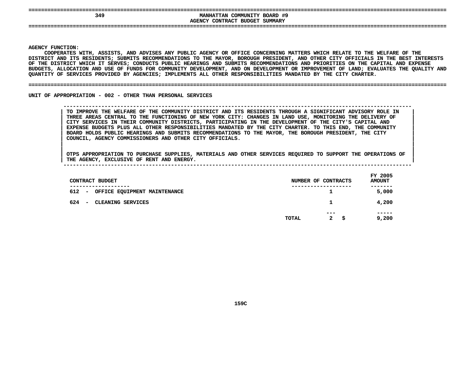| ---<br>$- -$ |                                        |
|--------------|----------------------------------------|
| 349          | COMMUNITY BOARD #9<br><b>MANHATTAN</b> |
|              | SUMMARY<br>AGENCY CONTRACT BUDGET      |
| --           |                                        |
|              |                                        |

**|**

Y FUNCTION:<br>COOPERATES<br>ICT AND ITS<br>ICT AND ITS **COOPERATES**S WITH, ASSISTS, AND ADVISES ANY PUBLIC AGENCY OR OFFICE CONCERNING MATTERS WHICH RELATE TO THE WELFARE OF THE<br>TS RESIDENTS; SUBMITS RECOMMENDATIONS TO THE MAYOR, BOROUGH PRESIDENT, AND OTHER CITY OFFICIALS IN THE BEST IN<br> **DISTRICT**T AND ITS RESIDENTS; SUBMITS RECOMMENDATIONS TO THE MAYOR, BOROUGH PRESIDENT, AND OTHER CITY OFFICIALS IN THE BEST INTERESTS<br>DISTRICT WHICH IT SERVES; CONDUCTS PUBLIC HEARINGS AND SUBMITS RECOMMENDATIONS AND PRIORITIES ON OF THE DISTRICT WHICH IT SERVES: CONDUCTS PUBLIC HEARINGS AND SUBMITS RECOMMENDATIONS AND PRIORITIES ON THE CAPITAL AND EXPENSE F THE DISTRICT WHICH IT SERVES; CONDUCTS PUBLIC HEARINGS AND SUBMITS RECOMMENDATIONS AND PRIORITIES ON THE CAPITAL AND EXPENSE<br>UDGETS, ALLOCATION AND USE OF FUNDS FOR COMMUNITY DEVELOPMENT, AND ON DEVELOPMENT OR IMPROVEMEN **BUDGETS,**, ALLOCATION AND USE OF FUNDS FOR COMMUNITY DEVELOPMENT, AND ON DEVELOPMENT OR IMPROVEMENT OF LAND; EVALUATES THE QUALITY AND<br>Y OF SERVICES PROVIDED BY AGENCIES; IMPLEMENTS ALL OTHER RESPONSIBILITIES MANDATED BY THE CITY C **QUANTITY**

#### **OF SERVICES PROVIDED BY AGENCIES; IMPLEMENTS ALL OTHER RESPONSIBILITIES MANDATED BY THE CITY CHARTER. ====================================================================================================================================**

UNIT OF APPROPRIATION - 002 - OTHER THAN PERSONAL SERVICES

 **OF APPROPRIATION - <sup>002</sup> - OTHER THAN PERSONAL SERVICES --------------------------------------------------------------------------------------------------------------**TO IMPROVE THE WELFARE OF THE COMMUNITY DISTRICT AND ITS RESIDENTS THROUGH A SIGNIFICANT ADVISORY ROLE IN THREE AREAS CENTRAL TO THE FUNCTIONING OF NEW YORK CITY: CHANGES IN LAND USE, MONITORING THE DELIVERY OF CITY SERVIC TO IMPROVE THE WELFARE OF THE COMMUNITY DISTRICT AND ITS RESIDENTS THROUGH A SIGNIFICANT ADVISORY ROLE IN THREE AREAS CENTRAL TO THE FUNCTIONING OF NEW YORK CITY: CHANGES IN LAND USE, MONITORING THE DELIVERY OF<br>CITY SERVICES IN THEIR COMMUNITY DISTRICTS, PARTICIPATING IN THE DEVELOPMENT OF THE CITY'S CAPITAL AND<br>EXPENSE BUDGET **CITY SERVICES IN THEIR COMMUNITY DISTRICTS, PARTICIPATING IN THE DEVELOPMENT OF THE CITY'S CAPITAL AND <sup>|</sup>** EXPENSE BUDGETS PLUS ALL OTHER RESPONSIBILITIES MANDATED BY THE CITY CHARTER. TO THIS END, THE COMMUNITY<br>BOARD HOLDS PUBLIC HEARINGS AND SUBMITS RECOMMENDATIONS TO THE MAYOR, THE BOROUGH PRESIDENT, THE CITY<br>COUNCIL, AGENCY **BOARD HOLDS PUBLIC HEARINGS AND SUBMITS RECOMMENDATIONS TO THE MAYOR, THE BOROUGH PRESIDENT, THE CITY <sup>|</sup> COUNCIL, AGENCY COMMISSIONERS AND OTHER CITY OFFICIALS. <sup>|</sup>**

| THE | <b>AGENCY</b> | <b>EXCLUSIVE OF</b> | RENT | AND | ENERGY. |             |
|-----|---------------|---------------------|------|-----|---------|-------------|
|     |               |                     |      |     |         | 2005<br>ਦvਾ |

| CONTRACT BUDGET                                                                 |       | NUMBER OF CONTRACTS        | FY 2005<br><b>AMOUNT</b> |
|---------------------------------------------------------------------------------|-------|----------------------------|--------------------------|
| ------------<br>612<br>OFFICE EQUIPMENT MAINTENANCE<br>$\overline{\phantom{a}}$ |       | ----------------<br>1      | .<br>5,000               |
| 624<br>CLEANING SERVICES<br>$\overline{\phantom{0}}$                            |       | 1                          | 4,200                    |
|                                                                                 | TOTAL | ---<br>$\mathbf{2}$<br>- S | -----<br>9,200           |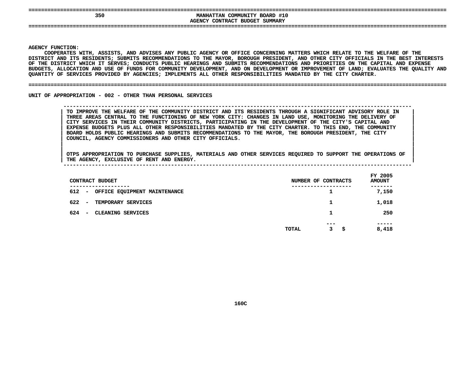| 350                       | COMMUNITY BOARD #10<br><b>MANHATTAN</b>                 |  |
|---------------------------|---------------------------------------------------------|--|
| ------------------------- | AGENCY CONTRACT BUDGET SUMMARY<br>--------------------- |  |
| -----                     |                                                         |  |
|                           |                                                         |  |

**|**

Y FUNCTION:<br>COOPERATES<br>ICT AND ITS<br>ICT AND ITS **COOPERATES**S WITH, ASSISTS, AND ADVISES ANY PUBLIC AGENCY OR OFFICE CONCERNING MATTERS WHICH RELATE TO THE WELFARE OF THE<br>TS RESIDENTS; SUBMITS RECOMMENDATIONS TO THE MAYOR, BOROUGH PRESIDENT, AND OTHER CITY OFFICIALS IN THE BEST IN<br> **DISTRICT**T AND ITS RESIDENTS; SUBMITS RECOMMENDATIONS TO THE MAYOR, BOROUGH PRESIDENT, AND OTHER CITY OFFICIALS IN THE BEST INTERESTS<br>DISTRICT WHICH IT SERVES; CONDUCTS PUBLIC HEARINGS AND SUBMITS RECOMMENDATIONS AND PRIORITIES ON OF THE DISTRICT WHICH IT SERVES: CONDUCTS PUBLIC HEARINGS AND SUBMITS RECOMMENDATIONS AND PRIORITIES ON THE CAPITAL AND EXPENSE F THE DISTRICT WHICH IT SERVES; CONDUCTS PUBLIC HEARINGS AND SUBMITS RECOMMENDATIONS AND PRIORITIES ON THE CAPITAL AND EXPENSE<br>UDGETS, ALLOCATION AND USE OF FUNDS FOR COMMUNITY DEVELOPMENT, AND ON DEVELOPMENT OR IMPROVEMEN **BUDGETS,**, ALLOCATION AND USE OF FUNDS FOR COMMUNITY DEVELOPMENT, AND ON DEVELOPMENT OR IMPROVEMENT OF LAND; EVALUATES THE QUALITY AND<br>Y OF SERVICES PROVIDED BY AGENCIES; IMPLEMENTS ALL OTHER RESPONSIBILITIES MANDATED BY THE CITY C **QUANTITY**

### **OF SERVICES PROVIDED BY AGENCIES; IMPLEMENTS ALL OTHER RESPONSIBILITIES MANDATED BY THE CITY CHARTER. ====================================================================================================================================**

UNIT OF APPROPRIATION - 002 - OTHER THAN PERSONAL SERVICES

 **OF APPROPRIATION - <sup>002</sup> - OTHER THAN PERSONAL SERVICES --------------------------------------------------------------------------------------------------------------**TO IMPROVE THE WELFARE OF THE COMMUNITY DISTRICT AND ITS RESIDENTS THROUGH A SIGNIFICANT ADVISORY ROLE IN THREE AREAS CENTRAL TO THE FUNCTIONING OF NEW YORK CITY: CHANGES IN LAND USE, MONITORING THE DELIVERY OF CITY SERVIC TO IMPROVE THE WELFARE OF THE COMMUNITY DISTRICT AND ITS RESIDENTS THROUGH A SIGNIFICANT ADVISORY ROLE IN THREE AREAS CENTRAL TO THE FUNCTIONING OF NEW YORK CITY: CHANGES IN LAND USE, MONITORING THE DELIVERY OF<br>CITY SERVICES IN THEIR COMMUNITY DISTRICTS, PARTICIPATING IN THE DEVELOPMENT OF THE CITY'S CAPITAL AND<br>EXPENSE BUDGET **CITY SERVICES IN THEIR COMMUNITY DISTRICTS, PARTICIPATING IN THE DEVELOPMENT OF THE CITY'S CAPITAL AND <sup>|</sup>** EXPENSE BUDGETS PLUS ALL OTHER RESPONSIBILITIES MANDATED BY THE CITY CHARTER. TO THIS END, THE COMMUNITY<br>BOARD HOLDS PUBLIC HEARINGS AND SUBMITS RECOMMENDATIONS TO THE MAYOR, THE BOROUGH PRESIDENT, THE CITY<br>COUNCIL, AGENCY **BOARD HOLDS PUBLIC HEARINGS AND SUBMITS RECOMMENDATIONS TO THE MAYOR, THE BOROUGH PRESIDENT, THE CITY <sup>|</sup> COUNCIL, AGENCY COMMISSIONERS AND OTHER CITY OFFICIALS. <sup>|</sup>**

| CONTRACT BUDGET                                         | NUMBER OF CONTRACTS          | FY 2005<br><b>AMOUNT</b> |
|---------------------------------------------------------|------------------------------|--------------------------|
| --------------<br>612 -<br>OFFICE EQUIPMENT MAINTENANCE | ----------------<br>ᅩ        | -----<br>7,150           |
| 622<br>TEMPORARY SERVICES<br>$\overline{\phantom{0}}$   | 1                            | 1,018                    |
| 624<br>CLEANING SERVICES<br>$\overline{\phantom{0}}$    | 1.                           | 250                      |
|                                                         | $- - -$<br>3<br>- 5<br>TOTAL | -----<br>8,418           |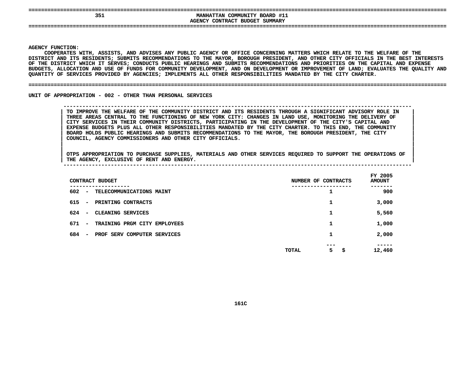| 351 | COMMUNITY BOARD #11<br><b>MANHATTAN</b><br>AGENCY CONTRACT BUDGET SUMMARY |  |
|-----|---------------------------------------------------------------------------|--|
|     |                                                                           |  |

**|**

Y FUNCTION:<br>COOPERATES<br>ICT AND ITS<br>ICT AND ITS **COOPERATES**S WITH, ASSISTS, AND ADVISES ANY PUBLIC AGENCY OR OFFICE CONCERNING MATTERS WHICH RELATE TO THE WELFARE OF THE<br>TS RESIDENTS; SUBMITS RECOMMENDATIONS TO THE MAYOR, BOROUGH PRESIDENT, AND OTHER CITY OFFICIALS IN THE BEST IN<br> **DISTRICT**T AND ITS RESIDENTS; SUBMITS RECOMMENDATIONS TO THE MAYOR, BOROUGH PRESIDENT, AND OTHER CITY OFFICIALS IN THE BEST INTERESTS<br>DISTRICT WHICH IT SERVES; CONDUCTS PUBLIC HEARINGS AND SUBMITS RECOMMENDATIONS AND PRIORITIES ON OF THE DISTRICT WHICH IT SERVES: CONDUCTS PUBLIC HEARINGS AND SUBMITS RECOMMENDATIONS AND PRIORITIES ON THE CAPITAL AND EXPENSE F THE DISTRICT WHICH IT SERVES; CONDUCTS PUBLIC HEARINGS AND SUBMITS RECOMMENDATIONS AND PRIORITIES ON THE CAPITAL AND EXPENSE<br>UDGETS, ALLOCATION AND USE OF FUNDS FOR COMMUNITY DEVELOPMENT, AND ON DEVELOPMENT OR IMPROVEMEN BUDGETS, ALLOCATION AND USE OF FUNDS FOR COMMUNITY DEVELOPMENT, AND ON DEVELOPMENT OR IMPROVEMENT OF LAND; EVALUATES THE QUALITY AND<br>QUANTITY OF SERVICES PROVIDED BY AGENCIES; IMPLEMENTS ALL OTHER RESPONSIBILITIES MANDATED QUANTITY OF SERVICES PROVIDED BY AGENCIES; IMPLEMENTS ALL OTHER RESPONSIBILITIES MANDATED BY THE CITY CHARTER.

### **OF SERVICES PROVIDED BY AGENCIES; IMPLEMENTS ALL OTHER RESPONSIBILITIES MANDATED BY THE CITY CHARTER. ====================================================================================================================================**

UNIT OF APPROPRIATION - 002 - OTHER THAN PERSONAL SERVICES

### **OF APPROPRIATION - <sup>002</sup> - OTHER THAN PERSONAL SERVICES --------------------------------------------------------------------------------------------------------------**TO IMPROVE THE WELFARE OF THE COMMUNITY DISTRICT AND ITS RESIDENTS THROUGH A SIGNIFICANT ADVISORY ROLE IN THREE AREAS CENTRAL TO THE FUNCTIONING OF NEW YORK CITY: CHANGES IN LAND USE, MONITORING THE DELIVERY OF CITY SERVIC TO IMPROVE THE WELFARE OF THE COMMUNITY DISTRICT AND ITS RESIDENTS THROUGH A SIGNIFICANT ADVISORY ROLE IN THREE AREAS CENTRAL TO THE FUNCTIONING OF NEW YORK CITY: CHANGES IN LAND USE, MONITORING THE DELIVERY OF<br>CITY SERVICES IN THEIR COMMUNITY DISTRICTS, PARTICIPATING IN THE DEVELOPMENT OF THE CITY'S CAPITAL AND<br>EXPENSE BUDGET **CITY SERVICES IN THEIR COMMUNITY DISTRICTS, PARTICIPATING IN THE DEVELOPMENT OF THE CITY'S CAPITAL AND <sup>|</sup>** EXPENSE BUDGETS PLUS ALL OTHER RESPONSIBILITIES MANDATED BY THE CITY CHARTER. TO THIS END, THE COMMUNITY<br>BOARD HOLDS PUBLIC HEARINGS AND SUBMITS RECOMMENDATIONS TO THE MAYOR, THE BOROUGH PRESIDENT, THE CITY<br>COUNCIL, AGENCY **BOARD HOLDS PUBLIC HEARINGS AND SUBMITS RECOMMENDATIONS TO THE MAYOR, THE BOROUGH PRESIDENT, THE CITY <sup>|</sup> COUNCIL, AGENCY COMMISSIONERS AND OTHER CITY OFFICIALS. <sup>|</sup>**

| CONTRACT BUDGET                                                        | NUMBER OF CONTRACTS             | FY 2005<br><b>AMOUNT</b> |
|------------------------------------------------------------------------|---------------------------------|--------------------------|
| -------<br>602<br>TELECOMMUNICATIONS MAINT<br>$\overline{\phantom{m}}$ | ┻                               | 900                      |
| 615<br>PRINTING CONTRACTS<br>$\overline{\phantom{a}}$                  | 1                               | 3,000                    |
| 624<br>CLEANING SERVICES<br>$\overline{\phantom{a}}$                   | 1                               | 5,560                    |
| 671<br>TRAINING PRGM CITY EMPLOYEES<br>$\overline{\phantom{a}}$        | 1                               | 1,000                    |
| 684<br>PROF SERV COMPUTER SERVICES<br>$\overline{\phantom{a}}$         | 1                               | 2,000                    |
|                                                                        | ---<br>5<br><b>TOTAL</b><br>\$. | -----<br>12,460          |
|                                                                        |                                 |                          |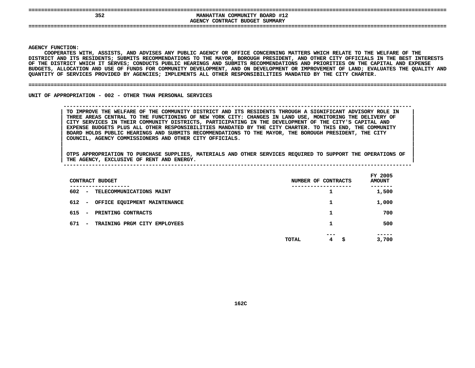| 352 | <b>MANHATTAN COMMUNITY BOARD #12</b><br>AGENCY CONTRACT BUDGET SUMMARY |  |
|-----|------------------------------------------------------------------------|--|
|     |                                                                        |  |

**|**

Y FUNCTION:<br>COOPERATES<br>ICT AND ITS<br>ICT AND ITS COOPERATES WITH, ASSISTS, AND ADVISES ANY PUBLIC AGENCY OR OFFICE CONCERNING MATTERS WHICH RELATE TO THE WELFARE OF THE S WITH, ASSISTS, AND ADVISES ANY PUBLIC AGENCY OR OFFICE CONCERNING MATTERS WHICH RELATE TO THE WELFARE OF THE<br>TS RESIDENTS; SUBMITS RECOMMENDATIONS TO THE MAYOR, BOROUGH PRESIDENT, AND OTHER CITY OFFICIALS IN THE BEST IN<br> **DISTRICT**T AND ITS RESIDENTS; SUBMITS RECOMMENDATIONS TO THE MAYOR, BOROUGH PRESIDENT, AND OTHER CITY OFFICIALS IN THE BEST INTERESTS<br>DISTRICT WHICH IT SERVES; CONDUCTS PUBLIC HEARINGS AND SUBMITS RECOMMENDATIONS AND PRIORITIES ON OF THE DISTRICT WHICH IT SERVES: CONDUCTS PUBLIC HEARINGS AND SUBMITS RECOMMENDATIONS AND PRIORITIES ON THE CAPITAL AND EXPENSE F THE DISTRICT WHICH IT SERVES; CONDUCTS PUBLIC HEARINGS AND SUBMITS RECOMMENDATIONS AND PRIORITIES ON THE CAPITAL AND EXPENSE<br>UDGETS, ALLOCATION AND USE OF FUNDS FOR COMMUNITY DEVELOPMENT, AND ON DEVELOPMENT OR IMPROVEMEN BUDGETS, ALLOCATION AND USE OF FUNDS FOR COMMUNITY DEVELOPMENT, AND ON DEVELOPMENT OR IMPROVEMENT OF LAND; EVALUATES THE QUALITY AND<br>QUANTITY OF SERVICES PROVIDED BY AGENCIES; IMPLEMENTS ALL OTHER RESPONSIBILITIES MANDATED QUANTITY OF SERVICES PROVIDED BY AGENCIES; IMPLEMENTS ALL OTHER RESPONSIBILITIES MANDATED BY THE CITY CHARTER.

### **OF SERVICES PROVIDED BY AGENCIES; IMPLEMENTS ALL OTHER RESPONSIBILITIES MANDATED BY THE CITY CHARTER. ====================================================================================================================================**

UNIT OF APPROPRIATION - 002 - OTHER THAN PERSONAL SERVICES

 **OF APPROPRIATION - <sup>002</sup> - OTHER THAN PERSONAL SERVICES --------------------------------------------------------------------------------------------------------------**TO IMPROVE THE WELFARE OF THE COMMUNITY DISTRICT AND ITS RESIDENTS THROUGH A SIGNIFICANT ADVISORY ROLE IN THREE AREAS CENTRAL TO THE FUNCTIONING OF NEW YORK CITY: CHANGES IN LAND USE, MONITORING THE DELIVERY OF CITY SERVIC TO IMPROVE THE WELFARE OF THE COMMUNITY DISTRICT AND ITS RESIDENTS THROUGH A SIGNIFICANT ADVISORY ROLE IN THREE AREAS CENTRAL TO THE FUNCTIONING OF NEW YORK CITY: CHANGES IN LAND USE, MONITORING THE DELIVERY OF<br>CITY SERVICES IN THEIR COMMUNITY DISTRICTS, PARTICIPATING IN THE DEVELOPMENT OF THE CITY'S CAPITAL AND<br>EXPENSE BUDGET **CITY SERVICES IN THEIR COMMUNITY DISTRICTS, PARTICIPATING IN THE DEVELOPMENT OF THE CITY'S CAPITAL AND <sup>|</sup>** EXPENSE BUDGETS PLUS ALL OTHER RESPONSIBILITIES MANDATED BY THE CITY CHARTER. TO THIS END, THE COMMUNITY<br>BOARD HOLDS PUBLIC HEARINGS AND SUBMITS RECOMMENDATIONS TO THE MAYOR, THE BOROUGH PRESIDENT, THE CITY<br>COUNCIL, AGENCY **BOARD HOLDS PUBLIC HEARINGS AND SUBMITS RECOMMENDATIONS TO THE MAYOR, THE BOROUGH PRESIDENT, THE CITY <sup>|</sup> COUNCIL, AGENCY COMMISSIONERS AND OTHER CITY OFFICIALS. <sup>|</sup>**

| CONTRACT BUDGET                                 | NUMBER OF CONTRACTS    | FY 2005<br><b>AMOUNT</b> |
|-------------------------------------------------|------------------------|--------------------------|
| ----------<br>602<br>- TELECOMMUNICATIONS MAINT | ----------------<br>┻  | . - - - - -<br>1,500     |
| 612<br>OFFICE EQUIPMENT MAINTENANCE<br>$\sim$   |                        | 1,000                    |
| 615<br>PRINTING CONTRACTS<br>$\sim$             | 1                      | 700                      |
| 671<br>TRAINING PRGM CITY EMPLOYEES<br>$\sim$   |                        | 500                      |
|                                                 | ---<br>4<br>TOTAL<br>s | -----<br>3,700           |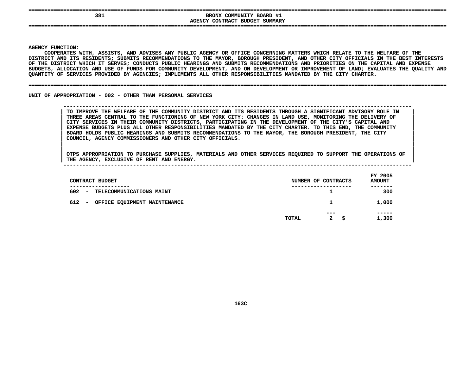| 381 | BRONX COMMUNITY BOARD #1<br>AGENCY CONTRACT BUDGET SUMMARY |  |
|-----|------------------------------------------------------------|--|
|     |                                                            |  |

**|**

Y FUNCTION:<br>COOPERATES<br>ICT AND ITS<br>ICT AND ITS **COOPERATES**S WITH, ASSISTS, AND ADVISES ANY PUBLIC AGENCY OR OFFICE CONCERNING MATTERS WHICH RELATE TO THE WELFARE OF THE<br>TS RESIDENTS; SUBMITS RECOMMENDATIONS TO THE MAYOR, BOROUGH PRESIDENT, AND OTHER CITY OFFICIALS IN THE BEST IN<br> **DISTRICT**T AND ITS RESIDENTS; SUBMITS RECOMMENDATIONS TO THE MAYOR, BOROUGH PRESIDENT, AND OTHER CITY OFFICIALS IN THE BEST INTERESTS<br>DISTRICT WHICH IT SERVES; CONDUCTS PUBLIC HEARINGS AND SUBMITS RECOMMENDATIONS AND PRIORITIES ON OF THE DISTRICT WHICH IT SERVES: CONDUCTS PUBLIC HEARINGS AND SUBMITS RECOMMENDATIONS AND PRIORITIES ON THE CAPITAL AND EXPENSE F THE DISTRICT WHICH IT SERVES; CONDUCTS PUBLIC HEARINGS AND SUBMITS RECOMMENDATIONS AND PRIORITIES ON THE CAPITAL AND EXPENSE<br>UDGETS, ALLOCATION AND USE OF FUNDS FOR COMMUNITY DEVELOPMENT, AND ON DEVELOPMENT OR IMPROVEMEN **BUDGETS,**, ALLOCATION AND USE OF FUNDS FOR COMMUNITY DEVELOPMENT, AND ON DEVELOPMENT OR IMPROVEMENT OF LAND; EVALUATES THE QUALITY AND<br>Y OF SERVICES PROVIDED BY AGENCIES; IMPLEMENTS ALL OTHER RESPONSIBILITIES MANDATED BY THE CITY C **QUANTITY**

### **OF SERVICES PROVIDED BY AGENCIES; IMPLEMENTS ALL OTHER RESPONSIBILITIES MANDATED BY THE CITY CHARTER. ====================================================================================================================================**

UNIT OF APPROPRIATION - 002 - OTHER THAN PERSONAL SERVICES

 **OF APPROPRIATION - <sup>002</sup> - OTHER THAN PERSONAL SERVICES --------------------------------------------------------------------------------------------------------------**TO IMPROVE THE WELFARE OF THE COMMUNITY DISTRICT AND ITS RESIDENTS THROUGH A SIGNIFICANT ADVISORY ROLE IN THREE AREAS CENTRAL TO THE FUNCTIONING OF NEW YORK CITY: CHANGES IN LAND USE, MONITORING THE DELIVERY OF CITY SERVIC TO IMPROVE THE WELFARE OF THE COMMUNITY DISTRICT AND ITS RESIDENTS THROUGH A SIGNIFICANT ADVISORY ROLE IN THREE AREAS CENTRAL TO THE FUNCTIONING OF NEW YORK CITY: CHANGES IN LAND USE, MONITORING THE DELIVERY OF<br>CITY SERVICES IN THEIR COMMUNITY DISTRICTS, PARTICIPATING IN THE DEVELOPMENT OF THE CITY'S CAPITAL AND<br>EXPENSE BUDGET **CITY SERVICES IN THEIR COMMUNITY DISTRICTS, PARTICIPATING IN THE DEVELOPMENT OF THE CITY'S CAPITAL AND <sup>|</sup>** EXPENSE BUDGETS PLUS ALL OTHER RESPONSIBILITIES MANDATED BY THE CITY CHARTER. TO THIS END, THE COMMUNITY<br>BOARD HOLDS PUBLIC HEARINGS AND SUBMITS RECOMMENDATIONS TO THE MAYOR, THE BOROUGH PRESIDENT, THE CITY<br>COUNCIL, AGENCY **BOARD HOLDS PUBLIC HEARINGS AND SUBMITS RECOMMENDATIONS TO THE MAYOR, THE BOROUGH PRESIDENT, THE CITY <sup>|</sup> COUNCIL, AGENCY COMMISSIONERS AND OTHER CITY OFFICIALS. <sup>|</sup>**

| CONTRACT BUDGET                                             | NUMBER OF CONTRACTS                  | FY 2005<br><b>AMOUNT</b> |
|-------------------------------------------------------------|--------------------------------------|--------------------------|
| 602<br>TELECOMMUNICATIONS MAINT<br>$\overline{\phantom{a}}$ | ----------                           | 300                      |
| 612<br>OFFICE EQUIPMENT MAINTENANCE<br>-                    |                                      | 1,000                    |
|                                                             | $- - -$                              | -----                    |
|                                                             | $\mathbf{2}$<br>- \$<br><b>TOTAL</b> | 1,300                    |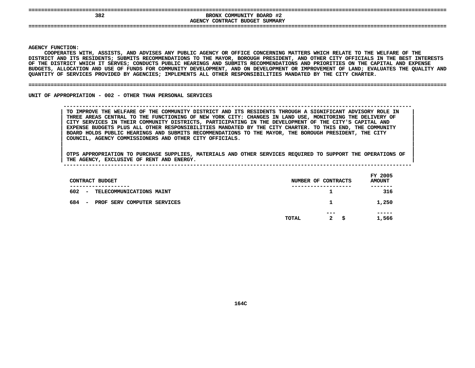| 382 | --------------------------------------<br>BRONX COMMUNITY BOARD #2<br>AGENCY CONTRACT BUDGET SUMMARY |  |
|-----|------------------------------------------------------------------------------------------------------|--|
|     |                                                                                                      |  |

**|**

Y FUNCTION:<br>COOPERATES<br>ICT AND ITS<br>ICT AND ITS COOPERATES WITH, ASSISTS, AND ADVISES ANY PUBLIC AGENCY OR OFFICE CONCERNING MATTERS WHICH RELATE TO THE WELFARE OF THE S WITH, ASSISTS, AND ADVISES ANY PUBLIC AGENCY OR OFFICE CONCERNING MATTERS WHICH RELATE TO THE WELFARE OF THE<br>TS RESIDENTS; SUBMITS RECOMMENDATIONS TO THE MAYOR, BOROUGH PRESIDENT, AND OTHER CITY OFFICIALS IN THE BEST IN<br> **DISTRICT**T AND ITS RESIDENTS; SUBMITS RECOMMENDATIONS TO THE MAYOR, BOROUGH PRESIDENT, AND OTHER CITY OFFICIALS IN THE BEST INTERESTS<br>DISTRICT WHICH IT SERVES; CONDUCTS PUBLIC HEARINGS AND SUBMITS RECOMMENDATIONS AND PRIORITIES ON OF THE DISTRICT WHICH IT SERVES: CONDUCTS PUBLIC HEARINGS AND SUBMITS RECOMMENDATIONS AND PRIORITIES ON THE CAPITAL AND EXPENSE F THE DISTRICT WHICH IT SERVES; CONDUCTS PUBLIC HEARINGS AND SUBMITS RECOMMENDATIONS AND PRIORITIES ON THE CAPITAL AND EXPENSE<br>UDGETS, ALLOCATION AND USE OF FUNDS FOR COMMUNITY DEVELOPMENT, AND ON DEVELOPMENT OR IMPROVEMEN BUDGETS, ALLOCATION AND USE OF FUNDS FOR COMMUNITY DEVELOPMENT, AND ON DEVELOPMENT OR IMPROVEMENT OF LAND; EVALUATES THE QUALITY AND<br>QUANTITY OF SERVICES PROVIDED BY AGENCIES; IMPLEMENTS ALL OTHER RESPONSIBILITIES MANDATED QUANTITY OF SERVICES PROVIDED BY AGENCIES; IMPLEMENTS ALL OTHER RESPONSIBILITIES MANDATED BY THE CITY CHARTER.

### **OF SERVICES PROVIDED BY AGENCIES; IMPLEMENTS ALL OTHER RESPONSIBILITIES MANDATED BY THE CITY CHARTER. ====================================================================================================================================**

UNIT OF APPROPRIATION - 002 - OTHER THAN PERSONAL SERVICES

 **OF APPROPRIATION - <sup>002</sup> - OTHER THAN PERSONAL SERVICES --------------------------------------------------------------------------------------------------------------**TO IMPROVE THE WELFARE OF THE COMMUNITY DISTRICT AND ITS RESIDENTS THROUGH A SIGNIFICANT ADVISORY ROLE IN THREE AREAS CENTRAL TO THE FUNCTIONING OF NEW YORK CITY: CHANGES IN LAND USE, MONITORING THE DELIVERY OF CITY SERVIC TO IMPROVE THE WELFARE OF THE COMMUNITY DISTRICT AND ITS RESIDENTS THROUGH A SIGNIFICANT ADVISORY ROLE IN THREE AREAS CENTRAL TO THE FUNCTIONING OF NEW YORK CITY: CHANGES IN LAND USE, MONITORING THE DELIVERY OF<br>CITY SERVICES IN THEIR COMMUNITY DISTRICTS, PARTICIPATING IN THE DEVELOPMENT OF THE CITY'S CAPITAL AND<br>EXPENSE BUDGET **CITY SERVICES IN THEIR COMMUNITY DISTRICTS, PARTICIPATING IN THE DEVELOPMENT OF THE CITY'S CAPITAL AND <sup>|</sup>** EXPENSE BUDGETS PLUS ALL OTHER RESPONSIBILITIES MANDATED BY THE CITY CHARTER. TO THIS END, THE COMMUNITY<br>BOARD HOLDS PUBLIC HEARINGS AND SUBMITS RECOMMENDATIONS TO THE MAYOR, THE BOROUGH PRESIDENT, THE CITY<br>COUNCIL, AGENCY **BOARD HOLDS PUBLIC HEARINGS AND SUBMITS RECOMMENDATIONS TO THE MAYOR, THE BOROUGH PRESIDENT, THE CITY <sup>|</sup> COUNCIL, AGENCY COMMISSIONERS AND OTHER CITY OFFICIALS. <sup>|</sup>**

| THE AGENCY, |                 | <b>EXCLUSIVE OF RENT AND</b> |  | ENERGY. |  |        |    |                  |                          |  |
|-------------|-----------------|------------------------------|--|---------|--|--------|----|------------------|--------------------------|--|
|             |                 |                              |  |         |  |        |    |                  |                          |  |
|             | CONTRACT BUDGET |                              |  |         |  | NUMBER | OF | <b>CONTRACTS</b> | FY 2005<br><b>AMOUNT</b> |  |

| CONTRACT BUDGET                              |              | NUMBER OF CONTRACTS   | FY 2005<br><b>AMOUNT</b> |
|----------------------------------------------|--------------|-----------------------|--------------------------|
| 602<br>TELECOMMUNICATIONS MAINT<br>$\sim$    |              | ----------------<br>┻ | 316                      |
| 684<br>PROF SERV COMPUTER SERVICES<br>$\sim$ |              | 1                     | 1,250                    |
|                                              | <b>TOTAL</b> | ---<br>2<br>s         | 1,566                    |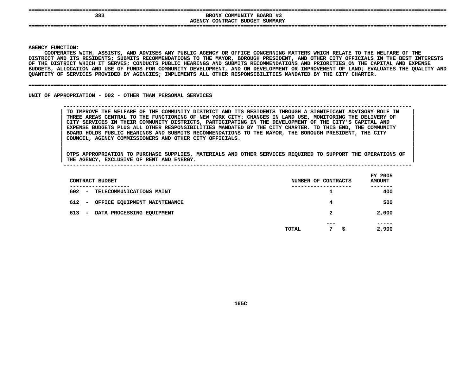| 383 | BRONX COMMUNITY BOARD #3<br>SUMMARY<br>AGENCY CONTRACT BUDGET<br>_________________<br>________<br>----- |  |
|-----|---------------------------------------------------------------------------------------------------------|--|
|     |                                                                                                         |  |

**|**

Y FUNCTION:<br>COOPERATES<br>ICT AND ITS<br>ICT AND ITS **COOPERATES**S WITH, ASSISTS, AND ADVISES ANY PUBLIC AGENCY OR OFFICE CONCERNING MATTERS WHICH RELATE TO THE WELFARE OF THE<br>TS RESIDENTS; SUBMITS RECOMMENDATIONS TO THE MAYOR, BOROUGH PRESIDENT, AND OTHER CITY OFFICIALS IN THE BEST IN<br> **DISTRICT**T AND ITS RESIDENTS; SUBMITS RECOMMENDATIONS TO THE MAYOR, BOROUGH PRESIDENT, AND OTHER CITY OFFICIALS IN THE BEST INTERESTS<br>DISTRICT WHICH IT SERVES; CONDUCTS PUBLIC HEARINGS AND SUBMITS RECOMMENDATIONS AND PRIORITIES ON OF THE DISTRICT WHICH IT SERVES: CONDUCTS PUBLIC HEARINGS AND SUBMITS RECOMMENDATIONS AND PRIORITIES ON THE CAPITAL AND EXPENSE F THE DISTRICT WHICH IT SERVES; CONDUCTS PUBLIC HEARINGS AND SUBMITS RECOMMENDATIONS AND PRIORITIES ON THE CAPITAL AND EXPENSE<br>UDGETS, ALLOCATION AND USE OF FUNDS FOR COMMUNITY DEVELOPMENT, AND ON DEVELOPMENT OR IMPROVEMEN **BUDGETS,**, ALLOCATION AND USE OF FUNDS FOR COMMUNITY DEVELOPMENT, AND ON DEVELOPMENT OR IMPROVEMENT OF LAND; EVALUATES THE QUALITY AND<br>Y OF SERVICES PROVIDED BY AGENCIES; IMPLEMENTS ALL OTHER RESPONSIBILITIES MANDATED BY THE CITY C **QUANTITY**

### **OF SERVICES PROVIDED BY AGENCIES; IMPLEMENTS ALL OTHER RESPONSIBILITIES MANDATED BY THE CITY CHARTER. ====================================================================================================================================**

UNIT OF APPROPRIATION - 002 - OTHER THAN PERSONAL SERVICES

 **OF APPROPRIATION - <sup>002</sup> - OTHER THAN PERSONAL SERVICES --------------------------------------------------------------------------------------------------------------**TO IMPROVE THE WELFARE OF THE COMMUNITY DISTRICT AND ITS RESIDENTS THROUGH A SIGNIFICANT ADVISORY ROLE IN THREE AREAS CENTRAL TO THE FUNCTIONING OF NEW YORK CITY: CHANGES IN LAND USE, MONITORING THE DELIVERY OF CITY SERVIC TO IMPROVE THE WELFARE OF THE COMMUNITY DISTRICT AND ITS RESIDENTS THROUGH A SIGNIFICANT ADVISORY ROLE IN THREE AREAS CENTRAL TO THE FUNCTIONING OF NEW YORK CITY: CHANGES IN LAND USE, MONITORING THE DELIVERY OF<br>CITY SERVICES IN THEIR COMMUNITY DISTRICTS, PARTICIPATING IN THE DEVELOPMENT OF THE CITY'S CAPITAL AND<br>EXPENSE BUDGET **CITY SERVICES IN THEIR COMMUNITY DISTRICTS, PARTICIPATING IN THE DEVELOPMENT OF THE CITY'S CAPITAL AND <sup>|</sup>** EXPENSE BUDGETS PLUS ALL OTHER RESPONSIBILITIES MANDATED BY THE CITY CHARTER. TO THIS END, THE COMMUNITY<br>BOARD HOLDS PUBLIC HEARINGS AND SUBMITS RECOMMENDATIONS TO THE MAYOR, THE BOROUGH PRESIDENT, THE CITY<br>COUNCIL, AGENCY **BOARD HOLDS PUBLIC HEARINGS AND SUBMITS RECOMMENDATIONS TO THE MAYOR, THE BOROUGH PRESIDENT, THE CITY <sup>|</sup> COUNCIL, AGENCY COMMISSIONERS AND OTHER CITY OFFICIALS. <sup>|</sup>**

| CONTRACT BUDGET                                              | NUMBER OF CONTRACTS        | FY 2005<br><b>AMOUNT</b> |
|--------------------------------------------------------------|----------------------------|--------------------------|
| ------------<br>602<br>TELECOMMUNICATIONS MAINT<br>$\sim$    |                            | ----<br>400              |
| 612 -<br>OFFICE EQUIPMENT MAINTENANCE                        | 4                          | 500                      |
| 613<br>DATA PROCESSING EQUIPMENT<br>$\overline{\phantom{0}}$ | 2                          | 2,000                    |
|                                                              | $- - -$<br>7<br>TOTAL<br>s | -----<br>2,900           |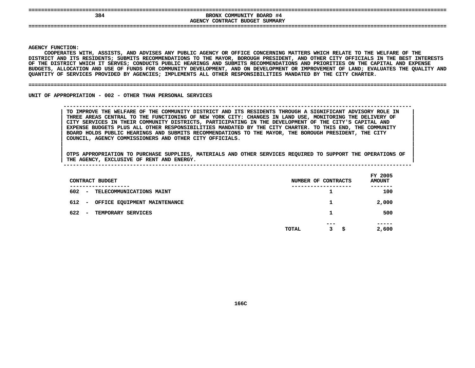| 384 | COMMUNITY BOARD #4<br>BRONX    |  |
|-----|--------------------------------|--|
|     | AGENCY CONTRACT BUDGET SUMMARY |  |
|     |                                |  |
|     |                                |  |

**|**

Y FUNCTION:<br>COOPERATES<br>ICT AND ITS<br>ICT AND ITS **COOPERATES**S WITH, ASSISTS, AND ADVISES ANY PUBLIC AGENCY OR OFFICE CONCERNING MATTERS WHICH RELATE TO THE WELFARE OF THE<br>TS RESIDENTS; SUBMITS RECOMMENDATIONS TO THE MAYOR, BOROUGH PRESIDENT, AND OTHER CITY OFFICIALS IN THE BEST IN<br> **DISTRICT**T AND ITS RESIDENTS; SUBMITS RECOMMENDATIONS TO THE MAYOR, BOROUGH PRESIDENT, AND OTHER CITY OFFICIALS IN THE BEST INTERESTS<br>DISTRICT WHICH IT SERVES; CONDUCTS PUBLIC HEARINGS AND SUBMITS RECOMMENDATIONS AND PRIORITIES ON OF THE DISTRICT WHICH IT SERVES: CONDUCTS PUBLIC HEARINGS AND SUBMITS RECOMMENDATIONS AND PRIORITIES ON THE CAPITAL AND EXPENSE F THE DISTRICT WHICH IT SERVES; CONDUCTS PUBLIC HEARINGS AND SUBMITS RECOMMENDATIONS AND PRIORITIES ON THE CAPITAL AND EXPENSE<br>UDGETS, ALLOCATION AND USE OF FUNDS FOR COMMUNITY DEVELOPMENT, AND ON DEVELOPMENT OR IMPROVEMEN **BUDGETS,**, ALLOCATION AND USE OF FUNDS FOR COMMUNITY DEVELOPMENT, AND ON DEVELOPMENT OR IMPROVEMENT OF LAND; EVALUATES THE QUALITY AND<br>Y OF SERVICES PROVIDED BY AGENCIES; IMPLEMENTS ALL OTHER RESPONSIBILITIES MANDATED BY THE CITY C **QUANTITY**

### **OF SERVICES PROVIDED BY AGENCIES; IMPLEMENTS ALL OTHER RESPONSIBILITIES MANDATED BY THE CITY CHARTER. ====================================================================================================================================**

UNIT OF APPROPRIATION - 002 - OTHER THAN PERSONAL SERVICES

### **OF APPROPRIATION - <sup>002</sup> - OTHER THAN PERSONAL SERVICES --------------------------------------------------------------------------------------------------------------**TO IMPROVE THE WELFARE OF THE COMMUNITY DISTRICT AND ITS RESIDENTS THROUGH A SIGNIFICANT ADVISORY ROLE IN THREE AREAS CENTRAL TO THE FUNCTIONING OF NEW YORK CITY: CHANGES IN LAND USE, MONITORING THE DELIVERY OF CITY SERVIC TO IMPROVE THE WELFARE OF THE COMMUNITY DISTRICT AND ITS RESIDENTS THROUGH A SIGNIFICANT ADVISORY ROLE IN THREE AREAS CENTRAL TO THE FUNCTIONING OF NEW YORK CITY: CHANGES IN LAND USE, MONITORING THE DELIVERY OF<br>CITY SERVICES IN THEIR COMMUNITY DISTRICTS, PARTICIPATING IN THE DEVELOPMENT OF THE CITY'S CAPITAL AND<br>EXPENSE BUDGET **CITY SERVICES IN THEIR COMMUNITY DISTRICTS, PARTICIPATING IN THE DEVELOPMENT OF THE CITY'S CAPITAL AND <sup>|</sup>** EXPENSE BUDGETS PLUS ALL OTHER RESPONSIBILITIES MANDATED BY THE CITY CHARTER. TO THIS END, THE COMMUNITY<br>BOARD HOLDS PUBLIC HEARINGS AND SUBMITS RECOMMENDATIONS TO THE MAYOR, THE BOROUGH PRESIDENT, THE CITY<br>COUNCIL, AGENCY **BOARD HOLDS PUBLIC HEARINGS AND SUBMITS RECOMMENDATIONS TO THE MAYOR, THE BOROUGH PRESIDENT, THE CITY <sup>|</sup> COUNCIL, AGENCY COMMISSIONERS AND OTHER CITY OFFICIALS. <sup>|</sup>**

| CONTRACT BUDGET                                                        |       | NUMBER OF CONTRACTS | FY 2005<br><b>AMOUNT</b> |
|------------------------------------------------------------------------|-------|---------------------|--------------------------|
| . _ _ _ _ _ _ _ _ _ _ _ _<br>602<br>TELECOMMUNICATIONS MAINT<br>$\sim$ |       | -------------<br>ᅩ  | ----<br>100              |
| 612<br>OFFICE EQUIPMENT MAINTENANCE<br>$\overline{\phantom{a}}$        |       |                     | 2,000                    |
| 622<br>TEMPORARY SERVICES<br>$\overline{\phantom{0}}$                  |       | 1                   | 500                      |
|                                                                        | TOTAL | ---<br>3<br>-Ş      | -----<br>2,600           |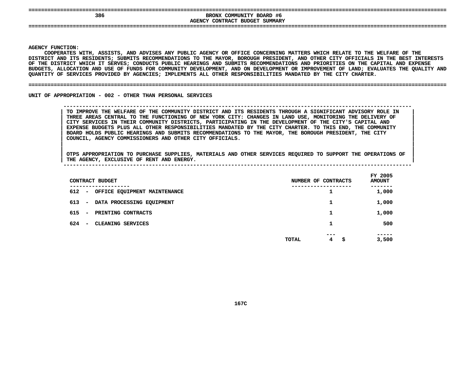| ---<br>386 | BRONX COMMUNITY BOARD #6<br>AGENCY CONTRACT BUDGET<br>SUMMARY |  |
|------------|---------------------------------------------------------------|--|
| ---        |                                                               |  |

**|**

Y FUNCTION:<br>COOPERATES<br>ICT AND ITS<br>ICT AND ITS **COOPERATES**S WITH, ASSISTS, AND ADVISES ANY PUBLIC AGENCY OR OFFICE CONCERNING MATTERS WHICH RELATE TO THE WELFARE OF THE<br>TS RESIDENTS; SUBMITS RECOMMENDATIONS TO THE MAYOR, BOROUGH PRESIDENT, AND OTHER CITY OFFICIALS IN THE BEST IN<br> **DISTRICT**T AND ITS RESIDENTS; SUBMITS RECOMMENDATIONS TO THE MAYOR, BOROUGH PRESIDENT, AND OTHER CITY OFFICIALS IN THE BEST INTERESTS<br>DISTRICT WHICH IT SERVES; CONDUCTS PUBLIC HEARINGS AND SUBMITS RECOMMENDATIONS AND PRIORITIES ON OF THE DISTRICT WHICH IT SERVES: CONDUCTS PUBLIC HEARINGS AND SUBMITS RECOMMENDATIONS AND PRIORITIES ON THE CAPITAL AND EXPENSE F THE DISTRICT WHICH IT SERVES; CONDUCTS PUBLIC HEARINGS AND SUBMITS RECOMMENDATIONS AND PRIORITIES ON THE CAPITAL AND EXPENSE<br>UDGETS, ALLOCATION AND USE OF FUNDS FOR COMMUNITY DEVELOPMENT, AND ON DEVELOPMENT OR IMPROVEMEN **BUDGETS,**, ALLOCATION AND USE OF FUNDS FOR COMMUNITY DEVELOPMENT, AND ON DEVELOPMENT OR IMPROVEMENT OF LAND; EVALUATES THE QUALITY AND<br>Y OF SERVICES PROVIDED BY AGENCIES; IMPLEMENTS ALL OTHER RESPONSIBILITIES MANDATED BY THE CITY C **QUANTITY**

### **OF SERVICES PROVIDED BY AGENCIES; IMPLEMENTS ALL OTHER RESPONSIBILITIES MANDATED BY THE CITY CHARTER. ====================================================================================================================================**

UNIT OF APPROPRIATION - 002 - OTHER THAN PERSONAL SERVICES

### **OF APPROPRIATION - <sup>002</sup> - OTHER THAN PERSONAL SERVICES --------------------------------------------------------------------------------------------------------------**TO IMPROVE THE WELFARE OF THE COMMUNITY DISTRICT AND ITS RESIDENTS THROUGH A SIGNIFICANT ADVISORY ROLE IN THREE AREAS CENTRAL TO THE FUNCTIONING OF NEW YORK CITY: CHANGES IN LAND USE, MONITORING THE DELIVERY OF CITY SERVIC TO IMPROVE THE WELFARE OF THE COMMUNITY DISTRICT AND ITS RESIDENTS THROUGH A SIGNIFICANT ADVISORY ROLE IN THREE AREAS CENTRAL TO THE FUNCTIONING OF NEW YORK CITY: CHANGES IN LAND USE, MONITORING THE DELIVERY OF<br>CITY SERVICES IN THEIR COMMUNITY DISTRICTS, PARTICIPATING IN THE DEVELOPMENT OF THE CITY'S CAPITAL AND<br>EXPENSE BUDGET **CITY SERVICES IN THEIR COMMUNITY DISTRICTS, PARTICIPATING IN THE DEVELOPMENT OF THE CITY'S CAPITAL AND <sup>|</sup>** EXPENSE BUDGETS PLUS ALL OTHER RESPONSIBILITIES MANDATED BY THE CITY CHARTER. TO THIS END, THE COMMUNITY<br>BOARD HOLDS PUBLIC HEARINGS AND SUBMITS RECOMMENDATIONS TO THE MAYOR, THE BOROUGH PRESIDENT, THE CITY<br>COUNCIL, AGENCY **BOARD HOLDS PUBLIC HEARINGS AND SUBMITS RECOMMENDATIONS TO THE MAYOR, THE BOROUGH PRESIDENT, THE CITY <sup>|</sup> COUNCIL, AGENCY COMMISSIONERS AND OTHER CITY OFFICIALS. <sup>|</sup>**

| THE | <b>AGENCY</b>                                                                                                                                                                                                                   | <b>EXCLUSIVE OF</b> | RENT | ANL | ENERGY. | ----        |
|-----|---------------------------------------------------------------------------------------------------------------------------------------------------------------------------------------------------------------------------------|---------------------|------|-----|---------|-------------|
|     |                                                                                                                                                                                                                                 |                     |      |     |         |             |
|     | $\sim$ . The contract of the contract of the contract of the contract of the contract of the contract of the contract of the contract of the contract of the contract of the contract of the contract of the contract of the co |                     |      |     |         | 2005<br>FY. |

| CONTRACT BUDGET                                            | NUMBER OF CONTRACTS     | FY 2005<br><b>AMOUNT</b> |
|------------------------------------------------------------|-------------------------|--------------------------|
| ---------<br>612<br>OFFICE EQUIPMENT MAINTENANCE<br>$\sim$ | ┻                       | 1,000                    |
| 613<br>DATA PROCESSING EQUIPMENT<br>$\sim$                 | 1                       | 1,000                    |
| 615<br>PRINTING CONTRACTS<br>$\sim$                        | 1                       | 1,000                    |
| CLEANING SERVICES<br>624<br>$\overline{\phantom{0}}$       | 1                       | 500                      |
|                                                            | \$<br><b>TOTAL</b><br>4 | 3,500                    |
|                                                            |                         |                          |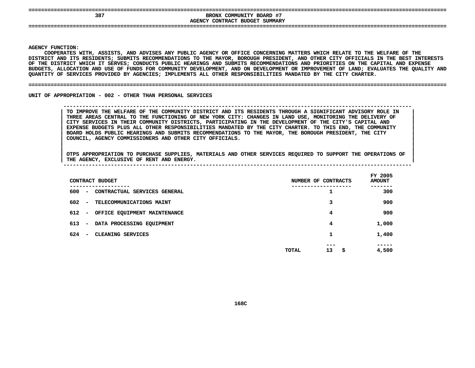| 38 | -#1<br>COMMUNITY BOARD<br><b>BRONX</b> |  |
|----|----------------------------------------|--|
|    | AGENCY<br>SUMMARY<br>CONTRACT BUDGET   |  |

 **BRONX COMMUNITY BOARD #7 CONTRACT BUDGET SUMMARY ====================================================================================================================================**

### **AGENCY**

**|**

Y FUNCTION:<br>COOPERATES<br>ICT AND ITS<br>ICT AND ITS **COOPERATES**S WITH, ASSISTS, AND ADVISES ANY PUBLIC AGENCY OR OFFICE CONCERNING MATTERS WHICH RELATE TO THE WELFARE OF THE<br>TS RESIDENTS; SUBMITS RECOMMENDATIONS TO THE MAYOR, BOROUGH PRESIDENT, AND OTHER CITY OFFICIALS IN THE BEST IN<br> **DISTRICT**T AND ITS RESIDENTS; SUBMITS RECOMMENDATIONS TO THE MAYOR, BOROUGH PRESIDENT, AND OTHER CITY OFFICIALS IN THE BEST INTERESTS<br>DISTRICT WHICH IT SERVES; CONDUCTS PUBLIC HEARINGS AND SUBMITS RECOMMENDATIONS AND PRIORITIES ON OF THE DISTRICT WHICH IT SERVES: CONDUCTS PUBLIC HEARINGS AND SUBMITS RECOMMENDATIONS AND PRIORITIES ON THE CAPITAL AND EXPENSE F THE DISTRICT WHICH IT SERVES; CONDUCTS PUBLIC HEARINGS AND SUBMITS RECOMMENDATIONS AND PRIORITIES ON THE CAPITAL AND EXPENSE<br>UDGETS, ALLOCATION AND USE OF FUNDS FOR COMMUNITY DEVELOPMENT, AND ON DEVELOPMENT OR IMPROVEMEN BUDGETS, ALLOCATION AND USE OF FUNDS FOR COMMUNITY DEVELOPMENT, AND ON DEVELOPMENT OR IMPROVEMENT OF LAND; EVALUATES THE QUALITY AND<br>QUANTITY OF SERVICES PROVIDED BY AGENCIES; IMPLEMENTS ALL OTHER RESPONSIBILITIES MANDATED QUANTITY OF SERVICES PROVIDED BY AGENCIES; IMPLEMENTS ALL OTHER RESPONSIBILITIES MANDATED BY THE CITY CHARTER.

#### **OF SERVICES PROVIDED BY AGENCIES; IMPLEMENTS ALL OTHER RESPONSIBILITIES MANDATED BY THE CITY CHARTER. ====================================================================================================================================**

UNIT OF APPROPRIATION - 002 - OTHER THAN PERSONAL SERVICES

### **OF APPROPRIATION - <sup>002</sup> - OTHER THAN PERSONAL SERVICES --------------------------------------------------------------------------------------------------------------**TO IMPROVE THE WELFARE OF THE COMMUNITY DISTRICT AND ITS RESIDENTS THROUGH A SIGNIFICANT ADVISORY ROLE IN THREE AREAS CENTRAL TO THE FUNCTIONING OF NEW YORK CITY: CHANGES IN LAND USE, MONITORING THE DELIVERY OF CITY SERVIC TO IMPROVE THE WELFARE OF THE COMMUNITY DISTRICT AND ITS RESIDENTS THROUGH A SIGNIFICANT ADVISORY ROLE IN THREE AREAS CENTRAL TO THE FUNCTIONING OF NEW YORK CITY: CHANGES IN LAND USE, MONITORING THE DELIVERY OF<br>CITY SERVICES IN THEIR COMMUNITY DISTRICTS, PARTICIPATING IN THE DEVELOPMENT OF THE CITY'S CAPITAL AND<br>EXPENSE BUDGET **CITY SERVICES IN THEIR COMMUNITY DISTRICTS, PARTICIPATING IN THE DEVELOPMENT OF THE CITY'S CAPITAL AND <sup>|</sup>** EXPENSE BUDGETS PLUS ALL OTHER RESPONSIBILITIES MANDATED BY THE CITY CHARTER. TO THIS END, THE COMMUNITY **BOARD HOLDS PUBLIC HEARINGS AND SUBMITS RECOMMENDATIONS TO THE MAYOR, THE BOROUGH PRESIDENT, THE CITY <sup>|</sup> COUNCIL, AGENCY COMMISSIONERS AND OTHER CITY OFFICIALS. <sup>|</sup>**

| CONTRACT BUDGET                                                              | NUMBER OF CONTRACTS        | FY 2005<br><b>AMOUNT</b> |
|------------------------------------------------------------------------------|----------------------------|--------------------------|
| ---------<br>600<br>CONTRACTUAL SERVICES GENERAL<br>$\overline{\phantom{a}}$ | ┸                          | 300                      |
| 602<br>TELECOMMUNICATIONS MAINT<br>$\overline{\phantom{a}}$                  | 3                          | 900                      |
| 612<br>OFFICE EQUIPMENT MAINTENANCE<br>$\overline{\phantom{a}}$              | 4                          | 900                      |
| 613<br>DATA PROCESSING EQUIPMENT<br>$\overline{\phantom{a}}$                 | 4                          | 1,000                    |
| 624<br>CLEANING SERVICES<br>$\overline{\phantom{a}}$                         | 1                          | 1,400                    |
|                                                                              | ---<br>13<br>- \$<br>TOTAL | -----<br>4,500           |
|                                                                              |                            |                          |
|                                                                              |                            |                          |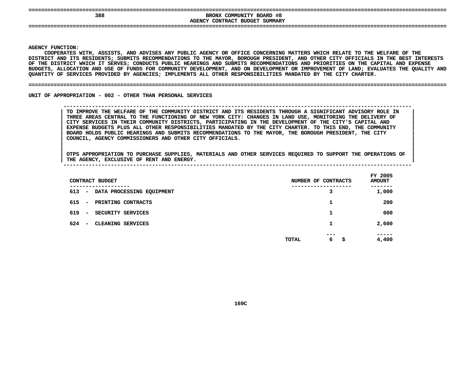| 388 | BRONX COMMUNITY BOARD #8<br>SUMMARY<br>CONTRACT<br>BUDGET<br>AGENCY |  |
|-----|---------------------------------------------------------------------|--|
|     |                                                                     |  |

**|**

Y FUNCTION:<br>COOPERATES<br>ICT AND ITS<br>ICT AND ITS COOPERATES WITH, ASSISTS, AND ADVISES ANY PUBLIC AGENCY OR OFFICE CONCERNING MATTERS WHICH RELATE TO THE WELFARE OF THE S WITH, ASSISTS, AND ADVISES ANY PUBLIC AGENCY OR OFFICE CONCERNING MATTERS WHICH RELATE TO THE WELFARE OF THE<br>TS RESIDENTS; SUBMITS RECOMMENDATIONS TO THE MAYOR, BOROUGH PRESIDENT, AND OTHER CITY OFFICIALS IN THE BEST IN<br> **DISTRICT**T AND ITS RESIDENTS; SUBMITS RECOMMENDATIONS TO THE MAYOR, BOROUGH PRESIDENT, AND OTHER CITY OFFICIALS IN THE BEST INTERESTS<br>DISTRICT WHICH IT SERVES; CONDUCTS PUBLIC HEARINGS AND SUBMITS RECOMMENDATIONS AND PRIORITIES ON OF THE DISTRICT WHICH IT SERVES: CONDUCTS PUBLIC HEARINGS AND SUBMITS RECOMMENDATIONS AND PRIORITIES ON THE CAPITAL AND EXPENSE F THE DISTRICT WHICH IT SERVES; CONDUCTS PUBLIC HEARINGS AND SUBMITS RECOMMENDATIONS AND PRIORITIES ON THE CAPITAL AND EXPENSE<br>UDGETS, ALLOCATION AND USE OF FUNDS FOR COMMUNITY DEVELOPMENT, AND ON DEVELOPMENT OR IMPROVEMEN **BUDGETS,**, ALLOCATION AND USE OF FUNDS FOR COMMUNITY DEVELOPMENT, AND ON DEVELOPMENT OR IMPROVEMENT OF LAND; EVALUATES THE QUALITY AND<br>Y OF SERVICES PROVIDED BY AGENCIES; IMPLEMENTS ALL OTHER RESPONSIBILITIES MANDATED BY THE CITY C **QUANTITY**

### **OF SERVICES PROVIDED BY AGENCIES; IMPLEMENTS ALL OTHER RESPONSIBILITIES MANDATED BY THE CITY CHARTER. ====================================================================================================================================**

UNIT OF APPROPRIATION - 002 - OTHER THAN PERSONAL SERVICES

### **OF APPROPRIATION - <sup>002</sup> - OTHER THAN PERSONAL SERVICES --------------------------------------------------------------------------------------------------------------**TO IMPROVE THE WELFARE OF THE COMMUNITY DISTRICT AND ITS RESIDENTS THROUGH A SIGNIFICANT ADVISORY ROLE IN THREE AREAS CENTRAL TO THE FUNCTIONING OF NEW YORK CITY: CHANGES IN LAND USE, MONITORING THE DELIVERY OF CITY SERVIC TO IMPROVE THE WELFARE OF THE COMMUNITY DISTRICT AND ITS RESIDENTS THROUGH A SIGNIFICANT ADVISORY ROLE IN THREE AREAS CENTRAL TO THE FUNCTIONING OF NEW YORK CITY: CHANGES IN LAND USE, MONITORING THE DELIVERY OF<br>CITY SERVICES IN THEIR COMMUNITY DISTRICTS, PARTICIPATING IN THE DEVELOPMENT OF THE CITY'S CAPITAL AND<br>EXPENSE BUDGET **CITY SERVICES IN THEIR COMMUNITY DISTRICTS, PARTICIPATING IN THE DEVELOPMENT OF THE CITY'S CAPITAL AND <sup>|</sup>** EXPENSE BUDGETS PLUS ALL OTHER RESPONSIBILITIES MANDATED BY THE CITY CHARTER. TO THIS END, THE COMMUNITY<br>BOARD HOLDS PUBLIC HEARINGS AND SUBMITS RECOMMENDATIONS TO THE MAYOR, THE BOROUGH PRESIDENT, THE CITY<br>COUNCIL, AGENCY **BOARD HOLDS PUBLIC HEARINGS AND SUBMITS RECOMMENDATIONS TO THE MAYOR, THE BOROUGH PRESIDENT, THE CITY <sup>|</sup> COUNCIL, AGENCY COMMISSIONERS AND OTHER CITY OFFICIALS. <sup>|</sup>**

| CONTRACT BUDGET                                                         | NUMBER OF<br>CONTRACTS | FY 2005<br><b>AMOUNT</b> |
|-------------------------------------------------------------------------|------------------------|--------------------------|
| -------<br>613<br>DATA PROCESSING EQUIPMENT<br>$\overline{\phantom{0}}$ | з                      | -----<br>1,000           |
| 615<br>PRINTING CONTRACTS<br>$\overline{\phantom{a}}$                   | ٦                      | 200                      |
| 619<br>SECURITY SERVICES<br>$\sim$                                      | 1                      | 600                      |
| 624<br>CLEANING SERVICES<br>$\overline{\phantom{0}}$                    | ٦<br>┸                 | 2,600                    |
|                                                                         | ---<br>6<br>TOTAL<br>s | -----<br>4,400           |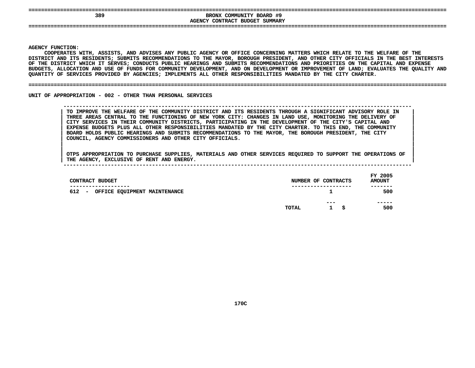| ---<br>389 | BRONX COMMUNITY BOARD #9<br>AGENCY CONTRACT BUDGET<br>SUMMARY |  |
|------------|---------------------------------------------------------------|--|
| ---        |                                                               |  |

**|**

Y FUNCTION:<br>COOPERATES<br>ICT AND ITS<br>ICT AND ITS **COOPERATES**S WITH, ASSISTS, AND ADVISES ANY PUBLIC AGENCY OR OFFICE CONCERNING MATTERS WHICH RELATE TO THE WELFARE OF THE<br>TS RESIDENTS; SUBMITS RECOMMENDATIONS TO THE MAYOR, BOROUGH PRESIDENT, AND OTHER CITY OFFICIALS IN THE BEST IN<br> **DISTRICT**T AND ITS RESIDENTS; SUBMITS RECOMMENDATIONS TO THE MAYOR, BOROUGH PRESIDENT, AND OTHER CITY OFFICIALS IN THE BEST INTERESTS<br>DISTRICT WHICH IT SERVES; CONDUCTS PUBLIC HEARINGS AND SUBMITS RECOMMENDATIONS AND PRIORITIES ON OF THE DISTRICT WHICH IT SERVES: CONDUCTS PUBLIC HEARINGS AND SUBMITS RECOMMENDATIONS AND PRIORITIES ON THE CAPITAL AND EXPENSE F THE DISTRICT WHICH IT SERVES; CONDUCTS PUBLIC HEARINGS AND SUBMITS RECOMMENDATIONS AND PRIORITIES ON THE CAPITAL AND EXPENSE<br>UDGETS, ALLOCATION AND USE OF FUNDS FOR COMMUNITY DEVELOPMENT, AND ON DEVELOPMENT OR IMPROVEMEN **BUDGETS,**, ALLOCATION AND USE OF FUNDS FOR COMMUNITY DEVELOPMENT, AND ON DEVELOPMENT OR IMPROVEMENT OF LAND; EVALUATES THE QUALITY AND<br>Y OF SERVICES PROVIDED BY AGENCIES; IMPLEMENTS ALL OTHER RESPONSIBILITIES MANDATED BY THE CITY C **QUANTITY**

#### **OF SERVICES PROVIDED BY AGENCIES; IMPLEMENTS ALL OTHER RESPONSIBILITIES MANDATED BY THE CITY CHARTER. ====================================================================================================================================**

UNIT OF APPROPRIATION - 002 - OTHER THAN PERSONAL SERVICES

 **OF APPROPRIATION - <sup>002</sup> - OTHER THAN PERSONAL SERVICES --------------------------------------------------------------------------------------------------------------**TO IMPROVE THE WELFARE OF THE COMMUNITY DISTRICT AND ITS RESIDENTS THROUGH A SIGNIFICANT ADVISORY ROLE IN THREE AREAS CENTRAL TO THE FUNCTIONING OF NEW YORK CITY: CHANGES IN LAND USE, MONITORING THE DELIVERY OF CITY SERVIC TO IMPROVE THE WELFARE OF THE COMMUNITY DISTRICT AND ITS RESIDENTS THROUGH A SIGNIFICANT ADVISORY ROLE IN THREE AREAS CENTRAL TO THE FUNCTIONING OF NEW YORK CITY: CHANGES IN LAND USE, MONITORING THE DELIVERY OF<br>CITY SERVICES IN THEIR COMMUNITY DISTRICTS, PARTICIPATING IN THE DEVELOPMENT OF THE CITY'S CAPITAL AND<br>EXPENSE BUDGET **CITY SERVICES IN THEIR COMMUNITY DISTRICTS, PARTICIPATING IN THE DEVELOPMENT OF THE CITY'S CAPITAL AND <sup>|</sup>** EXPENSE BUDGETS PLUS ALL OTHER RESPONSIBILITIES MANDATED BY THE CITY CHARTER. TO THIS END, THE COMMUNITY<br>BOARD HOLDS PUBLIC HEARINGS AND SUBMITS RECOMMENDATIONS TO THE MAYOR, THE BOROUGH PRESIDENT, THE CITY<br>COUNCIL, AGENCY **BOARD HOLDS PUBLIC HEARINGS AND SUBMITS RECOMMENDATIONS TO THE MAYOR, THE BOROUGH PRESIDENT, THE CITY <sup>|</sup> COUNCIL, AGENCY COMMISSIONERS AND OTHER CITY OFFICIALS. <sup>|</sup>**

| CONTRACT BUDGET                                                               |       | NUMBER OF CONTRACTS        | FY 2005<br><b>AMOUNT</b> |
|-------------------------------------------------------------------------------|-------|----------------------------|--------------------------|
| ----------<br>612<br>OFFICE EQUIPMENT MAINTENANCE<br>$\overline{\phantom{0}}$ |       | ---------------            | -------<br>500           |
|                                                                               | TOTAL | ---<br>- S<br>$\mathbf{1}$ | -----<br>500             |
|                                                                               |       |                            |                          |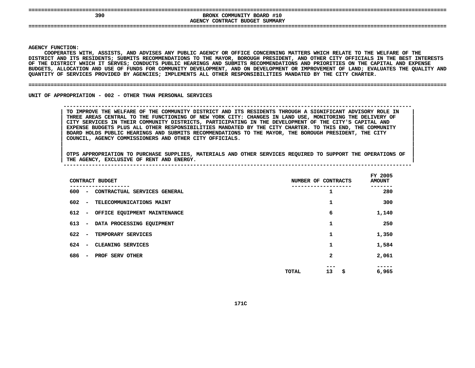| 390 | BRONX COMMUNITY BOARD #10<br>AGENCY CONTRACT BUDGET SUMMARY |  |
|-----|-------------------------------------------------------------|--|
|     |                                                             |  |

**|**

Y FUNCTION:<br>COOPERATES<br>ICT AND ITS<br>ICT AND ITS **COOPERATES**S WITH, ASSISTS, AND ADVISES ANY PUBLIC AGENCY OR OFFICE CONCERNING MATTERS WHICH RELATE TO THE WELFARE OF THE<br>TS RESIDENTS; SUBMITS RECOMMENDATIONS TO THE MAYOR, BOROUGH PRESIDENT, AND OTHER CITY OFFICIALS IN THE BEST IN<br> **DISTRICT**T AND ITS RESIDENTS; SUBMITS RECOMMENDATIONS TO THE MAYOR, BOROUGH PRESIDENT, AND OTHER CITY OFFICIALS IN THE BEST INTERESTS<br>DISTRICT WHICH IT SERVES; CONDUCTS PUBLIC HEARINGS AND SUBMITS RECOMMENDATIONS AND PRIORITIES ON OF THE DISTRICT WHICH IT SERVES: CONDUCTS PUBLIC HEARINGS AND SUBMITS RECOMMENDATIONS AND PRIORITIES ON THE CAPITAL AND EXPENSE F THE DISTRICT WHICH IT SERVES; CONDUCTS PUBLIC HEARINGS AND SUBMITS RECOMMENDATIONS AND PRIORITIES ON THE CAPITAL AND EXPENSE<br>UDGETS, ALLOCATION AND USE OF FUNDS FOR COMMUNITY DEVELOPMENT, AND ON DEVELOPMENT OR IMPROVEMEN BUDGETS, ALLOCATION AND USE OF FUNDS FOR COMMUNITY DEVELOPMENT, AND ON DEVELOPMENT OR IMPROVEMENT OF LAND; EVALUATES THE QUALITY AND<br>QUANTITY OF SERVICES PROVIDED BY AGENCIES; IMPLEMENTS ALL OTHER RESPONSIBILITIES MANDATED QUANTITY OF SERVICES PROVIDED BY AGENCIES; IMPLEMENTS ALL OTHER RESPONSIBILITIES MANDATED BY THE CITY CHARTER.

#### **OF SERVICES PROVIDED BY AGENCIES; IMPLEMENTS ALL OTHER RESPONSIBILITIES MANDATED BY THE CITY CHARTER. ====================================================================================================================================**

UNIT OF APPROPRIATION - 002 - OTHER THAN PERSONAL SERVICES

### **OF APPROPRIATION - <sup>002</sup> - OTHER THAN PERSONAL SERVICES --------------------------------------------------------------------------------------------------------------**TO IMPROVE THE WELFARE OF THE COMMUNITY DISTRICT AND ITS RESIDENTS THROUGH A SIGNIFICANT ADVISORY ROLE IN THREE AREAS CENTRAL TO THE FUNCTIONING OF NEW YORK CITY: CHANGES IN LAND USE, MONITORING THE DELIVERY OF CITY SERVIC TO IMPROVE THE WELFARE OF THE COMMUNITY DISTRICT AND ITS RESIDENTS THROUGH A SIGNIFICANT ADVISORY ROLE IN THREE AREAS CENTRAL TO THE FUNCTIONING OF NEW YORK CITY: CHANGES IN LAND USE, MONITORING THE DELIVERY OF<br>CITY SERVICES IN THEIR COMMUNITY DISTRICTS, PARTICIPATING IN THE DEVELOPMENT OF THE CITY'S CAPITAL AND<br>EXPENSE BUDGET **CITY SERVICES IN THEIR COMMUNITY DISTRICTS, PARTICIPATING IN THE DEVELOPMENT OF THE CITY'S CAPITAL AND <sup>|</sup>** EXPENSE BUDGETS PLUS ALL OTHER RESPONSIBILITIES MANDATED BY THE CITY CHARTER. TO THIS END, THE COMMUNITY **BOARD HOLDS PUBLIC HEARINGS AND SUBMITS RECOMMENDATIONS TO THE MAYOR, THE BOROUGH PRESIDENT, THE CITY <sup>|</sup> COUNCIL, AGENCY COMMISSIONERS AND OTHER CITY OFFICIALS. <sup>|</sup>**

| CONTRACT BUDGET                                                 | NUMBER OF CONTRACTS      | FY 2005<br><b>AMOUNT</b> |
|-----------------------------------------------------------------|--------------------------|--------------------------|
| -----<br>600<br>CONTRACTUAL SERVICES GENERAL<br>$\sim$          | 1                        | 280                      |
| 602<br>TELECOMMUNICATIONS MAINT<br>$\overline{\phantom{a}}$     | 1                        | 300                      |
| 612<br>OFFICE EQUIPMENT MAINTENANCE<br>$\overline{\phantom{a}}$ | 6                        | 1,140                    |
| 613<br>DATA PROCESSING EQUIPMENT<br>$\overline{\phantom{a}}$    |                          | 250                      |
| 622<br>TEMPORARY SERVICES<br>$\overline{\phantom{a}}$           | 1                        | 1,350                    |
| 624<br>CLEANING SERVICES<br>$\overline{\phantom{a}}$            | 1                        | 1,584                    |
| 686<br>PROF SERV OTHER<br>$\overline{\phantom{a}}$              | 2                        | 2,061                    |
|                                                                 | ---<br>13<br>\$<br>TOTAL | 6,965                    |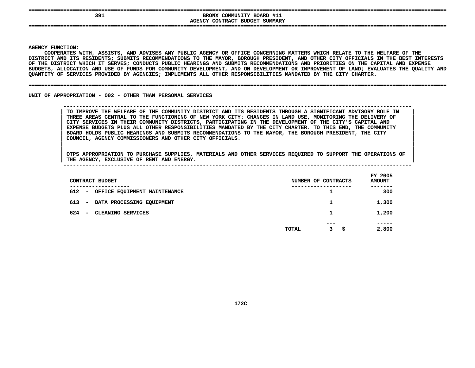| 391 | BRONX COMMUNITY BOARD #11<br>AGENCY CONTRACT BUDGET SUMMARY |  |
|-----|-------------------------------------------------------------|--|
|     |                                                             |  |

**|**

Y FUNCTION:<br>COOPERATES<br>ICT AND ITS<br>ICT AND ITS **COOPERATES**S WITH, ASSISTS, AND ADVISES ANY PUBLIC AGENCY OR OFFICE CONCERNING MATTERS WHICH RELATE TO THE WELFARE OF THE<br>TS RESIDENTS; SUBMITS RECOMMENDATIONS TO THE MAYOR, BOROUGH PRESIDENT, AND OTHER CITY OFFICIALS IN THE BEST IN<br> **DISTRICT**T AND ITS RESIDENTS; SUBMITS RECOMMENDATIONS TO THE MAYOR, BOROUGH PRESIDENT, AND OTHER CITY OFFICIALS IN THE BEST INTERESTS<br>DISTRICT WHICH IT SERVES; CONDUCTS PUBLIC HEARINGS AND SUBMITS RECOMMENDATIONS AND PRIORITIES ON OF THE DISTRICT WHICH IT SERVES: CONDUCTS PUBLIC HEARINGS AND SUBMITS RECOMMENDATIONS AND PRIORITIES ON THE CAPITAL AND EXPENSE F THE DISTRICT WHICH IT SERVES; CONDUCTS PUBLIC HEARINGS AND SUBMITS RECOMMENDATIONS AND PRIORITIES ON THE CAPITAL AND EXPENSE<br>UDGETS, ALLOCATION AND USE OF FUNDS FOR COMMUNITY DEVELOPMENT, AND ON DEVELOPMENT OR IMPROVEMEN BUDGETS, ALLOCATION AND USE OF FUNDS FOR COMMUNITY DEVELOPMENT, AND ON DEVELOPMENT OR IMPROVEMENT OF LAND; EVALUATES THE QUALITY AND<br>QUANTITY OF SERVICES PROVIDED BY AGENCIES; IMPLEMENTS ALL OTHER RESPONSIBILITIES MANDATED QUANTITY OF SERVICES PROVIDED BY AGENCIES; IMPLEMENTS ALL OTHER RESPONSIBILITIES MANDATED BY THE CITY CHARTER.

### **OF SERVICES PROVIDED BY AGENCIES; IMPLEMENTS ALL OTHER RESPONSIBILITIES MANDATED BY THE CITY CHARTER. ====================================================================================================================================**

UNIT OF APPROPRIATION - 002 - OTHER THAN PERSONAL SERVICES

 **OF APPROPRIATION - <sup>002</sup> - OTHER THAN PERSONAL SERVICES --------------------------------------------------------------------------------------------------------------**TO IMPROVE THE WELFARE OF THE COMMUNITY DISTRICT AND ITS RESIDENTS THROUGH A SIGNIFICANT ADVISORY ROLE IN THREE AREAS CENTRAL TO THE FUNCTIONING OF NEW YORK CITY: CHANGES IN LAND USE, MONITORING THE DELIVERY OF CITY SERVIC TO IMPROVE THE WELFARE OF THE COMMUNITY DISTRICT AND ITS RESIDENTS THROUGH A SIGNIFICANT ADVISORY ROLE IN THREE AREAS CENTRAL TO THE FUNCTIONING OF NEW YORK CITY: CHANGES IN LAND USE, MONITORING THE DELIVERY OF<br>CITY SERVICES IN THEIR COMMUNITY DISTRICTS, PARTICIPATING IN THE DEVELOPMENT OF THE CITY'S CAPITAL AND<br>EXPENSE BUDGET **CITY SERVICES IN THEIR COMMUNITY DISTRICTS, PARTICIPATING IN THE DEVELOPMENT OF THE CITY'S CAPITAL AND <sup>|</sup>** EXPENSE BUDGETS PLUS ALL OTHER RESPONSIBILITIES MANDATED BY THE CITY CHARTER. TO THIS END, THE COMMUNITY<br>BOARD HOLDS PUBLIC HEARINGS AND SUBMITS RECOMMENDATIONS TO THE MAYOR, THE BOROUGH PRESIDENT, THE CITY<br>COUNCIL, AGENCY **BOARD HOLDS PUBLIC HEARINGS AND SUBMITS RECOMMENDATIONS TO THE MAYOR, THE BOROUGH PRESIDENT, THE CITY <sup>|</sup> COUNCIL, AGENCY COMMISSIONERS AND OTHER CITY OFFICIALS. <sup>|</sup>**

| CONTRACT BUDGET                                                                | NUMBER OF CONTRACTS        | FY 2005<br><b>AMOUNT</b> |
|--------------------------------------------------------------------------------|----------------------------|--------------------------|
| -----------<br>612<br>OFFICE EQUIPMENT MAINTENANCE<br>$\overline{\phantom{0}}$ | ------------               | 300                      |
| 613<br>DATA PROCESSING EQUIPMENT<br>$\overline{\phantom{0}}$                   | 1                          | 1,300                    |
| 624<br>CLEANING SERVICES<br>$\overline{\phantom{a}}$                           | 1                          | 1,200                    |
|                                                                                | $- - -$<br>3<br>TOTAL<br>s | -----<br>2,800           |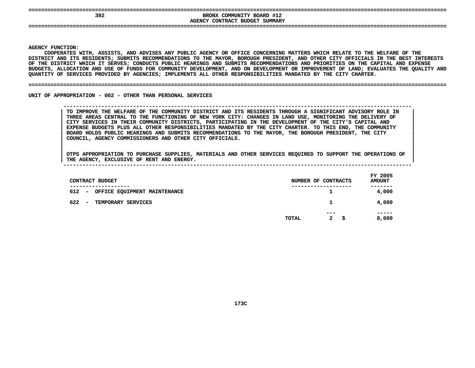| 392 | BRONX COMMUNITY BOARD #12<br>AGENCY CONTRACT BUDGET SUMMARY |  |
|-----|-------------------------------------------------------------|--|
|     |                                                             |  |

**|**

Y FUNCTION:<br>COOPERATES<br>ICT AND ITS<br>ICT AND ITS COOPERATES WITH, ASSISTS, AND ADVISES ANY PUBLIC AGENCY OR OFFICE CONCERNING MATTERS WHICH RELATE TO THE WELFARE OF THE S WITH, ASSISTS, AND ADVISES ANY PUBLIC AGENCY OR OFFICE CONCERNING MATTERS WHICH RELATE TO THE WELFARE OF THE<br>TS RESIDENTS; SUBMITS RECOMMENDATIONS TO THE MAYOR, BOROUGH PRESIDENT, AND OTHER CITY OFFICIALS IN THE BEST IN<br> **DISTRICT**T AND ITS RESIDENTS; SUBMITS RECOMMENDATIONS TO THE MAYOR, BOROUGH PRESIDENT, AND OTHER CITY OFFICIALS IN THE BEST INTERESTS<br>DISTRICT WHICH IT SERVES; CONDUCTS PUBLIC HEARINGS AND SUBMITS RECOMMENDATIONS AND PRIORITIES ON OF THE DISTRICT WHICH IT SERVES: CONDUCTS PUBLIC HEARINGS AND SUBMITS RECOMMENDATIONS AND PRIORITIES ON THE CAPITAL AND EXPENSE F THE DISTRICT WHICH IT SERVES; CONDUCTS PUBLIC HEARINGS AND SUBMITS RECOMMENDATIONS AND PRIORITIES ON THE CAPITAL AND EXPENSE<br>UDGETS, ALLOCATION AND USE OF FUNDS FOR COMMUNITY DEVELOPMENT, AND ON DEVELOPMENT OR IMPROVEMEN BUDGETS, ALLOCATION AND USE OF FUNDS FOR COMMUNITY DEVELOPMENT, AND ON DEVELOPMENT OR IMPROVEMENT OF LAND; EVALUATES THE QUALITY AND<br>QUANTITY OF SERVICES PROVIDED BY AGENCIES; IMPLEMENTS ALL OTHER RESPONSIBILITIES MANDATED QUANTITY OF SERVICES PROVIDED BY AGENCIES; IMPLEMENTS ALL OTHER RESPONSIBILITIES MANDATED BY THE CITY CHARTER.

### **OF SERVICES PROVIDED BY AGENCIES; IMPLEMENTS ALL OTHER RESPONSIBILITIES MANDATED BY THE CITY CHARTER. ====================================================================================================================================**

UNIT OF APPROPRIATION - 002 - OTHER THAN PERSONAL SERVICES

 **OF APPROPRIATION - <sup>002</sup> - OTHER THAN PERSONAL SERVICES --------------------------------------------------------------------------------------------------------------**TO IMPROVE THE WELFARE OF THE COMMUNITY DISTRICT AND ITS RESIDENTS THROUGH A SIGNIFICANT ADVISORY ROLE IN THREE AREAS CENTRAL TO THE FUNCTIONING OF NEW YORK CITY: CHANGES IN LAND USE, MONITORING THE DELIVERY OF CITY SERVIC TO IMPROVE THE WELFARE OF THE COMMUNITY DISTRICT AND ITS RESIDENTS THROUGH A SIGNIFICANT ADVISORY ROLE IN THREE AREAS CENTRAL TO THE FUNCTIONING OF NEW YORK CITY: CHANGES IN LAND USE, MONITORING THE DELIVERY OF<br>CITY SERVICES IN THEIR COMMUNITY DISTRICTS, PARTICIPATING IN THE DEVELOPMENT OF THE CITY'S CAPITAL AND<br>EXPENSE BUDGET **CITY SERVICES IN THEIR COMMUNITY DISTRICTS, PARTICIPATING IN THE DEVELOPMENT OF THE CITY'S CAPITAL AND <sup>|</sup>** EXPENSE BUDGETS PLUS ALL OTHER RESPONSIBILITIES MANDATED BY THE CITY CHARTER. TO THIS END, THE COMMUNITY<br>BOARD HOLDS PUBLIC HEARINGS AND SUBMITS RECOMMENDATIONS TO THE MAYOR, THE BOROUGH PRESIDENT, THE CITY<br>COUNCIL, AGENCY **BOARD HOLDS PUBLIC HEARINGS AND SUBMITS RECOMMENDATIONS TO THE MAYOR, THE BOROUGH PRESIDENT, THE CITY <sup>|</sup> COUNCIL, AGENCY COMMISSIONERS AND OTHER CITY OFFICIALS. <sup>|</sup>**

| ---             |                                           |  |  |                     | .             |  |
|-----------------|-------------------------------------------|--|--|---------------------|---------------|--|
|                 | -----------------                         |  |  | ------------------- | -------       |  |
| CONTRACT BUDGET |                                           |  |  | NUMBER OF CONTRACTS | <b>AMOUNT</b> |  |
|                 |                                           |  |  |                     | FY 2005       |  |
|                 |                                           |  |  |                     |               |  |
|                 | THE AGENCY, EXCLUSIVE OF RENT AND ENERGY. |  |  |                     |               |  |

| CONTRACT BUDGET                                       |       | NUMBER OF CONTRACTS         | <b>AMOUNT</b> |
|-------------------------------------------------------|-------|-----------------------------|---------------|
| 612 -<br>OFFICE EQUIPMENT MAINTENANCE                 |       | 1                           | 4,000         |
| 622<br>TEMPORARY SERVICES<br>$\overline{\phantom{0}}$ |       | 1                           | 4,600         |
|                                                       | TOTAL | ---<br>$\mathbf{2}$<br>- \$ | 8,600         |
|                                                       |       |                             |               |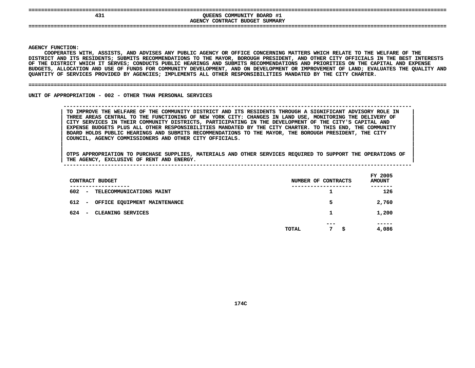| 431 | COMMUNITY BOARD #1<br>QUEENS<br>CONTRACT<br>BUDGET<br>SUMMARY<br>AGENCY |     |
|-----|-------------------------------------------------------------------------|-----|
| --  |                                                                         | ___ |

**|**

Y FUNCTION:<br>COOPERATES<br>ICT AND ITS<br>ICT AND ITS **COOPERATES**S WITH, ASSISTS, AND ADVISES ANY PUBLIC AGENCY OR OFFICE CONCERNING MATTERS WHICH RELATE TO THE WELFARE OF THE<br>TS RESIDENTS; SUBMITS RECOMMENDATIONS TO THE MAYOR, BOROUGH PRESIDENT, AND OTHER CITY OFFICIALS IN THE BEST IN<br> **DISTRICT**T AND ITS RESIDENTS; SUBMITS RECOMMENDATIONS TO THE MAYOR, BOROUGH PRESIDENT, AND OTHER CITY OFFICIALS IN THE BEST INTERESTS<br>DISTRICT WHICH IT SERVES; CONDUCTS PUBLIC HEARINGS AND SUBMITS RECOMMENDATIONS AND PRIORITIES ON OF THE DISTRICT WHICH IT SERVES: CONDUCTS PUBLIC HEARINGS AND SUBMITS RECOMMENDATIONS AND PRIORITIES ON THE CAPITAL AND EXPENSE F THE DISTRICT WHICH IT SERVES; CONDUCTS PUBLIC HEARINGS AND SUBMITS RECOMMENDATIONS AND PRIORITIES ON THE CAPITAL AND EXPENSE<br>UDGETS, ALLOCATION AND USE OF FUNDS FOR COMMUNITY DEVELOPMENT, AND ON DEVELOPMENT OR IMPROVEMEN **BUDGETS,**, ALLOCATION AND USE OF FUNDS FOR COMMUNITY DEVELOPMENT, AND ON DEVELOPMENT OR IMPROVEMENT OF LAND; EVALUATES THE QUALITY AND<br>Y OF SERVICES PROVIDED BY AGENCIES; IMPLEMENTS ALL OTHER RESPONSIBILITIES MANDATED BY THE CITY C **QUANTITY**

### **OF SERVICES PROVIDED BY AGENCIES; IMPLEMENTS ALL OTHER RESPONSIBILITIES MANDATED BY THE CITY CHARTER. ====================================================================================================================================**

UNIT OF APPROPRIATION - 002 - OTHER THAN PERSONAL SERVICES

### **OF APPROPRIATION - <sup>002</sup> - OTHER THAN PERSONAL SERVICES --------------------------------------------------------------------------------------------------------------**TO IMPROVE THE WELFARE OF THE COMMUNITY DISTRICT AND ITS RESIDENTS THROUGH A SIGNIFICANT ADVISORY ROLE IN THREE AREAS CENTRAL TO THE FUNCTIONING OF NEW YORK CITY: CHANGES IN LAND USE, MONITORING THE DELIVERY OF CITY SERVIC TO IMPROVE THE WELFARE OF THE COMMUNITY DISTRICT AND ITS RESIDENTS THROUGH A SIGNIFICANT ADVISORY ROLE IN THREE AREAS CENTRAL TO THE FUNCTIONING OF NEW YORK CITY: CHANGES IN LAND USE, MONITORING THE DELIVERY OF<br>CITY SERVICES IN THEIR COMMUNITY DISTRICTS, PARTICIPATING IN THE DEVELOPMENT OF THE CITY'S CAPITAL AND<br>EXPENSE BUDGET **CITY SERVICES IN THEIR COMMUNITY DISTRICTS, PARTICIPATING IN THE DEVELOPMENT OF THE CITY'S CAPITAL AND <sup>|</sup>** EXPENSE BUDGETS PLUS ALL OTHER RESPONSIBILITIES MANDATED BY THE CITY CHARTER. TO THIS END, THE COMMUNITY<br>BOARD HOLDS PUBLIC HEARINGS AND SUBMITS RECOMMENDATIONS TO THE MAYOR, THE BOROUGH PRESIDENT, THE CITY<br>COUNCIL, AGENCY **BOARD HOLDS PUBLIC HEARINGS AND SUBMITS RECOMMENDATIONS TO THE MAYOR, THE BOROUGH PRESIDENT, THE CITY <sup>|</sup> COUNCIL, AGENCY COMMISSIONERS AND OTHER CITY OFFICIALS. <sup>|</sup>**

OTPS APPROPRIATION TO PURCHASE SUPPLIES, MATERIALS AND OTHER SERVICES REQUIRED TO SUPPORT THE OPERATIONS OF |<br>| OTPS APPROPRIATION TO PURCHASE SUPPLIES, MATERIALS AND OTHER SERVICES REQUIRED TO SUPPORT THE OPERATIONS OF<br>| THE AGENCY, EXCLUSIVE OF RENT AND ENERGY. **OTPS APPROPRIATION TO PURCHASE SUPPLIES, MATERIALS AND OTHER SERVICES REQUIRED TO SUPPORT THE OPERATIONS OF <sup>|</sup>**

| THE AGENCY, EXCLUSIVE OF RENT AND ENERGY.                       |                     |                          |
|-----------------------------------------------------------------|---------------------|--------------------------|
| CONTRACT BUDGET                                                 | NUMBER OF CONTRACTS | FY 2005<br><b>AMOUNT</b> |
| 602<br>TELECOMMUNICATIONS MAINT<br>$\overline{\phantom{a}}$     |                     | -------<br>126           |
| 612<br>OFFICE EQUIPMENT MAINTENANCE<br>$\overline{\phantom{a}}$ | 5                   | 2,760                    |
| 624<br>CLEANING SERVICES<br>$\overline{\phantom{a}}$            |                     | 1,200                    |

 **----- TOTAL<sup>7</sup> \$ 4,086**

|     |                          |                   |  | --- | ----- |
|-----|--------------------------|-------------------|--|-----|-------|
|     |                          |                   |  |     |       |
| 624 | $\overline{\phantom{0}}$ | CLEANING SERVICES |  | -   | 200ء، |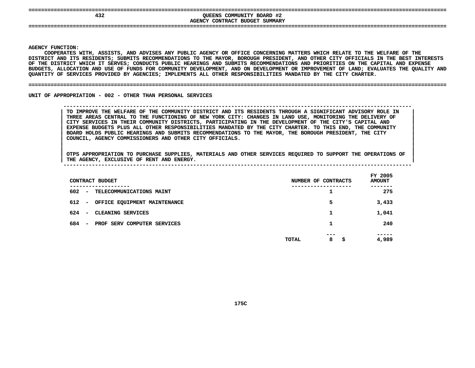| 432 | QUEENS COMMUNITY BOARD #2<br>AGENCY CONTRACT BUDGET SUMMARY |  |
|-----|-------------------------------------------------------------|--|
|     |                                                             |  |

**|**

Y FUNCTION:<br>COOPERATES<br>ICT AND ITS<br>ICT AND ITS **COOPERATES**S WITH, ASSISTS, AND ADVISES ANY PUBLIC AGENCY OR OFFICE CONCERNING MATTERS WHICH RELATE TO THE WELFARE OF THE<br>TS RESIDENTS; SUBMITS RECOMMENDATIONS TO THE MAYOR, BOROUGH PRESIDENT, AND OTHER CITY OFFICIALS IN THE BEST IN<br> **DISTRICT**T AND ITS RESIDENTS; SUBMITS RECOMMENDATIONS TO THE MAYOR, BOROUGH PRESIDENT, AND OTHER CITY OFFICIALS IN THE BEST INTERESTS<br>DISTRICT WHICH IT SERVES; CONDUCTS PUBLIC HEARINGS AND SUBMITS RECOMMENDATIONS AND PRIORITIES ON OF THE DISTRICT WHICH IT SERVES: CONDUCTS PUBLIC HEARINGS AND SUBMITS RECOMMENDATIONS AND PRIORITIES ON THE CAPITAL AND EXPENSE F THE DISTRICT WHICH IT SERVES; CONDUCTS PUBLIC HEARINGS AND SUBMITS RECOMMENDATIONS AND PRIORITIES ON THE CAPITAL AND EXPENSE<br>UDGETS, ALLOCATION AND USE OF FUNDS FOR COMMUNITY DEVELOPMENT, AND ON DEVELOPMENT OR IMPROVEMEN **BUDGETS,**, ALLOCATION AND USE OF FUNDS FOR COMMUNITY DEVELOPMENT, AND ON DEVELOPMENT OR IMPROVEMENT OF LAND; EVALUATES THE QUALITY AND<br>Y OF SERVICES PROVIDED BY AGENCIES; IMPLEMENTS ALL OTHER RESPONSIBILITIES MANDATED BY THE CITY C **QUANTITY**

### **OF SERVICES PROVIDED BY AGENCIES; IMPLEMENTS ALL OTHER RESPONSIBILITIES MANDATED BY THE CITY CHARTER. ====================================================================================================================================**

UNIT OF APPROPRIATION - 002 - OTHER THAN PERSONAL SERVICES

### **OF APPROPRIATION - <sup>002</sup> - OTHER THAN PERSONAL SERVICES --------------------------------------------------------------------------------------------------------------**TO IMPROVE THE WELFARE OF THE COMMUNITY DISTRICT AND ITS RESIDENTS THROUGH A SIGNIFICANT ADVISORY ROLE IN THREE AREAS CENTRAL TO THE FUNCTIONING OF NEW YORK CITY: CHANGES IN LAND USE, MONITORING THE DELIVERY OF CITY SERVIC TO IMPROVE THE WELFARE OF THE COMMUNITY DISTRICT AND ITS RESIDENTS THROUGH A SIGNIFICANT ADVISORY ROLE IN THREE AREAS CENTRAL TO THE FUNCTIONING OF NEW YORK CITY: CHANGES IN LAND USE, MONITORING THE DELIVERY OF<br>CITY SERVICES IN THEIR COMMUNITY DISTRICTS, PARTICIPATING IN THE DEVELOPMENT OF THE CITY'S CAPITAL AND<br>EXPENSE BUDGET **CITY SERVICES IN THEIR COMMUNITY DISTRICTS, PARTICIPATING IN THE DEVELOPMENT OF THE CITY'S CAPITAL AND <sup>|</sup>** EXPENSE BUDGETS PLUS ALL OTHER RESPONSIBILITIES MANDATED BY THE CITY CHARTER. TO THIS END, THE COMMUNITY<br>BOARD HOLDS PUBLIC HEARINGS AND SUBMITS RECOMMENDATIONS TO THE MAYOR, THE BOROUGH PRESIDENT, THE CITY<br>COUNCIL, AGENCY **BOARD HOLDS PUBLIC HEARINGS AND SUBMITS RECOMMENDATIONS TO THE MAYOR, THE BOROUGH PRESIDENT, THE CITY <sup>|</sup> COUNCIL, AGENCY COMMISSIONERS AND OTHER CITY OFFICIALS. <sup>|</sup>**

| CONTRACT BUDGET                                                | NUMBER OF CONTRACTS       | FY 2005<br><b>AMOUNT</b> |
|----------------------------------------------------------------|---------------------------|--------------------------|
| -----------<br>602<br>- TELECOMMUNICATIONS MAINT               | ---------<br>1            | 275                      |
| 612<br>- OFFICE EQUIPMENT MAINTENANCE                          | 5                         | 3,433                    |
| 624<br>CLEANING SERVICES<br>$\overline{\phantom{a}}$           | 1                         | 1,041                    |
| 684<br>PROF SERV COMPUTER SERVICES<br>$\overline{\phantom{a}}$ | 1                         | 240                      |
|                                                                | ---<br>8<br>- \$<br>TOTAL | 4,989                    |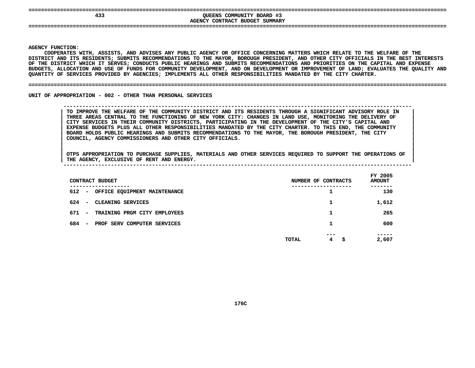| 433 | QUEENS COMMUNITY BOARD #3<br>AGENCY CONTRACT BUDGET<br>SUMMARY |  |
|-----|----------------------------------------------------------------|--|
|     |                                                                |  |

**|**

Y FUNCTION:<br>COOPERATES<br>ICT AND ITS<br>ICT AND ITS **COOPERATES**S WITH, ASSISTS, AND ADVISES ANY PUBLIC AGENCY OR OFFICE CONCERNING MATTERS WHICH RELATE TO THE WELFARE OF THE<br>TS RESIDENTS; SUBMITS RECOMMENDATIONS TO THE MAYOR, BOROUGH PRESIDENT, AND OTHER CITY OFFICIALS IN THE BEST IN<br> **DISTRICT**T AND ITS RESIDENTS; SUBMITS RECOMMENDATIONS TO THE MAYOR, BOROUGH PRESIDENT, AND OTHER CITY OFFICIALS IN THE BEST INTERESTS<br>DISTRICT WHICH IT SERVES; CONDUCTS PUBLIC HEARINGS AND SUBMITS RECOMMENDATIONS AND PRIORITIES ON OF THE DISTRICT WHICH IT SERVES: CONDUCTS PUBLIC HEARINGS AND SUBMITS RECOMMENDATIONS AND PRIORITIES ON THE CAPITAL AND EXPENSE F THE DISTRICT WHICH IT SERVES; CONDUCTS PUBLIC HEARINGS AND SUBMITS RECOMMENDATIONS AND PRIORITIES ON THE CAPITAL AND EXPENSE<br>UDGETS, ALLOCATION AND USE OF FUNDS FOR COMMUNITY DEVELOPMENT, AND ON DEVELOPMENT OR IMPROVEMEN **BUDGETS,**, ALLOCATION AND USE OF FUNDS FOR COMMUNITY DEVELOPMENT, AND ON DEVELOPMENT OR IMPROVEMENT OF LAND; EVALUATES THE QUALITY AND<br>Y OF SERVICES PROVIDED BY AGENCIES; IMPLEMENTS ALL OTHER RESPONSIBILITIES MANDATED BY THE CITY C **QUANTITY**

### **OF SERVICES PROVIDED BY AGENCIES; IMPLEMENTS ALL OTHER RESPONSIBILITIES MANDATED BY THE CITY CHARTER. ====================================================================================================================================**

UNIT OF APPROPRIATION - 002 - OTHER THAN PERSONAL SERVICES

### **OF APPROPRIATION - <sup>002</sup> - OTHER THAN PERSONAL SERVICES --------------------------------------------------------------------------------------------------------------**TO IMPROVE THE WELFARE OF THE COMMUNITY DISTRICT AND ITS RESIDENTS THROUGH A SIGNIFICANT ADVISORY ROLE IN THREE AREAS CENTRAL TO THE FUNCTIONING OF NEW YORK CITY: CHANGES IN LAND USE, MONITORING THE DELIVERY OF CITY SERVIC TO IMPROVE THE WELFARE OF THE COMMUNITY DISTRICT AND ITS RESIDENTS THROUGH A SIGNIFICANT ADVISORY ROLE IN THREE AREAS CENTRAL TO THE FUNCTIONING OF NEW YORK CITY: CHANGES IN LAND USE, MONITORING THE DELIVERY OF<br>CITY SERVICES IN THEIR COMMUNITY DISTRICTS, PARTICIPATING IN THE DEVELOPMENT OF THE CITY'S CAPITAL AND<br>EXPENSE BUDGET **CITY SERVICES IN THEIR COMMUNITY DISTRICTS, PARTICIPATING IN THE DEVELOPMENT OF THE CITY'S CAPITAL AND <sup>|</sup>** EXPENSE BUDGETS PLUS ALL OTHER RESPONSIBILITIES MANDATED BY THE CITY CHARTER. TO THIS END, THE COMMUNITY<br>BOARD HOLDS PUBLIC HEARINGS AND SUBMITS RECOMMENDATIONS TO THE MAYOR, THE BOROUGH PRESIDENT, THE CITY<br>COUNCIL, AGENCY **BOARD HOLDS PUBLIC HEARINGS AND SUBMITS RECOMMENDATIONS TO THE MAYOR, THE BOROUGH PRESIDENT, THE CITY <sup>|</sup> COUNCIL, AGENCY COMMISSIONERS AND OTHER CITY OFFICIALS. <sup>|</sup>**

| THE | <b>AGENCY</b> | <b>EXCLUSIVE OF</b> | RENT | AND | <b>ENERGY</b> |  |  |  |  |            |  |
|-----|---------------|---------------------|------|-----|---------------|--|--|--|--|------------|--|
|     |               |                     |      |     |               |  |  |  |  |            |  |
|     |               |                     |      |     |               |  |  |  |  | __________ |  |

| CONTRACT BUDGET                                                | NUMBER OF CONTRACTS                      | FY 2005<br><b>AMOUNT</b> |
|----------------------------------------------------------------|------------------------------------------|--------------------------|
| --------<br>612<br>OFFICE EQUIPMENT MAINTENANCE<br>$\sim$      | ┸                                        | -----<br>130             |
| 624<br>CLEANING SERVICES<br>$\overline{\phantom{0}}$           | 1                                        | 1,612                    |
| 671<br>TRAINING PRGM CITY EMPLOYEES<br>$\sim$                  |                                          | 265                      |
| 684<br>PROF SERV COMPUTER SERVICES<br>$\overline{\phantom{0}}$ |                                          | 600                      |
|                                                                | ---<br>$4^{\circ}$<br><b>TOTAL</b><br>\$ | -----<br>2,607           |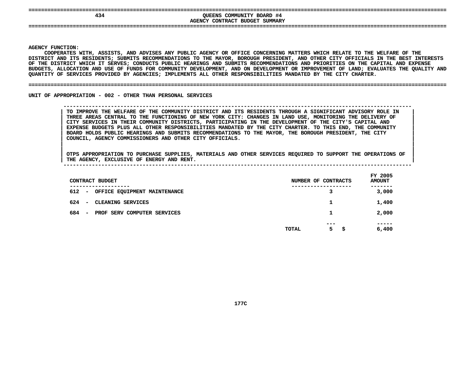| 434 | COMMUNITY BOARD #4<br>OUEENS<br>CONTRACT BUDGET SUMMARY<br><b>AGENCY</b> |
|-----|--------------------------------------------------------------------------|
| --- |                                                                          |

**|**

Y FUNCTION:<br>COOPERATES<br>ICT AND ITS<br>ICT AND ITS **COOPERATES**S WITH, ASSISTS, AND ADVISES ANY PUBLIC AGENCY OR OFFICE CONCERNING MATTERS WHICH RELATE TO THE WELFARE OF THE<br>TS RESIDENTS; SUBMITS RECOMMENDATIONS TO THE MAYOR, BOROUGH PRESIDENT, AND OTHER CITY OFFICIALS IN THE BEST IN<br> **DISTRICT**T AND ITS RESIDENTS; SUBMITS RECOMMENDATIONS TO THE MAYOR, BOROUGH PRESIDENT, AND OTHER CITY OFFICIALS IN THE BEST INTERESTS<br>DISTRICT WHICH IT SERVES; CONDUCTS PUBLIC HEARINGS AND SUBMITS RECOMMENDATIONS AND PRIORITIES ON OF THE DISTRICT WHICH IT SERVES: CONDUCTS PUBLIC HEARINGS AND SUBMITS RECOMMENDATIONS AND PRIORITIES ON THE CAPITAL AND EXPENSE F THE DISTRICT WHICH IT SERVES; CONDUCTS PUBLIC HEARINGS AND SUBMITS RECOMMENDATIONS AND PRIORITIES ON THE CAPITAL AND EXPENSE<br>UDGETS, ALLOCATION AND USE OF FUNDS FOR COMMUNITY DEVELOPMENT, AND ON DEVELOPMENT OR IMPROVEMEN **BUDGETS,**, ALLOCATION AND USE OF FUNDS FOR COMMUNITY DEVELOPMENT, AND ON DEVELOPMENT OR IMPROVEMENT OF LAND; EVALUATES THE QUALITY AND<br>Y OF SERVICES PROVIDED BY AGENCIES; IMPLEMENTS ALL OTHER RESPONSIBILITIES MANDATED BY THE CITY C **QUANTITY**

### **OF SERVICES PROVIDED BY AGENCIES; IMPLEMENTS ALL OTHER RESPONSIBILITIES MANDATED BY THE CITY CHARTER. ====================================================================================================================================**

UNIT OF APPROPRIATION - 002 - OTHER THAN PERSONAL SERVICES

### **OF APPROPRIATION - <sup>002</sup> - OTHER THAN PERSONAL SERVICES --------------------------------------------------------------------------------------------------------------**TO IMPROVE THE WELFARE OF THE COMMUNITY DISTRICT AND ITS RESIDENTS THROUGH A SIGNIFICANT ADVISORY ROLE IN THREE AREAS CENTRAL TO THE FUNCTIONING OF NEW YORK CITY: CHANGES IN LAND USE, MONITORING THE DELIVERY OF CITY SERVIC TO IMPROVE THE WELFARE OF THE COMMUNITY DISTRICT AND ITS RESIDENTS THROUGH A SIGNIFICANT ADVISORY ROLE IN THREE AREAS CENTRAL TO THE FUNCTIONING OF NEW YORK CITY: CHANGES IN LAND USE, MONITORING THE DELIVERY OF<br>CITY SERVICES IN THEIR COMMUNITY DISTRICTS, PARTICIPATING IN THE DEVELOPMENT OF THE CITY'S CAPITAL AND<br>EXPENSE BUDGET **CITY SERVICES IN THEIR COMMUNITY DISTRICTS, PARTICIPATING IN THE DEVELOPMENT OF THE CITY'S CAPITAL AND <sup>|</sup>** EXPENSE BUDGETS PLUS ALL OTHER RESPONSIBILITIES MANDATED BY THE CITY CHARTER. TO THIS END, THE COMMUNITY<br>BOARD HOLDS PUBLIC HEARINGS AND SUBMITS RECOMMENDATIONS TO THE MAYOR, THE BOROUGH PRESIDENT, THE CITY<br>COUNCIL, AGENCY **BOARD HOLDS PUBLIC HEARINGS AND SUBMITS RECOMMENDATIONS TO THE MAYOR, THE BOROUGH PRESIDENT, THE CITY <sup>|</sup> COUNCIL, AGENCY COMMISSIONERS AND OTHER CITY OFFICIALS. <sup>|</sup>**

| CONTRACT BUDGET                                                                 | NUMBER OF CONTRACTS         | FY 2005<br><b>AMOUNT</b> |
|---------------------------------------------------------------------------------|-----------------------------|--------------------------|
| ------------<br>612<br>OFFICE EQUIPMENT MAINTENANCE<br>$\overline{\phantom{0}}$ | ----------------<br>3       | -------<br>3,000         |
| 624<br>CLEANING SERVICES<br>$\overline{\phantom{0}}$                            | 1                           | 1,400                    |
| 684<br>PROF SERV COMPUTER SERVICES<br>$\overline{\phantom{0}}$                  | 1                           | 2,000                    |
|                                                                                 | $- - -$<br>5<br>TOTAL<br>-S | -----<br>6,400           |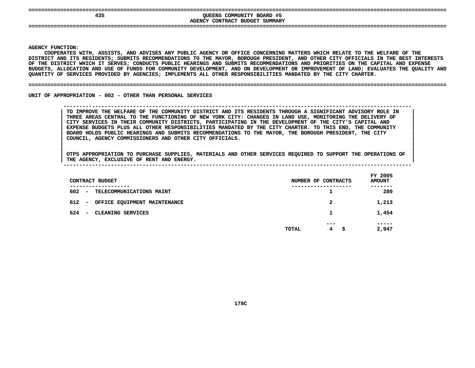| 435                            | COMMUNITY BOARD #5<br>QUEENS<br>SUMMARY<br><b>AGENCY</b><br>CONTRACT<br><b>BUDGET</b> |  |
|--------------------------------|---------------------------------------------------------------------------------------|--|
| ------------------------------ |                                                                                       |  |

**|**

Y FUNCTION:<br>COOPERATES<br>ICT AND ITS<br>ICT AND ITS **COOPERATES**S WITH, ASSISTS, AND ADVISES ANY PUBLIC AGENCY OR OFFICE CONCERNING MATTERS WHICH RELATE TO THE WELFARE OF THE<br>TS RESIDENTS; SUBMITS RECOMMENDATIONS TO THE MAYOR, BOROUGH PRESIDENT, AND OTHER CITY OFFICIALS IN THE BEST IN<br> **DISTRICT**T AND ITS RESIDENTS; SUBMITS RECOMMENDATIONS TO THE MAYOR, BOROUGH PRESIDENT, AND OTHER CITY OFFICIALS IN THE BEST INTERESTS<br>DISTRICT WHICH IT SERVES; CONDUCTS PUBLIC HEARINGS AND SUBMITS RECOMMENDATIONS AND PRIORITIES ON OF THE DISTRICT WHICH IT SERVES: CONDUCTS PUBLIC HEARINGS AND SUBMITS RECOMMENDATIONS AND PRIORITIES ON THE CAPITAL AND EXPENSE F THE DISTRICT WHICH IT SERVES; CONDUCTS PUBLIC HEARINGS AND SUBMITS RECOMMENDATIONS AND PRIORITIES ON THE CAPITAL AND EXPENSE<br>UDGETS, ALLOCATION AND USE OF FUNDS FOR COMMUNITY DEVELOPMENT, AND ON DEVELOPMENT OR IMPROVEMEN **BUDGETS,**, ALLOCATION AND USE OF FUNDS FOR COMMUNITY DEVELOPMENT, AND ON DEVELOPMENT OR IMPROVEMENT OF LAND; EVALUATES THE QUALITY AND<br>Y OF SERVICES PROVIDED BY AGENCIES; IMPLEMENTS ALL OTHER RESPONSIBILITIES MANDATED BY THE CITY C **QUANTITY**

### **OF SERVICES PROVIDED BY AGENCIES; IMPLEMENTS ALL OTHER RESPONSIBILITIES MANDATED BY THE CITY CHARTER. ====================================================================================================================================**

UNIT OF APPROPRIATION - 002 - OTHER THAN PERSONAL SERVICES

 **OF APPROPRIATION - <sup>002</sup> - OTHER THAN PERSONAL SERVICES --------------------------------------------------------------------------------------------------------------**TO IMPROVE THE WELFARE OF THE COMMUNITY DISTRICT AND ITS RESIDENTS THROUGH A SIGNIFICANT ADVISORY ROLE IN THREE AREAS CENTRAL TO THE FUNCTIONING OF NEW YORK CITY: CHANGES IN LAND USE, MONITORING THE DELIVERY OF CITY SERVIC TO IMPROVE THE WELFARE OF THE COMMUNITY DISTRICT AND ITS RESIDENTS THROUGH A SIGNIFICANT ADVISORY ROLE IN THREE AREAS CENTRAL TO THE FUNCTIONING OF NEW YORK CITY: CHANGES IN LAND USE, MONITORING THE DELIVERY OF<br>CITY SERVICES IN THEIR COMMUNITY DISTRICTS, PARTICIPATING IN THE DEVELOPMENT OF THE CITY'S CAPITAL AND<br>EXPENSE BUDGET **CITY SERVICES IN THEIR COMMUNITY DISTRICTS, PARTICIPATING IN THE DEVELOPMENT OF THE CITY'S CAPITAL AND <sup>|</sup>** EXPENSE BUDGETS PLUS ALL OTHER RESPONSIBILITIES MANDATED BY THE CITY CHARTER. TO THIS END, THE COMMUNITY<br>BOARD HOLDS PUBLIC HEARINGS AND SUBMITS RECOMMENDATIONS TO THE MAYOR, THE BOROUGH PRESIDENT, THE CITY<br>COUNCIL, AGENCY **BOARD HOLDS PUBLIC HEARINGS AND SUBMITS RECOMMENDATIONS TO THE MAYOR, THE BOROUGH PRESIDENT, THE CITY <sup>|</sup> COUNCIL, AGENCY COMMISSIONERS AND OTHER CITY OFFICIALS. <sup>|</sup>**

| CONTRACT BUDGET                                           | NUMBER OF CONTRACTS                   | FY 2005<br><b>AMOUNT</b> |
|-----------------------------------------------------------|---------------------------------------|--------------------------|
| ------------<br>602<br>TELECOMMUNICATIONS MAINT<br>$\sim$ | ----------------                      | ----<br>280              |
| 612 -<br>OFFICE EQUIPMENT MAINTENANCE                     | 2                                     | 1,213                    |
| 624<br>CLEANING SERVICES<br>$\overline{\phantom{0}}$      | 1                                     | 1,454                    |
|                                                           | $- - -$<br>$4^{\circ}$<br>TOTAL<br>-S | -----<br>2,947           |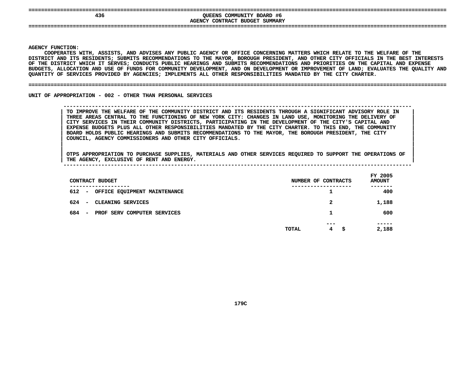| ===<br>436 | COMMUNITY BOARD #6<br>OUEENS<br>CONTRACT BUDGET SUMMARY<br><b>AGENCY</b> |
|------------|--------------------------------------------------------------------------|
|            |                                                                          |

**|**

Y FUNCTION:<br>COOPERATES<br>ICT AND ITS<br>ICT AND ITS **COOPERATES**S WITH, ASSISTS, AND ADVISES ANY PUBLIC AGENCY OR OFFICE CONCERNING MATTERS WHICH RELATE TO THE WELFARE OF THE<br>TS RESIDENTS; SUBMITS RECOMMENDATIONS TO THE MAYOR, BOROUGH PRESIDENT, AND OTHER CITY OFFICIALS IN THE BEST IN<br> **DISTRICT**T AND ITS RESIDENTS; SUBMITS RECOMMENDATIONS TO THE MAYOR, BOROUGH PRESIDENT, AND OTHER CITY OFFICIALS IN THE BEST INTERESTS<br>DISTRICT WHICH IT SERVES; CONDUCTS PUBLIC HEARINGS AND SUBMITS RECOMMENDATIONS AND PRIORITIES ON OF THE DISTRICT WHICH IT SERVES: CONDUCTS PUBLIC HEARINGS AND SUBMITS RECOMMENDATIONS AND PRIORITIES ON THE CAPITAL AND EXPENSE F THE DISTRICT WHICH IT SERVES; CONDUCTS PUBLIC HEARINGS AND SUBMITS RECOMMENDATIONS AND PRIORITIES ON THE CAPITAL AND EXPENSE<br>UDGETS, ALLOCATION AND USE OF FUNDS FOR COMMUNITY DEVELOPMENT, AND ON DEVELOPMENT OR IMPROVEMEN **BUDGETS,**, ALLOCATION AND USE OF FUNDS FOR COMMUNITY DEVELOPMENT, AND ON DEVELOPMENT OR IMPROVEMENT OF LAND; EVALUATES THE QUALITY AND<br>Y OF SERVICES PROVIDED BY AGENCIES; IMPLEMENTS ALL OTHER RESPONSIBILITIES MANDATED BY THE CITY C **QUANTITY**

### **OF SERVICES PROVIDED BY AGENCIES; IMPLEMENTS ALL OTHER RESPONSIBILITIES MANDATED BY THE CITY CHARTER. ====================================================================================================================================**

UNIT OF APPROPRIATION - 002 - OTHER THAN PERSONAL SERVICES

### **OF APPROPRIATION - <sup>002</sup> - OTHER THAN PERSONAL SERVICES --------------------------------------------------------------------------------------------------------------**TO IMPROVE THE WELFARE OF THE COMMUNITY DISTRICT AND ITS RESIDENTS THROUGH A SIGNIFICANT ADVISORY ROLE IN THREE AREAS CENTRAL TO THE FUNCTIONING OF NEW YORK CITY: CHANGES IN LAND USE, MONITORING THE DELIVERY OF CITY SERVIC TO IMPROVE THE WELFARE OF THE COMMUNITY DISTRICT AND ITS RESIDENTS THROUGH A SIGNIFICANT ADVISORY ROLE IN THREE AREAS CENTRAL TO THE FUNCTIONING OF NEW YORK CITY: CHANGES IN LAND USE, MONITORING THE DELIVERY OF<br>CITY SERVICES IN THEIR COMMUNITY DISTRICTS, PARTICIPATING IN THE DEVELOPMENT OF THE CITY'S CAPITAL AND<br>EXPENSE BUDGET **CITY SERVICES IN THEIR COMMUNITY DISTRICTS, PARTICIPATING IN THE DEVELOPMENT OF THE CITY'S CAPITAL AND <sup>|</sup>** EXPENSE BUDGETS PLUS ALL OTHER RESPONSIBILITIES MANDATED BY THE CITY CHARTER. TO THIS END, THE COMMUNITY<br>BOARD HOLDS PUBLIC HEARINGS AND SUBMITS RECOMMENDATIONS TO THE MAYOR, THE BOROUGH PRESIDENT, THE CITY<br>COUNCIL, AGENCY **BOARD HOLDS PUBLIC HEARINGS AND SUBMITS RECOMMENDATIONS TO THE MAYOR, THE BOROUGH PRESIDENT, THE CITY <sup>|</sup> COUNCIL, AGENCY COMMISSIONERS AND OTHER CITY OFFICIALS. <sup>|</sup>**

| THE | <b>AGENCY</b> | <b>EXCLUSIVE OF</b> | RENT | AND | <b>ENERGY</b> |  |  |  |  |            |  |
|-----|---------------|---------------------|------|-----|---------------|--|--|--|--|------------|--|
|     |               |                     |      |     |               |  |  |  |  |            |  |
|     |               |                     |      |     |               |  |  |  |  | __________ |  |

|     | CONTRACT BUDGET                                                         | NUMBER OF CONTRACTS |   |          |   | FY 2005<br><b>AMOUNT</b> |
|-----|-------------------------------------------------------------------------|---------------------|---|----------|---|--------------------------|
| 612 | -----------<br>OFFICE EQUIPMENT MAINTENANCE<br>$\overline{\phantom{a}}$ | -----------         |   | ᅩ        |   | -----<br>400             |
| 624 | CLEANING SERVICES<br>-                                                  |                     | 2 |          |   | 1,188                    |
| 684 | PROF SERV COMPUTER SERVICES<br>$\overline{\phantom{a}}$                 | 1                   |   |          |   | 600                      |
|     |                                                                         | TOTAL               |   | ---<br>4 | s | -----<br>2,188           |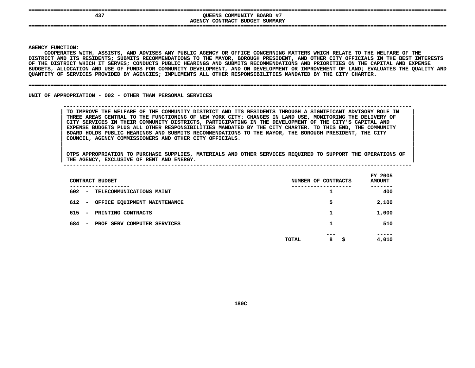| QUEENS COMMUNITY BOARD #7<br>43" |  |
|----------------------------------|--|
| AGENCY CONTRACT BUDGET SUMMARY   |  |
|                                  |  |
|                                  |  |

**|**

Y FUNCTION:<br>COOPERATES<br>ICT AND ITS<br>ICT AND ITS **COOPERATES**S WITH, ASSISTS, AND ADVISES ANY PUBLIC AGENCY OR OFFICE CONCERNING MATTERS WHICH RELATE TO THE WELFARE OF THE<br>TS RESIDENTS; SUBMITS RECOMMENDATIONS TO THE MAYOR, BOROUGH PRESIDENT, AND OTHER CITY OFFICIALS IN THE BEST IN<br> **DISTRICT**T AND ITS RESIDENTS; SUBMITS RECOMMENDATIONS TO THE MAYOR, BOROUGH PRESIDENT, AND OTHER CITY OFFICIALS IN THE BEST INTERESTS<br>DISTRICT WHICH IT SERVES; CONDUCTS PUBLIC HEARINGS AND SUBMITS RECOMMENDATIONS AND PRIORITIES ON OF THE DISTRICT WHICH IT SERVES: CONDUCTS PUBLIC HEARINGS AND SUBMITS RECOMMENDATIONS AND PRIORITIES ON THE CAPITAL AND EXPENSE F THE DISTRICT WHICH IT SERVES; CONDUCTS PUBLIC HEARINGS AND SUBMITS RECOMMENDATIONS AND PRIORITIES ON THE CAPITAL AND EXPENSE<br>UDGETS, ALLOCATION AND USE OF FUNDS FOR COMMUNITY DEVELOPMENT, AND ON DEVELOPMENT OR IMPROVEMEN BUDGETS, ALLOCATION AND USE OF FUNDS FOR COMMUNITY DEVELOPMENT, AND ON DEVELOPMENT OR IMPROVEMENT OF LAND; EVALUATES THE QUALITY AND<br>QUANTITY OF SERVICES PROVIDED BY AGENCIES; IMPLEMENTS ALL OTHER RESPONSIBILITIES MANDATED QUANTITY OF SERVICES PROVIDED BY AGENCIES; IMPLEMENTS ALL OTHER RESPONSIBILITIES MANDATED BY THE CITY CHARTER.

#### **OF SERVICES PROVIDED BY AGENCIES; IMPLEMENTS ALL OTHER RESPONSIBILITIES MANDATED BY THE CITY CHARTER. ====================================================================================================================================**

UNIT OF APPROPRIATION - 002 - OTHER THAN PERSONAL SERVICES

 **OF APPROPRIATION - <sup>002</sup> - OTHER THAN PERSONAL SERVICES --------------------------------------------------------------------------------------------------------------**TO IMPROVE THE WELFARE OF THE COMMUNITY DISTRICT AND ITS RESIDENTS THROUGH A SIGNIFICANT ADVISORY ROLE IN THREE AREAS CENTRAL TO THE FUNCTIONING OF NEW YORK CITY: CHANGES IN LAND USE, MONITORING THE DELIVERY OF CITY SERVIC TO IMPROVE THE WELFARE OF THE COMMUNITY DISTRICT AND ITS RESIDENTS THROUGH A SIGNIFICANT ADVISORY ROLE IN THREE AREAS CENTRAL TO THE FUNCTIONING OF NEW YORK CITY: CHANGES IN LAND USE, MONITORING THE DELIVERY OF<br>CITY SERVICES IN THEIR COMMUNITY DISTRICTS, PARTICIPATING IN THE DEVELOPMENT OF THE CITY'S CAPITAL AND<br>EXPENSE BUDGET **CITY SERVICES IN THEIR COMMUNITY DISTRICTS, PARTICIPATING IN THE DEVELOPMENT OF THE CITY'S CAPITAL AND <sup>|</sup>** EXPENSE BUDGETS PLUS ALL OTHER RESPONSIBILITIES MANDATED BY THE CITY CHARTER. TO THIS END, THE COMMUNITY **BOARD HOLDS PUBLIC HEARINGS AND SUBMITS RECOMMENDATIONS TO THE MAYOR, THE BOROUGH PRESIDENT, THE CITY <sup>|</sup> COUNCIL, AGENCY COMMISSIONERS AND OTHER CITY OFFICIALS. <sup>|</sup>**

| CONTRACT BUDGET                                                 | NUMBER OF CONTRACTS            | FY 2005<br><b>AMOUNT</b> |
|-----------------------------------------------------------------|--------------------------------|--------------------------|
| --------<br>602<br>TELECOMMUNICATIONS MAINT<br>$\sim$           | ┻                              | -----<br>400             |
| 612<br>OFFICE EQUIPMENT MAINTENANCE<br>$\overline{\phantom{0}}$ | 5                              | 2,100                    |
| 615<br>PRINTING CONTRACTS<br>$\overline{\phantom{0}}$           | 1                              | 1,000                    |
| 684<br>PROF SERV COMPUTER SERVICES<br>$\overline{\phantom{0}}$  |                                | 510                      |
|                                                                 | ---<br>8<br><b>TOTAL</b><br>\$ | -----<br>4,010           |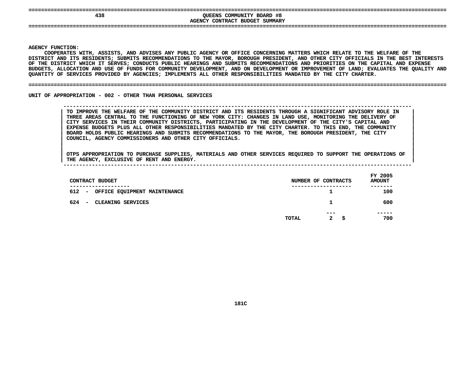| ---<br>438 | QUEENS COMMUNITY BOARD #8<br>CONTRACT BUDGET<br>SUMMARY<br><b>AGENCY</b> |
|------------|--------------------------------------------------------------------------|
| ---        |                                                                          |

**|**

Y FUNCTION:<br>COOPERATES<br>ICT AND ITS<br>ICT AND ITS **COOPERATES**S WITH, ASSISTS, AND ADVISES ANY PUBLIC AGENCY OR OFFICE CONCERNING MATTERS WHICH RELATE TO THE WELFARE OF THE<br>TS RESIDENTS; SUBMITS RECOMMENDATIONS TO THE MAYOR, BOROUGH PRESIDENT, AND OTHER CITY OFFICIALS IN THE BEST IN<br> **DISTRICT**T AND ITS RESIDENTS; SUBMITS RECOMMENDATIONS TO THE MAYOR, BOROUGH PRESIDENT, AND OTHER CITY OFFICIALS IN THE BEST INTERESTS<br>DISTRICT WHICH IT SERVES; CONDUCTS PUBLIC HEARINGS AND SUBMITS RECOMMENDATIONS AND PRIORITIES ON OF THE DISTRICT WHICH IT SERVES: CONDUCTS PUBLIC HEARINGS AND SUBMITS RECOMMENDATIONS AND PRIORITIES ON THE CAPITAL AND EXPENSE F THE DISTRICT WHICH IT SERVES; CONDUCTS PUBLIC HEARINGS AND SUBMITS RECOMMENDATIONS AND PRIORITIES ON THE CAPITAL AND EXPENSE<br>UDGETS, ALLOCATION AND USE OF FUNDS FOR COMMUNITY DEVELOPMENT, AND ON DEVELOPMENT OR IMPROVEMEN **BUDGETS,**, ALLOCATION AND USE OF FUNDS FOR COMMUNITY DEVELOPMENT, AND ON DEVELOPMENT OR IMPROVEMENT OF LAND; EVALUATES THE QUALITY AND<br>Y OF SERVICES PROVIDED BY AGENCIES; IMPLEMENTS ALL OTHER RESPONSIBILITIES MANDATED BY THE CITY C **QUANTITY**

#### **OF SERVICES PROVIDED BY AGENCIES; IMPLEMENTS ALL OTHER RESPONSIBILITIES MANDATED BY THE CITY CHARTER. ====================================================================================================================================**

UNIT OF APPROPRIATION - 002 - OTHER THAN PERSONAL SERVICES

 **OF APPROPRIATION - <sup>002</sup> - OTHER THAN PERSONAL SERVICES --------------------------------------------------------------------------------------------------------------**TO IMPROVE THE WELFARE OF THE COMMUNITY DISTRICT AND ITS RESIDENTS THROUGH A SIGNIFICANT ADVISORY ROLE IN THREE AREAS CENTRAL TO THE FUNCTIONING OF NEW YORK CITY: CHANGES IN LAND USE, MONITORING THE DELIVERY OF CITY SERVIC TO IMPROVE THE WELFARE OF THE COMMUNITY DISTRICT AND ITS RESIDENTS THROUGH A SIGNIFICANT ADVISORY ROLE IN THREE AREAS CENTRAL TO THE FUNCTIONING OF NEW YORK CITY: CHANGES IN LAND USE, MONITORING THE DELIVERY OF<br>CITY SERVICES IN THEIR COMMUNITY DISTRICTS, PARTICIPATING IN THE DEVELOPMENT OF THE CITY'S CAPITAL AND<br>EXPENSE BUDGET **CITY SERVICES IN THEIR COMMUNITY DISTRICTS, PARTICIPATING IN THE DEVELOPMENT OF THE CITY'S CAPITAL AND <sup>|</sup>** EXPENSE BUDGETS PLUS ALL OTHER RESPONSIBILITIES MANDATED BY THE CITY CHARTER. TO THIS END, THE COMMUNITY<br>BOARD HOLDS PUBLIC HEARINGS AND SUBMITS RECOMMENDATIONS TO THE MAYOR, THE BOROUGH PRESIDENT, THE CITY<br>COUNCIL, AGENCY **BOARD HOLDS PUBLIC HEARINGS AND SUBMITS RECOMMENDATIONS TO THE MAYOR, THE BOROUGH PRESIDENT, THE CITY <sup>|</sup> COUNCIL, AGENCY COMMISSIONERS AND OTHER CITY OFFICIALS. <sup>|</sup>**

| CONTRACT BUDGET                                                                 |       | NUMBER OF CONTRACTS       | FY 2005<br><b>AMOUNT</b> |
|---------------------------------------------------------------------------------|-------|---------------------------|--------------------------|
| ------------<br>612<br>OFFICE EQUIPMENT MAINTENANCE<br>$\overline{\phantom{0}}$ |       | ----------------<br>ᅩ     | -----<br>100             |
| 624<br>CLEANING SERVICES<br>$\overline{\phantom{0}}$                            |       |                           | 600                      |
|                                                                                 | TOTAL | ---<br>$\mathbf{2}$<br>-S | -----<br>700             |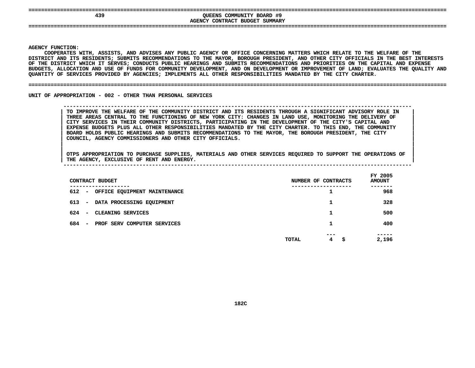| 439                                        | COMMUNITY BOARD #9<br>OUEENS<br>CONTRACT BUDGET<br>SUMMARY<br><b>AGENCY</b> |  |
|--------------------------------------------|-----------------------------------------------------------------------------|--|
| ----------------------------------<br>---- |                                                                             |  |

**|**

Y FUNCTION:<br>COOPERATES<br>ICT AND ITS<br>ICT AND ITS **COOPERATES**S WITH, ASSISTS, AND ADVISES ANY PUBLIC AGENCY OR OFFICE CONCERNING MATTERS WHICH RELATE TO THE WELFARE OF THE<br>TS RESIDENTS; SUBMITS RECOMMENDATIONS TO THE MAYOR, BOROUGH PRESIDENT, AND OTHER CITY OFFICIALS IN THE BEST IN<br> **DISTRICT**T AND ITS RESIDENTS; SUBMITS RECOMMENDATIONS TO THE MAYOR, BOROUGH PRESIDENT, AND OTHER CITY OFFICIALS IN THE BEST INTERESTS<br>DISTRICT WHICH IT SERVES; CONDUCTS PUBLIC HEARINGS AND SUBMITS RECOMMENDATIONS AND PRIORITIES ON OF THE DISTRICT WHICH IT SERVES: CONDUCTS PUBLIC HEARINGS AND SUBMITS RECOMMENDATIONS AND PRIORITIES ON THE CAPITAL AND EXPENSE F THE DISTRICT WHICH IT SERVES; CONDUCTS PUBLIC HEARINGS AND SUBMITS RECOMMENDATIONS AND PRIORITIES ON THE CAPITAL AND EXPENSE<br>UDGETS, ALLOCATION AND USE OF FUNDS FOR COMMUNITY DEVELOPMENT, AND ON DEVELOPMENT OR IMPROVEMEN BUDGETS, ALLOCATION AND USE OF FUNDS FOR COMMUNITY DEVELOPMENT, AND ON DEVELOPMENT OR IMPROVEMENT OF LAND; EVALUATES THE QUALITY AND<br>QUANTITY OF SERVICES PROVIDED BY AGENCIES; IMPLEMENTS ALL OTHER RESPONSIBILITIES MANDATED QUANTITY OF SERVICES PROVIDED BY AGENCIES; IMPLEMENTS ALL OTHER RESPONSIBILITIES MANDATED BY THE CITY CHARTER.

#### **OF SERVICES PROVIDED BY AGENCIES; IMPLEMENTS ALL OTHER RESPONSIBILITIES MANDATED BY THE CITY CHARTER. ====================================================================================================================================**

UNIT OF APPROPRIATION - 002 - OTHER THAN PERSONAL SERVICES

## **OF APPROPRIATION - <sup>002</sup> - OTHER THAN PERSONAL SERVICES --------------------------------------------------------------------------------------------------------------**TO IMPROVE THE WELFARE OF THE COMMUNITY DISTRICT AND ITS RESIDENTS THROUGH A SIGNIFICANT ADVISORY ROLE IN THREE AREAS CENTRAL TO THE FUNCTIONING OF NEW YORK CITY: CHANGES IN LAND USE, MONITORING THE DELIVERY OF CITY SERVIC TO IMPROVE THE WELFARE OF THE COMMUNITY DISTRICT AND ITS RESIDENTS THROUGH A SIGNIFICANT ADVISORY ROLE IN THREE AREAS CENTRAL TO THE FUNCTIONING OF NEW YORK CITY: CHANGES IN LAND USE, MONITORING THE DELIVERY OF<br>CITY SERVICES IN THEIR COMMUNITY DISTRICTS, PARTICIPATING IN THE DEVELOPMENT OF THE CITY'S CAPITAL AND<br>EXPENSE BUDGET **CITY SERVICES IN THEIR COMMUNITY DISTRICTS, PARTICIPATING IN THE DEVELOPMENT OF THE CITY'S CAPITAL AND <sup>|</sup>** EXPENSE BUDGETS PLUS ALL OTHER RESPONSIBILITIES MANDATED BY THE CITY CHARTER. TO THIS END, THE COMMUNITY<br>BOARD HOLDS PUBLIC HEARINGS AND SUBMITS RECOMMENDATIONS TO THE MAYOR, THE BOROUGH PRESIDENT, THE CITY<br>COUNCIL, AGENCY **BOARD HOLDS PUBLIC HEARINGS AND SUBMITS RECOMMENDATIONS TO THE MAYOR, THE BOROUGH PRESIDENT, THE CITY <sup>|</sup> COUNCIL, AGENCY COMMISSIONERS AND OTHER CITY OFFICIALS. <sup>|</sup>**

| CONTRACT BUDGET                                                | NUMBER OF CONTRACTS             | FY 2005<br><b>AMOUNT</b> |
|----------------------------------------------------------------|---------------------------------|--------------------------|
| --------<br>612<br>OFFICE EQUIPMENT MAINTENANCE<br>$\sim$      | ┸                               | -----<br>968             |
| 613 –<br>DATA PROCESSING EQUIPMENT                             |                                 | 328                      |
| 624<br>CLEANING SERVICES<br>$\overline{\phantom{0}}$           |                                 | 500                      |
| 684<br>PROF SERV COMPUTER SERVICES<br>$\overline{\phantom{0}}$ |                                 | 400                      |
|                                                                | ---<br>4<br><b>TOTAL</b><br>-\$ | -----<br>2,196           |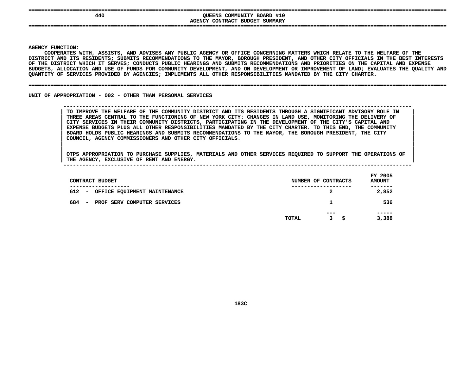| 440 | QUEENS COMMUNITY BOARD #10     |  |
|-----|--------------------------------|--|
|     | AGENCY CONTRACT BUDGET SUMMARY |  |
|     |                                |  |

**|**

Y FUNCTION:<br>COOPERATES<br>ICT AND ITS<br>ICT AND ITS **COOPERATES**S WITH, ASSISTS, AND ADVISES ANY PUBLIC AGENCY OR OFFICE CONCERNING MATTERS WHICH RELATE TO THE WELFARE OF THE<br>TS RESIDENTS; SUBMITS RECOMMENDATIONS TO THE MAYOR, BOROUGH PRESIDENT, AND OTHER CITY OFFICIALS IN THE BEST IN<br> **DISTRICT**T AND ITS RESIDENTS; SUBMITS RECOMMENDATIONS TO THE MAYOR, BOROUGH PRESIDENT, AND OTHER CITY OFFICIALS IN THE BEST INTERESTS<br>DISTRICT WHICH IT SERVES; CONDUCTS PUBLIC HEARINGS AND SUBMITS RECOMMENDATIONS AND PRIORITIES ON OF THE DISTRICT WHICH IT SERVES: CONDUCTS PUBLIC HEARINGS AND SUBMITS RECOMMENDATIONS AND PRIORITIES ON THE CAPITAL AND EXPENSE F THE DISTRICT WHICH IT SERVES; CONDUCTS PUBLIC HEARINGS AND SUBMITS RECOMMENDATIONS AND PRIORITIES ON THE CAPITAL AND EXPENSE<br>UDGETS, ALLOCATION AND USE OF FUNDS FOR COMMUNITY DEVELOPMENT, AND ON DEVELOPMENT OR IMPROVEMEN **BUDGETS,**, ALLOCATION AND USE OF FUNDS FOR COMMUNITY DEVELOPMENT, AND ON DEVELOPMENT OR IMPROVEMENT OF LAND; EVALUATES THE QUALITY AND<br>Y OF SERVICES PROVIDED BY AGENCIES; IMPLEMENTS ALL OTHER RESPONSIBILITIES MANDATED BY THE CITY C **QUANTITY**

#### **OF SERVICES PROVIDED BY AGENCIES; IMPLEMENTS ALL OTHER RESPONSIBILITIES MANDATED BY THE CITY CHARTER. ====================================================================================================================================**

UNIT OF APPROPRIATION - 002 - OTHER THAN PERSONAL SERVICES

 **OF APPROPRIATION - <sup>002</sup> - OTHER THAN PERSONAL SERVICES --------------------------------------------------------------------------------------------------------------**TO IMPROVE THE WELFARE OF THE COMMUNITY DISTRICT AND ITS RESIDENTS THROUGH A SIGNIFICANT ADVISORY ROLE IN THREE AREAS CENTRAL TO THE FUNCTIONING OF NEW YORK CITY: CHANGES IN LAND USE, MONITORING THE DELIVERY OF CITY SERVIC TO IMPROVE THE WELFARE OF THE COMMUNITY DISTRICT AND ITS RESIDENTS THROUGH A SIGNIFICANT ADVISORY ROLE IN THREE AREAS CENTRAL TO THE FUNCTIONING OF NEW YORK CITY: CHANGES IN LAND USE, MONITORING THE DELIVERY OF<br>CITY SERVICES IN THEIR COMMUNITY DISTRICTS, PARTICIPATING IN THE DEVELOPMENT OF THE CITY'S CAPITAL AND<br>EXPENSE BUDGET **CITY SERVICES IN THEIR COMMUNITY DISTRICTS, PARTICIPATING IN THE DEVELOPMENT OF THE CITY'S CAPITAL AND <sup>|</sup>** EXPENSE BUDGETS PLUS ALL OTHER RESPONSIBILITIES MANDATED BY THE CITY CHARTER. TO THIS END, THE COMMUNITY<br>BOARD HOLDS PUBLIC HEARINGS AND SUBMITS RECOMMENDATIONS TO THE MAYOR, THE BOROUGH PRESIDENT, THE CITY<br>COUNCIL, AGENCY **BOARD HOLDS PUBLIC HEARINGS AND SUBMITS RECOMMENDATIONS TO THE MAYOR, THE BOROUGH PRESIDENT, THE CITY <sup>|</sup> COUNCIL, AGENCY COMMISSIONERS AND OTHER CITY OFFICIALS. <sup>|</sup>**

| CONTRACT BUDGET                                                                  | NUMBER OF CONTRACTS   | FY 2005<br><b>AMOUNT</b> |
|----------------------------------------------------------------------------------|-----------------------|--------------------------|
| -------------<br>612<br>OFFICE EQUIPMENT MAINTENANCE<br>$\overline{\phantom{a}}$ | ----------------<br>2 | .<br>2,852               |
| 684<br>PROF SERV COMPUTER SERVICES<br>$\overline{\phantom{a}}$                   | 1                     | 536                      |
|                                                                                  | $- - -$               | -----                    |
|                                                                                  | TOTAL<br>3<br>s       | 3,388                    |
|                                                                                  |                       |                          |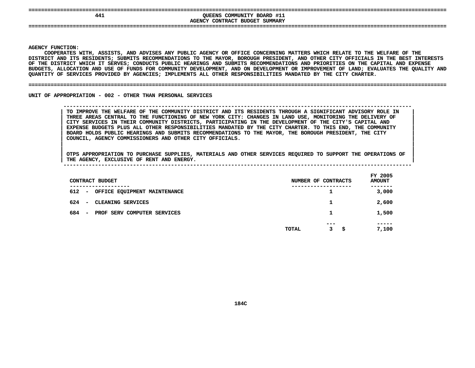| 441 | QUEENS COMMUNITY BOARD #11<br>AGENCY CONTRACT BUDGET SUMMARY |  |
|-----|--------------------------------------------------------------|--|
|     |                                                              |  |

**|**

Y FUNCTION:<br>COOPERATES<br>ICT AND ITS<br>ICT AND ITS **COOPERATES**S WITH, ASSISTS, AND ADVISES ANY PUBLIC AGENCY OR OFFICE CONCERNING MATTERS WHICH RELATE TO THE WELFARE OF THE<br>TS RESIDENTS; SUBMITS RECOMMENDATIONS TO THE MAYOR, BOROUGH PRESIDENT, AND OTHER CITY OFFICIALS IN THE BEST IN<br> **DISTRICT**T AND ITS RESIDENTS; SUBMITS RECOMMENDATIONS TO THE MAYOR, BOROUGH PRESIDENT, AND OTHER CITY OFFICIALS IN THE BEST INTERESTS<br>DISTRICT WHICH IT SERVES; CONDUCTS PUBLIC HEARINGS AND SUBMITS RECOMMENDATIONS AND PRIORITIES ON OF THE DISTRICT WHICH IT SERVES: CONDUCTS PUBLIC HEARINGS AND SUBMITS RECOMMENDATIONS AND PRIORITIES ON THE CAPITAL AND EXPENSE F THE DISTRICT WHICH IT SERVES; CONDUCTS PUBLIC HEARINGS AND SUBMITS RECOMMENDATIONS AND PRIORITIES ON THE CAPITAL AND EXPENSE<br>UDGETS, ALLOCATION AND USE OF FUNDS FOR COMMUNITY DEVELOPMENT, AND ON DEVELOPMENT OR IMPROVEMEN **BUDGETS,**, ALLOCATION AND USE OF FUNDS FOR COMMUNITY DEVELOPMENT, AND ON DEVELOPMENT OR IMPROVEMENT OF LAND; EVALUATES THE QUALITY AND<br>Y OF SERVICES PROVIDED BY AGENCIES; IMPLEMENTS ALL OTHER RESPONSIBILITIES MANDATED BY THE CITY C **QUANTITY**

#### **OF SERVICES PROVIDED BY AGENCIES; IMPLEMENTS ALL OTHER RESPONSIBILITIES MANDATED BY THE CITY CHARTER. ====================================================================================================================================**

UNIT OF APPROPRIATION - 002 - OTHER THAN PERSONAL SERVICES

 **OF APPROPRIATION - <sup>002</sup> - OTHER THAN PERSONAL SERVICES --------------------------------------------------------------------------------------------------------------**TO IMPROVE THE WELFARE OF THE COMMUNITY DISTRICT AND ITS RESIDENTS THROUGH A SIGNIFICANT ADVISORY ROLE IN THREE AREAS CENTRAL TO THE FUNCTIONING OF NEW YORK CITY: CHANGES IN LAND USE, MONITORING THE DELIVERY OF CITY SERVIC TO IMPROVE THE WELFARE OF THE COMMUNITY DISTRICT AND ITS RESIDENTS THROUGH A SIGNIFICANT ADVISORY ROLE IN THREE AREAS CENTRAL TO THE FUNCTIONING OF NEW YORK CITY: CHANGES IN LAND USE, MONITORING THE DELIVERY OF<br>CITY SERVICES IN THEIR COMMUNITY DISTRICTS, PARTICIPATING IN THE DEVELOPMENT OF THE CITY'S CAPITAL AND<br>EXPENSE BUDGET **CITY SERVICES IN THEIR COMMUNITY DISTRICTS, PARTICIPATING IN THE DEVELOPMENT OF THE CITY'S CAPITAL AND <sup>|</sup>** EXPENSE BUDGETS PLUS ALL OTHER RESPONSIBILITIES MANDATED BY THE CITY CHARTER. TO THIS END, THE COMMUNITY<br>BOARD HOLDS PUBLIC HEARINGS AND SUBMITS RECOMMENDATIONS TO THE MAYOR, THE BOROUGH PRESIDENT, THE CITY<br>COUNCIL, AGENCY **BOARD HOLDS PUBLIC HEARINGS AND SUBMITS RECOMMENDATIONS TO THE MAYOR, THE BOROUGH PRESIDENT, THE CITY <sup>|</sup> COUNCIL, AGENCY COMMISSIONERS AND OTHER CITY OFFICIALS. <sup>|</sup>**

OTPS APPROPRIATION TO PURCHASE SUPPLIES, MATERIALS AND OTHER SERVICES REQUIRED TO SUPPORT THE OPERATIONS OF |<br>| OTPS APPROPRIATION TO PURCHASE SUPPLIES, MATERIALS AND OTHER SERVICES REQUIRED TO SUPPORT THE OPERATIONS OF<br>| THE AGENCY, EXCLUSIVE OF RENT AND ENERGY. **OTPS APPROPRIATION TO PURCHASE SUPPLIES, MATERIALS AND OTHER SERVICES REQUIRED TO SUPPORT THE OPERATIONS OF <sup>|</sup>**

| THE AGENCY, EXCLUSIVE OF RENT AND ENERGY.                      |                     |                          |
|----------------------------------------------------------------|---------------------|--------------------------|
| CONTRACT BUDGET                                                | NUMBER OF CONTRACTS | FY 2005<br><b>AMOUNT</b> |
| 612<br>OFFICE EQUIPMENT MAINTENANCE<br>-                       |                     | -------<br>3,000         |
| 624<br>CLEANING SERVICES<br>$\overline{\phantom{a}}$           |                     | 2,600                    |
| 684<br>PROF SERV COMPUTER SERVICES<br>$\overline{\phantom{a}}$ |                     | 1,500                    |

 **----- TOTAL<sup>3</sup> \$ 7,100**

|  |       |  |                             |  |     | $   -$ |
|--|-------|--|-----------------------------|--|-----|--------|
|  |       |  |                             |  | --- | -----  |
|  |       |  |                             |  |     |        |
|  |       |  |                             |  |     | L,500  |
|  | 684 – |  | PROF SERV COMPUTER SERVICES |  |     |        |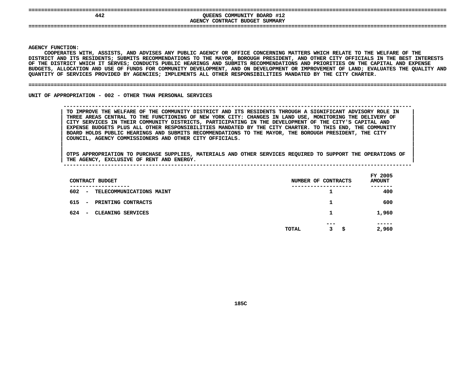| 442 | QUEENS COMMUNITY BOARD #12<br>AGENCY CONTRACT BUDGET SUMMARY |  |
|-----|--------------------------------------------------------------|--|
|     |                                                              |  |

**|**

Y FUNCTION:<br>COOPERATES<br>ICT AND ITS<br>ICT AND ITS **COOPERATES**S WITH, ASSISTS, AND ADVISES ANY PUBLIC AGENCY OR OFFICE CONCERNING MATTERS WHICH RELATE TO THE WELFARE OF THE<br>TS RESIDENTS; SUBMITS RECOMMENDATIONS TO THE MAYOR, BOROUGH PRESIDENT, AND OTHER CITY OFFICIALS IN THE BEST IN<br> **DISTRICT**T AND ITS RESIDENTS; SUBMITS RECOMMENDATIONS TO THE MAYOR, BOROUGH PRESIDENT, AND OTHER CITY OFFICIALS IN THE BEST INTERESTS<br>DISTRICT WHICH IT SERVES; CONDUCTS PUBLIC HEARINGS AND SUBMITS RECOMMENDATIONS AND PRIORITIES ON OF THE DISTRICT WHICH IT SERVES: CONDUCTS PUBLIC HEARINGS AND SUBMITS RECOMMENDATIONS AND PRIORITIES ON THE CAPITAL AND EXPENSE F THE DISTRICT WHICH IT SERVES; CONDUCTS PUBLIC HEARINGS AND SUBMITS RECOMMENDATIONS AND PRIORITIES ON THE CAPITAL AND EXPENSE<br>UDGETS, ALLOCATION AND USE OF FUNDS FOR COMMUNITY DEVELOPMENT, AND ON DEVELOPMENT OR IMPROVEMEN BUDGETS, ALLOCATION AND USE OF FUNDS FOR COMMUNITY DEVELOPMENT, AND ON DEVELOPMENT OR IMPROVEMENT OF LAND; EVALUATES THE QUALITY AND<br>QUANTITY OF SERVICES PROVIDED BY AGENCIES; IMPLEMENTS ALL OTHER RESPONSIBILITIES MANDATED QUANTITY OF SERVICES PROVIDED BY AGENCIES; IMPLEMENTS ALL OTHER RESPONSIBILITIES MANDATED BY THE CITY CHARTER.

#### **OF SERVICES PROVIDED BY AGENCIES; IMPLEMENTS ALL OTHER RESPONSIBILITIES MANDATED BY THE CITY CHARTER. ====================================================================================================================================**

UNIT OF APPROPRIATION - 002 - OTHER THAN PERSONAL SERVICES

 **OF APPROPRIATION - <sup>002</sup> - OTHER THAN PERSONAL SERVICES --------------------------------------------------------------------------------------------------------------**TO IMPROVE THE WELFARE OF THE COMMUNITY DISTRICT AND ITS RESIDENTS THROUGH A SIGNIFICANT ADVISORY ROLE IN THREE AREAS CENTRAL TO THE FUNCTIONING OF NEW YORK CITY: CHANGES IN LAND USE, MONITORING THE DELIVERY OF CITY SERVIC TO IMPROVE THE WELFARE OF THE COMMUNITY DISTRICT AND ITS RESIDENTS THROUGH A SIGNIFICANT ADVISORY ROLE IN THREE AREAS CENTRAL TO THE FUNCTIONING OF NEW YORK CITY: CHANGES IN LAND USE, MONITORING THE DELIVERY OF<br>CITY SERVICES IN THEIR COMMUNITY DISTRICTS, PARTICIPATING IN THE DEVELOPMENT OF THE CITY'S CAPITAL AND<br>EXPENSE BUDGET **CITY SERVICES IN THEIR COMMUNITY DISTRICTS, PARTICIPATING IN THE DEVELOPMENT OF THE CITY'S CAPITAL AND <sup>|</sup>** EXPENSE BUDGETS PLUS ALL OTHER RESPONSIBILITIES MANDATED BY THE CITY CHARTER. TO THIS END, THE COMMUNITY **BOARD HOLDS PUBLIC HEARINGS AND SUBMITS RECOMMENDATIONS TO THE MAYOR, THE BOROUGH PRESIDENT, THE CITY <sup>|</sup> COUNCIL, AGENCY COMMISSIONERS AND OTHER CITY OFFICIALS. <sup>|</sup>**

OTPS APPROPRIATION TO PURCHASE SUPPLIES, MATERIALS AND OTHER SERVICES REQUIRED TO SUPPORT THE OPERATIONS OF |<br>| OTPS APPROPRIATION TO PURCHASE SUPPLIES, MATERIALS AND OTHER SERVICES REQUIRED TO SUPPORT THE OPERATIONS OF<br>| THE AGENCY, EXCLUSIVE OF RENT AND ENERGY. **OTPS APPROPRIATION TO PURCHASE SUPPLIES, MATERIALS AND OTHER SERVICES REQUIRED TO SUPPORT THE OPERATIONS OF <sup>|</sup>**

| THE | <b>AGENCY</b> | <b>EXCLUSIVE OF</b> | RENT | AND | <b>ENERGY</b> |  |  |  |  |            |  |
|-----|---------------|---------------------|------|-----|---------------|--|--|--|--|------------|--|
|     |               |                     |      |     |               |  |  |  |  |            |  |
|     |               |                     |      |     |               |  |  |  |  | __________ |  |

| CONTRACT BUDGET                                                            |       | NUMBER OF CONTRACTS    | FY 2005<br><b>AMOUNT</b> |
|----------------------------------------------------------------------------|-------|------------------------|--------------------------|
| -----------<br>602<br>TELECOMMUNICATIONS MAINT<br>$\overline{\phantom{a}}$ |       | -----------------<br>ᅩ | ------<br>400            |
| 615<br>PRINTING CONTRACTS<br>$\overline{\phantom{a}}$                      |       | 1                      | 600                      |
| 624<br>CLEANING SERVICES<br>$\overline{\phantom{a}}$                       |       | 1                      | 1,960                    |
|                                                                            | TOTAL | ---<br>3<br>\$         | -----<br>2,960           |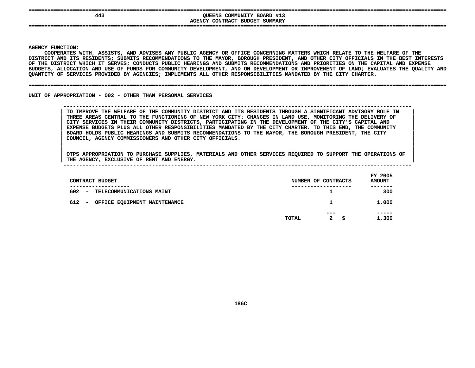| 443 |                                                              |  |
|-----|--------------------------------------------------------------|--|
|     | QUEENS COMMUNITY BOARD #13<br>AGENCY CONTRACT BUDGET SUMMARY |  |
|     |                                                              |  |

**|**

Y FUNCTION:<br>COOPERATES<br>ICT AND ITS<br>ICT AND ITS **COOPERATES**S WITH, ASSISTS, AND ADVISES ANY PUBLIC AGENCY OR OFFICE CONCERNING MATTERS WHICH RELATE TO THE WELFARE OF THE<br>TS RESIDENTS; SUBMITS RECOMMENDATIONS TO THE MAYOR, BOROUGH PRESIDENT, AND OTHER CITY OFFICIALS IN THE BEST IN<br> **DISTRICT**T AND ITS RESIDENTS; SUBMITS RECOMMENDATIONS TO THE MAYOR, BOROUGH PRESIDENT, AND OTHER CITY OFFICIALS IN THE BEST INTERESTS<br>DISTRICT WHICH IT SERVES; CONDUCTS PUBLIC HEARINGS AND SUBMITS RECOMMENDATIONS AND PRIORITIES ON OF THE DISTRICT WHICH IT SERVES: CONDUCTS PUBLIC HEARINGS AND SUBMITS RECOMMENDATIONS AND PRIORITIES ON THE CAPITAL AND EXPENSE F THE DISTRICT WHICH IT SERVES; CONDUCTS PUBLIC HEARINGS AND SUBMITS RECOMMENDATIONS AND PRIORITIES ON THE CAPITAL AND EXPENSE<br>UDGETS, ALLOCATION AND USE OF FUNDS FOR COMMUNITY DEVELOPMENT, AND ON DEVELOPMENT OR IMPROVEMEN **BUDGETS,**, ALLOCATION AND USE OF FUNDS FOR COMMUNITY DEVELOPMENT, AND ON DEVELOPMENT OR IMPROVEMENT OF LAND; EVALUATES THE QUALITY AND<br>Y OF SERVICES PROVIDED BY AGENCIES; IMPLEMENTS ALL OTHER RESPONSIBILITIES MANDATED BY THE CITY C **QUANTITY**

#### **OF SERVICES PROVIDED BY AGENCIES; IMPLEMENTS ALL OTHER RESPONSIBILITIES MANDATED BY THE CITY CHARTER. ====================================================================================================================================**

UNIT OF APPROPRIATION - 002 - OTHER THAN PERSONAL SERVICES

 **OF APPROPRIATION - <sup>002</sup> - OTHER THAN PERSONAL SERVICES --------------------------------------------------------------------------------------------------------------**TO IMPROVE THE WELFARE OF THE COMMUNITY DISTRICT AND ITS RESIDENTS THROUGH A SIGNIFICANT ADVISORY ROLE IN THREE AREAS CENTRAL TO THE FUNCTIONING OF NEW YORK CITY: CHANGES IN LAND USE, MONITORING THE DELIVERY OF CITY SERVIC TO IMPROVE THE WELFARE OF THE COMMUNITY DISTRICT AND ITS RESIDENTS THROUGH A SIGNIFICANT ADVISORY ROLE IN THREE AREAS CENTRAL TO THE FUNCTIONING OF NEW YORK CITY: CHANGES IN LAND USE, MONITORING THE DELIVERY OF<br>CITY SERVICES IN THEIR COMMUNITY DISTRICTS, PARTICIPATING IN THE DEVELOPMENT OF THE CITY'S CAPITAL AND<br>EXPENSE BUDGET **CITY SERVICES IN THEIR COMMUNITY DISTRICTS, PARTICIPATING IN THE DEVELOPMENT OF THE CITY'S CAPITAL AND <sup>|</sup>** EXPENSE BUDGETS PLUS ALL OTHER RESPONSIBILITIES MANDATED BY THE CITY CHARTER. TO THIS END, THE COMMUNITY<br>BOARD HOLDS PUBLIC HEARINGS AND SUBMITS RECOMMENDATIONS TO THE MAYOR, THE BOROUGH PRESIDENT, THE CITY<br>COUNCIL, AGENCY **BOARD HOLDS PUBLIC HEARINGS AND SUBMITS RECOMMENDATIONS TO THE MAYOR, THE BOROUGH PRESIDENT, THE CITY <sup>|</sup> COUNCIL, AGENCY COMMISSIONERS AND OTHER CITY OFFICIALS. <sup>|</sup>**

OTPS APPROPRIATION TO PURCHASE SUPPLIES, MATERIALS AND OTHER SERVICES REQUIRED TO SUPPORT THE OPERATIONS OF |<br>| OTPS APPROPRIATION TO PURCHASE SUPPLIES, MATERIALS AND OTHER SERVICES REQUIRED TO SUPPORT THE OPERATIONS OF<br>| THE AGENCY, EXCLUSIVE OF RENT AND ENERGY. **OTPS APPROPRIATION TO PURCHASE SUPPLIES, MATERIALS AND OTHER SERVICES REQUIRED TO SUPPORT THE OPERATIONS OF <sup>|</sup>**

| CONTRACT BUDGET                                             | NUMBER OF CONTRACTS                  | FY 2005<br><b>AMOUNT</b> |
|-------------------------------------------------------------|--------------------------------------|--------------------------|
| 602<br>TELECOMMUNICATIONS MAINT<br>$\overline{\phantom{m}}$ | ----------                           | 300                      |
| 612<br>OFFICE EQUIPMENT MAINTENANCE<br>-                    |                                      | 1,000                    |
|                                                             | $- - -$                              | -----                    |
|                                                             | $\mathbf{2}$<br>- \$<br><b>TOTAL</b> | 1,300                    |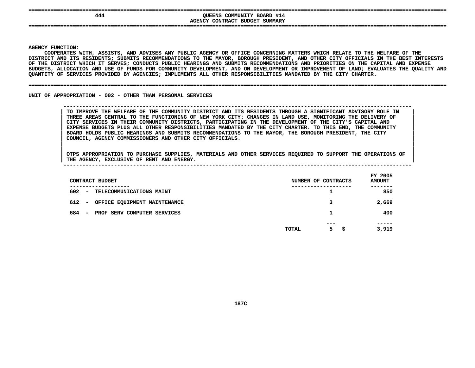| --<br>444  | QUEENS COMMUNITY BOARD #14     |  |
|------------|--------------------------------|--|
|            | AGENCY CONTRACT BUDGET SUMMARY |  |
| ---<br>--- |                                |  |
|            |                                |  |

**|**

Y FUNCTION:<br>COOPERATES<br>ICT AND ITS<br>ICT AND ITS **COOPERATES**S WITH, ASSISTS, AND ADVISES ANY PUBLIC AGENCY OR OFFICE CONCERNING MATTERS WHICH RELATE TO THE WELFARE OF THE<br>TS RESIDENTS; SUBMITS RECOMMENDATIONS TO THE MAYOR, BOROUGH PRESIDENT, AND OTHER CITY OFFICIALS IN THE BEST IN<br> **DISTRICT**T AND ITS RESIDENTS; SUBMITS RECOMMENDATIONS TO THE MAYOR, BOROUGH PRESIDENT, AND OTHER CITY OFFICIALS IN THE BEST INTERESTS<br>DISTRICT WHICH IT SERVES; CONDUCTS PUBLIC HEARINGS AND SUBMITS RECOMMENDATIONS AND PRIORITIES ON OF THE DISTRICT WHICH IT SERVES: CONDUCTS PUBLIC HEARINGS AND SUBMITS RECOMMENDATIONS AND PRIORITIES ON THE CAPITAL AND EXPENSE F THE DISTRICT WHICH IT SERVES; CONDUCTS PUBLIC HEARINGS AND SUBMITS RECOMMENDATIONS AND PRIORITIES ON THE CAPITAL AND EXPENSE<br>UDGETS, ALLOCATION AND USE OF FUNDS FOR COMMUNITY DEVELOPMENT, AND ON DEVELOPMENT OR IMPROVEMEN **BUDGETS,**, ALLOCATION AND USE OF FUNDS FOR COMMUNITY DEVELOPMENT, AND ON DEVELOPMENT OR IMPROVEMENT OF LAND; EVALUATES THE QUALITY AND<br>Y OF SERVICES PROVIDED BY AGENCIES; IMPLEMENTS ALL OTHER RESPONSIBILITIES MANDATED BY THE CITY C **QUANTITY**

#### **OF SERVICES PROVIDED BY AGENCIES; IMPLEMENTS ALL OTHER RESPONSIBILITIES MANDATED BY THE CITY CHARTER. ====================================================================================================================================**

UNIT OF APPROPRIATION - 002 - OTHER THAN PERSONAL SERVICES

## **OF APPROPRIATION - <sup>002</sup> - OTHER THAN PERSONAL SERVICES --------------------------------------------------------------------------------------------------------------**TO IMPROVE THE WELFARE OF THE COMMUNITY DISTRICT AND ITS RESIDENTS THROUGH A SIGNIFICANT ADVISORY ROLE IN THREE AREAS CENTRAL TO THE FUNCTIONING OF NEW YORK CITY: CHANGES IN LAND USE, MONITORING THE DELIVERY OF CITY SERVIC TO IMPROVE THE WELFARE OF THE COMMUNITY DISTRICT AND ITS RESIDENTS THROUGH A SIGNIFICANT ADVISORY ROLE IN THREE AREAS CENTRAL TO THE FUNCTIONING OF NEW YORK CITY: CHANGES IN LAND USE, MONITORING THE DELIVERY OF<br>CITY SERVICES IN THEIR COMMUNITY DISTRICTS, PARTICIPATING IN THE DEVELOPMENT OF THE CITY'S CAPITAL AND<br>EXPENSE BUDGET **CITY SERVICES IN THEIR COMMUNITY DISTRICTS, PARTICIPATING IN THE DEVELOPMENT OF THE CITY'S CAPITAL AND <sup>|</sup>** EXPENSE BUDGETS PLUS ALL OTHER RESPONSIBILITIES MANDATED BY THE CITY CHARTER. TO THIS END, THE COMMUNITY<br>BOARD HOLDS PUBLIC HEARINGS AND SUBMITS RECOMMENDATIONS TO THE MAYOR, THE BOROUGH PRESIDENT, THE CITY<br>COUNCIL, AGENCY **BOARD HOLDS PUBLIC HEARINGS AND SUBMITS RECOMMENDATIONS TO THE MAYOR, THE BOROUGH PRESIDENT, THE CITY <sup>|</sup> COUNCIL, AGENCY COMMISSIONERS AND OTHER CITY OFFICIALS. <sup>|</sup>**

| CONTRACT BUDGET                                                | NUMBER OF CONTRACTS          | FY 2005<br><b>AMOUNT</b> |
|----------------------------------------------------------------|------------------------------|--------------------------|
| ------------<br>$602 -$<br><b>TELECOMMUNICATIONS MAINT</b>     | ----------------<br>ᅩ        | -----<br>850             |
| 612 -<br>OFFICE EQUIPMENT MAINTENANCE                          | з                            | 2,669                    |
| 684<br>PROF SERV COMPUTER SERVICES<br>$\overline{\phantom{0}}$ |                              | 400                      |
|                                                                | $- - -$<br>5<br>TOTAL<br>\$. | -----<br>3,919           |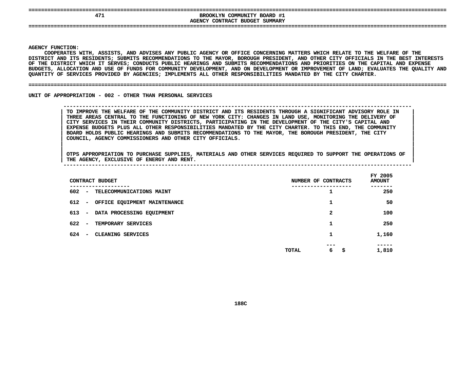**====================================================================================================================================EXPOSITE BROOKLYN COMMUNITY BOARD #1**<br>AGENCY CONTRACT BUDGET SUMMARY **BROOKLYN COMMUNITY BOARD #1 CONTRACT BUDGET SUMMARY ====================================================================================================================================**

**AGENCY**

**|**

Y FUNCTION:<br>COOPERATES<br>ICT AND ITS<br>ICT AND ITS **COOPERATES**S WITH, ASSISTS, AND ADVISES ANY PUBLIC AGENCY OR OFFICE CONCERNING MATTERS WHICH RELATE TO THE WELFARE OF THE<br>TS RESIDENTS; SUBMITS RECOMMENDATIONS TO THE MAYOR, BOROUGH PRESIDENT, AND OTHER CITY OFFICIALS IN THE BEST IN<br> **DISTRICT**T AND ITS RESIDENTS; SUBMITS RECOMMENDATIONS TO THE MAYOR, BOROUGH PRESIDENT, AND OTHER CITY OFFICIALS IN THE BEST INTERESTS<br>DISTRICT WHICH IT SERVES; CONDUCTS PUBLIC HEARINGS AND SUBMITS RECOMMENDATIONS AND PRIORITIES ON OF THE DISTRICT WHICH IT SERVES: CONDUCTS PUBLIC HEARINGS AND SUBMITS RECOMMENDATIONS AND PRIORITIES ON THE CAPITAL AND EXPENSE F THE DISTRICT WHICH IT SERVES; CONDUCTS PUBLIC HEARINGS AND SUBMITS RECOMMENDATIONS AND PRIORITIES ON THE CAPITAL AND EXPENSE<br>UDGETS, ALLOCATION AND USE OF FUNDS FOR COMMUNITY DEVELOPMENT, AND ON DEVELOPMENT OR IMPROVEMEN BUDGETS, ALLOCATION AND USE OF FUNDS FOR COMMUNITY DEVELOPMENT, AND ON DEVELOPMENT OR IMPROVEMENT OF LAND; EVALUATES THE QUALITY AND<br>QUANTITY OF SERVICES PROVIDED BY AGENCIES; IMPLEMENTS ALL OTHER RESPONSIBILITIES MANDATED QUANTITY OF SERVICES PROVIDED BY AGENCIES; IMPLEMENTS ALL OTHER RESPONSIBILITIES MANDATED BY THE CITY CHARTER.

#### **OF SERVICES PROVIDED BY AGENCIES; IMPLEMENTS ALL OTHER RESPONSIBILITIES MANDATED BY THE CITY CHARTER. ====================================================================================================================================**

UNIT OF APPROPRIATION - 002 - OTHER THAN PERSONAL SERVICES

## **OF APPROPRIATION - <sup>002</sup> - OTHER THAN PERSONAL SERVICES --------------------------------------------------------------------------------------------------------------**TO IMPROVE THE WELFARE OF THE COMMUNITY DISTRICT AND ITS RESIDENTS THROUGH A SIGNIFICANT ADVISORY ROLE IN THREE AREAS CENTRAL TO THE FUNCTIONING OF NEW YORK CITY: CHANGES IN LAND USE, MONITORING THE DELIVERY OF CITY SERVIC TO IMPROVE THE WELFARE OF THE COMMUNITY DISTRICT AND ITS RESIDENTS THROUGH A SIGNIFICANT ADVISORY ROLE IN THREE AREAS CENTRAL TO THE FUNCTIONING OF NEW YORK CITY: CHANGES IN LAND USE, MONITORING THE DELIVERY OF<br>CITY SERVICES IN THEIR COMMUNITY DISTRICTS, PARTICIPATING IN THE DEVELOPMENT OF THE CITY'S CAPITAL AND<br>EXPENSE BUDGET **CITY SERVICES IN THEIR COMMUNITY DISTRICTS, PARTICIPATING IN THE DEVELOPMENT OF THE CITY'S CAPITAL AND <sup>|</sup>** EXPENSE BUDGETS PLUS ALL OTHER RESPONSIBILITIES MANDATED BY THE CITY CHARTER. TO THIS END, THE COMMUNITY<br>BOARD HOLDS PUBLIC HEARINGS AND SUBMITS RECOMMENDATIONS TO THE MAYOR, THE BOROUGH PRESIDENT, THE CITY<br>COUNCIL, AGENCY **BOARD HOLDS PUBLIC HEARINGS AND SUBMITS RECOMMENDATIONS TO THE MAYOR, THE BOROUGH PRESIDENT, THE CITY <sup>|</sup> COUNCIL, AGENCY COMMISSIONERS AND OTHER CITY OFFICIALS. <sup>|</sup>**

| CONTRACT BUDGET                                              | NUMBER OF CONTRACTS      | FY 2005<br><b>AMOUNT</b> |
|--------------------------------------------------------------|--------------------------|--------------------------|
| --------<br>602<br>- TELECOMMUNICATIONS MAINT                | ı                        | 250                      |
| 612<br>OFFICE EQUIPMENT MAINTENANCE<br>$\sim$                | 1                        | 50                       |
| DATA PROCESSING EQUIPMENT<br>613<br>$\overline{\phantom{a}}$ | 2                        | 100                      |
| 622<br>TEMPORARY SERVICES<br>$\overline{\phantom{a}}$        | 1                        | 250                      |
| 624<br><b>CLEANING SERVICES</b><br>$\overline{\phantom{a}}$  | 1                        | 1,160                    |
|                                                              | ---<br>6<br>TOTAL<br>\$. | -----<br>1,810           |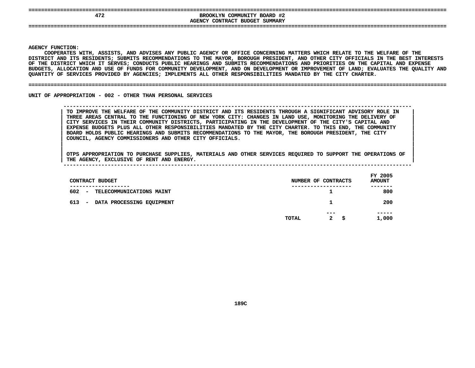|  | --------- |  |  |  |
|--|-----------|--|--|--|
|  |           |  |  |  |
|  |           |  |  |  |

## **====================================================================================================================================EXPOSITE BROOKLYN COMMUNITY BOARD #2<br>
<b>AGENCY CONTRACT BUDGET SUMMARY BROOKLYN COMMUNITY BOARD #2 CONTRACT BUDGET SUMMARY ====================================================================================================================================**

**AGENCY**

**|**

Y FUNCTION:<br>COOPERATES<br>ICT AND ITS<br>ICT AND ITS **COOPERATES**S WITH, ASSISTS, AND ADVISES ANY PUBLIC AGENCY OR OFFICE CONCERNING MATTERS WHICH RELATE TO THE WELFARE OF THE<br>TS RESIDENTS; SUBMITS RECOMMENDATIONS TO THE MAYOR, BOROUGH PRESIDENT, AND OTHER CITY OFFICIALS IN THE BEST IN<br> **DISTRICT**T AND ITS RESIDENTS; SUBMITS RECOMMENDATIONS TO THE MAYOR, BOROUGH PRESIDENT, AND OTHER CITY OFFICIALS IN THE BEST INTERESTS<br>DISTRICT WHICH IT SERVES; CONDUCTS PUBLIC HEARINGS AND SUBMITS RECOMMENDATIONS AND PRIORITIES ON OF THE DISTRICT WHICH IT SERVES: CONDUCTS PUBLIC HEARINGS AND SUBMITS RECOMMENDATIONS AND PRIORITIES ON THE CAPITAL AND EXPENSE F THE DISTRICT WHICH IT SERVES; CONDUCTS PUBLIC HEARINGS AND SUBMITS RECOMMENDATIONS AND PRIORITIES ON THE CAPITAL AND EXPENSE<br>UDGETS, ALLOCATION AND USE OF FUNDS FOR COMMUNITY DEVELOPMENT, AND ON DEVELOPMENT OR IMPROVEMEN **BUDGETS,**, ALLOCATION AND USE OF FUNDS FOR COMMUNITY DEVELOPMENT, AND ON DEVELOPMENT OR IMPROVEMENT OF LAND; EVALUATES THE QUALITY AND<br>Y OF SERVICES PROVIDED BY AGENCIES; IMPLEMENTS ALL OTHER RESPONSIBILITIES MANDATED BY THE CITY C **QUANTITY**

#### **OF SERVICES PROVIDED BY AGENCIES; IMPLEMENTS ALL OTHER RESPONSIBILITIES MANDATED BY THE CITY CHARTER. ====================================================================================================================================**

UNIT OF APPROPRIATION - 002 - OTHER THAN PERSONAL SERVICES

 **OF APPROPRIATION - <sup>002</sup> - OTHER THAN PERSONAL SERVICES --------------------------------------------------------------------------------------------------------------**TO IMPROVE THE WELFARE OF THE COMMUNITY DISTRICT AND ITS RESIDENTS THROUGH A SIGNIFICANT ADVISORY ROLE IN THREE AREAS CENTRAL TO THE FUNCTIONING OF NEW YORK CITY: CHANGES IN LAND USE, MONITORING THE DELIVERY OF CITY SERVIC TO IMPROVE THE WELFARE OF THE COMMUNITY DISTRICT AND ITS RESIDENTS THROUGH A SIGNIFICANT ADVISORY ROLE IN THREE AREAS CENTRAL TO THE FUNCTIONING OF NEW YORK CITY: CHANGES IN LAND USE, MONITORING THE DELIVERY OF<br>CITY SERVICES IN THEIR COMMUNITY DISTRICTS, PARTICIPATING IN THE DEVELOPMENT OF THE CITY'S CAPITAL AND<br>EXPENSE BUDGET **CITY SERVICES IN THEIR COMMUNITY DISTRICTS, PARTICIPATING IN THE DEVELOPMENT OF THE CITY'S CAPITAL AND <sup>|</sup>** EXPENSE BUDGETS PLUS ALL OTHER RESPONSIBILITIES MANDATED BY THE CITY CHARTER. TO THIS END, THE COMMUNITY<br>BOARD HOLDS PUBLIC HEARINGS AND SUBMITS RECOMMENDATIONS TO THE MAYOR, THE BOROUGH PRESIDENT, THE CITY<br>COUNCIL, AGENCY **BOARD HOLDS PUBLIC HEARINGS AND SUBMITS RECOMMENDATIONS TO THE MAYOR, THE BOROUGH PRESIDENT, THE CITY <sup>|</sup> COUNCIL, AGENCY COMMISSIONERS AND OTHER CITY OFFICIALS. <sup>|</sup>**

| CONTRACT BUDGET<br>-------------          | NUMBER OF CONTRACTS<br>----------- | FY 2005<br><b>AMOUNT</b><br>------- |
|-------------------------------------------|------------------------------------|-------------------------------------|
| 602<br>TELECOMMUNICATIONS MAINT<br>$\sim$ | ┻                                  | 800                                 |
| 613<br>DATA PROCESSING EQUIPMENT<br>-     | 1                                  | 200                                 |
|                                           | $- - -$<br>$\mathbf{2}$<br>TOTAL   | -----<br>1,000<br>- \$              |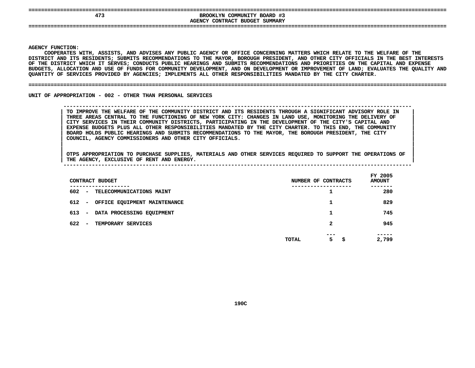|  |  |  | ________ |  |
|--|--|--|----------|--|
|  |  |  |          |  |
|  |  |  |          |  |

## **====================================================================================================================================EXPOSITE BROOKLYN COMMUNITY BOARD #3**<br>AGENCY CONTRACT BUDGET SUMMARY **BROOKLYN COMMUNITY BOARD #3 CONTRACT BUDGET SUMMARY ====================================================================================================================================**

**AGENCY**

**|**

Y FUNCTION:<br>COOPERATES<br>ICT AND ITS<br>ICT AND ITS **COOPERATES**S WITH, ASSISTS, AND ADVISES ANY PUBLIC AGENCY OR OFFICE CONCERNING MATTERS WHICH RELATE TO THE WELFARE OF THE<br>TS RESIDENTS; SUBMITS RECOMMENDATIONS TO THE MAYOR, BOROUGH PRESIDENT, AND OTHER CITY OFFICIALS IN THE BEST IN<br> **DISTRICT**T AND ITS RESIDENTS; SUBMITS RECOMMENDATIONS TO THE MAYOR, BOROUGH PRESIDENT, AND OTHER CITY OFFICIALS IN THE BEST INTERESTS<br>DISTRICT WHICH IT SERVES; CONDUCTS PUBLIC HEARINGS AND SUBMITS RECOMMENDATIONS AND PRIORITIES ON OF THE DISTRICT WHICH IT SERVES: CONDUCTS PUBLIC HEARINGS AND SUBMITS RECOMMENDATIONS AND PRIORITIES ON THE CAPITAL AND EXPENSE F THE DISTRICT WHICH IT SERVES; CONDUCTS PUBLIC HEARINGS AND SUBMITS RECOMMENDATIONS AND PRIORITIES ON THE CAPITAL AND EXPENSE<br>UDGETS, ALLOCATION AND USE OF FUNDS FOR COMMUNITY DEVELOPMENT, AND ON DEVELOPMENT OR IMPROVEMEN BUDGETS, ALLOCATION AND USE OF FUNDS FOR COMMUNITY DEVELOPMENT, AND ON DEVELOPMENT OR IMPROVEMENT OF LAND; EVALUATES THE QUALITY AND<br>QUANTITY OF SERVICES PROVIDED BY AGENCIES; IMPLEMENTS ALL OTHER RESPONSIBILITIES MANDATED QUANTITY OF SERVICES PROVIDED BY AGENCIES; IMPLEMENTS ALL OTHER RESPONSIBILITIES MANDATED BY THE CITY CHARTER.

#### **OF SERVICES PROVIDED BY AGENCIES; IMPLEMENTS ALL OTHER RESPONSIBILITIES MANDATED BY THE CITY CHARTER. ====================================================================================================================================**

UNIT OF APPROPRIATION - 002 - OTHER THAN PERSONAL SERVICES

## **OF APPROPRIATION - <sup>002</sup> - OTHER THAN PERSONAL SERVICES --------------------------------------------------------------------------------------------------------------**TO IMPROVE THE WELFARE OF THE COMMUNITY DISTRICT AND ITS RESIDENTS THROUGH A SIGNIFICANT ADVISORY ROLE IN THREE AREAS CENTRAL TO THE FUNCTIONING OF NEW YORK CITY: CHANGES IN LAND USE, MONITORING THE DELIVERY OF CITY SERVIC TO IMPROVE THE WELFARE OF THE COMMUNITY DISTRICT AND ITS RESIDENTS THROUGH A SIGNIFICANT ADVISORY ROLE IN THREE AREAS CENTRAL TO THE FUNCTIONING OF NEW YORK CITY: CHANGES IN LAND USE, MONITORING THE DELIVERY OF<br>CITY SERVICES IN THEIR COMMUNITY DISTRICTS, PARTICIPATING IN THE DEVELOPMENT OF THE CITY'S CAPITAL AND<br>EXPENSE BUDGET **CITY SERVICES IN THEIR COMMUNITY DISTRICTS, PARTICIPATING IN THE DEVELOPMENT OF THE CITY'S CAPITAL AND <sup>|</sup>** EXPENSE BUDGETS PLUS ALL OTHER RESPONSIBILITIES MANDATED BY THE CITY CHARTER. TO THIS END, THE COMMUNITY<br>BOARD HOLDS PUBLIC HEARINGS AND SUBMITS RECOMMENDATIONS TO THE MAYOR, THE BOROUGH PRESIDENT, THE CITY<br>COUNCIL, AGENCY **BOARD HOLDS PUBLIC HEARINGS AND SUBMITS RECOMMENDATIONS TO THE MAYOR, THE BOROUGH PRESIDENT, THE CITY <sup>|</sup> COUNCIL, AGENCY COMMISSIONERS AND OTHER CITY OFFICIALS. <sup>|</sup>**

| CONTRACT BUDGET                                              | NUMBER OF CONTRACTS      | FY 2005<br><b>AMOUNT</b> |
|--------------------------------------------------------------|--------------------------|--------------------------|
| ----------<br>602<br>- TELECOMMUNICATIONS MAINT              |                          | -----<br>280             |
| 612<br>OFFICE EQUIPMENT MAINTENANCE<br>$\sim$                |                          | 829                      |
| 613<br>DATA PROCESSING EQUIPMENT<br>$\overline{\phantom{0}}$ |                          | 745                      |
| 622<br>TEMPORARY SERVICES<br>$\overline{\phantom{0}}$        | 2                        | 945                      |
|                                                              | ---<br>5<br>TOTAL<br>\$. | -----<br>2,799           |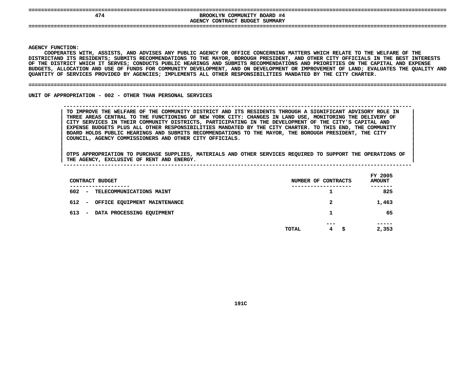| -------- |  |  |  |  |
|----------|--|--|--|--|
|          |  |  |  |  |
|          |  |  |  |  |

## **====================================================================================================================================EXOOKLYN COMMUNITY BOARD #4<br>AGENCY CONTRACT BUDGET SUMMARY BROOKLYN COMMUNITY BOARD #4 CONTRACT BUDGET SUMMARY ====================================================================================================================================**

**AGENCY**

**|**

 **FUNCTION: COOPERATES**S WITH, ASSISTS, AND ADVISES ANY PUBLIC AGENCY OR OFFICE CONCERNING MATTERS WHICH RELATE TO THE WELFARE OF THE<br>S RESIDENTS; SUBMITS RECOMMENDATIONS TO THE MAYOR, BOROUGH PRESIDENT, AND OTHER CITY OFFICIALS IN THE BEST INT<br> **DISTRICTAND**D ITS RESIDENTS; SUBMITS RECOMMENDATIONS TO THE MAYOR, BOROUGH PRESIDENT, AND OTHER CITY OFFICIALS IN THE BEST INTERESTS<br>TRICT WHICH IT SERVES; CONDUCTS PUBLIC HEARINGS AND SUBMITS RECOMMENDATIONS AND PRIORITIES ON THE CAP OF THE DISTRICT WHICH IT SERVES: CONDUCTS PUBLIC HEARINGS AND SUBMITS RECOMMENDATIONS AND PRIORITIES ON THE CAPITAL AND EXPENSE F THE DISTRICT WHICH IT SERVES; CONDUCTS PUBLIC HEARINGS AND SUBMITS RECOMMENDATIONS AND PRIORITIES ON THE CAPITAL AND EXPENSE<br>UDGETS, ALLOCATION AND USE OF FUNDS FOR COMMUNITY DEVELOPMENT, AND ON DEVELOPMENT OR IMPROVEMEN **BUDGETS,**, ALLOCATION AND USE OF FUNDS FOR COMMUNITY DEVELOPMENT, AND ON DEVELOPMENT OR IMPROVEMENT OF LAND; EVALUATES THE QUALITY AND<br>Y OF SERVICES PROVIDED BY AGENCIES; IMPLEMENTS ALL OTHER RESPONSIBILITIES MANDATED BY THE CITY C **QUANTITY**

#### **OF SERVICES PROVIDED BY AGENCIES; IMPLEMENTS ALL OTHER RESPONSIBILITIES MANDATED BY THE CITY CHARTER. ====================================================================================================================================**

UNIT OF APPROPRIATION - 002 - OTHER THAN PERSONAL SERVICES

 **OF APPROPRIATION - <sup>002</sup> - OTHER THAN PERSONAL SERVICES --------------------------------------------------------------------------------------------------------------**TO IMPROVE THE WELFARE OF THE COMMUNITY DISTRICT AND ITS RESIDENTS THROUGH A SIGNIFICANT ADVISORY ROLE IN THREE AREAS CENTRAL TO THE FUNCTIONING OF NEW YORK CITY: CHANGES IN LAND USE, MONITORING THE DELIVERY OF CITY SERVIC TO IMPROVE THE WELFARE OF THE COMMUNITY DISTRICT AND ITS RESIDENTS THROUGH A SIGNIFICANT ADVISORY ROLE IN THREE AREAS CENTRAL TO THE FUNCTIONING OF NEW YORK CITY: CHANGES IN LAND USE, MONITORING THE DELIVERY OF<br>CITY SERVICES IN THEIR COMMUNITY DISTRICTS, PARTICIPATING IN THE DEVELOPMENT OF THE CITY'S CAPITAL AND<br>EXPENSE BUDGET **CITY SERVICES IN THEIR COMMUNITY DISTRICTS, PARTICIPATING IN THE DEVELOPMENT OF THE CITY'S CAPITAL AND <sup>|</sup>** EXPENSE BUDGETS PLUS ALL OTHER RESPONSIBILITIES MANDATED BY THE CITY CHARTER. TO THIS END, THE COMMUNITY<br>BOARD HOLDS PUBLIC HEARINGS AND SUBMITS RECOMMENDATIONS TO THE MAYOR, THE BOROUGH PRESIDENT, THE CITY<br>COUNCIL, AGENCY **BOARD HOLDS PUBLIC HEARINGS AND SUBMITS RECOMMENDATIONS TO THE MAYOR, THE BOROUGH PRESIDENT, THE CITY <sup>|</sup> COUNCIL, AGENCY COMMISSIONERS AND OTHER CITY OFFICIALS. <sup>|</sup>**

OTPS APPROPRIATION TO PURCHASE SUPPLIES, MATERIALS AND OTHER SERVICES REQUIRED TO SUPPORT THE OPERATIONS OF |<br>| OTPS APPROPRIATION TO PURCHASE SUPPLIES, MATERIALS AND OTHER SERVICES REQUIRED TO SUPPORT THE OPERATIONS OF<br>| THE AGENCY, EXCLUSIVE OF RENT AND ENERGY. **OTPS APPROPRIATION TO PURCHASE SUPPLIES, MATERIALS AND OTHER SERVICES REQUIRED TO SUPPORT THE OPERATIONS OF <sup>|</sup>**

| CONTRACT BUDGET                                                    | NUMBER OF CONTRACTS | FY 2005<br><b>AMOUNT</b> |
|--------------------------------------------------------------------|---------------------|--------------------------|
| 602<br><b>TELECOMMUNICATIONS MAINT</b><br>$\overline{\phantom{a}}$ |                     | 825                      |
| 612<br>OFFICE EQUIPMENT MAINTENANCE<br>$\overline{\phantom{a}}$    | $\mathbf{2}$        | 1,463                    |
| 613<br>DATA PROCESSING EQUIPMENT<br>$\overline{\phantom{m}}$       | 1                   | 65                       |
|                                                                    |                     |                          |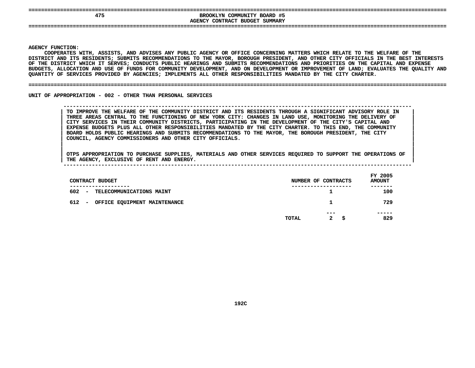| ________ |  |  |  |  |
|----------|--|--|--|--|
|          |  |  |  |  |
|          |  |  |  |  |

**====================================================================================================================================**BROOKLYN COMMUNITY BOARD #5<br>AGENCY CONTRACT BUDGET SUMMARY **BROOKLYN COMMUNITY BOARD #5 CONTRACT BUDGET SUMMARY ====================================================================================================================================**

**AGENCY**

**|**

Y FUNCTION:<br>COOPERATES<br>ICT AND ITS<br>ICT AND ITS **COOPERATES**S WITH, ASSISTS, AND ADVISES ANY PUBLIC AGENCY OR OFFICE CONCERNING MATTERS WHICH RELATE TO THE WELFARE OF THE<br>TS RESIDENTS; SUBMITS RECOMMENDATIONS TO THE MAYOR, BOROUGH PRESIDENT, AND OTHER CITY OFFICIALS IN THE BEST IN<br> **DISTRICT**T AND ITS RESIDENTS; SUBMITS RECOMMENDATIONS TO THE MAYOR, BOROUGH PRESIDENT, AND OTHER CITY OFFICIALS IN THE BEST INTERESTS<br>DISTRICT WHICH IT SERVES; CONDUCTS PUBLIC HEARINGS AND SUBMITS RECOMMENDATIONS AND PRIORITIES ON OF THE DISTRICT WHICH IT SERVES: CONDUCTS PUBLIC HEARINGS AND SUBMITS RECOMMENDATIONS AND PRIORITIES ON THE CAPITAL AND EXPENSE F THE DISTRICT WHICH IT SERVES; CONDUCTS PUBLIC HEARINGS AND SUBMITS RECOMMENDATIONS AND PRIORITIES ON THE CAPITAL AND EXPENSE<br>UDGETS, ALLOCATION AND USE OF FUNDS FOR COMMUNITY DEVELOPMENT, AND ON DEVELOPMENT OR IMPROVEMEN **BUDGETS,**, ALLOCATION AND USE OF FUNDS FOR COMMUNITY DEVELOPMENT, AND ON DEVELOPMENT OR IMPROVEMENT OF LAND; EVALUATES THE QUALITY AND<br>Y OF SERVICES PROVIDED BY AGENCIES; IMPLEMENTS ALL OTHER RESPONSIBILITIES MANDATED BY THE CITY C **QUANTITY**

#### **OF SERVICES PROVIDED BY AGENCIES; IMPLEMENTS ALL OTHER RESPONSIBILITIES MANDATED BY THE CITY CHARTER. ====================================================================================================================================**

UNIT OF APPROPRIATION - 002 - OTHER THAN PERSONAL SERVICES

 **OF APPROPRIATION - <sup>002</sup> - OTHER THAN PERSONAL SERVICES --------------------------------------------------------------------------------------------------------------**TO IMPROVE THE WELFARE OF THE COMMUNITY DISTRICT AND ITS RESIDENTS THROUGH A SIGNIFICANT ADVISORY ROLE IN THREE AREAS CENTRAL TO THE FUNCTIONING OF NEW YORK CITY: CHANGES IN LAND USE, MONITORING THE DELIVERY OF CITY SERVIC TO IMPROVE THE WELFARE OF THE COMMUNITY DISTRICT AND ITS RESIDENTS THROUGH A SIGNIFICANT ADVISORY ROLE IN THREE AREAS CENTRAL TO THE FUNCTIONING OF NEW YORK CITY: CHANGES IN LAND USE, MONITORING THE DELIVERY OF<br>CITY SERVICES IN THEIR COMMUNITY DISTRICTS, PARTICIPATING IN THE DEVELOPMENT OF THE CITY'S CAPITAL AND<br>EXPENSE BUDGET **CITY SERVICES IN THEIR COMMUNITY DISTRICTS, PARTICIPATING IN THE DEVELOPMENT OF THE CITY'S CAPITAL AND <sup>|</sup>** EXPENSE BUDGETS PLUS ALL OTHER RESPONSIBILITIES MANDATED BY THE CITY CHARTER. TO THIS END, THE COMMUNITY<br>BOARD HOLDS PUBLIC HEARINGS AND SUBMITS RECOMMENDATIONS TO THE MAYOR, THE BOROUGH PRESIDENT, THE CITY<br>COUNCIL, AGENCY **BOARD HOLDS PUBLIC HEARINGS AND SUBMITS RECOMMENDATIONS TO THE MAYOR, THE BOROUGH PRESIDENT, THE CITY <sup>|</sup> COUNCIL, AGENCY COMMISSIONERS AND OTHER CITY OFFICIALS. <sup>|</sup>**

| CONTRACT BUDGET                                                  |       | NUMBER OF CONTRACTS      | FY 2005<br><b>AMOUNT</b> |
|------------------------------------------------------------------|-------|--------------------------|--------------------------|
| ------------<br>602<br><b>TELECOMMUNICATIONS MAINT</b><br>$\sim$ |       | -----------------        | -----<br>100             |
| 612<br>OFFICE EQUIPMENT MAINTENANCE<br>$\overline{\phantom{a}}$  |       | 1                        | 729                      |
|                                                                  | TOTAL | ---<br>$\mathbf{2}$<br>s | -----<br>829             |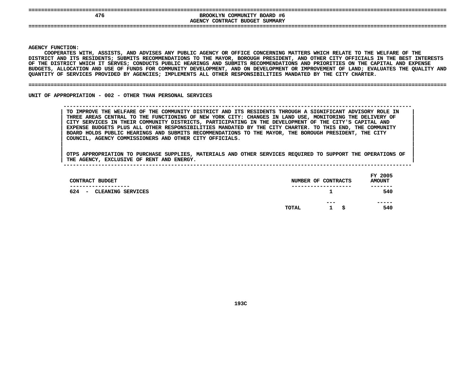|  |  |  | ---------- |  |
|--|--|--|------------|--|
|  |  |  |            |  |
|  |  |  |            |  |

## **====================================================================================================================================EXPOSITE THE COMMUNITY BOARD #6<br>AGENCY CONTRACT BUDGET SUMMARY BROOKLYN COMMUNITY BOARD #6 CONTRACT BUDGET SUMMARY ====================================================================================================================================**

**AGENCY**

**|**

Y FUNCTION:<br>COOPERATES<br>ICT AND ITS<br>ICT AND ITS **COOPERATES**S WITH, ASSISTS, AND ADVISES ANY PUBLIC AGENCY OR OFFICE CONCERNING MATTERS WHICH RELATE TO THE WELFARE OF THE<br>TS RESIDENTS; SUBMITS RECOMMENDATIONS TO THE MAYOR, BOROUGH PRESIDENT, AND OTHER CITY OFFICIALS IN THE BEST IN<br> **DISTRICT**T AND ITS RESIDENTS; SUBMITS RECOMMENDATIONS TO THE MAYOR, BOROUGH PRESIDENT, AND OTHER CITY OFFICIALS IN THE BEST INTERESTS<br>DISTRICT WHICH IT SERVES; CONDUCTS PUBLIC HEARINGS AND SUBMITS RECOMMENDATIONS AND PRIORITIES ON OF THE DISTRICT WHICH IT SERVES: CONDUCTS PUBLIC HEARINGS AND SUBMITS RECOMMENDATIONS AND PRIORITIES ON THE CAPITAL AND EXPENSE F THE DISTRICT WHICH IT SERVES; CONDUCTS PUBLIC HEARINGS AND SUBMITS RECOMMENDATIONS AND PRIORITIES ON THE CAPITAL AND EXPENSE<br>UDGETS, ALLOCATION AND USE OF FUNDS FOR COMMUNITY DEVELOPMENT, AND ON DEVELOPMENT OR IMPROVEMEN **BUDGETS,**, ALLOCATION AND USE OF FUNDS FOR COMMUNITY DEVELOPMENT, AND ON DEVELOPMENT OR IMPROVEMENT OF LAND; EVALUATES THE QUALITY AND<br>Y OF SERVICES PROVIDED BY AGENCIES; IMPLEMENTS ALL OTHER RESPONSIBILITIES MANDATED BY THE CITY C **QUANTITY**

#### **OF SERVICES PROVIDED BY AGENCIES; IMPLEMENTS ALL OTHER RESPONSIBILITIES MANDATED BY THE CITY CHARTER. ====================================================================================================================================**

UNIT OF APPROPRIATION - 002 - OTHER THAN PERSONAL SERVICES

 **OF APPROPRIATION - <sup>002</sup> - OTHER THAN PERSONAL SERVICES --------------------------------------------------------------------------------------------------------------**TO IMPROVE THE WELFARE OF THE COMMUNITY DISTRICT AND ITS RESIDENTS THROUGH A SIGNIFICANT ADVISORY ROLE IN THREE AREAS CENTRAL TO THE FUNCTIONING OF NEW YORK CITY: CHANGES IN LAND USE, MONITORING THE DELIVERY OF CITY SERVIC TO IMPROVE THE WELFARE OF THE COMMUNITY DISTRICT AND ITS RESIDENTS THROUGH A SIGNIFICANT ADVISORY ROLE IN THREE AREAS CENTRAL TO THE FUNCTIONING OF NEW YORK CITY: CHANGES IN LAND USE, MONITORING THE DELIVERY OF<br>CITY SERVICES IN THEIR COMMUNITY DISTRICTS, PARTICIPATING IN THE DEVELOPMENT OF THE CITY'S CAPITAL AND<br>EXPENSE BUDGET **CITY SERVICES IN THEIR COMMUNITY DISTRICTS, PARTICIPATING IN THE DEVELOPMENT OF THE CITY'S CAPITAL AND <sup>|</sup>** EXPENSE BUDGETS PLUS ALL OTHER RESPONSIBILITIES MANDATED BY THE CITY CHARTER. TO THIS END, THE COMMUNITY<br>BOARD HOLDS PUBLIC HEARINGS AND SUBMITS RECOMMENDATIONS TO THE MAYOR, THE BOROUGH PRESIDENT, THE CITY<br>COUNCIL, AGENCY **BOARD HOLDS PUBLIC HEARINGS AND SUBMITS RECOMMENDATIONS TO THE MAYOR, THE BOROUGH PRESIDENT, THE CITY <sup>|</sup> COUNCIL, AGENCY COMMISSIONERS AND OTHER CITY OFFICIALS. <sup>|</sup>**

| CONTRACT BUDGET                                                       |       | NUMBER OF CONTRACTS        | FY 2005<br><b>AMOUNT</b> |
|-----------------------------------------------------------------------|-------|----------------------------|--------------------------|
| -------------<br>624<br>CLEANING SERVICES<br>$\overline{\phantom{a}}$ |       | ----------------           | -------<br>540           |
|                                                                       | TOTAL | ---<br>\$.<br>$\mathbf{1}$ | -----<br>540             |
|                                                                       |       |                            |                          |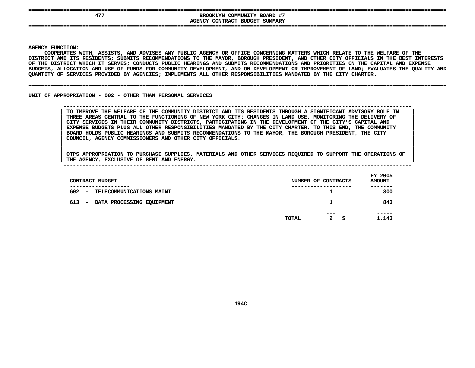| _______ |  |  | _ |
|---------|--|--|---|
|         |  |  |   |
|         |  |  |   |

## **====================================================================================================================================EXPOSITE BROOKLYN COMMUNITY BOARD #7<br>AGENCY CONTRACT BUDGET SUMMARY BROOKLYN COMMUNITY BOARD #7**

**CONTRACT BUDGET SUMMARY ====================================================================================================================================**

#### **AGENCY**

**|**

Y FUNCTION:<br>COOPERATES<br>ICT AND ITS<br>ICT AND ITS **COOPERATES**S WITH, ASSISTS, AND ADVISES ANY PUBLIC AGENCY OR OFFICE CONCERNING MATTERS WHICH RELATE TO THE WELFARE OF THE<br>TS RESIDENTS; SUBMITS RECOMMENDATIONS TO THE MAYOR, BOROUGH PRESIDENT, AND OTHER CITY OFFICIALS IN THE BEST IN<br> **DISTRICT**T AND ITS RESIDENTS; SUBMITS RECOMMENDATIONS TO THE MAYOR, BOROUGH PRESIDENT, AND OTHER CITY OFFICIALS IN THE BEST INTERESTS<br>DISTRICT WHICH IT SERVES; CONDUCTS PUBLIC HEARINGS AND SUBMITS RECOMMENDATIONS AND PRIORITIES ON OF THE DISTRICT WHICH IT SERVES: CONDUCTS PUBLIC HEARINGS AND SUBMITS RECOMMENDATIONS AND PRIORITIES ON THE CAPITAL AND EXPENSE F THE DISTRICT WHICH IT SERVES; CONDUCTS PUBLIC HEARINGS AND SUBMITS RECOMMENDATIONS AND PRIORITIES ON THE CAPITAL AND EXPENSE<br>UDGETS, ALLOCATION AND USE OF FUNDS FOR COMMUNITY DEVELOPMENT, AND ON DEVELOPMENT OR IMPROVEMEN **BUDGETS,**, ALLOCATION AND USE OF FUNDS FOR COMMUNITY DEVELOPMENT, AND ON DEVELOPMENT OR IMPROVEMENT OF LAND; EVALUATES THE QUALITY AND<br>Y OF SERVICES PROVIDED BY AGENCIES; IMPLEMENTS ALL OTHER RESPONSIBILITIES MANDATED BY THE CITY C **QUANTITY**

#### **OF SERVICES PROVIDED BY AGENCIES; IMPLEMENTS ALL OTHER RESPONSIBILITIES MANDATED BY THE CITY CHARTER. ====================================================================================================================================**

UNIT OF APPROPRIATION - 002 - OTHER THAN PERSONAL SERVICES

 **OF APPROPRIATION - <sup>002</sup> - OTHER THAN PERSONAL SERVICES --------------------------------------------------------------------------------------------------------------**TO IMPROVE THE WELFARE OF THE COMMUNITY DISTRICT AND ITS RESIDENTS THROUGH A SIGNIFICANT ADVISORY ROLE IN THREE AREAS CENTRAL TO THE FUNCTIONING OF NEW YORK CITY: CHANGES IN LAND USE, MONITORING THE DELIVERY OF CITY SERVIC TO IMPROVE THE WELFARE OF THE COMMUNITY DISTRICT AND ITS RESIDENTS THROUGH A SIGNIFICANT ADVISORY ROLE IN THREE AREAS CENTRAL TO THE FUNCTIONING OF NEW YORK CITY: CHANGES IN LAND USE, MONITORING THE DELIVERY OF<br>CITY SERVICES IN THEIR COMMUNITY DISTRICTS, PARTICIPATING IN THE DEVELOPMENT OF THE CITY'S CAPITAL AND<br>EXPENSE BUDGET **CITY SERVICES IN THEIR COMMUNITY DISTRICTS, PARTICIPATING IN THE DEVELOPMENT OF THE CITY'S CAPITAL AND <sup>|</sup>** EXPENSE BUDGETS PLUS ALL OTHER RESPONSIBILITIES MANDATED BY THE CITY CHARTER. TO THIS END, THE COMMUNITY<br>BOARD HOLDS PUBLIC HEARINGS AND SUBMITS RECOMMENDATIONS TO THE MAYOR, THE BOROUGH PRESIDENT, THE CITY<br>COUNCIL, AGENCY **BOARD HOLDS PUBLIC HEARINGS AND SUBMITS RECOMMENDATIONS TO THE MAYOR, THE BOROUGH PRESIDENT, THE CITY <sup>|</sup> COUNCIL, AGENCY COMMISSIONERS AND OTHER CITY OFFICIALS. <sup>|</sup>**

| CONTRACT BUDGET                                              |       | NUMBER OF CONTRACTS       | FY 2005<br><b>AMOUNT</b> |
|--------------------------------------------------------------|-------|---------------------------|--------------------------|
| ------------<br>602<br>TELECOMMUNICATIONS MAINT<br>$\sim$    |       | .                         | -------<br>300           |
| 613<br>DATA PROCESSING EQUIPMENT<br>$\overline{\phantom{0}}$ |       |                           | 843                      |
|                                                              | TOTAL | ---<br>$\mathbf{2}$<br>-S | -----<br>1,143           |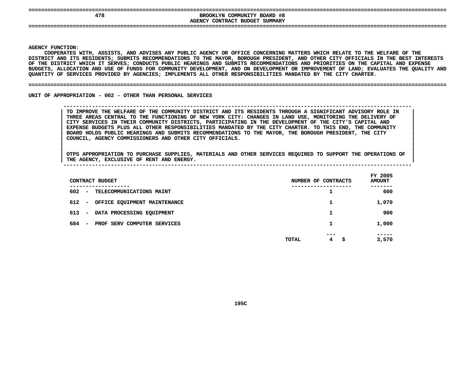|  |  |  | ________ |  |
|--|--|--|----------|--|
|  |  |  |          |  |
|  |  |  |          |  |

## **====================================================================================================================================EROOKLYN COMMUNITY BOARD #8**<br>AGENCY CONTRACT BUDGET SUMMARY **BROOKLYN COMMUNITY BOARD #8 CONTRACT BUDGET SUMMARY ====================================================================================================================================**

**AGENCY**

**|**

Y FUNCTION:<br>COOPERATES<br>ICT AND ITS<br>ICT AND ITS **COOPERATES**S WITH, ASSISTS, AND ADVISES ANY PUBLIC AGENCY OR OFFICE CONCERNING MATTERS WHICH RELATE TO THE WELFARE OF THE<br>TS RESIDENTS; SUBMITS RECOMMENDATIONS TO THE MAYOR, BOROUGH PRESIDENT, AND OTHER CITY OFFICIALS IN THE BEST IN<br> **DISTRICT**T AND ITS RESIDENTS; SUBMITS RECOMMENDATIONS TO THE MAYOR, BOROUGH PRESIDENT, AND OTHER CITY OFFICIALS IN THE BEST INTERESTS<br>DISTRICT WHICH IT SERVES; CONDUCTS PUBLIC HEARINGS AND SUBMITS RECOMMENDATIONS AND PRIORITIES ON OF THE DISTRICT WHICH IT SERVES: CONDUCTS PUBLIC HEARINGS AND SUBMITS RECOMMENDATIONS AND PRIORITIES ON THE CAPITAL AND EXPENSE F THE DISTRICT WHICH IT SERVES; CONDUCTS PUBLIC HEARINGS AND SUBMITS RECOMMENDATIONS AND PRIORITIES ON THE CAPITAL AND EXPENSE<br>UDGETS, ALLOCATION AND USE OF FUNDS FOR COMMUNITY DEVELOPMENT, AND ON DEVELOPMENT OR IMPROVEMEN BUDGETS, ALLOCATION AND USE OF FUNDS FOR COMMUNITY DEVELOPMENT, AND ON DEVELOPMENT OR IMPROVEMENT OF LAND; EVALUATES THE QUALITY AND<br>QUANTITY OF SERVICES PROVIDED BY AGENCIES; IMPLEMENTS ALL OTHER RESPONSIBILITIES MANDATED QUANTITY OF SERVICES PROVIDED BY AGENCIES; IMPLEMENTS ALL OTHER RESPONSIBILITIES MANDATED BY THE CITY CHARTER.

#### **OF SERVICES PROVIDED BY AGENCIES; IMPLEMENTS ALL OTHER RESPONSIBILITIES MANDATED BY THE CITY CHARTER. ====================================================================================================================================**

UNIT OF APPROPRIATION - 002 - OTHER THAN PERSONAL SERVICES

## **OF APPROPRIATION - <sup>002</sup> - OTHER THAN PERSONAL SERVICES --------------------------------------------------------------------------------------------------------------**TO IMPROVE THE WELFARE OF THE COMMUNITY DISTRICT AND ITS RESIDENTS THROUGH A SIGNIFICANT ADVISORY ROLE IN THREE AREAS CENTRAL TO THE FUNCTIONING OF NEW YORK CITY: CHANGES IN LAND USE, MONITORING THE DELIVERY OF CITY SERVIC TO IMPROVE THE WELFARE OF THE COMMUNITY DISTRICT AND ITS RESIDENTS THROUGH A SIGNIFICANT ADVISORY ROLE IN THREE AREAS CENTRAL TO THE FUNCTIONING OF NEW YORK CITY: CHANGES IN LAND USE, MONITORING THE DELIVERY OF<br>CITY SERVICES IN THEIR COMMUNITY DISTRICTS, PARTICIPATING IN THE DEVELOPMENT OF THE CITY'S CAPITAL AND<br>EXPENSE BUDGET **CITY SERVICES IN THEIR COMMUNITY DISTRICTS, PARTICIPATING IN THE DEVELOPMENT OF THE CITY'S CAPITAL AND <sup>|</sup>** EXPENSE BUDGETS PLUS ALL OTHER RESPONSIBILITIES MANDATED BY THE CITY CHARTER. TO THIS END, THE COMMUNITY<br>BOARD HOLDS PUBLIC HEARINGS AND SUBMITS RECOMMENDATIONS TO THE MAYOR, THE BOROUGH PRESIDENT, THE CITY<br>COUNCIL, AGENCY **BOARD HOLDS PUBLIC HEARINGS AND SUBMITS RECOMMENDATIONS TO THE MAYOR, THE BOROUGH PRESIDENT, THE CITY <sup>|</sup> COUNCIL, AGENCY COMMISSIONERS AND OTHER CITY OFFICIALS. <sup>|</sup>**

| CONTRACT BUDGET                                                 | NUMBER OF CONTRACTS                      | FY 2005<br><b>AMOUNT</b> |
|-----------------------------------------------------------------|------------------------------------------|--------------------------|
| --------<br>602<br>TELECOMMUNICATIONS MAINT<br>$\sim$ 100 $\mu$ | ┻                                        | -----<br>600             |
| 612<br>OFFICE EQUIPMENT MAINTENANCE<br>$\overline{\phantom{0}}$ | 1                                        | 1,070                    |
| 613<br>DATA PROCESSING EQUIPMENT<br>$\overline{\phantom{0}}$    |                                          | 900                      |
| 684<br>PROF SERV COMPUTER SERVICES<br>$\overline{\phantom{0}}$  |                                          | 1,000                    |
|                                                                 | ---<br>$4^{\circ}$<br><b>TOTAL</b><br>\$ | -----<br>3,570           |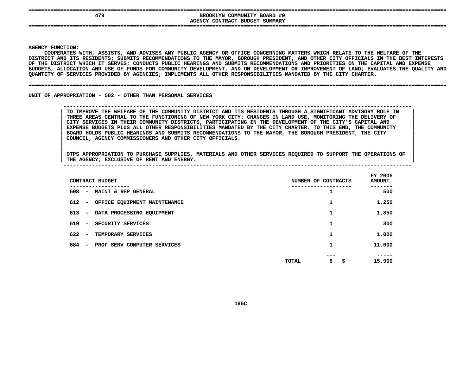| ٠ |  |  | -------- |  |
|---|--|--|----------|--|
|   |  |  |          |  |
|   |  |  |          |  |

## **====================================================================================================================================EXOOKLYN COMMUNITY BOARD #9<br>AGENCY CONTRACT BUDGET SUMMARY BROOKLYN COMMUNITY BOARD #9 CONTRACT BUDGET SUMMARY ====================================================================================================================================**

**AGENCY**

**|**

Y FUNCTION:<br>COOPERATES<br>ICT AND ITS<br>ICT AND ITS **COOPERATES**S WITH, ASSISTS, AND ADVISES ANY PUBLIC AGENCY OR OFFICE CONCERNING MATTERS WHICH RELATE TO THE WELFARE OF THE<br>TS RESIDENTS; SUBMITS RECOMMENDATIONS TO THE MAYOR, BOROUGH PRESIDENT, AND OTHER CITY OFFICIALS IN THE BEST IN<br> **DISTRICT**T AND ITS RESIDENTS; SUBMITS RECOMMENDATIONS TO THE MAYOR, BOROUGH PRESIDENT, AND OTHER CITY OFFICIALS IN THE BEST INTERESTS<br>DISTRICT WHICH IT SERVES; CONDUCTS PUBLIC HEARINGS AND SUBMITS RECOMMENDATIONS AND PRIORITIES ON OF THE DISTRICT WHICH IT SERVES: CONDUCTS PUBLIC HEARINGS AND SUBMITS RECOMMENDATIONS AND PRIORITIES ON THE CAPITAL AND EXPENSE F THE DISTRICT WHICH IT SERVES; CONDUCTS PUBLIC HEARINGS AND SUBMITS RECOMMENDATIONS AND PRIORITIES ON THE CAPITAL AND EXPENSE<br>UDGETS, ALLOCATION AND USE OF FUNDS FOR COMMUNITY DEVELOPMENT, AND ON DEVELOPMENT OR IMPROVEMEN BUDGETS, ALLOCATION AND USE OF FUNDS FOR COMMUNITY DEVELOPMENT, AND ON DEVELOPMENT OR IMPROVEMENT OF LAND; EVALUATES THE QUALITY AND<br>QUANTITY OF SERVICES PROVIDED BY AGENCIES; IMPLEMENTS ALL OTHER RESPONSIBILITIES MANDATED QUANTITY OF SERVICES PROVIDED BY AGENCIES; IMPLEMENTS ALL OTHER RESPONSIBILITIES MANDATED BY THE CITY CHARTER.

#### **OF SERVICES PROVIDED BY AGENCIES; IMPLEMENTS ALL OTHER RESPONSIBILITIES MANDATED BY THE CITY CHARTER. ====================================================================================================================================**

UNIT OF APPROPRIATION - 002 - OTHER THAN PERSONAL SERVICES

## **OF APPROPRIATION - <sup>002</sup> - OTHER THAN PERSONAL SERVICES --------------------------------------------------------------------------------------------------------------**TO IMPROVE THE WELFARE OF THE COMMUNITY DISTRICT AND ITS RESIDENTS THROUGH A SIGNIFICANT ADVISORY ROLE IN THREE AREAS CENTRAL TO THE FUNCTIONING OF NEW YORK CITY: CHANGES IN LAND USE, MONITORING THE DELIVERY OF CITY SERVIC TO IMPROVE THE WELFARE OF THE COMMUNITY DISTRICT AND ITS RESIDENTS THROUGH A SIGNIFICANT ADVISORY ROLE IN THREE AREAS CENTRAL TO THE FUNCTIONING OF NEW YORK CITY: CHANGES IN LAND USE, MONITORING THE DELIVERY OF<br>CITY SERVICES IN THEIR COMMUNITY DISTRICTS, PARTICIPATING IN THE DEVELOPMENT OF THE CITY'S CAPITAL AND<br>EXPENSE BUDGET **CITY SERVICES IN THEIR COMMUNITY DISTRICTS, PARTICIPATING IN THE DEVELOPMENT OF THE CITY'S CAPITAL AND <sup>|</sup>** EXPENSE BUDGETS PLUS ALL OTHER RESPONSIBILITIES MANDATED BY THE CITY CHARTER. TO THIS END, THE COMMUNITY<br>BOARD HOLDS PUBLIC HEARINGS AND SUBMITS RECOMMENDATIONS TO THE MAYOR, THE BOROUGH PRESIDENT, THE CITY<br>COUNCIL, AGENCY **BOARD HOLDS PUBLIC HEARINGS AND SUBMITS RECOMMENDATIONS TO THE MAYOR, THE BOROUGH PRESIDENT, THE CITY <sup>|</sup> COUNCIL, AGENCY COMMISSIONERS AND OTHER CITY OFFICIALS. <sup>|</sup>**

|                                 | CONTRACT BUDGET              | NUMBER OF CONTRACTS     | FY 2005<br><b>AMOUNT</b> |
|---------------------------------|------------------------------|-------------------------|--------------------------|
| 608<br>$\overline{\phantom{a}}$ | MAINT & REP GENERAL          |                         | -----<br>500             |
| 612<br>$\overline{\phantom{a}}$ | OFFICE EQUIPMENT MAINTENANCE | ┻                       | 1,250                    |
| 613<br>$\overline{\phantom{a}}$ | DATA PROCESSING EQUIPMENT    | 1                       | 1,850                    |
| 619<br>$\overline{\phantom{a}}$ | SECURITY SERVICES            |                         | 300                      |
| 622<br>$\overline{\phantom{a}}$ | TEMPORARY SERVICES           | 1                       | 1,000                    |
| 684<br>$\overline{\phantom{a}}$ | PROF SERV COMPUTER SERVICES  | 1                       | 11,000                   |
|                                 |                              | ---<br>6<br>\$<br>TOTAL | ----<br>15,900           |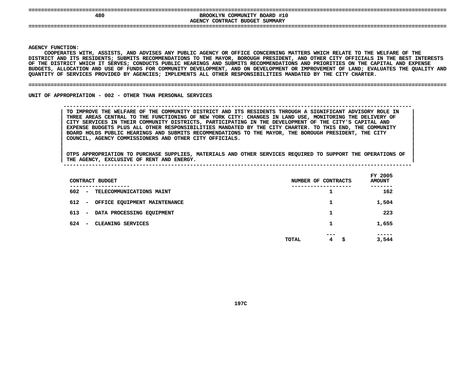|  |  |  | ---------- |  |  |
|--|--|--|------------|--|--|
|  |  |  |            |  |  |

## **====================================================================================================================================**BROOKLYN COMMUNITY BOARD #10<br>AGENCY CONTRACT BUDGET SUMMARY **BROOKLYN COMMUNITY BOARD #10 CONTRACT BUDGET SUMMARY ====================================================================================================================================**

**AGENCY**

**|**

Y FUNCTION:<br>COOPERATES<br>ICT AND ITS<br>ICT AND ITS **COOPERATES**S WITH, ASSISTS, AND ADVISES ANY PUBLIC AGENCY OR OFFICE CONCERNING MATTERS WHICH RELATE TO THE WELFARE OF THE<br>TS RESIDENTS; SUBMITS RECOMMENDATIONS TO THE MAYOR, BOROUGH PRESIDENT, AND OTHER CITY OFFICIALS IN THE BEST IN<br> **DISTRICT**T AND ITS RESIDENTS; SUBMITS RECOMMENDATIONS TO THE MAYOR, BOROUGH PRESIDENT, AND OTHER CITY OFFICIALS IN THE BEST INTERESTS<br>DISTRICT WHICH IT SERVES; CONDUCTS PUBLIC HEARINGS AND SUBMITS RECOMMENDATIONS AND PRIORITIES ON OF THE DISTRICT WHICH IT SERVES: CONDUCTS PUBLIC HEARINGS AND SUBMITS RECOMMENDATIONS AND PRIORITIES ON THE CAPITAL AND EXPENSE F THE DISTRICT WHICH IT SERVES; CONDUCTS PUBLIC HEARINGS AND SUBMITS RECOMMENDATIONS AND PRIORITIES ON THE CAPITAL AND EXPENSE<br>UDGETS, ALLOCATION AND USE OF FUNDS FOR COMMUNITY DEVELOPMENT, AND ON DEVELOPMENT OR IMPROVEMEN BUDGETS, ALLOCATION AND USE OF FUNDS FOR COMMUNITY DEVELOPMENT, AND ON DEVELOPMENT OR IMPROVEMENT OF LAND; EVALUATES THE QUALITY AND<br>QUANTITY OF SERVICES PROVIDED BY AGENCIES; IMPLEMENTS ALL OTHER RESPONSIBILITIES MANDATED QUANTITY OF SERVICES PROVIDED BY AGENCIES; IMPLEMENTS ALL OTHER RESPONSIBILITIES MANDATED BY THE CITY CHARTER.

#### **OF SERVICES PROVIDED BY AGENCIES; IMPLEMENTS ALL OTHER RESPONSIBILITIES MANDATED BY THE CITY CHARTER. ====================================================================================================================================**

UNIT OF APPROPRIATION - 002 - OTHER THAN PERSONAL SERVICES

## **OF APPROPRIATION - <sup>002</sup> - OTHER THAN PERSONAL SERVICES --------------------------------------------------------------------------------------------------------------**TO IMPROVE THE WELFARE OF THE COMMUNITY DISTRICT AND ITS RESIDENTS THROUGH A SIGNIFICANT ADVISORY ROLE IN THREE AREAS CENTRAL TO THE FUNCTIONING OF NEW YORK CITY: CHANGES IN LAND USE, MONITORING THE DELIVERY OF CITY SERVIC TO IMPROVE THE WELFARE OF THE COMMUNITY DISTRICT AND ITS RESIDENTS THROUGH A SIGNIFICANT ADVISORY ROLE IN THREE AREAS CENTRAL TO THE FUNCTIONING OF NEW YORK CITY: CHANGES IN LAND USE, MONITORING THE DELIVERY OF<br>CITY SERVICES IN THEIR COMMUNITY DISTRICTS, PARTICIPATING IN THE DEVELOPMENT OF THE CITY'S CAPITAL AND<br>EXPENSE BUDGET **CITY SERVICES IN THEIR COMMUNITY DISTRICTS, PARTICIPATING IN THE DEVELOPMENT OF THE CITY'S CAPITAL AND <sup>|</sup>** EXPENSE BUDGETS PLUS ALL OTHER RESPONSIBILITIES MANDATED BY THE CITY CHARTER. TO THIS END, THE COMMUNITY<br>BOARD HOLDS PUBLIC HEARINGS AND SUBMITS RECOMMENDATIONS TO THE MAYOR, THE BOROUGH PRESIDENT, THE CITY<br>COUNCIL, AGENCY **BOARD HOLDS PUBLIC HEARINGS AND SUBMITS RECOMMENDATIONS TO THE MAYOR, THE BOROUGH PRESIDENT, THE CITY <sup>|</sup> COUNCIL, AGENCY COMMISSIONERS AND OTHER CITY OFFICIALS. <sup>|</sup>**

| CONTRACT BUDGET                                              | NUMBER OF CONTRACTS    | FY 2005<br><b>AMOUNT</b> |
|--------------------------------------------------------------|------------------------|--------------------------|
| ----------<br>602<br>- TELECOMMUNICATIONS MAINT              |                        | -----<br>162             |
| 612 -<br>OFFICE EQUIPMENT MAINTENANCE                        |                        | 1,504                    |
| 613<br>DATA PROCESSING EQUIPMENT<br>$\overline{\phantom{0}}$ |                        | 223                      |
| 624<br>CLEANING SERVICES<br>$\sim$                           | 1                      | 1,655                    |
|                                                              | ---<br>4<br>TOTAL<br>s | -----<br>3,544           |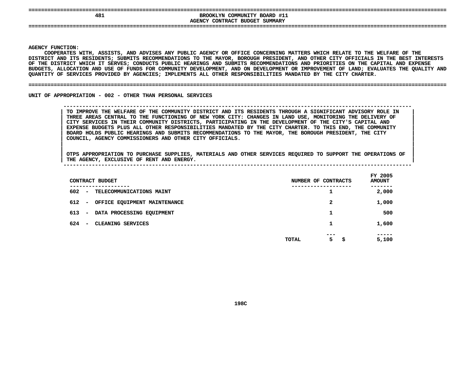|  |  | -------- |  | . . |
|--|--|----------|--|-----|
|  |  |          |  |     |
|  |  |          |  |     |

## **====================================================================================================================================EXPOSITE BROOKLYN COMMUNITY BOARD #11<br>AGENCY CONTRACT BUDGET SUMMARY BROOKLYN COMMUNITY BOARD #11 CONTRACT BUDGET SUMMARY ====================================================================================================================================**

**AGENCY**

**|**

Y FUNCTION:<br>COOPERATES<br>ICT AND ITS<br>ICT AND ITS **COOPERATES**S WITH, ASSISTS, AND ADVISES ANY PUBLIC AGENCY OR OFFICE CONCERNING MATTERS WHICH RELATE TO THE WELFARE OF THE<br>TS RESIDENTS; SUBMITS RECOMMENDATIONS TO THE MAYOR, BOROUGH PRESIDENT, AND OTHER CITY OFFICIALS IN THE BEST IN<br> **DISTRICT**T AND ITS RESIDENTS; SUBMITS RECOMMENDATIONS TO THE MAYOR, BOROUGH PRESIDENT, AND OTHER CITY OFFICIALS IN THE BEST INTERESTS<br>DISTRICT WHICH IT SERVES; CONDUCTS PUBLIC HEARINGS AND SUBMITS RECOMMENDATIONS AND PRIORITIES ON OF THE DISTRICT WHICH IT SERVES: CONDUCTS PUBLIC HEARINGS AND SUBMITS RECOMMENDATIONS AND PRIORITIES ON THE CAPITAL AND EXPENSE F THE DISTRICT WHICH IT SERVES; CONDUCTS PUBLIC HEARINGS AND SUBMITS RECOMMENDATIONS AND PRIORITIES ON THE CAPITAL AND EXPENSE<br>UDGETS, ALLOCATION AND USE OF FUNDS FOR COMMUNITY DEVELOPMENT, AND ON DEVELOPMENT OR IMPROVEMEN **BUDGETS,**, ALLOCATION AND USE OF FUNDS FOR COMMUNITY DEVELOPMENT, AND ON DEVELOPMENT OR IMPROVEMENT OF LAND; EVALUATES THE QUALITY AND<br>Y OF SERVICES PROVIDED BY AGENCIES; IMPLEMENTS ALL OTHER RESPONSIBILITIES MANDATED BY THE CITY C **QUANTITY**

#### **OF SERVICES PROVIDED BY AGENCIES; IMPLEMENTS ALL OTHER RESPONSIBILITIES MANDATED BY THE CITY CHARTER. ====================================================================================================================================**

UNIT OF APPROPRIATION - 002 - OTHER THAN PERSONAL SERVICES

 **OF APPROPRIATION - <sup>002</sup> - OTHER THAN PERSONAL SERVICES --------------------------------------------------------------------------------------------------------------**TO IMPROVE THE WELFARE OF THE COMMUNITY DISTRICT AND ITS RESIDENTS THROUGH A SIGNIFICANT ADVISORY ROLE IN THREE AREAS CENTRAL TO THE FUNCTIONING OF NEW YORK CITY: CHANGES IN LAND USE, MONITORING THE DELIVERY OF CITY SERVIC TO IMPROVE THE WELFARE OF THE COMMUNITY DISTRICT AND ITS RESIDENTS THROUGH A SIGNIFICANT ADVISORY ROLE IN THREE AREAS CENTRAL TO THE FUNCTIONING OF NEW YORK CITY: CHANGES IN LAND USE, MONITORING THE DELIVERY OF<br>CITY SERVICES IN THEIR COMMUNITY DISTRICTS, PARTICIPATING IN THE DEVELOPMENT OF THE CITY'S CAPITAL AND<br>EXPENSE BUDGET **CITY SERVICES IN THEIR COMMUNITY DISTRICTS, PARTICIPATING IN THE DEVELOPMENT OF THE CITY'S CAPITAL AND <sup>|</sup>** EXPENSE BUDGETS PLUS ALL OTHER RESPONSIBILITIES MANDATED BY THE CITY CHARTER. TO THIS END, THE COMMUNITY<br>BOARD HOLDS PUBLIC HEARINGS AND SUBMITS RECOMMENDATIONS TO THE MAYOR, THE BOROUGH PRESIDENT, THE CITY<br>COUNCIL, AGENCY **BOARD HOLDS PUBLIC HEARINGS AND SUBMITS RECOMMENDATIONS TO THE MAYOR, THE BOROUGH PRESIDENT, THE CITY <sup>|</sup> COUNCIL, AGENCY COMMISSIONERS AND OTHER CITY OFFICIALS. <sup>|</sup>**

|  | $T^*$ 2005 |
|--|------------|

| CONTRACT BUDGET                                                 | NUMBER OF CONTRACTS     | FY 2005<br><b>AMOUNT</b> |
|-----------------------------------------------------------------|-------------------------|--------------------------|
| ----------<br>602<br><b>TELECOMMUNICATIONS MAINT</b><br>$\sim$  | ᅩ                       | -----<br>2,000           |
| 612<br>OFFICE EQUIPMENT MAINTENANCE<br>$\overline{\phantom{a}}$ | 2                       | 1,000                    |
| 613<br>DATA PROCESSING EQUIPMENT<br>$\overline{\phantom{0}}$    |                         | 500                      |
| 624<br>CLEANING SERVICES<br>$\overline{\phantom{0}}$            | 1                       | 1,600                    |
|                                                                 | ---<br>5<br>TOTAL<br>-S | -----<br>5,100           |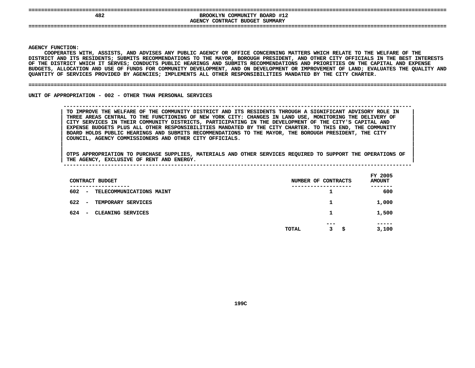|  |  | -------- |  |
|--|--|----------|--|
|  |  |          |  |
|  |  |          |  |

## **====================================================================================================================================**BROOKLYN COMMUNITY BOARD #12<br> **AGENCY CONTRACT BUDGET SUMMARY BROOKLYN COMMUNITY BOARD #12 CONTRACT BUDGET SUMMARY ====================================================================================================================================**

**AGENCY**

**|**

Y FUNCTION:<br>COOPERATES<br>ICT AND ITS<br>ICT AND ITS **COOPERATES**S WITH, ASSISTS, AND ADVISES ANY PUBLIC AGENCY OR OFFICE CONCERNING MATTERS WHICH RELATE TO THE WELFARE OF THE<br>TS RESIDENTS; SUBMITS RECOMMENDATIONS TO THE MAYOR, BOROUGH PRESIDENT, AND OTHER CITY OFFICIALS IN THE BEST IN<br> **DISTRICT**T AND ITS RESIDENTS; SUBMITS RECOMMENDATIONS TO THE MAYOR, BOROUGH PRESIDENT, AND OTHER CITY OFFICIALS IN THE BEST INTERESTS<br>DISTRICT WHICH IT SERVES; CONDUCTS PUBLIC HEARINGS AND SUBMITS RECOMMENDATIONS AND PRIORITIES ON OF THE DISTRICT WHICH IT SERVES: CONDUCTS PUBLIC HEARINGS AND SUBMITS RECOMMENDATIONS AND PRIORITIES ON THE CAPITAL AND EXPENSE F THE DISTRICT WHICH IT SERVES; CONDUCTS PUBLIC HEARINGS AND SUBMITS RECOMMENDATIONS AND PRIORITIES ON THE CAPITAL AND EXPENSE<br>UDGETS, ALLOCATION AND USE OF FUNDS FOR COMMUNITY DEVELOPMENT, AND ON DEVELOPMENT OR IMPROVEMEN BUDGETS, ALLOCATION AND USE OF FUNDS FOR COMMUNITY DEVELOPMENT, AND ON DEVELOPMENT OR IMPROVEMENT OF LAND; EVALUATES THE QUALITY AND<br>QUANTITY OF SERVICES PROVIDED BY AGENCIES; IMPLEMENTS ALL OTHER RESPONSIBILITIES MANDATED QUANTITY OF SERVICES PROVIDED BY AGENCIES; IMPLEMENTS ALL OTHER RESPONSIBILITIES MANDATED BY THE CITY CHARTER.

#### **OF SERVICES PROVIDED BY AGENCIES; IMPLEMENTS ALL OTHER RESPONSIBILITIES MANDATED BY THE CITY CHARTER. ====================================================================================================================================**

UNIT OF APPROPRIATION - 002 - OTHER THAN PERSONAL SERVICES

 **OF APPROPRIATION - <sup>002</sup> - OTHER THAN PERSONAL SERVICES --------------------------------------------------------------------------------------------------------------**TO IMPROVE THE WELFARE OF THE COMMUNITY DISTRICT AND ITS RESIDENTS THROUGH A SIGNIFICANT ADVISORY ROLE IN THREE AREAS CENTRAL TO THE FUNCTIONING OF NEW YORK CITY: CHANGES IN LAND USE, MONITORING THE DELIVERY OF CITY SERVIC TO IMPROVE THE WELFARE OF THE COMMUNITY DISTRICT AND ITS RESIDENTS THROUGH A SIGNIFICANT ADVISORY ROLE IN THREE AREAS CENTRAL TO THE FUNCTIONING OF NEW YORK CITY: CHANGES IN LAND USE, MONITORING THE DELIVERY OF<br>CITY SERVICES IN THEIR COMMUNITY DISTRICTS, PARTICIPATING IN THE DEVELOPMENT OF THE CITY'S CAPITAL AND<br>EXPENSE BUDGET **CITY SERVICES IN THEIR COMMUNITY DISTRICTS, PARTICIPATING IN THE DEVELOPMENT OF THE CITY'S CAPITAL AND <sup>|</sup>** EXPENSE BUDGETS PLUS ALL OTHER RESPONSIBILITIES MANDATED BY THE CITY CHARTER. TO THIS END, THE COMMUNITY<br>BOARD HOLDS PUBLIC HEARINGS AND SUBMITS RECOMMENDATIONS TO THE MAYOR, THE BOROUGH PRESIDENT, THE CITY<br>COUNCIL, AGENCY **BOARD HOLDS PUBLIC HEARINGS AND SUBMITS RECOMMENDATIONS TO THE MAYOR, THE BOROUGH PRESIDENT, THE CITY <sup>|</sup> COUNCIL, AGENCY COMMISSIONERS AND OTHER CITY OFFICIALS. <sup>|</sup>**

OTPS APPROPRIATION TO PURCHASE SUPPLIES, MATERIALS AND OTHER SERVICES REQUIRED TO SUPPORT THE OPERATIONS OF |<br>| OTPS APPROPRIATION TO PURCHASE SUPPLIES, MATERIALS AND OTHER SERVICES REQUIRED TO SUPPORT THE OPERATIONS OF<br>| THE AGENCY, EXCLUSIVE OF RENT AND ENERGY. **OTPS APPROPRIATION TO PURCHASE SUPPLIES, MATERIALS AND OTHER SERVICES REQUIRED TO SUPPORT THE OPERATIONS OF <sup>|</sup>**

| THE | <b>AGENCY</b> | <b>EXCLUSIVE OF</b> | RENT | AND | <b>ENERGY</b> |  |  |  |  |            |  |
|-----|---------------|---------------------|------|-----|---------------|--|--|--|--|------------|--|
|     |               |                     |      |     |               |  |  |  |  |            |  |
|     |               |                     |      |     |               |  |  |  |  | __________ |  |

| CONTRACT BUDGET                                                            | NUMBER OF CONTRACTS     | FY 2005<br><b>AMOUNT</b> |
|----------------------------------------------------------------------------|-------------------------|--------------------------|
| -----------<br>602<br>TELECOMMUNICATIONS MAINT<br>$\overline{\phantom{a}}$ | -----------------<br>ᅩ  | .<br>600                 |
| 622<br>TEMPORARY SERVICES<br>$\overline{\phantom{a}}$                      | 1                       | 1,000                    |
| 624<br>CLEANING SERVICES<br>$\overline{\phantom{a}}$                       | 1                       | 1,500                    |
|                                                                            | ---<br>3<br>TOTAL<br>\$ | -----<br>3,100           |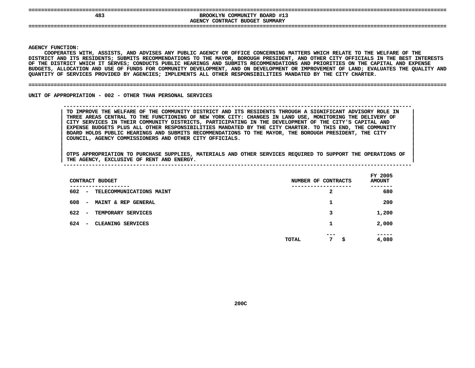|  |  | _______ |  |  |
|--|--|---------|--|--|
|  |  |         |  |  |
|  |  |         |  |  |

## **====================================================================================================================================**BROOKLYN COMMUNITY BOARD #13<br>AGENCY CONTRACT BUDGET SUMMARY **BROOKLYN COMMUNITY BOARD #13 CONTRACT BUDGET SUMMARY ====================================================================================================================================**

**AGENCY**

**|**

Y FUNCTION:<br>COOPERATES<br>ICT AND ITS<br>ICT AND ITS **COOPERATES**S WITH, ASSISTS, AND ADVISES ANY PUBLIC AGENCY OR OFFICE CONCERNING MATTERS WHICH RELATE TO THE WELFARE OF THE<br>TS RESIDENTS; SUBMITS RECOMMENDATIONS TO THE MAYOR, BOROUGH PRESIDENT, AND OTHER CITY OFFICIALS IN THE BEST IN<br> **DISTRICT**T AND ITS RESIDENTS; SUBMITS RECOMMENDATIONS TO THE MAYOR, BOROUGH PRESIDENT, AND OTHER CITY OFFICIALS IN THE BEST INTERESTS<br>DISTRICT WHICH IT SERVES; CONDUCTS PUBLIC HEARINGS AND SUBMITS RECOMMENDATIONS AND PRIORITIES ON OF THE DISTRICT WHICH IT SERVES: CONDUCTS PUBLIC HEARINGS AND SUBMITS RECOMMENDATIONS AND PRIORITIES ON THE CAPITAL AND EXPENSE F THE DISTRICT WHICH IT SERVES; CONDUCTS PUBLIC HEARINGS AND SUBMITS RECOMMENDATIONS AND PRIORITIES ON THE CAPITAL AND EXPENSE<br>UDGETS, ALLOCATION AND USE OF FUNDS FOR COMMUNITY DEVELOPMENT, AND ON DEVELOPMENT OR IMPROVEMEN BUDGETS, ALLOCATION AND USE OF FUNDS FOR COMMUNITY DEVELOPMENT, AND ON DEVELOPMENT OR IMPROVEMENT OF LAND; EVALUATES THE QUALITY AND<br>QUANTITY OF SERVICES PROVIDED BY AGENCIES; IMPLEMENTS ALL OTHER RESPONSIBILITIES MANDATED QUANTITY OF SERVICES PROVIDED BY AGENCIES; IMPLEMENTS ALL OTHER RESPONSIBILITIES MANDATED BY THE CITY CHARTER.

#### **OF SERVICES PROVIDED BY AGENCIES; IMPLEMENTS ALL OTHER RESPONSIBILITIES MANDATED BY THE CITY CHARTER. ====================================================================================================================================**

UNIT OF APPROPRIATION - 002 - OTHER THAN PERSONAL SERVICES

## **OF APPROPRIATION - <sup>002</sup> - OTHER THAN PERSONAL SERVICES --------------------------------------------------------------------------------------------------------------**TO IMPROVE THE WELFARE OF THE COMMUNITY DISTRICT AND ITS RESIDENTS THROUGH A SIGNIFICANT ADVISORY ROLE IN THREE AREAS CENTRAL TO THE FUNCTIONING OF NEW YORK CITY: CHANGES IN LAND USE, MONITORING THE DELIVERY OF CITY SERVIC TO IMPROVE THE WELFARE OF THE COMMUNITY DISTRICT AND ITS RESIDENTS THROUGH A SIGNIFICANT ADVISORY ROLE IN THREE AREAS CENTRAL TO THE FUNCTIONING OF NEW YORK CITY: CHANGES IN LAND USE, MONITORING THE DELIVERY OF<br>CITY SERVICES IN THEIR COMMUNITY DISTRICTS, PARTICIPATING IN THE DEVELOPMENT OF THE CITY'S CAPITAL AND<br>EXPENSE BUDGET **CITY SERVICES IN THEIR COMMUNITY DISTRICTS, PARTICIPATING IN THE DEVELOPMENT OF THE CITY'S CAPITAL AND <sup>|</sup>** EXPENSE BUDGETS PLUS ALL OTHER RESPONSIBILITIES MANDATED BY THE CITY CHARTER. TO THIS END, THE COMMUNITY<br>BOARD HOLDS PUBLIC HEARINGS AND SUBMITS RECOMMENDATIONS TO THE MAYOR, THE BOROUGH PRESIDENT, THE CITY<br>COUNCIL, AGENCY **BOARD HOLDS PUBLIC HEARINGS AND SUBMITS RECOMMENDATIONS TO THE MAYOR, THE BOROUGH PRESIDENT, THE CITY <sup>|</sup> COUNCIL, AGENCY COMMISSIONERS AND OTHER CITY OFFICIALS. <sup>|</sup>**

| CONTRACT BUDGET                                        | NUMBER OF CONTRACTS            | FY 2005<br><b>AMOUNT</b> |
|--------------------------------------------------------|--------------------------------|--------------------------|
| --------<br>602<br>TELECOMMUNICATIONS MAINT<br>$\sim$  | ------<br>2                    | -----<br>680             |
| 608<br>MAINT & REP GENERAL<br>$\overline{\phantom{0}}$ | ᅩ                              | 200                      |
| 622<br>TEMPORARY SERVICES<br>$\overline{\phantom{0}}$  | 3                              | 1,200                    |
| 624<br>CLEANING SERVICES<br>$\overline{\phantom{a}}$   | 1                              | 2,000                    |
|                                                        | ---<br>7<br><b>TOTAL</b><br>\$ | -----<br>4,080           |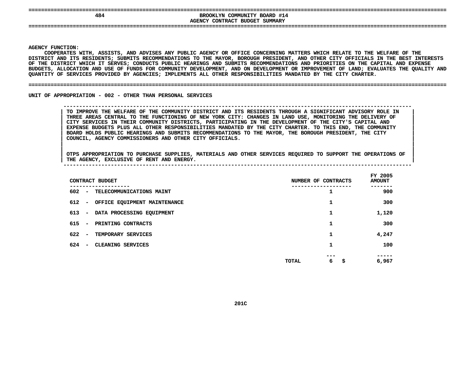|  |  |  | -------- |  |
|--|--|--|----------|--|
|  |  |  |          |  |
|  |  |  |          |  |

## **====================================================================================================================================EXPOSITE BROOKLYN COMMUNITY BOARD #14<br>AGENCY CONTRACT BUDGET SUMMARY BROOKLYN COMMUNITY BOARD #14 CONTRACT BUDGET SUMMARY ====================================================================================================================================**

**AGENCY**

**|**

Y FUNCTION:<br>COOPERATES<br>ICT AND ITS<br>ICT AND ITS **COOPERATES**S WITH, ASSISTS, AND ADVISES ANY PUBLIC AGENCY OR OFFICE CONCERNING MATTERS WHICH RELATE TO THE WELFARE OF THE<br>TS RESIDENTS; SUBMITS RECOMMENDATIONS TO THE MAYOR, BOROUGH PRESIDENT, AND OTHER CITY OFFICIALS IN THE BEST IN<br> **DISTRICT**T AND ITS RESIDENTS; SUBMITS RECOMMENDATIONS TO THE MAYOR, BOROUGH PRESIDENT, AND OTHER CITY OFFICIALS IN THE BEST INTERESTS<br>DISTRICT WHICH IT SERVES; CONDUCTS PUBLIC HEARINGS AND SUBMITS RECOMMENDATIONS AND PRIORITIES ON OF THE DISTRICT WHICH IT SERVES: CONDUCTS PUBLIC HEARINGS AND SUBMITS RECOMMENDATIONS AND PRIORITIES ON THE CAPITAL AND EXPENSE F THE DISTRICT WHICH IT SERVES; CONDUCTS PUBLIC HEARINGS AND SUBMITS RECOMMENDATIONS AND PRIORITIES ON THE CAPITAL AND EXPENSE<br>UDGETS, ALLOCATION AND USE OF FUNDS FOR COMMUNITY DEVELOPMENT, AND ON DEVELOPMENT OR IMPROVEMEN BUDGETS, ALLOCATION AND USE OF FUNDS FOR COMMUNITY DEVELOPMENT, AND ON DEVELOPMENT OR IMPROVEMENT OF LAND; EVALUATES THE QUALITY AND<br>QUANTITY OF SERVICES PROVIDED BY AGENCIES; IMPLEMENTS ALL OTHER RESPONSIBILITIES MANDATED QUANTITY OF SERVICES PROVIDED BY AGENCIES; IMPLEMENTS ALL OTHER RESPONSIBILITIES MANDATED BY THE CITY CHARTER.

#### **OF SERVICES PROVIDED BY AGENCIES; IMPLEMENTS ALL OTHER RESPONSIBILITIES MANDATED BY THE CITY CHARTER. ====================================================================================================================================**

UNIT OF APPROPRIATION - 002 - OTHER THAN PERSONAL SERVICES

## **OF APPROPRIATION - <sup>002</sup> - OTHER THAN PERSONAL SERVICES --------------------------------------------------------------------------------------------------------------**TO IMPROVE THE WELFARE OF THE COMMUNITY DISTRICT AND ITS RESIDENTS THROUGH A SIGNIFICANT ADVISORY ROLE IN THREE AREAS CENTRAL TO THE FUNCTIONING OF NEW YORK CITY: CHANGES IN LAND USE, MONITORING THE DELIVERY OF CITY SERVIC TO IMPROVE THE WELFARE OF THE COMMUNITY DISTRICT AND ITS RESIDENTS THROUGH A SIGNIFICANT ADVISORY ROLE IN THREE AREAS CENTRAL TO THE FUNCTIONING OF NEW YORK CITY: CHANGES IN LAND USE, MONITORING THE DELIVERY OF<br>CITY SERVICES IN THEIR COMMUNITY DISTRICTS, PARTICIPATING IN THE DEVELOPMENT OF THE CITY'S CAPITAL AND<br>EXPENSE BUDGET **CITY SERVICES IN THEIR COMMUNITY DISTRICTS, PARTICIPATING IN THE DEVELOPMENT OF THE CITY'S CAPITAL AND <sup>|</sup>** EXPENSE BUDGETS PLUS ALL OTHER RESPONSIBILITIES MANDATED BY THE CITY CHARTER. TO THIS END, THE COMMUNITY<br>BOARD HOLDS PUBLIC HEARINGS AND SUBMITS RECOMMENDATIONS TO THE MAYOR, THE BOROUGH PRESIDENT, THE CITY<br>COUNCIL, AGENCY **BOARD HOLDS PUBLIC HEARINGS AND SUBMITS RECOMMENDATIONS TO THE MAYOR, THE BOROUGH PRESIDENT, THE CITY <sup>|</sup> COUNCIL, AGENCY COMMISSIONERS AND OTHER CITY OFFICIALS. <sup>|</sup>**

| CONTRACT BUDGET                                                 | NUMBER OF CONTRACTS     | FY 2005<br><b>AMOUNT</b> |
|-----------------------------------------------------------------|-------------------------|--------------------------|
| 602<br>TELECOMMUNICATIONS MAINT<br>$\overline{\phantom{a}}$     | ------                  | -----<br>900             |
| 612<br>OFFICE EQUIPMENT MAINTENANCE<br>$\overline{\phantom{a}}$ |                         | 300                      |
| 613<br>DATA PROCESSING EQUIPMENT<br>$\overline{\phantom{a}}$    | 1                       | 1,120                    |
| 615<br>PRINTING CONTRACTS<br>$\overline{\phantom{a}}$           |                         | 300                      |
| 622<br>TEMPORARY SERVICES<br>$\overline{\phantom{a}}$           |                         | 4,247                    |
| 624<br>CLEANING SERVICES<br>$\overline{\phantom{a}}$            | 1                       | 100                      |
|                                                                 | ---<br>6<br>\$<br>TOTAL | ----<br>6,967            |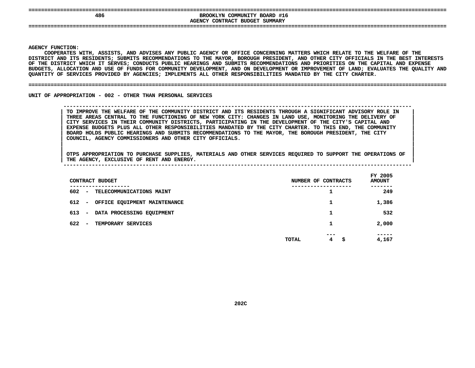|  |  |  | --------- |  |
|--|--|--|-----------|--|
|  |  |  |           |  |

## **====================================================================================================================================**BROOKLYN COMMUNITY BOARD #16<br>AGENCY CONTRACT BUDGET SUMMARY **BROOKLYN COMMUNITY BOARD #16**

**CONTRACT BUDGET SUMMARY ====================================================================================================================================**

#### **AGENCY**

**|**

Y FUNCTION:<br>COOPERATES<br>ICT AND ITS<br>ICT AND ITS **COOPERATES**S WITH, ASSISTS, AND ADVISES ANY PUBLIC AGENCY OR OFFICE CONCERNING MATTERS WHICH RELATE TO THE WELFARE OF THE<br>TS RESIDENTS; SUBMITS RECOMMENDATIONS TO THE MAYOR, BOROUGH PRESIDENT, AND OTHER CITY OFFICIALS IN THE BEST IN<br> **DISTRICT**T AND ITS RESIDENTS; SUBMITS RECOMMENDATIONS TO THE MAYOR, BOROUGH PRESIDENT, AND OTHER CITY OFFICIALS IN THE BEST INTERESTS<br>DISTRICT WHICH IT SERVES; CONDUCTS PUBLIC HEARINGS AND SUBMITS RECOMMENDATIONS AND PRIORITIES ON OF THE DISTRICT WHICH IT SERVES: CONDUCTS PUBLIC HEARINGS AND SUBMITS RECOMMENDATIONS AND PRIORITIES ON THE CAPITAL AND EXPENSE F THE DISTRICT WHICH IT SERVES; CONDUCTS PUBLIC HEARINGS AND SUBMITS RECOMMENDATIONS AND PRIORITIES ON THE CAPITAL AND EXPENSE<br>UDGETS, ALLOCATION AND USE OF FUNDS FOR COMMUNITY DEVELOPMENT, AND ON DEVELOPMENT OR IMPROVEMEN BUDGETS, ALLOCATION AND USE OF FUNDS FOR COMMUNITY DEVELOPMENT, AND ON DEVELOPMENT OR IMPROVEMENT OF LAND; EVALUATES THE QUALITY AND<br>QUANTITY OF SERVICES PROVIDED BY AGENCIES; IMPLEMENTS ALL OTHER RESPONSIBILITIES MANDATED QUANTITY OF SERVICES PROVIDED BY AGENCIES; IMPLEMENTS ALL OTHER RESPONSIBILITIES MANDATED BY THE CITY CHARTER.

#### **OF SERVICES PROVIDED BY AGENCIES; IMPLEMENTS ALL OTHER RESPONSIBILITIES MANDATED BY THE CITY CHARTER. ====================================================================================================================================**

UNIT OF APPROPRIATION - 002 - OTHER THAN PERSONAL SERVICES

## **OF APPROPRIATION - <sup>002</sup> - OTHER THAN PERSONAL SERVICES --------------------------------------------------------------------------------------------------------------**TO IMPROVE THE WELFARE OF THE COMMUNITY DISTRICT AND ITS RESIDENTS THROUGH A SIGNIFICANT ADVISORY ROLE IN THREE AREAS CENTRAL TO THE FUNCTIONING OF NEW YORK CITY: CHANGES IN LAND USE, MONITORING THE DELIVERY OF CITY SERVIC TO IMPROVE THE WELFARE OF THE COMMUNITY DISTRICT AND ITS RESIDENTS THROUGH A SIGNIFICANT ADVISORY ROLE IN THREE AREAS CENTRAL TO THE FUNCTIONING OF NEW YORK CITY: CHANGES IN LAND USE, MONITORING THE DELIVERY OF<br>CITY SERVICES IN THEIR COMMUNITY DISTRICTS, PARTICIPATING IN THE DEVELOPMENT OF THE CITY'S CAPITAL AND<br>EXPENSE BUDGET **CITY SERVICES IN THEIR COMMUNITY DISTRICTS, PARTICIPATING IN THE DEVELOPMENT OF THE CITY'S CAPITAL AND <sup>|</sup>** EXPENSE BUDGETS PLUS ALL OTHER RESPONSIBILITIES MANDATED BY THE CITY CHARTER. TO THIS END, THE COMMUNITY<br>BOARD HOLDS PUBLIC HEARINGS AND SUBMITS RECOMMENDATIONS TO THE MAYOR, THE BOROUGH PRESIDENT, THE CITY<br>COUNCIL, AGENCY **BOARD HOLDS PUBLIC HEARINGS AND SUBMITS RECOMMENDATIONS TO THE MAYOR, THE BOROUGH PRESIDENT, THE CITY <sup>|</sup> COUNCIL, AGENCY COMMISSIONERS AND OTHER CITY OFFICIALS. <sup>|</sup>**

| CONTRACT BUDGET                                              | NUMBER OF CONTRACTS                | FY 2005<br><b>AMOUNT</b> |
|--------------------------------------------------------------|------------------------------------|--------------------------|
| ----------<br>602<br>- TELECOMMUNICATIONS MAINT              |                                    | -----<br>249             |
| 612<br>OFFICE EQUIPMENT MAINTENANCE<br>$\sim$                | 1                                  | 1,386                    |
| 613<br>DATA PROCESSING EQUIPMENT<br>$\overline{\phantom{0}}$ |                                    | 532                      |
| 622<br>TEMPORARY SERVICES<br>$\overline{\phantom{0}}$        |                                    | 2,000                    |
|                                                              | ---<br>$4^{\circ}$<br>TOTAL<br>\$. | -----<br>4,167           |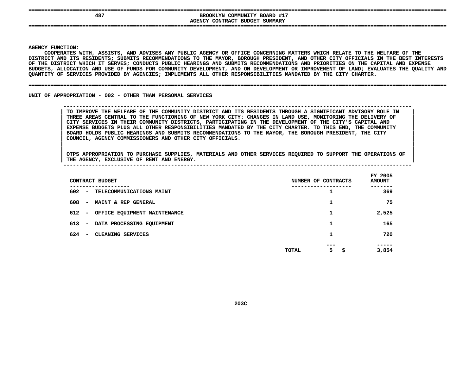| ________ |  |  |  |
|----------|--|--|--|
|          |  |  |  |
|          |  |  |  |

**====================================================================================================================================EXPOSITE BROOKLYN COMMUNITY BOARD #17<br>AGENCY CONTRACT BUDGET SUMMARY BROOKLYN COMMUNITY BOARD #17 CONTRACT BUDGET SUMMARY ====================================================================================================================================**

**AGENCY**

**|**

Y FUNCTION:<br>COOPERATES<br>ICT AND ITS<br>ICT AND ITS **COOPERATES**S WITH, ASSISTS, AND ADVISES ANY PUBLIC AGENCY OR OFFICE CONCERNING MATTERS WHICH RELATE TO THE WELFARE OF THE<br>TS RESIDENTS; SUBMITS RECOMMENDATIONS TO THE MAYOR, BOROUGH PRESIDENT, AND OTHER CITY OFFICIALS IN THE BEST IN<br> **DISTRICT**T AND ITS RESIDENTS; SUBMITS RECOMMENDATIONS TO THE MAYOR, BOROUGH PRESIDENT, AND OTHER CITY OFFICIALS IN THE BEST INTERESTS<br>DISTRICT WHICH IT SERVES; CONDUCTS PUBLIC HEARINGS AND SUBMITS RECOMMENDATIONS AND PRIORITIES ON OF THE DISTRICT WHICH IT SERVES: CONDUCTS PUBLIC HEARINGS AND SUBMITS RECOMMENDATIONS AND PRIORITIES ON THE CAPITAL AND EXPENSE F THE DISTRICT WHICH IT SERVES; CONDUCTS PUBLIC HEARINGS AND SUBMITS RECOMMENDATIONS AND PRIORITIES ON THE CAPITAL AND EXPENSE<br>UDGETS, ALLOCATION AND USE OF FUNDS FOR COMMUNITY DEVELOPMENT, AND ON DEVELOPMENT OR IMPROVEMEN BUDGETS, ALLOCATION AND USE OF FUNDS FOR COMMUNITY DEVELOPMENT, AND ON DEVELOPMENT OR IMPROVEMENT OF LAND; EVALUATES THE QUALITY AND<br>QUANTITY OF SERVICES PROVIDED BY AGENCIES; IMPLEMENTS ALL OTHER RESPONSIBILITIES MANDATED QUANTITY OF SERVICES PROVIDED BY AGENCIES; IMPLEMENTS ALL OTHER RESPONSIBILITIES MANDATED BY THE CITY CHARTER.

#### **OF SERVICES PROVIDED BY AGENCIES; IMPLEMENTS ALL OTHER RESPONSIBILITIES MANDATED BY THE CITY CHARTER. ====================================================================================================================================**

UNIT OF APPROPRIATION - 002 - OTHER THAN PERSONAL SERVICES

 **OF APPROPRIATION - <sup>002</sup> - OTHER THAN PERSONAL SERVICES --------------------------------------------------------------------------------------------------------------**TO IMPROVE THE WELFARE OF THE COMMUNITY DISTRICT AND ITS RESIDENTS THROUGH A SIGNIFICANT ADVISORY ROLE IN THREE AREAS CENTRAL TO THE FUNCTIONING OF NEW YORK CITY: CHANGES IN LAND USE, MONITORING THE DELIVERY OF CITY SERVIC TO IMPROVE THE WELFARE OF THE COMMUNITY DISTRICT AND ITS RESIDENTS THROUGH A SIGNIFICANT ADVISORY ROLE IN THREE AREAS CENTRAL TO THE FUNCTIONING OF NEW YORK CITY: CHANGES IN LAND USE, MONITORING THE DELIVERY OF<br>CITY SERVICES IN THEIR COMMUNITY DISTRICTS, PARTICIPATING IN THE DEVELOPMENT OF THE CITY'S CAPITAL AND<br>EXPENSE BUDGET **CITY SERVICES IN THEIR COMMUNITY DISTRICTS, PARTICIPATING IN THE DEVELOPMENT OF THE CITY'S CAPITAL AND <sup>|</sup>** EXPENSE BUDGETS PLUS ALL OTHER RESPONSIBILITIES MANDATED BY THE CITY CHARTER. TO THIS END, THE COMMUNITY<br>BOARD HOLDS PUBLIC HEARINGS AND SUBMITS RECOMMENDATIONS TO THE MAYOR, THE BOROUGH PRESIDENT, THE CITY<br>COUNCIL, AGENCY **BOARD HOLDS PUBLIC HEARINGS AND SUBMITS RECOMMENDATIONS TO THE MAYOR, THE BOROUGH PRESIDENT, THE CITY <sup>|</sup> COUNCIL, AGENCY COMMISSIONERS AND OTHER CITY OFFICIALS. <sup>|</sup>**

| CONTRACT BUDGET                                              | NUMBER OF CONTRACTS          | FY 2005<br><b>AMOUNT</b> |
|--------------------------------------------------------------|------------------------------|--------------------------|
| ---------<br>602<br>- TELECOMMUNICATIONS MAINT               | ------------<br>ı            | 369                      |
| 608<br><b>MAINT &amp; REP GENERAL</b><br>$\sim$              |                              | 75                       |
| 612 - OFFICE EQUIPMENT MAINTENANCE                           | 1                            | 2,525                    |
| 613<br>DATA PROCESSING EQUIPMENT<br>$\overline{\phantom{a}}$ |                              | 165                      |
| 624<br>CLEANING SERVICES<br>$\overline{\phantom{a}}$         | 1                            | 720                      |
|                                                              | ---<br>$5 -$<br>\$.<br>TOTAL | -----<br>3,854           |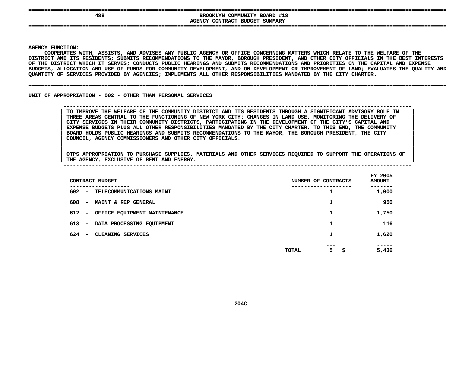| --------- |  |  |  |  |
|-----------|--|--|--|--|
|           |  |  |  |  |

**====================================================================================================================================**BROOKLYN COMMUNITY BOARD #18<br>AGENCY CONTRACT BUDGET SUMMARY **BROOKLYN COMMUNITY BOARD #18 CONTRACT BUDGET SUMMARY ====================================================================================================================================**

**AGENCY**

**|**

Y FUNCTION:<br>COOPERATES<br>ICT AND ITS<br>ICT AND ITS **COOPERATES**S WITH, ASSISTS, AND ADVISES ANY PUBLIC AGENCY OR OFFICE CONCERNING MATTERS WHICH RELATE TO THE WELFARE OF THE<br>TS RESIDENTS; SUBMITS RECOMMENDATIONS TO THE MAYOR, BOROUGH PRESIDENT, AND OTHER CITY OFFICIALS IN THE BEST IN<br> **DISTRICT**T AND ITS RESIDENTS; SUBMITS RECOMMENDATIONS TO THE MAYOR, BOROUGH PRESIDENT, AND OTHER CITY OFFICIALS IN THE BEST INTERESTS<br>DISTRICT WHICH IT SERVES; CONDUCTS PUBLIC HEARINGS AND SUBMITS RECOMMENDATIONS AND PRIORITIES ON OF THE DISTRICT WHICH IT SERVES: CONDUCTS PUBLIC HEARINGS AND SUBMITS RECOMMENDATIONS AND PRIORITIES ON THE CAPITAL AND EXPENSE F THE DISTRICT WHICH IT SERVES; CONDUCTS PUBLIC HEARINGS AND SUBMITS RECOMMENDATIONS AND PRIORITIES ON THE CAPITAL AND EXPENSE<br>UDGETS, ALLOCATION AND USE OF FUNDS FOR COMMUNITY DEVELOPMENT, AND ON DEVELOPMENT OR IMPROVEMEN BUDGETS, ALLOCATION AND USE OF FUNDS FOR COMMUNITY DEVELOPMENT, AND ON DEVELOPMENT OR IMPROVEMENT OF LAND; EVALUATES THE QUALITY AND<br>QUANTITY OF SERVICES PROVIDED BY AGENCIES; IMPLEMENTS ALL OTHER RESPONSIBILITIES MANDATED QUANTITY OF SERVICES PROVIDED BY AGENCIES; IMPLEMENTS ALL OTHER RESPONSIBILITIES MANDATED BY THE CITY CHARTER.

#### **OF SERVICES PROVIDED BY AGENCIES; IMPLEMENTS ALL OTHER RESPONSIBILITIES MANDATED BY THE CITY CHARTER. ====================================================================================================================================**

UNIT OF APPROPRIATION - 002 - OTHER THAN PERSONAL SERVICES

 **OF APPROPRIATION - <sup>002</sup> - OTHER THAN PERSONAL SERVICES --------------------------------------------------------------------------------------------------------------**TO IMPROVE THE WELFARE OF THE COMMUNITY DISTRICT AND ITS RESIDENTS THROUGH A SIGNIFICANT ADVISORY ROLE IN THREE AREAS CENTRAL TO THE FUNCTIONING OF NEW YORK CITY: CHANGES IN LAND USE, MONITORING THE DELIVERY OF CITY SERVIC TO IMPROVE THE WELFARE OF THE COMMUNITY DISTRICT AND ITS RESIDENTS THROUGH A SIGNIFICANT ADVISORY ROLE IN THREE AREAS CENTRAL TO THE FUNCTIONING OF NEW YORK CITY: CHANGES IN LAND USE, MONITORING THE DELIVERY OF<br>CITY SERVICES IN THEIR COMMUNITY DISTRICTS, PARTICIPATING IN THE DEVELOPMENT OF THE CITY'S CAPITAL AND<br>EXPENSE BUDGET **CITY SERVICES IN THEIR COMMUNITY DISTRICTS, PARTICIPATING IN THE DEVELOPMENT OF THE CITY'S CAPITAL AND <sup>|</sup>** EXPENSE BUDGETS PLUS ALL OTHER RESPONSIBILITIES MANDATED BY THE CITY CHARTER. TO THIS END, THE COMMUNITY<br>BOARD HOLDS PUBLIC HEARINGS AND SUBMITS RECOMMENDATIONS TO THE MAYOR, THE BOROUGH PRESIDENT, THE CITY<br>COUNCIL, AGENCY **BOARD HOLDS PUBLIC HEARINGS AND SUBMITS RECOMMENDATIONS TO THE MAYOR, THE BOROUGH PRESIDENT, THE CITY <sup>|</sup> COUNCIL, AGENCY COMMISSIONERS AND OTHER CITY OFFICIALS. <sup>|</sup>**

| CONTRACT BUDGET                                                   | NUMBER OF CONTRACTS    | FY 2005<br><b>AMOUNT</b> |
|-------------------------------------------------------------------|------------------------|--------------------------|
| ---------<br>602<br>TELECOMMUNICATIONS MAINT<br>$\sim$ 100 $\mu$  | ------------<br>ı      | 1,000                    |
| 608<br><b>MAINT &amp; REP GENERAL</b><br>$\overline{\phantom{a}}$ | 1                      | 950                      |
| 612<br>OFFICE EQUIPMENT MAINTENANCE<br>$\overline{\phantom{a}}$   | 1                      | 1,750                    |
| 613<br>DATA PROCESSING EQUIPMENT<br>$\overline{\phantom{a}}$      | 1                      | 116                      |
| 624<br>CLEANING SERVICES<br>$\overline{\phantom{a}}$              | 1                      | 1,620                    |
|                                                                   | ---<br>5<br>s<br>TOTAL | -----<br>5,436           |
|                                                                   |                        |                          |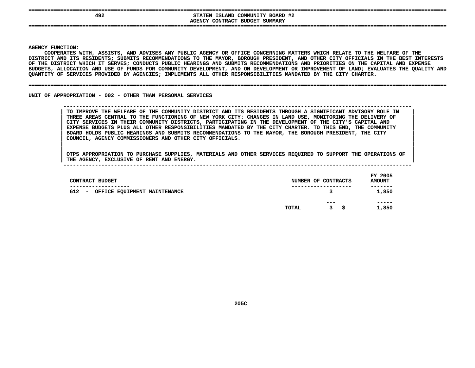|  |  | -------- |  |  |
|--|--|----------|--|--|
|  |  |          |  |  |
|  |  |          |  |  |

## **====================================================================================================================================492**<br> **AGENCY CONTRACT BUDGET SUMMARY**<br> **AGENCY CONTRACT BUDGET SUMMARY STATEN ISLAND COMMUNITY BOARD #2 CONTRACT BUDGET SUMMARY ====================================================================================================================================**

**AGENCY**

**|**

Y FUNCTION:<br>COOPERATES<br>ICT AND ITS<br>ICT AND ITS **COOPERATES**S WITH, ASSISTS, AND ADVISES ANY PUBLIC AGENCY OR OFFICE CONCERNING MATTERS WHICH RELATE TO THE WELFARE OF THE<br>TS RESIDENTS; SUBMITS RECOMMENDATIONS TO THE MAYOR, BOROUGH PRESIDENT, AND OTHER CITY OFFICIALS IN THE BEST IN<br> **DISTRICT**T AND ITS RESIDENTS; SUBMITS RECOMMENDATIONS TO THE MAYOR, BOROUGH PRESIDENT, AND OTHER CITY OFFICIALS IN THE BEST INTERESTS<br>DISTRICT WHICH IT SERVES; CONDUCTS PUBLIC HEARINGS AND SUBMITS RECOMMENDATIONS AND PRIORITIES ON OF THE DISTRICT WHICH IT SERVES: CONDUCTS PUBLIC HEARINGS AND SUBMITS RECOMMENDATIONS AND PRIORITIES ON THE CAPITAL AND EXPENSE F THE DISTRICT WHICH IT SERVES; CONDUCTS PUBLIC HEARINGS AND SUBMITS RECOMMENDATIONS AND PRIORITIES ON THE CAPITAL AND EXPENSE<br>UDGETS, ALLOCATION AND USE OF FUNDS FOR COMMUNITY DEVELOPMENT, AND ON DEVELOPMENT OR IMPROVEMEN BUDGETS, ALLOCATION AND USE OF FUNDS FOR COMMUNITY DEVELOPMENT, AND ON DEVELOPMENT OR IMPROVEMENT OF LAND; EVALUATES THE QUALITY AND<br>QUANTITY OF SERVICES PROVIDED BY AGENCIES; IMPLEMENTS ALL OTHER RESPONSIBILITIES MANDATED QUANTITY OF SERVICES PROVIDED BY AGENCIES; IMPLEMENTS ALL OTHER RESPONSIBILITIES MANDATED BY THE CITY CHARTER.

#### **OF SERVICES PROVIDED BY AGENCIES; IMPLEMENTS ALL OTHER RESPONSIBILITIES MANDATED BY THE CITY CHARTER. ====================================================================================================================================**

UNIT OF APPROPRIATION - 002 - OTHER THAN PERSONAL SERVICES

 **OF APPROPRIATION - <sup>002</sup> - OTHER THAN PERSONAL SERVICES --------------------------------------------------------------------------------------------------------------**TO IMPROVE THE WELFARE OF THE COMMUNITY DISTRICT AND ITS RESIDENTS THROUGH A SIGNIFICANT ADVISORY ROLE IN THREE AREAS CENTRAL TO THE FUNCTIONING OF NEW YORK CITY: CHANGES IN LAND USE, MONITORING THE DELIVERY OF CITY SERVIC TO IMPROVE THE WELFARE OF THE COMMUNITY DISTRICT AND ITS RESIDENTS THROUGH A SIGNIFICANT ADVISORY ROLE IN THREE AREAS CENTRAL TO THE FUNCTIONING OF NEW YORK CITY: CHANGES IN LAND USE, MONITORING THE DELIVERY OF<br>CITY SERVICES IN THEIR COMMUNITY DISTRICTS, PARTICIPATING IN THE DEVELOPMENT OF THE CITY'S CAPITAL AND<br>EXPENSE BUDGET **CITY SERVICES IN THEIR COMMUNITY DISTRICTS, PARTICIPATING IN THE DEVELOPMENT OF THE CITY'S CAPITAL AND <sup>|</sup>** EXPENSE BUDGETS PLUS ALL OTHER RESPONSIBILITIES MANDATED BY THE CITY CHARTER. TO THIS END, THE COMMUNITY **BOARD HOLDS PUBLIC HEARINGS AND SUBMITS RECOMMENDATIONS TO THE MAYOR, THE BOROUGH PRESIDENT, THE CITY <sup>|</sup> COUNCIL, AGENCY COMMISSIONERS AND OTHER CITY OFFICIALS. <sup>|</sup>**

| CONTRACT BUDGET                                            | NUMBER OF CONTRACTS |                   | FY 2005<br><b>AMOUNT</b> |
|------------------------------------------------------------|---------------------|-------------------|--------------------------|
| --------------<br>612<br>OFFICE EQUIPMENT MAINTENANCE<br>- | .<br>3              |                   | -------<br>1,850         |
|                                                            | TOTAL               | $- - -$<br>3<br>s | -----<br>1,850           |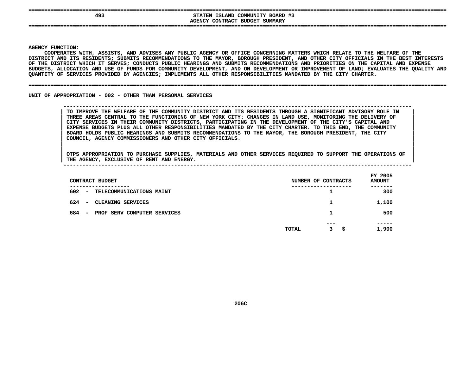|  |  |  | --------- |  |  |
|--|--|--|-----------|--|--|
|  |  |  |           |  |  |
|  |  |  |           |  |  |

## **====================================================================================================================================493**<br>AGENCY CONTRACT BUDGET SUMMARY **STATEN ISLAND COMMUNITY BOARD #3**

**CONTRACT BUDGET SUMMARY ====================================================================================================================================**

#### **AGENCY**

**|**

Y FUNCTION:<br>COOPERATES<br>ICT AND ITS<br>ICT AND ITS **COOPERATES**S WITH, ASSISTS, AND ADVISES ANY PUBLIC AGENCY OR OFFICE CONCERNING MATTERS WHICH RELATE TO THE WELFARE OF THE<br>TS RESIDENTS; SUBMITS RECOMMENDATIONS TO THE MAYOR, BOROUGH PRESIDENT, AND OTHER CITY OFFICIALS IN THE BEST IN<br> **DISTRICT**T AND ITS RESIDENTS; SUBMITS RECOMMENDATIONS TO THE MAYOR, BOROUGH PRESIDENT, AND OTHER CITY OFFICIALS IN THE BEST INTERESTS<br>DISTRICT WHICH IT SERVES; CONDUCTS PUBLIC HEARINGS AND SUBMITS RECOMMENDATIONS AND PRIORITIES ON OF THE DISTRICT WHICH IT SERVES: CONDUCTS PUBLIC HEARINGS AND SUBMITS RECOMMENDATIONS AND PRIORITIES ON THE CAPITAL AND EXPENSE F THE DISTRICT WHICH IT SERVES; CONDUCTS PUBLIC HEARINGS AND SUBMITS RECOMMENDATIONS AND PRIORITIES ON THE CAPITAL AND EXPENSE<br>UDGETS, ALLOCATION AND USE OF FUNDS FOR COMMUNITY DEVELOPMENT, AND ON DEVELOPMENT OR IMPROVEMEN **BUDGETS,**, ALLOCATION AND USE OF FUNDS FOR COMMUNITY DEVELOPMENT, AND ON DEVELOPMENT OR IMPROVEMENT OF LAND; EVALUATES THE QUALITY AND<br>Y OF SERVICES PROVIDED BY AGENCIES; IMPLEMENTS ALL OTHER RESPONSIBILITIES MANDATED BY THE CITY C **QUANTITY**

#### **OF SERVICES PROVIDED BY AGENCIES; IMPLEMENTS ALL OTHER RESPONSIBILITIES MANDATED BY THE CITY CHARTER. ====================================================================================================================================**

UNIT OF APPROPRIATION - 002 - OTHER THAN PERSONAL SERVICES

 **OF APPROPRIATION - <sup>002</sup> - OTHER THAN PERSONAL SERVICES --------------------------------------------------------------------------------------------------------------**TO IMPROVE THE WELFARE OF THE COMMUNITY DISTRICT AND ITS RESIDENTS THROUGH A SIGNIFICANT ADVISORY ROLE IN THREE AREAS CENTRAL TO THE FUNCTIONING OF NEW YORK CITY: CHANGES IN LAND USE, MONITORING THE DELIVERY OF CITY SERVIC TO IMPROVE THE WELFARE OF THE COMMUNITY DISTRICT AND ITS RESIDENTS THROUGH A SIGNIFICANT ADVISORY ROLE IN THREE AREAS CENTRAL TO THE FUNCTIONING OF NEW YORK CITY: CHANGES IN LAND USE, MONITORING THE DELIVERY OF<br>CITY SERVICES IN THEIR COMMUNITY DISTRICTS, PARTICIPATING IN THE DEVELOPMENT OF THE CITY'S CAPITAL AND<br>EXPENSE BUDGET **CITY SERVICES IN THEIR COMMUNITY DISTRICTS, PARTICIPATING IN THE DEVELOPMENT OF THE CITY'S CAPITAL AND <sup>|</sup>** EXPENSE BUDGETS PLUS ALL OTHER RESPONSIBILITIES MANDATED BY THE CITY CHARTER. TO THIS END, THE COMMUNITY<br>BOARD HOLDS PUBLIC HEARINGS AND SUBMITS RECOMMENDATIONS TO THE MAYOR, THE BOROUGH PRESIDENT, THE CITY<br>COUNCIL, AGENCY **BOARD HOLDS PUBLIC HEARINGS AND SUBMITS RECOMMENDATIONS TO THE MAYOR, THE BOROUGH PRESIDENT, THE CITY <sup>|</sup> COUNCIL, AGENCY COMMISSIONERS AND OTHER CITY OFFICIALS. <sup>|</sup>**

| CONTRACT BUDGET                                                | NUMBER OF CONTRACTS     | FY 2005<br><b>AMOUNT</b> |
|----------------------------------------------------------------|-------------------------|--------------------------|
| ------------<br>602<br>TELECOMMUNICATIONS MAINT<br>$\sim$      | ---------------<br>┸    | -----<br>300             |
| 624<br>CLEANING SERVICES<br>$\overline{\phantom{a}}$           | 1                       | 1,100                    |
| 684<br>PROF SERV COMPUTER SERVICES<br>$\overline{\phantom{a}}$ | 1                       | 500                      |
|                                                                | ---<br>3<br>\$<br>TOTAL | -----<br>1,900           |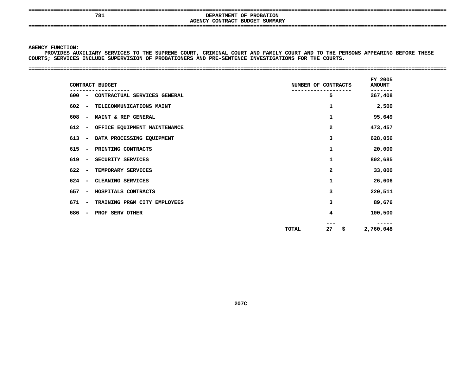**====================================================================================================================================**

## **AGENCY**

 **<sup>781</sup> DEPARTMENT OF PROBATION CONTRACT BUDGET SUMMARY ====================================================================================================================================**

### **AGENCY**

Y FUNCTION:<br>PROVIDES AU<br>S<mark>;</mark> SERVICES **PROVIDES**S AUXILIARY SERVICES TO THE SUPREME COURT, CRIMINAL COURT AND FAMILY COURT AND TO THE PERSONS APPEARING BEFORE THESE<br>ICES INCLUDE SUPERVISION OF PROBATIONERS AND PRE-SENTENCE INVESTIGATIONS FOR THE COURTS.<br>-**COURTS;**

#### **SERVICES INCLUDE SUPERVISION OF PROBATIONERS AND PRE-SENTENCE INVESTIGATIONS FOR THE COURTS. ====================================================================================================================================**

| CONTRACT BUDGET                                                 | NUMBER OF CONTRACTS | FY 2005<br><b>AMOUNT</b> |
|-----------------------------------------------------------------|---------------------|--------------------------|
| CONTRACTUAL SERVICES GENERAL<br>$600 -$                         | 5                   | 267,408                  |
| 602<br>TELECOMMUNICATIONS MAINT<br>$\overline{\phantom{a}}$     | 1                   | 2,500                    |
| 608<br>MAINT & REP GENERAL<br>$\overline{\phantom{a}}$          | 1                   | 95,649                   |
| 612<br>OFFICE EQUIPMENT MAINTENANCE<br>$\overline{\phantom{a}}$ | 2                   | 473,457                  |
| DATA PROCESSING EQUIPMENT<br>613<br>$\overline{\phantom{a}}$    | 3                   | 628,056                  |
| 615<br>PRINTING CONTRACTS<br>$\overline{\phantom{a}}$           | 1                   | 20,000                   |
| 619<br>SECURITY SERVICES                                        | 1                   | 802,685                  |
| TEMPORARY SERVICES<br>622                                       | 2                   | 33,000                   |
| CLEANING SERVICES<br>624                                        | 1                   | 26,606                   |
| 657<br>HOSPITALS CONTRACTS                                      | 3                   | 220,511                  |
| 671<br>TRAINING PRGM CITY EMPLOYEES<br>$\overline{\phantom{a}}$ | 3                   | 89,676                   |
| 686<br>PROF SERV OTHER                                          | 4                   | 100,500                  |
|                                                                 | 27<br>\$<br>TOTAL   | -----<br>2,760,048       |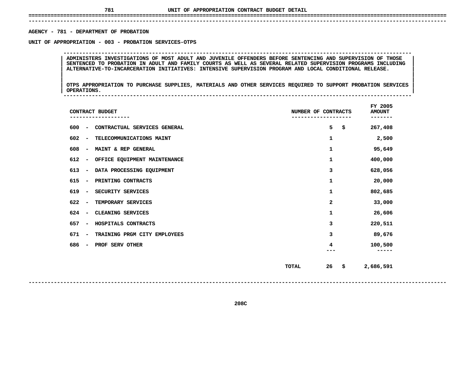# **UNIT OF APPROPRIATION CONTRACT BUDGET DETAIL ====================================================================================================================================**

 **------------------------------------------------------------------------------------------------------------------------------------**AGENCY - 781 - DEPARTMENT OF PROBATION

**- <sup>781</sup> - DEPARTMENT OF PROBATION UNIT**

ADMINISTERS INVESTIGATIONS OF MOST ADULT AND JUVENILE OFFENDERS BEFORE SENTENCING AND SUPERVISION OF THOSE<br>SENTENCED TO PROBATION IN ADULT AND FAMILY COURTS AS WELL AS SEVERAL RELATED SUPERVISION PROGRAMS INCLUDING **ADMINISTERS INVESTIGATIONS OF MOST ADULT AND JUVENILE OFFENDERS BEFORE SENTENCING AND SUPERVISION OF THOSE <sup>|</sup> <sup>|</sup>**SENTENCED TO PROBATION IN ADULT AND FAMILY COURTS AS WELL AS SEVERAL RELATED SUPERVISION PROGRAMS INCLUDING<br>ALTERNATIVE-TO-INCARCERATION INITIATIVES: INTENSIVE SUPERVISION PROGRAM AND LOCAL CONDITIONAL RELEASE.<br>| **ALTERNATIVE-TO-INCARCERATION INITIATIVES: INTENSIVE SUPERVISION PROGRAM AND LOCAL CONDITIONAL RELEASE. <sup>|</sup> <sup>|</sup>**

**OF APPROPRIATION - <sup>003</sup> - PROBATION SERVICES-OTPS --------------------------------------------------------------------------------------------------------------**

|<br>| OTPS\_APPROPRIATION TO PURCHASE SUPPLIES, MATERIALS AND OTHER SERVICES REQUIRED TO SUPPORT PROBATION SERVICES |<br>| OTPS APPROPRIATION TO PURCHASE SUPPLIES, MATERIALS AND OTHER SERVICES REQUIRED TO SUPPORT PROBATION SERVICES<br>| OPERATIONS. **OTPS APPROPRIATION TO PURCHASE SUPPLIES, MATERIALS AND OTHER SERVICES REQUIRED TO SUPPORT PROBATION SERVICES <sup>|</sup> <sup>|</sup>OPERATIONS. <sup>|</sup> --------------------------------------------------------------------------------------------------------------**

| CONTRACT BUDGET                                                  | NUMBER OF CONTRACTS      | FY 2005<br><b>AMOUNT</b><br>----- |  |
|------------------------------------------------------------------|--------------------------|-----------------------------------|--|
| 600<br>CONTRACTUAL SERVICES GENERAL<br>$\qquad \qquad$           | 5<br>\$                  | 267,408                           |  |
| 602<br>TELECOMMUNICATIONS MAINT<br>$\qquad \qquad$               | 1                        | 2,500                             |  |
| 608<br>MAINT & REP GENERAL<br>$\qquad \qquad$                    | 1                        | 95,649                            |  |
| 612<br>OFFICE EQUIPMENT MAINTENANCE<br>$\qquad \qquad$           | 1                        | 400,000                           |  |
| 613<br>DATA PROCESSING EQUIPMENT<br>$\qquad \qquad \blacksquare$ | 3                        | 628,056                           |  |
| 615<br>PRINTING CONTRACTS<br>$\qquad \qquad$                     | 1                        | 20,000                            |  |
| 619<br>SECURITY SERVICES<br>$\qquad \qquad$                      | 1                        | 802,685                           |  |
| 622<br>TEMPORARY SERVICES<br>$\qquad \qquad$                     | 2                        | 33,000                            |  |
| 624<br>CLEANING SERVICES<br>$\qquad \qquad$                      | 1                        | 26,606                            |  |
| 657<br>HOSPITALS CONTRACTS<br>$\qquad \qquad$                    | з                        | 220,511                           |  |
| 671<br>TRAINING PRGM CITY EMPLOYEES<br>$\qquad \qquad$           | з                        | 89,676                            |  |
| 686<br>PROF SERV OTHER<br>$\qquad \qquad$                        | 4                        | 100,500<br>----                   |  |
|                                                                  | 26<br>\$<br><b>TOTAL</b> | 2,686,591                         |  |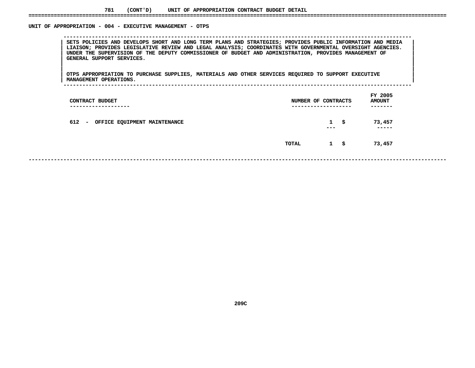#### **781(CONT'D) UNIT OF APPROPRIATION CONTRACT BUDGET DETAIL ====================================================================================================================================**

### UNIT OF APPROPRIATION - 004 - EXECUTIVE MANAGEMENT - OTPS

 **OF APPROPRIATION - <sup>004</sup> - EXECUTIVE MANAGEMENT - OTPS --------------------------------------------------------------------------------------------------------------**SETS POLICIES AND DEVELOPS SHORT AND LONG TERM PLANS AND STRATEGIES; PROVIDES PUBLIC INFORMATION AND MEDIA<br>LIAISON; PROVIDES LEGISLATIVE REVIEW AND LEGAL ANALYSIS; COORDINATES WITH GOVERNMENTAL OVERSIGHT AGENCIES.<br>UNDER TH **LIAISON; PROVIDES LEGISLATIVE REVIEW AND LEGAL ANALYSIS; COORDINATES WITH GOVERNMENTAL OVERSIGHT AGENCIES. <sup>|</sup> <sup>|</sup> UNDER THE SUPERVISION OF THE DEPUTY COMMISSIONER OF BUDGET AND ADMINISTRATION, PROVIDES MANAGEMENT OF <sup>|</sup> <sup>|</sup>GENERAL SUPPORT SERVICES. <sup>|</sup> <sup>|</sup>**

|<br>| OTPS APPROPRIATION TO PURCHASE SUPPLIES, MATERIALS AND OTHER SERVICES REQUIRED TO SUPPORT EXECUTIVE |<br>| OTPS APPROPRIATION TO PURCHASE SUPPLIES, MATERIALS AND OTHER SERVICES REQUIRED TO SUPPORT EXECUTIVE<br>| MANAGEMENT OPERATIONS. **OTPS APPROPRIATION TO PURCHASE SUPPLIES, MATERIALS AND OTHER SERVICES REQUIRED TO SUPPORT EXECUTIVE <sup>|</sup> <sup>|</sup>MANAGEMENT OPERATIONS. <sup>|</sup> --------------------------------------------------------------------------------------------------------------**

| CONTRACT BUDGET<br>-------------------- | NUMBER OF CONTRACTS<br>------------------- |                         |    | FY 2005<br><b>AMOUNT</b><br>------- |
|-----------------------------------------|--------------------------------------------|-------------------------|----|-------------------------------------|
| 612 -<br>OFFICE EQUIPMENT MAINTENANCE   |                                            | $\mathbf{1}$<br>$- - -$ | S. | 73,457<br>------                    |
|                                         | <b>TOTAL</b>                               | $1 \quad$ \$            |    | 73,457                              |
|                                         |                                            |                         |    |                                     |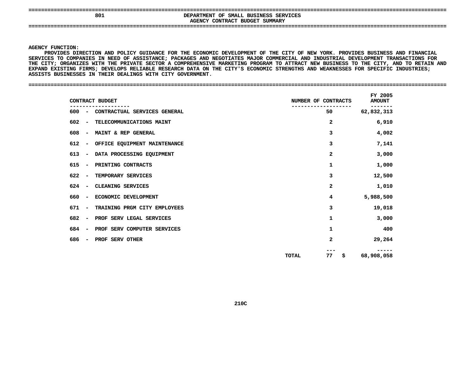| 80. | DEPARTMENT OF SMALL BUSINESS SERVICES<br>AGENCY CONTRACT BUDGET SUMMARY |  |
|-----|-------------------------------------------------------------------------|--|
|     |                                                                         |  |

Y FUNCTION:<br>PROVIDES DI<br>CES TO COME<br>———————————————————— **PROVIDES**S DIRECTION AND POLICY GUIDANCE FOR THE ECONOMIC DEVELOPMENT OF THE CITY OF NEW YORK. PROVIDES BUSINESS AND FINANCIAL<br>COMPANIES IN NEED OF ASSISTANCE; PACKAGES AND NEGOTIATES MAJOR COMMERCIAL AND INDUSTRIAL DEVELOPMENT TRA **SERVICES**S TO COMPANIES IN NEED OF ASSISTANCE; PACKAGES AND NEGOTIATES MAJOR COMMERCIAL AND INDUSTRIAL DEVELOPMENT TRANSACTIONS FOR<br>Y; ORGANIZES WITH THE PRIVATE SECTOR A COMPREHENSIVE MARKETING PROGRAM TO ATTRACT NEW BUSINESS TO T THE CITY: ORGANIZES WITH THE PRIVATE SECTOR **A** E CITY; ORGANIZES WITH THE PRIVATE SECTOR A COMPREHENSIVE MARKETING PROGRAM TO ATTRACT NEW BUSINESS TO THE CITY, AND TO RETAIN AND<br>PAND EXISTING FIRMS; DEVELOPS RELIABLE RESEARCH DATA ON THE CITY'S ECONOMIC STRENGTHS AND W EXPAND EXISTING FIRMS; DEVELOPS RELIABLE RESEARCH DATA ON THE CITY'S ECONOMIC STRENGTHS AND WEAKNESSES FOR SPECIFIC INDUSTRIES;<br>ASSISTS BUSINESSES IN THEIR DEALINGS WITH CITY GOVERNMENT.<br>-**ASSISTS BUSINESSES IN THEIR DEALINGS WITH CITY GOVERNMENT. ====================================================================================================================================**

|                                 | CONTRACT BUDGET                    | NUMBER OF CONTRACTS | FY 2005<br><b>AMOUNT</b> |
|---------------------------------|------------------------------------|---------------------|--------------------------|
|                                 | 600 - CONTRACTUAL SERVICES GENERAL | 50                  | 62,832,313               |
| 602<br>$\sim$                   | TELECOMMUNICATIONS MAINT           | 2                   | 6,910                    |
| 608<br>$\blacksquare$           | MAINT & REP GENERAL                | 3                   | 4,002                    |
| 612<br>$\sim$                   | OFFICE EQUIPMENT MAINTENANCE       | 3                   | 7,141                    |
| 613<br>$\sim$ $-$               | DATA PROCESSING EQUIPMENT          | 2                   | 3,000                    |
| 615<br>$\sim$                   | PRINTING CONTRACTS                 | 1                   | 1,000                    |
| 622<br>$\sim$                   | TEMPORARY SERVICES                 | 3                   | 12,500                   |
| $624 -$                         | CLEANING SERVICES                  | $\mathbf{z}$        | 1,010                    |
| 660<br>$\sim$                   | ECONOMIC DEVELOPMENT               | 4                   | 5,988,500                |
| 671<br>$\overline{\phantom{a}}$ | TRAINING PRGM CITY EMPLOYEES       | 3                   | 19,018                   |
| 682<br>$\overline{\phantom{a}}$ | PROF SERV LEGAL SERVICES           | 1                   | 3,000                    |
| 684<br>$\overline{\phantom{a}}$ | PROF SERV COMPUTER SERVICES        | 1                   | 400                      |
| 686<br>$\overline{\phantom{a}}$ | PROF SERV OTHER                    | 2                   | 29,264                   |
|                                 |                                    | 77<br>\$<br>TOTAL   | 68,908,058               |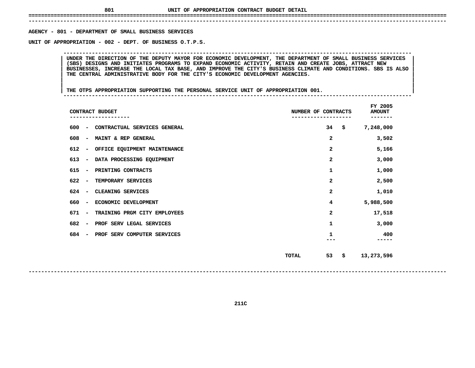# **UNIT OF APPROPRIATION CONTRACT BUDGET DETAIL ====================================================================================================================================**

 **------------------------------------------------------------------------------------------------------------------------------------**AGENCY - 801 - DEPARTMENT OF SMALL BUSINESS SERVICES

**- <sup>801</sup> - DEPARTMENT OF SMALL BUSINESS SERVICES UNIT**

 **OF APPROPRIATION - <sup>002</sup> - DEPT. OF BUSINESS O.T.P.S. --------------------------------------------------------------------------------------------------------------**UNDER THE DIRECTION OF THE DEPUTY MAYOR FOR ECONOMIC DEVELOPMENT, THE DEPARTMENT OF SMALL BUSINESS SERVICES<br>(SBS) DESIGNS AND INITIATES PROGRAMS TO EXPAND ECONOMIC ACTIVITY, RETAIN AND CREATE JOBS, ATTRACT NEW UNDER THE DIRECTION OF THE DEPUTY MAYOR FOR ECONOMIC DEVELOPMENT, THE DEPARTMENT OF SMALL BUSINESS SERVICES (SBS) DESIGNS AND INITIATES PROGRAMS TO EXPAND ECONOMIC ACTIVITY, RETAIN AND CREATE JOBS, ATTRACT NEW BUSINESSES, **(SBS) DESIGNS AND INITIATES PROGRAMS TO EXPAND ECONOMIC ACTIVITY, RETAIN AND CREATE JOBS, ATTRACT NEW <sup>|</sup> <sup>|</sup>**BUSINESSES, INCREASE THE LOCAL TAX BASE, AND IMPROVE THE CITY'S BUSINESS CLIMATE AND CONDITIONS. SBS IS ALSO<br>THE CENTRAL ADMINISTRATIVE BODY FOR THE CITY'S ECONOMIC DEVELOPMENT AGENCIES.<br>| **THE CENTRAL ADMINISTRATIVE BODY FOR THE CITY'S ECONOMIC DEVELOPMENT AGENCIES. <sup>|</sup> <sup>|</sup>**

|<br>| THE OTPS APPROPRIATION SUPPORTING THE PERSONAL SERVICE UNIT OF APPROPRIATION 001. **<sup>|</sup> <sup>|</sup>THE OTPS APPROPRIATION SUPPORTING THE PERSONAL SERVICE UNIT OF APPROPRIATION 001. <sup>|</sup> --------------------------------------------------------------------------------------------------------------**

| CONTRACT BUDGET                                                 | NUMBER OF CONTRACTS     |      | FY 2005<br><b>AMOUNT</b><br>------- |
|-----------------------------------------------------------------|-------------------------|------|-------------------------------------|
| 600<br>CONTRACTUAL SERVICES GENERAL<br>$\overline{\phantom{m}}$ | 34                      | - \$ | 7,248,000                           |
| 608<br>MAINT & REP GENERAL<br>$\overline{\phantom{a}}$          | 2                       |      | 3,502                               |
| 612<br>OFFICE EQUIPMENT MAINTENANCE<br>$\overline{\phantom{m}}$ | 2                       |      | 5,166                               |
| 613<br>DATA PROCESSING EQUIPMENT<br>$\overline{\phantom{a}}$    | $\overline{\mathbf{2}}$ |      | 3,000                               |
| 615<br>PRINTING CONTRACTS<br>$\overline{\phantom{a}}$           | 1                       |      | 1,000                               |
| 622<br>TEMPORARY SERVICES<br>$\overline{\phantom{a}}$           | 2                       |      | 2,500                               |
| 624<br>CLEANING SERVICES<br>$\overline{\phantom{a}}$            | 2                       |      | 1,010                               |
| 660<br>ECONOMIC DEVELOPMENT<br>$\overline{\phantom{a}}$         | 4                       |      | 5,988,500                           |
| 671<br>TRAINING PRGM CITY EMPLOYEES<br>$\overline{\phantom{a}}$ | 2                       |      | 17,518                              |
| 682<br>PROF SERV LEGAL SERVICES<br>$\overline{\phantom{a}}$     | 1                       |      | 3,000                               |
| 684<br>PROF SERV COMPUTER SERVICES                              | 1                       |      | 400                                 |
|                                                                 | 53<br>TOTAL             | \$   | 13,273,596                          |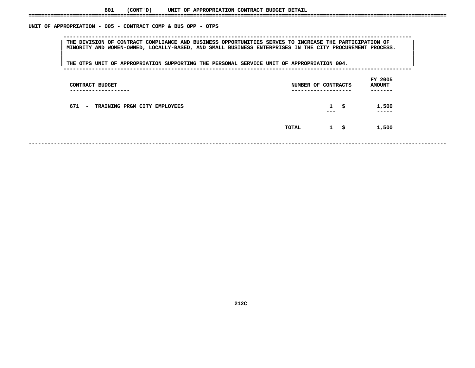### UNIT OF APPROPRIATION - 005 - CONTRACT COMP & BUS OPP - OTPS

 **OF APPROPRIATION - <sup>005</sup> - CONTRACT COMP & BUS OPP - OTPS --------------------------------------------------------------------------------------------------------------**THE DIVISION OF CONTRACT COMPLIANCE AND BUSINESS OPPORTUNITIES SERVES TO INCREASE THE PARTICIPATION OF THE MAR<br>MINORITY AND WOMEN-OWNED, LOCALLY-BASED, AND SMALL BUSINESS ENTERPRISES IN THE CITY PROCUREMENT PROCESS.<br>| **MINORITY AND WOMEN-OWNED, LOCALLY-BASED, AND SMALL BUSINESS ENTERPRISES IN THE CITY PROCUREMENT PROCESS. <sup>|</sup> <sup>|</sup>**

|<br>| THE OTPS UNIT OF APPROPRIATION SUPPORTING THE PERSONAL SERVICE UNIT OF APPROPRIATION 004. **<sup>|</sup> <sup>|</sup>THE OTPS UNIT OF APPROPRIATION SUPPORTING THE PERSONAL SERVICE UNIT OF APPROPRIATION 004. <sup>|</sup> --------------------------------------------------------------------------------------------------------------**

| CONTRACT BUDGET<br>--------------                       | NUMBER OF CONTRACTS | ---------------         |      | FY 2005<br><b>AMOUNT</b><br>----- |
|---------------------------------------------------------|---------------------|-------------------------|------|-----------------------------------|
| 671<br>TRAINING PRGM CITY EMPLOYEES<br>$\sim$ 100 $\mu$ |                     | $\mathbf{1}$<br>$- - -$ | -\$  | 1,500<br>-----                    |
|                                                         | TOTAL               | $\mathbf{1}$            | - \$ | 1,500                             |
|                                                         |                     |                         |      |                                   |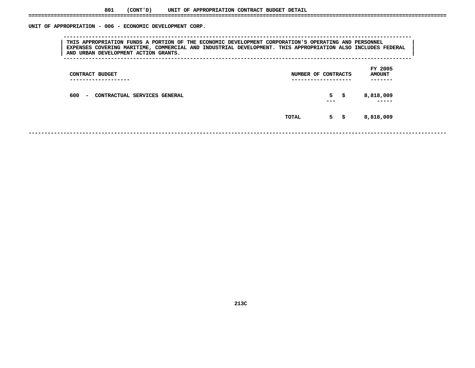| THIS APPROPRIATION FUNDS A PORTION OF THE ECONOMIC DEVELOPMENT CORPORATION'S OPERATING AND PERSONNEL<br>EXPENSES COVERING MARITIME, COMMERCIAL AND INDUSTRIAL DEVELOPMENT. THIS APPROPRIATION ALSO INCLUDES FEDERAL<br>AND URBAN DEVELOPMENT ACTION GRANTS. |                                                 |  |
|-------------------------------------------------------------------------------------------------------------------------------------------------------------------------------------------------------------------------------------------------------------|-------------------------------------------------|--|
| CONTRACT BUDGET                                                                                                                                                                                                                                             | FY 2005<br><b>AMOUNT</b><br>NUMBER OF CONTRACTS |  |
| 600 -<br>CONTRACTUAL SERVICES GENERAL<br>$\sim$                                                                                                                                                                                                             | $5 \quad$<br>8,818,009                          |  |
|                                                                                                                                                                                                                                                             | 8,818,009<br>$5 \frac{1}{2}$<br>TOTAL           |  |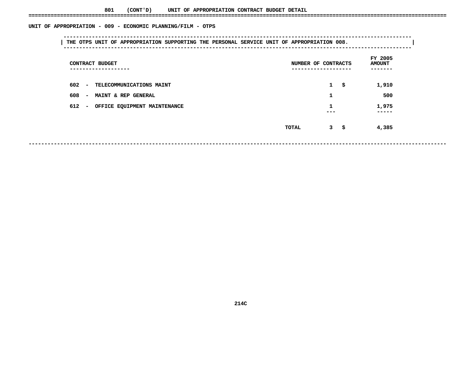|                                     |                                       | FY 2005       |
|-------------------------------------|---------------------------------------|---------------|
| CONTRACT BUDGET                     | NUMBER OF CONTRACTS                   | <b>AMOUNT</b> |
| . _ _ _ _ _ _ _ _ _ _ _ _ _ _ _ _ _ | . _ _ _ _ _ _ _ _ _ _ _ _ _ _ _ _ _ _ |               |
| 602 - TELECOMMUNICATIONS MAINT      | $1 \quad$                             | 1,910         |
| 608 - MAINT & REP GENERAL           | 1                                     | 500           |
| 612 - OFFICE EQUIPMENT MAINTENANCE  |                                       | 1,975         |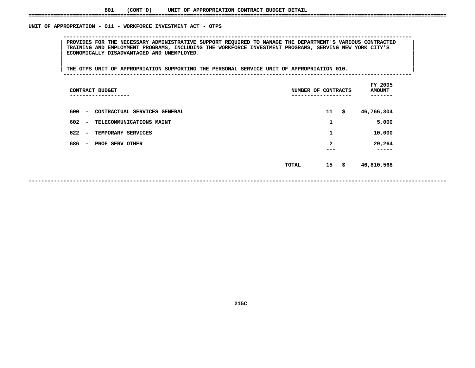### UNIT OF APPROPRIATION - 011 - WORKFORCE INVESTMENT ACT - OTPS

 **OF APPROPRIATION - <sup>011</sup> - WORKFORCE INVESTMENT ACT - OTPS -------------------------------------------------------------------------------------------------------------- <sup>|</sup> PROVIDES FOR THE NECESSARY ADMINISTRATIVE SUPPORT REQUIRED TO MANAGE THE DEPARTMENT'S VARIOUS CONTRACTED <sup>|</sup> <sup>|</sup> TRAINING AND EMPLOYMENT PROGRAMS, INCLUDING THE WORKFORCE INVESTMENT PROGRAMS, SERVING NEW YORK CITY'S <sup>|</sup> <sup>|</sup>ECONOMICALLY DISADVANTAGED AND UNEMPLOYED. <sup>|</sup> <sup>|</sup>**

|<br>| THE OTPS UNIT OF APPROPRIATION SUPPORTING THE PERSONAL SERVICE UNIT OF APPROPRIATION 010. **<sup>|</sup> <sup>|</sup>THE OTPS UNIT OF APPROPRIATION SUPPORTING THE PERSONAL SERVICE UNIT OF APPROPRIATION 010. <sup>|</sup> --------------------------------------------------------------------------------------------------------------**

| CONTRACT BUDGET<br>-------                                      | NUMBER OF CONTRACTS |                     | FY 2005<br><b>AMOUNT</b> |
|-----------------------------------------------------------------|---------------------|---------------------|--------------------------|
| 600<br>CONTRACTUAL SERVICES GENERAL<br>$\overline{\phantom{a}}$ |                     | 11                  | \$<br>46,766,304         |
| 602<br>TELECOMMUNICATIONS MAINT<br>$\overline{\phantom{a}}$     |                     | 1                   | 5,000                    |
| 622<br>TEMPORARY SERVICES<br>$\overline{\phantom{a}}$           |                     | 1                   | 10,000                   |
| 686<br>PROF SERV OTHER<br>$\overline{\phantom{a}}$              |                     | $\mathbf{2}$<br>--- | 29,264<br>-----          |
|                                                                 | TOTAL               | 15                  | \$<br>46,810,568         |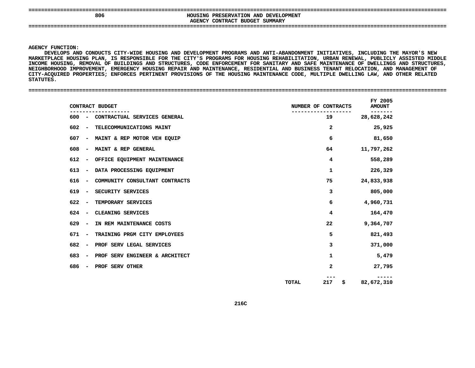**====================================================================================================================================806**<br>AGENCY CONTRACT BUDGET SUMMARY **HOUSING PRESERVATION AND DEVELOPMENT CONTRACT BUDGET SUMMARY ====================================================================================================================================**

**AGENCY**

Y FUNCTION:<br>DEVELOPS AN<br>TPLACE HOUS<br>TPLACE HOUS **DEVELOPS AND CONDUCTS CITY-WIDE HOUSING AND DEVELOPMENT PROGRAMS AND ANTI-ABANDONMENT INITIATIVES, INCLUDING THE MAYOR'S NEW MARKETPLACE**E HOUSING PLAN, IS RESPONSIBLE FOR THE CITY'S PROGRAMS FOR HOUSING REHABILITATION, URBAN RENEWAL, PUBLICLY ASSISTED MIDDLE<br>SING, REMOVAL OF BUILDINGS AND STRUCTURES, CODE ENFORCEMENT FOR SANITARY AND SAFE MAINTENANCE OF DW **INCOME**E HOUSING, REMOVAL OF BUILDINGS AND STRUCTURES, CODE ENFORCEMENT FOR SANITARY AND SAFE MAINTENANCE OF DWELLINGS AND STRUCTURES,<br>BORHOOD IMPROVEMENT, EMERGENCY HOUSING REPAIR AND MAINTENANCE, RESIDENTIAL AND BUSINESS TENANT **NEIGHBORHOOD IMPROVEMENT, EMERGENCY HOUSING REPAIR AND MAINTENANCE, RESIDENTIAL AND BUSINESS TENANT RELOCATION, AND MANAGEMENT OF** CITY-ACQUIRED PROPERTIES; ENFORCES PERTINENT PROVISIONS OF THE HOUSING MAINTENANCE CODE, MULTIPLE DWELLING LAW, AND OTHER RELATED<br>STATUTES.<br>. **STATUTES.**

**====================================================================================================================================**

| CONTRACT BUDGET                       | NUMBER OF CONTRACTS | FY 2005<br><b>AMOUNT</b> |
|---------------------------------------|---------------------|--------------------------|
| 600 - CONTRACTUAL SERVICES GENERAL    | 19                  | 28,628,242               |
| 602 - TELECOMMUNICATIONS MAINT        | $\mathbf{2}$        | 25,925                   |
| 607 - MAINT & REP MOTOR VEH EQUIP     | 6                   | 81,650                   |
| 608 - MAINT & REP GENERAL             | 64                  | 11,797,262               |
| 612 - OFFICE EQUIPMENT MAINTENANCE    | 4                   | 558,289                  |
| 613 - DATA PROCESSING EQUIPMENT       | $\mathbf{1}$        | 226,329                  |
| 616 - COMMUNITY CONSULTANT CONTRACTS  | 75                  | 24,833,938               |
| 619 - SECURITY SERVICES               | 3                   | 805,000                  |
| 622 - TEMPORARY SERVICES              | 6                   | 4,960,731                |
| 624 - CLEANING SERVICES               | 4                   | 164,470                  |
| IN REM MAINTENANCE COSTS<br>629 –     | 22                  | 9,364,707                |
| TRAINING PRGM CITY EMPLOYEES<br>671 - | 5                   | 821,493                  |
| 682 - PROF SERV LEGAL SERVICES        | 3                   | 371,000                  |
| 683 - PROF SERV ENGINEER & ARCHITECT  | 1                   | 5,479                    |
| - PROF SERV OTHER<br>686              | 2                   | 27,795                   |
|                                       | 217<br>TOTAL<br>\$  | 82,672,310               |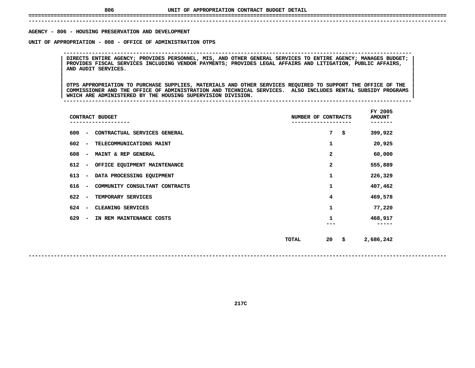# **UNIT OF APPROPRIATION CONTRACT BUDGET DETAIL ====================================================================================================================================**

 **------------------------------------------------------------------------------------------------------------------------------------**AGENCY - 806 - HOUSING PRESERVATION AND DEVELOPMENT

**- <sup>806</sup> - HOUSING PRESERVATION AND DEVELOPMENT UNIT**

 **OF APPROPRIATION - <sup>008</sup> - OFFICE OF ADMINISTRATION OTPS --------------------------------------------------------------------------------------------------------------**DIRECTS ENTIRE AGENCY; PROVIDES PERSONNEL, MIS, AND OTHER GENERAL SERVICES TO ENTIRE AGENCY; MANAGES BUDGET;<br>PROVIDES FISCAL SERVICES INCLUDING VENDOR PAYMENTS; PROVIDES LEGAL AFFAIRS AND LITIGATION, PUBLIC AFFAIRS,<br>AND AU **PROVIDES FISCAL SERVICES INCLUDING VENDOR PAYMENTS; PROVIDES LEGAL AFFAIRS AND LITIGATION, PUBLIC AFFAIRS, <sup>|</sup> <sup>|</sup>AND AUDIT SERVICES. <sup>|</sup> <sup>|</sup>**

 **<sup>|</sup> <sup>|</sup>**|<br>| OTPS APPROPRIATION TO PURCHASE SUPPLIES, MATERIALS AND OTHER SERVICES REQUIRED TO SUPPORT THE OFFICE OF THE<br>| COMMISSIONER AND THE OFFICE OF ADMINISTRATION AND TECHNICAL SERVICES. ALSO INCLUDES RENTAL SUBSIDY PROGRAMS OTPS APPROPRIATION TO PURCHASE SUPPLIES, MATERIALS AND OTHER SERVICES REQUIRED TO SUPPORT THE OFFICE OF THE COMMISSIONER AND THE OFFICE OF ADMINISTRATION AND TECHNICAL SERVICES. ALSO INCLUDES RENTAL SUBSIDY PROGRAMS<br>WHICH **COMMISSIONER AND THE OFFICE OF ADMINISTRATION AND TECHNICAL SERVICES. ALSO INCLUDES RENTAL SUBSIDY PROGRAMS <sup>|</sup> <sup>|</sup>WHICH ARE ADMINISTERED BY THE HOUSING SUPERVISION DIVISION. <sup>|</sup> --------------------------------------------------------------------------------------------------------------**

|                                 | CONTRACT BUDGET                | NUMBER OF CONTRACTS |    | FY 2005<br><b>AMOUNT</b> |
|---------------------------------|--------------------------------|---------------------|----|--------------------------|
| 600<br>$\overline{\phantom{a}}$ | CONTRACTUAL SERVICES GENERAL   |                     | 7  | \$<br>399,922            |
| 602<br>$\overline{\phantom{a}}$ | TELECOMMUNICATIONS MAINT       |                     | 1  | 20,925                   |
| 608<br>$\overline{\phantom{a}}$ | MAINT & REP GENERAL            |                     | 2  | 60,000                   |
| 612<br>$\overline{\phantom{a}}$ | OFFICE EQUIPMENT MAINTENANCE   |                     | 2  | 555,889                  |
| 613<br>$\overline{\phantom{a}}$ | DATA PROCESSING EQUIPMENT      |                     | 1  | 226,329                  |
| 616<br>$\overline{\phantom{a}}$ | COMMUNITY CONSULTANT CONTRACTS |                     | 1  | 407,462                  |
| 622<br>$\overline{\phantom{a}}$ | TEMPORARY SERVICES             |                     | 4  | 469,578                  |
| 624<br>$\overline{\phantom{a}}$ | CLEANING SERVICES              |                     | 1  | 77,220                   |
| 629<br>$\overline{\phantom{a}}$ | IN REM MAINTENANCE COSTS       |                     | 1  | 468,917                  |
|                                 |                                | TOTAL               | 20 | \$<br>2,686,242          |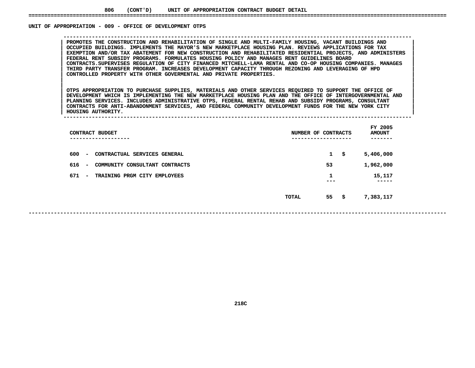### UNIT OF APPROPRIATION - 009 - OFFICE OF DEVELOPMENT OTPS

PROMOTES THE CONSTRUCTION AND REHABILITATION OF SINGLE AND MULTI-FAMILY HOUSING, VACANT BUILDINGS AND<br>OCCUPIED BUILDINGS. IMPLEMENTS THE MAYOR'S NEW MARKETPLACE HOUSING PLAN. REVIEWS APPLICATIONS FOR TAX **PROMOTES THE CONSTRUCTION AND REHABILITATION OF SINGLE AND MULTI-FAMILY HOUSING, VACANT BUILDINGS AND <sup>|</sup> <sup>|</sup> OCCUPIED BUILDINGS. IMPLEMENTS THE MAYOR'S NEW MARKETPLACE HOUSING PLAN. REVIEWS APPLICATIONS FOR TAX <sup>|</sup> <sup>|</sup> EXEMPTION AND/OR TAX ABATEMENT FOR NEW CONSTRUCTION AND REHABILITATED RESIDENTIAL PROJECTS, AND ADMINISTERS <sup>|</sup> <sup>|</sup> FEDERAL RENT SUBSIDY PROGRAMS. FORMULATES HOUSING POLICY AND MANAGES RENT GUIDELINES BOARD <sup>|</sup> <sup>|</sup> CONTRACTS.SUPERVISES REGULATION OF CITY FINANCED MITCHELL-LAMA RENTAL AND CO-OP HOUSING COMPANIES. MANAGES <sup>|</sup> <sup>|</sup> THIRD PARTY TRANSFER PROGRAM. INCREASES DEVELOPMENT CAPACITY THROUGH REZONING AND LEVERAGING OF HPD <sup>|</sup> <sup>|</sup>CONTROLLED PROPERTY WITH OTHER GOVERMENTAL AND PRIVATE PROPERTIES. <sup>|</sup> <sup>|</sup>**

**OF APPROPRIATION - <sup>009</sup> - OFFICE OF DEVELOPMENT OTPS --------------------------------------------------------------------------------------------------------------**

 **<sup>|</sup> <sup>|</sup>**|<br>| OTPS APPROPRIATION TO PURCHASE SUPPLIES, MATERIALS AND OTHER SERVICES REQUIRED TO SUPPORT THE OFFICE OF<br>| DEVELOPMENT WHICH IS IMPLEMENTING THE NEW MARKETPLACE HOUSING PLAN AND THE OFFICE OF INTERGOVERNMENTAL AND OTPS APPROPRIATION TO PURCHASE SUPPLIES, MATERIALS AND OTHER SERVICES REQUIRED TO SUPPORT THE OFFICE OF DEVELOPMENT WHICH IS IMPLEMENTING THE NEW MARKETPLACE HOUSING PLAN AND THE OFFICE OF INTERGOVERNMENTAL AND<br>PLANNING SE DEVELOPMENT WHICH IS IMPLEMENTING THE NEW MARKETPLACE HOUSING PLAN AND THE OFFICE OF INTERGOVERNMENTAL AND<br>PLANNING SERVICES. INCLUDES ADMINISTRATIVE OTPS, FEDERAL RENTAL REHAB AND SUBSIDY PROGRAMS, CONSULTANT<br>CONTRACTS FO **PLANNING SERVICES. INCLUDES ADMINISTRATIVE OTPS, FEDERAL RENTAL REHAB AND SUBSIDY PROGRAMS, CONSULTANT <sup>|</sup> <sup>|</sup>CONTRACTS FOR ANTI-ABANDONMENT SERVICES, AND FEDERAL COMMUNITY DEVELOPMENT FUNDS FOR THE NEW YORK CITY <sup>|</sup> <sup>|</sup>**

**HOUSING AUTHORITY. <sup>|</sup> --------------------------------------------------------------------------------------------------------------**

| CONTRACT BUDGET<br>----------                                        | NUMBER OF CONTRACTS<br>-------- | FY 2005<br><b>AMOUNT</b> |
|----------------------------------------------------------------------|---------------------------------|--------------------------|
| 600<br>CONTRACTUAL SERVICES GENERAL<br>$\overline{\phantom{a}}$      | $\mathbf{1}$                    | \$<br>5,406,000          |
| 616<br>CONSULTANT CONTRACTS<br>COMMUNITY<br>$\overline{\phantom{a}}$ | 53                              | 1,962,000                |
| 671<br>TRAINING PRGM CITY EMPLOYEES<br>$\overline{\phantom{a}}$      | 1<br>---                        | 15,117<br>-----          |
|                                                                      | 55<br>TOTAL                     | \$<br>7,383,117          |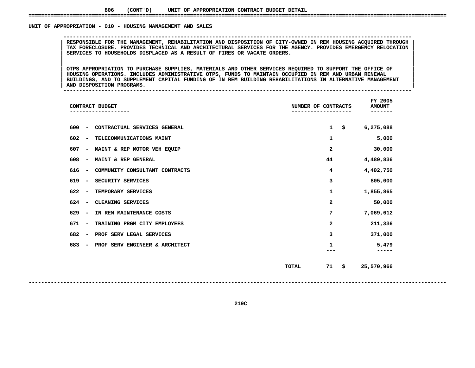### UNIT OF APPROPRIATION - 010 - HOUSING MANAGEMENT AND SALES

 **OF APPROPRIATION - <sup>010</sup> - HOUSING MANAGEMENT AND SALES --------------------------------------------------------------------------------------------------------------**RESPONSIBLE FOR THE MANAGEMENT, REHABILITATION AND DISPOSITION OF CITY-OWNED IN REM HOUSING ACQUIRED THROUGH |<br>| TAX FORECLOSURE. PROVIDES TECHNICAL AND ARCHITECTURAL SERVICES FOR THE AGENCY. PROVIDES EMERGENCY RELOCATION<br> **TAX FORECLOSURE. PROVIDES TECHNICAL AND ARCHITECTURAL SERVICES FOR THE AGENCY. PROVIDES EMERGENCY RELOCATION <sup>|</sup> <sup>|</sup>SERVICES TO HOUSEHOLDS DISPLACED AS <sup>A</sup> RESULT OF FIRES OR VACATE ORDERS. <sup>|</sup> <sup>|</sup>**

 **<sup>|</sup> <sup>|</sup>**OTPS APPROPRIATION TO PURCHASE SUPPLIES, MATERIALS AND OTHER SERVICES REQUIRED TO SUPPORT THE OFFICE OF HOUSING OPERATIONS. INCLUDES ADMINISTRATIVE OTPS, FUNDS TO MAINTAIN OCCUPIED IN REM AND URBAN RENEWAL OTPS APPROPRIATION TO PURCHASE SUPPLIES, MATERIALS AND OTHER SERVICES REQUIRED TO SUPPORT THE OFFICE OF HOUSING OPERATIONS. INCLUDES ADMINISTRATIVE OTPS, FUNDS TO MAINTAIN OCCUPIED IN REM AND URBAN RENEWAL<br>BUILDINGS, AND T **HOUSING OPERATIONS. INCLUDES ADMINISTRATIVE OTPS, FUNDS TO MAINTAIN OCCUPIED IN REM AND URBAN RENEWAL <sup>|</sup> <sup>|</sup>BUILDINGS, AND TO SUPPLEMENT CAPITAL FUNDING OF IN REM BUILDING REHABILITATIONS IN ALTERNATIVE MANAGEMENT <sup>|</sup> <sup>|</sup>**

**AND DISPOSITION PROGRAMS. <sup>|</sup> --------------------------------------------------------------------------------------------------------------**

| CONTRACT BUDGET                                                    | NUMBER OF CONTRACTS | FY 2005<br><b>AMOUNT</b> |
|--------------------------------------------------------------------|---------------------|--------------------------|
| 600<br>CONTRACTUAL SERVICES GENERAL<br>$\overline{\phantom{a}}$    | 1                   | \$<br>6,275,088          |
| 602<br>TELECOMMUNICATIONS MAINT<br>$\overline{\phantom{a}}$        | 1                   | 5,000                    |
| 607<br>MAINT & REP MOTOR VEH EQUIP<br>$\qquad \qquad \blacksquare$ | 2                   | 30,000                   |
| 608<br>MAINT & REP GENERAL<br>$\overline{\phantom{a}}$             | 44                  | 4,489,836                |
| 616<br>COMMUNITY CONSULTANT CONTRACTS<br>$\overline{\phantom{a}}$  | 4                   | 4,402,750                |
| 619<br>SECURITY SERVICES<br>$\overline{\phantom{a}}$               | 3                   | 805,000                  |
| 622<br>TEMPORARY SERVICES<br>$\overline{\phantom{a}}$              | 1                   | 1,855,865                |
| 624<br>CLEANING SERVICES<br>$\overline{\phantom{a}}$               | 2                   | 50,000                   |
| 629<br>IN REM MAINTENANCE COSTS<br>$\qquad \qquad \blacksquare$    | 7                   | 7,069,612                |
| 671<br>TRAINING PRGM CITY EMPLOYEES<br>$\overline{\phantom{a}}$    | 2                   | 211,336                  |
| 682<br>PROF SERV LEGAL SERVICES<br>$\overline{\phantom{a}}$        | 3                   | 371,000                  |
| 683<br>PROF SERV ENGINEER & ARCHITECT<br>-                         | 1                   | 5,479                    |
|                                                                    | 71<br><b>TOTAL</b>  | \$<br>25,570,966         |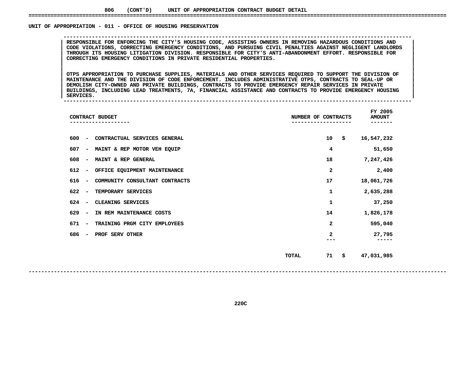### UNIT OF APPROPRIATION - 011 - OFFICE OF HOUSING PRESERVATION

RESPONSIBLE FOR ENFORCING THE CITY'S HOUSING CODE, ASSISTING OWNERS IN REMOVING HAZARDOUS CONDITIONS AND<br>CODE VIOLATIONS, CORRECTING EMERGENCY CONDITIONS, AND PURSUING CIVIL PENALTIES AGAINST NEGLIGENT LANDLORDS **RESPONSIBLE FOR ENFORCING THE CITY'S HOUSING CODE, ASSISTING OWNERS IN REMOVING HAZARDOUS CONDITIONS AND <sup>|</sup> <sup>|</sup> CODE VIOLATIONS, CORRECTING EMERGENCY CONDITIONS, AND PURSUING CIVIL PENALTIES AGAINST NEGLIGENT LANDLORDS <sup>|</sup> <sup>|</sup> THROUGH ITS HOUSING LITIGATION DIVISION. RESPONSIBLE FOR CITY'S ANTI-ABANDONMENT EFFORT. RESPONSIBLE FOR <sup>|</sup> <sup>|</sup>CORRECTING EMERGENCY CONDITIONS IN PRIVATE RESIDENTIAL PROPERTIES. <sup>|</sup> <sup>|</sup>**

**OF APPROPRIATION - <sup>011</sup> - OFFICE OF HOUSING PRESERVATION --------------------------------------------------------------------------------------------------------------**

 **<sup>|</sup> <sup>|</sup>**OTPS APPROPRIATION TO PURCHASE SUPPLIES, MATERIALS AND OTHER SERVICES REQUIRED TO SUPPORT THE DIVISION OF CODE ENFORCEMENT. INCLUDES ADMINISTRATIVE OTPS, CONTRACTS TO SEAL-UP OR MAINTENANCE AND THE DIVISION OF CODE ENFORCEMENT. INCLUDES ADMINISTRATIVE OTPS, CONTRACTS TO SEAL-UP OR<br>DEMOLISH CITY-OWNED AND PRIVATE BUILDINGS, CONTRACTS TO PROVIDE EMERGENCY REPAIR SERVICES IN PRIVATE **MAINTENANCE AND THE DIVISION OF CODE ENFORCEMENT. INCLUDES ADMINISTRATIVE OTPS, CONTRACTS TO SEAL-UP OR <sup>|</sup> <sup>|</sup> DEMOLISH CITY-OWNED AND PRIVATE BUILDINGS, CONTRACTS TO PROVIDE EMERGENCY REPAIR SERVICES IN PRIVATE <sup>|</sup> <sup>|</sup> BUILDINGS, INCLUDING LEAD TREATMENTS, 7A, FINANCIAL ASSISTANCE AND CONTRACTS TO PROVIDE EMERGENCY HOUSING <sup>|</sup> <sup>|</sup>SERVICES. <sup>|</sup> --------------------------------------------------------------------------------------------------------------**

| CONTRACT BUDGET                                                   | NUMBER OF CONTRACTS     | FY 2005<br><b>AMOUNT</b><br>----- |
|-------------------------------------------------------------------|-------------------------|-----------------------------------|
| CONTRACTUAL SERVICES GENERAL<br>600<br>$\sim$                     | 10<br>\$                | 16,547,232                        |
| 607<br>MAINT & REP MOTOR VEH EQUIP<br>$\sim$                      | 4                       | 51,650                            |
| 608<br>MAINT & REP GENERAL<br>$\overline{\phantom{a}}$            | 18                      | 7,247,426                         |
| 612<br>OFFICE EQUIPMENT MAINTENANCE<br>$\overline{\phantom{a}}$   | 2                       | 2,400                             |
| 616<br>COMMUNITY CONSULTANT CONTRACTS<br>$\overline{\phantom{a}}$ | 17                      | 18,061,726                        |
| 622<br>TEMPORARY SERVICES<br>$\overline{\phantom{a}}$             | 1                       | 2,635,288                         |
| 624<br>CLEANING SERVICES<br>$\overline{\phantom{a}}$              | 1                       | 37,250                            |
| 629<br>IN REM MAINTENANCE COSTS<br>$\overline{\phantom{a}}$       | 14                      | 1,826,178                         |
| 671<br>TRAINING PRGM CITY EMPLOYEES<br>$\overline{\phantom{a}}$   | $\overline{\mathbf{2}}$ | 595,040                           |
| PROF SERV OTHER<br>686<br>$\overline{\phantom{m}}$                | 2                       | 27,795                            |
|                                                                   | 71<br>\$<br>TOTAL       | 47,031,985                        |

**220C**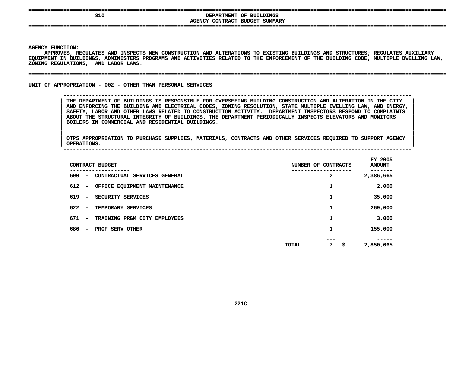| ----<br>================================  | -----------------------------------                       |
|-------------------------------------------|-----------------------------------------------------------|
| 810<br>----<br>-------------------------- | DEPARTMENT OF BUILDINGS<br>AGENCY CONTRACT BUDGET SUMMARY |
| ----                                      |                                                           |

**AGENCY**

Y FUNCTION:<br>APPROVES, F<br>MENT IN BU<mark>I</mark> **APPROVES, REGULATES AND INSPECTS NEW CONSTRUCTION AND ALTERATIONS TO EXISTING BUILDINGS AND STRUCTURES; REGULATES AUXILIARY EQUIPMENT IN BUILDINGS, ADMINISTERS PROGRAMS AND ACTIVITIES RELATED TO THE ENFORCEMENT OF THE BUILDING CODE, MULTIPLE DWELLING LAW,** ZONING REGULATIONS, AND LABOR LAWS.

### **REGULATIONS, AND LABOR LAWS. ====================================================================================================================================**

UNIT OF APPROPRIATION - 002 - OTHER THAN PERSONAL SERVICES

**OF APPROPRIATION - <sup>002</sup> - OTHER THAN PERSONAL SERVICES --------------------------------------------------------------------------------------------------------------**

 **THE DEPARTMENT OF BUILDINGS IS RESPONSIBLE FOR OVERSEEING BUILDING CONSTRUCTION AND ALTERATION IN THE CITY <sup>|</sup> AND ENFORCING THE BUILDING AND ELECTRICAL CODES, ZONING RESOLUTION, STATE MULTIPLE DWELLING LAW, AND ENERGY, <sup>|</sup> SAFETY, LABOR AND OTHER LAWS RELATED TO CONSTRUCTION ACTIVITY. DEPARTMENT INSPECTORS RESPOND TO COMPLAINTS <sup>|</sup> ABOUT THE STRUCTURAL INTEGRITY OF BUILDINGS. THE DEPARTMENT PERIODICALLY INSPECTS ELEVATORS AND MONITORS <sup>|</sup> BOILERS IN COMMERCIAL AND RESIDENTIAL BUILDINGS. <sup>|</sup>**

|<br>| OTPS\_APPROPRIATION TO PURCHASE SUPPLIES, MATERIALS, CONTRACTS AND OTHER SERVICES REQUIRED TO SUPPORT AGENCY |<br>| OTPS APPROPRIATION TO PURCHASE SUPPLIES, MATERIALS, CONTRACTS AND OTHER SERVICES REQUIRED TO SUPPORT AGENCY<br>| OPERATIONS. **OTPS APPROPRIATION TO PURCHASE SUPPLIES, MATERIALS, CONTRACTS AND OTHER SERVICES REQUIRED TO SUPPORT AGENCY <sup>|</sup> OPERATIONS. <sup>|</sup> --------------------------------------------------------------------------------------------------------------**

|     |                          | CONTRACT BUDGET              | NUMBER OF CONTRACTS     | FY 2005<br><b>AMOUNT</b> |
|-----|--------------------------|------------------------------|-------------------------|--------------------------|
| 600 | $\overline{\phantom{a}}$ | CONTRACTUAL SERVICES GENERAL | 2                       | 2,386,665                |
| 612 | $\overline{\phantom{a}}$ | OFFICE EQUIPMENT MAINTENANCE | 1                       | 2,000                    |
| 619 | $\overline{\phantom{a}}$ | SECURITY SERVICES            | 1                       | 35,000                   |
| 622 | $\overline{\phantom{a}}$ | TEMPORARY SERVICES           | 1                       | 269,000                  |
| 671 | $\overline{\phantom{a}}$ | TRAINING PRGM CITY EMPLOYEES | 1                       | 3,000                    |
| 686 | $\overline{\phantom{a}}$ | PROF SERV OTHER              | 1                       | 155,000                  |
|     |                          |                              | ---<br>7<br>\$<br>TOTAL | 2,850,665                |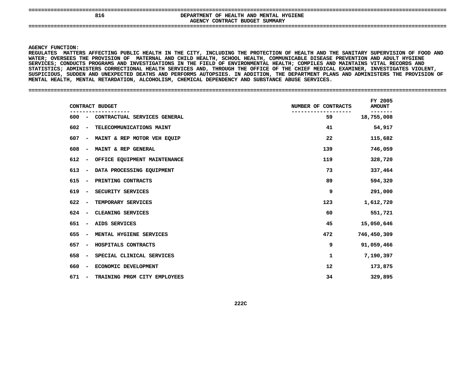| 816 | DEPARTMENT OF HEALTH AND MENTAL HYGIENE<br>AGENCY CONTRACT BUDGET SUMMARY |
|-----|---------------------------------------------------------------------------|
|     |                                                                           |

### **AGENCY**

**Y FUNCTION:<br>ATES MATTE<br>; OVERSEES REGULATES**S MATTERS AFFECTING PUBLIC HEALTH IN THE CITY, INCLUDING THE PROTECTION OF HEALTH AND THE SANITARY SUPERVISION OF FOOD AND<br>VERSEES THE PROVISION OF MATERNAL AND CHILD HEALTH, SCHOOL HEALTH, COMMUNICABLE DISEASE PREVENTION **WATER;**; OVERSEES THE PROVISION OF MATERNAL AND CHILD HEALTH, SCHOOL HEALTH, COMMUNICABLE DISEASE PREVENTION AND ADULT HYGIENE<br>CES; CONDUCTS PROGRAMS AND INVESTIGATIONS IN THE FIELD OF ENVIRONMENTAL HEALTH; COMPILES AND MAINTAINS **SERVICES;**; CONDUCTS PROGRAMS AND INVESTIGATIONS IN THE FIELD OF ENVIRONMENTAL HEALTH; COMPILES AND MAINTAINS VITAL RECORDS AND<br>CS; ADMINISTERS CORRECTIONAL HEALTH SERVICES AND, THROUGH THE OFFICE OF THE CHIEF MEDICAL EXAMINER, INVE STATISTICS; ADMINISTERS CORRECTIONAL HEALTH SERVICES AND, THROUGH THE OFFICE OF THE CHIEF MEDICAL EXAMINER, INVESTIGATES VIOLENT, **ADMINISTERS CORRECTIONAL HEALTH SERVICES AND, THROUGH THE OFFICE OF THE CHIEF MEDICAL EXAMINER, INVESTIGATES VIOLENT,** SUSPICIOUS, SUDDEN AND UNEXPECTED DEATHS AND PERFORMS AUTOPSIES. IN ADDITION, THE DEPARTMENT PLANS AND ADMINISTERS THE PROVISION OF<br>MENTAL HEALTH, MENTAL RETARDATION, ALCOHOLISM, CHEMICAL DEPENDENCY AND SUBSTANCE ABUSE SER **MENTAL HEALTH, MENTAL RETARDATION, ALCOHOLISM, CHEMICAL DEPENDENCY AND SUBSTANCE ABUSE SERVICES. ====================================================================================================================================**

| CONTRACT BUDGET                                                 | NUMBER OF CONTRACTS | FY 2005<br><b>AMOUNT</b> |
|-----------------------------------------------------------------|---------------------|--------------------------|
| CONTRACTUAL SERVICES GENERAL<br>600<br>$\overline{\phantom{a}}$ | 59                  | 18,755,008               |
| 602<br>TELECOMMUNICATIONS MAINT<br>$\overline{\phantom{a}}$     | 41                  | 54,917                   |
| MAINT & REP MOTOR VEH EQUIP<br>607<br>$\overline{\phantom{a}}$  | 22                  | 115,682                  |
| 608<br>MAINT & REP GENERAL<br>$\overline{\phantom{a}}$          | 139                 | 746,059                  |
| 612<br>OFFICE EQUIPMENT MAINTENANCE<br>$\overline{\phantom{a}}$ | 119                 | 328,720                  |
| 613<br>DATA PROCESSING EQUIPMENT<br>$\overline{\phantom{a}}$    | 73                  | 337,464                  |
| 615<br>PRINTING CONTRACTS<br>$\overline{\phantom{a}}$           | 89                  | 594,320                  |
| 619<br>SECURITY SERVICES<br>$\overline{\phantom{a}}$            | 9                   | 291,000                  |
| 622<br>TEMPORARY SERVICES<br>$\overline{\phantom{a}}$           | 123                 | 1,612,720                |
| 624<br>CLEANING SERVICES<br>$\overline{\phantom{a}}$            | 60                  | 551,721                  |
| AIDS SERVICES<br>651<br>$\overline{\phantom{a}}$                | 45                  | 15,050,646               |
| 655<br>MENTAL HYGIENE SERVICES<br>$\overline{\phantom{a}}$      | 472                 | 746,450,309              |
| 657<br>HOSPITALS CONTRACTS<br>$\overline{\phantom{a}}$          | 9                   | 91,059,466               |
| 658<br>SPECIAL CLINICAL SERVICES<br>$\overline{\phantom{a}}$    | 1                   | 7,190,397                |
| 660<br>ECONOMIC DEVELOPMENT<br>$\overline{\phantom{a}}$         | 12                  | 173,875                  |
| 671<br>TRAINING PRGM CITY EMPLOYEES<br>$\overline{\phantom{a}}$ | 34                  | 329,895                  |
|                                                                 |                     |                          |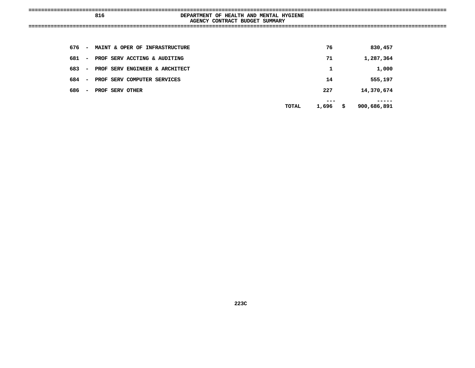| 816 | DEPARTMENT OF HEALTH AND MENTAL HYGIENE<br>AGENCY CONTRACT BUDGET SUMMARY |
|-----|---------------------------------------------------------------------------|
|     |                                                                           |

| 676 | $\overline{\phantom{a}}$ | MAINT & OPER OF INFRASTRUCTURE | 76           | 830,457           |
|-----|--------------------------|--------------------------------|--------------|-------------------|
| 681 | $\overline{\phantom{a}}$ | PROF SERV ACCTING & AUDITING   | 71           | 1,287,364         |
| 683 | $\overline{\phantom{a}}$ | PROF SERV ENGINEER & ARCHITECT | 1            | 1,000             |
| 684 | $\overline{\phantom{a}}$ | PROF SERV COMPUTER SERVICES    | 14           | 555,197           |
| 686 | $\overline{\phantom{a}}$ | PROF SERV OTHER                | 227          | 14,370,674        |
|     |                          | TOTAL                          | ---<br>1,696 | \$<br>900,686,891 |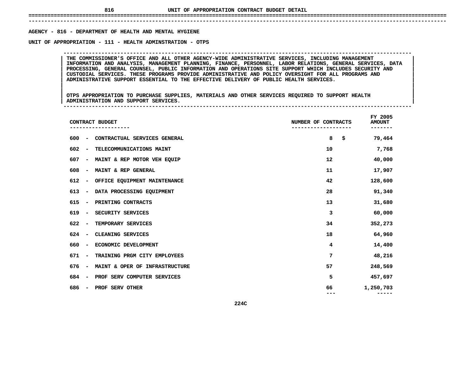# **UNIT OF APPROPRIATION CONTRACT BUDGET DETAIL ====================================================================================================================================**

## **------------------------------------------------------------------------------------------------------------------------------------**AGENCY - 816 - DEPARTMENT OF HEALTH AND MENTAL HYGIENE **- <sup>816</sup> - DEPARTMENT OF HEALTH AND MENTAL HYGIENE UNIT**

 **OF APPROPRIATION - <sup>111</sup> - HEALTH ADMINSTRATION - OTPS --------------------------------------------------------------------------------------------------------------**INFORMATION AND ANALYSIS, MANAGEMENT PLANNING, FINANCE, PERSONNEL, LABOR RELATIONS, GENERAL SERVICES, DATA **THE COMMISSIONER'S OFFICE AND ALL OTHER AGENCY-WIDE ADMINISTRATIVE SERVICES, INCLUDING MANAGEMENT <sup>|</sup> <sup>|</sup> INFORMATION AND ANALYSIS, MANAGEMENT PLANNING, FINANCE, PERSONNEL, LABOR RELATIONS, GENERAL SERVICES, DATA <sup>|</sup> <sup>|</sup> PROCESSING, GENERAL COUNSEL, PUBLIC INFORMATION AND OPERATIONS SITE SUPPORT WHICH INCLUDES SECURITY AND <sup>|</sup> <sup>|</sup> CUSTODIAL SERVICES. THESE PROGRAMS PROVIDE ADMINISTRATIVE AND POLICY OVERSIGHT FOR ALL PROGRAMS AND <sup>|</sup> <sup>|</sup>ADMINISTRATIVE SUPPORT ESSENTIAL TO THE EFFECTIVE DELIVERY OF PUBLIC HEALTH SERVICES. <sup>|</sup> <sup>|</sup>**

|<br>| OTPS APPROPRIATION TO PURCHASE SUPPLIES, MATERIALS AND OTHER SERVICES REQUIRED TO SUPPORT HEALTH |<br>| OTPS APPROPRIATION TO PURCHASE SUPPLIES, MATERIALS AND OTHER SERVICES REQUIRED TO SUPPORT HEALTH<br>| ADMINISTRATION AND SUPPORT SERVICES. **OTPS APPROPRIATION TO PURCHASE SUPPLIES, MATERIALS AND OTHER SERVICES REQUIRED TO SUPPORT HEALTH <sup>|</sup> <sup>|</sup>ADMINISTRATION AND SUPPORT SERVICES. <sup>|</sup> --------------------------------------------------------------------------------------------------------------**

| CONTRACT BUDGET<br>---------                                    | NUMBER OF CONTRACTS | FY 2005<br><b>AMOUNT</b> |
|-----------------------------------------------------------------|---------------------|--------------------------|
| 600<br>CONTRACTUAL SERVICES GENERAL<br>$\overline{\phantom{a}}$ | 8<br>\$             | 79,464                   |
| 602<br>TELECOMMUNICATIONS MAINT<br>$\overline{\phantom{a}}$     | 10                  | 7,768                    |
| 607<br>MAINT & REP MOTOR VEH EQUIP<br>-                         | 12                  | 40,000                   |
| 608<br>MAINT & REP GENERAL<br>-                                 | 11                  | 17,907                   |
| 612<br>OFFICE EQUIPMENT MAINTENANCE<br>$\overline{\phantom{a}}$ | 42                  | 128,600                  |
| 613<br>DATA PROCESSING EQUIPMENT<br>$\overline{\phantom{a}}$    | 28                  | 91,340                   |
| 615<br>PRINTING CONTRACTS<br>$\overline{\phantom{a}}$           | 13                  | 31,680                   |
| 619<br>SECURITY SERVICES<br>$\overline{\phantom{m}}$            | 3                   | 60,000                   |
| 622<br>TEMPORARY SERVICES<br>$\overline{\phantom{a}}$           | 34                  | 352,273                  |
| 624<br>CLEANING SERVICES<br>$\overline{\phantom{a}}$            | 18                  | 64,960                   |
| 660<br>ECONOMIC DEVELOPMENT<br>-                                | 4                   | 14,400                   |
| 671<br>TRAINING PRGM CITY EMPLOYEES<br>$\overline{\phantom{a}}$ | 7                   | 48,216                   |
| 676<br>MAINT & OPER OF INFRASTRUCTURE<br>-                      | 57                  | 248,569                  |
| 684<br>PROF SERV COMPUTER SERVICES<br>$\overline{\phantom{a}}$  | 5                   | 457,697                  |
| 686<br>PROF SERV OTHER<br>$\overline{\phantom{a}}$              | 66                  | 1,250,703                |
| 224C                                                            |                     |                          |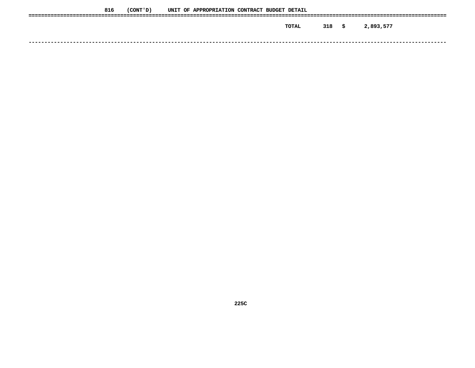| 816 | (CONT ' D ) |  | UNIT OF APPROPRIATION CONTRACT BUDGET DETAIL |  |       |     |     |           |
|-----|-------------|--|----------------------------------------------|--|-------|-----|-----|-----------|
|     |             |  |                                              |  | TOTAL | 318 | - S | 2,893,577 |
|     |             |  |                                              |  |       |     |     |           |
|     |             |  |                                              |  |       |     |     |           |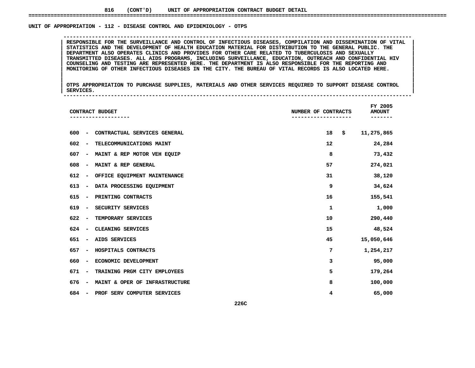### UNIT OF APPROPRIATION - 112 - DISEASE CONTROL AND EPIDEMIOLOGY - OTPS

RESPONSIBLE FOR THE SURVEILLANCE AND CONTROL OF INFECTIOUS DISEASES, COMPILATION AND DISSEMINATION OF VITAL<br>STATISTICS AND THE DEVELOPMENT OF HEALTH EDUCATION MATERIAL FOR DISTRIBUTION TO THE GENERAL PUBLIC. THE<br>DEPARTMENT STATISTICS AND THE DEVELOPMENT OF HEALTH EDUCATION MATERIAL FOR DISTRIBUTION TO THE GENERAL PUBLIC. THE DEVELOPMENT OF HEALTH EDUCATION MATERIAL FOR DISTRIBUTION TO THE GENERAL PUBLIC. THE DEVELOPMENT ALSO OPERATES CLINICS **DEPARTMENT ALSO OPERATES CLINICS AND PROVIDES FOR OTHER CARE RELATED TO TUBERCULOSIS AND SEXUALLY <sup>|</sup> <sup>|</sup> TRANSMITTED DISEASES. ALL AIDS PROGRAMS, INCLUDING SURVEILLANCE, EDUCATION, OUTREACH AND CONFIDENTIAL HIV <sup>|</sup> <sup>|</sup> COUNSELING AND TESTING ARE REPRESENTED HERE. THE DEPARTMENT IS ALSO RESPONSIBLE FOR THE REPORTING AND <sup>|</sup> <sup>|</sup>MONITORING OF OTHER INFECTIOUS DISEASES IN THE CITY. THE BUREAU OF VITAL RECORDS IS ALSO LOCATED HERE. <sup>|</sup> <sup>|</sup>**

**OF APPROPRIATION - <sup>112</sup> - DISEASE CONTROL AND EPIDEMIOLOGY - OTPS --------------------------------------------------------------------------------------------------------------**

|<br>| OTPS APPROPRIATION TO PURCHASE SUPPLIES, MATERIALS AND OTHER SERVICES REQUIRED TO SUPPORT DISEASE CONTROL |<br>| OTPS APPROPRIATION TO PURCHASE SUPPLIES, MATERIALS AND OTHER SERVICES REQUIRED TO SUPPORT DISEASE CONTROL<br>| SERVICES. **OTPS APPROPRIATION TO PURCHASE SUPPLIES, MATERIALS AND OTHER SERVICES REQUIRED TO SUPPORT DISEASE CONTROL <sup>|</sup> <sup>|</sup>SERVICES. <sup>|</sup> --------------------------------------------------------------------------------------------------------------**

| CONTRACT BUDGET                                                   | NUMBER OF CONTRACTS | FY 2005<br><b>AMOUNT</b> |
|-------------------------------------------------------------------|---------------------|--------------------------|
| 600<br>CONTRACTUAL SERVICES GENERAL<br>$\overline{\phantom{m}}$   | 18<br>\$            | 11,275,865               |
| 602<br>TELECOMMUNICATIONS MAINT<br>$\overline{\phantom{a}}$       | 12                  | 24,284                   |
| 607<br>MAINT & REP MOTOR VEH EQUIP<br>$\overline{\phantom{a}}$    | 8                   | 73,432                   |
| 608<br>MAINT & REP GENERAL<br>$\qquad \qquad \blacksquare$        | 57                  | 274,021                  |
| 612<br>OFFICE EQUIPMENT MAINTENANCE<br>$\overline{\phantom{a}}$   | 31                  | 38,120                   |
| 613<br>DATA PROCESSING EQUIPMENT<br>$\overline{\phantom{a}}$      | 9                   | 34,624                   |
| 615<br>PRINTING CONTRACTS<br>$\overline{\phantom{a}}$             | 16                  | 155,541                  |
| 619<br>SECURITY SERVICES<br>$\overline{\phantom{a}}$              | 1                   | 1,000                    |
| 622<br>TEMPORARY SERVICES<br>$\overline{\phantom{m}}$             | 10                  | 290,440                  |
| CLEANING SERVICES<br>624<br>$\overline{\phantom{m}}$              | 15                  | 48,524                   |
| 651<br>AIDS SERVICES<br>$\overline{\phantom{m}}$                  | 45                  | 15,050,646               |
| 657<br>HOSPITALS CONTRACTS<br>$\overline{\phantom{m}}$            | 7                   | 1,254,217                |
| ECONOMIC DEVELOPMENT<br>660<br>$\overline{\phantom{a}}$           | з                   | 95,000                   |
| 671<br>TRAINING PRGM CITY EMPLOYEES<br>$\overline{\phantom{a}}$   | 5                   | 179,264                  |
| MAINT & OPER OF INFRASTRUCTURE<br>676<br>$\overline{\phantom{a}}$ | 8                   | 100,000                  |
| PROF SERV COMPUTER SERVICES<br>684<br>$\overline{\phantom{m}}$    | 4                   | 65,000                   |
| 226C                                                              |                     |                          |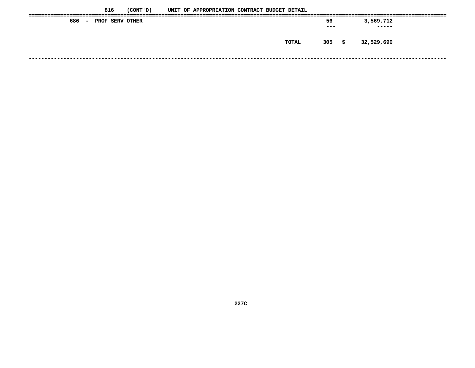|               | 816             | (CONT ' D ) |  | UNIT OF APPROPRIATION CONTRACT BUDGET DETAIL |  |       |         |      |            |  |
|---------------|-----------------|-------------|--|----------------------------------------------|--|-------|---------|------|------------|--|
| 686<br>$\sim$ | PROF SERV OTHER |             |  |                                              |  |       | 56      |      | 3,569,712  |  |
|               |                 |             |  |                                              |  |       | $- - -$ |      | -----      |  |
|               |                 |             |  |                                              |  |       |         |      |            |  |
|               |                 |             |  |                                              |  | TOTAL | 305     | - \$ | 32,529,690 |  |
|               |                 |             |  |                                              |  |       |         |      |            |  |
|               |                 |             |  |                                              |  |       |         |      |            |  |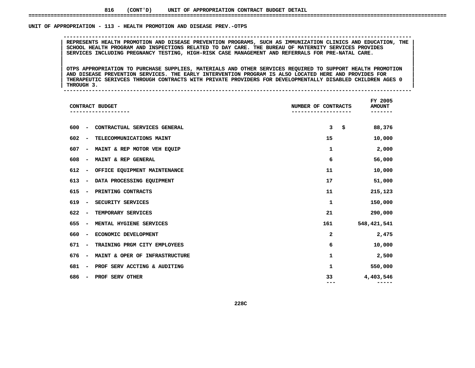### UNIT OF APPROPRIATION - 113 - HEALTH PROMOTION AND DISEASE PREV.-OTPS

 **OF APPROPRIATION - <sup>113</sup> - HEALTH PROMOTION AND DISEASE PREV.-OTPS --------------------------------------------------------------------------------------------------------------**REPRESENTS HEALTH PROMOTION AND DISEASE PREVENTION PROGRAMS, SUCH AS IMMUNIZATION CLINICS AND EDUCATION, THE |<br>| SCHOOL HEALTH PROGRAM AND INSPECTIONS RELATED TO DAY CARE. THE BUREAU OF MATERNITY SERVICES PROVIDES<br>| SERVIC **SCHOOL HEALTH PROGRAM AND INSPECTIONS RELATED TO DAY CARE. THE BUREAU OF MATERNITY SERVICES PROVIDES <sup>|</sup> <sup>|</sup>SERVICES INCLUDING PREGNANCY TESTING, HIGH-RISK CASE MANAGEMENT AND REFERRALS FOR PRE-NATAL CARE. <sup>|</sup> <sup>|</sup>**

|<br>| OTPS\_APPROPRIATION\_TO\_PURCHASE\_SUPPLIES,\_MATERIALS\_AND\_OTHER\_SERVICES\_REQUIRED\_TO\_SUPPORT\_HEALTH\_PROMOTION OTPS APPROPRIATION TO PURCHASE SUPPLIES, MATERIALS AND OTHER SERVICES REQUIRED TO SUPPORT HEALTH PROMOTION (NOTION<br>AND DISEASE PREVENTION SERVICES. THE EARLY INTERVENTION PROGRAM IS ALSO LOCATED HERE AND PROVIDES FOR **OTPS APPROPRIATION TO PURCHASE SUPPLIES, MATERIALS AND OTHER SERVICES REQUIRED TO SUPPORT HEALTH PROMOTION <sup>|</sup> <sup>|</sup> AND DISEASE PREVENTION SERVICES. THE EARLY INTERVENTION PROGRAM IS ALSO LOCATED HERE AND PROVIDES FOR <sup>|</sup> <sup>|</sup>THERAPEUTIC SERIVCES THROUGH CONTRACTS WITH PRIVATE PROVIDERS FOR DEVELOPMENTALLY DISABLED CHILDREN AGES <sup>0</sup> <sup>|</sup> <sup>|</sup>**

**THROUGH 3. <sup>|</sup> --------------------------------------------------------------------------------------------------------------**

|     |                          | CONTRACT BUDGET                | NUMBER OF CONTRACTS | FY 2005<br><b>AMOUNT</b> |
|-----|--------------------------|--------------------------------|---------------------|--------------------------|
| 600 |                          | CONTRACTUAL SERVICES GENERAL   | 3                   | \$<br>88,376             |
| 602 |                          | TELECOMMUNICATIONS MAINT       | 15                  | 10,000                   |
| 607 | -                        | MAINT & REP MOTOR VEH EQUIP    | 1                   | 2,000                    |
| 608 | -                        | MAINT & REP GENERAL            | 6                   | 56,000                   |
| 612 |                          | OFFICE EQUIPMENT MAINTENANCE   | 11                  | 10,000                   |
| 613 | $\overline{a}$           | DATA PROCESSING EQUIPMENT      | 17                  | 51,000                   |
| 615 | $\overline{\phantom{0}}$ | PRINTING CONTRACTS             | 11                  | 215,123                  |
| 619 | $\qquad \qquad$          | SECURITY SERVICES              | 1                   | 150,000                  |
| 622 | $\overline{\phantom{a}}$ | TEMPORARY SERVICES             | 21                  | 290,000                  |
| 655 | $\overline{\phantom{a}}$ | MENTAL HYGIENE SERVICES        | 161                 | 548,421,541              |
| 660 | $\qquad \qquad$          | ECONOMIC DEVELOPMENT           | 2                   | 2,475                    |
| 671 | -                        | TRAINING PRGM CITY EMPLOYEES   | 6                   | 10,000                   |
| 676 |                          | MAINT & OPER OF INFRASTRUCTURE | 1                   | 2,500                    |
| 681 | $\qquad \qquad$          | PROF SERV ACCTING & AUDITING   | 1                   | 550,000                  |
| 686 | -                        | PROF SERV OTHER                | 33                  | 4,403,546<br>-----       |
|     |                          |                                |                     |                          |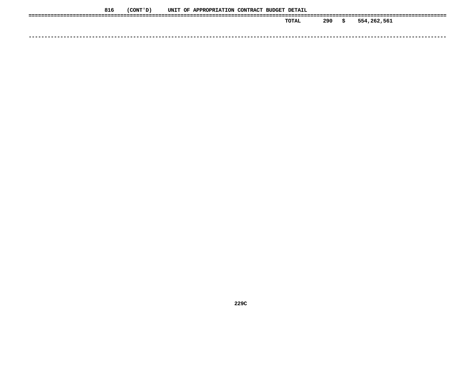| 816 | (CONT ' D ) |  | UNIT OF APPROPRIATION CONTRACT BUDGET DETAIL |  |       |     |      |             |
|-----|-------------|--|----------------------------------------------|--|-------|-----|------|-------------|
|     |             |  |                                              |  | TOTAL | 290 | - \$ | 554,262,561 |
|     |             |  |                                              |  |       |     |      |             |
|     |             |  |                                              |  |       |     |      |             |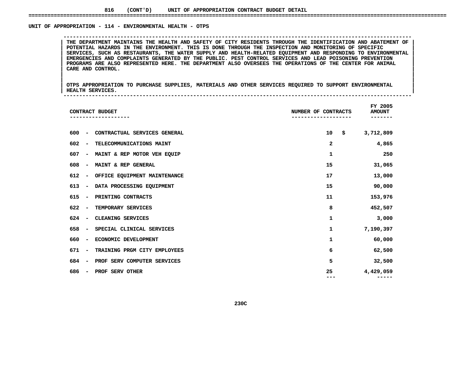### **816(CONT'D) UNIT OF APPROPRIATION CONTRACT BUDGET DETAIL ====================================================================================================================================**

### UNIT OF APPROPRIATION - 114 - ENVIRONMENTAL HEALTH - OTPS

 **OF APPROPRIATION - <sup>114</sup> - ENVIRONMENTAL HEALTH - OTPS --------------------------------------------------------------------------------------------------------------**THE DEPARTMENT MAINTAINS THE HEALTH AND SAFETY OF CITY RESIDENTS THROUGH THE IDENTIFICATION AND ABATEMENT OF<br>POTENTIAL HAZARDS IN THE ENVIRONMENT. THIS IS DONE THROUGH THE INSPECTION AND MONITORING OF SPECIFIC THE DEPARTMENT MAINTAINS THE HEALTH AND SAFETY OF CITY RESIDENTS THROUGH THE IDENTIFICATION AND ABATEMENT OF POTENTIAL HAZARDS IN THE ENVIRONMENT. THIS IS DONE THROUGH THE INSPECTION AND MONITORING OF SPECIFIC<br>SERVICES, SU **POTENTIAL HAZARDS IN THE ENVIRONMENT. THIS IS DONE THROUGH THE INSPECTION AND MONITORING OF SPECIFIC <sup>|</sup> <sup>|</sup> SERVICES, SUCH AS RESTAURANTS, THE WATER SUPPLY AND HEALTH-RELATED EQUIPMENT AND RESPONDING TO ENVIRONMENTAL <sup>|</sup> <sup>|</sup> EMERGENCIES AND COMPLAINTS GENERATED BY THE PUBLIC. PEST CONTROL SERVICES AND LEAD POISONING PREVENTION <sup>|</sup> <sup>|</sup>**PROGRAMS ARE ALSO REPRESENTED HERE. THE DEPARTMENT ALSO OVERSEES THE OPERATIONS OF THE CENTER FOR ANIMAL<br>| CARE AND CONTROL.<br>| **CARE AND CONTROL. <sup>|</sup> <sup>|</sup>**

|<br>| OTPS\_APPROPRIATION TO PURCHASE SUPPLIES, MATERIALS AND OTHER SERVICES REQUIRED TO SUPPORT ENVIRONMENTAL |<br>| OTPS APPROPRIATION TO PURCHASE SUPPLIES, MATERIALS AND OTHER SERVICES REQUIRED TO SUPPORT ENVIRONMENTAL<br>| HEALTH SERVICES. **OTPS APPROPRIATION TO PURCHASE SUPPLIES, MATERIALS AND OTHER SERVICES REQUIRED TO SUPPORT ENVIRONMENTAL <sup>|</sup> <sup>|</sup>HEALTH SERVICES. <sup>|</sup> --------------------------------------------------------------------------------------------------------------**

| CONTRACT BUDGET                                                     | NUMBER OF CONTRACTS | FY 2005<br><b>AMOUNT</b> |
|---------------------------------------------------------------------|---------------------|--------------------------|
| CONTRACTUAL SERVICES GENERAL<br>600<br>$\overline{\phantom{a}}$     | 10                  | \$<br>3,712,809          |
| 602<br>TELECOMMUNICATIONS MAINT<br>$\overline{\phantom{a}}$         | 2                   | 4,865                    |
| 607<br>MAINT & REP MOTOR VEH EQUIP<br>$\overline{\phantom{a}}$      | 1                   | 250                      |
| 608<br>MAINT & REP GENERAL<br>$\qquad \qquad$                       | 15                  | 31,065                   |
| 612<br>OFFICE EQUIPMENT MAINTENANCE<br>$\qquad \qquad$              | 17                  | 13,000                   |
| 613<br>DATA PROCESSING EQUIPMENT<br>$\qquad \qquad$                 | 15                  | 90,000                   |
| 615<br>PRINTING CONTRACTS<br>$\qquad \qquad$                        | 11                  | 153,976                  |
| 622<br>TEMPORARY SERVICES<br>$\qquad \qquad \blacksquare$           | 8                   | 452,507                  |
| CLEANING SERVICES<br>624<br>$\qquad \qquad \blacksquare$            | 1                   | 3,000                    |
| 658<br>SPECIAL CLINICAL SERVICES<br>$\qquad \qquad \blacksquare$    | $\mathbf 1$         | 7,190,397                |
| 660<br>ECONOMIC DEVELOPMENT<br>$\qquad \qquad \blacksquare$         | 1                   | 60,000                   |
| 671<br>TRAINING PRGM CITY EMPLOYEES<br>$\qquad \qquad \blacksquare$ | 6                   | 62,500                   |
| 684<br>PROF SERV COMPUTER SERVICES<br>$\qquad \qquad \blacksquare$  | 5                   | 32,500                   |
| 686<br>PROF SERV OTHER<br>-                                         | 25                  | 4,429,059                |
|                                                                     |                     |                          |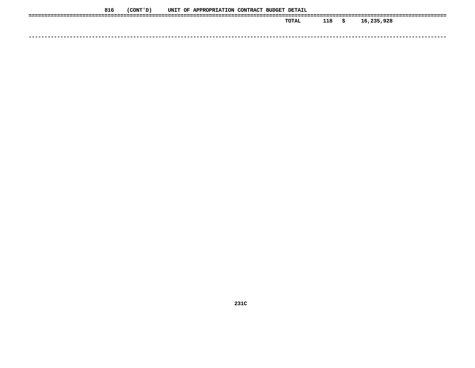| 816 | (CONT 'D) |  | UNIT OF APPROPRIATION CONTRACT BUDGET DETAIL |  |              |     |    |            |
|-----|-----------|--|----------------------------------------------|--|--------------|-----|----|------------|
|     |           |  |                                              |  | <b>TOTAL</b> | 118 | -S | 16,235,928 |
|     |           |  |                                              |  |              |     |    |            |
|     |           |  |                                              |  |              |     |    |            |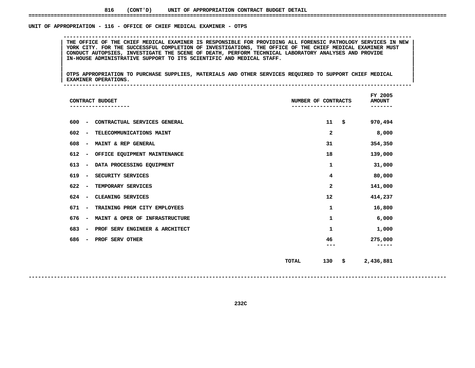### **816(CONT'D) UNIT OF APPROPRIATION CONTRACT BUDGET DETAIL ====================================================================================================================================**

### UNIT OF APPROPRIATION - 116 - OFFICE OF CHIEF MEDICAL EXAMINER - OTPS

THE OFFICE OF THE CHIEF MEDICAL EXAMINER IS RESPONSIBLE FOR PROVIDING ALL FORENSIC PATHOLOGY SERVICES IN NEW<br>YORK CITY. FOR THE SUCCESSFUL COMPLETION OF INVESTIGATIONS, THE OFFICE OF THE CHIEF MEDICAL EXAMINER MUST THE OFFICE OF THE CHIEF MEDICAL EXAMINER IS RESPONSIBLE FOR PROVIDING ALL FORENSIC PATHOLOGY SERVICES IN NEW<br>YORK CITY, FOR THE SUCCESSFUL COMPLETION OF INVESTIGATIONS, THE OFFICE OF THE CHIEF MEDICAL EXAMINER MUST<br>CONDUCT YORK CITY. FOR THE SUCCESSFUL COMPLETION OF INVESTIGATIONS, THE OFFICE OF THE CHIEF MEDICAL EXAMINER MUST<br>CONDUCT AUTOPSIES, INVESTIGATE THE SCENE OF DEATH, PERFORM TECHNICAL LABORATORY ANALYSES AND PROVIDE<br>IN-HOUSE ADMINI **CONDUCT AUTOPSIES, INVESTIGATE THE SCENE OF DEATH, PERFORM TECHNICAL LABORATORY ANALYSES AND PROVIDE <sup>|</sup> <sup>|</sup>IN-HOUSE ADMINISTRATIVE SUPPORT TO ITS SCIENTIFIC AND MEDICAL STAFF. <sup>|</sup> <sup>|</sup>**

**OF APPROPRIATION - <sup>116</sup> - OFFICE OF CHIEF MEDICAL EXAMINER - OTPS --------------------------------------------------------------------------------------------------------------**

|<br>| OTPS APPROPRIATION TO PURCHASE SUPPLIES, MATERIALS AND OTHER SERVICES REQUIRED TO SUPPORT CHIEF MEDICAL |<br>| OTPS APPROPRIATION TO PURCHASE SUPPLIES, MATERIALS AND OTHER SERVICES REQUIRED TO SUPPORT CHIEF MEDICAL<br>| EXAMINER OPERATIONS. **OTPS APPROPRIATION TO PURCHASE SUPPLIES, MATERIALS AND OTHER SERVICES REQUIRED TO SUPPORT CHIEF MEDICAL <sup>|</sup> <sup>|</sup>EXAMINER OPERATIONS. <sup>|</sup> --------------------------------------------------------------------------------------------------------------**

| CONTRACT BUDGET                                                   | NUMBER OF CONTRACTS       | FY 2005<br><b>AMOUNT</b> |
|-------------------------------------------------------------------|---------------------------|--------------------------|
| 600<br>CONTRACTUAL SERVICES GENERAL<br>$\overline{\phantom{a}}$   | 11<br>\$                  | 970,494                  |
| 602<br>TELECOMMUNICATIONS MAINT<br>$\overline{\phantom{a}}$       | $\mathbf{2}$              | 8,000                    |
| 608<br>MAINT & REP GENERAL<br>$\qquad \qquad$                     | 31                        | 354,350                  |
| 612<br>OFFICE EQUIPMENT MAINTENANCE<br>$\overline{a}$             | 18                        | 139,000                  |
| 613<br>DATA PROCESSING EQUIPMENT<br>$\overline{a}$                | 1                         | 31,000                   |
| 619<br>SECURITY SERVICES<br>$\overline{\phantom{a}}$              | 4                         | 80,000                   |
| 622<br>TEMPORARY SERVICES<br>$\overline{\phantom{a}}$             | $\mathbf{z}$              | 141,000                  |
| 624<br>CLEANING SERVICES<br>$\qquad \qquad$                       | 12                        | 414,237                  |
| 671<br>TRAINING PRGM CITY EMPLOYEES<br>$\overline{\phantom{a}}$   | 1                         | 16,800                   |
| 676<br>MAINT & OPER OF INFRASTRUCTURE<br>$\overline{a}$           | 1                         | 6,000                    |
| 683<br>PROF SERV ENGINEER & ARCHITECT<br>$\overline{\phantom{0}}$ | 1                         | 1,000                    |
| 686<br>PROF SERV OTHER                                            | 46                        | 275,000                  |
|                                                                   |                           |                          |
|                                                                   | 130<br>\$<br><b>TOTAL</b> | 2,436,881                |
|                                                                   |                           |                          |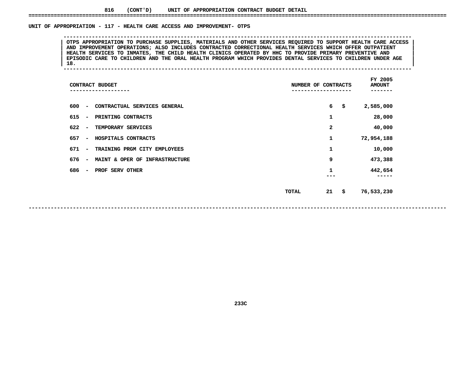### UNIT OF APPROPRIATION - 117 - HEALTH CARE ACCESS AND IMPROVEMENT- OTPS

OTPS APPROPRIATION TO PURCHASE SUPPLIES, MATERIALS AND OTHER SERVICES REQUIRED TO SUPPORT HEALTH CARE ACCESS<br>AND IMPROVEMENT OPERATIONS; ALSO INCLUDES CONTRACTED CORRECTIONAL HEALTH SERVICES WHICH OFFER OUTPATIENT<br>HEALTH S **AND IMPROVEMENT OPERATIONS; ALSO INCLUDES CONTRACTED CORRECTIONAL HEALTH SERVICES WHICH OFFER OUTPATIENT <sup>|</sup> <sup>|</sup>**HEALTH SERVICES TO INMATES, THE CHILD HEALTH CLINICS OPERATED BY HHC TO PROVIDE PRIMARY PREVENTIVE AND<br>EPISODIC CARE TO CHILDREN AND THE ORAL HEALTH PROGRAM WHICH PROVIDES DENTAL SERVICES TO CHILDREN UNDER AGE<br>18. **EPISODIC CARE TO CHILDREN AND THE ORAL HEALTH PROGRAM WHICH PROVIDES DENTAL SERVICES TO CHILDREN UNDER AGE <sup>|</sup> <sup>|</sup>18. <sup>|</sup> --------------------------------------------------------------------------------------------------------------**

**OF APPROPRIATION - <sup>117</sup> - HEALTH CARE ACCESS AND IMPROVEMENT- OTPS --------------------------------------------------------------------------------------------------------------**

| CONTRACT BUDGET                                                   | NUMBER OF CONTRACTS | FY 2005<br><b>AMOUNT</b> |
|-------------------------------------------------------------------|---------------------|--------------------------|
| 600<br>CONTRACTUAL SERVICES GENERAL<br>$\overline{\phantom{a}}$   | 6<br>\$             | 2,585,000                |
| 615<br>PRINTING CONTRACTS<br>$\overline{\phantom{a}}$             | 1                   | 28,000                   |
| 622<br>TEMPORARY SERVICES<br>$\overline{\phantom{0}}$             | 2                   | 40,000                   |
| 657<br>HOSPITALS CONTRACTS<br>$\overline{\phantom{a}}$            | 1                   | 72,954,188               |
| 671<br>TRAINING PRGM CITY EMPLOYEES<br>$\overline{\phantom{a}}$   | 1                   | 10,000                   |
| 676<br>MAINT & OPER OF INFRASTRUCTURE<br>$\overline{\phantom{a}}$ | 9                   | 473,388                  |
| 686<br>PROF SERV OTHER<br>$\overline{\phantom{a}}$                | 1                   | 442,654                  |
|                                                                   | 21<br>\$<br>TOTAL   | 76,533,230               |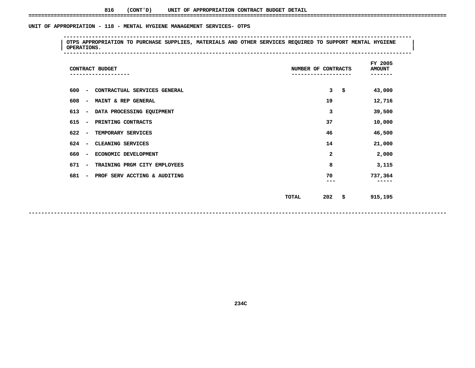### UNIT OF APPROPRIATION - 118 - MENTAL HYGIENE MANAGEMENT SERVICES- OTPS

 **OF APPROPRIATION - <sup>118</sup> - MENTAL HYGIENE MANAGEMENT SERVICES- OTPS -------------------------------------------------------------------------------------------------------------- <sup>|</sup> OTPS APPROPRIATION TO PURCHASE SUPPLIES, MATERIALS AND OTHER SERVICES REQUIRED TO SUPPORT MENTAL HYGIENE <sup>|</sup> <sup>|</sup>OPERATIONS. <sup>|</sup> --------------------------------------------------------------------------------------------------------------**

| CONTRACT BUDGET                                                 | NUMBER OF CONTRACTS | FY 2005<br><b>AMOUNT</b><br>---- |
|-----------------------------------------------------------------|---------------------|----------------------------------|
| 600<br>CONTRACTUAL SERVICES GENERAL<br>$\overline{\phantom{a}}$ | 3<br>\$             | 43,000                           |
| 608<br>MAINT & REP GENERAL<br>$\overline{\phantom{a}}$          | 19                  | 12,716                           |
| DATA PROCESSING EQUIPMENT<br>613<br>-                           | 3                   | 39,500                           |
| 615<br>PRINTING CONTRACTS<br>$\overline{\phantom{a}}$           | 37                  | 10,000                           |
| 622<br>TEMPORARY SERVICES<br>$\overline{\phantom{a}}$           | 46                  | 46,500                           |
| 624<br>CLEANING SERVICES<br>$\overline{\phantom{a}}$            | 14                  | 21,000                           |
| 660<br>ECONOMIC DEVELOPMENT<br>-                                | 2                   | 2,000                            |
| 671<br>TRAINING PRGM CITY EMPLOYEES<br>$\overline{\phantom{a}}$ | 8                   | 3,115                            |
| 681<br>PROF SERV ACCTING & AUDITING<br>-                        | 70<br>---           | 737,364<br>-----                 |
|                                                                 | 202<br>-\$<br>TOTAL | 915,195                          |
|                                                                 |                     |                                  |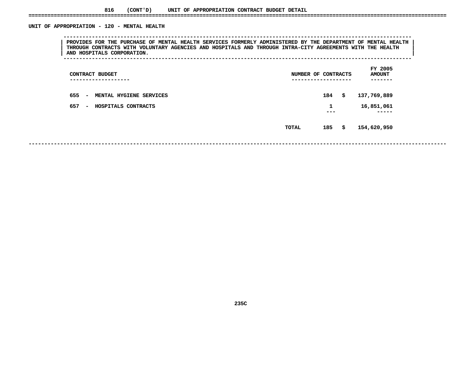### **816(CONT'D) UNIT OF APPROPRIATION CONTRACT BUDGET DETAIL ====================================================================================================================================**

### UNIT OF APPROPRIATION - 120 - MENTAL HEALTH

 **OF APPROPRIATION - <sup>120</sup> - MENTAL HEALTH --------------------------------------------------------------------------------------------------------------**PROVIDES FOR THE PURCHASE OF MENTAL HEALTH SERVICES FORMERLY ADMINISTERED BY THE DEPARTMENT OF MENTAL HEALTH<br>THROUGH CONTRACTS WITH VOLUNTARY AGENCIES AND HOSPITALS AND THROUGH INTRA-CITY AGREEMENTS WITH THE HEALTH<br>AND HOS **THROUGH CONTRACTS WITH VOLUNTARY AGENCIES AND HOSPITALS AND THROUGH INTRA-CITY AGREEMENTS WITH THE HEALTH <sup>|</sup> <sup>|</sup>AND HOSPITALS CORPORATION. <sup>|</sup> --------------------------------------------------------------------------------------------------------------**

| CONTRACT BUDGET<br>----------------      | NUMBER OF CONTRACTS<br>------------------- |          | FY 2005<br><b>AMOUNT</b><br>---- |
|------------------------------------------|--------------------------------------------|----------|----------------------------------|
| 655<br>MENTAL HYGIENE SERVICES<br>$\sim$ |                                            | 184      | \$<br>137,769,889                |
| 657<br>HOSPITALS CONTRACTS<br>$\sim$     |                                            | 1<br>--- | 16,851,061<br>-----              |
|                                          | <b>TOTAL</b>                               | 185      | \$<br>154,620,950                |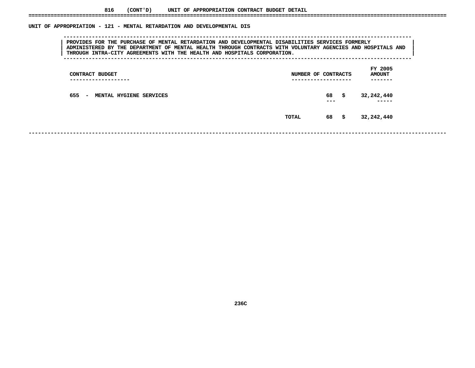| PROVIDES FOR THE PURCHASE OF MENTAL RETARDATION AND DEVELOPMENTAL DISABILITIES SERVICES FORMERLY<br>ADMINISTERED BY THE DEPARTMENT OF MENTAL HEALTH THROUGH CONTRACTS WITH VOLUNTARY AGENCIES AND HOSPITALS AND<br>THROUGH INTRA-CITY AGREEMENTS WITH THE HEALTH AND HOSPITALS CORPORATION. |                                                 |
|---------------------------------------------------------------------------------------------------------------------------------------------------------------------------------------------------------------------------------------------------------------------------------------------|-------------------------------------------------|
| CONTRACT BUDGET                                                                                                                                                                                                                                                                             | FY 2005<br><b>AMOUNT</b><br>NUMBER OF CONTRACTS |
| 655 - MENTAL HYGIENE SERVICES                                                                                                                                                                                                                                                               | 32,242,440<br>68<br>- \$<br>---                 |
|                                                                                                                                                                                                                                                                                             | 68<br>32,242,440<br>- \$<br>TOTAL               |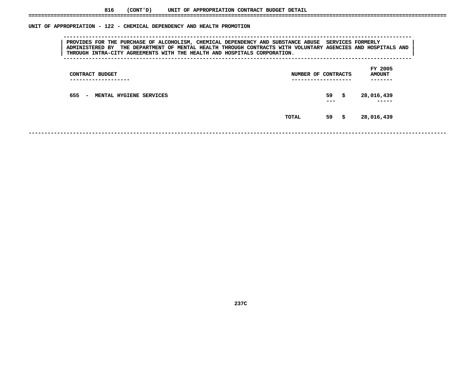|                                                                                                                                                                                                                                                                                               | UNIT OF APPROPRIATION - 122 - CHEMICAL DEPENDENCY AND HEALTH PROMOTION |
|-----------------------------------------------------------------------------------------------------------------------------------------------------------------------------------------------------------------------------------------------------------------------------------------------|------------------------------------------------------------------------|
| PROVIDES FOR THE PURCHASE OF ALCOHOLISM, CHEMICAL DEPENDENCY AND SUBSTANCE ABUSE SERVICES FORMERLY<br>ADMINISTERED BY THE DEPARTMENT OF MENTAL HEALTH THROUGH CONTRACTS WITH VOLUNTARY AGENCIES AND HOSPITALS AND<br>THROUGH INTRA-CITY AGREEMENTS WITH THE HEALTH AND HOSPITALS CORPORATION. |                                                                        |
| CONTRACT BUDGET                                                                                                                                                                                                                                                                               | FY 2005<br>NUMBER OF CONTRACTS<br><b>AMOUNT</b>                        |
| 655<br>MENTAL HYGIENE SERVICES<br>$\overline{\phantom{a}}$                                                                                                                                                                                                                                    | 59<br>28,016,439<br>s<br>---                                           |

 **----- TOTAL<sup>59</sup> \$ 28,016,439**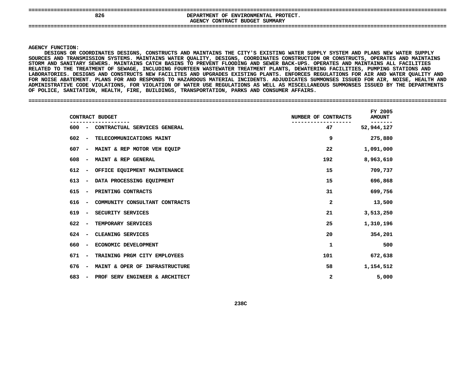| ----<br>---------------------<br>----<br>826<br>---- | PROTECT.<br>DEPARTMENT OF ENVIRONMENTAL<br>AGENCY CONTRACT BUDGET SUMMARY |
|------------------------------------------------------|---------------------------------------------------------------------------|
|                                                      |                                                                           |

### **AGENCY**

**Y FUNCTION:<br>DESIGNS OR<br>ES AND TRAN** DESIGNS OR COORDINATES DESIGNS, CONSTRUCTS AND MAINTAINS THE CITY'S EXISTING WATER SUPPLY SYSTEM AND PLANS NEW WATER SUPPLY S OR COORDINATES DESIGNS, CONSTRUCTS AND MAINTAINS THE CITY'S EXISTING WATER SUPPLY SYSTEM AND PLANS NEW WATER SUPPLY<br>TRANSMISSION SYSTEMS. MAINTAINS WATER QUALITY, DESIGNS, COORDINATES CONSTRUCTION OR CONSTRUCTS, OPERATES **SOURCES**SOURCES AND TRANSMISSION SYSTEMS. MAINTAINS WATER QUALITY, DESIGNS, COORDINATES CONSTRUCTION OR CONSTRUCTS, OPERATES AND MAINTAINS<br>STORM AND SANITARY SEWERS. MAINTAINS CATCH BASINS TO PREVENT FLOODING AND SEWER BACK-UPS. O STORM AND SANITARY SEWERS. MAINTAINS CATCH BASINS TO PREVENT FLOODING AND SEWER BACK-UPS. OPERATES AND MAINTAINS ALL FACILITIES M AND SANITARY SEWERS. MAINTAINS CATCH BASINS TO PREVENT FLOODING AND SEWER BACK-UPS. OPERATES AND MAINTAINS ALL FACILITIES<br>TED TO THE TREATMENT OF SEWAGE, INCLUDING FOURTEEN WASTEWATER TREATMENT PLANTS, DEWATERING FACILIT **TO THE TREATMENT OF SEWAGE, INCLUDING FOURTEEN WASTEWATER TREATMENT PLANTS, DEWATERING FACILITIES, PUMPING STATIONS AND LABORATORIES.**. DESIGNS AND CONSTRUCTS NEW FACILITES AND UPGRADES EXISTING PLANTS. ENFORCES REGULATIONS FOR AIR AND WATER QUALITY AND<br>ATEMENT. PLANS FOR AND RESPONDS TO HAZARDOUS MATERIAL INCIDENTS. ADJUDICATES SUMMONSES ISSUED FOR AIR, FOR NOISE ABATEMENT. PLANS FOR AND RESPONDS TO HAZARDOUS MATERIAL INCIDENTS. ADJUDICATES SUMMONSES ISSUED FOR AIR, NOISE, HEALTH AND R NOISE ABATEMENT. PLANS FOR AND RESPONDS TO HAZARDOUS MATERIAL INCIDENTS. ADJUDICATES SUMMONSES ISSUED FOR AIR, NOISE, HEALTH AND<br>MINISTRATIVE CODE VIOLATIONS, FOR VIOLATION OF WATER USE REGULATIONS AS WELL AS MISCELLANEO ADMINISTRATIVE CODE VIOLATIONS, FOR VIOLATION OF WATER USE REGULATIONS AS WELL AS MISCELLANEOUS SUMMONSES ISSUED BY THE DEPARTMENTS<br>OF POLICE, SANITATION, HEALTH, FIRE, BUILDINGS, TRANSPORTATION, PARKS AND CONSUMER AFFAIRS OF POLICE, SANITATION, HEALTH, FIRE, BUILDINGS, TRANSPORTATION, PARKS AND CONSUMER AFFAIRS.

**POLICE, SANITATION, HEALTH, FIRE, BUILDINGS, TRANSPORTATION, PARKS AND CONSUMER AFFAIRS. ====================================================================================================================================**

| CONTRACT BUDGET                                                   | NUMBER OF CONTRACTS | FY 2005<br><b>AMOUNT</b> |
|-------------------------------------------------------------------|---------------------|--------------------------|
| CONTRACTUAL SERVICES GENERAL<br>600 –                             | 47                  | 52,944,127               |
| 602<br>TELECOMMUNICATIONS MAINT<br>$\overline{\phantom{0}}$       | 9                   | 275,880                  |
| MAINT & REP MOTOR VEH EQUIP<br>607<br>$\overline{\phantom{a}}$    | 22                  | 1,091,000                |
| 608<br>MAINT & REP GENERAL<br>$\overline{\phantom{a}}$            | 192                 | 8,963,610                |
| 612<br>OFFICE EQUIPMENT MAINTENANCE<br>$\overline{\phantom{a}}$   | 15                  | 709,737                  |
| 613<br>DATA PROCESSING EQUIPMENT<br>$\overline{\phantom{a}}$      | 15                  | 696,868                  |
| 615<br>PRINTING CONTRACTS<br>$\overline{\phantom{0}}$             | 31                  | 699,756                  |
| 616<br>COMMUNITY CONSULTANT CONTRACTS<br>$\overline{\phantom{a}}$ | $\mathbf{2}$        | 13,500                   |
| 619<br>SECURITY SERVICES<br>$\overline{\phantom{a}}$              | 21                  | 3,513,250                |
| 622<br>TEMPORARY SERVICES<br>$\overline{\phantom{a}}$             | 25                  | 1,310,196                |
| 624<br>CLEANING SERVICES                                          | 20                  | 354,201                  |
| ECONOMIC DEVELOPMENT<br>660<br>$\overline{\phantom{a}}$           | 1                   | 500                      |
| 671<br>TRAINING PRGM CITY EMPLOYEES<br>$\overline{\phantom{a}}$   | 101                 | 672,638                  |
| 676<br>MAINT & OPER OF INFRASTRUCTURE<br>$\overline{\phantom{a}}$ | 58                  | 1,154,512                |
| 683<br>PROF SERV ENGINEER & ARCHITECT<br>$\overline{\phantom{a}}$ | 2                   | 5,000                    |
|                                                                   |                     |                          |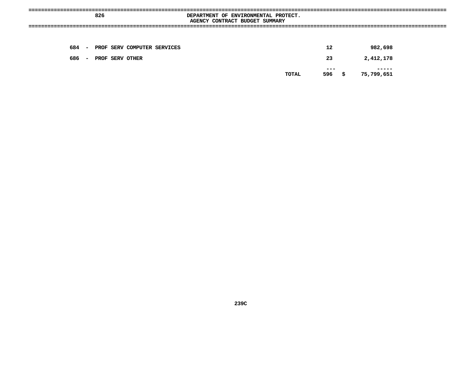|       | 826 |                 |                                   | DEPARTMENT OF ENVIRONMENTAL PROTECT.<br>------------- | AGENCY CONTRACT BUDGET SUMMARY |       |               |            |  |
|-------|-----|-----------------|-----------------------------------|-------------------------------------------------------|--------------------------------|-------|---------------|------------|--|
|       |     |                 |                                   |                                                       |                                |       |               |            |  |
|       |     |                 | 684 - PROF SERV COMPUTER SERVICES |                                                       |                                |       | 12            | 982,698    |  |
| 686 – |     | PROF SERV OTHER |                                   |                                                       |                                |       | 23            | 2,412,178  |  |
|       |     |                 |                                   |                                                       |                                | TOTAL | ---<br>596 \$ | 75,799,651 |  |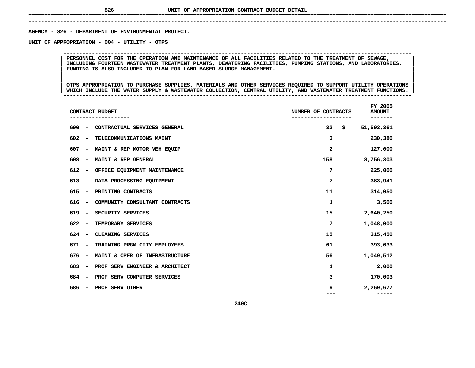# **UNIT OF APPROPRIATION CONTRACT BUDGET DETAIL ====================================================================================================================================**

 **------------------------------------------------------------------------------------------------------------------------------------**AGENCY - 826 - DEPARTMENT OF ENVIRONMENTAL PROTECT. **- <sup>826</sup> - DEPARTMENT OF ENVIRONMENTAL PROTECT. UNIT**

 **OF APPROPRIATION - <sup>004</sup> - UTILITY - OTPS --------------------------------------------------------------------------------------------------------------**PERSONNEL COST FOR THE OPERATION AND MAINTENANCE OF ALL FACILITIES RELATED TO THE TREATMENT OF SEWAGE,<br>INCLUDING FOURTEEN WASTEWATER TREATMENT PLANTS, DEWATERING FACILITIES, PUMPING STATIONS, AND LABORATORIES.<br>FUNDING IS A **INCLUDING FOURTEEN WASTEWATER TREATMENT PLANTS, DEWATERING FACILITIES, PUMPING STATIONS, AND LABORATORIES. <sup>|</sup> <sup>|</sup>FUNDING IS ALSO INCLUDED TO PLAN FOR LAND-BASED SLUDGE MANAGEMENT. <sup>|</sup> <sup>|</sup>**

OTPS APPROPRIATION TO PURCHASE SUPPLIES, MATERIALS AND OTHER SERVICES REQUIRED TO SUPPORT UTILITY OPERATIONS |<br>| OTPS APPROPRIATION TO PURCHASE SUPPLIES, MATERIALS AND OTHER SERVICES REQUIRED TO SUPPORT UTILITY OPERATIONS<br>| WHICH INCLUDE THE WATER SUPPLY & WASTEWATER COLLECTION, CENTRAL UTILITY, AND WASTEWATER TREATMENT FUNCTIONS **OTPS APPROPRIATION TO PURCHASE SUPPLIES, MATERIALS AND OTHER SERVICES REQUIRED TO SUPPORT UTILITY OPERATIONS <sup>|</sup> <sup>|</sup>WHICH INCLUDE THE WATER SUPPLY & WASTEWATER COLLECTION, CENTRAL UTILITY, AND WASTEWATER TREATMENT FUNCTIONS. <sup>|</sup> --------------------------------------------------------------------------------------------------------------**

|     |                              | CONTRACT BUDGET                | NUMBER OF CONTRACTS | FY 2005<br><b>AMOUNT</b> |
|-----|------------------------------|--------------------------------|---------------------|--------------------------|
| 600 | $\overline{\phantom{a}}$     | CONTRACTUAL SERVICES GENERAL   | 32                  | \$<br>51,503,361         |
| 602 | $\qquad \qquad \blacksquare$ | TELECOMMUNICATIONS MAINT       | 3                   | 230,380                  |
| 607 | $\overline{\phantom{a}}$     | MAINT & REP MOTOR VEH EQUIP    | 2                   | 127,000                  |
| 608 | $\overline{\phantom{a}}$     | MAINT & REP GENERAL            | 158                 | 8,756,303                |
| 612 | $\qquad \qquad \blacksquare$ | OFFICE EQUIPMENT MAINTENANCE   | 7                   | 225,000                  |
| 613 | $\qquad \qquad$              | DATA PROCESSING EQUIPMENT      | 7                   | 383,941                  |
| 615 | $\overline{\phantom{a}}$     | PRINTING CONTRACTS             | 11                  | 314,050                  |
| 616 | $\qquad \qquad \blacksquare$ | COMMUNITY CONSULTANT CONTRACTS | 1                   | 3,500                    |
| 619 | $\overline{\phantom{a}}$     | SECURITY SERVICES              | 15                  | 2,640,250                |
| 622 | $\overline{\phantom{a}}$     | TEMPORARY SERVICES             | 7                   | 1,048,000                |
| 624 | $\overline{\phantom{a}}$     | CLEANING SERVICES              | 15                  | 315,450                  |
| 671 | $\overline{\phantom{a}}$     | TRAINING PRGM CITY EMPLOYEES   | 61                  | 393,633                  |
| 676 | $\qquad \qquad \blacksquare$ | MAINT & OPER OF INFRASTRUCTURE | 56                  | 1,049,512                |
| 683 | $\overline{\phantom{a}}$     | PROF SERV ENGINEER & ARCHITECT | 1                   | 2,000                    |
| 684 | $\overline{\phantom{a}}$     | PROF SERV COMPUTER SERVICES    | з                   | 170,003                  |
| 686 | -                            | PROF SERV OTHER                | 9                   | 2,269,677<br>-----       |
|     |                              | 240C                           |                     |                          |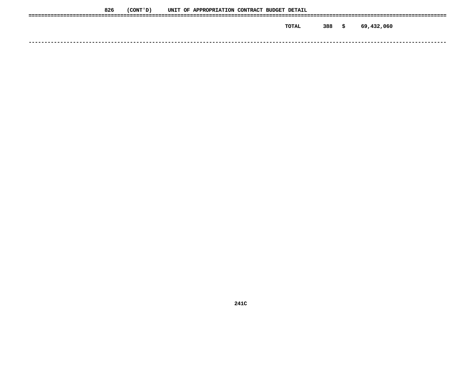| 826 | (CONT ' D ) |  | UNIT OF APPROPRIATION CONTRACT BUDGET DETAIL |  |       |     |    |            |
|-----|-------------|--|----------------------------------------------|--|-------|-----|----|------------|
|     |             |  |                                              |  |       |     |    |            |
|     |             |  |                                              |  | TOTAL | 388 | -S | 69,432,060 |
|     |             |  |                                              |  |       |     |    |            |
|     |             |  |                                              |  |       |     |    |            |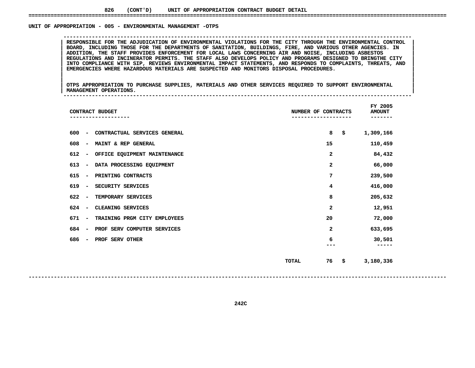### UNIT OF APPROPRIATION - 005 - ENVIRONMENTAL MANAGEMENT -OTPS

RESPONSIBLE FOR THE ADJUDICATION OF ENVIRONMENTAL VIOLATIONS FOR THE CITY THROUGH THE ENVIRONMENTAL CONTROL BOARD, INCLUDING THOSE FOR THE DEPARTMENTS OF SANITATION, BUILDINGS, FIRE, AND VARIOUS OTHER AGENCIES. IN ADDITION BOARD, INCLUDING THOSE FOR THE DEPARTMENTS OF SANITATION, BUILDINGS, FIRE, AND VARIOUS OTHER AGENCIES. IN ADDITION, THE STAFF PROVIDES ENFORCEMENT FOR LOCAL LAWS CONCERNING AIR AND NOISE, INCLUDING ASBESTOS<br>REGULATIONS AND **ADDITION, THE STAFF PROVIDES ENFORCEMENT FOR LOCAL LAWS CONCERNING AIR AND NOISE, INCLUDING ASBESTOS <sup>|</sup> <sup>|</sup>**REGULATIONS AND INCINERATOR PERMITS. THE STAFF ALSO DEVELOPS POLICY AND PROGRAMS DESIGNED TO BRINGTHE CITY<br>INTO COMPLIANCE WITH SIP, REVIEWS ENVIRONMENTAL IMPACT STATEMENTS, AND RESPONDS TO COMPLAINTS, THREATS, AND<br>EMERGEN **INTO COMPLIANCE WITH SIP, REVIEWS ENVIRONMENTAL IMPACT STATEMENTS, AND RESPONDS TO COMPLAINTS, THREATS, AND <sup>|</sup> <sup>|</sup>EMERGENCIES WHERE HAZARDOUS MATERIALS ARE SUSPECTED AND MONITORS DISPOSAL PROCEDURES. <sup>|</sup> <sup>|</sup>**

**OF APPROPRIATION - <sup>005</sup> - ENVIRONMENTAL MANAGEMENT -OTPS --------------------------------------------------------------------------------------------------------------**

|<br>| OTPS\_APPROPRIATION\_TO\_PURCHASE\_SUPPLIES,\_MATERIALS\_AND\_OTHER\_SERVICES\_REQUIRED\_TO\_SUPPORT\_ENVIRONMENTAL |<br>| OTPS APPROPRIATION TO PURCHASE SUPPLIES, MATERIALS AND OTHER SERVICES REQUIRED TO SUPPORT ENVIRONMENTAL<br>| MANAGEMENT OPERATIONS. **OTPS APPROPRIATION TO PURCHASE SUPPLIES, MATERIALS AND OTHER SERVICES REQUIRED TO SUPPORT ENVIRONMENTAL <sup>|</sup> <sup>|</sup>MANAGEMENT OPERATIONS. <sup>|</sup> --------------------------------------------------------------------------------------------------------------**

| CONTRACT BUDGET                                                     | FY 2005<br>NUMBER OF CONTRACTS<br><b>AMOUNT</b><br>----- |                 |  |  |  |  |  |
|---------------------------------------------------------------------|----------------------------------------------------------|-----------------|--|--|--|--|--|
| 600<br>CONTRACTUAL SERVICES GENERAL<br>$\overline{\phantom{a}}$     | 8<br>\$                                                  | 1,309,166       |  |  |  |  |  |
| 608<br>MAINT & REP GENERAL<br>$\overline{\phantom{a}}$              | 15                                                       | 110,459         |  |  |  |  |  |
| 612<br>OFFICE EQUIPMENT MAINTENANCE<br>$\qquad \qquad \blacksquare$ | 2                                                        | 84,432          |  |  |  |  |  |
| 613<br>DATA PROCESSING EQUIPMENT<br>$\qquad \qquad \blacksquare$    | 2                                                        | 66,000          |  |  |  |  |  |
| 615<br>PRINTING CONTRACTS<br>$\qquad \qquad \blacksquare$           | 7                                                        | 239,500         |  |  |  |  |  |
| 619<br>SECURITY SERVICES<br>$\overline{\phantom{m}}$                | 4                                                        | 416,000         |  |  |  |  |  |
| 622<br>TEMPORARY SERVICES<br>$\overline{\phantom{m}}$               | 8                                                        | 205,632         |  |  |  |  |  |
| 624<br>CLEANING SERVICES<br>$\overline{\phantom{a}}$                | 2                                                        | 12,951          |  |  |  |  |  |
| 671<br>TRAINING PRGM CITY EMPLOYEES<br>$\overline{\phantom{m}}$     | 20                                                       | 72,000          |  |  |  |  |  |
| 684<br>PROF SERV COMPUTER SERVICES<br>$\overline{\phantom{m}}$      | 2                                                        | 633,695         |  |  |  |  |  |
| 686<br>PROF SERV OTHER<br>$\overline{\phantom{a}}$                  | 6                                                        | 30,501<br>----- |  |  |  |  |  |
|                                                                     | 76<br>\$<br><b>TOTAL</b>                                 | 3,180,336       |  |  |  |  |  |
|                                                                     |                                                          |                 |  |  |  |  |  |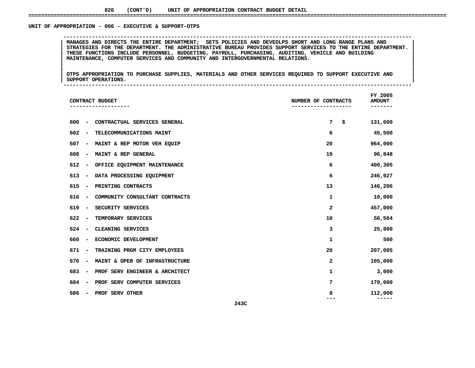### UNIT OF APPROPRIATION - 006 - EXECUTIVE & SUPPORT-OTPS

 **OF APPROPRIATION - <sup>006</sup> - EXECUTIVE & SUPPORT-OTPS --------------------------------------------------------------------------------------------------------------**MANAGES AND DIRECTS THE ENTIRE DEPARTMENT; SETS POLICIES AND DEVEOLPS SHORT AND LONG RANGE PLANS AND<br>STRATEGIES FOR THE DEPARTMENT. THE ADMINISTRATIVE BUREAU PROVIDES SUPPORT SERVICES TO THE ENTIRE DEPARTMENT.<br>THESE FUNCTI **STRATEGIES FOR THE DEPARTMENT. THE ADMINISTRATIVE BUREAU PROVIDES SUPPORT SERVICES TO THE ENTIRE DEPARTMENT. <sup>|</sup> <sup>|</sup> THESE FUNCTIONS INCLUDE PERSONNEL, BUDGETING, PAYROLL, PURCHASING, AUDITING, VEHICLE AND BUILDING <sup>|</sup> <sup>|</sup>MAINTENANCE, COMPUTER SERVICES AND COMMUNITY AND INTERGOVERNMENTAL RELATIONS. <sup>|</sup> <sup>|</sup>**

|<br>| OTPS\_APPROPRIATION\_TO\_PURCHASE\_SUPPLIES,\_MATERIALS\_AND\_OTHER\_SERVICES\_REQUIRED\_TO\_SUPPORT\_EXECUTIVE\_AND\_\_\_\_\_\_ |<br>| OTPS APPROPRIATION TO PURCHASE SUPPLIES, MATERIALS AND OTHER SERVICES REQUIRED TO SUPPORT EXECUTIVE AND<br>| SUPPORT OPERATIONS. **OTPS APPROPRIATION TO PURCHASE SUPPLIES, MATERIALS AND OTHER SERVICES REQUIRED TO SUPPORT EXECUTIVE AND <sup>|</sup> <sup>|</sup>SUPPORT OPERATIONS. <sup>|</sup> --------------------------------------------------------------------------------------------------------------**

| CONTRACT BUDGET                                                   | NUMBER OF CONTRACTS | FY 2005<br><b>AMOUNT</b> |
|-------------------------------------------------------------------|---------------------|--------------------------|
| 600<br>CONTRACTUAL SERVICES GENERAL<br>$\overline{\phantom{a}}$   | 7<br>\$             | 131,600                  |
| 602<br>TELECOMMUNICATIONS MAINT<br>$\overline{\phantom{a}}$       | 6                   | 45,500                   |
| 607<br>MAINT & REP MOTOR VEH EQUIP<br>$\overline{\phantom{a}}$    | 20                  | 964,000                  |
| 608<br>MAINT & REP GENERAL<br>$\overline{\phantom{a}}$            | 19                  | 96,848                   |
| 612<br>OFFICE EQUIPMENT MAINTENANCE<br>$\overline{\phantom{a}}$   | 6                   | 400,305                  |
| 613<br>DATA PROCESSING EQUIPMENT<br>$\overline{\phantom{a}}$      | 6                   | 246,927                  |
| 615<br>PRINTING CONTRACTS<br>-                                    | 13                  | 146,206                  |
| 616<br>COMMUNITY CONSULTANT CONTRACTS<br>$\overline{\phantom{a}}$ | 1                   | 10,000                   |
| 619<br>SECURITY SERVICES<br>$\overline{\phantom{a}}$              | 2                   | 457,000                  |
| 622<br>TEMPORARY SERVICES<br>$\overline{\phantom{a}}$             | 10                  | 56,564                   |
| 624<br>CLEANING SERVICES<br>$\overline{\phantom{a}}$              | 3                   | 25,800                   |
| 660<br>ECONOMIC DEVELOPMENT<br>$\overline{\phantom{a}}$           | 1                   | 500                      |
| 671<br>TRAINING PRGM CITY EMPLOYEES<br>$\overline{\phantom{a}}$   | 20                  | 207,005                  |
| 676<br>MAINT & OPER OF INFRASTRUCTURE<br>-                        | 2                   | 105,000                  |
| 683<br>PROF SERV ENGINEER & ARCHITECT                             | 1                   | 3,000                    |
| 684<br>PROF SERV COMPUTER SERVICES<br>$\overline{\phantom{a}}$    | 7                   | 179,000                  |
| 686<br>PROF SERV OTHER                                            | 8                   | 112,000                  |
| 243C                                                              |                     |                          |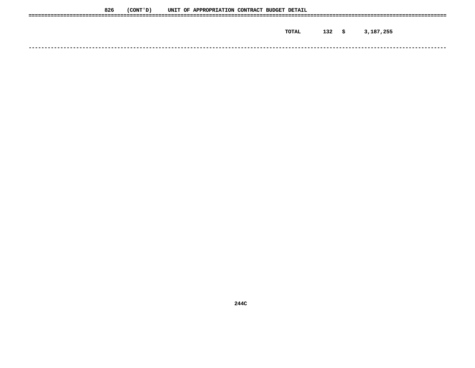| 826 | (CONT ' D ) |  | UNIT OF APPROPRIATION CONTRACT BUDGET DETAIL |  |              |      |           |
|-----|-------------|--|----------------------------------------------|--|--------------|------|-----------|
|     |             |  |                                              |  |              |      |           |
|     |             |  |                                              |  | <b>TOTAL</b> | 132S | 3,187,255 |
|     |             |  |                                              |  |              |      |           |
|     |             |  |                                              |  |              |      |           |
|     |             |  |                                              |  |              |      |           |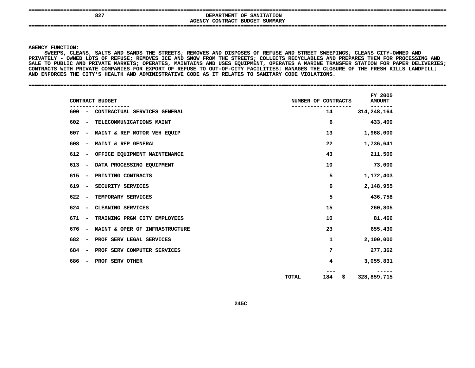| 0.25 | <b>DEDADEMENT OF CANTERATION</b> |  |
|------|----------------------------------|--|

**AGENCY**

 **<sup>827</sup> DEPARTMENT OF SANITATION CONTRACT BUDGET SUMMARY ====================================================================================================================================**

### **AGENCY**

**Y FUNCTION:<br>SWEEPS, CLE<br>TELY - OWNE SWEEPS,**, CLEANS, SALTS AND SANDS THE STREETS; REMOVES AND DISPOSES OF REFUSE AND STREET SWEEPINGS; CLEANS CITY-OWNED AND<br>OWNED LOTS OF REFUSE; REMOVES ICE AND SNOW FROM THE STREETS; COLLECTS RECYCLABLES AND PREPARES THEM FOR PROC **PRIVATELY**Y – OWNED LOTS OF REFUSE; REMOVES ICE AND SNOW FROM THE STREETS; COLLECTS RECYCLABLES AND PREPARES THEM FOR PROCESSING AND<br>PUBLIC AND PRIVATE MARKETS; OPERATES, MAINTAINS AND USES EQUIPMENT, OPERATES A MARINE TRANSFER STAT SALE TO PUBLIC AND PRIVATE MARKETS: OPERATES, MAINTAINS AND USES EOUIPMENT, OPERATES A E TO PUBLIC AND PRIVATE MARKETS; OPERATES, MAINTAINS AND USES EQUIPMENT, OPERATES A MARINE TRANSFER STATION FOR PAPER DELIVERIES;<br>TRACTS WITH PRIVATE COMPANIES FOR EXPORT OF REFUSE TO OUT-OF-CITY FACILITIES; MANAGES THE CL CONTRACTS WITH PRIVATE COMPANIES FOR EXPORT OF REFUSE TO OUT-OF-CITY FACILITIES; MANAGES THE CLOSURE OF THE FRESH KILLS LANDFILL;<br>AND ENFORCES THE CITY'S HEALTH AND ADMINISTRATIVE CODE AS IT RELATES TO SANITARY CODE VIOLAT AND ENFORCES THE CITY'S HEALTH AND ADMINISTRATIVE CODE AS IT RELATES TO SANITARY CODE VIOLATIONS.

### **ENFORCES THE CITY'S HEALTH AND ADMINISTRATIVE CODE AS IT RELATES TO SANITARY CODE VIOLATIONS. ====================================================================================================================================**

| CONTRACT BUDGET                                                   | NUMBER OF CONTRACTS | FY 2005<br><b>AMOUNT</b> |
|-------------------------------------------------------------------|---------------------|--------------------------|
| CONTRACTUAL SERVICES GENERAL<br>600<br>$\overline{\phantom{0}}$   | 14                  | 314, 248, 164            |
| 602<br>TELECOMMUNICATIONS MAINT<br>$\overline{\phantom{a}}$       | 6                   | 433,400                  |
| 607<br>MAINT & REP MOTOR VEH EQUIP<br>$\overline{\phantom{m}}$    | 13                  | 1,968,000                |
| 608<br>MAINT & REP GENERAL<br>$\overline{\phantom{a}}$            | 22                  | 1,736,641                |
| 612<br>OFFICE EQUIPMENT MAINTENANCE<br>$\overline{\phantom{m}}$   | 43                  | 211,500                  |
| 613<br>DATA PROCESSING EQUIPMENT<br>$\overline{\phantom{a}}$      | 10                  | 73,000                   |
| 615<br>PRINTING CONTRACTS<br>$\overline{\phantom{a}}$             | 5                   | 1,172,403                |
| 619<br>SECURITY SERVICES                                          | 6                   | 2,148,955                |
| 622<br>TEMPORARY SERVICES<br>$\overline{\phantom{a}}$             | 5                   | 436,758                  |
| 624<br>CLEANING SERVICES<br>$\overline{\phantom{a}}$              | 15                  | 260,805                  |
| 671<br>TRAINING PRGM CITY EMPLOYEES                               | 10                  | 81,466                   |
| 676<br>MAINT & OPER OF INFRASTRUCTURE<br>$\overline{\phantom{a}}$ | 23                  | 655,430                  |
| 682<br>PROF SERV LEGAL SERVICES                                   | 1                   | 2,100,000                |
| 684<br>PROF SERV COMPUTER SERVICES                                | 7                   | 277,362                  |
| 686<br>PROF SERV OTHER                                            | 4                   | 3,055,831                |
|                                                                   | 184<br>TOTAL<br>\$  | 328,859,715              |
|                                                                   |                     |                          |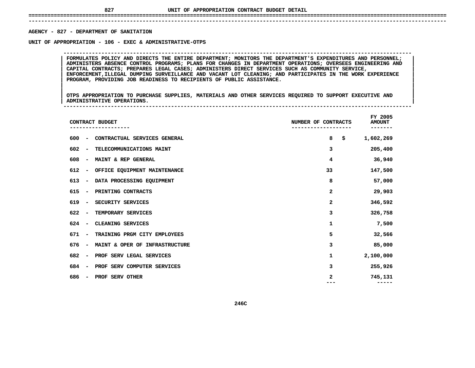## **UNIT OF APPROPRIATION CONTRACT BUDGET DETAIL ====================================================================================================================================**

## **------------------------------------------------------------------------------------------------------------------------------------AGENCY - 827 - DEPARTMENT OF SANITATION**

# **- <sup>827</sup> - DEPARTMENT OF SANITATION UNIT**

 **OF APPROPRIATION - <sup>106</sup> - EXEC & ADMINISTRATIVE-OTPS -------------------------------------------------------------------------------------------------------------- <sup>|</sup> FORMULATES POLICY AND DIRECTS THE ENTIRE DEPARTMENT; MONITORS THE DEPARTMENT'S EXPENDITURES AND PERSONNEL; <sup>|</sup> <sup>|</sup> ADMINISTERS ABSENCE CONTROL PROGRAMS; PLANS FOR CHANGES IN DEPARTMENT OPERATIONS; OVERSEES ENGINEERING AND <sup>|</sup> <sup>|</sup> CAPITAL CONTRACTS; PREPARES LEGAL CASES; ADMINISTERS DIRECT SERVICES SUCH AS COMMUNITY SERVICE, <sup>|</sup> <sup>|</sup> ENFORCEMENT,ILLEGAL DUMPING SURVEILLANCE AND VACANT LOT CLEANING; AND PARTICIPATES IN THE WORK EXPERIENCE <sup>|</sup> <sup>|</sup>PROGRAM, PROVIDING JOB READINESS TO RECIPIENTS OF PUBLIC ASSISTANCE. <sup>|</sup> <sup>|</sup>**

|<br>| OTPS APPROPRIATION TO PURCHASE SUPPLIES, MATERIALS AND OTHER SERVICES REQUIRED TO SUPPORT EXECUTIVE AND |<br>| OTPS APPROPRIATION TO PURCHASE SUPPLIES, MATERIALS AND OTHER SERVICES REQUIRED TO SUPPORT EXECUTIVE AND<br>| ADMINISTRATIVE OPERATIONS. **OTPS APPROPRIATION TO PURCHASE SUPPLIES, MATERIALS AND OTHER SERVICES REQUIRED TO SUPPORT EXECUTIVE AND <sup>|</sup> <sup>|</sup>ADMINISTRATIVE OPERATIONS. <sup>|</sup> --------------------------------------------------------------------------------------------------------------**

| CONTRACT BUDGET                                                   | NUMBER OF CONTRACTS | FY 2005<br><b>AMOUNT</b><br>------- |
|-------------------------------------------------------------------|---------------------|-------------------------------------|
| CONTRACTUAL SERVICES GENERAL<br>600<br>$\overline{\phantom{m}}$   | 8<br>\$             | 1,602,269                           |
| 602<br>TELECOMMUNICATIONS MAINT<br>$\overline{\phantom{a}}$       | 3                   | 205,400                             |
| 608<br>MAINT & REP GENERAL<br>$\overline{\phantom{a}}$            | 4                   | 36,940                              |
| 612<br>OFFICE EQUIPMENT MAINTENANCE<br>$\overline{\phantom{a}}$   | 33                  | 147,500                             |
| 613<br>DATA PROCESSING EQUIPMENT<br>$\overline{\phantom{a}}$      | 8                   | 57,000                              |
| 615<br>PRINTING CONTRACTS<br>$\overline{\phantom{a}}$             | 2                   | 29,903                              |
| SECURITY SERVICES<br>619<br>$\overline{\phantom{a}}$              | $\mathbf{2}$        | 346,592                             |
| 622<br>TEMPORARY SERVICES<br>$\overline{\phantom{a}}$             | 3                   | 326,758                             |
| 624<br>CLEANING SERVICES<br>$\overline{\phantom{a}}$              | 1                   | 7,500                               |
| 671<br>TRAINING PRGM CITY EMPLOYEES<br>$\overline{\phantom{a}}$   | 5                   | 32,566                              |
| MAINT & OPER OF INFRASTRUCTURE<br>676<br>$\overline{\phantom{m}}$ | 3                   | 85,000                              |
| 682<br>PROF SERV LEGAL SERVICES<br>$\overline{\phantom{a}}$       | 1                   | 2,100,000                           |
| 684<br>PROF SERV COMPUTER SERVICES<br>$\overline{\phantom{a}}$    | 3                   | 255,926                             |
| 686<br>PROF SERV OTHER<br>$\overline{\phantom{a}}$                | 2                   | 745,131                             |
|                                                                   |                     |                                     |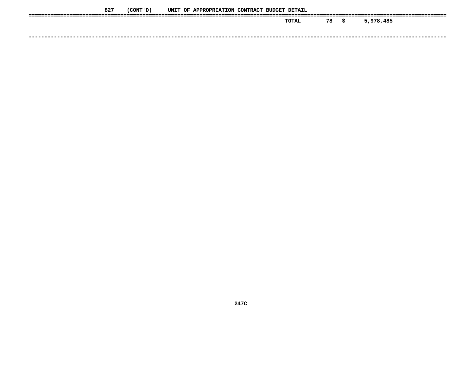| 827 | (CONT ' D ) |  | UNIT OF APPROPRIATION CONTRACT BUDGET DETAIL |  |       |    |    |           |
|-----|-------------|--|----------------------------------------------|--|-------|----|----|-----------|
|     |             |  |                                              |  | TOTAL | 78 | S. | 5,978,485 |
|     |             |  |                                              |  |       |    |    |           |
|     |             |  |                                              |  |       |    |    |           |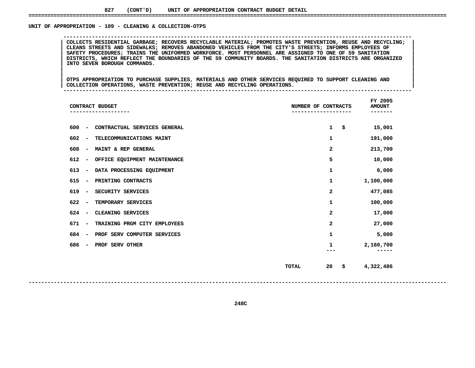### **827(CONT'D) UNIT OF APPROPRIATION CONTRACT BUDGET DETAIL ====================================================================================================================================**

### UNIT OF APPROPRIATION - 109 - CLEANING & COLLECTION-OTPS

 **OF APPROPRIATION - <sup>109</sup> - CLEANING & COLLECTION-OTPS -------------------------------------------------------------------------------------------------------------- <sup>|</sup> COLLECTS RESIDENTIAL GARBAGE; RECOVERS RECYCLABLE MATERIAL; PROMOTES WASTE PREVENTION, REUSE AND RECYCLING; <sup>|</sup> <sup>|</sup> CLEANS STREETS AND SIDEWALKS; REMOVES ABANDONED VEHICLES FROM THE CITY'S STREETS; INFORMS EMPLOYEES OF <sup>|</sup> <sup>|</sup>**SAFETY PROCEDURES; TRAINS THE UNIFORMED WORKFORCE. MOST PERSONNEL ARE ASSIGNED TO ONE OF 59 SANITATION<br>DISTRICTS, WHICH REFLECT THE BOUNDARIES OF THE 59 COMMUNITY BOARDS. THE SANITATION DISTRICTS ARE ORGANIZED<br>INTO SEVEN B DISTRICTS, WHICH REFLECT THE BOUNDARIES OF THE 59 COMMUNITY BOARDS. THE SANITATION DISTRICTS ARE ORGANIZED<br>INTO SEVEN BOROUGH COMMANDS.<br>| **INTO SEVEN BOROUGH COMMANDS. <sup>|</sup> <sup>|</sup>**

 **<sup>|</sup> <sup>|</sup>**|<br>| OTPS APPROPRIATION TO PURCHASE SUPPLIES, MATERIALS AND OTHER SERVICES REQUIRED TO SUPPORT CLEANING AND<br>| COLLECTION OPERATIONS, WASTE PREVENTION; REUSE AND RECYCLING OPERATIONS. **OTPS APPROPRIATION TO PURCHASE SUPPLIES, MATERIALS AND OTHER SERVICES REQUIRED TO SUPPORT CLEANING AND <sup>|</sup> <sup>|</sup>COLLECTION OPERATIONS, WASTE PREVENTION; REUSE AND RECYCLING OPERATIONS. <sup>|</sup> --------------------------------------------------------------------------------------------------------------**

| CONTRACT BUDGET                                                 | NUMBER OF CONTRACTS      | FY 2005<br><b>AMOUNT</b> |
|-----------------------------------------------------------------|--------------------------|--------------------------|
| 600<br>CONTRACTUAL SERVICES GENERAL<br>$\overline{\phantom{a}}$ | \$<br>1                  | 15,001                   |
| 602<br>TELECOMMUNICATIONS MAINT<br>$\overline{\phantom{a}}$     | 1                        | 191,000                  |
| 608<br>MAINT & REP GENERAL<br>$\overline{\phantom{a}}$          | 2                        | 213,700                  |
| 612<br>OFFICE EQUIPMENT MAINTENANCE<br>$\overline{\phantom{a}}$ | 5                        | 10,000                   |
| 613<br>DATA PROCESSING EQUIPMENT<br>$\overline{\phantom{a}}$    | 1                        | 6,000                    |
| 615<br>PRINTING CONTRACTS<br>$\overline{\phantom{a}}$           | 1                        | 1,100,000                |
| 619<br>SECURITY SERVICES<br>$\overline{\phantom{a}}$            | 2                        | 477,085                  |
| 622<br>TEMPORARY SERVICES<br>$\overline{\phantom{a}}$           | 1                        | 100,000                  |
| 624<br>CLEANING SERVICES<br>$\overline{\phantom{a}}$            | 2                        | 17,000                   |
| 671<br>TRAINING PRGM CITY EMPLOYEES<br>$\overline{\phantom{a}}$ | $\mathbf{z}$             | 27,000                   |
| 684<br>PROF SERV COMPUTER SERVICES<br>$\overline{\phantom{a}}$  | 1                        | 5,000                    |
| 686<br>PROF SERV OTHER<br>-                                     | 1                        | 2,160,700                |
|                                                                 |                          |                          |
|                                                                 | \$<br>20<br><b>TOTAL</b> | 4,322,486                |
|                                                                 |                          |                          |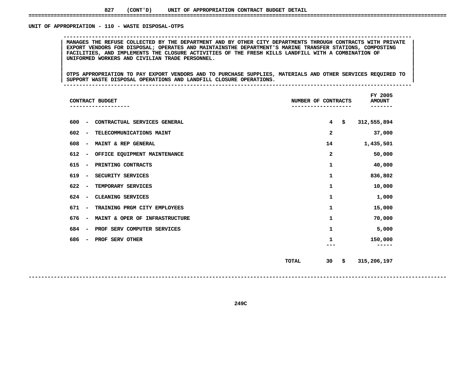### UNIT OF APPROPRIATION - 110 - WASTE DISPOSAL-OTPS

MANAGES THE REFUSE COLLECTED BY THE DEPARTMENT AND BY OTHER CITY DEPARTMENTS THROUGH CONTRACTS WITH PRIVATE |<br>| EXPORT VENDORS FOR DISPOSAL; OPERATES AND MAINTAINSTHE DEPARTMENT'S MARINE TRANSFER STATIONS, COMPOSTING<br>| FAC **EXPORT VENDORS FOR DISPOSAL; OPERATES AND MAINTAINSTHE DEPARTMENT'S MARINE TRANSFER STATIONS, COMPOSTING <sup>|</sup> <sup>|</sup> FACILITIES, AND IMPLEMENTS THE CLOSURE ACTIVITIES OF THE FRESH KILLS LANDFILL WITH <sup>A</sup> COMBINATION OF <sup>|</sup> <sup>|</sup>UNIFORMED WORKERS AND CIVILIAN TRADE PERSONNEL. <sup>|</sup> <sup>|</sup>**

**OF APPROPRIATION - <sup>110</sup> - WASTE DISPOSAL-OTPS --------------------------------------------------------------------------------------------------------------**

|<br>| OTPS APPROPRIATION TO PAY EXPORT VENDORS AND TO PURCHASE SUPPLIES, MATERIALS AND OTHER SERVICES REQUIRED TO |<br>| OTPS APPROPRIATION TO PAY EXPORT VENDORS AND TO PURCHASE SUPPLIES, MATERIALS AND OTHER SERVICES REQUIRED TO<br>| SUPPORT WASTE DISPOSAL OPERATIONS AND LANDFILL CLOSURE OPERATIONS. **OTPS APPROPRIATION TO PAY EXPORT VENDORS AND TO PURCHASE SUPPLIES, MATERIALS AND OTHER SERVICES REQUIRED TO <sup>|</sup> <sup>|</sup>SUPPORT WASTE DISPOSAL OPERATIONS AND LANDFILL CLOSURE OPERATIONS. <sup>|</sup> --------------------------------------------------------------------------------------------------------------**

| CONTRACT BUDGET                                                     |              | NUMBER OF CONTRACTS  | FY 2005<br><b>AMOUNT</b> |
|---------------------------------------------------------------------|--------------|----------------------|--------------------------|
| 600<br>CONTRACTUAL SERVICES GENERAL<br>$\overline{\phantom{a}}$     |              | \$<br>$\overline{4}$ | 312,555,894              |
| 602<br>TELECOMMUNICATIONS MAINT<br>$\qquad \qquad \blacksquare$     |              | 2                    | 37,000                   |
| 608<br>MAINT & REP GENERAL<br>$\overline{\phantom{a}}$              |              | 14                   | 1,435,501                |
| 612<br>OFFICE EQUIPMENT MAINTENANCE<br>$\qquad \qquad \blacksquare$ |              | 2                    | 50,000                   |
| 615<br>PRINTING CONTRACTS<br>$\overline{\phantom{a}}$               |              | 1                    | 40,000                   |
| 619<br>SECURITY SERVICES<br>$\overline{\phantom{a}}$                |              | $\mathbf 1$          | 836,802                  |
| 622<br>TEMPORARY SERVICES<br>$\overline{\phantom{a}}$               |              | $\mathbf 1$          | 10,000                   |
| 624<br>CLEANING SERVICES<br>$\qquad \qquad \blacksquare$            |              | 1                    | 1,000                    |
| 671<br>TRAINING PRGM CITY EMPLOYEES<br>$\overline{\phantom{a}}$     |              | 1                    | 15,000                   |
| 676<br>MAINT & OPER OF INFRASTRUCTURE<br>$\overline{\phantom{a}}$   |              | $\mathbf 1$          | 70,000                   |
| 684<br>PROF SERV COMPUTER SERVICES<br>$\overline{\phantom{a}}$      |              | 1                    | 5,000                    |
| 686<br>PROF SERV OTHER<br>-                                         |              | 1                    | 150,000                  |
|                                                                     |              |                      |                          |
|                                                                     | <b>TOTAL</b> | \$<br>30             | 315,206,197              |
|                                                                     |              |                      |                          |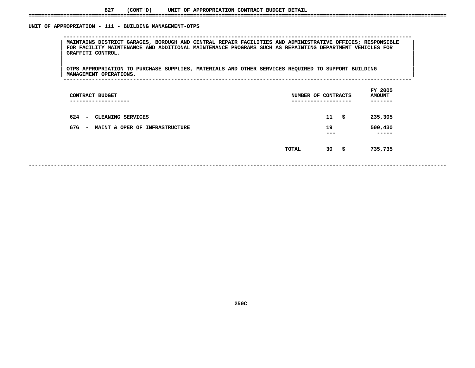### **827(CONT'D) UNIT OF APPROPRIATION CONTRACT BUDGET DETAIL ====================================================================================================================================**

## UNIT OF APPROPRIATION - 111 - BUILDING MANAGEMENT-OTPS **OF APPROPRIATION - <sup>111</sup> - BUILDING MANAGEMENT-OTPS -------------------------------------------------------------------------------------------------------------- <sup>|</sup> MAINTAINS DISTRICT GARAGES, BOROUGH AND CENTRAL REPAIR FACILITIES AND ADMINISTRATIVE OFFICES; RESPONSIBLE <sup>|</sup> <sup>|</sup> FOR FACILITY MAINTENANCE AND ADDITIONAL MAINTENANCE PROGRAMS SUCH AS REPAINTING DEPARTMENT VEHICLES FOR <sup>|</sup> <sup>|</sup> GRAFFITI CONTROL. <sup>|</sup> <sup>|</sup>**|<br>| OTPS\_APPROPRIATION\_TO\_PURCHASE\_SUPPLIES,\_MATERIALS\_AND\_OTHER\_SERVICES\_REQUIRED\_TO\_SUPPORT\_BUILDING\_\_\_\_\_\_\_\_\_\_\_\_ |<br>| OTPS APPROPRIATION TO PURCHASE SUPPLIES, MATERIALS AND OTHER SERVICES REQUIRED TO SUPPORT BUILDING<br>| MANAGEMENT OPERATIONS. **OTPS APPROPRIATION TO PURCHASE SUPPLIES, MATERIALS AND OTHER SERVICES REQUIRED TO SUPPORT BUILDING <sup>|</sup> <sup>|</sup> MANAGEMENT OPERATIONS. <sup>|</sup> -------------------------------------------------------------------------------------------------------------- FYAMOUNT**<br>-------**CONTRACT BUDGET NUMBER OF CONTRACTS AMOUNT ------------------- ------------------- ------- <sup>624</sup> - CLEANING SERVICES <sup>11</sup> \$ 235,305** 676 - MAINT & OPER OF INFRASTRUCTURE **- MAINT & OPER OF INFRASTRUCTURE <sup>19</sup> 500,430 -------- TOTAL**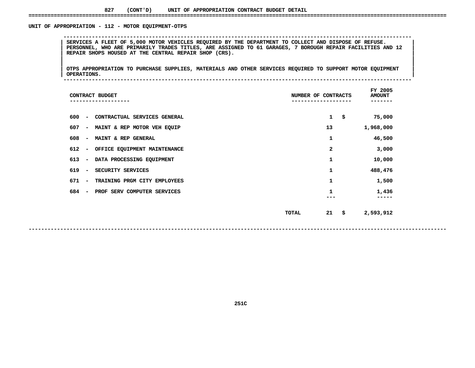### UNIT OF APPROPRIATION - 112 - MOTOR EQUIPMENT-OTPS

 **OF APPROPRIATION - <sup>112</sup> - MOTOR EQUIPMENT-OTPS --------------------------------------------------------------------------------------------------------------**SERVICES A FLEET OF 5,000 MOTOR VEHICLES REQUIRED BY THE DEPARTMENT TO COLLECT AND DISPOSE OF REFUSE.<br>PERSONNEL, WHO ARE PRIMARILY TRADES TITLES, ARE ASSIGNED TO 61 GARAGES, 7 BOROUGH REPAIR FACILITIES AND 12<br>REPAIR SHOPS PERSONNEL, WHO ARE PRIMARILY TRADES TITLES, ARE ASSIGNED TO 61 GARAGES, 7 BOROUGH REPAIR FACILITIES AND 12<br>REPAIR SHOPS HOUSED AT THE CENTRAL REPAIR SHOP (CRS).<br>| **REPAIR SHOPS HOUSED AT THE CENTRAL REPAIR SHOP (CRS). <sup>|</sup> <sup>|</sup>**

|<br>| OTPS\_APPROPRIATION TO PURCHASE SUPPLIES, MATERIALS AND OTHER SERVICES REQUIRED TO SUPPORT MOTOR EQUIPMENT |<br>| OTPS APPROPRIATION TO PURCHASE SUPPLIES, MATERIALS AND OTHER SERVICES REQUIRED TO SUPPORT MOTOR EQUIPMENT<br>| OPERATIONS. **OTPS APPROPRIATION TO PURCHASE SUPPLIES, MATERIALS AND OTHER SERVICES REQUIRED TO SUPPORT MOTOR EQUIPMENT <sup>|</sup> <sup>|</sup>OPERATIONS. <sup>|</sup> --------------------------------------------------------------------------------------------------------------**

| CONTRACT BUDGET                                                 | NUMBER OF CONTRACTS |      | FY 2005<br><b>AMOUNT</b> |
|-----------------------------------------------------------------|---------------------|------|--------------------------|
| 600<br>CONTRACTUAL SERVICES GENERAL<br>$\overline{\phantom{m}}$ | $\mathbf{1}$        | - \$ | 75,000                   |
| 607<br>MAINT & REP MOTOR VEH EQUIP<br>$\overline{\phantom{a}}$  | 13                  |      | 1,968,000                |
| 608<br>MAINT & REP GENERAL<br>$\overline{\phantom{a}}$          | 1                   |      | 46,500                   |
| 612<br>OFFICE EQUIPMENT MAINTENANCE<br>$\overline{\phantom{a}}$ | $\mathbf{z}$        |      | 3,000                    |
| 613<br>DATA PROCESSING EQUIPMENT<br>$\overline{\phantom{m}}$    | 1                   |      | 10,000                   |
| 619<br>SECURITY SERVICES<br>$\overline{\phantom{a}}$            | 1                   |      | 488,476                  |
| 671<br>TRAINING PRGM CITY EMPLOYEES<br>$\overline{\phantom{m}}$ | 1                   |      | 1,500                    |
| 684<br>PROF SERV COMPUTER SERVICES<br>$\overline{\phantom{m}}$  |                     |      | 1,436                    |
|                                                                 | 21<br>TOTAL         | \$   | 2,593,912                |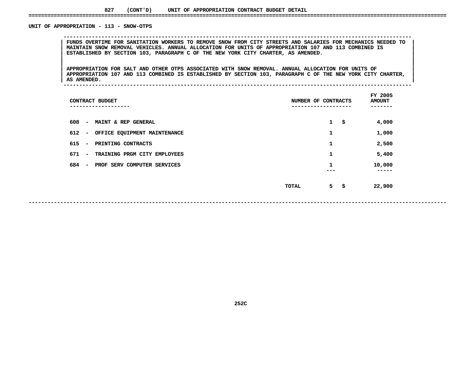# UNIT OF APPROPRIATION - 113 - SNOW-OTPS

 **OF APPROPRIATION - <sup>113</sup> - SNOW-OTPS --------------------------------------------------------------------------------------------------------------**FUNDS OVERTIME FOR SANITATION WORKERS TO REMOVE SNOW FROM CITY STREETS AND SALARIES FOR MECHANICS NEEDED TO<br>MAINTAIN SNOW REMOVAL VEHICLES. ANNUAL ALLOCATION FOR UNITS OF APPROPRIATION 107 AND 113 COMBINED IS<br>ESTABLISHED B **MAINTAIN SNOW REMOVAL VEHICLES. ANNUAL ALLOCATION FOR UNITS OF APPROPRIATION <sup>107</sup> AND <sup>113</sup> COMBINED IS <sup>|</sup> <sup>|</sup>ESTABLISHED BY SECTION 103, PARAGRAPH <sup>C</sup> OF THE NEW YORK CITY CHARTER, AS AMENDED. <sup>|</sup> <sup>|</sup>**

**|**<br>| APPROPRIATION FOR SALT AND OTHER OTPS ASSOCIATED WITH SNOW REMOVAL. ANNUAL ALLOCATION FOR UNITS OF APPROPRIATION FOR SALT AND OTHER OTPS ASSOCIATED WITH SNOW REMOVAL. ANNUAL ALLOCATION FOR UNITS OF **APPROPRIATION 107 AND 113 COMBINED** IS ESTABLISHED BY SECTION 103, PARAGRAPH C OF THE NEW YORK CITY CHARTER, **APPROPRIATION FOR SALT AND OTHER OTPS ASSOCIATED WITH SNOW REMOVAL. ANNUAL ALLOCATION FOR UNITS OF <sup>|</sup> <sup>|</sup>**APPROPRIATION 107 AND 113 COMBINED IS ESTABLISHED BY SECTION 103, PARAGRAPH C OF THE NEW YORK CITY CHARTER, **AS AMENDED. <sup>|</sup> --------------------------------------------------------------------------------------------------------------**

| CONTRACT BUDGET<br>---------                                        | NUMBER OF CONTRACTS |              | FY 2005<br><b>AMOUNT</b><br>---- |
|---------------------------------------------------------------------|---------------------|--------------|----------------------------------|
| 608<br>MAINT & REP GENERAL<br>$\overline{\phantom{a}}$              |                     | $\mathbf{1}$ | \$<br>4,000                      |
| 612<br>OFFICE EQUIPMENT MAINTENANCE<br>$\qquad \qquad \blacksquare$ |                     | 1            | 1,000                            |
| 615<br>PRINTING CONTRACTS<br>$\overline{\phantom{0}}$               |                     | 1            | 2,500                            |
| 671<br>TRAINING PRGM CITY EMPLOYEES<br>$\overline{\phantom{a}}$     |                     | 1            | 5,400                            |
| 684<br>PROF SERV COMPUTER SERVICES<br>$\overline{\phantom{a}}$      |                     | 1<br>---     | 10,000<br>-----                  |
|                                                                     | TOTAL               | 5            | \$<br>22,900                     |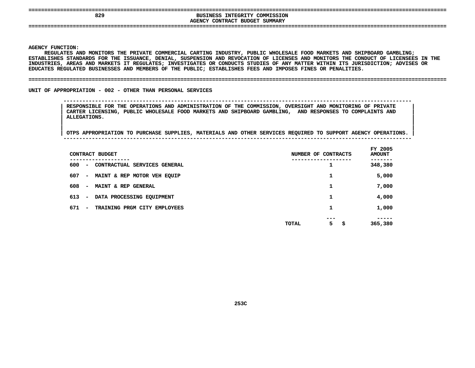| --                  |                                                                                                |       |
|---------------------|------------------------------------------------------------------------------------------------|-------|
| 829                 | COMMISSION<br><b>INTEGRITY</b><br><b>BUSINESS</b><br>SUMMARY<br>CONTRACT .<br>BUDGET<br>AGENCY |       |
| ------------------- |                                                                                                | ----- |
|                     |                                                                                                |       |

**AGENCY**

Y FUNCTION:<br>REGULATES *P*<br>LISHES STAN **REGULATES AND MONITORS THE PRIVATE COMMERCIAL CARTING INDUSTRY, PUBLIC WHOLESALE FOOD MARKETS AND SHIPBOARD GAMBLING; ESTABLISHES**S STANDARDS FOR THE ISSUANCE, DENIAL, SUSPENSION AND REVOCATION OF LICENSES AND MONITORS THE CONDUCT OF LICENSEES IN THE<br>, AREAS AND MARKETS IT REGULATES; INVESTIGATES OR CONDUCTS STUDIES OF ANY MATTER WITHIN ITS JURISDICT **INDUSTRIES,**, AREAS AND MARKETS IT REGULATES; INVESTIGATES OR CONDUCTS STUDIES OF ANY MATTER WITHIN ITS JURISDICTION; ADVISES OR<br>EGULATED BUSINESSES AND MEMBERS OF THE PUBLIC; ESTABLISHES FEES AND IMPOSES FINES OR PENALITIES.<br>. **EDUCATES**

#### **REGULATED BUSINESSES AND MEMBERS OF THE PUBLIC; ESTABLISHES FEES AND IMPOSES FINES OR PENALITIES. ====================================================================================================================================**

UNIT OF APPROPRIATION - 002 - OTHER THAN PERSONAL SERVICES

 **OF APPROPRIATION - <sup>002</sup> - OTHER THAN PERSONAL SERVICES -------------------------------------------------------------------------------------------------------------- RESPONSIBLE FOR THE OPERATIONS AND ADMINISTRATION OF THE COMMISSION, OVERSIGHT AND MONITORING OF PRIVATE <sup>|</sup> CARTER LICENSING, PUBLIC WHOLESALE FOOD MARKETS AND SHIPBOARD GAMBLING, AND RESPONSES TO COMPLAINTS AND <sup>|</sup> ALLEGATIONS. <sup>|</sup>**

|<br>| OTPS APPROPRIATION TO PURCHASE SUPPLIES, MATERIALS AND OTHER SERVICES REQUIRED TO SUPPORT AGENCY OPERATIONS. | **<sup>|</sup> OTPS APPROPRIATION TO PURCHASE SUPPLIES, MATERIALS AND OTHER SERVICES REQUIRED TO SUPPORT AGENCY OPERATIONS. <sup>|</sup> --------------------------------------------------------------------------------------------------------------**

|                      | CONTRACT BUDGET                          |       | NUMBER OF CONTRACTS | FY 2005<br><b>AMOUNT</b> |
|----------------------|------------------------------------------|-------|---------------------|--------------------------|
| 600<br>$\sim$ $\sim$ | --------<br>CONTRACTUAL SERVICES GENERAL |       | 1                   | 348,380                  |
| 607<br>$\sim$        | MAINT & REP MOTOR VEH EQUIP              |       | 1                   | 5,000                    |
| 608<br>$\sim$        | <b>MAINT &amp; REP GENERAL</b>           |       | 1                   | 7,000                    |
| 613<br>$\sim$        | DATA PROCESSING EQUIPMENT                |       | 1                   | 4,000                    |
| 671<br>$\sim$        | TRAINING PRGM CITY EMPLOYEES             |       | 1                   | 1,000                    |
|                      |                                          | TOTAL | ---<br>5<br>\$      | -----<br>365,380         |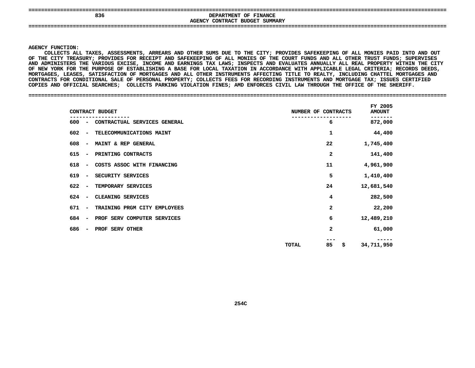| 836 | DEPARTMENT OF FINANCE<br>AGENCY CONTRACT BUDGET SUMMARY |
|-----|---------------------------------------------------------|
| --- |                                                         |

#### **AGENCY**

**Y FUNCTION:<br>COLLECTS AI<br>E CITY TREA COLLECTS**S ALL TAXES, ASSESSMENTS, ARREARS AND OTHER SUMS DUE TO THE CITY; PROVIDES SAFEKEEPING OF ALL MONIES PAID INTO AND OUT<br>TREASURY; PROVIDES FOR RECEIPT AND SAFEKEEPING OF ALL MONIES OF THE COURT FUNDS AND ALL OTHER TRUST FUN OF THE CITY TREASURY; PROVIDES FOR RECEIPT AND SAFEKEEPING OF ALL MONIES OF THE COURT FUNDS AND ALL OTHER TRUST FUNDS; SUPERVISES F THE CITY TREASURY; PROVIDES FOR RECEIPT AND SAFEKEEPING OF ALL MONIES OF THE COURT FUNDS AND ALL OTHER TRUST FUNDS; SUPERVISES<br>ND ADMINISTERS THE VARIOUS EXCISE, INCOME AND EARNINGS TAX LAWS; INSPECTS AND EVALUATES ANNUA **AND**D ADMINISTERS THE VARIOUS EXCISE, INCOME AND EARNINGS TAX LAWS; INSPECTS AND EVALUATES ANNUALLY ALL REAL PROPERTY WITHIN THE CITY<br>NEW YORK FOR THE PURPOSE OF ESTABLISHING A BASE FOR LOCAL TAXATION IN ACCORDANCE WITH APPLIC OF NEW YORK FOR THE PURPOSE OF ESTABLISHING A F NEW YORK FOR THE PURPOSE OF ESTABLISHING A BASE FOR LOCAL TAXATION IN ACCORDANCE WITH APPLICABLE LEGAL CRITERIA; RECORDS DEEDS,<br>ORTGAGES, LEASES, SATISFACTION OF MORTGAGES AND ALL OTHER INSTRUMENTS AFFECTING TITLE TO REA **MORTGAGES,**, LEASES, SATISFACTION OF MORTGAGES AND ALL OTHER INSTRUMENTS AFFECTING TITLE TO REALTY, INCLUDING CHATTEL MORTGAGES AND<br>FOR CONDITIONAL SALE OF PERSONAL PROPERTY; COLLECTS FEES FOR RECORDING INSTRUMENTS AND MORTGAGE TAX; CONTRACTS FOR CONDITIONAL SALE OF PERSONAL PROPERTY: COLLECTS FEES FOR RECORDING INSTRUMENTS AND MORTGAGE TAX: ISSUES CERTIFIED S FOR CONDITIONAL SALE OF PERSONAL PROPERTY; COLLECTS FEES FOR RECORDING INSTRUMENTS AND MORTGAGE TAX; ISSUES CERTIFIED<br>ND OFFICIAL SEARCHES; COLLECTS PARKING VIOLATION FINES; AMD ENFORCES CIVIL LAW THROUGH THE OFFICE OF T **COPIES**

#### **AND OFFICIAL SEARCHES; COLLECTS PARKING VIOLATION FINES; AMD ENFORCES CIVIL LAW THROUGH THE OFFICE OF THE SHERIFF. ====================================================================================================================================**

|                                 | CONTRACT BUDGET              | NUMBER OF CONTRACTS | FY 2005<br><b>AMOUNT</b> |
|---------------------------------|------------------------------|---------------------|--------------------------|
| 600 –                           | CONTRACTUAL SERVICES GENERAL | 6                   | 872,000                  |
| 602<br>$\sim$                   | TELECOMMUNICATIONS MAINT     | 1                   | 44,400                   |
| 608<br>$\overline{\phantom{a}}$ | MAINT & REP GENERAL          | 22                  | 1,745,400                |
| 615<br>$\overline{\phantom{0}}$ | PRINTING CONTRACTS           | 2                   | 141,400                  |
| 618<br>$\overline{\phantom{a}}$ | COSTS ASSOC WITH FINANCING   | 11                  | 4,961,900                |
| 619<br>$\overline{\phantom{a}}$ | SECURITY SERVICES            | 5                   | 1,410,400                |
| 622<br>$\sim$                   | TEMPORARY SERVICES           | 24                  | 12,681,540               |
| 624<br>$\overline{\phantom{a}}$ | CLEANING SERVICES            | 4                   | 282,500                  |
| 671<br>$\sim$                   | TRAINING PRGM CITY EMPLOYEES | 2                   | 22,200                   |
| 684<br>$\overline{\phantom{a}}$ | PROF SERV COMPUTER SERVICES  | 6                   | 12,489,210               |
| 686<br>$\overline{\phantom{a}}$ | PROF SERV OTHER              | 2                   | 61,000                   |
|                                 |                              | 85<br>\$<br>TOTAL   | 34,711,950               |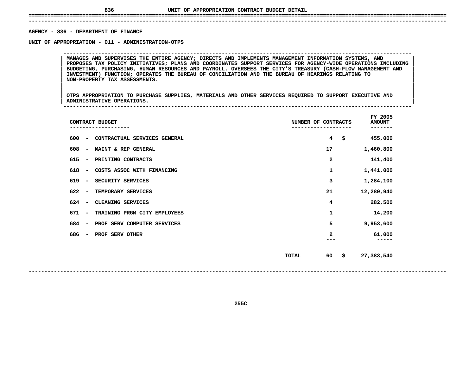**------------------------------------------------------------------------------------------------------------------------------------**AGENCY - 836 - DEPARTMENT OF FINANCE

**- <sup>836</sup> - DEPARTMENT OF FINANCE UNIT**

 **OF APPROPRIATION - <sup>011</sup> - ADMINISTRATION-OTPS --------------------------------------------------------------------------------------------------------------**PROPOSES TAX POLICY INITIATIVES; PLANS AND COORDINATES SUPPORT SERVICES FOR AGENCY-WIDE OPERATIONS INCLUDING **MANAGES AND SUPERVISES THE ENTIRE AGENCY; DIRECTS AND IMPLEMENTS MANAGEMENT INFORMATION SYSTEMS, AND <sup>|</sup> <sup>|</sup> PROPOSES TAX POLICY INITIATIVES; PLANS AND COORDINATES SUPPORT SERVICES FOR AGENCY-WIDE OPERATIONS INCLUDING <sup>|</sup> <sup>|</sup> BUDGETING, PURCHASING, HUMAN RESOURCES AND PAYROLL. OVERSEES THE CITY'S TREASURY (CASH-FLOW MANAGEMENT AND <sup>|</sup> <sup>|</sup> INVESTMENT) FUNCTION; OPERATES THE BUREAU OF CONCILIATION AND THE BUREAU OF HEARINGS RELATING TO <sup>|</sup> <sup>|</sup>NON-PROPERTY TAX ASSESSMENTS. <sup>|</sup> <sup>|</sup>**

|<br>| OTPS APPROPRIATION TO PURCHASE SUPPLIES, MATERIALS AND OTHER SERVICES REQUIRED TO SUPPORT EXECUTIVE AND |<br>| OTPS APPROPRIATION TO PURCHASE SUPPLIES, MATERIALS AND OTHER SERVICES REQUIRED TO SUPPORT EXECUTIVE AND<br>| ADMINISTRATIVE OPERATIONS. **OTPS APPROPRIATION TO PURCHASE SUPPLIES, MATERIALS AND OTHER SERVICES REQUIRED TO SUPPORT EXECUTIVE AND <sup>|</sup> <sup>|</sup>ADMINISTRATIVE OPERATIONS. <sup>|</sup> --------------------------------------------------------------------------------------------------------------**

| CONTRACT BUDGET<br>----------                                  | NUMBER OF CONTRACTS<br>---------- | FY 2005<br><b>AMOUNT</b><br>------- |
|----------------------------------------------------------------|-----------------------------------|-------------------------------------|
| 600<br>CONTRACTUAL SERVICES GENERAL                            | $\overline{4}$<br>\$              | 455,000                             |
| 608<br>MAINT & REP GENERAL                                     | 17                                | 1,460,800                           |
| 615<br>PRINTING CONTRACTS                                      | $\overline{\mathbf{2}}$           | 141,400                             |
| 618<br>COSTS ASSOC WITH FINANCING<br>$\overline{\phantom{a}}$  | 1                                 | 1,441,000                           |
| 619<br>SECURITY SERVICES<br>$\overline{\phantom{a}}$           | з                                 | 1,284,100                           |
| 622<br>TEMPORARY SERVICES<br>$\overline{\phantom{a}}$          | 21                                | 12,289,940                          |
| 624<br>CLEANING SERVICES                                       | 4                                 | 282,500                             |
| 671<br>TRAINING PRGM CITY EMPLOYEES                            | 1                                 | 14,200                              |
| 684<br>PROF SERV COMPUTER SERVICES<br>$\overline{\phantom{a}}$ | 5                                 | 9,953,600                           |
| 686<br>PROF SERV OTHER                                         | 2                                 | 61,000                              |
|                                                                |                                   |                                     |
|                                                                | \$<br>TOTAL<br>60                 | 27,383,540                          |
|                                                                |                                   |                                     |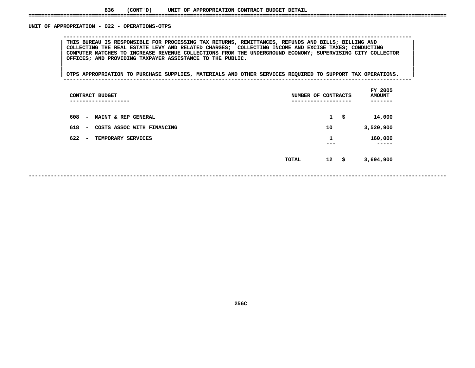# UNIT OF APPROPRIATION - 022 - OPERATIONS-OTPS

 **OF APPROPRIATION - <sup>022</sup> - OPERATIONS-OTPS --------------------------------------------------------------------------------------------------------------**THIS BUREAU IS RESPONSIBLE FOR PROCESSING TAX RETURNS, REMITTANCES, REFUNDS AND BILLS; BILLING AND<br>COLLECTING THE REAL ESTATE LEVY AND RELATED CHARGES; COLLECTING INCOME AND EXCISE TAXES; CONDUCTING **THIS BUREAU IS RESPONSIBLE FOR PROCESSING TAX RETURNS, REMITTANCES, REFUNDS AND BILLS; BILLING AND <sup>|</sup> <sup>|</sup> COLLECTING THE REAL ESTATE LEVY AND RELATED CHARGES; COLLECTING INCOME AND EXCISE TAXES; CONDUCTING <sup>|</sup> <sup>|</sup> COMPUTER MATCHES TO INCREASE REVENUE COLLECTIONS FROM THE UNDERGROUND ECONOMY; SUPERVISING CITY COLLECTOR <sup>|</sup> <sup>|</sup>OFFICES; AND PROVIDING TAXPAYER ASSISTANCE TO THE PUBLIC. <sup>|</sup> <sup>|</sup>**

|<br>| OTPS APPROPRIATION TO PURCHASE SUPPLIES, MATERIALS AND OTHER SERVICES REQUIRED TO SUPPORT TAX OPERATIONS. ||<br>| OTPS APPROPRIATION TO PURCHASE SUPPLIES, MATERIALS AND OTHER SERVICES REQUIRED TO SUPPORT TAX OPERATIONS. | **<sup>|</sup> <sup>|</sup>OTPS APPROPRIATION TO PURCHASE SUPPLIES, MATERIALS AND OTHER SERVICES REQUIRED TO SUPPORT TAX OPERATIONS. <sup>|</sup> --------------------------------------------------------------------------------------------------------------**

| CONTRACT BUDGET<br>-------------                      | NUMBER OF CONTRACTS<br>---------- | FY 2005<br><b>AMOUNT</b> |
|-------------------------------------------------------|-----------------------------------|--------------------------|
| 608<br>MAINT & REP GENERAL<br>$\blacksquare$          | $\mathbf{1}$                      | 14,000<br>\$             |
| 618<br>COSTS ASSOC WITH FINANCING<br>$\sim$           | 10                                | 3,520,900                |
| 622<br>TEMPORARY SERVICES<br>$\overline{\phantom{0}}$ | 1<br>---                          | 160,000<br>-----         |
|                                                       | 12<br>- \$<br><b>TOTAL</b>        | 3,694,900                |

**------------------------------------------------------------------------------------------------------------------------------------**

**256C**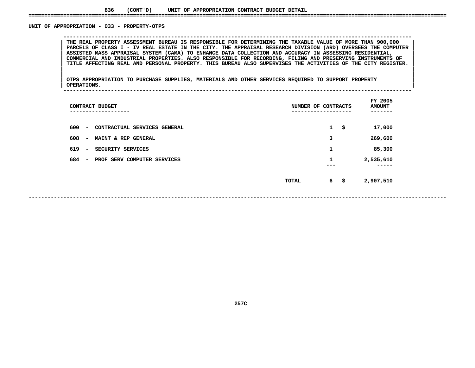# UNIT OF APPROPRIATION - 033 - PROPERTY-OTPS

 **OF APPROPRIATION - <sup>033</sup> - PROPERTY-OTPS --------------------------------------------------------------------------------------------------------------**THE REAL PROPERTY ASSESSMENT BUREAU IS RESPONSIBLE FOR DETERMINING THE TAXABLE VALUE OF MORE THAN 900,000<br>PARCELS OF CLASS I - IV REAL ESTATE IN THE CITY. THE APPRAISAL RESEARCH DIVISION (ARD) OVERSEES THE COMPUTER THE REAL PROPERTY ASSESSMENT BUREAU IS RESPONSIBLE FOR DETERMINING THE TAXABLE VALUE OF MORE THAN 900,000<br>PARCELS OF CLASS I - IV REAL ESTATE IN THE CITY. THE APPRAISAL RESEARCH DIVISION (ARD) OVERSEES THE COMPUTER<br>ASSISTE PARCELS OF CLASS I - IV REAL ESTATE IN THE CITY. THE APPRAISAL RESEARCH DIVISION (ARD) OVERSEES THE COMPUTER<br>ASSISTED MASS APPRAISAL SYSTEM (CAMA) TO ENHANCE DATA COLLECTION AND ACCURACY IN ASSESSING RESIDENTIAL,<br>COMMERCIA **ASSISTED MASS APPRAISAL SYSTEM (CAMA) TO ENHANCE DATA COLLECTION AND ACCURACY IN ASSESSING RESIDENTIAL, <sup>|</sup> <sup>|</sup> COMMERCIAL AND INDUSTRIAL PROPERTIES. ALSO RESPONSIBLE FOR RECORDING, FILING AND PRESERVING INSTRUMENTS OF <sup>|</sup> <sup>|</sup>**TITLE AFFECTING REAL AND PERSONAL PROPERTY. THIS BUREAU ALSO SUPERVISES THE ACTIVITIES OF THE CITY REGISTER.

|<br>| OTPS\_APPROPRIATION TO PURCHASE SUPPLIES, MATERIALS AND OTHER SERVICES REQUIRED TO SUPPORT PROPERTY<br>| OTPS\_APPROPRIATION TO PURCHASE SUPPLIES, MATERIALS AND OTHER SERVICES REQUIRED TO SUPPORT PROPERTY |<br>| OTPS APPROPRIATION TO PURCHASE SUPPLIES, MATERIALS AND OTHER SERVICES REQUIRED TO SUPPORT PROPERTY<br>| OPERATIONS. **OTPS APPROPRIATION TO PURCHASE SUPPLIES, MATERIALS AND OTHER SERVICES REQUIRED TO SUPPORT PROPERTY <sup>|</sup> <sup>|</sup>OPERATIONS. <sup>|</sup> --------------------------------------------------------------------------------------------------------------**

| CONTRACT BUDGET<br>--------                                     | NUMBER OF | CONTRACTS          | FY 2005<br><b>AMOUNT</b> |
|-----------------------------------------------------------------|-----------|--------------------|--------------------------|
| 600<br>CONTRACTUAL SERVICES GENERAL<br>$\overline{\phantom{a}}$ |           | $\mathbf{1}$<br>\$ | 17,000                   |
| 608<br>MAINT & REP GENERAL<br>$\overline{\phantom{a}}$          |           | 3                  | 269,600                  |
| 619<br>SECURITY SERVICES<br>$\overline{\phantom{a}}$            |           | 1                  | 85,300                   |
| 684<br>PROF SERV COMPUTER SERVICES<br>$\overline{\phantom{a}}$  |           | 1<br>---           | 2,535,610                |
|                                                                 | TOTAL     | 6<br>\$            | 2,907,510                |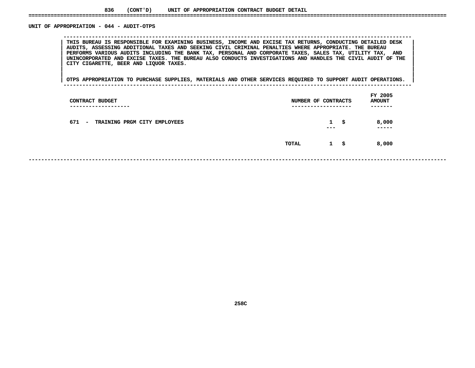#### UNIT OF APPROPRIATION - 044 - AUDIT-OTPS

 **OF APPROPRIATION - <sup>044</sup> - AUDIT-OTPS --------------------------------------------------------------------------------------------------------------**THIS BUREAU IS RESPONSIBLE FOR EXAMINING BUSINESS, INCOME AND EXCISE TAX RETURNS, CONDUCTING DETAILED DESK<br>AUDITS, ASSESSING ADDITIONAL TAXES AND SEEKING CIVIL CRIMINAL PENALTIES WHERE APPROPRIATE. THE BUREAU PERFORMS VARIOUS AUDITS INCLUDING THE BANK TAX, PERSONAL AND CORPORATE TAXES, SALES TAX, UTILITY TAX, AND **AUDITS, ASSESSING ADDITIONAL TAXES AND SEEKING CIVIL CRIMINAL PENALTIES WHERE APPROPRIATE. THE BUREAU <sup>|</sup> <sup>|</sup>**PERFORMS VARIOUS AUDITS INCLUDING THE BANK TAX, PERSONAL AND CORPORATE TAXES, SALES TAX, UTILITY TAX, AND<br>UNINCORPORATED AND EXCISE TAXES. THE BUREAU ALSO CONDUCTS INVESTIGATIONS AND HANDLES THE CIVIL AUDIT OF THE<br>CITY CIG UNINCORPORATED AND EXCISE TAXES. THE BUREAU ALSO CONDUCTS INVESTIGATIONS AND HANDLES THE CIVIL AUDIT OF THE CITY<br>| CITY CIGARETTE, BEER AND LIQUOR TAXES.<br>| **CITY CIGARETTE, BEER AND LIQUOR TAXES. <sup>|</sup> <sup>|</sup>**

|<br>|<br>| OTPS APPROPRIATION TO PURCHASE SUPPLIES, MATERIALS AND OTHER SERVICES REQUIRED TO SUPPORT AUDIT OPERATIONS. | **<sup>|</sup> <sup>|</sup>OTPS APPROPRIATION TO PURCHASE SUPPLIES, MATERIALS AND OTHER SERVICES REQUIRED TO SUPPORT AUDIT OPERATIONS. <sup>|</sup> --------------------------------------------------------------------------------------------------------------**

| CONTRACT BUDGET<br>---------------- | NUMBER OF CONTRACTS<br>---------------- |                     |    | FY 2005<br><b>AMOUNT</b><br>------- |  |
|-------------------------------------|-----------------------------------------|---------------------|----|-------------------------------------|--|
| 671 - TRAINING PRGM CITY EMPLOYEES  |                                         | $\mathbf{1}$<br>--- | S. | 8,000<br>-----                      |  |
|                                     | TOTAL                                   | 1 \$                |    | 8,000                               |  |
|                                     |                                         |                     |    |                                     |  |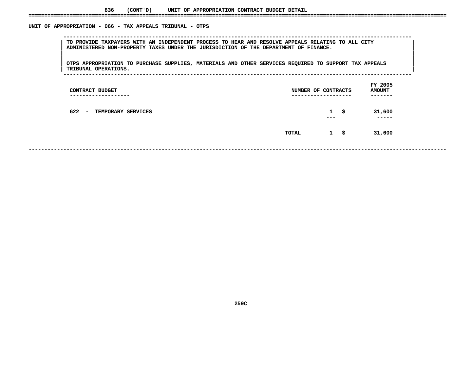# UNIT OF APPROPRIATION - 066 - TAX APPEALS TRIBUNAL - OTPS

 **OF APPROPRIATION - <sup>066</sup> - TAX APPEALS TRIBUNAL - OTPS --------------------------------------------------------------------------------------------------------------**TO PROVIDE TAXPAYERS WITH AN INDEPENDENT PROCESS TO HEAR AND RESOLVE APPEALS RELATING TO ALL CITY<br>| ADMINISTERED NON-PROPERTY TAXES UNDER THE JURISDICTION OF THE DEPARTMENT OF FINANCE.<br>| **ADMINISTERED NON-PROPERTY TAXES UNDER THE JURISDICTION OF THE DEPARTMENT OF FINANCE. <sup>|</sup> <sup>|</sup>**|<br>| OTPS APPROPRIATION TO PURCHASE SUPPLIES, MATERIALS AND OTHER SERVICES REQUIRED TO SUPPORT TAX APPEALS

|<br>| OTPS APPROPRIATION TO PURCHASE SUPPLIES, MATERIALS AND OTHER SERVICES REQUIRED TO SUPPORT TAX APPEALS<br>| TRIBUNAL OPERATIONS. **OTPS APPROPRIATION TO PURCHASE SUPPLIES, MATERIALS AND OTHER SERVICES REQUIRED TO SUPPORT TAX APPEALS <sup>|</sup> <sup>|</sup>TRIBUNAL OPERATIONS. <sup>|</sup> --------------------------------------------------------------------------------------------------------------**

| CONTRACT BUDGET<br>----------------        | NUMBER OF CONTRACTS<br>------------------- | FY 2005<br><b>AMOUNT</b><br>------- |
|--------------------------------------------|--------------------------------------------|-------------------------------------|
| 622<br><b>TEMPORARY SERVICES</b><br>$\sim$ | $1 \quad$ \$<br>$- - -$                    | 31,600<br>-----                     |
|                                            | $1 \quad$ \$<br>TOTAL                      | 31,600                              |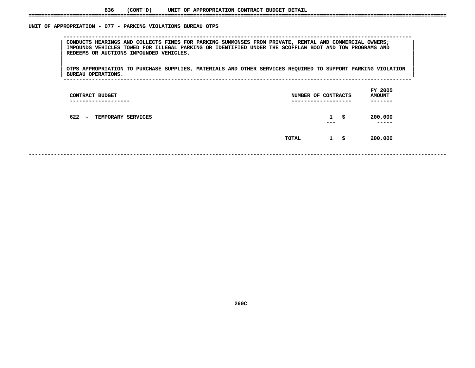# UNIT OF APPROPRIATION - 077 - PARKING VIOLATIONS BUREAU OTPS

 **OF APPROPRIATION - <sup>077</sup> - PARKING VIOLATIONS BUREAU OTPS --------------------------------------------------------------------------------------------------------------**CONDUCTS HEARINGS AND COLLECTS FINES FOR PARKING SUMMONSES FROM PRIVATE, RENTAL AND COMMERCIAL OWNERS;<br>IMPOUNDS VEHICLES TOWED FOR ILLEGAL PARKING OR IDENTIFIED UNDER THE SCOFFLAW BOOT AND TOW PROGRAMS AND<br>REDEEMS OR AUCTI IMPOUNDS VEHICLES TOWED FOR ILLEGAL PARKING OR IDENTIFIED UNDER THE SCOFFLAW BOOT AND TOW PROGRAMS AND<br>REDEEMS OR AUCTIONS IMPOUNDED VEHICLES. **REDEEMS OR AUCTIONS IMPOUNDED VEHICLES. <sup>|</sup> <sup>|</sup>**

|<br>| OTPS\_APPROPRIATION TO PURCHASE SUPPLIES, MATERIALS AND OTHER SERVICES REQUIRED TO SUPPORT PARKING VIOLATION |<br>| OTPS APPROPRIATION TO PURCHASE SUPPLIES, MATERIALS AND OTHER SERVICES REQUIRED TO SUPPORT PARKING VIOLATION<br>| BUREAU OPERATIONS. **OTPS APPROPRIATION TO PURCHASE SUPPLIES, MATERIALS AND OTHER SERVICES REQUIRED TO SUPPORT PARKING VIOLATION <sup>|</sup> <sup>|</sup>BUREAU OPERATIONS. <sup>|</sup> --------------------------------------------------------------------------------------------------------------**

|       |                         |     | FY 2005<br><b>AMOUNT</b><br>-------         |
|-------|-------------------------|-----|---------------------------------------------|
|       | $\mathbf{1}$<br>$- - -$ | -\$ | 200,000<br>-----                            |
| TOTAL | $\mathbf{1}$            | \$  | 200,000                                     |
|       |                         |     | NUMBER OF CONTRACTS<br>-------------------- |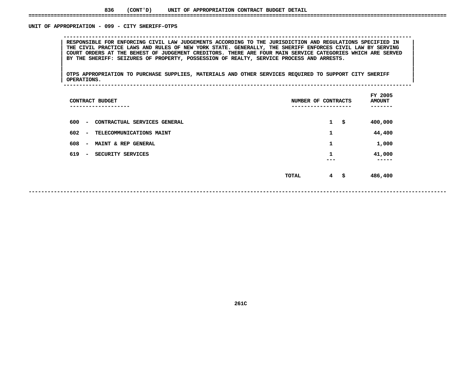# UNIT OF APPROPRIATION - 099 - CITY SHERIFF-OTPS

RESPONSIBLE FOR ENFORCING CIVIL LAW JUDGEMENTS ACCORDING TO THE JURISDICTION AND REGULATIONS SPECIFIED IN<br>THE CIVIL PRACTICE LAWS AND RULES OF NEW YORK STATE. GENERALLY, THE SHERIFF ENFORCES CIVIL LAW BY SERVING **RESPONSIBLE FOR ENFORCING CIVIL LAW JUDGEMENTS ACCORDING TO THE JURISDICTION AND REGULATIONS SPECIFIED IN <sup>|</sup> <sup>|</sup>**THE CIVIL PRACTICE LAWS AND RULES OF NEW YORK STATE. GENERALLY, THE SHERIFF ENFORCES CIVIL LAW BY SERVING<br>COURT ORDERS AT THE BEHEST OF JUDGEMENT CREDITORS. THERE ARE FOUR MAIN SERVICE CATEGORIES WHICH ARE SERVED<br>BY THE SH COURT ORDERS AT THE BEHEST OF JUDGEMENT CREDITORS. THERE ARE FOUR MAIN SERVICE CATEGORIES WHICH ARE SERVED<br>BY THE SHERIFF: SEIZURES OF PROPERTY, POSSESSION OF REALTY, SERVICE PROCESS AND ARRESTS.<br>| **BY THE SHERIFF: SEIZURES OF PROPERTY, POSSESSION OF REALTY, SERVICE PROCESS AND ARRESTS. <sup>|</sup> <sup>|</sup>**

**OF APPROPRIATION - <sup>099</sup> - CITY SHERIFF-OTPS --------------------------------------------------------------------------------------------------------------**

|<br>| OTPS\_APPROPRIATION TO PURCHASE SUPPLIES, MATERIALS AND OTHER SERVICES REQUIRED TO SUPPORT CITY SHERIFF |<br>| OTPS APPROPRIATION TO PURCHASE SUPPLIES, MATERIALS AND OTHER SERVICES REQUIRED TO SUPPORT CITY SHERIFF<br>| OPERATIONS. **OTPS APPROPRIATION TO PURCHASE SUPPLIES, MATERIALS AND OTHER SERVICES REQUIRED TO SUPPORT CITY SHERIFF <sup>|</sup> <sup>|</sup>**

|  |  | __________ |
|--|--|------------|

| CONTRACT BUDGET<br>--------                                     | NUMBER OF CONTRACTS | FY 2005<br><b>AMOUNT</b><br>----- |
|-----------------------------------------------------------------|---------------------|-----------------------------------|
| 600<br>CONTRACTUAL SERVICES GENERAL<br>$\overline{\phantom{a}}$ | $\mathbf{1}$<br>\$  | 400,000                           |
| 602<br>TELECOMMUNICATIONS MAINT<br>$\overline{\phantom{a}}$     | 1                   | 44,400                            |
| 608<br>MAINT & REP GENERAL<br>$\overline{\phantom{m}}$          | 1                   | 1,000                             |
| 619<br>SECURITY SERVICES<br>$\overline{\phantom{a}}$            | 1<br>---            | 41,000<br>-----                   |
|                                                                 | 4<br>TOTAL<br>\$    | 486,400                           |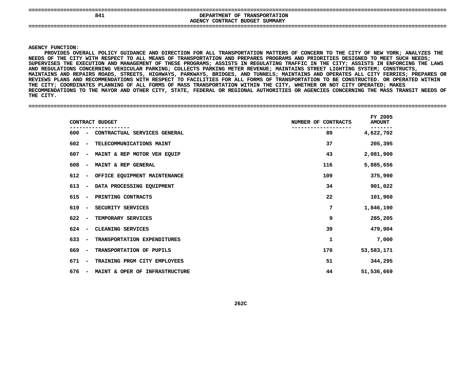| -----<br>----                     |                                                  |
|-----------------------------------|--------------------------------------------------|
| 841                               | OF<br><b>TRANSPORTATION</b><br><b>DEPARTMENT</b> |
|                                   | CONTRACT<br><b>BUDGET</b><br>SUMMARY             |
|                                   | <b>AGENCY</b>                                    |
| -------------------------<br>---- |                                                  |
|                                   |                                                  |
|                                   |                                                  |

#### **AGENCY**

**FUNCTION:<br>PROVIDES OV<br>OF THE CIT** PROVIDES OVERALL POLICY GUIDANCE AND DIRECTION FOR ALL TRANSPORTATION MATTERS OF CONCERN TO THE CITY OF NEW YORK: ANALYZES THE S OVERALL POLICY GUIDANCE AND DIRECTION FOR ALL TRANSPORTATION MATTERS OF CONCERN TO THE CITY OF NEW YORK; ANALYZES THE<br>CITY WITH RESPECT TO ALL MEANS OF TRANSPORTATION AND PREPARES PROGRAMS AND PRIORITIES DESIGNED TO MEET **NEEDS**NEEDS OF THE CITY WITH RESPECT TO ALL MEANS OF TRANSPORTATION AND PREPARES PROGRAMS AND PRIORITIES DESIGNED TO MEET SUCH NEEDS;<br>SUPERVISES THE EXECUTION AND MANAGEMENT OF THESE PROGRAMS; ASSISTS IN REGULATING TRAFFIC IN TH SUPERVISES THE EXECUTION AND MANAGEMENT OF THESE PROGRAMS: ASSISTS IN REGULATING TRAFFIC IN THE CITY: ASSISTS IN ENFORCING THE LAWS S THE EXECUTION AND MANAGEMENT OF THESE PROGRAMS; ASSISTS IN REGULATING TRAFFIC IN THE CITY; ASSISTS IN ENFORCING THE LAWS<br>ATIONS CONCERNING VEHICULAR PARKING; COLLECTS PARKING METER REVENUE; MAINTAINS STREET LIGHTING SYST **REGULATIONS CONCERNING VEHICULAR PARKING; COLLECTS PARKING METER REVENUE; MAINTAINS STREET LIGHTING SYSTEM; CONSTRUCTS, MAINTAINS**MAINTAINS AND REPAIRS ROADS, STREETS, HIGHWAYS, PARKWAYS, BRIDGES, AND TUNNELS; MAINTAINS AND OPERATES ALL CITY FERRIES; PREPARES OR<br>REVIEWS PLANS AND RECOMMENDATIONS WITH RESPECT TO FACILITIES FOR ALL FORMS OF TRANSPORTAT REVIEWS PLANS AND RECOMMENDATIONS WITH RESPECT TO FACILITIES FOR ALL FORMS OF TRANSPORTATION TO BE CONSTRUCTED. OR OPERATED WITHIN S PLANS AND RECOMMENDATIONS WITH RESPECT TO FACILITIES FOR ALL FORMS OF TRANSPORTATION TO BE CONSTRUCTED. OR OPERATED WITHIN<br>TY; COORDINATES PLANNING OF ALL FORMS OF MASS TRANSPORTATION WITHIN THE CITY, WHETHER OR NOT CITY E CITY; COORDINATES PLANNING OF ALL FORMS OF MASS TRANSPORTATION WITHIN THE CITY, WHETHER OR NOT CITY OPERATED; MAKES<br>COMMENDATIONS TO THE MAYOR AND OTHER CITY, STATE, FEDERAL OR REGIONAL AUTHORITIES OR AGENCIES CONCERNING **RECOMMENDATIONS TO THE MAYOR AND OTHER CITY, STATE, FEDERAL OR REGIONAL AUTHORITIES OR AGENCIES CONCERNING THE MASS TRANSIT NEEDS OF THE**

**CITY. ====================================================================================================================================**

| CONTRACT BUDGET                                                   | NUMBER OF CONTRACTS | FY 2005<br><b>AMOUNT</b> |  |
|-------------------------------------------------------------------|---------------------|--------------------------|--|
| CONTRACTUAL SERVICES GENERAL<br>$600 -$                           | 89                  | 4,622,702                |  |
| 602<br>TELECOMMUNICATIONS MAINT<br>$\overline{\phantom{a}}$       | 37                  | 205,395                  |  |
| MAINT & REP MOTOR VEH EQUIP<br>607<br>$\overline{\phantom{a}}$    | 43                  | 2,081,900                |  |
| 608<br>MAINT & REP GENERAL<br>$\overline{\phantom{a}}$            | 116                 | 5,885,656                |  |
| 612<br>OFFICE EQUIPMENT MAINTENANCE<br>$\overline{\phantom{a}}$   | 109                 | 375,990                  |  |
| 613<br>DATA PROCESSING EQUIPMENT<br>$\overline{\phantom{a}}$      | 34                  | 901,022                  |  |
| 615<br>PRINTING CONTRACTS<br>$\overline{\phantom{a}}$             | 22                  | 101,960                  |  |
| 619<br>SECURITY SERVICES<br>$\overline{\phantom{m}}$              | 7                   | 1,846,190                |  |
| 622<br>TEMPORARY SERVICES<br>$\overline{\phantom{a}}$             | 9                   | 285,205                  |  |
| 624<br>CLEANING SERVICES<br>$\overline{\phantom{a}}$              | 39                  | 479,904                  |  |
| 633<br>TRANSPORTATION EXPENDITURES<br>$\overline{\phantom{a}}$    | 1                   | 7,000                    |  |
| 669<br>TRANSPORTATION OF PUPILS<br>$\sim$                         | 170                 | 53,583,171               |  |
| 671<br>TRAINING PRGM CITY EMPLOYEES<br>$\overline{\phantom{a}}$   | 51                  | 344,295                  |  |
| 676<br>MAINT & OPER OF INFRASTRUCTURE<br>$\overline{\phantom{a}}$ | 44                  | 51,536,669               |  |
|                                                                   |                     |                          |  |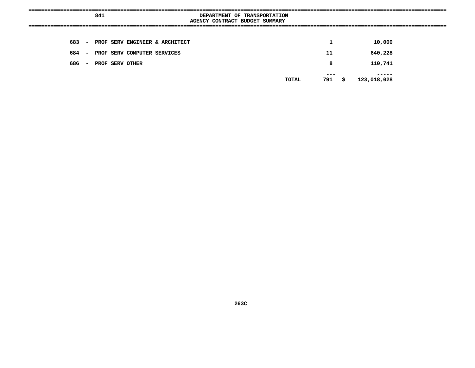| 841           |                                | DEPARTMENT OF TRANSPORTATION |                     |
|---------------|--------------------------------|------------------------------|---------------------|
|               | AGENCY CONTRACT BUDGET SUMMARY |                              |                     |
|               |                                |                              |                     |
|               |                                |                              |                     |
|               |                                |                              |                     |
| 683 –         | PROF SERV ENGINEER & ARCHITECT | 1                            | 10,000              |
|               |                                |                              |                     |
|               |                                |                              |                     |
| 684<br>$\sim$ | PROF SERV COMPUTER SERVICES    | 11                           | 640,228             |
|               |                                |                              |                     |
| 686<br>$\sim$ | PROF SERV OTHER                | 8                            | 110,741             |
|               |                                |                              |                     |
|               |                                | $- - -$                      |                     |
|               |                                | 791<br>TOTAL                 | 123,018,028<br>- \$ |
|               |                                |                              |                     |
|               |                                |                              |                     |
|               |                                |                              |                     |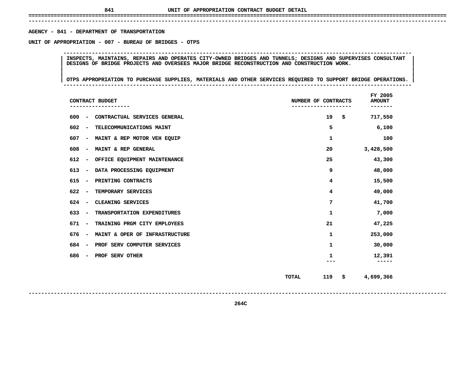# **------------------------------------------------------------------------------------------------------------------------------------**AGENCY - 841 - DEPARTMENT OF TRANSPORTATION

**- <sup>841</sup> - DEPARTMENT OF TRANSPORTATION UNIT**

 **OF APPROPRIATION - <sup>007</sup> - BUREAU OF BRIDGES - OTPS --------------------------------------------------------------------------------------------------------------**INSPECTS, MAINTAINS, REPAIRS AND OPERATES CITY-OWNED BRIDGES AND TUNNELS; DESIGNS AND SUPERVISES CONSULTANT<br>DESIGNS OF BRIDGE PROJECTS AND OVERSEES MAJOR BRIDGE RECONSTRUCTION AND CONSTRUCTION WORK.<br>| **DESIGNS OF BRIDGE PROJECTS AND OVERSEES MAJOR BRIDGE RECONSTRUCTION AND CONSTRUCTION WORK. <sup>|</sup> <sup>|</sup>**

|<br>|<br>| OTPS APPROPRIATION TO PURCHASE SUPPLIES, MATERIALS AND OTHER SERVICES REQUIRED TO SUPPORT BRIDGE OPERATIONS. | **<sup>|</sup> <sup>|</sup>OTPS APPROPRIATION TO PURCHASE SUPPLIES, MATERIALS AND OTHER SERVICES REQUIRED TO SUPPORT BRIDGE OPERATIONS. <sup>|</sup> --------------------------------------------------------------------------------------------------------------**

| CONTRACT BUDGET                                                 | NUMBER OF CONTRACTS | FY 2005<br><b>AMOUNT</b> |
|-----------------------------------------------------------------|---------------------|--------------------------|
| 600<br>CONTRACTUAL SERVICES GENERAL<br>-                        | 19                  | \$<br>717,550            |
| 602<br>TELECOMMUNICATIONS MAINT<br>-                            | 5                   | 6,100                    |
| 607<br>MAINT & REP MOTOR VEH EQUIP<br>-                         | 1                   | 100                      |
| 608<br>MAINT & REP GENERAL<br>-                                 | 20                  | 3,428,500                |
| 612<br>OFFICE EQUIPMENT MAINTENANCE<br>-                        | 25                  | 43,300                   |
| 613<br>DATA PROCESSING EQUIPMENT<br>$\qquad \qquad$             | 9                   | 48,000                   |
| 615<br>PRINTING CONTRACTS<br>$\overline{\phantom{a}}$           | 4                   | 15,500                   |
| 622<br>TEMPORARY SERVICES<br>$\overline{\phantom{a}}$           | 4                   | 49,000                   |
| 624<br>CLEANING SERVICES<br>$\overline{\phantom{a}}$            | 7                   | 41,700                   |
| 633<br>TRANSPORTATION EXPENDITURES<br>$\overline{\phantom{a}}$  | 1                   | 7,000                    |
| 671<br>TRAINING PRGM CITY EMPLOYEES<br>$\overline{\phantom{a}}$ | 21                  | 47,225                   |
| 676<br>MAINT & OPER OF INFRASTRUCTURE<br>$\qquad \qquad$        | 1                   | 253,000                  |
| 684<br>PROF SERV COMPUTER SERVICES<br>$\overline{\phantom{a}}$  | 1                   | 30,000                   |
| 686<br>PROF SERV OTHER<br>$\overline{\phantom{a}}$              | 1                   | 12,391<br>-----          |
|                                                                 | 119<br><b>TOTAL</b> | \$<br>4,699,366          |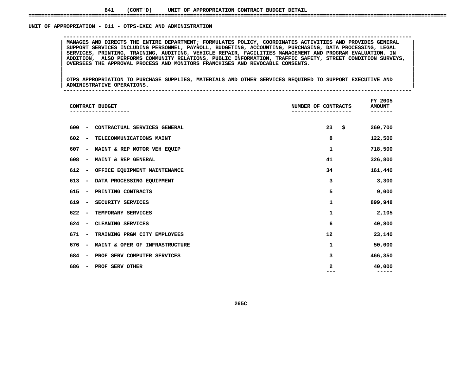# UNIT OF APPROPRIATION - 011 - OTPS-EXEC AND ADMINISTRATION

 **OF APPROPRIATION - <sup>011</sup> - OTPS-EXEC AND ADMINISTRATION --------------------------------------------------------------------------------------------------------------**MANAGES AND DIRECTS THE ENTIRE DEPARTMENT; FORMULATES POLICY, COORDINATES ACTIVITIES AND PROVIDES GENERAL<br>SUPPORT SERVICES INCLUDING PERSONNEL, PAYROLL, BUDGETING, ACCOUNTING, PURCHASING, DATA PROCESSING, LEGAL **MANAGES AND DIRECTS THE ENTIRE DEPARTMENT; FORMULATES POLICY, COORDINATES ACTIVITIES AND PROVIDES GENERAL <sup>|</sup> <sup>|</sup> SUPPORT SERVICES INCLUDING PERSONNEL, PAYROLL, BUDGETING, ACCOUNTING, PURCHASING, DATA PROCESSING, LEGAL <sup>|</sup> <sup>|</sup> SERVICES, PRINTING, TRAINING, AUDITING, VEHICLE REPAIR, FACILITIES MANAGEMENT AND PROGRAM EVALUATION. IN <sup>|</sup> <sup>|</sup> ADDITION, ALSO PERFORMS COMMUNITY RELATIONS, PUBLIC INFORMATION, TRAFFIC SAFETY, STREET CONDITION SURVEYS, <sup>|</sup> <sup>|</sup>OVERSEES THE APPROVAL PROCESS AND MONITORS FRANCHISES AND REVOCABLE CONSENTS. <sup>|</sup> <sup>|</sup>**

|<br>| OTPS APPROPRIATION TO PURCHASE SUPPLIES, MATERIALS AND OTHER SERVICES REQUIRED TO SUPPORT EXECUTIVE AND |<br>| OTPS APPROPRIATION TO PURCHASE SUPPLIES, MATERIALS AND OTHER SERVICES REQUIRED TO SUPPORT EXECUTIVE AND<br>| ADMINISTRATIVE OPERATIONS. **OTPS APPROPRIATION TO PURCHASE SUPPLIES, MATERIALS AND OTHER SERVICES REQUIRED TO SUPPORT EXECUTIVE AND <sup>|</sup> <sup>|</sup>ADMINISTRATIVE OPERATIONS. <sup>|</sup> --------------------------------------------------------------------------------------------------------------**

| CONTRACT BUDGET                     |                                | NUMBER OF CONTRACTS | FY 2005<br><b>AMOUNT</b> |
|-------------------------------------|--------------------------------|---------------------|--------------------------|
| 600<br>$\qquad \qquad$              | CONTRACTUAL SERVICES GENERAL   | 23                  | \$<br>260,700            |
|                                     |                                |                     |                          |
| 602<br>$\qquad \qquad$              | TELECOMMUNICATIONS MAINT       | 8                   | 122,500                  |
| 607<br>$\overline{\phantom{a}}$     | MAINT & REP MOTOR VEH EQUIP    | 1                   | 718,500                  |
| 608<br>$\qquad \qquad$              | MAINT & REP GENERAL            | 41                  | 326,800                  |
| 612<br>$\qquad \qquad \blacksquare$ | OFFICE EQUIPMENT MAINTENANCE   | 34                  | 161,440                  |
| 613<br>$\qquad \qquad \blacksquare$ | DATA PROCESSING EQUIPMENT      | з                   | 3,300                    |
| 615<br>$\qquad \qquad$              | PRINTING CONTRACTS             | 5                   | 9,000                    |
| 619<br>$\qquad \qquad$              | SECURITY SERVICES              | 1                   | 899,948                  |
| 622<br>$\qquad \qquad$              | TEMPORARY SERVICES             | 1                   | 2,105                    |
| 624<br>$\overline{\phantom{a}}$     | CLEANING SERVICES              | 6                   | 40,800                   |
| 671<br>$\qquad \qquad$              | TRAINING PRGM CITY EMPLOYEES   | 12                  | 23,140                   |
| 676<br>$\overline{\phantom{a}}$     | MAINT & OPER OF INFRASTRUCTURE | 1                   | 50,000                   |
| 684<br>$\qquad \qquad$              | PROF SERV COMPUTER SERVICES    | 3                   | 466,350                  |
| 686<br>$\overline{\phantom{a}}$     | PROF SERV OTHER                | 2                   | 40,000<br>-----          |
|                                     |                                |                     |                          |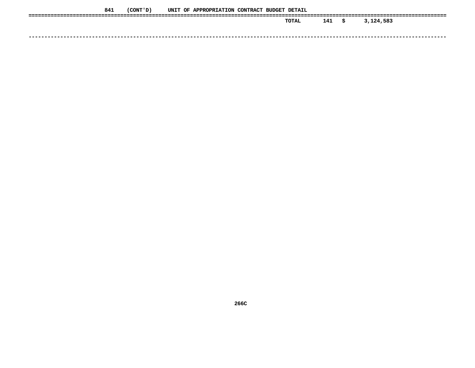| 841 | (CONT ' D ) |  | UNIT OF APPROPRIATION CONTRACT BUDGET DETAIL |  |              |     |   |           |
|-----|-------------|--|----------------------------------------------|--|--------------|-----|---|-----------|
|     |             |  |                                              |  | <b>TOTAL</b> | 141 | s | 3,124,583 |
|     |             |  |                                              |  |              |     |   |           |
|     |             |  |                                              |  |              |     |   |           |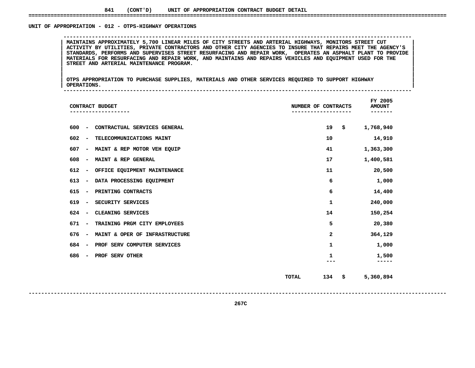# UNIT OF APPROPRIATION - 012 - OTPS-HIGHWAY OPERATIONS

 **OF APPROPRIATION - <sup>012</sup> - OTPS-HIGHWAY OPERATIONS --------------------------------------------------------------------------------------------------------------**ACTIVITY BY UTILITIES, PRIVATE CONTRACTORS AND OTHER CITY AGENCIES TO INSURE THAT REPAIRS MEET THE AGENCY'S **MAINTAINS APPROXIMATELY 5,700 LINEAR MILES OF CITY STREETS AND ARTERIAL HIGHWAYS, MONITORS STREET CUT <sup>|</sup> <sup>|</sup>**ACTIVITY BY UTILITIES, PRIVATE CONTRACTORS AND OTHER CITY AGENCIES TO INSURE THAT REPAIRS MEET THE AGENCY'S<br>STANDARDS, PERFORMS AND SUPERVISES STREET RESURFACING AND REPAIR WORK, OPERATES AN ASPHALT PLANT TO PROVIDE<br>MATERI STANDARDS, PERFORMS AND SUPERVISES STREET RESURFACING AND REPAIR WORK, OPERATES AN ASPHALT PLANT TO PROVIDE<br>MATERIALS FOR RESURFACING AND REPAIR WORK, AND MAINTAINS AND REPAIRS VEHICLES AND EQUIPMENT USED FOR THE<br>STREET AN MATERIALS FOR RESURFACING AND REPAIR WORK, AND MAINTAINS AND REPAIRS VEHICLES AND EQUIPMENT USED FOR THE<br>STREET AND ARTERIAL MAINTENANCE PROGRAM. **STREET AND ARTERIAL MAINTENANCE PROGRAM. <sup>|</sup> <sup>|</sup>**

|<br>| OTPS\_APPROPRIATION TO PURCHASE SUPPLIES, MATERIALS AND OTHER SERVICES REQUIRED TO SUPPORT HIGHWAY |<br>| OTPS APPROPRIATION TO PURCHASE SUPPLIES, MATERIALS AND OTHER SERVICES REQUIRED TO SUPPORT HIGHWAY<br>| OPERATIONS. **OTPS APPROPRIATION TO PURCHASE SUPPLIES, MATERIALS AND OTHER SERVICES REQUIRED TO SUPPORT HIGHWAY <sup>|</sup> <sup>|</sup>OPERATIONS. <sup>|</sup> --------------------------------------------------------------------------------------------------------------**

|     |                          | CONTRACT BUDGET                | NUMBER OF CONTRACTS | FY 2005<br><b>AMOUNT</b> |  |
|-----|--------------------------|--------------------------------|---------------------|--------------------------|--|
| 600 | $\overline{a}$           | CONTRACTUAL SERVICES GENERAL   | 19                  | \$<br>1,768,940          |  |
| 602 | $\overline{\phantom{a}}$ | TELECOMMUNICATIONS MAINT       | 10                  | 14,910                   |  |
| 607 | $\overline{\phantom{a}}$ | MAINT & REP MOTOR VEH EQUIP    | 41                  | 1,363,300                |  |
| 608 | $\overline{\phantom{a}}$ | MAINT & REP GENERAL            | 17                  | 1,400,581                |  |
| 612 | -                        | OFFICE EQUIPMENT MAINTENANCE   | 11                  | 20,500                   |  |
| 613 | $\overline{\phantom{a}}$ | DATA PROCESSING EQUIPMENT      | 6                   | 1,000                    |  |
| 615 | $\overline{\phantom{a}}$ | PRINTING CONTRACTS             | 6                   | 14,400                   |  |
| 619 | $\overline{\phantom{a}}$ | SECURITY SERVICES              | 1                   | 240,000                  |  |
| 624 | $\qquad \qquad$          | CLEANING SERVICES              | 14                  | 150,254                  |  |
| 671 | $\overline{\phantom{a}}$ | TRAINING PRGM CITY EMPLOYEES   | 5                   | 20,380                   |  |
| 676 | $\overline{\phantom{a}}$ | MAINT & OPER OF INFRASTRUCTURE | 2                   | 364,129                  |  |
| 684 | $\overline{\phantom{0}}$ | PROF SERV COMPUTER SERVICES    | 1                   | 1,000                    |  |
| 686 | $\overline{\phantom{a}}$ | PROF SERV OTHER                | 1<br>---            | 1,500<br>-----           |  |
|     |                          |                                | 134<br><b>TOTAL</b> | \$<br>5,360,894          |  |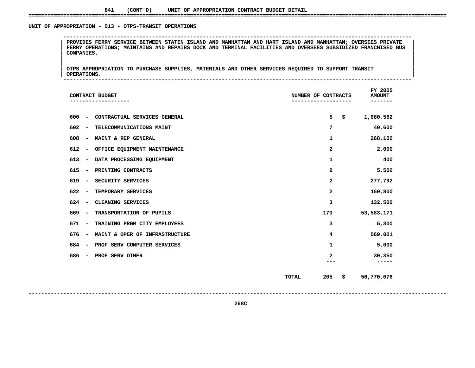# UNIT OF APPROPRIATION - 013 - OTPS-TRANSIT OPERATIONS

 **OF APPROPRIATION - <sup>013</sup> - OTPS-TRANSIT OPERATIONS --------------------------------------------------------------------------------------------------------------**| PROVIDES FERRY SERVICE BETWEEN STATEN ISLAND AND MANHATTAN AND HART ISLAND AND MANHATTAN; OVERSEES PRIVATE<br>| FERRY OPERATIONS; MAINTAINS AND REPAIRS DOCK AND TERMINAL FACILITIES AND OVERSEES SUBSIDIZED FRANCHISED BUS<br>| C **FERRY OPERATIONS; MAINTAINS AND REPAIRS DOCK AND TERMINAL FACILITIES AND OVERSEES SUBSIDIZED FRANCHISED BUS <sup>|</sup> <sup>|</sup>COMPANIES. <sup>|</sup> <sup>|</sup>**

|<br>| OTPS\_APPROPRIATION TO PURCHASE SUPPLIES, MATERIALS AND OTHER SERVICES REQUIRED TO SUPPORT TRANSIT |<br>| OTPS APPROPRIATION TO PURCHASE SUPPLIES, MATERIALS AND OTHER SERVICES REQUIRED TO SUPPORT TRANSIT<br>| OPERATIONS. **OTPS APPROPRIATION TO PURCHASE SUPPLIES, MATERIALS AND OTHER SERVICES REQUIRED TO SUPPORT TRANSIT <sup>|</sup> <sup>|</sup>OPERATIONS. <sup>|</sup> --------------------------------------------------------------------------------------------------------------**

| CONTRACT BUDGET                                                 | NUMBER OF CONTRACTS       | FY 2005<br><b>AMOUNT</b> |
|-----------------------------------------------------------------|---------------------------|--------------------------|
| CONTRACTUAL SERVICES GENERAL<br>600<br>$\overline{\phantom{m}}$ | 5<br>\$                   | 1,680,562                |
| 602<br>TELECOMMUNICATIONS MAINT<br>$\overline{\phantom{a}}$     | 7                         | 40,600                   |
| 608<br>MAINT & REP GENERAL<br>$\overline{\phantom{a}}$          | 1                         | 268,100                  |
| 612<br>OFFICE EQUIPMENT MAINTENANCE<br>$\overline{\phantom{a}}$ | 2                         | 2,000                    |
| 613<br>DATA PROCESSING EQUIPMENT<br>$\overline{\phantom{a}}$    | 1                         | 400                      |
| 615<br>PRINTING CONTRACTS<br>$\overline{\phantom{a}}$           | 2                         | 5,500                    |
| 619<br>SECURITY SERVICES<br>$\overline{\phantom{a}}$            | $\mathbf{2}$              | 277,792                  |
| 622<br>TEMPORARY SERVICES<br>$\overline{\phantom{a}}$           | $\mathbf{2}$              | 169,800                  |
| CLEANING SERVICES<br>624<br>$\overline{\phantom{a}}$            | 3                         | 132,500                  |
| TRANSPORTATION OF PUPILS<br>669<br>$\overline{\phantom{a}}$     | 170                       | 53,583,171               |
| TRAINING PRGM CITY EMPLOYEES<br>671<br>$\overline{\phantom{a}}$ | 3                         | 5,300                    |
| 676<br>MAINT & OPER OF INFRASTRUCTURE<br>$\qquad \qquad -$      | 4                         | 569,001                  |
| 684<br>PROF SERV COMPUTER SERVICES<br>$\qquad \qquad -$         | 1                         | 5,000                    |
| 686<br>PROF SERV OTHER<br>$\overline{\phantom{a}}$              | 2                         | 30,350<br>-----          |
|                                                                 | 205<br><b>TOTAL</b><br>\$ | 56,770,076               |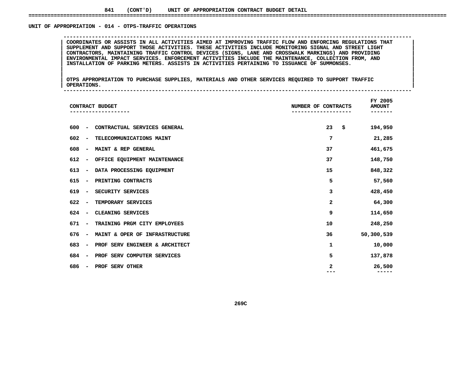# UNIT OF APPROPRIATION - 014 - OTPS-TRAFFIC OPERATIONS

 **OF APPROPRIATION - <sup>014</sup> - OTPS-TRAFFIC OPERATIONS --------------------------------------------------------------------------------------------------------------**COORDINATES OR ASSISTS IN ALL ACTIVITIES AIMED AT IMPROVING TRAFFIC FLOW AND ENFORCING REGULATIONS THAT<br>SUPPLEMENT AND SUPPORT THOSE ACTIVITIES. THESE ACTIVITIES INCLUDE MONITORING SIGNAL AND STREET LIGHT COORDINATES OR ASSISTS IN ALL ACTIVITIES AIMED AT IMPROVING TRAFFIC FLOW AND ENFORCING REGULATIONS THAT SUPPLEMENT AND SUPPORT THOSE ACTIVITIES. THESE ACTIVITIES INCLUDE MONITORING SIGNAL AND STREET LIGHT CONTRACTORS, MAIN **SUPPLEMENT AND SUPPORT THOSE ACTIVITIES. THESE ACTIVITIES INCLUDE MONITORING SIGNAL AND STREET LIGHT <sup>|</sup> <sup>|</sup> CONTRACTORS, MAINTAINING TRAFFIC CONTROL DEVICES (SIGNS, LANE AND CROSSWALK MARKINGS) AND PROVIDING <sup>|</sup> <sup>|</sup> ENVIRONMENTAL IMPACT SERVICES. ENFORCEMENT ACTIVITIES INCLUDE THE MAINTENANCE, COLLECTION FROM, AND <sup>|</sup> <sup>|</sup>INSTALLATION OF PARKING METERS. ASSISTS IN ACTIVITIES PERTAINING TO ISSUANCE OF SUMMONSES. <sup>|</sup> <sup>|</sup>**

|<br>| OTPS\_APPROPRIATION TO PURCHASE SUPPLIES, MATERIALS AND OTHER SERVICES REQUIRED TO SUPPORT TRAFFIC |<br>| OTPS APPROPRIATION TO PURCHASE SUPPLIES, MATERIALS AND OTHER SERVICES REQUIRED TO SUPPORT TRAFFIC<br>| OPERATIONS. **OTPS APPROPRIATION TO PURCHASE SUPPLIES, MATERIALS AND OTHER SERVICES REQUIRED TO SUPPORT TRAFFIC <sup>|</sup> <sup>|</sup>OPERATIONS. <sup>|</sup> --------------------------------------------------------------------------------------------------------------**

| CONTRACT BUDGET                                                   | NUMBER OF CONTRACTS | FY 2005<br><b>AMOUNT</b> |
|-------------------------------------------------------------------|---------------------|--------------------------|
| 600<br>CONTRACTUAL SERVICES GENERAL<br>$\qquad \qquad$            | 23<br>\$            | 194,950                  |
| 602<br>TELECOMMUNICATIONS MAINT<br>$\qquad \qquad$                | 7                   | 21,285                   |
| 608<br>MAINT & REP GENERAL<br>$\overline{\phantom{a}}$            | 37                  | 461,675                  |
| 612<br>OFFICE EQUIPMENT MAINTENANCE<br>$\qquad \qquad$            | 37                  | 148,750                  |
| 613<br>DATA PROCESSING EQUIPMENT<br>$\qquad \qquad$               | 15                  | 848,322                  |
| 615<br>PRINTING CONTRACTS<br>$\qquad \qquad$                      | 5                   | 57,560                   |
| 619<br>SECURITY SERVICES<br>$\qquad \qquad$                       | 3                   | 428,450                  |
| 622<br>TEMPORARY SERVICES<br>$\qquad \qquad$                      | 2                   | 64,300                   |
| 624<br>CLEANING SERVICES<br>$\qquad \qquad$                       | 9                   | 114,650                  |
| 671<br>TRAINING PRGM CITY EMPLOYEES<br>$\qquad \qquad$            | 10                  | 248,250                  |
| 676<br>MAINT & OPER OF INFRASTRUCTURE<br>$\overline{\phantom{a}}$ | 36                  | 50,300,539               |
| 683<br>PROF SERV ENGINEER & ARCHITECT<br>$\overline{\phantom{a}}$ | 1                   | 10,000                   |
| 684<br>PROF SERV COMPUTER SERVICES<br>$\qquad \qquad$             | 5                   | 137,878                  |
| 686<br>PROF SERV OTHER<br>$\overline{\phantom{a}}$                | 2                   | 26,500<br>-----          |
|                                                                   |                     |                          |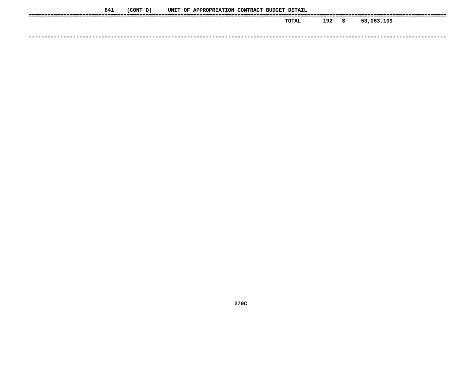| 841 | (CONT 'D) |  | UNIT OF APPROPRIATION CONTRACT BUDGET DETAIL |  |       |     |    |            |
|-----|-----------|--|----------------------------------------------|--|-------|-----|----|------------|
|     |           |  |                                              |  | TOTAL | 192 | S. | 53,063,109 |
|     |           |  |                                              |  |       |     |    |            |
|     |           |  |                                              |  |       |     |    |            |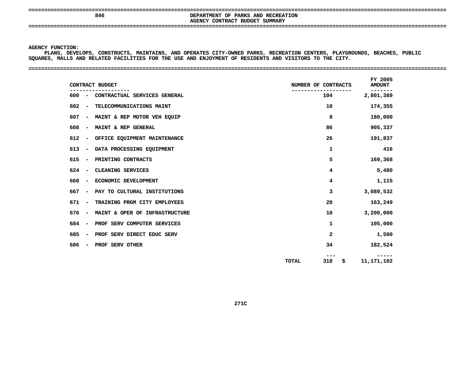# **====================================================================================================================================AGENCY**

 **<sup>846</sup> DEPARTMENT OF PARKS AND RECREATION CONTRACT BUDGET SUMMARY ====================================================================================================================================**

# **AGENCY**

Y FUNCTION:<br>PLANS, DEVE<br>ES, MALLS <mark>2</mark> **PLANS, DEVELOPS, CONSTRUCTS, MAINTAINS, AND OPERATES CITY-OWNED PARKS, RECREATION CENTERS, PLAYGROUNDS, BEACHES, PUBLIC SQUARES,**

#### **MALLS AND RELATED FACILITIES FOR THE USE AND ENJOYMENT OF RESIDENTS AND VISITORS TO THE CITY. ====================================================================================================================================**

| CONTRACT BUDGET                                                 | NUMBER OF CONTRACTS | FY 2005<br><b>AMOUNT</b> |
|-----------------------------------------------------------------|---------------------|--------------------------|
| CONTRACTUAL SERVICES GENERAL<br>600<br>$\sim$ $\sim$            | 104                 | 2,801,389                |
| 602<br>TELECOMMUNICATIONS MAINT<br>$\overline{\phantom{a}}$     | 10                  | 174,355                  |
| - MAINT & REP MOTOR VEH EQUIP<br>607                            | 8                   | 180,000                  |
| MAINT & REP GENERAL<br>608<br>$\overline{\phantom{a}}$          | 86                  | 905,337                  |
| 612<br>OFFICE EQUIPMENT MAINTENANCE<br>$\overline{\phantom{a}}$ | 26                  | 191,837                  |
| 613<br>DATA PROCESSING EQUIPMENT<br>$\overline{\phantom{a}}$    | $\mathbf{1}$        | 416                      |
| 615<br>PRINTING CONTRACTS<br>$\overline{\phantom{a}}$           | 5                   | 169,368                  |
| 624<br>CLEANING SERVICES<br>$\overline{\phantom{a}}$            | 4                   | 5,480                    |
| ECONOMIC DEVELOPMENT<br>660<br>$\blacksquare$                   | 4                   | 1,115                    |
| PAY TO CULTURAL INSTITUTIONS<br>667<br>$\blacksquare$           | 3                   | 3,089,532                |
| TRAINING PRGM CITY EMPLOYEES<br>671<br>$\overline{\phantom{a}}$ | 20                  | 163,249                  |
| MAINT & OPER OF INFRASTRUCTURE<br>676<br>$\sim$                 | 10                  | 3,200,000                |
| 684<br>PROF SERV COMPUTER SERVICES<br>$\overline{\phantom{a}}$  | 1                   | 105,000                  |
| PROF SERV DIRECT EDUC SERV<br>685<br>$\sim$ $-$                 | 2                   | 1,500                    |
| PROF SERV OTHER<br>686<br>$\sim$                                | 34                  | 182,524                  |
|                                                                 | 318<br>\$.<br>TOTAL | 11,171,102               |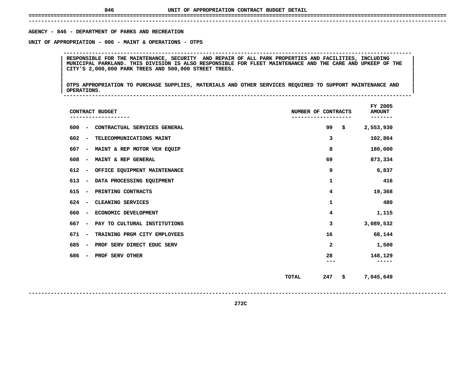**------------------------------------------------------------------------------------------------------------------------------------**AGENCY - 846 - DEPARTMENT OF PARKS AND RECREATION

**- <sup>846</sup> - DEPARTMENT OF PARKS AND RECREATION UNIT**

 **OF APPROPRIATION - <sup>006</sup> - MAINT & OPERATIONS - OTPS --------------------------------------------------------------------------------------------------------------**RESPONSIBLE FOR THE MAINTENANCE, SECURITY AND REPAIR OF ALL PARK PROPERTIES AND FACILITIES, INCLUDING<br>MUNICIPAL PARKLAND. THIS DIVISION IS ALSO RESPONSIBLE FOR FLEET MAINTENANCE AND THE CARE AND UPKEEP OF THE<br>CITY'S 2,000, MUNICIPAL PARKLAND. THIS DIVISION IS ALSO RESPONSIBLE FOR FLEET MAINTENANCE AND THE CARE AND UPKEEP OF THE<br>| CITY'S 2,000,000 PARK TREES AND 500,000 STREET TREES.<br>| **CITY'S 2,000,000 PARK TREES AND 500,000 STREET TREES. <sup>|</sup> <sup>|</sup>**

|<br>| OTPS\_APPROPRIATION TO PURCHASE SUPPLIES, MATERIALS AND OTHER SERVICES REQUIRED TO SUPPORT MAINTENANCE AND |<br>| OTPS APPROPRIATION TO PURCHASE SUPPLIES, MATERIALS AND OTHER SERVICES REQUIRED TO SUPPORT MAINTENANCE AND<br>| OPERATIONS. **OTPS APPROPRIATION TO PURCHASE SUPPLIES, MATERIALS AND OTHER SERVICES REQUIRED TO SUPPORT MAINTENANCE AND <sup>|</sup> <sup>|</sup>OPERATIONS. <sup>|</sup> --------------------------------------------------------------------------------------------------------------**

 **FY**AMOUNT<br>-------**CONTRACT BUDGET NUMBER OF CONTRACTS AMOUNT ------------------- ------------------- ------- <sup>600</sup> - CONTRACTUAL SERVICES GENERAL <sup>99</sup> \$ 2,553,930 602 - TELECOMMUNICATIONS MAINT <sup>3</sup> 102,864** 607 - MAINT & REP MOTOR VEH EQUIP **- MAINT & REP MOTOR VEH EQUIP <sup>8</sup> 180,000 608 - MAINT & REP GENERAL <sup>69</sup> 873,334 612 - OFFICE EQUIPMENT MAINTENANCE <sup>9</sup> 6,837** 613 - DATA PROCESSING EOUIPMENT **- DATA PROCESSING EQUIPMENT <sup>1</sup> <sup>416</sup>** 615 - PRINTING CONTRACTS **- PRINTING CONTRACTS <sup>4</sup> 19,368** 624 - CLEANING SERVICES **- CLEANING SERVICES <sup>1</sup> <sup>480</sup> 6604 1,115**<br> **667** - PAY TO CULTURAL INSTITUTIONS<br> **667** - PAY TO CULTURAL INSTITUTIONS **- PAY TO CULTURAL INSTITUTIONS <sup>3</sup> 3,089,532** 671 - TRAINING PRGM CITY EMPLOYEES **- TRAINING PRGM CITY EMPLOYEES <sup>16</sup> 68,144** 685 - PROF SERV DIRECT EDUC SERV **- PROF SERV DIRECT EDUC SERV <sup>2</sup> 1,500 686 - PROF SERV OTHER <sup>28</sup> 148,129 --- ----- TOTAL<sup>247</sup> \$ 7,045,649**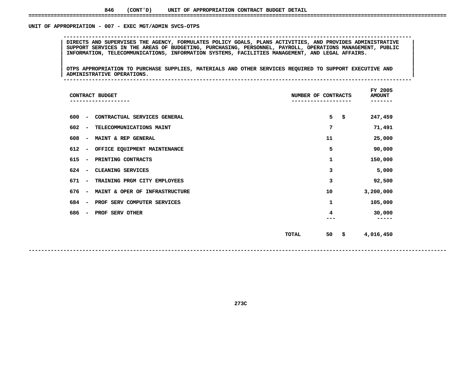# UNIT OF APPROPRIATION - 007 - EXEC MGT/ADMIN SVCS-OTPS

 **OF APPROPRIATION - <sup>007</sup> - EXEC MGT/ADMIN SVCS-OTPS -------------------------------------------------------------------------------------------------------------- <sup>|</sup> DIRECTS AND SUPERVISES THE AGENCY, FORMULATES POLICY GOALS, PLANS ACTIVITIES, AND PROVIDES ADMINISTRATIVE <sup>|</sup> <sup>|</sup> SUPPORT SERVICES IN THE AREAS OF BUDGETING, PURCHASING, PERSONNEL, PAYROLL, OPERATIONS MANAGEMENT, PUBLIC <sup>|</sup> <sup>|</sup>INFORMATION, TELECOMMUNICATIONS, INFORMATION SYSTEMS, FACILITIES MANAGEMENT, AND LEGAL AFFAIRS. <sup>|</sup> <sup>|</sup>**

|<br>| OTPS APPROPRIATION TO PURCHASE SUPPLIES, MATERIALS AND OTHER SERVICES REQUIRED TO SUPPORT EXECUTIVE AND |<br>| OTPS APPROPRIATION TO PURCHASE SUPPLIES, MATERIALS AND OTHER SERVICES REQUIRED TO SUPPORT EXECUTIVE AND<br>| ADMINISTRATIVE OPERATIONS. **OTPS APPROPRIATION TO PURCHASE SUPPLIES, MATERIALS AND OTHER SERVICES REQUIRED TO SUPPORT EXECUTIVE AND <sup>|</sup> <sup>|</sup>ADMINISTRATIVE OPERATIONS. <sup>|</sup> --------------------------------------------------------------------------------------------------------------**

|     |                          | CONTRACT BUDGET<br>---------   | NUMBER OF CONTRACTS | FY 2005<br><b>AMOUNT</b><br>. _ _ _ _ _ _ |    |           |
|-----|--------------------------|--------------------------------|---------------------|-------------------------------------------|----|-----------|
| 600 | $\overline{\phantom{a}}$ | CONTRACTUAL SERVICES GENERAL   |                     | 5                                         | \$ | 247,459   |
| 602 | $\overline{\phantom{a}}$ | TELECOMMUNICATIONS MAINT       | 7                   |                                           |    | 71,491    |
| 608 | $\overline{\phantom{a}}$ | MAINT & REP GENERAL            | 11                  |                                           |    | 25,000    |
| 612 | $\overline{\phantom{a}}$ | OFFICE EQUIPMENT MAINTENANCE   |                     | 5                                         |    | 90,000    |
| 615 | $\overline{\phantom{a}}$ | PRINTING CONTRACTS             |                     | 1                                         |    | 150,000   |
| 624 | $\overline{\phantom{a}}$ | CLEANING SERVICES              |                     | 3                                         |    | 5,000     |
| 671 | $\overline{\phantom{a}}$ | TRAINING PRGM CITY EMPLOYEES   |                     | з                                         |    | 92,500    |
| 676 | $\overline{\phantom{a}}$ | MAINT & OPER OF INFRASTRUCTURE | 10                  |                                           |    | 3,200,000 |
| 684 | $\overline{\phantom{a}}$ | PROF SERV COMPUTER SERVICES    | 1                   |                                           |    | 105,000   |
| 686 | $\qquad \qquad$          | PROF SERV OTHER                |                     | 4                                         |    | 30,000    |
|     |                          |                                | 50<br><b>TOTAL</b>  |                                           | \$ | 4,016,450 |

**273C**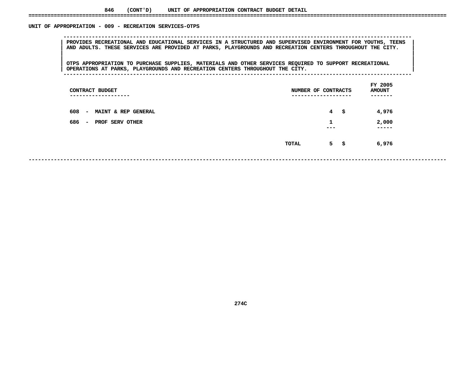# UNIT OF APPROPRIATION - 009 - RECREATION SERVICES-OTPS

 **OF APPROPRIATION - <sup>009</sup> - RECREATION SERVICES-OTPS --------------------------------------------------------------------------------------------------------------**PROVIDES RECREATIONAL AND EDUCATIONAL SERVICES IN A STRUCTURED AND SUPERVISED ENVIRONMENT FOR YOUTHS, TEENS<br>AND ADULTS. THESE SERVICES ARE PROVIDED AT PARKS, PLAYGROUNDS AND RECREATION CENTERS THROUGHOUT THE CITY.<br>| AND ADULTS. THESE SERVICES ARE PROVIDED AT PARKS, PLAYGROUNDS AND RECREATION CENTERS THROUGHOUT THE CITY.

|<br>| OTPS\_APPROPRIATION\_TO\_PURCHASE\_SUPPLIES,\_MATERIALS\_AND\_OTHER\_SERVICES\_REQUIRED\_TO\_SUPPORT\_RECREATIONAL |<br>| OTPS APPROPRIATION TO PURCHASE SUPPLIES, MATERIALS AND OTHER SERVICES REQUIRED TO SUPPORT RECREATIONAL<br>| OPERATIONS AT PARKS, PLAYGROUNDS AND RECREATION CENTERS THROUGHOUT THE CITY. **OTPS APPROPRIATION TO PURCHASE SUPPLIES, MATERIALS AND OTHER SERVICES REQUIRED TO SUPPORT RECREATIONAL <sup>|</sup> <sup>|</sup>OPERATIONS AT PARKS, PLAYGROUNDS AND RECREATION CENTERS THROUGHOUT THE CITY. <sup>|</sup> --------------------------------------------------------------------------------------------------------------**

| CONTRACT BUDGET<br>----------------                               | NUMBER OF CONTRACTS<br>--------------- | FY 2005<br><b>AMOUNT</b> |
|-------------------------------------------------------------------|----------------------------------------|--------------------------|
| 608<br><b>MAINT &amp; REP GENERAL</b><br>$\overline{\phantom{a}}$ | $\overline{4}$<br>- \$                 | 4,976                    |
| 686<br>PROF SERV OTHER<br>$\overline{\phantom{a}}$                | 1<br>---                               | 2,000<br>-----           |
|                                                                   | $5 -$<br>TOTAL<br>- \$                 | 6,976                    |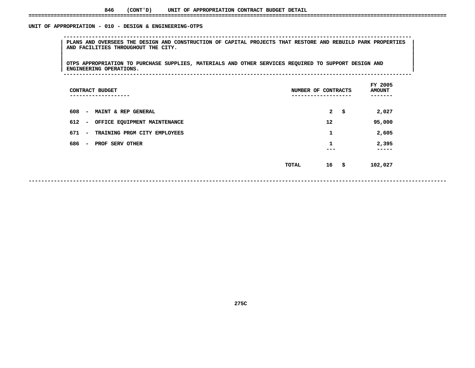# UNIT OF APPROPRIATION - 010 - DESIGN & ENGINEERING-OTPS

 **OF APPROPRIATION - <sup>010</sup> - DESIGN & ENGINEERING-OTPS --------------------------------------------------------------------------------------------------------------**PLANS AND OVERSEES THE DESIGN AND CONSTRUCTION OF CAPITAL PROJECTS THAT RESTORE AND REBUILD PARK PROPERTIES<br>| AND FACILITIES THROUGHOUT THE CITY.<br>| **AND FACILITIES THROUGHOUT THE CITY. <sup>|</sup> <sup>|</sup>**

|<br>| OTPS APPROPRIATION TO PURCHASE SUPPLIES, MATERIALS AND OTHER SERVICES REQUIRED TO SUPPORT DESIGN AND |<br>| OTPS APPROPRIATION TO PURCHASE SUPPLIES, MATERIALS AND OTHER SERVICES REQUIRED TO SUPPORT DESIGN AND<br>| ENGINEERING OPERATIONS. **OTPS APPROPRIATION TO PURCHASE SUPPLIES, MATERIALS AND OTHER SERVICES REQUIRED TO SUPPORT DESIGN AND <sup>|</sup> <sup>|</sup>ENGINEERING OPERATIONS. <sup>|</sup> --------------------------------------------------------------------------------------------------------------**

| CONTRACT BUDGET<br>------------                    | NUMBER OF CONTRACTS<br>----------- | FY 2005<br><b>AMOUNT</b> |
|----------------------------------------------------|------------------------------------|--------------------------|
| 608<br><b>MAINT &amp; REP GENERAL</b><br>$\sim$    | $\mathbf{2}$<br>-\$                | 2,027                    |
| 612 -<br>OFFICE EQUIPMENT MAINTENANCE              | 12                                 | 95,000                   |
| 671<br>TRAINING PRGM CITY EMPLOYEES<br>$\sim$      | 1                                  | 2,605                    |
| 686<br>PROF SERV OTHER<br>$\overline{\phantom{0}}$ | 1<br>---                           | 2,395<br>-----           |
|                                                    | $16 \quad$ \$<br>TOTAL             | 102,027                  |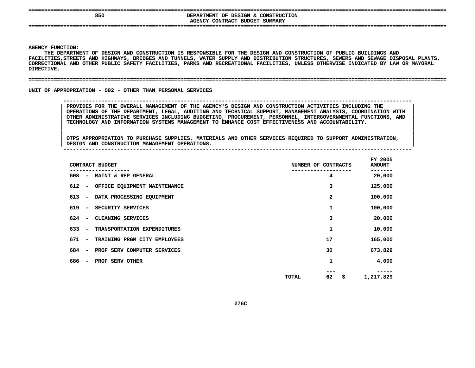# **====================================================================================================================================BEPARTMENT OF DESIGN & CONSTRUCTION<br>AGENCY CONTRACT BUDGET SUMMARY DEPARTMENT OF DESIGN & CONSTRUCTION**

**CONTRACT BUDGET SUMMARY ====================================================================================================================================**

#### **AGENCY**

**Y FUNCTION:<br>THE DEPARTM<br>ITIES,STREE** THE DEPARTMENT OF DESIGN AND CONSTRUCTION IS RESPONSIBLE FOR THE DESIGN AND CONSTRUCTION OF PUBLIC BUILDINGS AND **DEPARTMENT OF DESIGN AND CONSTRUCTION IS RESPONSIBLE FOR THE DESIGN AND CONSTRUCTION OF PUBLIC BUILDINGS AND FACILITIES,STREETS AND HIGHWAYS, BRIDGES AND TUNNELS, WATER SUPPLY AND DISTRIBUTION STRUCTURES, SEWERS AND SEWAGE DISPOSAL PLANTS,** CORRECTIONAL AND OTHER PUBLIC SAFETY FACILITIES, PARKS AND RECREATIONAL FACILITIES, UNLESS OTHERWISE INDICATED BY LAW OR MAYORAL<br>DIRECTIVE.<br>. **DIRECTIVE.**

#### **====================================================================================================================================**

UNIT OF APPROPRIATION - 002 - OTHER THAN PERSONAL SERVICES

# **OF APPROPRIATION - <sup>002</sup> - OTHER THAN PERSONAL SERVICES --------------------------------------------------------------------------------------------------------------**

 **PROVIDES FOR THE OVERALL MANAGEMENT OF THE AGENCY'S DESIGN AND CONSTRUCTION ACTIVITIES INCLUDING THE <sup>|</sup> OPERATIONS OF THE DEPARTMENT, LEGAL, AUDITING AND TECHNICAL SUPPORT, MANAGEMENT ANALYSIS, COORDINATION WITH <sup>|</sup> OTHER ADMINISTRATIVE SERVICES INCLUDING BUDGETING, PROCUREMENT, PERSONNEL, INTERGOVERNMENTAL FUNCTIONS, AND <sup>|</sup> TECHNOLOGY AND INFORMATION SYSTEMS MANAGEMENT TO ENHANCE COST EFFECTIVENESS AND ACCOUNTABILITY. <sup>|</sup>**

|<br>| OTPS APPROPRIATION TO PURCHASE SUPPLIES, MATERIALS AND OTHER SERVICES REQUIRED TO SUPPORT ADMINISTRATION, |<br>| OTPS APPROPRIATION TO PURCHASE SUPPLIES, MATERIALS AND OTHER SERVICES REQUIRED TO SUPPORT ADMINISTRATION,<br>| DESIGN AND CONSTRUCTION MANAGEMENT OPERATIONS. **OTPS APPROPRIATION TO PURCHASE SUPPLIES, MATERIALS AND OTHER SERVICES REQUIRED TO SUPPORT ADMINISTRATION, <sup>|</sup> DESIGN AND CONSTRUCTION MANAGEMENT OPERATIONS. <sup>|</sup> --------------------------------------------------------------------------------------------------------------**

|     |                          | CONTRACT BUDGET              | NUMBER OF CONTRACTS |    | FY 2005<br><b>AMOUNT</b> |
|-----|--------------------------|------------------------------|---------------------|----|--------------------------|
| 608 | $\overline{\phantom{a}}$ | MAINT & REP GENERAL          |                     | 4  | 20,000                   |
| 612 | $\overline{\phantom{a}}$ | OFFICE EQUIPMENT MAINTENANCE |                     | 3  | 125,000                  |
| 613 | $\overline{\phantom{a}}$ | DATA PROCESSING EQUIPMENT    |                     | 2  | 100,000                  |
| 619 | $\overline{\phantom{m}}$ | SECURITY SERVICES            |                     | 1  | 100,000                  |
| 624 | $\overline{\phantom{a}}$ | CLEANING SERVICES            |                     | 3  | 20,000                   |
| 633 | $\overline{\phantom{a}}$ | TRANSPORTATION EXPENDITURES  |                     | 1  | 10,000                   |
| 671 | $\overline{\phantom{a}}$ | TRAINING PRGM CITY EMPLOYEES |                     | 17 | 165,000                  |
| 684 | $\overline{\phantom{m}}$ | PROF SERV COMPUTER SERVICES  |                     | 30 | 673,829                  |
| 686 | $\overline{\phantom{a}}$ | PROF SERV OTHER              |                     | 1  | 4,000                    |
|     |                          |                              | TOTAL               | 62 | \$<br>1,217,829          |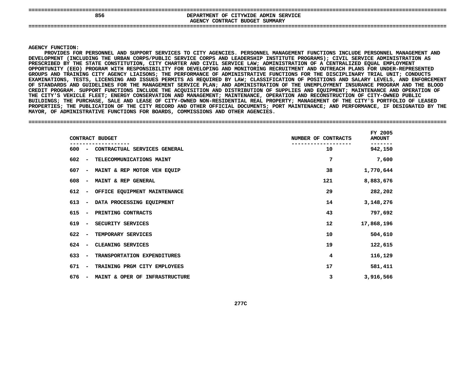| 856 | DEPARTMENT OF CITYWIDE ADMIN SERVICE<br>AGENCY CONTRACT BUDGET SUMMARY |
|-----|------------------------------------------------------------------------|
|     |                                                                        |

#### **AGENCY**

Y FUNCTION:<br>PROVIDES FC<br>OPMENT (INC **PROVIDES FOR PERSONNEL AND SUPPORT SERVICES TO CITY AGENCIES. PERSONNEL MANAGEMENT FUNCTIONS INCLUDE PERSONNEL MANAGEMENT AND DEVELOPMENT (INCLUDING THE URBAN CORPS/PUBLIC SERVICE CORPS AND LEADERSHIP INSTITUTE PROGRAMS); CIVIL SERVICE ADMINISTRATION AS** PRESCRIBED BY THE STATE CONSTITUTION, CITY CHARTER AND CIVIL SERVICE LAW; ADMINISTRATION OF A **BY THE STATE CONSTITUTION, CITY CHARTER AND CIVIL SERVICE LAW; ADMINISTRATION OF CENTRALIZED EQUAL EMPLOYMENT OPPORTUNITY (EEO) PROGRAM WITH RESPONSIBILITY FOR DEVELOPING AND MONITORING RECRUITMENT AND OUTREACH PLANS FOR UNDER-REPRESENTED GROUPS**S AND TRAINING CITY AGENCY LIAISONS; THE PERFORMANCE OF ADMINISTRATIVE FUNCTIONS FOR THE DISCIPLINARY TRIAL UNIT; CONDUCTS<br>NATIONS, TESTS, LICENSING AND ISSUES PERMITS AS REQUIRED BY LAW; CLASSIFICATION OF POSITIONS AND SA EXAMINATIONS, TESTS, LICENSING AND ISSUES PERMITS AS REOUIRED BY LAW: CLASSIFICATION OF POSITIONS AND SALARY LEVELS, AND ENFORCEMENT , TESTS, LICENSING AND ISSUES PERMITS AS REQUIRED BY LAW; CLASSIFICATION OF POSITIONS AND SALARY LEVELS, AND ENFORCEMENT<br>AND GUIDELINES FOR THE MANAGEMENT SERVICE PLAN; AND ADMINISTRATION OF THE UNEMPLOYMENT INSURANCE PROG **OF**F STANDARDS AND GUIDELINES FOR THE MANAGEMENT SERVICE PLAN; AND ADMINISTRATION OF THE UNEMPLOYMENT INSURANCE PROGRAM AND THE BLOOD<br>REDIT PROGRAM. SUPPORT FUNCTIONS INCLUDE THE ACQUISITION AND DISTRIBUTION OF SUPPLIES AND E **CREDIT**T PROGRAM. SUPPORT FUNCTIONS INCLUDE THE ACQUISITION AND DISTRIBUTION OF SUPPLIES AND EQUIPMENT; MAINTENANCE AND OPERATION OF<br>ITY'S VEHICLE FLEET; ENERGY CONSERVATION AND MANAGEMENT; MAINTENANCE, OPERATION AND RECONSTRUCTI THE CITY'S VEHICLE FLEET: ENERGY CONSERVATION AND MANAGEMENT: MAINTENANCE, OPERATION AND RECONSTRUCTION OF CITY-OWNED PUBLIC **CITY'S VEHICLE FLEET; ENERGY CONSERVATION AND MANAGEMENT; MAINTENANCE, OPERATION AND RECONSTRUCTION OF CITY-OWNED PUBLIC BUILDINGS;**; THE PURCHASE, SALE AND LEASE OF CITY-OWNED NON-RESIDENTIAL REAL PROPERTY; MANAGEMENT OF THE CITY'S PORTFOLIO OF LEASED<br>S; THE PUBLICATION OF THE CITY RECORD AND OTHER OFFICIAL DOCUMENTS; PORT MAINTENANCE; AND PERFORMANCE PROPERTIES; THE PUBLICATION OF THE CITY RECORD AND OTHER OFFICIAL DOCUMENTS; PORT MAINTENANCE; AND PERFORMANCE, IF DESIGNATED BY THE<br>MAYOR, OF ADMINISTRATIVE FUNCTIONS FOR BOARDS, COMMISSIONS AND OTHER AGENCIES.<br>—————————— MAYOR, OF ADMINISTRATIVE FUNCTIONS FOR BOARDS, COMMISSIONS AND OTHER AGENCIES.

# **OF ADMINISTRATIVE FUNCTIONS FOR BOARDS, COMMISSIONS AND OTHER AGENCIES. ====================================================================================================================================**

| CONTRACT BUDGET                                                 | NUMBER OF CONTRACTS | FY 2005<br><b>AMOUNT</b> |  |
|-----------------------------------------------------------------|---------------------|--------------------------|--|
| CONTRACTUAL SERVICES GENERAL<br>600 –                           | 10                  | 942,150                  |  |
| TELECOMMUNICATIONS MAINT<br>602 –                               | 7                   | 7,600                    |  |
| 607<br>MAINT & REP MOTOR VEH EQUIP<br>$\sim$                    | 38                  | 1,770,644                |  |
| MAINT & REP GENERAL<br>608<br>$\sim$                            | 121                 | 8,883,676                |  |
| 612<br>OFFICE EQUIPMENT MAINTENANCE<br>$\overline{\phantom{a}}$ | 29                  | 282,202                  |  |
| DATA PROCESSING EQUIPMENT<br>613<br>$\overline{\phantom{a}}$    | 14                  | 3,148,276                |  |
| 615<br>PRINTING CONTRACTS<br>$\overline{\phantom{a}}$           | 43                  | 797,692                  |  |
| 619<br>SECURITY SERVICES                                        | 12 <sub>1</sub>     | 17,868,196               |  |
| 622<br>TEMPORARY SERVICES                                       | 10                  | 504,610                  |  |
| CLEANING SERVICES<br>624                                        | 19                  | 122,615                  |  |
| 633<br>TRANSPORTATION EXPENDITURES<br>$\sim$                    | 4                   | 116,129                  |  |
| TRAINING PRGM CITY EMPLOYEES<br>671                             | 17                  | 581,411                  |  |
| MAINT & OPER OF INFRASTRUCTURE<br>676                           | 3                   | 3,916,566                |  |
|                                                                 |                     |                          |  |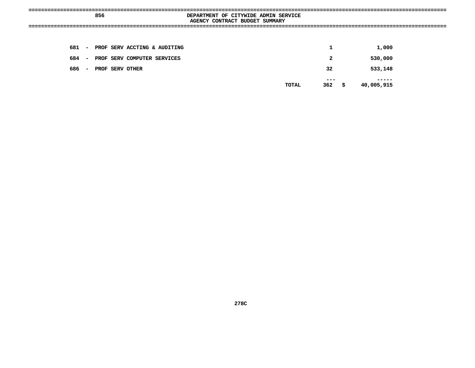|       | 856 |                 |                                    | DEPARTMENT OF CITYWIDE ADMIN SERVICE |                                |              |                |                  |  |
|-------|-----|-----------------|------------------------------------|--------------------------------------|--------------------------------|--------------|----------------|------------------|--|
|       |     |                 |                                    |                                      | AGENCY CONTRACT BUDGET SUMMARY |              |                |                  |  |
|       |     |                 |                                    | =============                        |                                |              |                |                  |  |
|       |     |                 |                                    |                                      |                                |              |                |                  |  |
|       |     |                 |                                    |                                      |                                |              |                |                  |  |
|       |     |                 | 681 - PROF SERV ACCTING & AUDITING |                                      |                                |              | 1              | 1,000            |  |
|       |     |                 |                                    |                                      |                                |              |                |                  |  |
| 684 – |     |                 | PROF SERV COMPUTER SERVICES        |                                      |                                |              | $\overline{2}$ | 530,000          |  |
|       |     |                 |                                    |                                      |                                |              |                |                  |  |
| 686 – |     | PROF SERV OTHER |                                    |                                      |                                |              | 32             | 533,148          |  |
|       |     |                 |                                    |                                      |                                |              | ---            |                  |  |
|       |     |                 |                                    |                                      |                                | <b>TOTAL</b> | 362            | \$<br>40,005,915 |  |
|       |     |                 |                                    |                                      |                                |              |                |                  |  |
|       |     |                 |                                    |                                      |                                |              |                |                  |  |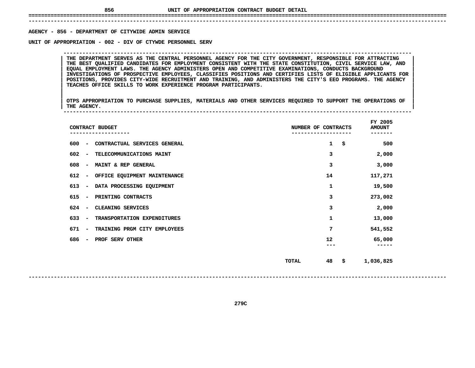**------------------------------------------------------------------------------------------------------------------------------------**AGENCY - 856 - DEPARTMENT OF CITYWIDE ADMIN SERVICE

**- <sup>856</sup> - DEPARTMENT OF CITYWIDE ADMIN SERVICE UNIT**

 **OF APPROPRIATION - <sup>002</sup> - DIV OF CTYWDE PERSONNEL SERV --------------------------------------------------------------------------------------------------------------**THE BEST QUALIFIED CANDIDATES FOR EMPLOYMENT CONSISTENT WITH THE STATE CONSTITUTION, CIVIL SERVICE LAW, AND THE DEPARTMENT SERVES AS THE CENTRAL PERSONNEL AGENCY FOR THE CITY GOVERNMENT, RESPONSIBLE FOR ATTRACTING<br>THE BEST QUALIFIED CANDIDATES FOR EMPLOYMENT CONSISTENT WITH THE STATE CONSTITUTION, CIVIL SERVICE LAW, AND<br>EQUAL EM THE BEST QUALIFIED CANDIDATES FOR EMPLOYMENT CONSISTENT WITH THE STATE CONSTITUTION, CIVIL SERVICE LAW, AND<br>EQUAL EMPLOYMENT LAWS. THE AGENCY ADMINISTERS OPEN AND COMPETITIVE EXAMINATIONS, CONDUCTS BACKGROUND<br>INVESTIGATION **EQUAL EMPLOYMENT LAWS. THE AGENCY ADMINISTERS OPEN AND COMPETITIVE EXAMINATIONS, CONDUCTS BACKGROUND <sup>|</sup> <sup>|</sup> INVESTIGATIONS OF PROSPECTIVE EMPLOYEES, CLASSIFIES POSITIONS AND CERTIFIES LISTS OF ELIGIBLE APPLICANTS FOR <sup>|</sup> <sup>|</sup> POSITIONS, PROVIDES CITY-WIDE RECRUITMENT AND TRAINING, AND ADMINISTERS THE CITY'S EEO PROGRAMS. THE AGENCY <sup>|</sup> <sup>|</sup>TEACHES OFFICE SKILLS TO WORK EXPERIENCE PROGRAM PARTICIPANTS. <sup>|</sup> <sup>|</sup>**

|<br>| OTPS\_APPROPRIATION TO PURCHASE SUPPLIES, MATERIALS AND OTHER SERVICES REQUIRED TO SUPPORT THE OPERATIONS OF |<br>| OTPS APPROPRIATION TO PURCHASE SUPPLIES, MATERIALS AND OTHER SERVICES REQUIRED TO SUPPORT THE OPERATIONS OF<br>| THE AGENCY. **OTPS APPROPRIATION TO PURCHASE SUPPLIES, MATERIALS AND OTHER SERVICES REQUIRED TO SUPPORT THE OPERATIONS OF <sup>|</sup> <sup>|</sup>THE AGENCY. <sup>|</sup> --------------------------------------------------------------------------------------------------------------**

| CONTRACT BUDGET                                                 | NUMBER OF CONTRACTS |           |  |  |  |  |  |  |
|-----------------------------------------------------------------|---------------------|-----------|--|--|--|--|--|--|
| 600<br>CONTRACTUAL SERVICES GENERAL<br>$\overline{\phantom{a}}$ | $\mathbf{1}$<br>\$  | 500       |  |  |  |  |  |  |
| 602<br>TELECOMMUNICATIONS MAINT<br>$\overline{\phantom{a}}$     | 3                   | 2,000     |  |  |  |  |  |  |
| 608<br>MAINT & REP GENERAL<br>$\overline{\phantom{a}}$          | 3                   | 3,000     |  |  |  |  |  |  |
| 612<br>OFFICE EQUIPMENT MAINTENANCE<br>$\overline{\phantom{a}}$ | 14                  | 117,271   |  |  |  |  |  |  |
| 613<br>DATA PROCESSING EQUIPMENT<br>$\overline{\phantom{a}}$    | 1                   | 19,500    |  |  |  |  |  |  |
| 615<br>PRINTING CONTRACTS<br>-                                  | 3                   | 273,002   |  |  |  |  |  |  |
| CLEANING SERVICES<br>624<br>$\overline{\phantom{a}}$            | 3                   | 2,000     |  |  |  |  |  |  |
| 633<br>TRANSPORTATION EXPENDITURES<br>$\overline{\phantom{a}}$  | 1                   | 13,000    |  |  |  |  |  |  |
| 671<br>TRAINING PRGM CITY EMPLOYEES<br>$\overline{\phantom{a}}$ | 7                   | 541,552   |  |  |  |  |  |  |
| 686<br>PROF SERV OTHER<br>-                                     | 12                  | 65,000    |  |  |  |  |  |  |
|                                                                 |                     |           |  |  |  |  |  |  |
|                                                                 | 48<br>\$<br>TOTAL   | 1,036,825 |  |  |  |  |  |  |
|                                                                 |                     |           |  |  |  |  |  |  |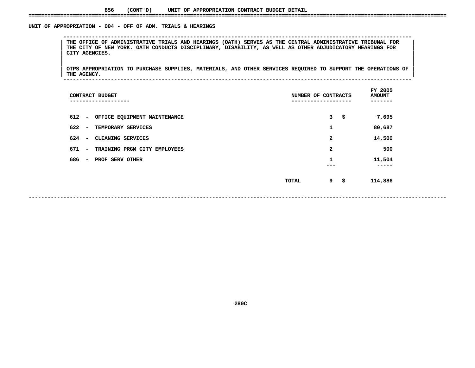# UNIT OF APPROPRIATION - 004 - OFF OF ADM. TRIALS & HEARINGS

 **OF APPROPRIATION - <sup>004</sup> - OFF OF ADM. TRIALS & HEARINGS --------------------------------------------------------------------------------------------------------------**THE OFFICE OF ADMINISTRATIVE TRIALS AND HEARINGS (OATH) SERVES AS THE CENTRAL ADMINISTRATIVE TRIBUNAL FOR<br>THE CITY OF NEW YORK. OATH CONDUCTS DISCIPLINARY, DISABILITY, AS WELL AS OTHER ADJUDICATORY HEARINGS FOR<br>CITY AGENCI THE CITY OF NEW YORK. OATH CONDUCTS DISCIPLINARY, DISABILITY, AS WELL AS OTHER ADJUDICATORY HEARINGS FOR<br>CITY AGENCIES. **CITY AGENCIES. <sup>|</sup> <sup>|</sup>**

|<br>| OTPS\_APPROPRIATION TO PURCHASE SUPPLIES, MATERIALS, AND OTHER SERVICES REQUIRED TO SUPPORT THE OPERATIONS OF |<br>| OTPS APPROPRIATION TO PURCHASE SUPPLIES, MATERIALS, AND OTHER SERVICES REQUIRED TO SUPPORT THE OPERATIONS OF<br>| THE AGENCY. **OTPS APPROPRIATION TO PURCHASE SUPPLIES, MATERIALS, AND OTHER SERVICES REQUIRED TO SUPPORT THE OPERATIONS OF <sup>|</sup> <sup>|</sup>THE AGENCY. <sup>|</sup> --------------------------------------------------------------------------------------------------------------**

| ----------                   | NUMBER OF CONTRACTS |   |    |             |  |  |
|------------------------------|---------------------|---|----|-------------|--|--|
| OFFICE EQUIPMENT MAINTENANCE |                     | 3 | \$ | 7,695       |  |  |
| TEMPORARY SERVICES           |                     | 1 |    | 80,687      |  |  |
| CLEANING SERVICES            |                     | 2 |    | 14,500      |  |  |
| TRAINING PRGM CITY EMPLOYEES |                     | 2 |    | 500         |  |  |
| PROF SERV OTHER              |                     | 1 |    | 11,504<br>. |  |  |
|                              | TOTAL               | 9 | \$ | 114,886     |  |  |
|                              | CONTRACT BUDGET     |   |    |             |  |  |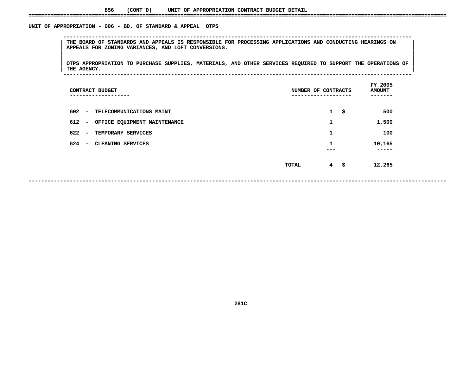# UNIT OF APPROPRIATION - 006 - BD. OF STANDARD & APPEAL OTPS

 **OF APPROPRIATION - <sup>006</sup> - BD. OF STANDARD & APPEAL OTPS --------------------------------------------------------------------------------------------------------------**THE BOARD OF STANDARDS AND APPEALS IS RESPONSIBLE FOR PROCESSING APPLICATIONS AND CONDUCTING HEARINGS ON NAPPEALS FOR ZONING VARIANCES, AND LOFT CONVERSIONS.<br>|-<br>| **APPEALS FOR ZONING VARIANCES, AND LOFT CONVERSIONS. <sup>|</sup> <sup>|</sup>**

|<br>| OTPS\_APPROPRIATION TO PURCHASE SUPPLIES, MATERIALS, AND OTHER SERVICES REQUIRED TO SUPPORT THE OPERATIONS OF OTPS APPROPRIATION TO PURCHASE SUPPLIES, MATERIALS, AND OTHER SERVICES REQUIRED TO SUPPORT THE OPERATIONS OF THE SOPERATIONS OF **OTPS APPROPRIATION TO PURCHASE SUPPLIES, MATERIALS, AND OTHER SERVICES REQUIRED TO SUPPORT THE OPERATIONS OF <sup>|</sup> <sup>|</sup>THE AGENCY. <sup>|</sup> --------------------------------------------------------------------------------------------------------------**

| CONTRACT BUDGET<br>-------------                      | NUMBER OF CONTRACTS<br>--------------- |              | FY 2005<br><b>AMOUNT</b><br>----- |
|-------------------------------------------------------|----------------------------------------|--------------|-----------------------------------|
| $602 -$<br>TELECOMMUNICATIONS MAINT                   |                                        | $\mathbf{1}$ | \$<br>500                         |
| $612 -$<br>OFFICE EQUIPMENT MAINTENANCE               |                                        | 1            | 1,500                             |
| 622<br>TEMPORARY SERVICES<br>$\overline{\phantom{0}}$ |                                        | 1            | 100                               |
| 624<br>CLEANING SERVICES<br>$\overline{\phantom{0}}$  |                                        | 1<br>---     | 10,165<br>-----                   |
|                                                       | TOTAL                                  | $4 \quad$ \$ | 12,265                            |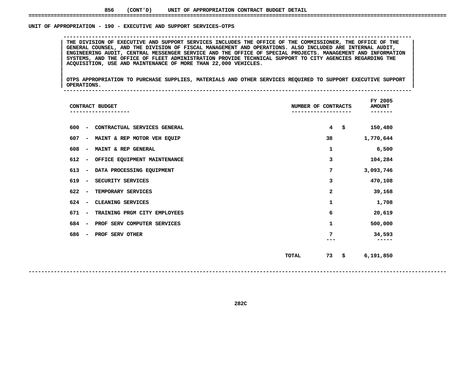#### UNIT OF APPROPRIATION - 190 - EXECUTIVE AND SUPPORT SERVICES-OTPS

THE DIVISION OF EXECUTIVE AND SUPPORT SERVICES INCLUDES THE OFFICE OF THE COMMISSIONER, THE OFFICE OF THE GENERAL COUNSEL, AND THE DIVISION OF FISCAL MANAGEMENT AND OPERATIONS. ALSO INCLUDED ARE INTERNAL AUDIT,<br>ENGINEERING GENERAL COUNSEL, AND THE DIVISION OF FISCAL MANAGEMENT AND OPERATIONS. ALSO INCLUDED ARE INTERNAL AUDIT,<br>ENGINEERING AUDIT, CENTRAL MESSENGER SERVICE AND THE OFFICE OF SPECIAL PROJECTS. MANAGEMENT AND INFORMATION<br>SYSTEMS, **ENGINEERING AUDIT, CENTRAL MESSENGER SERVICE AND THE OFFICE OF SPECIAL PROJECTS. MANAGEMENT AND INFORMATION <sup>|</sup> <sup>|</sup>**SYSTEMS, AND THE OFFICE OF FLEET ADMINISTRATION PROVIDE TECHNICAL SUPPORT TO CITY AGENCIES REGARDING THE **ACQUISITION, USE AND MAINTENANCE OF MORE THAN 22,000 VEHICLES. <sup>|</sup> <sup>|</sup>**

**OF APPROPRIATION - <sup>190</sup> - EXECUTIVE AND SUPPORT SERVICES-OTPS --------------------------------------------------------------------------------------------------------------**

|<br>| OTPS\_APPROPRIATION TO PURCHASE SUPPLIES, MATERIALS AND OTHER SERVICES REQUIRED TO SUPPORT EXECUTIVE SUPPORT |<br>| OTPS APPROPRIATION TO PURCHASE SUPPLIES, MATERIALS AND OTHER SERVICES REQUIRED TO SUPPORT EXECUTIVE SUPPORT<br>| OPERATIONS. **OTPS APPROPRIATION TO PURCHASE SUPPLIES, MATERIALS AND OTHER SERVICES REQUIRED TO SUPPORT EXECUTIVE SUPPORT <sup>|</sup> <sup>|</sup>OPERATIONS. <sup>|</sup> --------------------------------------------------------------------------------------------------------------**

 **FY**AMOUNT<br>-------**CONTRACT BUDGET NUMBER OF CONTRACTS AMOUNT ------------------- ------------------- ------- <sup>600</sup> - CONTRACTUAL SERVICES GENERAL <sup>4</sup> \$ 150,480** 607 - MAINT & REP MOTOR VEH EQUIP **- MAINT & REP MOTOR VEH EQUIP <sup>38</sup> 1,770,644 608 - MAINT & REP GENERAL <sup>1</sup> 6,500 612 - OFFICE EQUIPMENT MAINTENANCE <sup>3</sup> 104,284 613 - DATA PROCESSING EQUIPMENT <sup>7</sup> 3,093,746 619 - SECURITY SERVICES <sup>3</sup> 470,108 622 - TEMPORARY SERVICES <sup>2</sup> 39,168** 624 - CLEANING SERVICES **- CLEANING SERVICES <sup>1</sup> 1,708** 671 - TRAINING PRGM CITY EMPLOYEES **- TRAINING PRGM CITY EMPLOYEES <sup>6</sup> 20,619** 684 - PROF SERV COMPUTER SERVICES **- PROF SERV COMPUTER SERVICES <sup>1</sup> 500,000 686 - PROF SERV OTHER <sup>7</sup> 34,593 --- ----- TOTAL<sup>73</sup> \$ 6,191,850**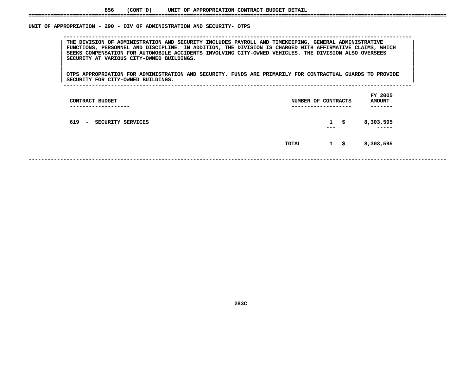# UNIT OF APPROPRIATION - 290 - DIV OF ADMINISTRATION AND SECURITY- OTPS

 **OF APPROPRIATION - <sup>290</sup> - DIV OF ADMINISTRATION AND SECURITY- OTPS --------------------------------------------------------------------------------------------------------------**THE DIVISION OF ADMINISTRATION AND SECURITY INCLUDES PAYROLL AND TIMEKEEPING, GENERAL ADMINISTRATIVE<br>FUNCTIONS, PERSONNEL AND DISCIPLINE. IN ADDITION, THE DIVISION IS CHARGED WITH AFFIRMATIVE CLAIMS, WHICH **THE DIVISION OF ADMINISTRATION AND SECURITY INCLUDES PAYROLL AND TIMEKEEPING, GENERAL ADMINISTRATIVE <sup>|</sup> <sup>|</sup> FUNCTIONS, PERSONNEL AND DISCIPLINE. IN ADDITION, THE DIVISION IS CHARGED WITH AFFIRMATIVE CLAIMS, WHICH <sup>|</sup> <sup>|</sup> SEEKS COMPENSATION FOR AUTOMOBILE ACCIDENTS INVOLVING CITY-OWNED VEHICLES. THE DIVISION ALSO OVERSEES <sup>|</sup> <sup>|</sup>SECURITY AT VARIOUS CITY-OWNED BUILDINGS. <sup>|</sup> <sup>|</sup>**

|<br>| OTPS APPROPRIATION FOR ADMINISTRATION AND SECURITY. FUNDS ARE PRIMARILY FOR CONTRACTUAL GUARDS TO PROVIDE |<br>| OTPS APPROPRIATION FOR ADMINISTRATION AND SECURITY. FUNDS ARE PRIMARILY FOR CONTRACTUAL GUARDS TO PROVIDE<br>| SECURITY FOR CITY-OWNED BUILDINGS. **OTPS APPROPRIATION FOR ADMINISTRATION AND SECURITY. FUNDS ARE PRIMARILY FOR CONTRACTUAL GUARDS TO PROVIDE <sup>|</sup> <sup>|</sup>SECURITY FOR CITY-OWNED BUILDINGS. <sup>|</sup> --------------------------------------------------------------------------------------------------------------**

| CONTRACT BUDGET<br>---------------- | NUMBER OF CONTRACTS<br>-------------- |                     | --- | FY 2005<br><b>AMOUNT</b><br>------- |
|-------------------------------------|---------------------------------------|---------------------|-----|-------------------------------------|
| 619 - SECURITY SERVICES             |                                       | $\mathbf{1}$<br>--- | S.  | 8,303,595<br>-----                  |
|                                     | TOTAL                                 | $1 \quad$ \$        |     | 8,303,595                           |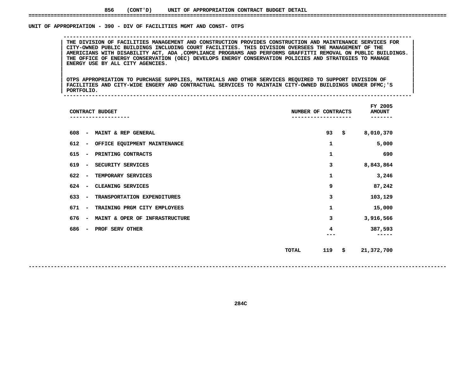# UNIT OF APPROPRIATION - 390 - DIV OF FACILITIES MGMT AND CONST- OTPS

 **OF APPROPRIATION - <sup>390</sup> - DIV OF FACILITIES MGMT AND CONST- OTPS --------------------------------------------------------------------------------------------------------------**THE DIVISION OF FACILITIES MANAGEMENT AND CONSTRUCTION PROVIDES CONSTRUCTION AND MAINTENANCE SERVICES FOR<br>CITY-OWNED PUBLIC BUILDINGS INCLUDING COURT FACILITIES. THIS DIVISION OVERSEES THE MANAGEMENT OF THE **THE DIVISION OF FACILITIES MANAGEMENT AND CONSTRUCTION PROVIDES CONSTRUCTION AND MAINTENANCE SERVICES FOR <sup>|</sup> <sup>|</sup> CITY-OWNED PUBLIC BUILDINGS INCLUDING COURT FACILITIES. THIS DIVISION OVERSEES THE MANAGEMENT OF THE <sup>|</sup> <sup>|</sup>**AMERICIANS WITH DISABILITY ACT, ADA ,COMPLIANCE PROGRAMS AND PERFORMS GRAFFITTI REMOVAL ON PUBLIC BUILDINGS.<br>THE OFFICE OF ENERGY CONSERVATION (OEC) DEVELOPS ENERGY CONSERVATION POLICIES AND STRATEGIES TO MANAGE<br>ENERGY USE **THE OFFICE OF ENERGY CONSERVATION (OEC) DEVELOPS ENERGY CONSERVATION POLICIES AND STRATEGIES TO MANAGE <sup>|</sup> <sup>|</sup>ENERGY USE BY ALL CITY AGENCIES. <sup>|</sup> <sup>|</sup>**

OTPS APPROPRIATION TO PURCHASE SUPPLIES, MATERIALS AND OTHER SERVICES REQUIRED TO SUPPORT DIVISION OF |<br>| OTPS APPROPRIATION TO PURCHASE SUPPLIES, MATERIALS AND OTHER SERVICES REQUIRED TO SUPPORT DIVISION OF<br>| FACILITIES AND CITY-WIDE ENGERY AND CONTRACTUAL SERVICES TO MAINTAIN CITY-OWNED BUILDINGS UNDER DFMC;'S **OTPS APPROPRIATION TO PURCHASE SUPPLIES, MATERIALS AND OTHER SERVICES REQUIRED TO SUPPORT DIVISION OF <sup>|</sup> <sup>|</sup> FACILITIES AND CITY-WIDE ENGERY AND CONTRACTUAL SERVICES TO MAINTAIN CITY-OWNED BUILDINGS UNDER DFMC;'S <sup>|</sup> <sup>|</sup>PORTFOLIO. <sup>|</sup> --------------------------------------------------------------------------------------------------------------**

 **FY**AMOUNT<br>-------**CONTRACT BUDGET NUMBER OF CONTRACTS AMOUNT ------------------- ------------------- ------- <sup>608</sup> - MAINT & REP GENERAL <sup>93</sup> \$ 8,010,370 612- OFFICE EQUIPMENT MAINTENANCE <sup>1</sup> 5,000**

| 615 | $\overline{\phantom{a}}$ | PRINTING CONTRACTS             |              | 1   |    | 690        |
|-----|--------------------------|--------------------------------|--------------|-----|----|------------|
| 619 | $\overline{\phantom{a}}$ | SECURITY SERVICES              |              | 3   |    | 8,843,864  |
| 622 | $\overline{\phantom{a}}$ | TEMPORARY SERVICES             |              | 1   |    | 3,246      |
| 624 | $\overline{\phantom{a}}$ | CLEANING SERVICES              |              | 9   |    | 87,242     |
| 633 | $\overline{\phantom{a}}$ | TRANSPORTATION EXPENDITURES    |              | 3   |    | 103,129    |
| 671 | $\overline{\phantom{a}}$ | TRAINING PRGM CITY EMPLOYEES   |              | 1   |    | 15,000     |
| 676 | $\overline{\phantom{a}}$ | MAINT & OPER OF INFRASTRUCTURE |              | 3   |    | 3,916,566  |
| 686 | $\overline{\phantom{a}}$ | PROF SERV OTHER                |              | 4   |    | 387,593    |
|     |                          |                                | <b>TOTAL</b> | 119 | Ŝ. | 21,372,700 |

**<sup>119</sup> \$ 21,372,700**

**284C**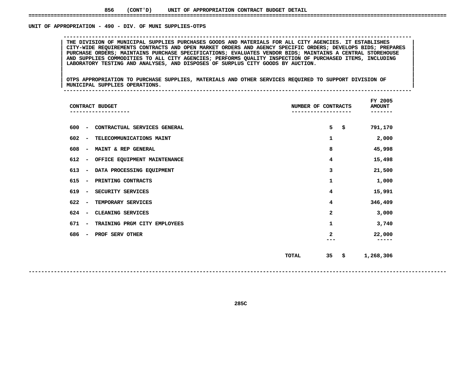# UNIT OF APPROPRIATION - 490 - DIV. OF MUNI SUPPLIES-OTPS

THE DIVISION OF MUNICIPAL SUPPLIES PURCHASES GOODS AND MATERIALS FOR ALL CITY AGENCIES. IT ESTABLISHES<br>CITY-WIDE REQUIREMENTS CONTRACTS AND OPEN MARKET ORDERS AND AGENCY SPECIFIC ORDERS; DEVELOPS BIDS; PREPARES THE DIVISION OF MUNICIPAL SUPPLIES PURCHASES GOODS AND MATERIALS FOR ALL CITY AGENCIES. IT ESTABLISHES<br>CITY-WIDE REQUIREMENTS CONTRACTS AND OPEN MARKET ORDERS AND AGENCY SPECIFIC ORDERS; DEVELOPS BIDS; PREPARES<br>PURCHASE OR **CITY-WIDE REQUIREMENTS CONTRACTS AND OPEN MARKET ORDERS AND AGENCY SPECIFIC ORDERS; DEVELOPS BIDS; PREPARES <sup>|</sup> <sup>|</sup> PURCHASE ORDERS; MAINTAINS PURCHASE SPECIFICATIONS; EVALUATES VENDOR BIDS; MAINTAINS <sup>A</sup> CENTRAL STOREHOUSE <sup>|</sup> <sup>|</sup> AND SUPPLIES COMMODITIES TO ALL CITY AGENCIES; PERFORMS QUALITY INSPECTION OF PURCHASED ITEMS, INCLUDING <sup>|</sup> <sup>|</sup>LABORATORY TESTING AND ANALYSES, AND DISPOSES OF SURPLUS CITY GOODS BY AUCTION. <sup>|</sup> <sup>|</sup>**

**OF APPROPRIATION - <sup>490</sup> - DIV. OF MUNI SUPPLIES-OTPS --------------------------------------------------------------------------------------------------------------**

|<br>| OTPS APPROPRIATION TO PURCHASE SUPPLIES, MATERIALS AND OTHER SERVICES REQUIRED TO SUPPORT DIVISION OF |<br>| OTPS APPROPRIATION TO PURCHASE SUPPLIES, MATERIALS AND OTHER SERVICES REQUIRED TO SUPPORT DIVISION OF<br>| MUNICIPAL SUPPLIES OPERATIONS. **OTPS APPROPRIATION TO PURCHASE SUPPLIES, MATERIALS AND OTHER SERVICES REQUIRED TO SUPPORT DIVISION OF <sup>|</sup> <sup>|</sup>MUNICIPAL SUPPLIES OPERATIONS. <sup>|</sup> --------------------------------------------------------------------------------------------------------------**

| CONTRACT BUDGET                 |                              | NUMBER OF CONTRACTS |              | FY 2005<br><b>AMOUNT</b><br>------ |                 |
|---------------------------------|------------------------------|---------------------|--------------|------------------------------------|-----------------|
| 600<br>$\overline{\phantom{m}}$ | CONTRACTUAL SERVICES GENERAL |                     | 5            | \$                                 | 791,170         |
| 602<br>$\overline{\phantom{a}}$ | TELECOMMUNICATIONS MAINT     |                     | 1            |                                    | 2,000           |
| 608<br>$\overline{\phantom{a}}$ | MAINT & REP GENERAL          |                     | 8            |                                    | 45,998          |
| 612<br>$\overline{\phantom{a}}$ | OFFICE EQUIPMENT MAINTENANCE |                     | 4            |                                    | 15,498          |
| 613<br>$\overline{\phantom{a}}$ | DATA PROCESSING EQUIPMENT    |                     | 3            |                                    | 21,500          |
| 615<br>$\overline{\phantom{a}}$ | PRINTING CONTRACTS           |                     | 1            |                                    | 1,000           |
| 619<br>$\overline{\phantom{m}}$ | SECURITY SERVICES            |                     | 4            |                                    | 15,991          |
| 622<br>$\overline{\phantom{a}}$ | TEMPORARY SERVICES           |                     | 4            |                                    | 346,409         |
| 624<br>$\overline{\phantom{a}}$ | CLEANING SERVICES            |                     | 2            |                                    | 3,000           |
| 671<br>$\overline{\phantom{m}}$ | TRAINING PRGM CITY EMPLOYEES |                     | 1            |                                    | 3,740           |
| 686<br>$\overline{\phantom{a}}$ | PROF SERV OTHER              |                     | $\mathbf{2}$ |                                    | 22,000<br>----- |
|                                 |                              | <b>TOTAL</b>        | 35           | \$                                 | 1,268,306       |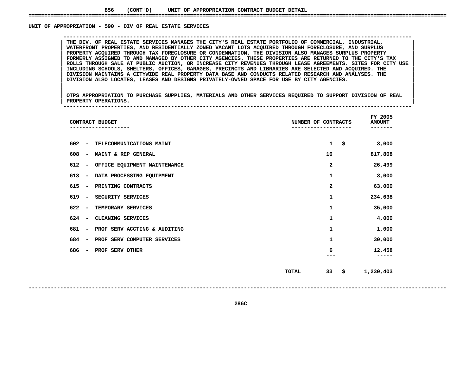### UNIT OF APPROPRIATION - 590 - DIV OF REAL ESTATE SERVICES

THE DIV. OF REAL ESTATE SERVICES MANAGES THE CITY'S REAL ESTATE PORTFOLIO OF COMMERCIAL, INDUSTRIAL,<br>WATERFRONT PROPERTIES, AND RESIDENTIALLY ZONED VACANT LOTS ACQUIRED THROUGH FORECLOSURE, AND SURPLUS **THE DIV. OF REAL ESTATE SERVICES MANAGES THE CITY'S REAL ESTATE PORTFOLIO OF COMMERCIAL, INDUSTRIAL, <sup>|</sup> <sup>|</sup> WATERFRONT PROPERTIES, AND RESIDENTIALLY ZONED VACANT LOTS ACQUIRED THROUGH FORECLOSURE, AND SURPLUS <sup>|</sup> <sup>|</sup> PROPERTY ACQUIRED THROUGH TAX FORECLOSURE OR CONDEMNATION. THE DIVISION ALSO MANAGES SURPLUS PROPERTY <sup>|</sup> <sup>|</sup>**FORMERLY ASSIGNED TO AND MANAGED BY OTHER CITY AGENCIES. THESE PROPERTIES ARE RETURNED TO THE CITY'S TAX<br>ROLLS THROUGH SALE AT PUBLIC AUCTION, OR INCREASE CITY REVENUES THROUGH LEASE AGREEMENTS. SITES FOR CITY USE<br>INCLUDIN ROLLS THROUGH SALE AT PUBLIC AUCTION, OR INCREASE CITY REVENUES THROUGH LEASE AGREEMENTS. SITES FOR CITY USE<br>INCLUDING SCHOOLS, SHELTERS, OFFICES, GARAGES, PRECINCTS AND LIBRARIES ARE SELECTED AND ACQUIRED. THE<br>DIVISION MA **INCLUDING SCHOOLS, SHELTERS, OFFICES, GARAGES, PRECINCTS AND LIBRARIES ARE SELECTED AND ACQUIRED. THE <sup>|</sup> <sup>|</sup> DIVISION MAINTAINS <sup>A</sup> CITYWIDE REAL PROPERTY DATA BASE AND CONDUCTS RELATED RESEARCH AND ANALYSES. THE <sup>|</sup> <sup>|</sup>DIVISION ALSO LOCATES, LEASES AND DESIGNS PRIVATELY-OWNED SPACE FOR USE BY CITY AGENCIES. <sup>|</sup> <sup>|</sup>**

**OF APPROPRIATION - <sup>590</sup> - DIV OF REAL ESTATE SERVICES --------------------------------------------------------------------------------------------------------------**

|<br>| OTPS\_APPROPRIATION\_TO\_PURCHASE\_SUPPLIES,\_MATERIALS\_AND\_OTHER\_SERVICES\_REQUIRED\_TO\_SUPPORT\_DIVISION\_OF\_REAL\_\_\_ |<br>| OTPS APPROPRIATION TO PURCHASE SUPPLIES, MATERIALS AND OTHER SERVICES REQUIRED TO SUPPORT DIVISION OF REAL<br>| PROPERTY OPERATIONS. **OTPS APPROPRIATION TO PURCHASE SUPPLIES, MATERIALS AND OTHER SERVICES REQUIRED TO SUPPORT DIVISION OF REAL <sup>|</sup> <sup>|</sup>PROPERTY OPERATIONS. <sup>|</sup> --------------------------------------------------------------------------------------------------------------**

|                                     | CONTRACT BUDGET              | NUMBER OF CONTRACTS |                    | FY 2005<br><b>AMOUNT</b><br>------- |
|-------------------------------------|------------------------------|---------------------|--------------------|-------------------------------------|
| 602<br>$\overline{\phantom{a}}$     | TELECOMMUNICATIONS MAINT     |                     | $\mathbf{1}$<br>\$ | 3,000                               |
| 608<br>$\qquad \qquad \blacksquare$ | MAINT & REP GENERAL          |                     | 16                 | 817,808                             |
| 612<br>$\overline{\phantom{a}}$     | OFFICE EQUIPMENT MAINTENANCE |                     | 2                  | 26,499                              |
| 613<br>$\overline{\phantom{a}}$     | DATA PROCESSING EQUIPMENT    |                     | 1                  | 3,000                               |
| 615<br>$\overline{\phantom{a}}$     | PRINTING CONTRACTS           |                     | 2                  | 63,000                              |
| 619<br>$\overline{\phantom{m}}$     | SECURITY SERVICES            |                     | 1                  | 234,638                             |
| 622<br>$\overline{\phantom{a}}$     | TEMPORARY SERVICES           |                     | 1                  | 35,000                              |
| 624<br>$\overline{\phantom{a}}$     | CLEANING SERVICES            |                     | $\mathbf{1}$       | 4,000                               |
| 681<br>$\overline{\phantom{a}}$     | PROF SERV ACCTING & AUDITING |                     | 1                  | 1,000                               |
| 684<br>$\overline{\phantom{a}}$     | PROF SERV COMPUTER SERVICES  |                     | 1                  | 30,000                              |
| 686<br>$\overline{\phantom{a}}$     | PROF SERV OTHER              |                     | 6                  | 12,458<br>-----                     |
|                                     |                              | <b>TOTAL</b>        | 33<br>\$           | 1,230,403                           |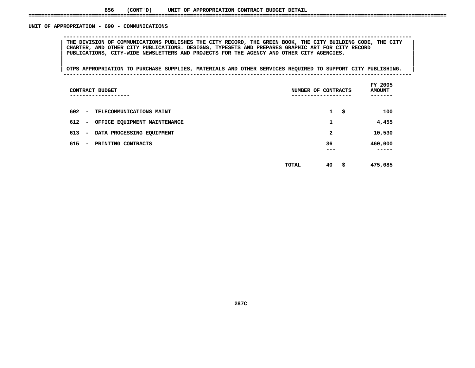# UNIT OF APPROPRIATION - 690 - COMMUNICATIONS

 **OF APPROPRIATION - <sup>690</sup> - COMMUNICATIONS --------------------------------------------------------------------------------------------------------------**THE DIVISION OF COMMUNICATIONS PUBLISHES THE CITY RECORD, THE GREEN BOOK, THE CITY BUILDING CODE, THE CITY |<br>| CHARTER, AND OTHER CITY PUBLICATIONS. DESIGNS, TYPESETS AND PREPARES GRAPHIC ART FOR CITY RECORD<br>| PUBLICATIONS **CHARTER, AND OTHER CITY PUBLICATIONS. DESIGNS, TYPESETS AND PREPARES GRAPHIC ART FOR CITY RECORD <sup>|</sup> <sup>|</sup>PUBLICATIONS, CITY-WIDE NEWSLETTERS AND PROJECTS FOR THE AGENCY AND OTHER CITY AGENCIES. <sup>|</sup> <sup>|</sup>**

|<br>| OTPS APPROPRIATION TO PURCHASE SUPPLIES, MATERIALS AND OTHER SERVICES REQUIRED TO SUPPORT CITY PUBLISHING. | **<sup>|</sup> <sup>|</sup>OTPS APPROPRIATION TO PURCHASE SUPPLIES, MATERIALS AND OTHER SERVICES REQUIRED TO SUPPORT CITY PUBLISHING. <sup>|</sup> --------------------------------------------------------------------------------------------------------------**

| CONTRACT BUDGET<br>-----------                                  | NUMBER OF CONTRACTS     | FY 2005<br><b>AMOUNT</b> |
|-----------------------------------------------------------------|-------------------------|--------------------------|
| 602<br>TELECOMMUNICATIONS MAINT<br>$\overline{\phantom{a}}$     | $\mathbf{1}$<br>\$      | 100                      |
| 612<br>OFFICE EQUIPMENT MAINTENANCE<br>$\overline{\phantom{a}}$ | 1                       | 4,455                    |
| 613<br>DATA PROCESSING EQUIPMENT<br>$\overline{\phantom{a}}$    | 2                       | 10,530                   |
| 615<br>PRINTING CONTRACTS<br>$\overline{\phantom{a}}$           | 36                      | 460,000                  |
|                                                                 | ---                     | ----                     |
|                                                                 | 40<br>s<br><b>TOTAL</b> | 475,085                  |

**<sup>40</sup> \$ 475,085**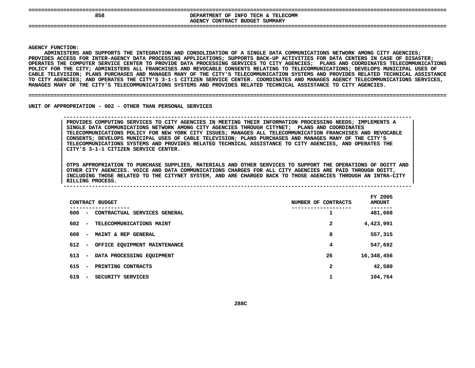| 858 | ___<br>DEPARTMENT OF INFO TECH & TELECOMM<br>SUMMARY<br>CONTRACT<br><b>BUDGET</b><br><b>AGENCY</b> |
|-----|----------------------------------------------------------------------------------------------------|
| --- |                                                                                                    |

 **FUNCTION: ADMINISTERSA AND SUPPORTS THE INTEGRATION AND CONSOLIDATION OF SINGLE DATA COMMUNICATIONS NETWORK AMONG CITY AGENCIES; PROVIDES**S ACCESS FOR INTER-AGENCY DATA PROCESSING APPLICATIONS; SUPPORTS BACK-UP ACTIVITIES FOR DATA CENTERS IN CASE OF DISASTER;<br>S THE COMPUTER SERVICE CENTER TO PROVIDE DATA PROCESSING SERVICES TO CITY AGENCIES; PLANS AND COORDI OPERATES THE COMPUTER SERVICE CENTER TO PROVIDE DATA PROCESSING SERVICES TO CITY AGENCIES: PLANS AND COORDINATES TELECOMMUNICATIONS S THE COMPUTER SERVICE CENTER TO PROVIDE DATA PROCESSING SERVICES TO CITY AGENCIES; PLANS AND COORDINATES TELECOMMUNICATIONS<br>FOR THE CITY; ADMINISTERS ALL FRANCHISES AND REVOCABLE CONSENTS RELATING TO TELECOMMUNICATIONS; D **POLICY**Y FOR THE CITY; ADMINISTERS ALL FRANCHISES AND REVOCABLE CONSENTS RELATING TO TELECOMMUNICATIONS; DEVELOPS MUNICIPAL USES OF<br>TELEVISION; PLANS PURCHASES AND MANAGES MANY OF THE CITY'S TELECOMMUNICATION SYSTEMS AND PROVIDES **CABLE**E TELEVISION; PLANS PURCHASES AND MANAGES MANY OF THE CITY'S TELECOMMUNICATION SYSTEMS AND PROVIDES RELATED TECHNICAL ASSISTANCE<br>ITY AGENCIES; AND OPERATES THE CITY'S 3-1-1 CITIZEN SERVICE CENTER. COORDINATES AND MANAGES A **TO**O CITY AGENCIES; AND OPERATES THE CITY'S 3-1-1 CITIZEN SERVICE CENTER. COORDINATES AND MANAGES AGENCY TELECOMMUNICATIONS SERVICES,<br>ANAGES MANY OF THE CITY'S TELECOMMUNICATIONS SYSTEMS AND PROVIDES RELATED TECHNICAL ASSISTA **MANAGES**

**MANY OF THE CITY'S TELECOMMUNICATIONS SYSTEMS AND PROVIDES RELATED TECHNICAL ASSISTANCE TO CITY AGENCIES. ====================================================================================================================================**

UNIT OF APPROPRIATION - 002 - OTHER THAN PERSONAL SERVICES

 **OF APPROPRIATION - <sup>002</sup> - OTHER THAN PERSONAL SERVICES -------------------------------------------------------------------------------------------------------------- PROVIDES COMPUTING SERVICES TO CITY AGENCIES IN MEETING THEIR INFORMATION PROCESSING NEEDS; IMPLEMENTS <sup>|</sup>** PROVIDES COMPUTING SERVICES TO CITY AGENCIES IN MEETING THEIR INFORMATION PROCESSING NEEDS; IMPLEMENTS A **SINGLE DATA COMMUNICATIONS NETWORK AMONG CITY AGENCIES THROUGH CITYNET; PLANS AND COORDINATES <sup>|</sup> TELECOMMUNICATIONS POLICY FOR NEW YORK CITY ISSUES; MANAGES ALL TELECOMMUNICATION FRANCHISES AND REVOCABLE <sup>|</sup> CONSENTS; DEVELOPS MUNICIPAL USES OF CABLE TELEVISION; PLANS PURCHASES AND MANAGES MANY OF THE CITY'S <sup>|</sup> TELECOMMUNICATIONS SYSTEMS AND PROVIDES RELATED TECHNICAL ASSISTANCE TO CITY AGENCIES, AND OPERATES THE <sup>|</sup> CITY'S 3-1-1 CITIZEN SERVICE CENTER. <sup>|</sup>**

OTPS APPROPRIATION TO PURCHASE SUPPLIES, MATERIALS AND OTHER SERVICES TO SUPPORT THE OPERATIONS OF DOITT AND OTPS APPROPRIATION TO PURCHASE SUPPLIES, MATERIALS AND OTHER SERVICES TO SUPPORT THE OPERATIONS OF DOITT AND OTHER CITY AGENCIES. VOICE AND DATA COMMUNICATIONS CHARGES FOR ALL CITY AGENCIES ARE PAID THROUGH DOITT, OTPS APPROPRIATION TO PURCHASE SUPPLIES, MATERIALS AND OTHER SERVICES TO SUPPORT THE OPERATIONS OF DOITT AND<br>OTHER CITY AGENCIES. VOICE AND DATA COMMUNICATIONS CHARGES FOR ALL CITY AGENCIES ARE PAID THROUGH DOITT,<br>INCLUDIN OTHER CITY AGENCIES. VOICE AND DATA COMMUNICATIONS CHARGES FOR ALL CITY AGENCIES ARE PAID THROUGH DOITT,<br>INCLUDING THOSE RELATED TO THE CITYNET SYSTEM, AND ARE CHARGED BACK TO THOSE AGENCIES THROUGH AN INTRA-CITY<br>BILLING P **INCLUDING THOSE RELATED TO THE CITYNET SYSTEM, AND ARE CHARGED BACK TO THOSE AGENCIES THROUGH AN INTRA-CITY <sup>|</sup> BILLING PROCESS. <sup>|</sup> --------------------------------------------------------------------------------------------------------------**

|     |                          | CONTRACT BUDGET              |  | NUMBER OF CONTRACTS | FY 2005<br><b>AMOUNT</b> |
|-----|--------------------------|------------------------------|--|---------------------|--------------------------|
| 600 | $\overline{\phantom{a}}$ | CONTRACTUAL SERVICES GENERAL |  | 1                   | 481,668                  |
| 602 | $\overline{\phantom{0}}$ | TELECOMMUNICATIONS MAINT     |  | $\mathbf{2}$        | 4,423,991                |
| 608 | $\overline{\phantom{a}}$ | MAINT & REP GENERAL          |  | 8                   | 557,315                  |
| 612 | $\overline{\phantom{a}}$ | OFFICE EQUIPMENT MAINTENANCE |  | 4                   | 547,692                  |
| 613 | $\sim$                   | DATA PROCESSING EQUIPMENT    |  | 26                  | 16,348,456               |
| 615 | $\overline{\phantom{a}}$ | PRINTING CONTRACTS           |  | $\mathbf{2}$        | 42,580                   |
| 619 | $\overline{\phantom{a}}$ | SECURITY SERVICES            |  | 1                   | 104,764                  |
|     |                          |                              |  |                     |                          |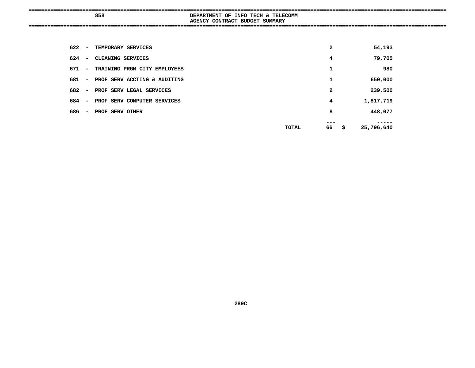| --<br>858<br>----- | TELECOMM<br>TECH<br>DEPARTMENT OF INFO<br>Σ×<br>SUMMARY<br>CONTRACT BUDGET<br><b>AGENCY</b> |
|--------------------|---------------------------------------------------------------------------------------------|
| ----               |                                                                                             |

| 622 | $\overline{\phantom{a}}$ | TEMPORARY SERVICES           |       | 2  | 54,193           |
|-----|--------------------------|------------------------------|-------|----|------------------|
| 624 | $\overline{\phantom{a}}$ | CLEANING SERVICES            |       | 4  | 79,705           |
| 671 | $\blacksquare$           | TRAINING PRGM CITY EMPLOYEES |       | 1  | 980              |
| 681 | $\sim$                   | PROF SERV ACCTING & AUDITING |       | 1  | 650,000          |
| 682 | $\blacksquare$           | PROF SERV LEGAL SERVICES     |       | 2  | 239,500          |
| 684 | $\sim$                   | PROF SERV COMPUTER SERVICES  |       | 4  | 1,817,719        |
| 686 | $\sim$                   | PROF SERV OTHER              |       | 8  | 448,077          |
|     |                          |                              | TOTAL | 66 | \$<br>25,796,640 |
|     |                          |                              |       |    |                  |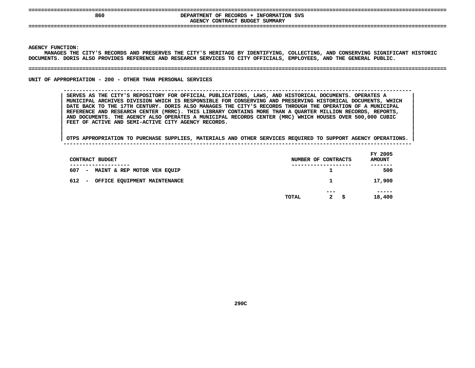| ---<br>----<br>860 | -----------------------------------<br>INFORMATION SVS<br>OF RECORDS<br><b>DEPARTMENT</b><br>SUMMARY<br><b>BUDGET</b><br>CONTRACT<br><b>AGENCY</b> |
|--------------------|----------------------------------------------------------------------------------------------------------------------------------------------------|
| ---                |                                                                                                                                                    |

**Y FUNCTION:<br>MANAGES THE<br>ENTS. DORIS MANAGES THE CITY'S RECORDS AND PRESERVES THE CITY'S HERITAGE BY IDENTIFYING, COLLECTING, AND CONSERVING SIGNIFICANT HISTORIC DOCUMENTS. DORIS ALSO PROVIDES REFERENCE AND RESEARCH SERVICES TO CITY OFFICIALS, EMPLOYEES, AND THE GENERAL PUBLIC. ====================================================================================================================================**

UNIT OF APPROPRIATION - 200 - OTHER THAN PERSONAL SERVICES

**OF APPROPRIATION - <sup>200</sup> - OTHER THAN PERSONAL SERVICES --------------------------------------------------------------------------------------------------------------**

 **SERVES AS THE CITY'S REPOSITORY FOR OFFICIAL PUBLICATIONS, LAWS, AND HISTORICAL DOCUMENTS. OPERATES <sup>|</sup>** SERVES AS THE CITY'S REPOSITORY FOR OFFICIAL PUBLICATIONS, LAWS, AND HISTORICAL DOCUMENTS. OPERATES A **MUNICIPAL ARCHIVES DIVISION WHICH IS RESPONSIBLE FOR CONSERVING AND PRESERVING HISTORICAL DOCUMENTS, WHICH <sup>|</sup>** DATE BACK TO THE 17TH CENTURY. DORIS ALSO MANAGES THE CITY'S RECORDS THROUGH THE OPERATION OF A MUNICIPAL<br>REFERENCE AND RESEARCH CENTER (MRRC). THIS LIBRARY CONTAINS MORE THAN A QUARTER MILLION RECORDS, REPORTS,<br>AND DOCUME DATE BACK TO THE 17TH CENTURY. DORIS ALSO MANAGES THE CITY'S RECORDS THROUGH THE OPERATION OF A MUNICIPAL **REFERENCE AND RESEARCH CENTER (MRRC). THIS LIBRARY CONTAINS MORE THAN A QUARTER MILLION RECORDS, REPORTS, <sup>|</sup> AND DOCUMENTS. THE AGENCY ALSO OPERATES FEET OF ACTIVE AND SEMI-ACTIVE CITY AGENCY RECORDS. <sup>|</sup> A MUNICIPAL RECORDS CENTER (MRC) WHICH HOUSES OVER 500,000 CUBIC <sup>|</sup>**

| CONTRACT BUDGET                               |       | NUMBER OF CONTRACTS         | FY 2005<br><b>AMOUNT</b> |
|-----------------------------------------------|-------|-----------------------------|--------------------------|
| 607<br>- MAINT & REP MOTOR VEH EQUIP          |       |                             | ----<br>500              |
| 612<br>OFFICE EQUIPMENT MAINTENANCE<br>$\sim$ |       | $\mathbf{1}$                | 17,900                   |
|                                               | TOTAL | ---<br>$\mathbf{2}$<br>- \$ | -----<br>18,400          |
|                                               |       |                             |                          |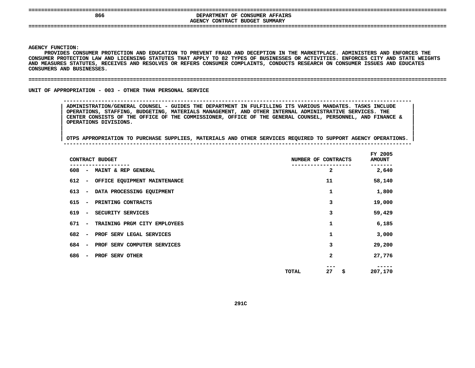| 866 | DEPARTMENT OF CONSUMER AFFAIRS<br>AGENCY CONTRACT BUDGET SUMMARY |  |
|-----|------------------------------------------------------------------|--|
|     |                                                                  |  |

Y FUNCTION:<br>PROVIDES CO<br>MER PROTEC<mark>T</mark> PROVIDES CONSUMER PROTECTION AND EDUCATION TO PREVENT FRAUD AND DECEPTION IN THE MARKETPLACE. ADMINISTERS AND ENFORCES THE S CONSUMER PROTECTION AND EDUCATION TO PREVENT FRAUD AND DECEPTION IN THE MARKETPLACE. ADMINISTERS AND ENFORCES THE<br>TECTION LAW AND LICENSING STATUTES THAT APPLY TO 82 TYPES OF BUSINESSES OR ACTIVITIES. ENFORCES CITY AND S **CONSUMER**R PROTECTION LAW AND LICENSING STATUTES THAT APPLY TO 82 TYPES OF BUSINESSES OR ACTIVITIES. ENFORCES CITY AND STATE WEIGHTS<br>SURES STATUTES, RECEIVES AND RESOLVES OR REFERS CONSUMER COMPLAINTS, CONDUCTS RESEARCH ON CONSUMER **AND MEASURES STATUTES, RECEIVES AND RESOLVES OR REFERS CONSUMER COMPLAINTS, CONDUCTS RESEARCH ON CONSUMER ISSUES AND EDUCATES CONSUMERS**

#### **AND BUSINESSES. ====================================================================================================================================**

UNIT OF APPROPRIATION - 003 - OTHER THAN PERSONAL SERVICE

 **OF APPROPRIATION - <sup>003</sup> - OTHER THAN PERSONAL SERVICE -------------------------------------------------------------------------------------------------------------- ADMINISTRATION/GENERAL COUNSEL - GUIDES THE DEPARTMENT IN FULFILLING ITS VARIOUS MANDATES. TASKS INCLUDE <sup>|</sup> OPERATIONS, STAFFING, BUDGETING, MATERIALS MANAGEMENT, AND OTHER INTERNAL ADMINISTRATIVE SERVICES. THE <sup>|</sup>** CENTER CONSISTS OF THE OFFICE OF THE COMMISSIONER, OFFICE OF THE GENERAL COUNSEL, PERSONNEL, AND FINANCE &<br>| OPERATIONS DIVISIONS.<br>| **| OPERATIONS DIVISIONS. <sup>|</sup>**

|                                 | CONTRACT BUDGET              | NUMBER OF CONTRACTS |              | FY 2005<br><b>AMOUNT</b> |
|---------------------------------|------------------------------|---------------------|--------------|--------------------------|
| 608<br>$\sim$                   | MAINT & REP GENERAL          |                     | $\mathbf{2}$ | 2,640                    |
| 612<br>$\overline{\phantom{0}}$ | OFFICE EQUIPMENT MAINTENANCE |                     | 11           | 58,140                   |
| 613                             | - DATA PROCESSING EQUIPMENT  |                     | 1            | 1,800                    |
| 615<br>$\overline{\phantom{a}}$ | PRINTING CONTRACTS           |                     | 3            | 19,000                   |
| 619<br>$\overline{\phantom{a}}$ | SECURITY SERVICES            |                     | 3            | 59,429                   |
| 671<br>$\sim$                   | TRAINING PRGM CITY EMPLOYEES |                     | 1            | 6,185                    |
| 682<br>$\sim$                   | PROF SERV LEGAL SERVICES     |                     | 1            | 3,000                    |
| 684<br>$\sim$                   | PROF SERV COMPUTER SERVICES  |                     | 3            | 29,200                   |
| 686<br>$\sim$                   | PROF SERV OTHER              |                     | 2            | 27,776                   |
|                                 |                              | <b>TOTAL</b>        | 27           | \$<br>207,170            |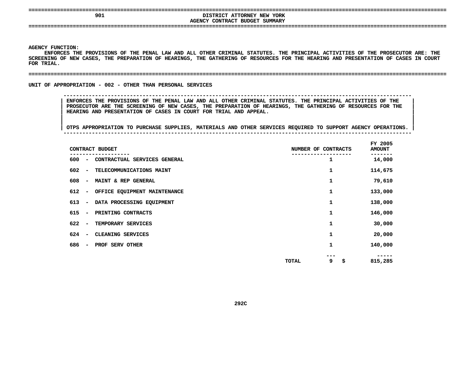## **====================================================================================================================================**DISTRICT ATTORNEY NEW YORK<br>AGENCY CONTRACT BUDGET SUMMARY **DISTRICT ATTORNEY NEW YORK**

**CONTRACT BUDGET SUMMARY ====================================================================================================================================**

#### **AGENCY**

Y FUNCTION:<br>ENFORCES T<del>H</del><br>NING OF NEW **ENFORCES**S THE PROVISIONS OF THE PENAL LAW AND ALL OTHER CRIMINAL STATUTES. THE PRINCIPAL ACTIVITIES OF THE PROSECUTOR ARE: THE<br>NEW CASES, THE PREPARATION OF HEARINGS, THE GATHERING OF RESOURCES FOR THE HEARING AND PRESENTATION OF **SCREENING OF NEW CASES, THE PREPARATION OF HEARINGS, THE GATHERING OF RESOURCES FOR THE HEARING AND PRESENTATION OF CASES IN COURT FOR**

#### **TRIAL. ====================================================================================================================================**

#### UNIT OF APPROPRIATION - 002 - OTHER THAN PERSONAL SERVICES

 **OF APPROPRIATION - <sup>002</sup> - OTHER THAN PERSONAL SERVICES --------------------------------------------------------------------------------------------------------------**ENFORCES THE PROVISIONS OF THE PENAL LAW AND ALL OTHER CRIMINAL STATUTES. THE PRINCIPAL ACTIVITIES OF THE PROSECUTOR ARE THE SCREENING OF NEW CASES, THE PREPARATION OF HEARINGS, THE GATHERING OF RESOURCES FOR THE **HEARING AND PRESENTATION OF CASES IN COURT FOR TRIAL AND APPEAL. <sup>|</sup>**

|     |                          | CONTRACT BUDGET              |       | NUMBER OF CONTRACTS | FY 2005<br><b>AMOUNT</b> |
|-----|--------------------------|------------------------------|-------|---------------------|--------------------------|
| 600 | $\overline{\phantom{a}}$ | CONTRACTUAL SERVICES GENERAL |       | 1                   | 14,000                   |
| 602 | $\overline{\phantom{a}}$ | TELECOMMUNICATIONS MAINT     |       | 1                   | 114,675                  |
| 608 | $\overline{\phantom{a}}$ | MAINT & REP GENERAL          |       | 1                   | 79,610                   |
| 612 | $\overline{\phantom{a}}$ | OFFICE EQUIPMENT MAINTENANCE |       | 1                   | 133,000                  |
| 613 | $\overline{\phantom{a}}$ | DATA PROCESSING EQUIPMENT    |       | 1                   | 138,000                  |
| 615 | $\overline{\phantom{a}}$ | PRINTING CONTRACTS           |       | 1                   | 146,000                  |
| 622 | $\overline{\phantom{a}}$ | TEMPORARY SERVICES           |       | 1                   | 30,000                   |
| 624 | $\overline{\phantom{a}}$ | CLEANING SERVICES            |       | 1                   | 20,000                   |
| 686 | $\overline{\phantom{a}}$ | PROF SERV OTHER              |       | 1                   | 140,000                  |
|     |                          |                              | TOTAL | \$<br>9             | 815,285                  |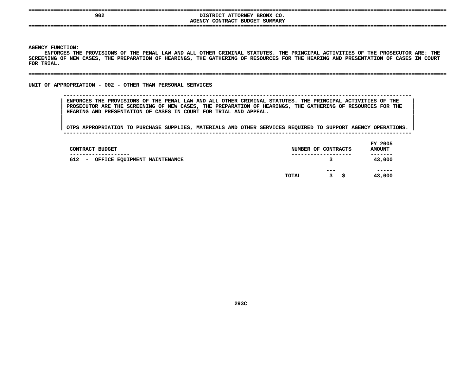# **DISTRICT ATTORNEY BRONX CO.**<br>AGENCY CONTRACT BUDGET SUMMARY **DISTRICT ATTORNEY BRONX CO. CONTRACT BUDGET SUMMARY ====================================================================================================================================**

**AGENCY**

Y FUNCTION:<br>ENFORCES T<del>H</del><br>NING OF NEW **ENFORCES**S THE PROVISIONS OF THE PENAL LAW AND ALL OTHER CRIMINAL STATUTES. THE PRINCIPAL ACTIVITIES OF THE PROSECUTOR ARE: THE<br>NEW CASES, THE PREPARATION OF HEARINGS, THE GATHERING OF RESOURCES FOR THE HEARING AND PRESENTATION OF **SCREENING OF NEW CASES, THE PREPARATION OF HEARINGS, THE GATHERING OF RESOURCES FOR THE HEARING AND PRESENTATION OF CASES IN COURT FOR**

**TRIAL. ====================================================================================================================================**

UNIT OF APPROPRIATION - 002 - OTHER THAN PERSONAL SERVICES

 **OF APPROPRIATION - <sup>002</sup> - OTHER THAN PERSONAL SERVICES --------------------------------------------------------------------------------------------------------------**ENFORCES THE PROVISIONS OF THE PENAL LAW AND ALL OTHER CRIMINAL STATUTES. THE PRINCIPAL ACTIVITIES OF THE PROSECUTOR ARE THE SCREENING OF NEW CASES, THE PREPARATION OF HEARINGS, THE GATHERING OF RESOURCES FOR THE **HEARING AND PRESENTATION OF CASES IN COURT FOR TRIAL AND APPEAL. <sup>|</sup>**

| CONTRACT BUDGET<br>--------------                               |       | NUMBER OF CONTRACTS<br>. _ _ _ _ _ _ _ _ _ _ _ _ _ _ _ _ _ _ | FY 2005<br><b>AMOUNT</b><br>------- |
|-----------------------------------------------------------------|-------|--------------------------------------------------------------|-------------------------------------|
| 612<br>OFFICE EQUIPMENT MAINTENANCE<br>$\overline{\phantom{a}}$ |       | 3                                                            | 43,000                              |
|                                                                 | TOTAL | ---<br>3<br>-S                                               | -----<br>43,000                     |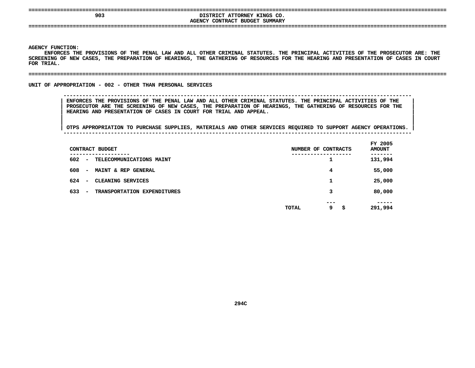# **DISTRICT ATTORNEY KINGS CO.**<br>AGENCY CONTRACT BUDGET SUMMARY **DISTRICT ATTORNEY KINGS CO. CONTRACT BUDGET SUMMARY ====================================================================================================================================**

**AGENCY**

Y FUNCTION:<br>ENFORCES T<del>H</del><br>NING OF NEW **ENFORCES**S THE PROVISIONS OF THE PENAL LAW AND ALL OTHER CRIMINAL STATUTES. THE PRINCIPAL ACTIVITIES OF THE PROSECUTOR ARE: THE<br>NEW CASES, THE PREPARATION OF HEARINGS, THE GATHERING OF RESOURCES FOR THE HEARING AND PRESENTATION OF **SCREENING OF NEW CASES, THE PREPARATION OF HEARINGS, THE GATHERING OF RESOURCES FOR THE HEARING AND PRESENTATION OF CASES IN COURT FOR**

#### **TRIAL. ====================================================================================================================================**

### UNIT OF APPROPRIATION - 002 - OTHER THAN PERSONAL SERVICES

 **OF APPROPRIATION - <sup>002</sup> - OTHER THAN PERSONAL SERVICES --------------------------------------------------------------------------------------------------------------**ENFORCES THE PROVISIONS OF THE PENAL LAW AND ALL OTHER CRIMINAL STATUTES. THE PRINCIPAL ACTIVITIES OF THE PROSECUTOR ARE THE SCREENING OF NEW CASES, THE PREPARATION OF HEARINGS, THE GATHERING OF RESOURCES FOR THE **HEARING AND PRESENTATION OF CASES IN COURT FOR TRIAL AND APPEAL. <sup>|</sup>**

| CONTRACT BUDGET                                                       | NUMBER OF CONTRACTS            | FY 2005<br><b>AMOUNT</b> |
|-----------------------------------------------------------------------|--------------------------------|--------------------------|
| ------<br>602<br>TELECOMMUNICATIONS MAINT<br>$\overline{\phantom{a}}$ | ∸                              | -----<br>131,994         |
| 608<br>MAINT & REP GENERAL<br>$\overline{\phantom{m}}$                | 4                              | 55,000                   |
| 624<br>CLEANING SERVICES<br>$\overline{\phantom{a}}$                  | ┻                              | 25,000                   |
| 633<br>TRANSPORTATION EXPENDITURES<br>$\overline{\phantom{a}}$        | 3                              | 80,000                   |
|                                                                       | ---<br>9<br><b>TOTAL</b><br>\$ | -----<br>291,994         |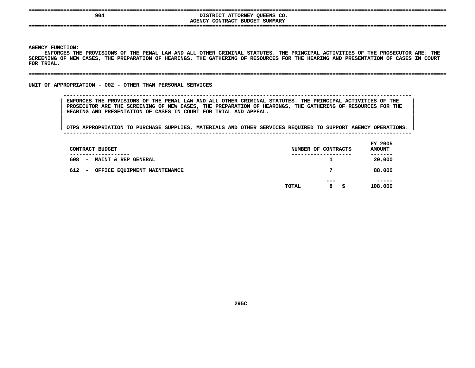# **<sup>904</sup> DISTRICT ATTORNEY QUEENS CO. AGENCYCONTRACT BUDGET SUMMARY ====================================================================================================================================**

**AGENCY**

Y FUNCTION:<br>ENFORCES T<del>H</del><br>NING OF NEW **ENFORCES**S THE PROVISIONS OF THE PENAL LAW AND ALL OTHER CRIMINAL STATUTES. THE PRINCIPAL ACTIVITIES OF THE PROSECUTOR ARE: THE<br>NEW CASES, THE PREPARATION OF HEARINGS, THE GATHERING OF RESOURCES FOR THE HEARING AND PRESENTATION OF **SCREENING OF NEW CASES, THE PREPARATION OF HEARINGS, THE GATHERING OF RESOURCES FOR THE HEARING AND PRESENTATION OF CASES IN COURT FOR**

**TRIAL. ====================================================================================================================================**

UNIT OF APPROPRIATION - 002 - OTHER THAN PERSONAL SERVICES

 **OF APPROPRIATION - <sup>002</sup> - OTHER THAN PERSONAL SERVICES --------------------------------------------------------------------------------------------------------------**ENFORCES THE PROVISIONS OF THE PENAL LAW AND ALL OTHER CRIMINAL STATUTES. THE PRINCIPAL ACTIVITIES OF THE PROSECUTOR ARE THE SCREENING OF NEW CASES, THE PREPARATION OF HEARINGS, THE GATHERING OF RESOURCES FOR THE **HEARING AND PRESENTATION OF CASES IN COURT FOR TRIAL AND APPEAL. <sup>|</sup>**

| CONTRACT BUDGET                                                        | NUMBER OF CONTRACTS                      | FY 2005<br><b>AMOUNT</b> |
|------------------------------------------------------------------------|------------------------------------------|--------------------------|
| ------------<br>608<br>MAINT & REP GENERAL<br>$\overline{\phantom{a}}$ | . - - - - - - - - - - - - - - - - -<br>1 | -------<br>20,000        |
| 612<br>OFFICE EQUIPMENT MAINTENANCE<br>$\overline{\phantom{a}}$        | 7                                        | 88,000                   |
|                                                                        | $- - -$<br>8<br>TOTAL<br>-S              | -----<br>108,000         |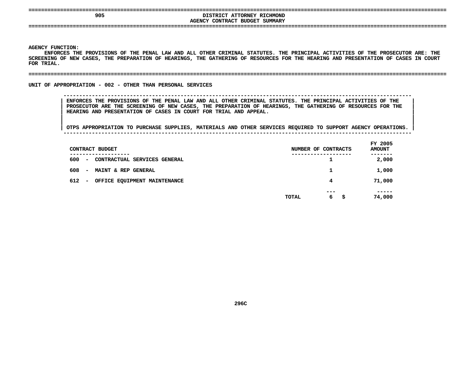# DISTRICT ATTORNEY RICHMOND<br>AGENCY CONTRACT BUDGET SUMMARY **DISTRICT ATTORNEY RICHMOND**

**CONTRACT BUDGET SUMMARY ====================================================================================================================================**

#### **AGENCY**

Y FUNCTION:<br>ENFORCES T<del>H</del><br>NING OF NEW **ENFORCES**S THE PROVISIONS OF THE PENAL LAW AND ALL OTHER CRIMINAL STATUTES. THE PRINCIPAL ACTIVITIES OF THE PROSECUTOR ARE: THE<br>NEW CASES, THE PREPARATION OF HEARINGS, THE GATHERING OF RESOURCES FOR THE HEARING AND PRESENTATION OF **SCREENING OF NEW CASES, THE PREPARATION OF HEARINGS, THE GATHERING OF RESOURCES FOR THE HEARING AND PRESENTATION OF CASES IN COURT FOR**

#### **TRIAL. ====================================================================================================================================**

#### UNIT OF APPROPRIATION - 002 - OTHER THAN PERSONAL SERVICES

 **OF APPROPRIATION - <sup>002</sup> - OTHER THAN PERSONAL SERVICES --------------------------------------------------------------------------------------------------------------**ENFORCES THE PROVISIONS OF THE PENAL LAW AND ALL OTHER CRIMINAL STATUTES. THE PRINCIPAL ACTIVITIES OF THE PROSECUTOR ARE THE SCREENING OF NEW CASES, THE PREPARATION OF HEARINGS, THE GATHERING OF RESOURCES FOR THE **HEARING AND PRESENTATION OF CASES IN COURT FOR TRIAL AND APPEAL. <sup>|</sup>**

|     | CONTRACT BUDGET                                                      |       | NUMBER OF CONTRACTS | FY 2005<br><b>AMOUNT</b> |
|-----|----------------------------------------------------------------------|-------|---------------------|--------------------------|
| 600 | --------<br>CONTRACTUAL SERVICES GENERAL<br>$\overline{\phantom{a}}$ |       | ᅩ                   | -----<br>2,000           |
| 608 | MAINT & REP GENERAL<br>$\overline{\phantom{a}}$                      |       |                     | 1,000                    |
| 612 | OFFICE EQUIPMENT MAINTENANCE<br>$\overline{\phantom{a}}$             |       | 4                   | 71,000                   |
|     |                                                                      | TOTAL | ---<br>6<br>-S      | -----<br>74,000          |